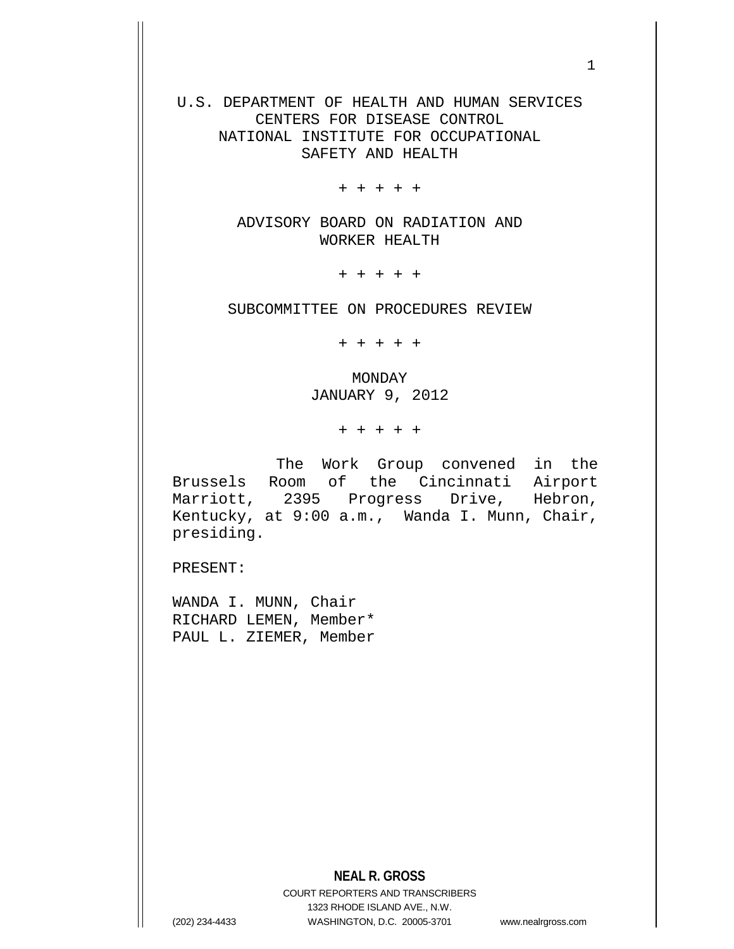U.S. DEPARTMENT OF HEALTH AND HUMAN SERVICES CENTERS FOR DISEASE CONTROL NATIONAL INSTITUTE FOR OCCUPATIONAL SAFETY AND HEALTH

+ + + + +

ADVISORY BOARD ON RADIATION AND WORKER HEALTH

+ + + + +

SUBCOMMITTEE ON PROCEDURES REVIEW

+ + + + +

MONDAY JANUARY 9, 2012

+ + + + +

 The Work Group convened in the Brussels Room of the Cincinnati Airport Marriott, 2395 Progress Drive, Hebron, Kentucky, at 9:00 a.m., Wanda I. Munn, Chair, presiding.

PRESENT:

WANDA I. MUNN, Chair RICHARD LEMEN, Member\* PAUL L. ZIEMER, Member

## **NEAL R. GROSS**

COURT REPORTERS AND TRANSCRIBERS 1323 RHODE ISLAND AVE., N.W. (202) 234-4433 WASHINGTON, D.C. 20005-3701 www.nealrgross.com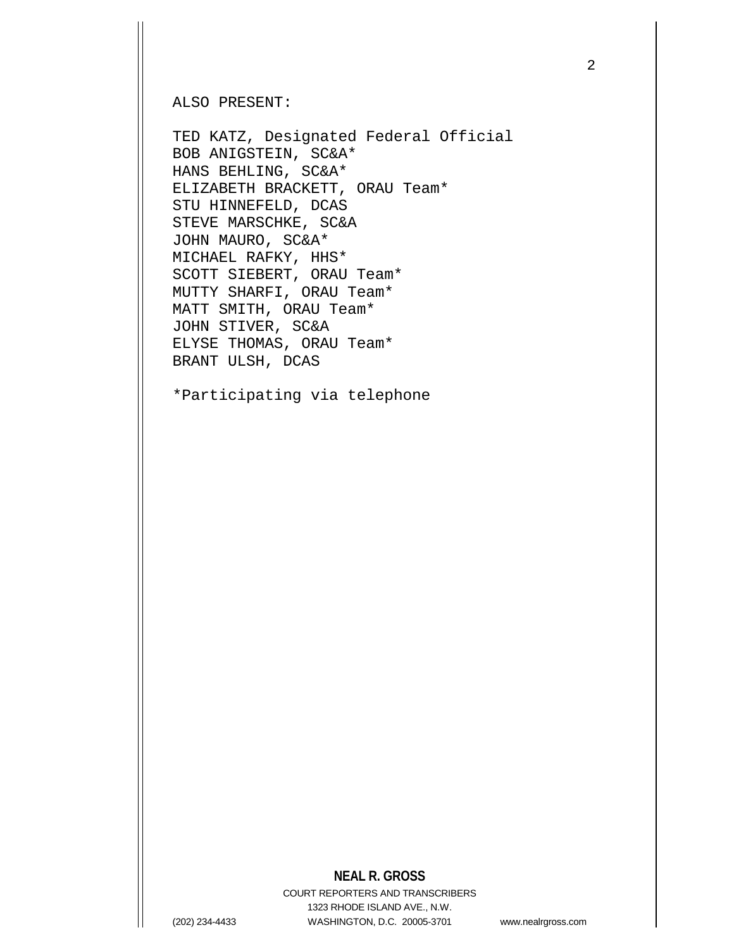ALSO PRESENT:

TED KATZ, Designated Federal Official BOB ANIGSTEIN, SC&A\* HANS BEHLING, SC&A\* ELIZABETH BRACKETT, ORAU Team\* STU HINNEFELD, DCAS STEVE MARSCHKE, SC&A JOHN MAURO, SC&A\* MICHAEL RAFKY, HHS\* SCOTT SIEBERT, ORAU Team\* MUTTY SHARFI, ORAU Team\* MATT SMITH, ORAU Team\* JOHN STIVER, SC&A ELYSE THOMAS, ORAU Team\* BRANT ULSH, DCAS

\*Participating via telephone

## **NEAL R. GROSS**

COURT REPORTERS AND TRANSCRIBERS 1323 RHODE ISLAND AVE., N.W. (202) 234-4433 WASHINGTON, D.C. 20005-3701 www.nealrgross.com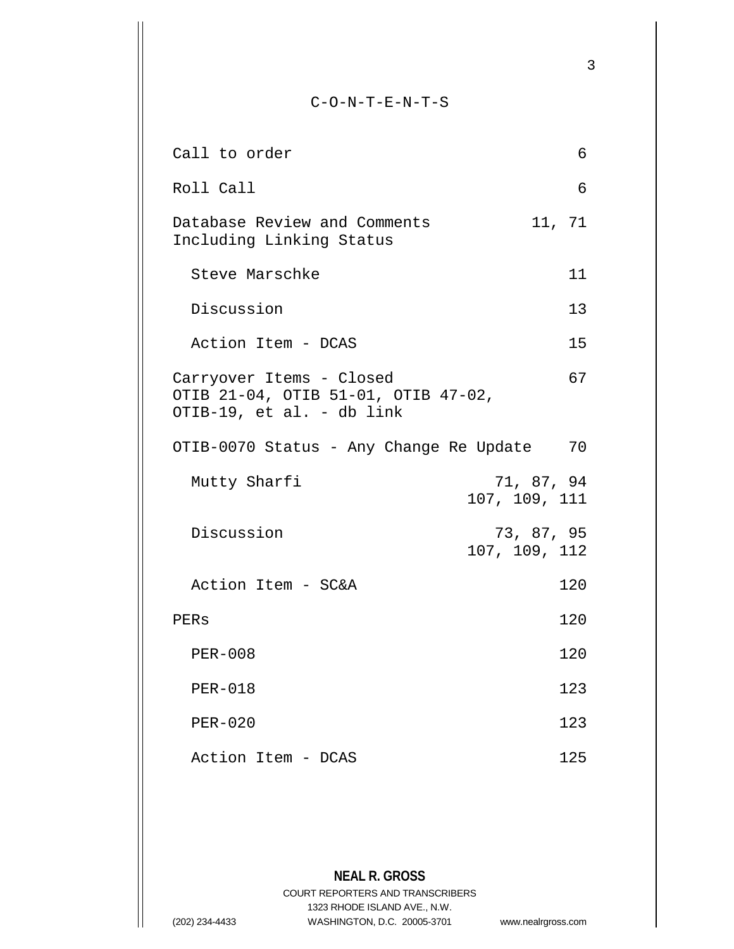**NEAL R. GROSS** C-O-N-T-E-N-T-S Call to order 6 Roll Call 6 Database Review and Comments 11, 71 Including Linking Status Steve Marschke 11 Discussion 13 Action Item - DCAS 15 Carryover Items - Closed 67 OTIB 21-04, OTIB 51-01, OTIB 47-02, OTIB-19, et al. - db link OTIB-0070 Status - Any Change Re Update 70 Mutty Sharfi 71, 87, 94 107, 109, 111 Discussion 73, 87, 95 107, 109, 112 Action Item - SC&A 120 PERs 120 PER-008 120 PER-018 123 PER-020 123 Action Item - DCAS 125

> COURT REPORTERS AND TRANSCRIBERS 1323 RHODE ISLAND AVE., N.W.

(202) 234-4433 WASHINGTON, D.C. 20005-3701 www.nealrgross.com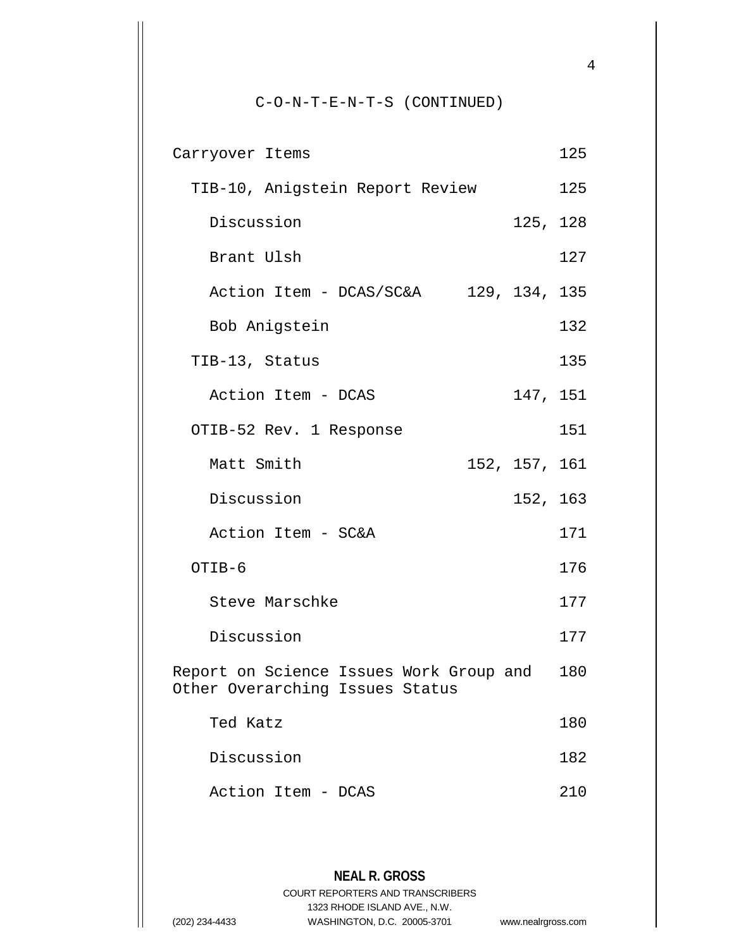C-O-N-T-E-N-T-S (CONTINUED)

| Carryover Items                                                                | 125 |
|--------------------------------------------------------------------------------|-----|
| TIB-10, Anigstein Report Review                                                | 125 |
| 125, 128<br>Discussion                                                         |     |
| Brant Ulsh                                                                     | 127 |
| Action Item - DCAS/SC&A 129, 134, 135                                          |     |
| Bob Anigstein                                                                  | 132 |
| TIB-13, Status                                                                 | 135 |
| 147, 151<br>Action Item - DCAS                                                 |     |
| OTIB-52 Rev. 1 Response                                                        | 151 |
| Matt Smith<br>152, 157, 161                                                    |     |
| 152, 163<br>Discussion                                                         |     |
| Action Item - SC&A                                                             | 171 |
| OTIB-6                                                                         | 176 |
| Steve Marschke                                                                 | 177 |
| Discussion                                                                     | 177 |
| Report on Science Issues Work Group and 180<br>Other Overarching Issues Status |     |
| Ted Katz                                                                       | 180 |
| Discussion                                                                     | 182 |
| Action Item - DCAS                                                             | 210 |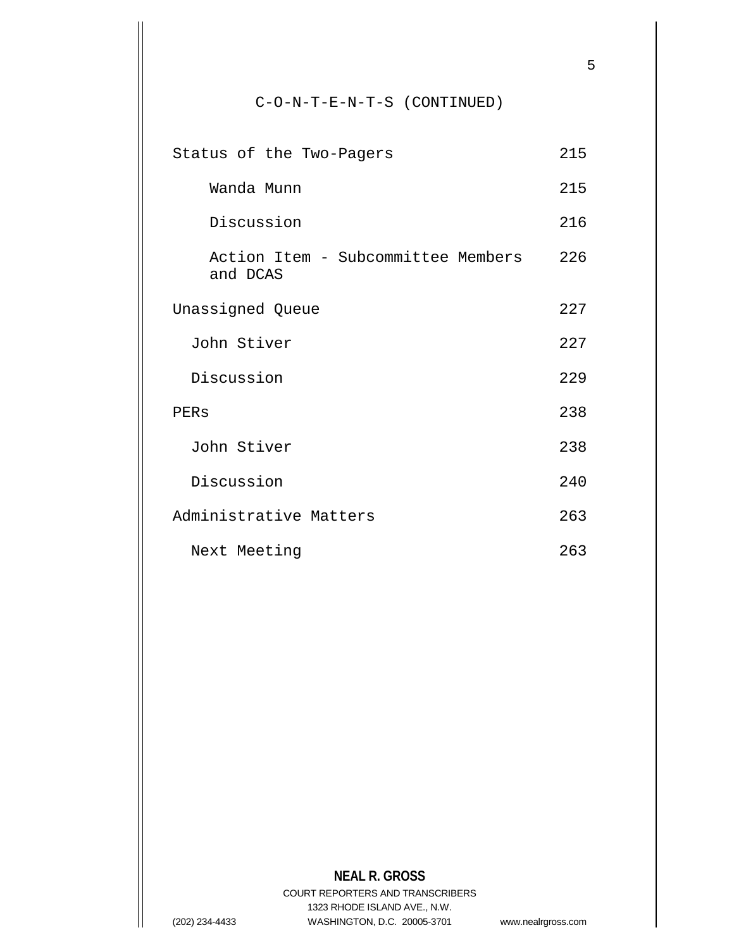## C-O-N-T-E-N-T-S (CONTINUED)

| Status of the Two-Pagers                       | 215 |
|------------------------------------------------|-----|
| Wanda Munn                                     | 215 |
| Discussion                                     | 216 |
| Action Item - Subcommittee Members<br>and DCAS | 226 |
| Unassigned Queue                               | 227 |
| John Stiver                                    | 227 |
| Discussion                                     | 229 |
| PERS                                           | 238 |
| John Stiver                                    | 238 |
| Discussion                                     | 240 |
| Administrative Matters                         | 263 |
| Next Meeting                                   | 263 |

## **NEAL R. GROSS**

COURT REPORTERS AND TRANSCRIBERS 1323 RHODE ISLAND AVE., N.W. (202) 234-4433 WASHINGTON, D.C. 20005-3701 www.nealrgross.com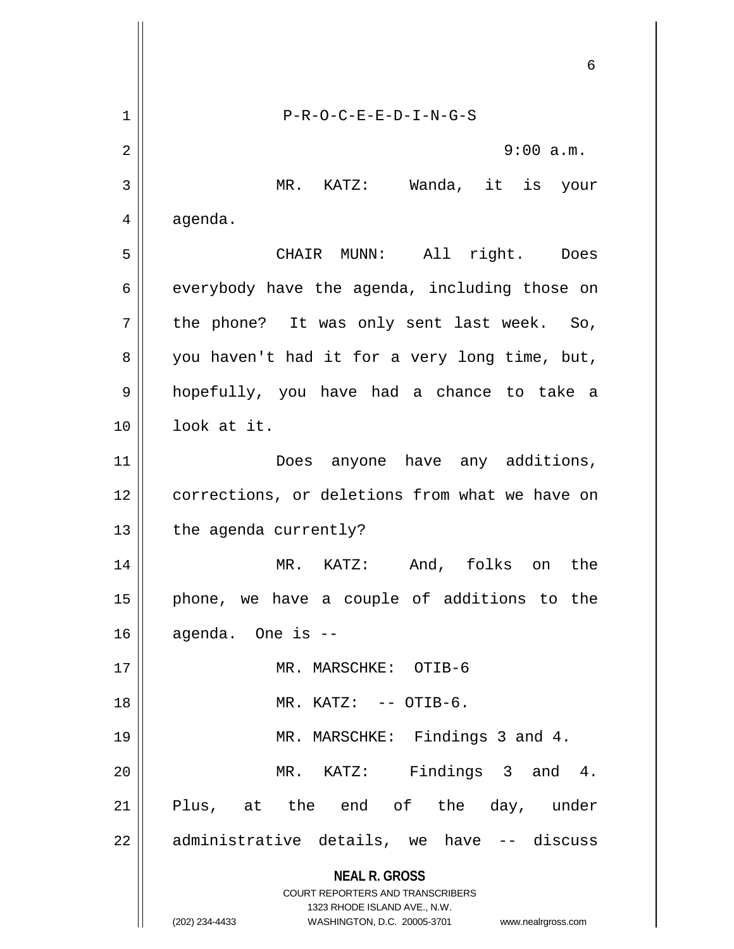**NEAL R. GROSS** COURT REPORTERS AND TRANSCRIBERS 1323 RHODE ISLAND AVE., N.W. (202) 234-4433 WASHINGTON, D.C. 20005-3701 www.nealrgross.com 6 1 P-R-O-C-E-E-D-I-N-G-S 2  $\parallel$  9:00 a.m. 3 MR. KATZ: Wanda, it is your  $4 \parallel$  agenda. 5 CHAIR MUNN: All right. Does  $6 \parallel$  everybody have the agenda, including those on  $7$  | the phone? It was only sent last week. So,  $8 \parallel$  you haven't had it for a very long time, but, 9 hopefully, you have had a chance to take a 10 look at it. 11 || Does anyone have any additions, 12 | corrections, or deletions from what we have on  $13$  | the agenda currently? 14 MR. KATZ: And, folks on the  $15$  | phone, we have a couple of additions to the  $16$  agenda. One is  $-$ 17 MR. MARSCHKE: OTIB-6 18 || MR. KATZ: -- OTIB-6. 19 || MR. MARSCHKE: Findings 3 and 4. 20 MR. KATZ: Findings 3 and 4. 21 Plus, at the end of the day, under  $22$  || administrative details, we have  $-$ - discuss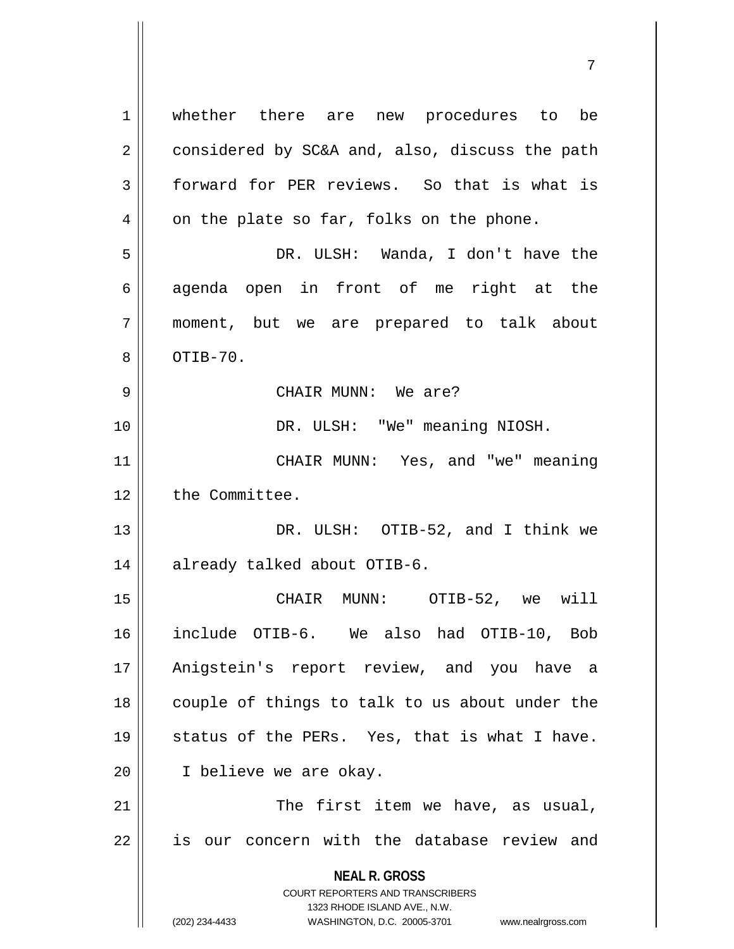**NEAL R. GROSS** COURT REPORTERS AND TRANSCRIBERS 1323 RHODE ISLAND AVE., N.W. (202) 234-4433 WASHINGTON, D.C. 20005-3701 www.nealrgross.com 1 whether there are new procedures to be 2 considered by SC&A and, also, discuss the path 3 | forward for PER reviews. So that is what is  $4 \parallel$  on the plate so far, folks on the phone. 5 DR. ULSH: Wanda, I don't have the  $6 \parallel$  agenda open in front of me right at the 7 moment, but we are prepared to talk about  $8 \parallel$  OTIB-70. 9 CHAIR MUNN: We are? 10 DR. ULSH: "We" meaning NIOSH. 11 CHAIR MUNN: Yes, and "we" meaning 12 | the Committee. 13 DR. ULSH: OTIB-52, and I think we 14 | already talked about OTIB-6. 15 CHAIR MUNN: OTIB-52, we will 16 include OTIB-6. We also had OTIB-10, Bob 17 Anigstein's report review, and you have a 18 || couple of things to talk to us about under the 19  $\parallel$  status of the PERs. Yes, that is what I have. 20 I believe we are okay. 21 || The first item we have, as usual, 22 || is our concern with the database review and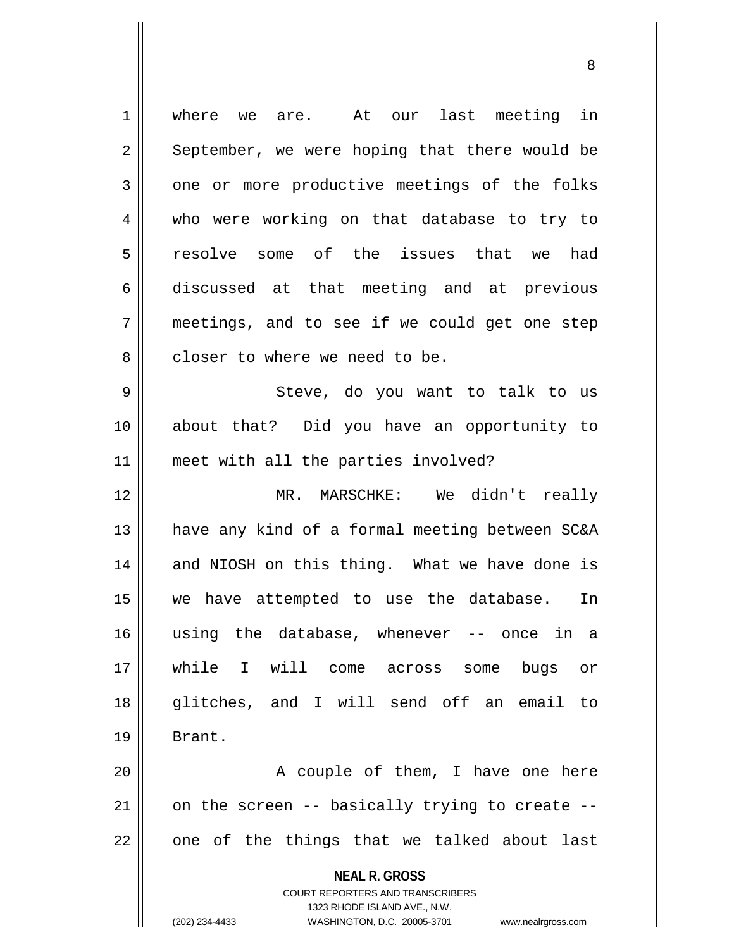**NEAL R. GROSS** COURT REPORTERS AND TRANSCRIBERS 1323 RHODE ISLAND AVE., N.W. (202) 234-4433 WASHINGTON, D.C. 20005-3701 www.nealrgross.com 1 || where we are. At our last meeting in  $2 \parallel$  September, we were hoping that there would be 3 one or more productive meetings of the folks 4 who were working on that database to try to 5 resolve some of the issues that we had 6 discussed at that meeting and at previous  $7 \parallel$  meetings, and to see if we could get one step 8 decript in where we need to be. 9 Steve, do you want to talk to us 10 about that? Did you have an opportunity to 11 || meet with all the parties involved? 12 MR. MARSCHKE: We didn't really 13 || have any kind of a formal meeting between SC&A 14 || and NIOSH on this thing. What we have done is 15 we have attempted to use the database. In 16 using the database, whenever -- once in a 17 while I will come across some bugs or 18 || qlitches, and I will send off an email to 19 Brant. 20 || A couple of them, I have one here  $21$  | on the screen -- basically trying to create -- $22$  || one of the things that we talked about last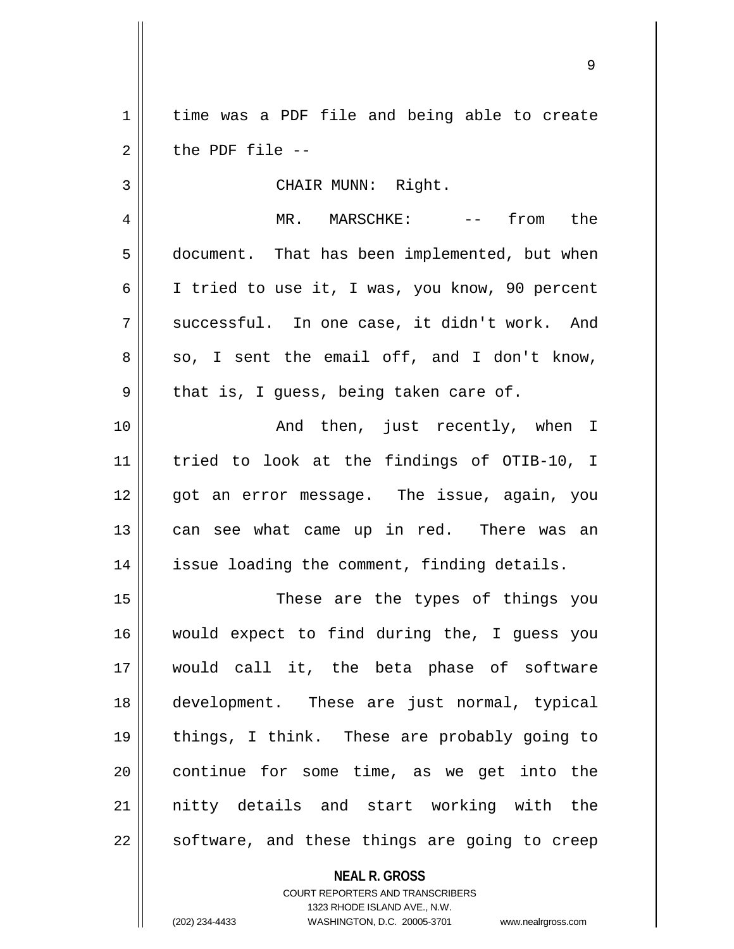1 | time was a PDF file and being able to create  $2 \parallel$  the PDF file  $-$ 

3 || CHAIR MUNN: Right.

4 MR. MARSCHKE: -- from the 5 | document. That has been implemented, but when 6 | I tried to use it, I was, you know, 90 percent  $7 \parallel$  successful. In one case, it didn't work. And  $8 \parallel$  so, I sent the email off, and I don't know,  $9 \parallel$  that is, I guess, being taken care of.

10 || Then, just recently, when I 11 tried to look at the findings of OTIB-10, I 12 || qot an error messaqe. The issue, aqain, you 13 || can see what came up in red. There was an 14 || issue loading the comment, finding details.

15 || These are the types of things you 16 would expect to find during the, I guess you 17 would call it, the beta phase of software 18 development. These are just normal, typical 19 things, I think. These are probably going to 20 || continue for some time, as we get into the 21 nitty details and start working with the  $22$  || software, and these things are going to creep

**NEAL R. GROSS**

COURT REPORTERS AND TRANSCRIBERS 1323 RHODE ISLAND AVE., N.W. (202) 234-4433 WASHINGTON, D.C. 20005-3701 www.nealrgross.com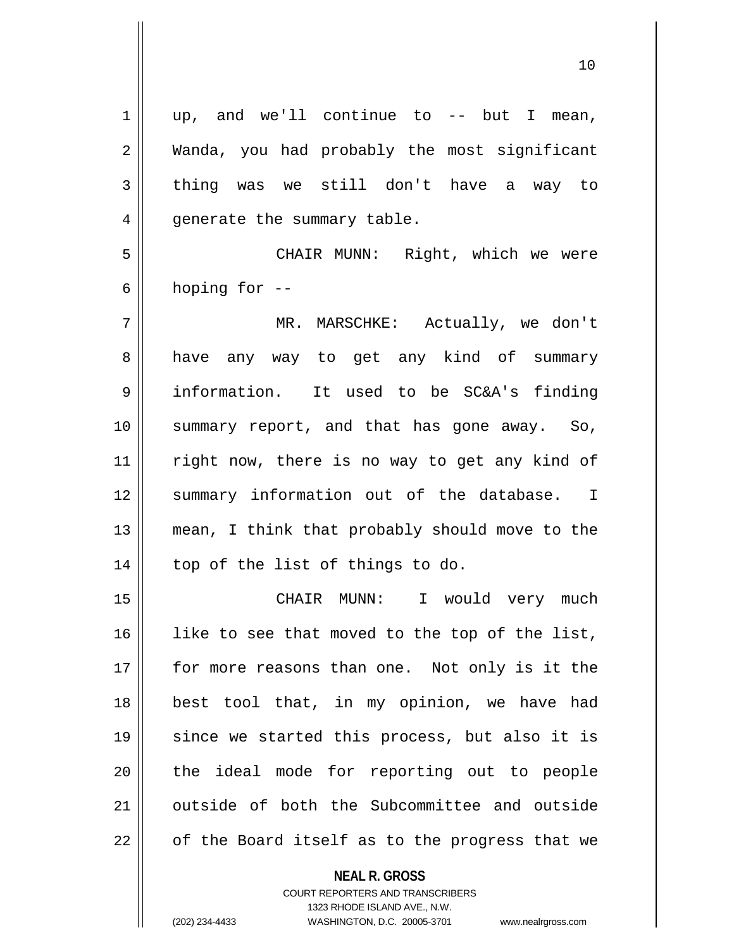| 1  | up, and we'll continue to $--$ but I mean,     |
|----|------------------------------------------------|
| 2  | Wanda, you had probably the most significant   |
| 3  | thing was we still don't have a way to         |
| 4  | generate the summary table.                    |
| 5  | CHAIR MUNN: Right, which we were               |
| 6  | hoping for --                                  |
| 7  | MR. MARSCHKE: Actually, we don't               |
| 8  | have any way to get any kind of summary        |
| 9  | information. It used to be SC&A's finding      |
| 10 | summary report, and that has gone away. So,    |
| 11 | right now, there is no way to get any kind of  |
| 12 | summary information out of the database. I     |
| 13 | mean, I think that probably should move to the |
| 14 | top of the list of things to do.               |
| 15 | CHAIR MUNN: I would very much                  |
| 16 | like to see that moved to the top of the list, |
| 17 | for more reasons than one. Not only is it the  |
| 18 | best tool that, in my opinion, we have had     |
| 19 | since we started this process, but also it is  |
| 20 | the ideal mode for reporting out to people     |
| 21 | outside of both the Subcommittee and outside   |
| 22 | of the Board itself as to the progress that we |

**NEAL R. GROSS** COURT REPORTERS AND TRANSCRIBERS

1323 RHODE ISLAND AVE., N.W. (202) 234-4433 WASHINGTON, D.C. 20005-3701 www.nealrgross.com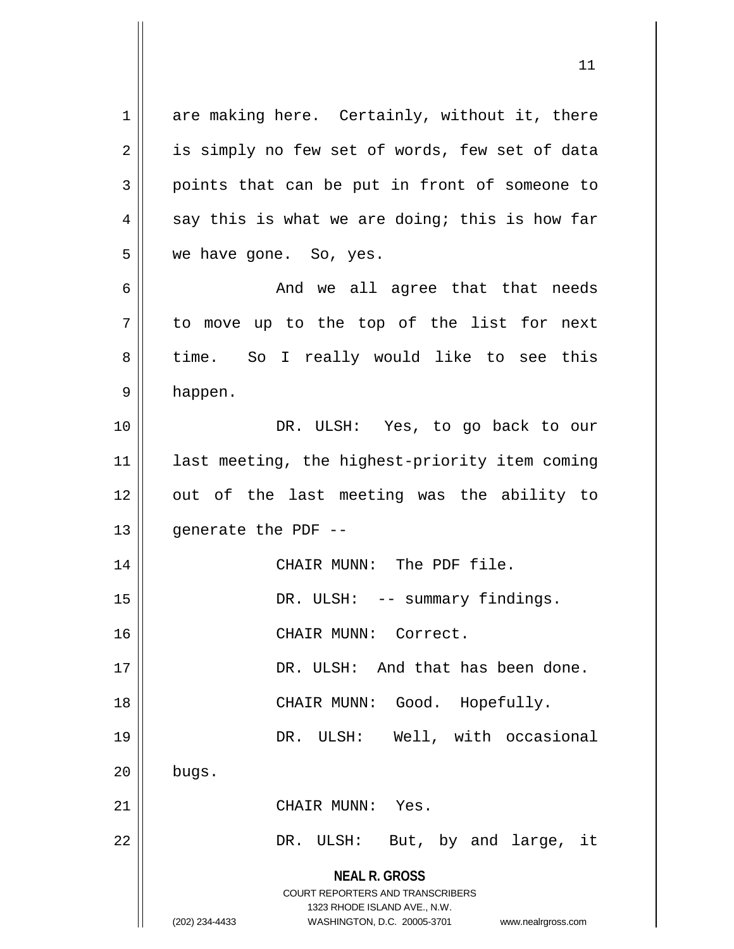**NEAL R. GROSS** COURT REPORTERS AND TRANSCRIBERS 1323 RHODE ISLAND AVE., N.W. (202) 234-4433 WASHINGTON, D.C. 20005-3701 www.nealrgross.com  $1 \parallel$  are making here. Certainly, without it, there  $2 \parallel$  is simply no few set of words, few set of data  $3 \parallel$  points that can be put in front of someone to  $4 \parallel$  say this is what we are doing; this is how far 5 || we have gone. So, yes. 6 And we all agree that that needs  $7 \parallel$  to move up to the top of the list for next 8 time. So I really would like to see this 9 happen. 10 || DR. ULSH: Yes, to go back to our 11 || last meeting, the highest-priority item coming 12 out of the last meeting was the ability to  $13$  || generate the PDF --14 || CHAIR MUNN: The PDF file. 15 || DR. ULSH: -- summary findings. 16 CHAIR MUNN: Correct. 17 DR. ULSH: And that has been done. 18 || CHAIR MUNN: Good. Hopefully. 19 DR. ULSH: Well, with occasional  $20$  | bugs. 21 || CHAIR MUNN: Yes. 22 DR. ULSH: But, by and large, it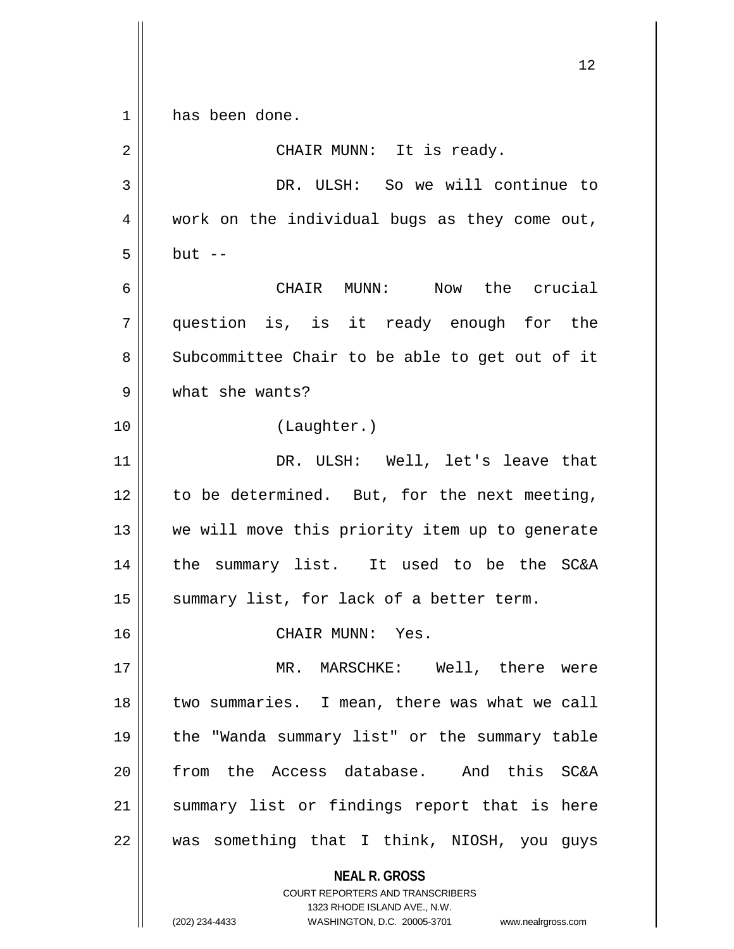**NEAL R. GROSS** COURT REPORTERS AND TRANSCRIBERS 1323 RHODE ISLAND AVE., N.W. (202) 234-4433 WASHINGTON, D.C. 20005-3701 www.nealrgross.com 1 has been done. 2 || CHAIR MUNN: It is ready. 3 DR. ULSH: So we will continue to  $4 \parallel$  work on the individual bugs as they come out,  $5 \parallel$  but  $-$ 6 CHAIR MUNN: Now the crucial 7 question is, is it ready enough for the 8 || Subcommittee Chair to be able to get out of it 9 what she wants? 10 (Laughter.) 11 DR. ULSH: Well, let's leave that  $12$  to be determined. But, for the next meeting, 13 || we will move this priority item up to generate 14 the summary list. It used to be the SC&A 15 || summary list, for lack of a better term. 16 || CHAIR MUNN: Yes. 17 MR. MARSCHKE: Well, there were 18 || two summaries. I mean, there was what we call 19 the "Wanda summary list" or the summary table 20 from the Access database. And this SC&A 21 || summary list or findings report that is here  $22$  || was something that I think, NIOSH, you guys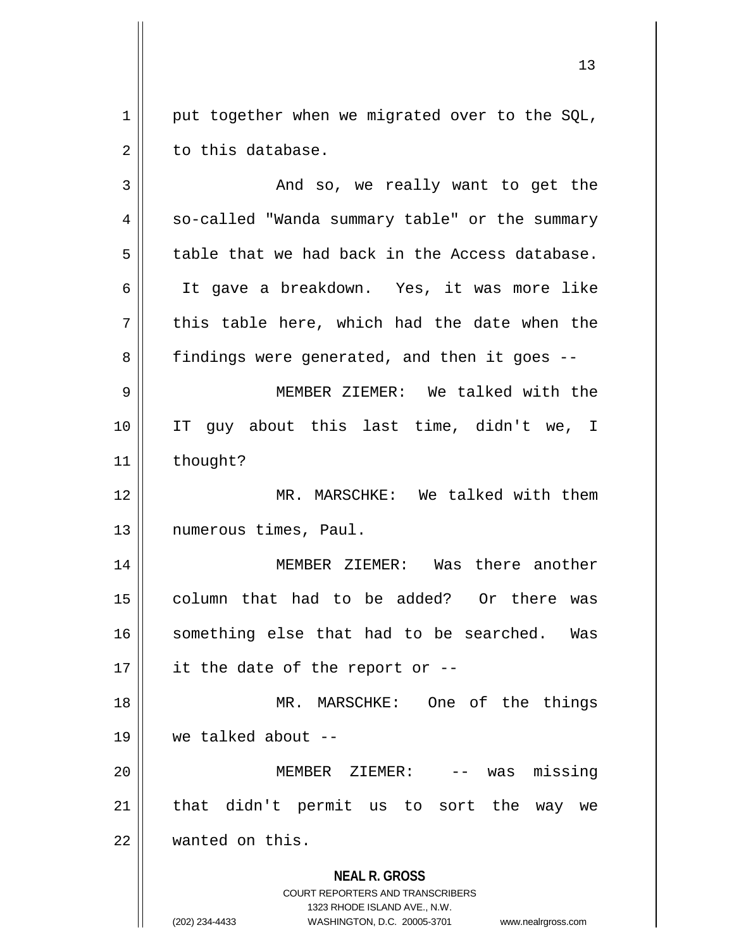1 | put together when we migrated over to the SQL,  $2 \parallel$  to this database.

| 3  | And so, we really want to get the                                                                                                                                      |
|----|------------------------------------------------------------------------------------------------------------------------------------------------------------------------|
| 4  | so-called "Wanda summary table" or the summary                                                                                                                         |
| 5  | table that we had back in the Access database.                                                                                                                         |
| 6  | It gave a breakdown. Yes, it was more like                                                                                                                             |
| 7  | this table here, which had the date when the                                                                                                                           |
| 8  | findings were generated, and then it goes --                                                                                                                           |
| 9  | MEMBER ZIEMER: We talked with the                                                                                                                                      |
| 10 | IT guy about this last time, didn't we, I                                                                                                                              |
| 11 | thought?                                                                                                                                                               |
| 12 | MR. MARSCHKE: We talked with them                                                                                                                                      |
| 13 | numerous times, Paul.                                                                                                                                                  |
| 14 | MEMBER ZIEMER: Was there another                                                                                                                                       |
| 15 | column that had to be added? Or there was                                                                                                                              |
| 16 | something else that had to be searched. Was                                                                                                                            |
| 17 | it the date of the report or --                                                                                                                                        |
| 18 | MR. MARSCHKE: One of the things                                                                                                                                        |
| 19 | we talked about --                                                                                                                                                     |
| 20 | missing<br>MEMBER ZIEMER:<br>was                                                                                                                                       |
| 21 | that didn't permit us to sort the<br>way<br>we                                                                                                                         |
| 22 | wanted on this.                                                                                                                                                        |
|    | <b>NEAL R. GROSS</b><br><b>COURT REPORTERS AND TRANSCRIBERS</b><br>1323 RHODE ISLAND AVE., N.W.<br>(202) 234-4433<br>WASHINGTON, D.C. 20005-3701<br>www.nealrgross.com |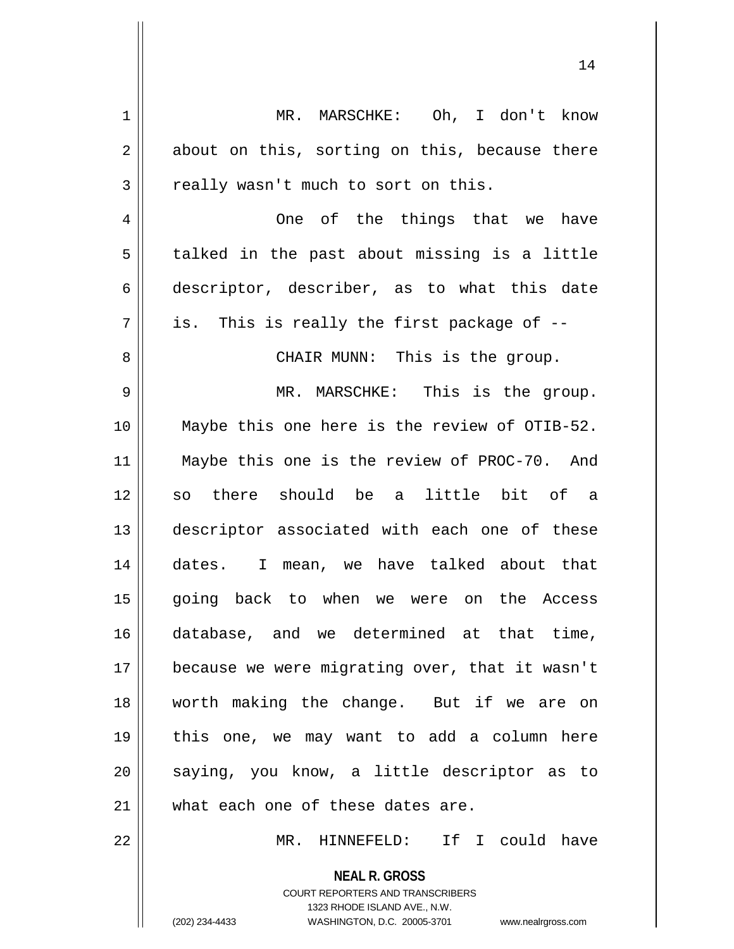1 | MR. MARSCHKE: Oh, I don't know  $2 \parallel$  about on this, sorting on this, because there  $3 \parallel$  really wasn't much to sort on this. 4 One of the things that we have  $5 \parallel$  talked in the past about missing is a little 6 descriptor, describer, as to what this date  $7 \parallel$  is. This is really the first package of  $-$ -8 || CHAIR MUNN: This is the group. 9 MR. MARSCHKE: This is the group. 10 Maybe this one here is the review of OTIB-52. 11 Maybe this one is the review of PROC-70. And 12 so there should be a little bit of a 13 descriptor associated with each one of these 14 dates. I mean, we have talked about that 15 going back to when we were on the Access 16 database, and we determined at that time, 17 because we were migrating over, that it wasn't 18 worth making the change. But if we are on 19 this one, we may want to add a column here 20 || saying, you know, a little descriptor as to 21 What each one of these dates are. 22 MR. HINNEFELD: If I could have

> COURT REPORTERS AND TRANSCRIBERS 1323 RHODE ISLAND AVE., N.W. (202) 234-4433 WASHINGTON, D.C. 20005-3701 www.nealrgross.com

**NEAL R. GROSS**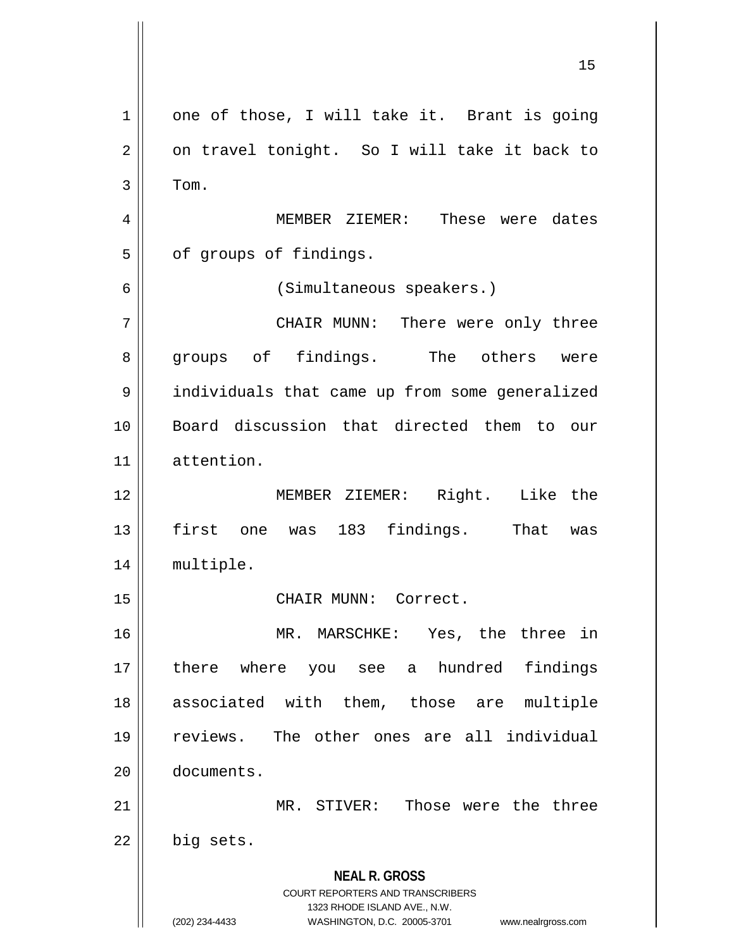**NEAL R. GROSS** COURT REPORTERS AND TRANSCRIBERS 1323 RHODE ISLAND AVE., N.W. (202) 234-4433 WASHINGTON, D.C. 20005-3701 www.nealrgross.com  $1 \parallel$  one of those, I will take it. Brant is going  $2 \parallel$  on travel tonight. So I will take it back to  $3 \parallel$  Tom. 4 MEMBER ZIEMER: These were dates  $5$  |  $\sigma$  of groups of findings. 6 (Simultaneous speakers.) 7 CHAIR MUNN: There were only three 8 groups of findings. The others were 9 | individuals that came up from some generalized 10 Board discussion that directed them to our 11 attention. 12 MEMBER ZIEMER: Right. Like the 13 || first one was 183 findings. That was 14 multiple. 15 || CHAIR MUNN: Correct. 16 MR. MARSCHKE: Yes, the three in 17 || there where you see a hundred findings 18 || associated with them, those are multiple 19 reviews. The other ones are all individual 20 documents. 21 MR. STIVER: Those were the three  $22 \parallel$  big sets.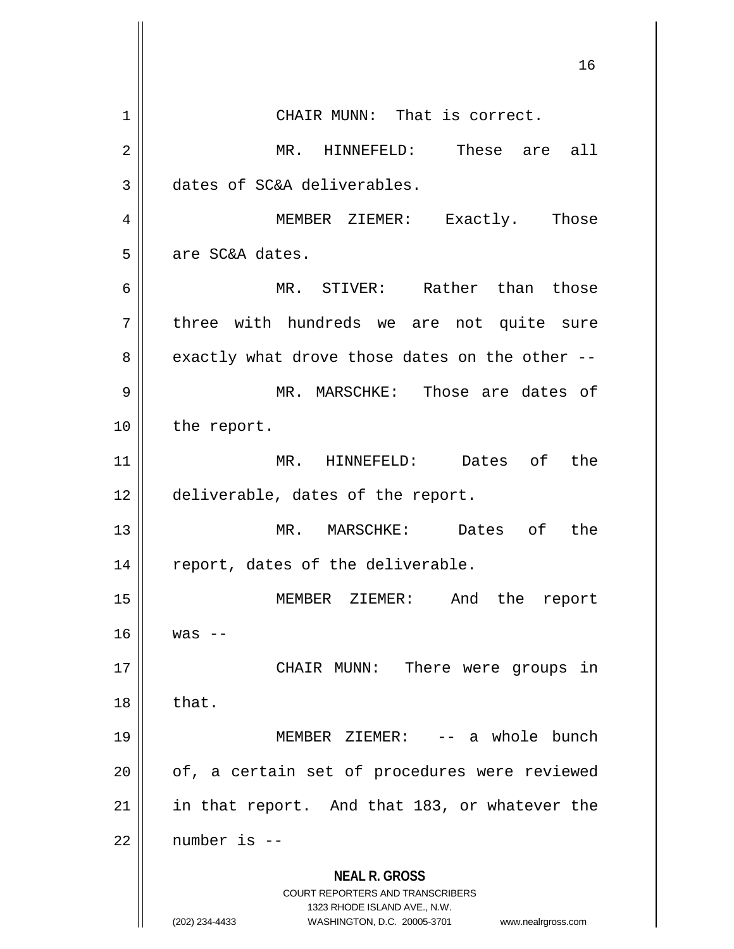**NEAL R. GROSS** COURT REPORTERS AND TRANSCRIBERS 1323 RHODE ISLAND AVE., N.W. (202) 234-4433 WASHINGTON, D.C. 20005-3701 www.nealrgross.com 1 || CHAIR MUNN: That is correct. 2 || MR. HINNEFELD: These are all 3 dates of SC&A deliverables. 4 MEMBER ZIEMER: Exactly. Those 5 || are SC&A dates. 6 MR. STIVER: Rather than those 7 || three with hundreds we are not quite sure  $8 \parallel$  exactly what drove those dates on the other --9 || MR. MARSCHKE: Those are dates of 10 | the report. 11 MR. HINNEFELD: Dates of the 12 || deliverable, dates of the report. 13 MR. MARSCHKE: Dates of the  $14$  | report, dates of the deliverable. 15 MEMBER ZIEMER: And the report  $16$   $\parallel$  was  $-$ 17 || CHAIR MUNN: There were groups in  $18 \parallel$  that. 19 MEMBER ZIEMER: -- a whole bunch  $20$  | of, a certain set of procedures were reviewed 21 || in that report. And that 183, or whatever the  $22$  | number is  $-$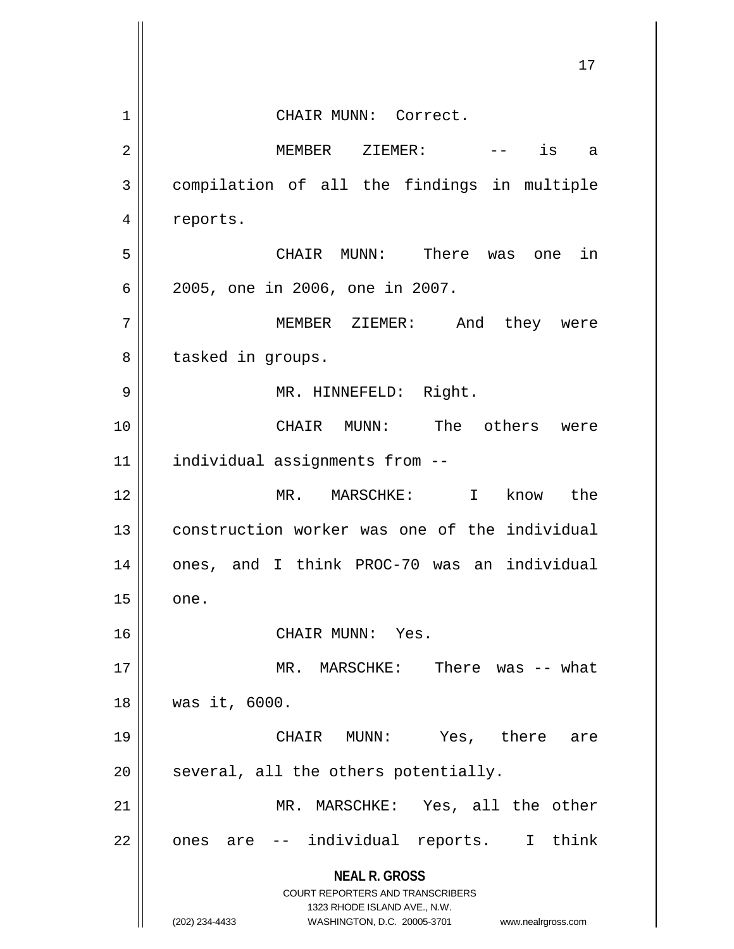|    | 17                                                                  |
|----|---------------------------------------------------------------------|
|    |                                                                     |
| 1  | CHAIR MUNN: Correct.                                                |
| 2  | is<br>MEMBER ZIEMER:<br>a                                           |
| 3  | compilation of all the findings in multiple                         |
| 4  | reports.                                                            |
| 5  | CHAIR MUNN: There was<br>in<br>one                                  |
| 6  | 2005, one in 2006, one in 2007.                                     |
| 7  | MEMBER ZIEMER: And<br>they were                                     |
| 8  | tasked in groups.                                                   |
| 9  | MR. HINNEFELD: Right.                                               |
| 10 | CHAIR MUNN: The others were                                         |
| 11 | individual assignments from --                                      |
| 12 | MR. MARSCHKE:<br>$\mathbf I$<br>know the                            |
| 13 | construction worker was one of the individual                       |
| 14 | ones, and I think PROC-70 was an individual                         |
| 15 | one.                                                                |
| 16 | CHAIR MUNN: Yes.                                                    |
| 17 | MR. MARSCHKE:<br>There was $--$ what                                |
| 18 | was it, 6000.                                                       |
| 19 | CHAIR MUNN:<br>Yes, there are                                       |
| 20 | several, all the others potentially.                                |
| 21 | MR. MARSCHKE: Yes, all the other                                    |
| 22 | -- individual reports. I think<br>ones are                          |
|    | <b>NEAL R. GROSS</b><br><b>COURT REPORTERS AND TRANSCRIBERS</b>     |
|    | 1323 RHODE ISLAND AVE., N.W.                                        |
|    | (202) 234-4433<br>WASHINGTON, D.C. 20005-3701<br>www.nealrgross.com |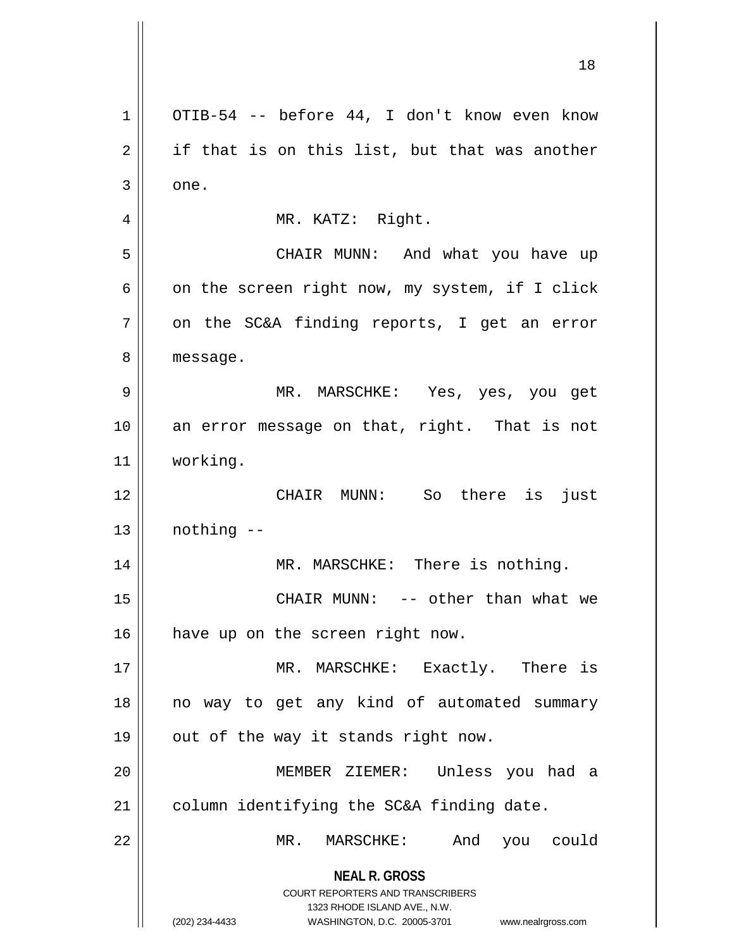**NEAL R. GROSS** COURT REPORTERS AND TRANSCRIBERS 1323 RHODE ISLAND AVE., N.W. (202) 234-4433 WASHINGTON, D.C. 20005-3701 www.nealrgross.com 1 OTIB-54 -- before 44, I don't know even know  $2 \parallel$  if that is on this list, but that was another  $3 \parallel$  one. 4 || MR. KATZ: Right. 5 CHAIR MUNN: And what you have up 6  $\parallel$  on the screen right now, my system, if I click  $7$  | on the SC&A finding reports, I get an error 8 | message. 9 MR. MARSCHKE: Yes, yes, you get 10 || an error message on that, right. That is not 11 working. 12 CHAIR MUNN: So there is just  $13$  | nothing  $-$ 14 || MR. MARSCHKE: There is nothing. 15 CHAIR MUNN: -- other than what we 16 | have up on the screen right now. 17 || MR. MARSCHKE: Exactly. There is 18 || no way to get any kind of automated summary 19  $\parallel$  out of the way it stands right now. 20 MEMBER ZIEMER: Unless you had a  $21$  | column identifying the SC&A finding date. 22 MR. MARSCHKE: And you could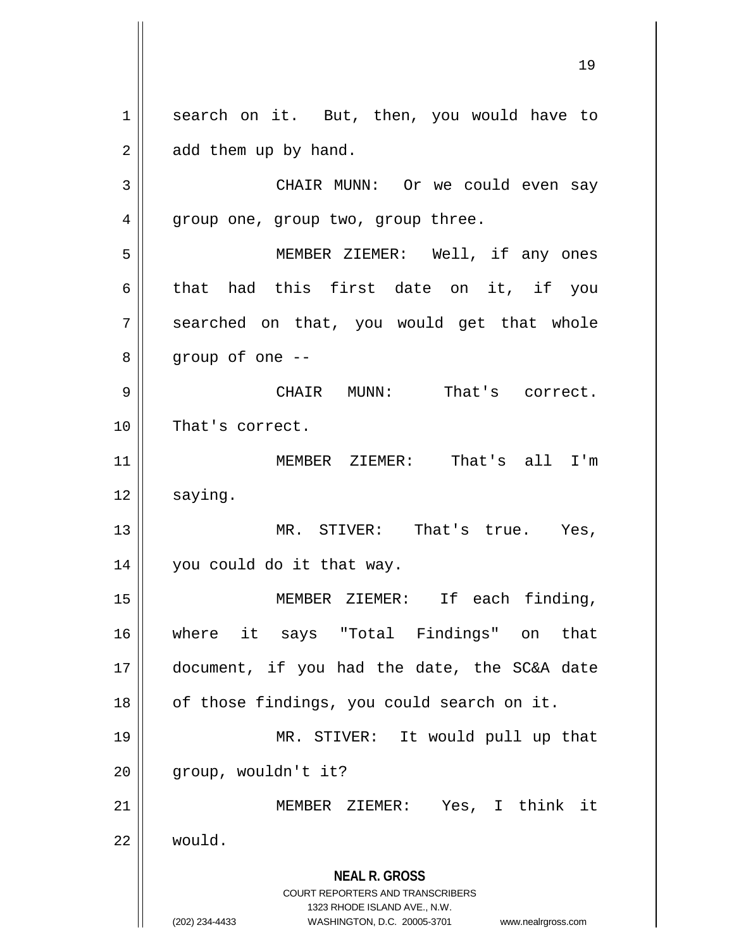**NEAL R. GROSS** COURT REPORTERS AND TRANSCRIBERS 1323 RHODE ISLAND AVE., N.W. 1 || search on it. But, then, you would have to  $2 \parallel$  add them up by hand. 3 CHAIR MUNN: Or we could even say 4 | group one, group two, group three. 5 MEMBER ZIEMER: Well, if any ones 6 that had this first date on it, if you 7 || searched on that, you would get that whole  $8 \parallel$  group of one  $-$ 9 CHAIR MUNN: That's correct. 10 || That's correct. 11 || MEMBER ZIEMER: That's all I'm  $12 \parallel$  saying. 13 MR. STIVER: That's true. Yes, 14 you could do it that way. 15 MEMBER ZIEMER: If each finding, 16 where it says "Total Findings" on that 17 document, if you had the date, the SC&A date  $18$  | of those findings, you could search on it. 19 MR. STIVER: It would pull up that  $20$  |  $qroup, wouldn't it?$ 21 MEMBER ZIEMER: Yes, I think it 22 would.

<sup>(202) 234-4433</sup> WASHINGTON, D.C. 20005-3701 www.nealrgross.com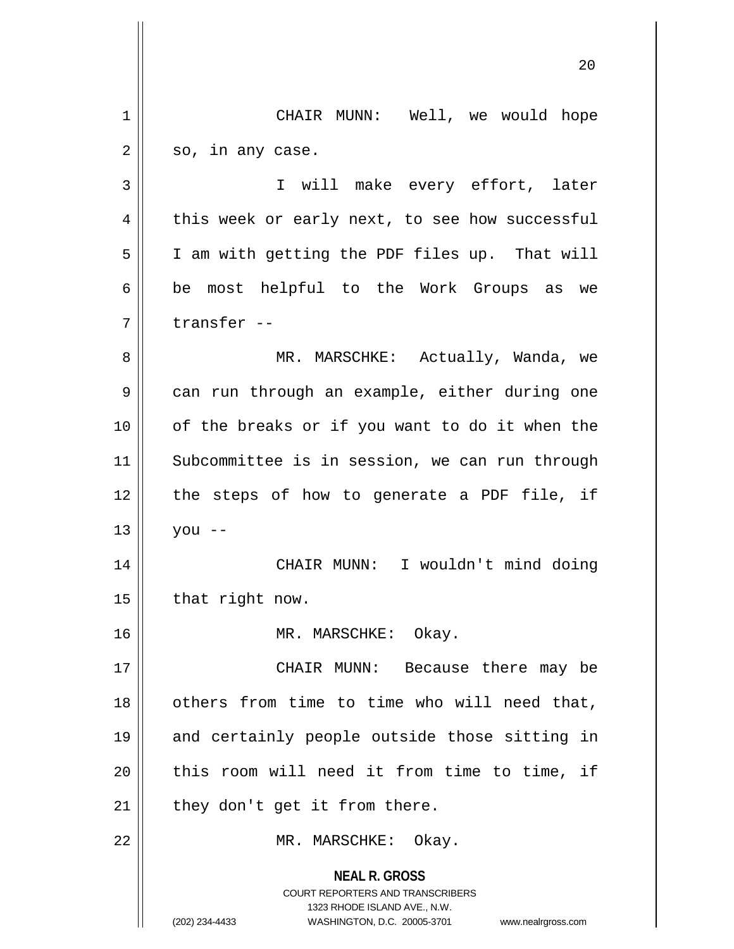**NEAL R. GROSS** COURT REPORTERS AND TRANSCRIBERS 1323 RHODE ISLAND AVE., N.W. (202) 234-4433 WASHINGTON, D.C. 20005-3701 www.nealrgross.com 20 1 | CHAIR MUNN: Well, we would hope  $2 \parallel$  so, in any case. 3 I will make every effort, later  $4 \parallel$  this week or early next, to see how successful 5 | I am with getting the PDF files up. That will  $6 \parallel$  be most helpful to the Work Groups as we 7 ll transfer --8 MR. MARSCHKE: Actually, Wanda, we 9 || can run through an example, either during one 10 || of the breaks or if you want to do it when the 11 || Subcommittee is in session, we can run through  $12$  | the steps of how to generate a PDF file, if  $13 \parallel$  you --14 || CHAIR MUNN: I wouldn't mind doing  $15$  | that right now. 16 || MR. MARSCHKE: Okay. 17 CHAIR MUNN: Because there may be 18 || others from time to time who will need that, 19 and certainly people outside those sitting in 20 || this room will need it from time to time, if  $21$  | they don't get it from there. 22 || MR. MARSCHKE: Okay.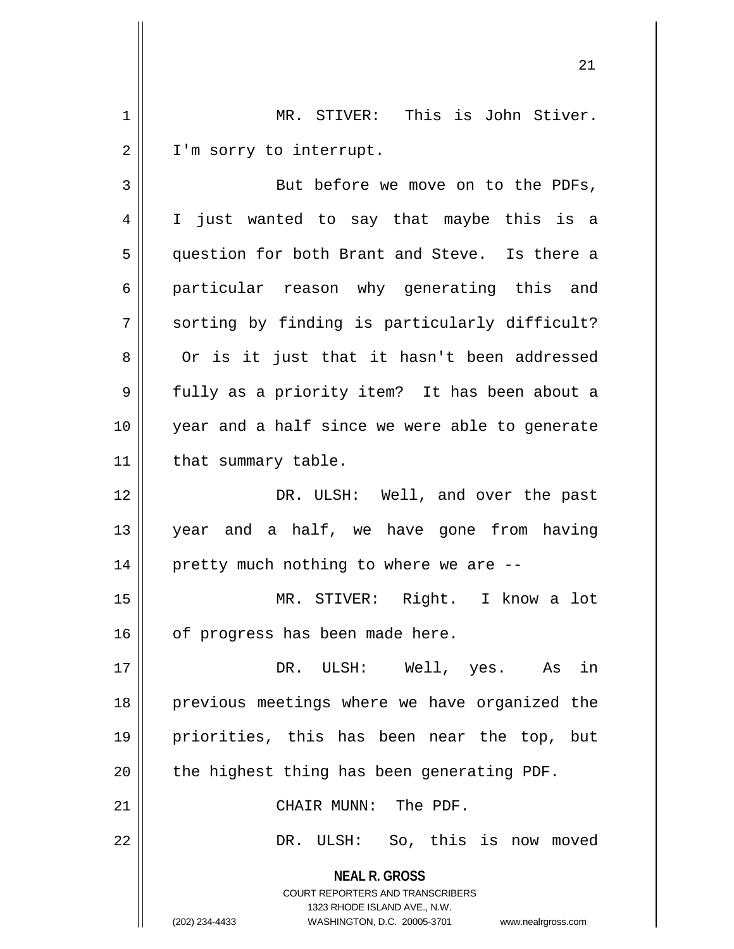1 MR. STIVER: This is John Stiver. 2 | I'm sorry to interrupt.

3 || But before we move on to the PDFs, 4 I just wanted to say that maybe this is a 5 || question for both Brant and Steve. Is there a 6 particular reason why generating this and  $7 \parallel$  sorting by finding is particularly difficult? 8 | Or is it just that it hasn't been addressed 9 || fully as a priority item? It has been about a 10 year and a half since we were able to generate  $11$  | that summary table. 12 DR. ULSH: Well, and over the past 13 year and a half, we have gone from having  $14$  | pretty much nothing to where we are  $-$ 15 MR. STIVER: Right. I know a lot

 $16$  | of progress has been made here.

17 DR. ULSH: Well, yes. As in 18 || previous meetings where we have organized the 19 priorities, this has been near the top, but  $20$  | the highest thing has been generating PDF.

21 || CHAIR MUNN: The PDF.

22 DR. ULSH: So, this is now moved

**NEAL R. GROSS** COURT REPORTERS AND TRANSCRIBERS 1323 RHODE ISLAND AVE., N.W. (202) 234-4433 WASHINGTON, D.C. 20005-3701 www.nealrgross.com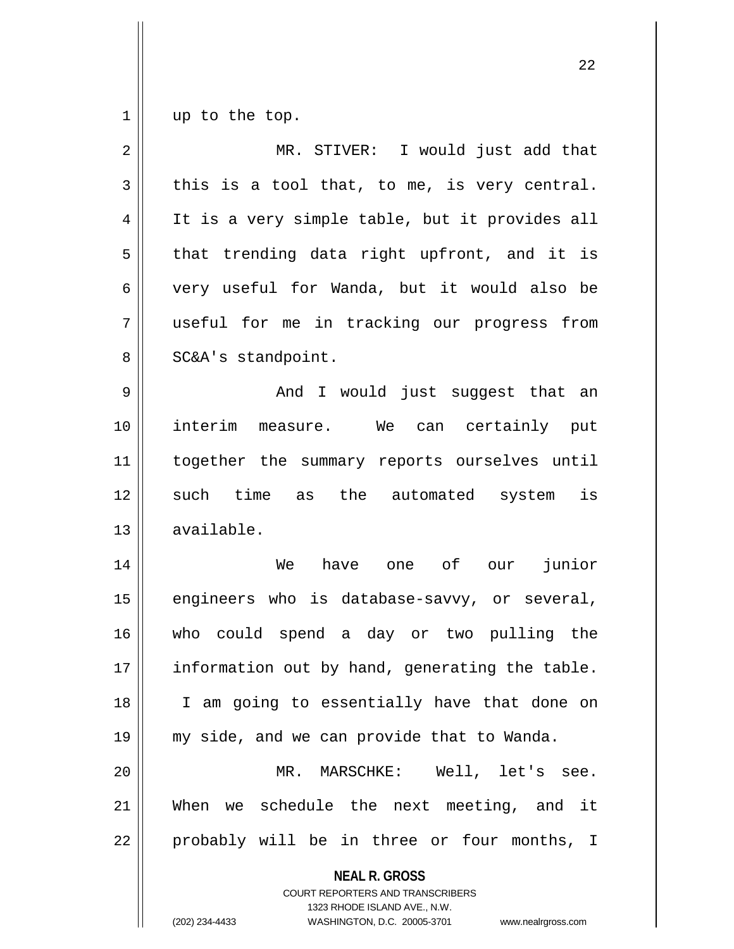$1 \parallel$  up to the top.

| $\overline{2}$ | MR. STIVER: I would just add that                                                                                                                               |
|----------------|-----------------------------------------------------------------------------------------------------------------------------------------------------------------|
| 3              | this is a tool that, to me, is very central.                                                                                                                    |
| $\overline{4}$ | It is a very simple table, but it provides all                                                                                                                  |
| 5              | that trending data right upfront, and it is                                                                                                                     |
| 6              | very useful for Wanda, but it would also be                                                                                                                     |
| 7              | useful for me in tracking our progress from                                                                                                                     |
| 8              | SC&A's standpoint.                                                                                                                                              |
| $\mathsf 9$    | And I would just suggest that an                                                                                                                                |
| 10             | interim measure. We can certainly put                                                                                                                           |
| 11             | together the summary reports ourselves until                                                                                                                    |
| 12             | such time as the automated system is                                                                                                                            |
| 13             | available.                                                                                                                                                      |
| 14             | have one of our<br>junior<br>We                                                                                                                                 |
| 15             | engineers who is database-savvy, or several,                                                                                                                    |
| 16             | who could spend a day or two pulling the                                                                                                                        |
| 17             | information out by hand, generating the table.                                                                                                                  |
| 18             | I am going to essentially have that done on                                                                                                                     |
| 19             | my side, and we can provide that to Wanda.                                                                                                                      |
| 20             | MR. MARSCHKE: Well, let's see.                                                                                                                                  |
| 21             | When we schedule the next meeting, and it                                                                                                                       |
| 22             | probably will be in three or four months, I                                                                                                                     |
|                | <b>NEAL R. GROSS</b><br>COURT REPORTERS AND TRANSCRIBERS<br>1323 RHODE ISLAND AVE., N.W.<br>(202) 234-4433<br>WASHINGTON, D.C. 20005-3701<br>www.nealrgross.com |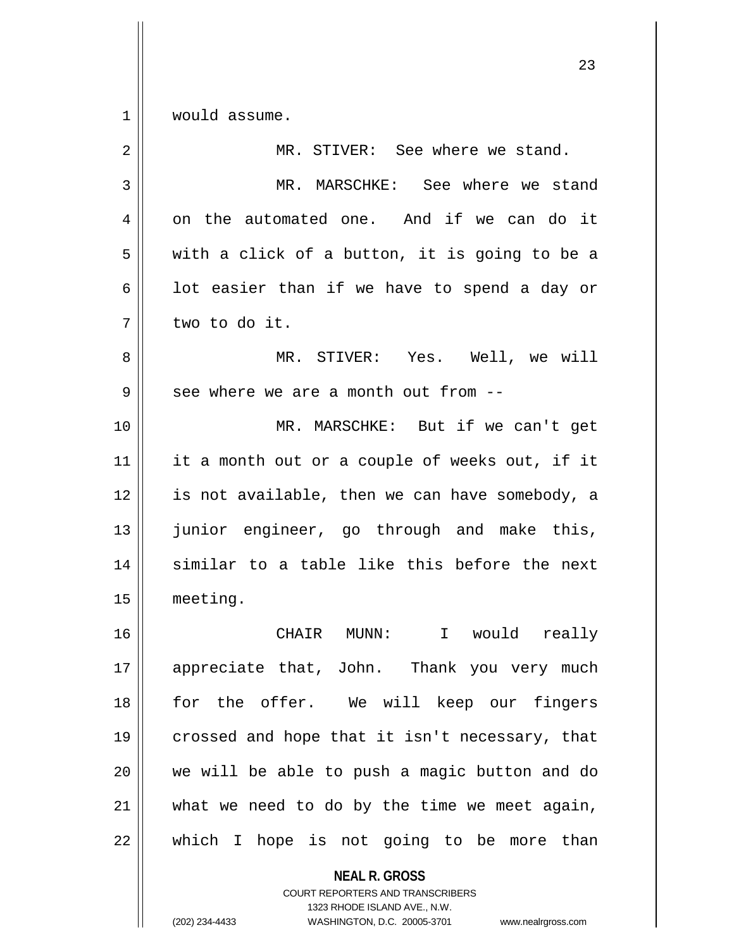$1 \parallel$  would assume.

| $\overline{2}$ | MR. STIVER: See where we stand.                |
|----------------|------------------------------------------------|
| 3              | MR. MARSCHKE: See where we stand               |
| 4              | on the automated one. And if we can do it      |
| 5              | with a click of a button, it is going to be a  |
| 6              | lot easier than if we have to spend a day or   |
| 7              | two to do it.                                  |
| 8              | MR. STIVER: Yes. Well, we will                 |
| 9              | see where we are a month out from --           |
| 10             | MR. MARSCHKE: But if we can't get              |
| 11             | it a month out or a couple of weeks out, if it |
| 12             | is not available, then we can have somebody, a |
| 13             | junior engineer, go through and make this,     |
| 14             | similar to a table like this before the next   |
| 15             | meeting.                                       |
| 16             | CHAIR MUNN:<br>I would really                  |
| 17             | appreciate that, John. Thank you very much     |
| 18             | for the offer. We will keep our fingers        |
| 19             | crossed and hope that it isn't necessary, that |
| 20             | we will be able to push a magic button and do  |
| 21             | what we need to do by the time we meet again,  |
| 22             | which I hope is not going to be more than      |
|                | <b>NEAL R. GROSS</b>                           |

COURT REPORTERS AND TRANSCRIBERS 1323 RHODE ISLAND AVE., N.W.

(202) 234-4433 WASHINGTON, D.C. 20005-3701 www.nealrgross.com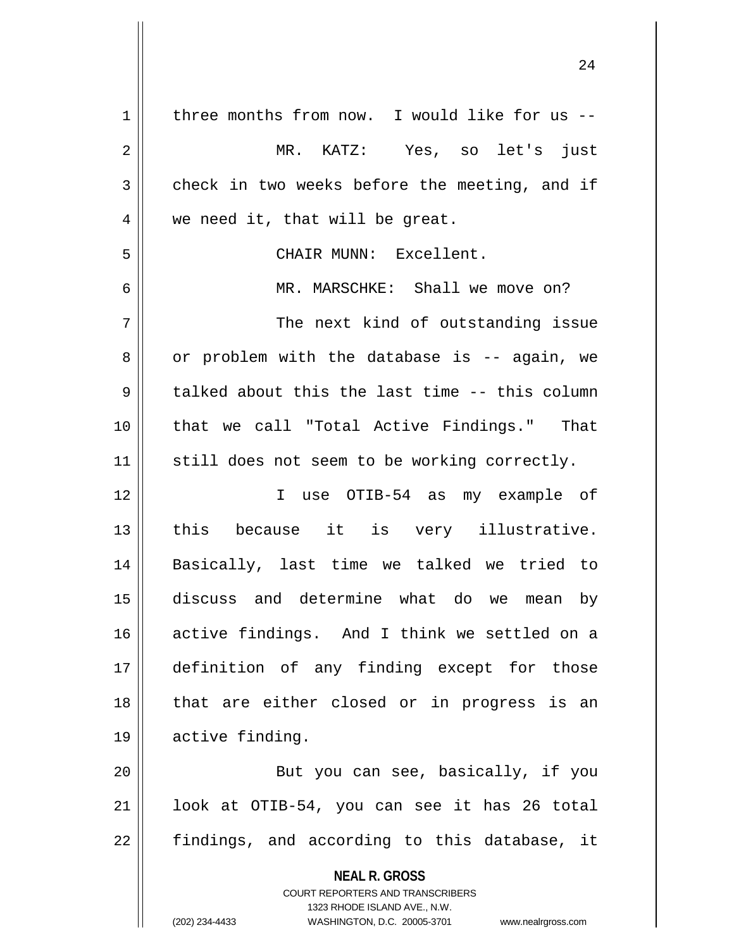| $\mathbf 1$ | three months from now. I would like for us --                       |
|-------------|---------------------------------------------------------------------|
| 2           | MR. KATZ: Yes, so let's just                                        |
| 3           | check in two weeks before the meeting, and if                       |
| 4           | we need it, that will be great.                                     |
| 5           | CHAIR MUNN: Excellent.                                              |
| 6           | MR. MARSCHKE: Shall we move on?                                     |
| 7           | The next kind of outstanding issue                                  |
| 8           | or problem with the database is -- again, we                        |
| 9           | talked about this the last time -- this column                      |
| 10          | that we call "Total Active Findings." That                          |
| 11          | still does not seem to be working correctly.                        |
| 12          | I use OTIB-54 as my example of                                      |
| 13          | this because it is very illustrative.                               |
| 14          | Basically, last time we talked we tried to                          |
| 15          | discuss and determine what do we<br>by<br>mean                      |
| 16          | active findings. And I think we settled on a                        |
| 17          | definition of any finding except for those                          |
| 18          | that are either closed or in progress is an                         |
| 19          | active finding.                                                     |
| 20          | But you can see, basically, if you                                  |
| 21          | look at OTIB-54, you can see it has 26 total                        |
| 22          | findings, and according to this database, it                        |
|             | <b>NEAL R. GROSS</b>                                                |
|             | <b>COURT REPORTERS AND TRANSCRIBERS</b>                             |
|             | 1323 RHODE ISLAND AVE., N.W.                                        |
|             | (202) 234-4433<br>WASHINGTON, D.C. 20005-3701<br>www.nealrgross.com |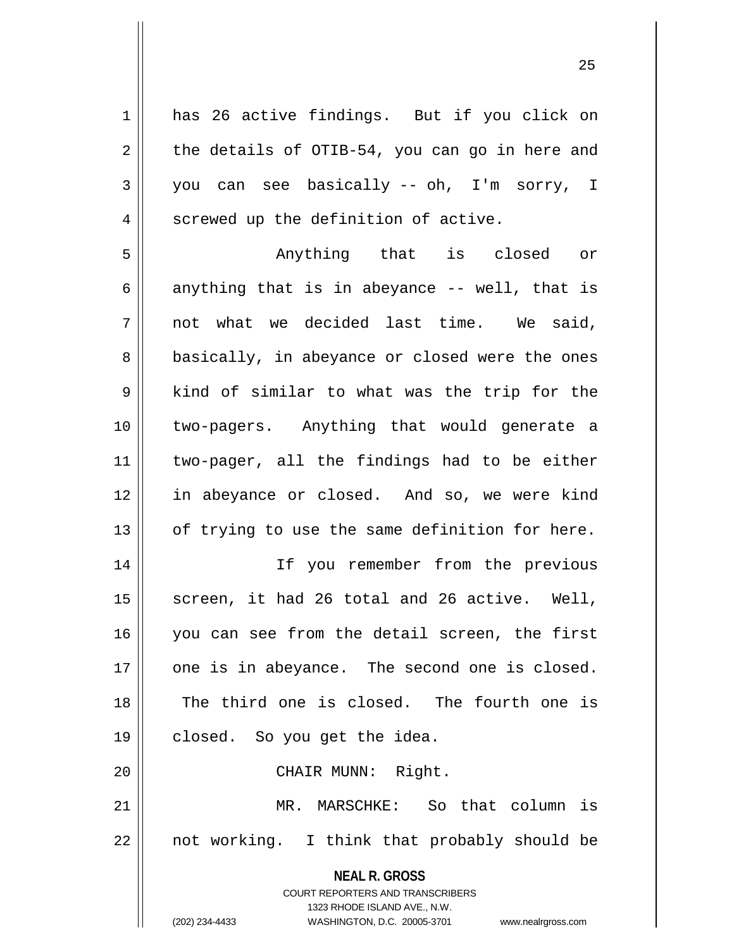1 has 26 active findings. But if you click on  $2 \parallel$  the details of OTIB-54, you can go in here and 3 you can see basically -- oh, I'm sorry, I 4 | screwed up the definition of active.

5 Anything that is closed or 6 anything that is in abeyance  $-$ - well, that is  $7 \parallel$  not what we decided last time. We said, 8 || basically, in abeyance or closed were the ones  $9 \parallel$  kind of similar to what was the trip for the 10 two-pagers. Anything that would generate a 11 two-pager, all the findings had to be either 12 in abeyance or closed. And so, we were kind  $13$  | of trying to use the same definition for here.

14 If you remember from the previous  $15$  screen, it had 26 total and 26 active. Well, 16 || you can see from the detail screen, the first 17 || one is in abeyance. The second one is closed. 18 The third one is closed. The fourth one is 19 || closed. So you get the idea.

20 || CHAIR MUNN: Right.

21 || MR. MARSCHKE: So that column is  $22 \parallel$  not working. I think that probably should be

> **NEAL R. GROSS** COURT REPORTERS AND TRANSCRIBERS

> > 1323 RHODE ISLAND AVE., N.W.

(202) 234-4433 WASHINGTON, D.C. 20005-3701 www.nealrgross.com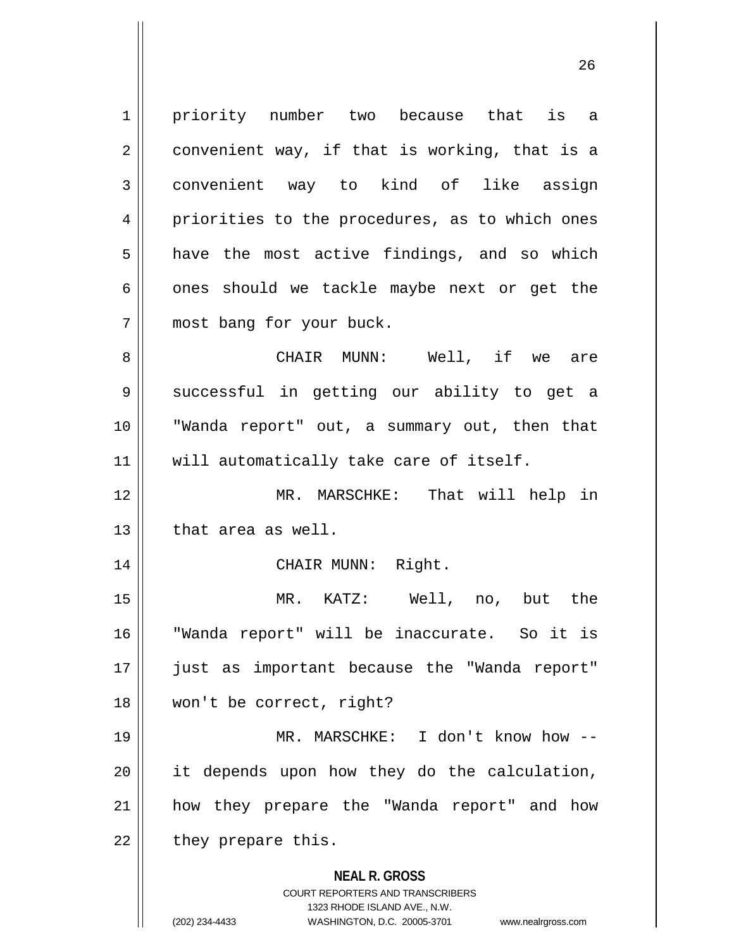**NEAL R. GROSS** COURT REPORTERS AND TRANSCRIBERS 1323 RHODE ISLAND AVE., N.W. 1 | priority number two because that is a  $2 \parallel$  convenient way, if that is working, that is a 3 || convenient way to kind of like assign 4 || priorities to the procedures, as to which ones 5 a have the most active findings, and so which  $6 \parallel$  ones should we tackle maybe next or get the 7 || most bang for your buck. 8 CHAIR MUNN: Well, if we are 9 || successful in getting our ability to get a 10 "Wanda report" out, a summary out, then that 11 || will automatically take care of itself. 12 MR. MARSCHKE: That will help in  $13$  || that area as well. 14 || CHAIR MUNN: Right. 15 MR. KATZ: Well, no, but the 16 "Wanda report" will be inaccurate. So it is 17 just as important because the "Wanda report" 18 || won't be correct, right? 19 MR. MARSCHKE: I don't know how --  $20$  || it depends upon how they do the calculation, 21 how they prepare the "Wanda report" and how  $22$  | they prepare this.

<sup>(202) 234-4433</sup> WASHINGTON, D.C. 20005-3701 www.nealrgross.com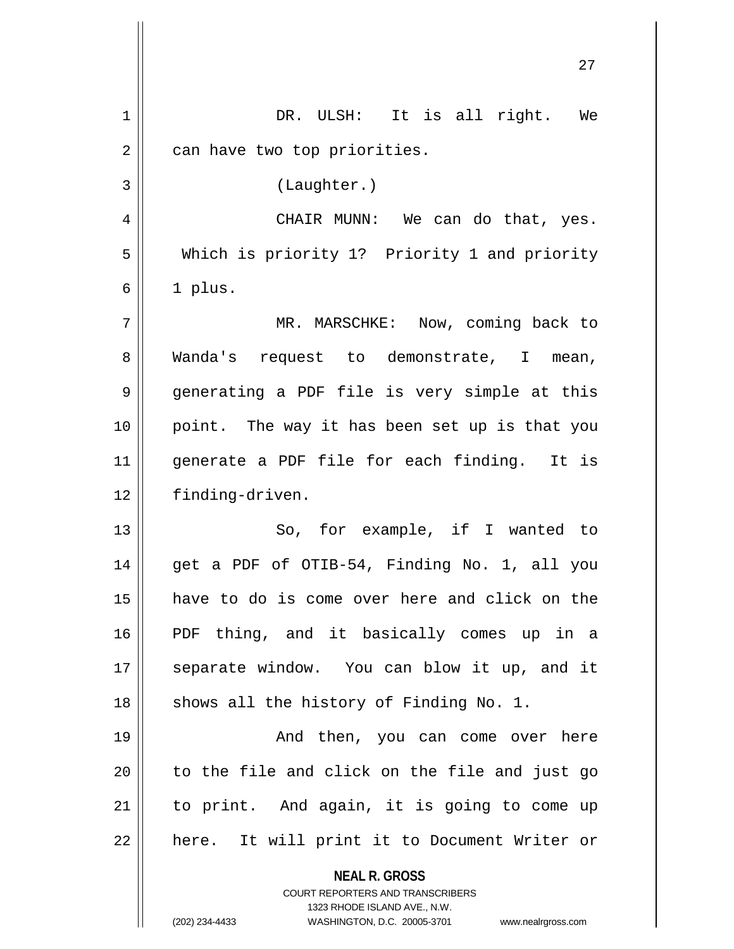|    | 27                                                                                                                                                              |
|----|-----------------------------------------------------------------------------------------------------------------------------------------------------------------|
| 1  | DR. ULSH: It is all right. We                                                                                                                                   |
| 2  | can have two top priorities.                                                                                                                                    |
| 3  | (Laughter.)                                                                                                                                                     |
| 4  | CHAIR MUNN: We can do that, yes.                                                                                                                                |
| 5  | Which is priority 1? Priority 1 and priority                                                                                                                    |
| 6  | 1 plus.                                                                                                                                                         |
| 7  | MR. MARSCHKE: Now, coming back to                                                                                                                               |
| 8  | Wanda's request to demonstrate, I mean,                                                                                                                         |
| 9  | generating a PDF file is very simple at this                                                                                                                    |
| 10 | point. The way it has been set up is that you                                                                                                                   |
| 11 | generate a PDF file for each finding. It is                                                                                                                     |
| 12 | finding-driven.                                                                                                                                                 |
| 13 | So, for example, if I wanted to                                                                                                                                 |
| 14 | get a PDF of OTIB-54, Finding No. 1, all you                                                                                                                    |
| 15 | have to do is come over here and click on the                                                                                                                   |
| 16 | PDF thing, and it basically comes up in a                                                                                                                       |
| 17 | separate window. You can blow it up, and it                                                                                                                     |
| 18 | shows all the history of Finding No. 1.                                                                                                                         |
| 19 | And then, you can come over here                                                                                                                                |
| 20 | to the file and click on the file and just go                                                                                                                   |
| 21 | to print. And again, it is going to come up                                                                                                                     |
| 22 | here. It will print it to Document Writer or                                                                                                                    |
|    | <b>NEAL R. GROSS</b><br>COURT REPORTERS AND TRANSCRIBERS<br>1323 RHODE ISLAND AVE., N.W.<br>(202) 234-4433<br>WASHINGTON, D.C. 20005-3701<br>www.nealrgross.com |

 $\mathbf{1}$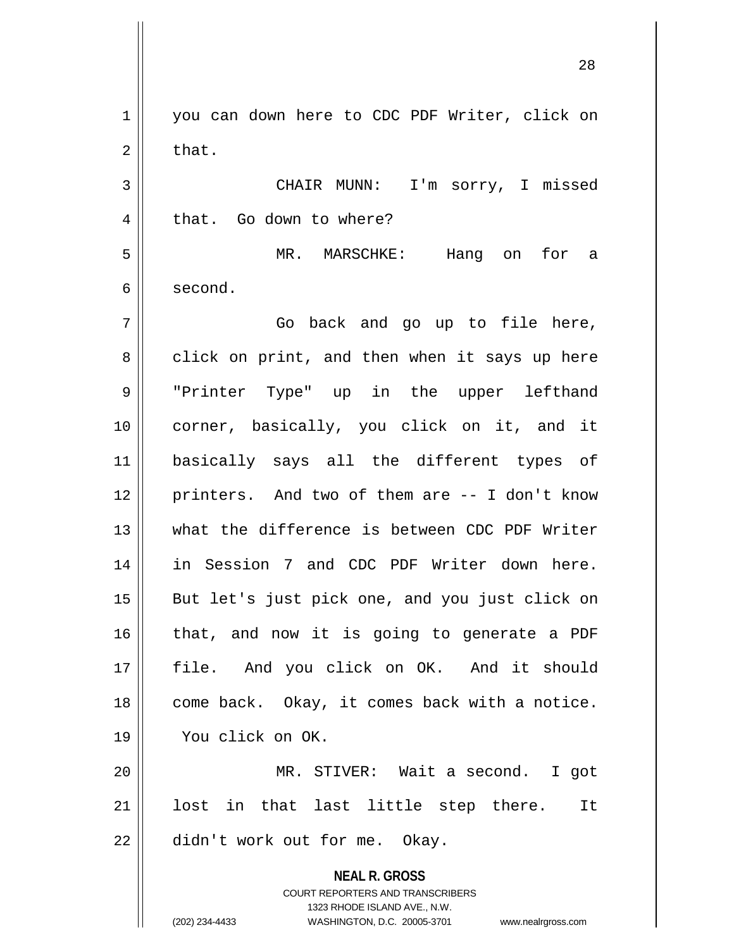**NEAL R. GROSS** COURT REPORTERS AND TRANSCRIBERS 1323 RHODE ISLAND AVE., N.W. 1 | you can down here to CDC PDF Writer, click on  $2 \parallel$  that. 3 || CHAIR MUNN: I'm sorry, I missed 4 || that. Go down to where? 5 MR. MARSCHKE: Hang on for a 6 second.  $7 \parallel$  Go back and go up to file here,  $8 \parallel$  click on print, and then when it says up here 9 "Printer Type" up in the upper lefthand 10 corner, basically, you click on it, and it 11 basically says all the different types of 12 || printers. And two of them are -- I don't know 13 what the difference is between CDC PDF Writer 14 in Session 7 and CDC PDF Writer down here. 15 || But let's just pick one, and you just click on  $16$  that, and now it is going to generate a PDF 17 file. And you click on OK. And it should 18 | come back. Okay, it comes back with a notice. 19 You click on OK. 20 MR. STIVER: Wait a second. I got 21 || lost in that last little step there. It  $22$  | didn't work out for me. Okay.

(202) 234-4433 WASHINGTON, D.C. 20005-3701 www.nealrgross.com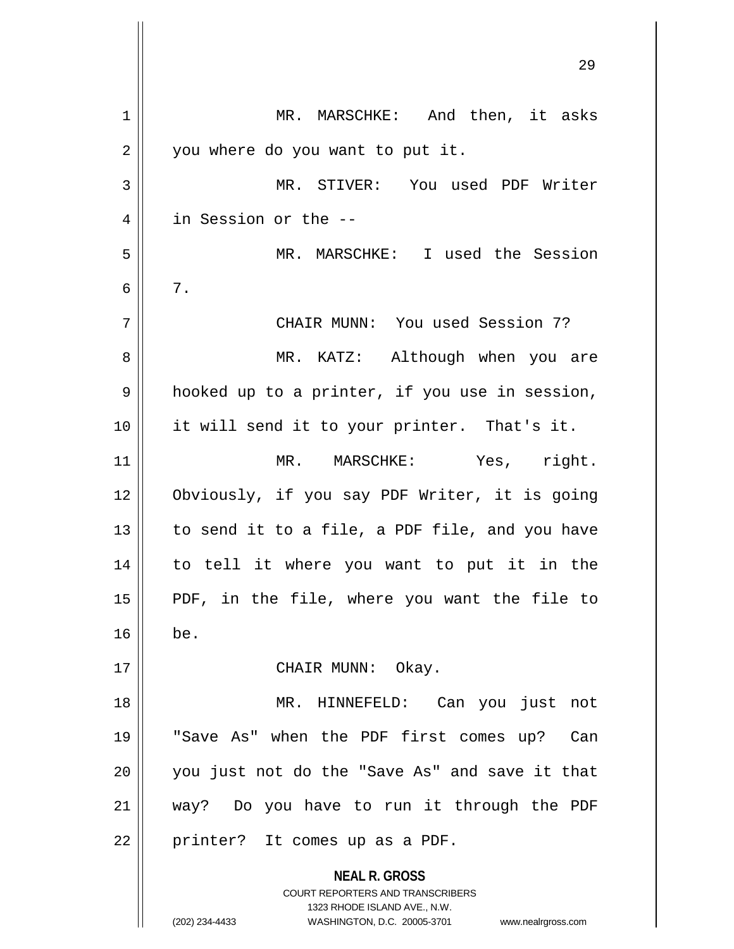**NEAL R. GROSS** COURT REPORTERS AND TRANSCRIBERS 1323 RHODE ISLAND AVE., N.W. 1 || MR. MARSCHKE: And then, it asks 2 | you where do you want to put it. 3 MR. STIVER: You used PDF Writer 4 in Session or the -- 5 MR. MARSCHKE: I used the Session  $6 \parallel 7$ . 7 CHAIR MUNN: You used Session 7? 8 MR. KATZ: Although when you are  $9 \parallel$  hooked up to a printer, if you use in session, 10 it will send it to your printer. That's it. 11 || MR. MARSCHKE: Yes, right. 12 Obviously, if you say PDF Writer, it is going 13  $\parallel$  to send it to a file, a PDF file, and you have 14 to tell it where you want to put it in the 15 PDF, in the file, where you want the file to  $16$  be. 17 || CHAIR MUNN: Okay. 18 MR. HINNEFELD: Can you just not 19 "Save As" when the PDF first comes up? Can 20 || you just not do the "Save As" and save it that 21 way? Do you have to run it through the PDF  $22$  | printer? It comes up as a PDF.

(202) 234-4433 WASHINGTON, D.C. 20005-3701 www.nealrgross.com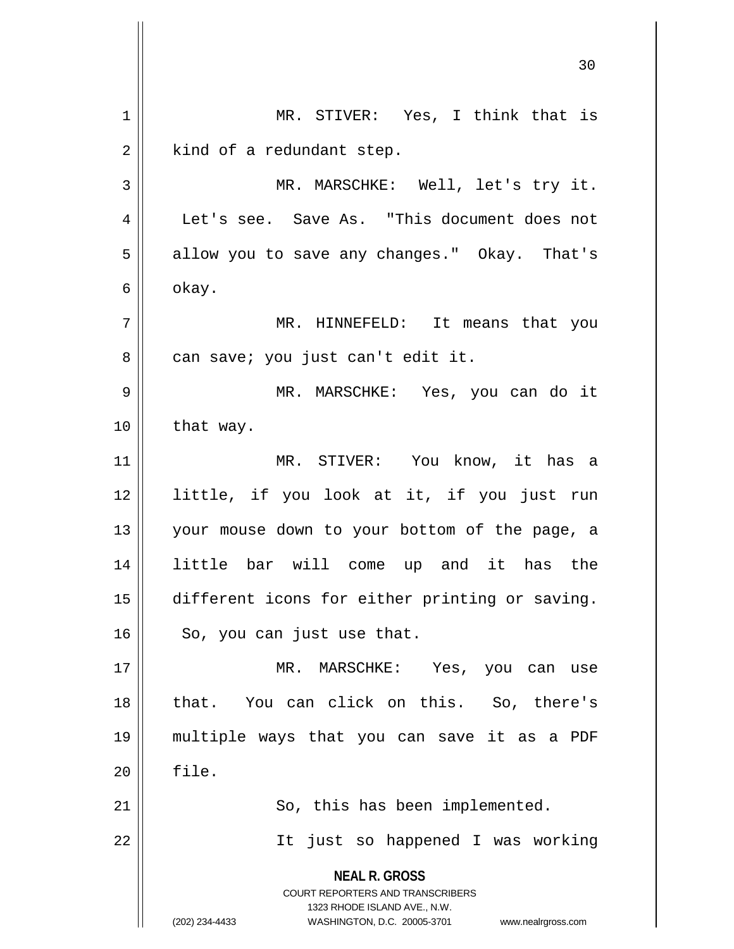**NEAL R. GROSS** COURT REPORTERS AND TRANSCRIBERS 1323 RHODE ISLAND AVE., N.W. (202) 234-4433 WASHINGTON, D.C. 20005-3701 www.nealrgross.com 30 1 MR. STIVER: Yes, I think that is  $2 \parallel$  kind of a redundant step. 3 MR. MARSCHKE: Well, let's try it. 4 | Let's see. Save As. "This document does not 5 | allow you to save any changes." Okay. That's  $6 \parallel$  okay. 7 MR. HINNEFELD: It means that you 8 || can save; you just can't edit it. 9 MR. MARSCHKE: Yes, you can do it  $10$  | that way. 11 MR. STIVER: You know, it has a 12 little, if you look at it, if you just run 13 your mouse down to your bottom of the page, a 14 little bar will come up and it has the 15 different icons for either printing or saving.  $16 \parallel$  So, you can just use that. 17 || MR. MARSCHKE: Yes, you can use 18 that. You can click on this. So, there's 19 multiple ways that you can save it as a PDF  $20$   $\parallel$  file.  $21$   $\parallel$  So, this has been implemented. 22 || It just so happened I was working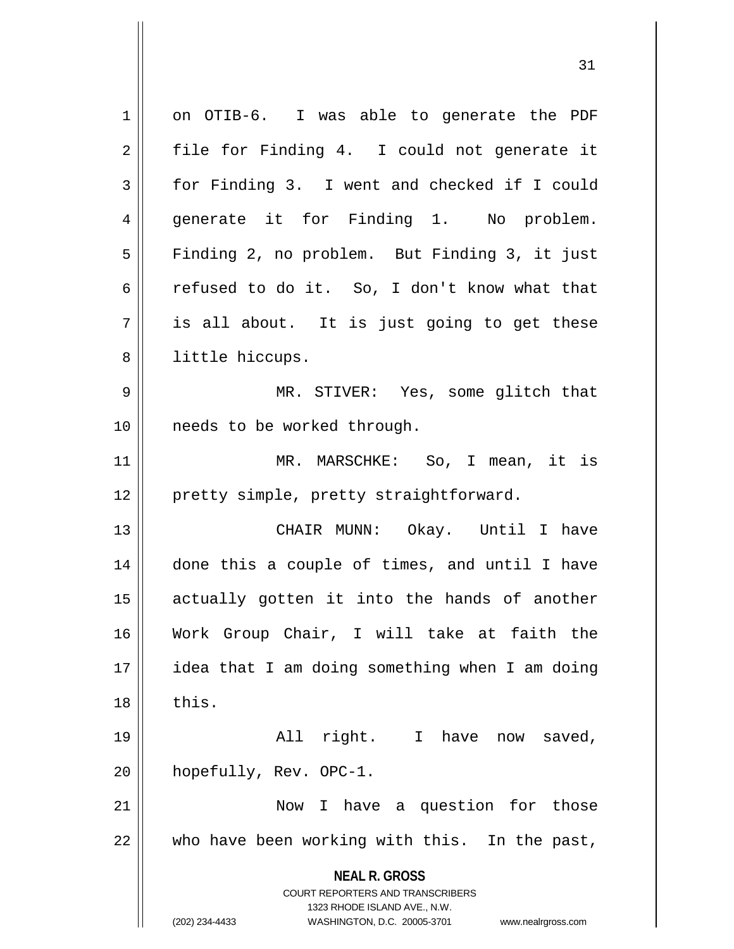**NEAL R. GROSS** COURT REPORTERS AND TRANSCRIBERS 1323 RHODE ISLAND AVE., N.W. (202) 234-4433 WASHINGTON, D.C. 20005-3701 www.nealrgross.com 1 | on OTIB-6. I was able to generate the PDF  $2 \parallel$  file for Finding 4. I could not generate it 3 for Finding 3. I went and checked if I could 4 || generate it for Finding 1. No problem. 5 || Finding 2, no problem. But Finding 3, it just 6  $\parallel$  refused to do it. So, I don't know what that  $7 \parallel$  is all about. It is just going to get these 8 || little hiccups. 9 MR. STIVER: Yes, some glitch that 10 || needs to be worked through. 11 MR. MARSCHKE: So, I mean, it is 12 || pretty simple, pretty straightforward. 13 CHAIR MUNN: Okay. Until I have 14 || done this a couple of times, and until I have 15 actually gotten it into the hands of another 16 Work Group Chair, I will take at faith the 17 idea that I am doing something when I am doing  $18$   $\parallel$  this. 19 || All right. I have now saved, 20 | hopefully, Rev. OPC-1. 21 Now I have a question for those 22 who have been working with this. In the past,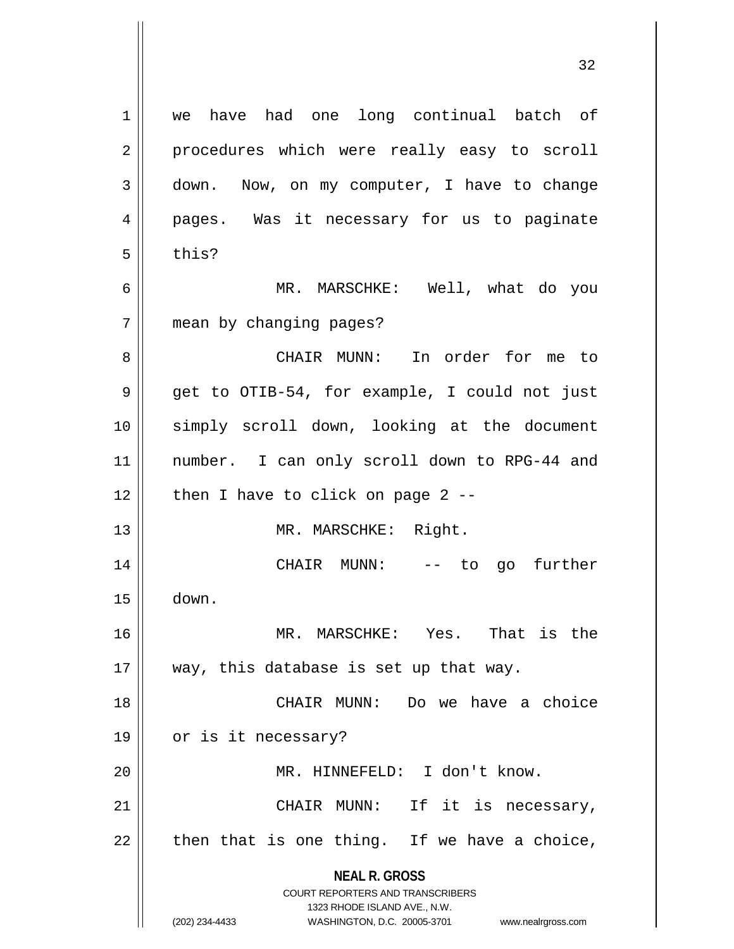| 1  | we have had one long continual batch of                                                             |
|----|-----------------------------------------------------------------------------------------------------|
| 2  | procedures which were really easy to scroll                                                         |
| 3  | down. Now, on my computer, I have to change                                                         |
| 4  | pages. Was it necessary for us to paginate                                                          |
| 5  | this?                                                                                               |
| 6  | MR. MARSCHKE: Well, what do you                                                                     |
| 7  | mean by changing pages?                                                                             |
| 8  | CHAIR MUNN: In order for me to                                                                      |
| 9  | get to OTIB-54, for example, I could not just                                                       |
| 10 | simply scroll down, looking at the document                                                         |
| 11 | number. I can only scroll down to RPG-44 and                                                        |
| 12 | then I have to click on page $2$ --                                                                 |
| 13 | MR. MARSCHKE: Right.                                                                                |
| 14 | CHAIR MUNN: -- to go further                                                                        |
| 15 | down.                                                                                               |
| 16 | That is the<br>MR. MARSCHKE:<br>Yes.                                                                |
| 17 | way, this database is set up that way.                                                              |
| 18 | CHAIR MUNN:<br>Do we have a choice                                                                  |
| 19 | or is it necessary?                                                                                 |
| 20 | MR. HINNEFELD: I don't know.                                                                        |
| 21 | CHAIR MUNN: If it is necessary,                                                                     |
| 22 | then that is one thing. If we have a choice,                                                        |
|    | <b>NEAL R. GROSS</b>                                                                                |
|    | COURT REPORTERS AND TRANSCRIBERS                                                                    |
|    | 1323 RHODE ISLAND AVE., N.W.<br>(202) 234-4433<br>WASHINGTON, D.C. 20005-3701<br>www.nealrgross.com |
|    |                                                                                                     |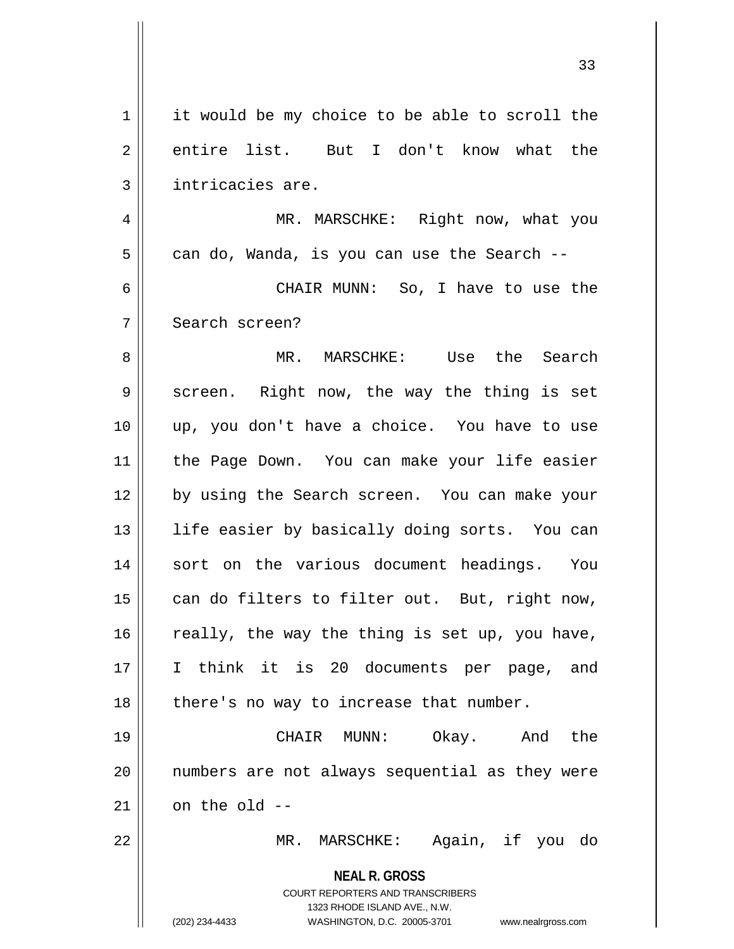**NEAL R. GROSS** COURT REPORTERS AND TRANSCRIBERS 1323 RHODE ISLAND AVE., N.W. (202) 234-4433 WASHINGTON, D.C. 20005-3701 www.nealrgross.com 1 | it would be my choice to be able to scroll the 2 entire list. But I don't know what the 3 | intricacies are. 4 MR. MARSCHKE: Right now, what you  $5 \parallel$  can do, Wanda, is you can use the Search --6 CHAIR MUNN: So, I have to use the 7 Search screen? 8 MR. MARSCHKE: Use the Search 9 Screen. Right now, the way the thing is set 10 up, you don't have a choice. You have to use 11 || the Page Down. You can make your life easier 12 by using the Search screen. You can make your 13 || life easier by basically doing sorts. You can 14 || sort on the various document headings. You  $15$  can do filters to filter out. But, right now,  $16$  really, the way the thing is set up, you have, 17 I think it is 20 documents per page, and  $18$  || there's no way to increase that number. 19 CHAIR MUNN: Okay. And the 20 numbers are not always sequential as they were  $21$  on the old  $-$ 22 MR. MARSCHKE: Again, if you do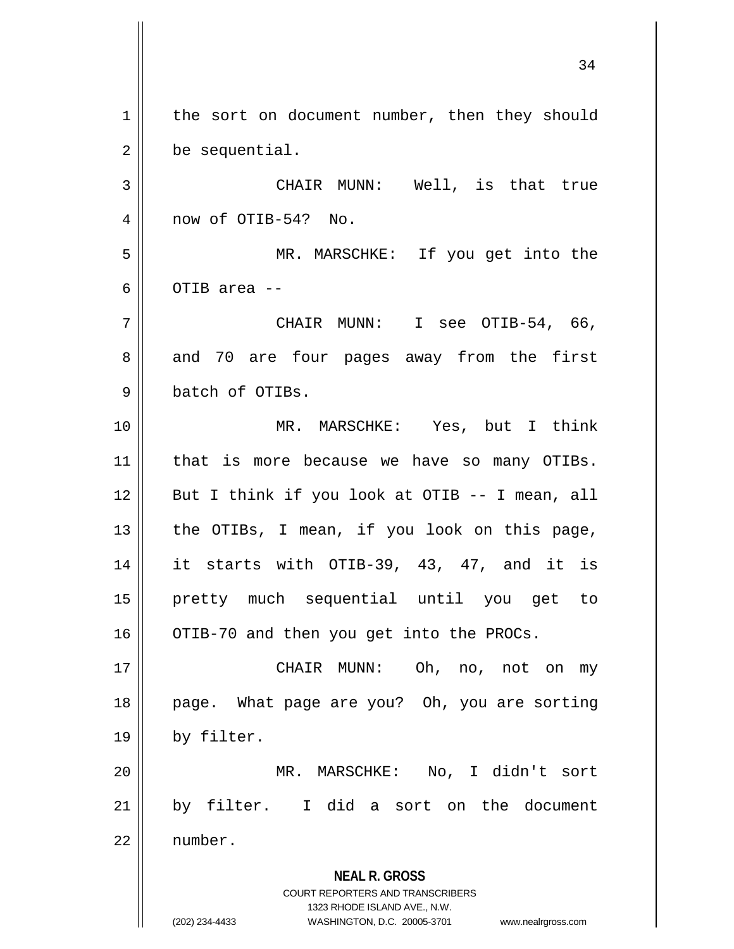**NEAL R. GROSS** COURT REPORTERS AND TRANSCRIBERS 1323 RHODE ISLAND AVE., N.W. (202) 234-4433 WASHINGTON, D.C. 20005-3701 www.nealrgross.com 1 | the sort on document number, then they should 2 | be sequential. 3 CHAIR MUNN: Well, is that true 4 || now of OTIB-54? No. 5 MR. MARSCHKE: If you get into the 6  $\parallel$  OTIB area -- $7 \parallel$  CHAIR MUNN: I see OTIB-54, 66, 8 and 70 are four pages away from the first 9 batch of OTIBs. 10 MR. MARSCHKE: Yes, but I think 11 || that is more because we have so many OTIBs.  $12 \parallel$  But I think if you look at OTIB -- I mean, all 13  $\parallel$  the OTIBs, I mean, if you look on this page, 14 it starts with OTIB-39, 43, 47, and it is 15 pretty much sequential until you get to  $16$  | OTIB-70 and then you get into the PROCs. 17 CHAIR MUNN: Oh, no, not on my 18 || page. What page are you? Oh, you are sorting 19 | by filter. 20 MR. MARSCHKE: No, I didn't sort 21 by filter. I did a sort on the document 22 number.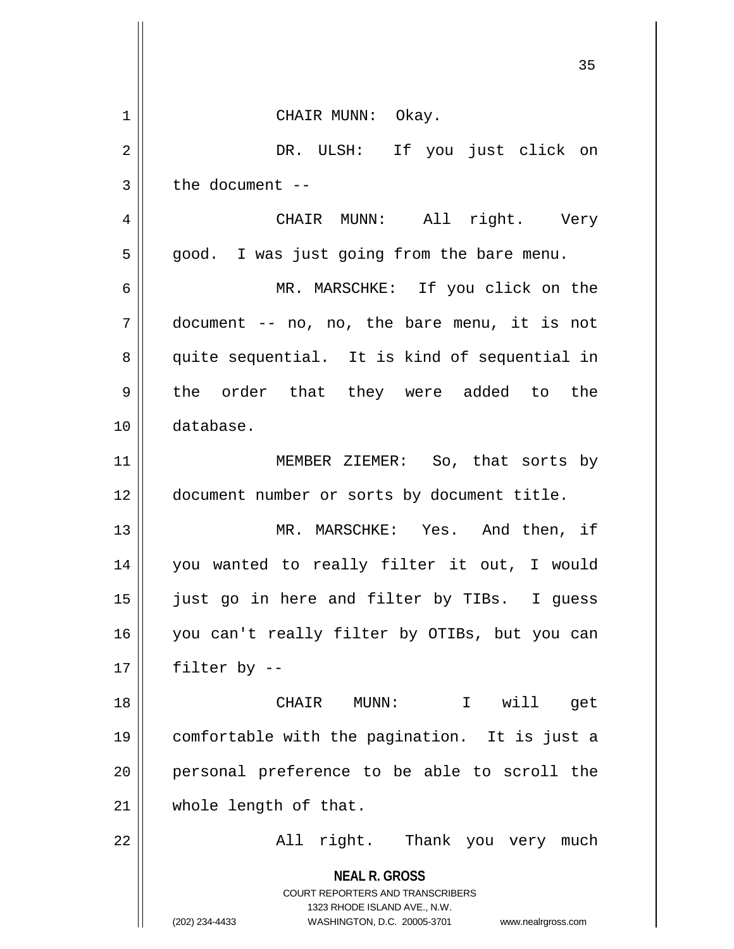|                | 35                                                                                                                                                                     |
|----------------|------------------------------------------------------------------------------------------------------------------------------------------------------------------------|
| $1\,$          | CHAIR MUNN: Okay.                                                                                                                                                      |
| $\overline{2}$ | DR. ULSH: If you just click on                                                                                                                                         |
| 3              | the document $-$                                                                                                                                                       |
| $\overline{4}$ | CHAIR MUNN: All right. Very                                                                                                                                            |
| 5              | good. I was just going from the bare menu.                                                                                                                             |
| 6              | MR. MARSCHKE: If you click on the                                                                                                                                      |
| 7              | document -- no, no, the bare menu, it is not                                                                                                                           |
| 8              | quite sequential. It is kind of sequential in                                                                                                                          |
| 9              | the order that they were added to the                                                                                                                                  |
| 10             | database.                                                                                                                                                              |
| 11             | MEMBER ZIEMER: So, that sorts by                                                                                                                                       |
| 12             | document number or sorts by document title.                                                                                                                            |
| 13             | MR. MARSCHKE: Yes. And then, if                                                                                                                                        |
| 14             | you wanted to really filter it out, I would                                                                                                                            |
| 15             | just go in here and filter by TIBs. I guess                                                                                                                            |
| 16             | you can't really filter by OTIBs, but you can                                                                                                                          |
| 17             | filter by --                                                                                                                                                           |
| 18             | CHAIR MUNN: I will<br>get                                                                                                                                              |
| 19             | comfortable with the pagination. It is just a                                                                                                                          |
| 20             | personal preference to be able to scroll the                                                                                                                           |
| 21             | whole length of that.                                                                                                                                                  |
| 22             | All right. Thank you very much                                                                                                                                         |
|                | <b>NEAL R. GROSS</b><br><b>COURT REPORTERS AND TRANSCRIBERS</b><br>1323 RHODE ISLAND AVE., N.W.<br>(202) 234-4433<br>WASHINGTON, D.C. 20005-3701<br>www.nealrgross.com |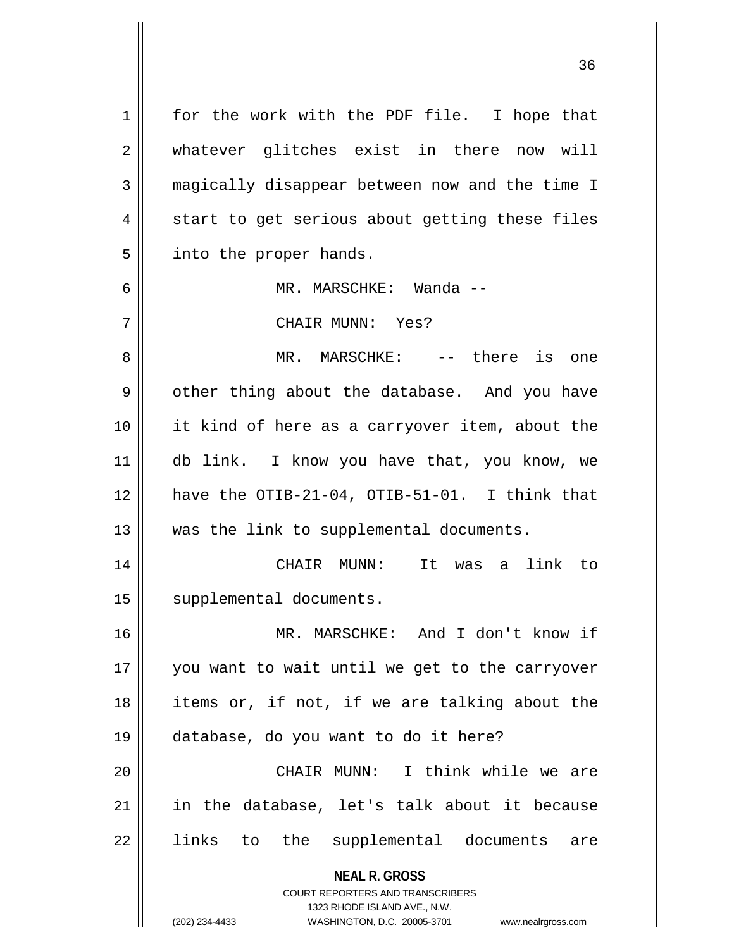**NEAL R. GROSS** COURT REPORTERS AND TRANSCRIBERS 1323 RHODE ISLAND AVE., N.W. 1 || for the work with the PDF file. I hope that 2 whatever glitches exist in there now will 3 magically disappear between now and the time I  $4 \parallel$  start to get serious about getting these files  $5$  | into the proper hands. 6 MR. MARSCHKE: Wanda -- 7 CHAIR MUNN: Yes? 8 MR. MARSCHKE: -- there is one  $9 \parallel$  other thing about the database. And you have 10 it kind of here as a carryover item, about the 11 db link. I know you have that, you know, we 12  $\parallel$  have the OTIB-21-04, OTIB-51-01. I think that 13 || was the link to supplemental documents. 14 CHAIR MUNN: It was a link to 15 | supplemental documents. 16 MR. MARSCHKE: And I don't know if 17 || you want to wait until we get to the carryover 18 items or, if not, if we are talking about the 19 database, do you want to do it here? 20 CHAIR MUNN: I think while we are 21 in the database, let's talk about it because 22 || links to the supplemental documents are

(202) 234-4433 WASHINGTON, D.C. 20005-3701 www.nealrgross.com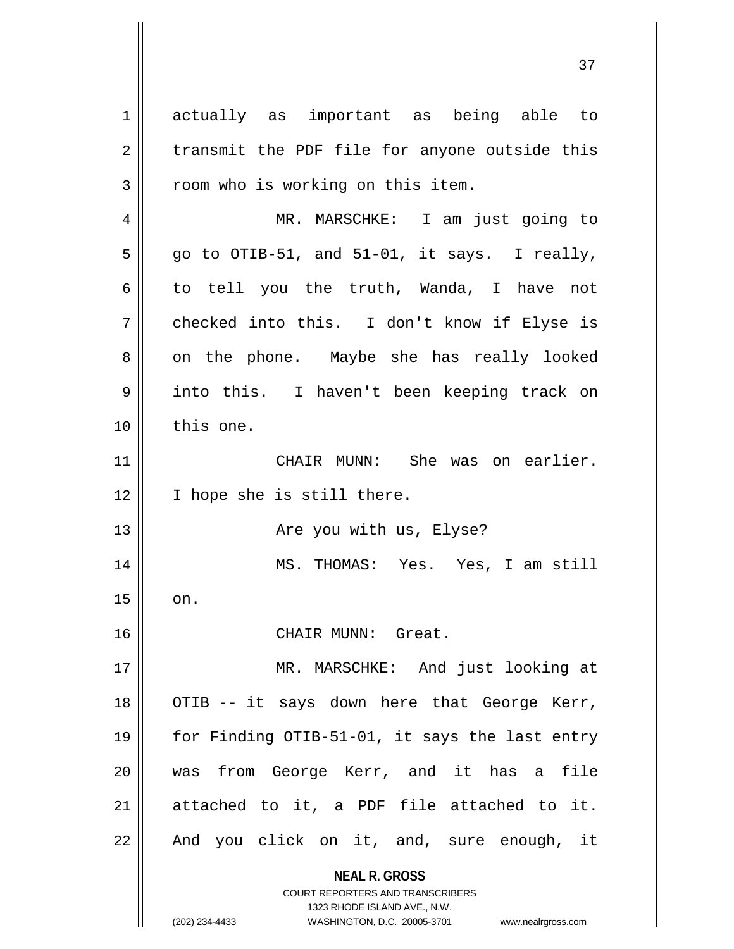**NEAL R. GROSS** COURT REPORTERS AND TRANSCRIBERS 1 actually as important as being able to  $2 \parallel$  transmit the PDF file for anyone outside this 3 || room who is working on this item. 4 MR. MARSCHKE: I am just going to  $5 \parallel$  go to OTIB-51, and 51-01, it says. I really,  $6 \parallel$  to tell you the truth, Wanda, I have not  $7 \parallel$  checked into this. I don't know if Elyse is 8 || on the phone. Maybe she has really looked 9 into this. I haven't been keeping track on 10 || this one. 11 CHAIR MUNN: She was on earlier. 12 || I hope she is still there. 13 Are you with us, Elyse? 14 MS. THOMAS: Yes. Yes, I am still  $15$  |  $\circ$ n. 16 CHAIR MUNN: Great. 17 || MR. MARSCHKE: And just looking at 18 || OTIB -- it says down here that George Kerr, 19 for Finding OTIB-51-01, it says the last entry 20 was from George Kerr, and it has a file  $21$  attached to it, a PDF file attached to it.  $22$  || And you click on it, and, sure enough, it

1323 RHODE ISLAND AVE., N.W.

37

(202) 234-4433 WASHINGTON, D.C. 20005-3701 www.nealrgross.com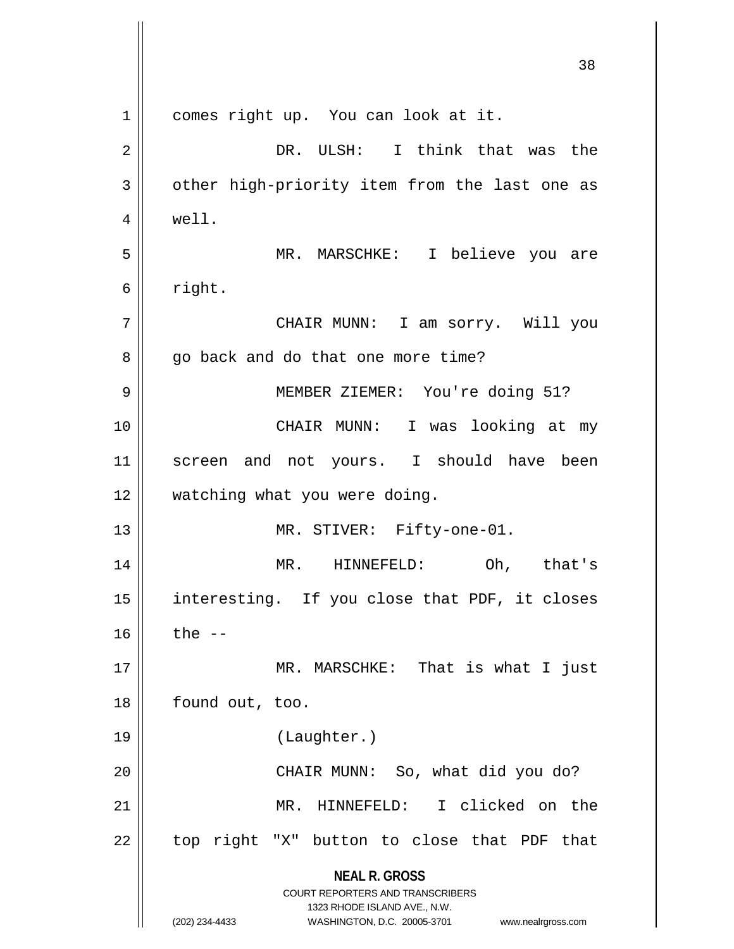|    | 38                                                                                                                                                                     |
|----|------------------------------------------------------------------------------------------------------------------------------------------------------------------------|
| 1  | comes right up. You can look at it.                                                                                                                                    |
| 2  | DR. ULSH: I think that was the                                                                                                                                         |
| 3  | other high-priority item from the last one as                                                                                                                          |
| 4  | well.                                                                                                                                                                  |
| 5  | MR. MARSCHKE: I believe you are                                                                                                                                        |
| 6  | right.                                                                                                                                                                 |
| 7  | CHAIR MUNN: I am sorry. Will you                                                                                                                                       |
| 8  | go back and do that one more time?                                                                                                                                     |
| 9  | MEMBER ZIEMER: You're doing 51?                                                                                                                                        |
| 10 | CHAIR MUNN: I was looking at my                                                                                                                                        |
| 11 | screen and not yours. I should have been                                                                                                                               |
| 12 | watching what you were doing.                                                                                                                                          |
| 13 | MR. STIVER: Fifty-one-01.                                                                                                                                              |
| 14 | MR.<br>HINNEFELD:<br>Oh, that's                                                                                                                                        |
| 15 | interesting. If you close that PDF, it closes                                                                                                                          |
| 16 | the $--$                                                                                                                                                               |
| 17 | MR. MARSCHKE: That is what I just                                                                                                                                      |
| 18 | found out, too.                                                                                                                                                        |
| 19 | (Laughter.)                                                                                                                                                            |
| 20 | CHAIR MUNN: So, what did you do?                                                                                                                                       |
| 21 | MR. HINNEFELD: I clicked on the                                                                                                                                        |
| 22 | top right "X" button to close that PDF that                                                                                                                            |
|    | <b>NEAL R. GROSS</b><br><b>COURT REPORTERS AND TRANSCRIBERS</b><br>1323 RHODE ISLAND AVE., N.W.<br>(202) 234-4433<br>WASHINGTON, D.C. 20005-3701<br>www.nealrgross.com |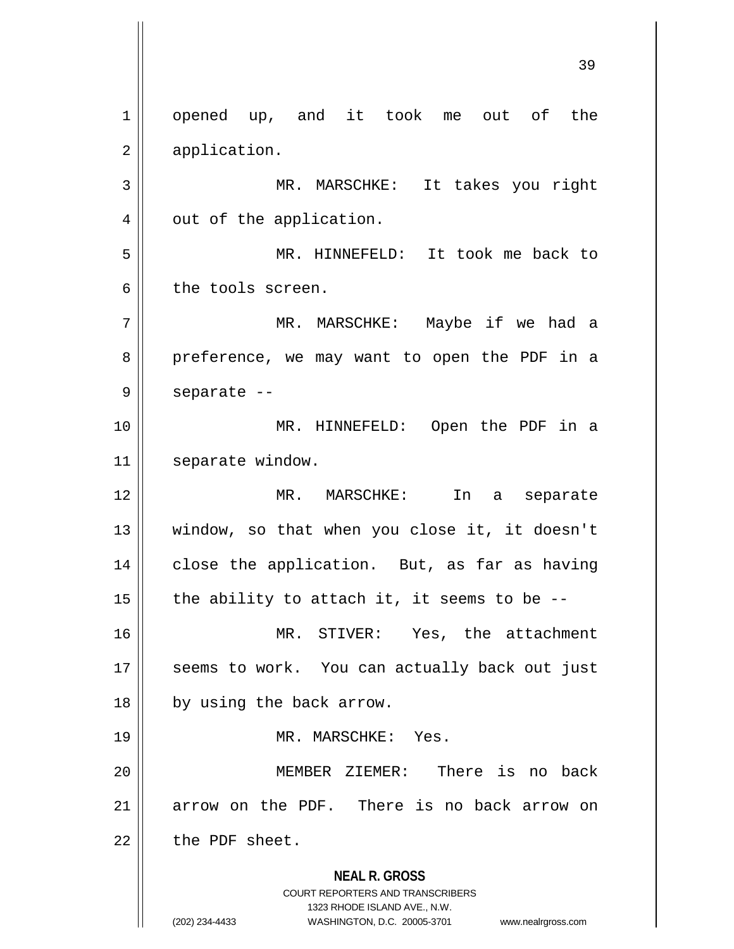**NEAL R. GROSS** COURT REPORTERS AND TRANSCRIBERS 1323 RHODE ISLAND AVE., N.W. (202) 234-4433 WASHINGTON, D.C. 20005-3701 www.nealrgross.com 1 || opened up, and it took me out of the 2 | application. 3 MR. MARSCHKE: It takes you right  $4 \parallel$  out of the application. 5 MR. HINNEFELD: It took me back to 6 the tools screen. 7 MR. MARSCHKE: Maybe if we had a 8 preference, we may want to open the PDF in a  $9 \parallel$  separate --10 MR. HINNEFELD: Open the PDF in a 11 | separate window. 12 MR. MARSCHKE: In a separate 13 window, so that when you close it, it doesn't 14 || close the application. But, as far as having 15  $\parallel$  the ability to attach it, it seems to be --16 MR. STIVER: Yes, the attachment 17 || seems to work. You can actually back out just 18 || by using the back arrow. 19 MR. MARSCHKE: Yes. 20 MEMBER ZIEMER: There is no back 21 arrow on the PDF. There is no back arrow on  $22$  | the PDF sheet.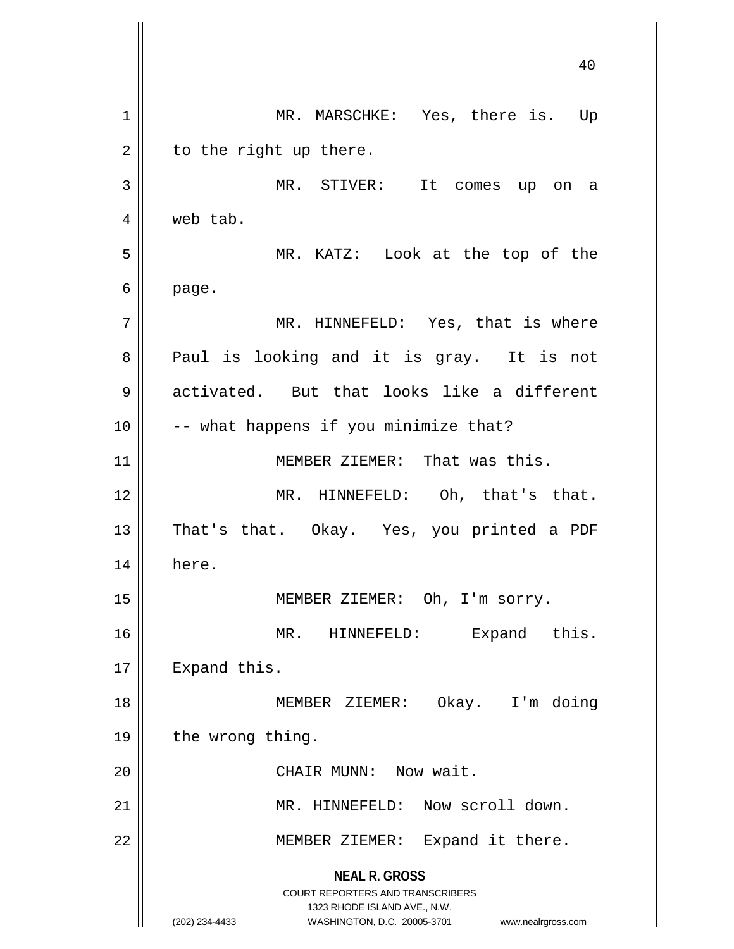**NEAL R. GROSS** COURT REPORTERS AND TRANSCRIBERS 1323 RHODE ISLAND AVE., N.W. (202) 234-4433 WASHINGTON, D.C. 20005-3701 www.nealrgross.com 1 || MR. MARSCHKE: Yes, there is. Up  $2 \parallel$  to the right up there. 3 MR. STIVER: It comes up on a 4 web tab. 5 MR. KATZ: Look at the top of the  $6 \parallel$  page. 7 | MR. HINNEFELD: Yes, that is where 8 || Paul is looking and it is gray. It is not 9 activated. But that looks like a different  $10$  | -- what happens if you minimize that? 11 || MEMBER ZIEMER: That was this. 12 MR. HINNEFELD: Oh, that's that. 13 || That's that. Okay. Yes, you printed a PDF 14 here. 15 || MEMBER ZIEMER: Oh, I'm sorry. 16 || MR. HINNEFELD: Expand this. 17 | Expand this. 18 MEMBER ZIEMER: Okay. I'm doing 19 | the wrong thing. 20 || CHAIR MUNN: Now wait. 21 MR. HINNEFELD: Now scroll down. 22 | MEMBER ZIEMER: Expand it there.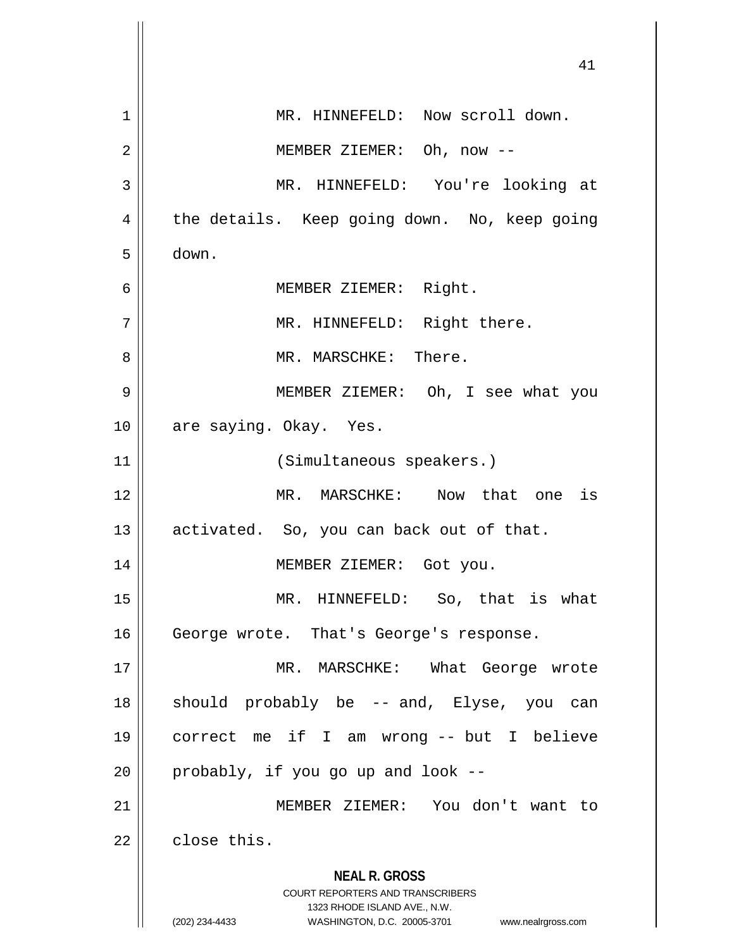|    | 41                                                                                                                                                                     |
|----|------------------------------------------------------------------------------------------------------------------------------------------------------------------------|
| 1  | MR. HINNEFELD: Now scroll down.                                                                                                                                        |
| 2  | MEMBER ZIEMER: Oh, now --                                                                                                                                              |
| 3  | MR. HINNEFELD: You're looking at                                                                                                                                       |
| 4  | the details. Keep going down. No, keep going                                                                                                                           |
| 5  | down.                                                                                                                                                                  |
| 6  | MEMBER ZIEMER: Right.                                                                                                                                                  |
| 7  | MR. HINNEFELD: Right there.                                                                                                                                            |
| 8  | MR. MARSCHKE: There.                                                                                                                                                   |
| 9  | MEMBER ZIEMER: Oh, I see what you                                                                                                                                      |
| 10 | are saying. Okay. Yes.                                                                                                                                                 |
| 11 | (Simultaneous speakers.)                                                                                                                                               |
| 12 | MR. MARSCHKE: Now that one is                                                                                                                                          |
| 13 | activated. So, you can back out of that.                                                                                                                               |
| 14 | MEMBER ZIEMER: Got you.                                                                                                                                                |
| 15 | MR. HINNEFELD: So, that is what                                                                                                                                        |
| 16 | George wrote. That's George's response.                                                                                                                                |
| 17 | MR. MARSCHKE: What George wrote                                                                                                                                        |
| 18 | should probably be -- and, Elyse, you can                                                                                                                              |
| 19 | correct me if I am wrong -- but I believe                                                                                                                              |
| 20 | probably, if you go up and look --                                                                                                                                     |
| 21 | MEMBER ZIEMER: You don't want to                                                                                                                                       |
| 22 | close this.                                                                                                                                                            |
|    | <b>NEAL R. GROSS</b><br><b>COURT REPORTERS AND TRANSCRIBERS</b><br>1323 RHODE ISLAND AVE., N.W.<br>(202) 234-4433<br>WASHINGTON, D.C. 20005-3701<br>www.nealrgross.com |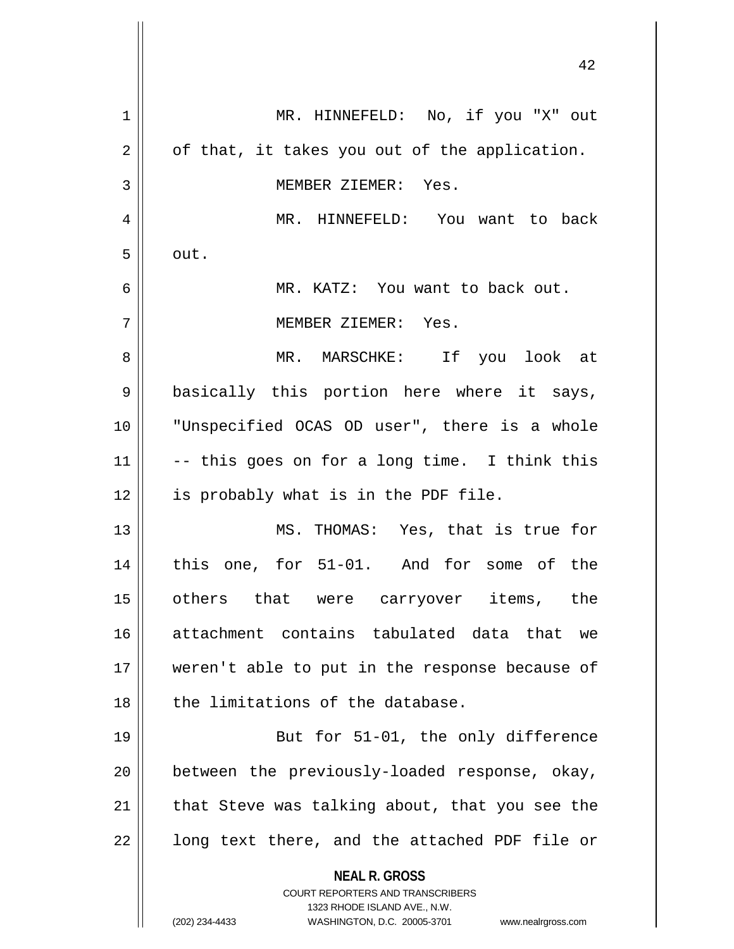| 1  | MR. HINNEFELD: No, if you "X" out                                       |
|----|-------------------------------------------------------------------------|
| 2  | of that, it takes you out of the application.                           |
| 3  | MEMBER ZIEMER: Yes.                                                     |
| 4  | MR. HINNEFELD: You want to back                                         |
| 5  | out.                                                                    |
| 6  | MR. KATZ: You want to back out.                                         |
| 7  | MEMBER ZIEMER: Yes.                                                     |
| 8  | MR. MARSCHKE: If you look at                                            |
| 9  | basically this portion here where it says,                              |
| 10 | "Unspecified OCAS OD user", there is a whole                            |
| 11 | -- this goes on for a long time. I think this                           |
| 12 | is probably what is in the PDF file.                                    |
| 13 | MS. THOMAS: Yes, that is true for                                       |
| 14 | this one, for 51-01. And for some of the                                |
| 15 | others that were carryover items, the                                   |
| 16 | attachment contains tabulated data that we                              |
| 17 | weren't able to put in the response because of                          |
| 18 | the limitations of the database.                                        |
| 19 | But for 51-01, the only difference                                      |
| 20 | between the previously-loaded response, okay,                           |
| 21 | that Steve was talking about, that you see the                          |
| 22 | long text there, and the attached PDF file or                           |
|    | <b>NEAL R. GROSS</b>                                                    |
|    | <b>COURT REPORTERS AND TRANSCRIBERS</b><br>1323 RHODE ISLAND AVE., N.W. |
|    | (202) 234-4433<br>WASHINGTON, D.C. 20005-3701<br>www.nealrgross.com     |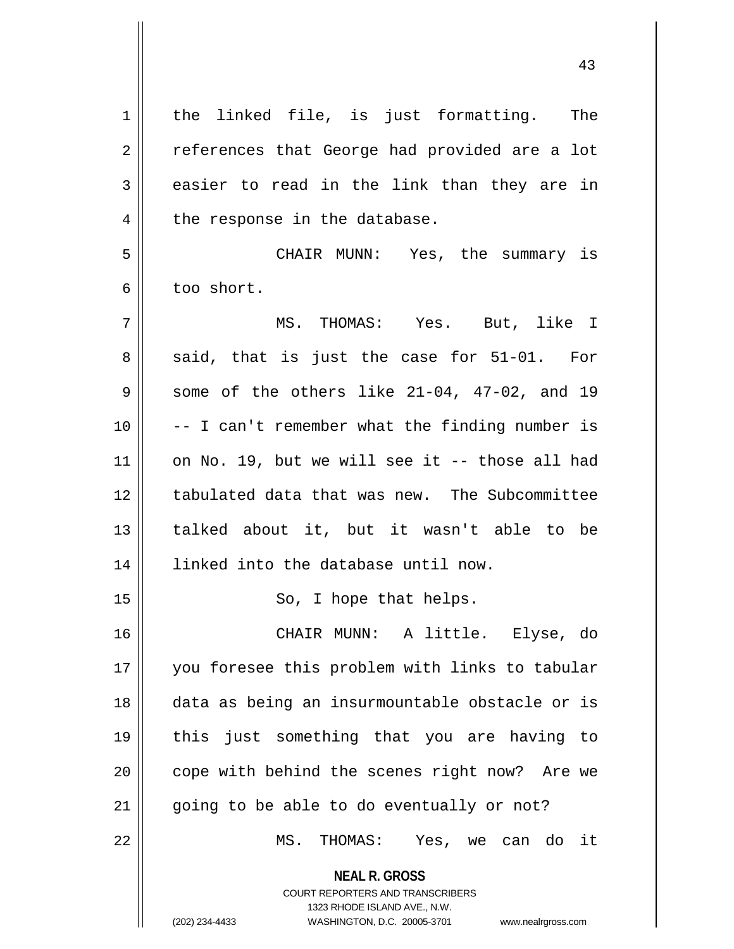| $\mathbf 1$    | the linked file, is just formatting. The                                                                                                                        |
|----------------|-----------------------------------------------------------------------------------------------------------------------------------------------------------------|
| $\overline{2}$ | references that George had provided are a lot                                                                                                                   |
| 3              | easier to read in the link than they are in                                                                                                                     |
| 4              | the response in the database.                                                                                                                                   |
| 5              | CHAIR MUNN: Yes, the summary is                                                                                                                                 |
| 6              | too short.                                                                                                                                                      |
| 7              | MS. THOMAS: Yes. But, like I                                                                                                                                    |
| 8              | said, that is just the case for 51-01. For                                                                                                                      |
| 9              | some of the others like 21-04, 47-02, and 19                                                                                                                    |
| 10             | -- I can't remember what the finding number is                                                                                                                  |
| 11             | on No. 19, but we will see it -- those all had                                                                                                                  |
| 12             | tabulated data that was new. The Subcommittee                                                                                                                   |
| 13             | talked about it, but it wasn't able to be                                                                                                                       |
| 14             | linked into the database until now.                                                                                                                             |
| 15             | So, I hope that helps.                                                                                                                                          |
| 16             | CHAIR MUNN: A little. Elyse, do                                                                                                                                 |
| 17             | you foresee this problem with links to tabular                                                                                                                  |
| 18             | data as being an insurmountable obstacle or is                                                                                                                  |
| 19             | this just something that you are having to                                                                                                                      |
| 20             | cope with behind the scenes right now? Are we                                                                                                                   |
| 21             | going to be able to do eventually or not?                                                                                                                       |
| 22             | MS. THOMAS: Yes, we can do it                                                                                                                                   |
|                | <b>NEAL R. GROSS</b><br>COURT REPORTERS AND TRANSCRIBERS<br>1323 RHODE ISLAND AVE., N.W.<br>(202) 234-4433<br>WASHINGTON, D.C. 20005-3701<br>www.nealrgross.com |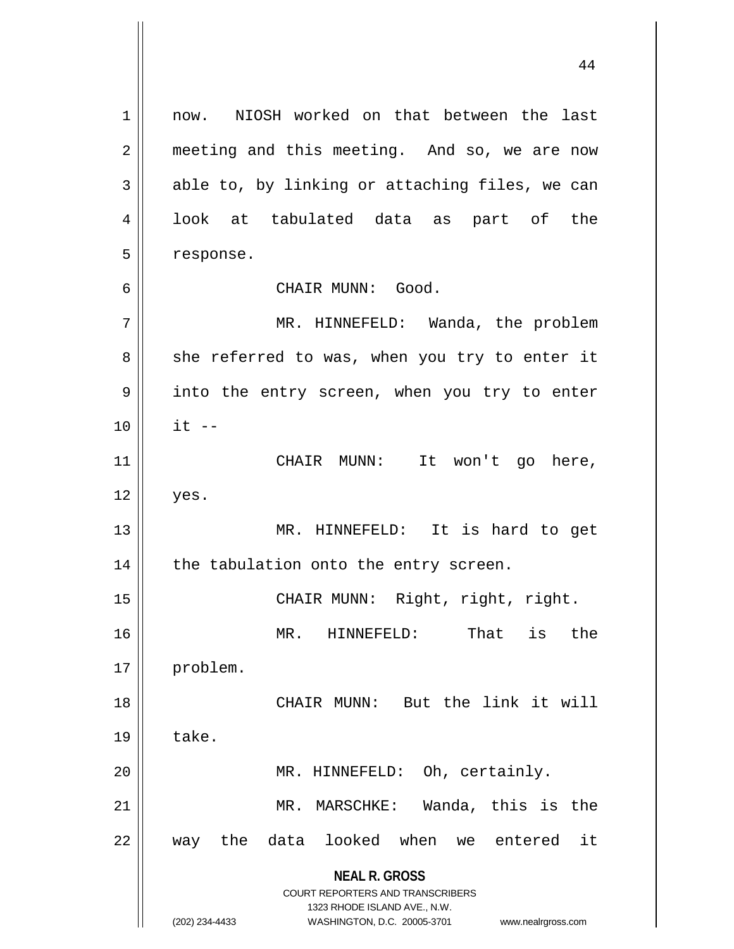**NEAL R. GROSS** COURT REPORTERS AND TRANSCRIBERS 1323 RHODE ISLAND AVE., N.W. (202) 234-4433 WASHINGTON, D.C. 20005-3701 www.nealrgross.com 1 || now. NIOSH worked on that between the last 2 || meeting and this meeting. And so, we are now  $3 \parallel$  able to, by linking or attaching files, we can 4 || look at tabulated data as part of the 5 | response. 6 CHAIR MUNN: Good. 7 | MR. HINNEFELD: Wanda, the problem  $8 \parallel$  she referred to was, when you try to enter it 9 || into the entry screen, when you try to enter  $10 \parallel$  it  $-$ 11 || CHAIR MUNN: It won't go here,  $12 \parallel$  yes. 13 || MR. HINNEFELD: It is hard to get  $14$  | the tabulation onto the entry screen. 15 || CHAIR MUNN: Right, right, right. 16 MR. HINNEFELD: That is the 17 | problem. 18 CHAIR MUNN: But the link it will  $19 \parallel$  take. 20 || MR. HINNEFELD: Oh, certainly. 21 MR. MARSCHKE: Wanda, this is the 22 way the data looked when we entered it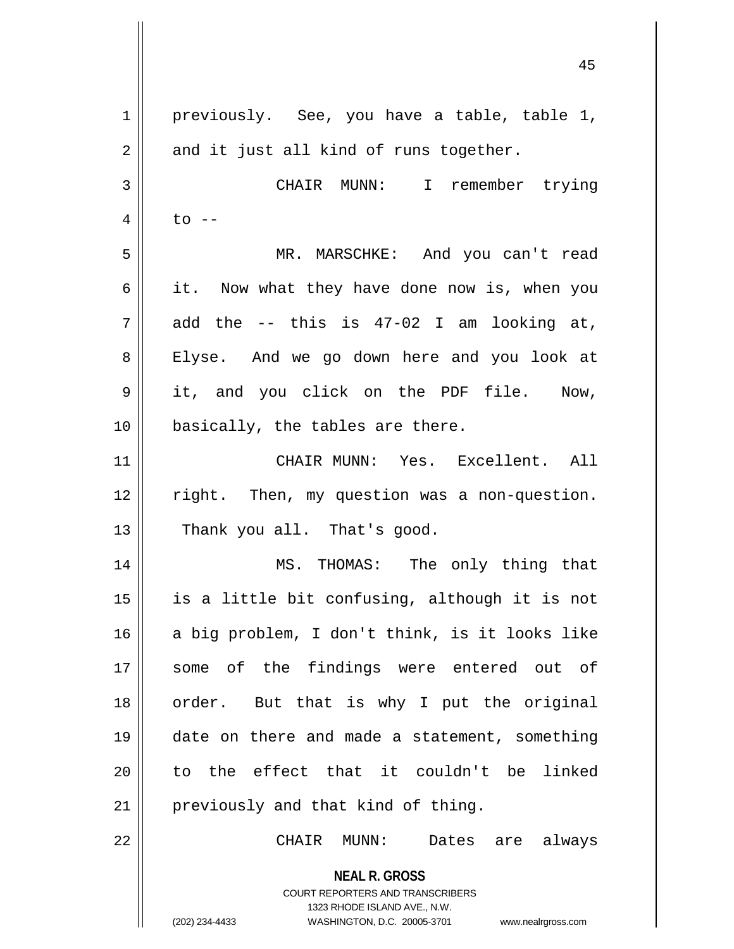**NEAL R. GROSS** COURT REPORTERS AND TRANSCRIBERS 1323 RHODE ISLAND AVE., N.W. (202) 234-4433 WASHINGTON, D.C. 20005-3701 www.nealrgross.com 1 || previously. See, you have a table, table 1,  $2 \parallel$  and it just all kind of runs together. 3 CHAIR MUNN: I remember trying  $4 \parallel$  to  $-$ 5 MR. MARSCHKE: And you can't read  $6 \parallel$  it. Now what they have done now is, when you  $7 \parallel$  add the -- this is 47-02 I am looking at, 8 || Elyse. And we go down here and you look at 9 it, and you click on the PDF file. Now,  $10$  | basically, the tables are there. 11 CHAIR MUNN: Yes. Excellent. All 12 right. Then, my question was a non-question.  $13$  | Thank you all. That's good. 14 MS. THOMAS: The only thing that 15  $\parallel$  is a little bit confusing, although it is not  $16$  a big problem, I don't think, is it looks like 17 some of the findings were entered out of 18 || order. But that is why I put the original 19 date on there and made a statement, something  $20$  to the effect that it couldn't be linked 21 || previously and that kind of thing. 22 CHAIR MUNN: Dates are always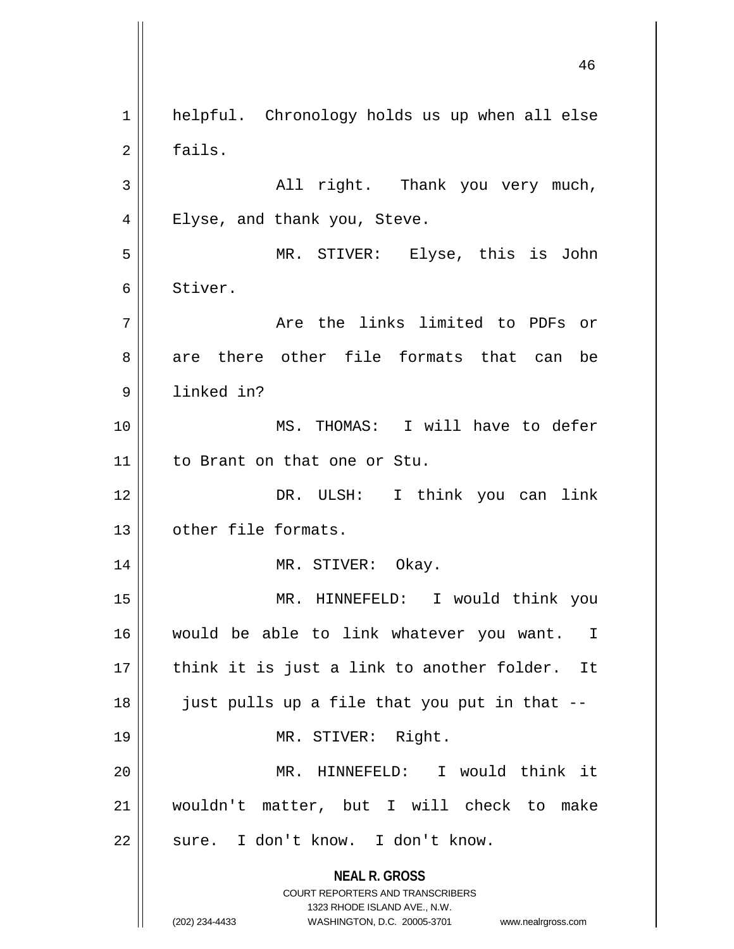**NEAL R. GROSS** COURT REPORTERS AND TRANSCRIBERS 1323 RHODE ISLAND AVE., N.W. (202) 234-4433 WASHINGTON, D.C. 20005-3701 www.nealrgross.com 1 | helpful. Chronology holds us up when all else 2 | fails.  $3 \parallel$  all right. Thank you very much, 4 || Elyse, and thank you, Steve. 5 MR. STIVER: Elyse, this is John 6 Stiver. 7 Are the links limited to PDFs or 8 are there other file formats that can be 9 linked in? 10 MS. THOMAS: I will have to defer 11 to Brant on that one or Stu. 12 DR. ULSH: I think you can link 13 | other file formats. 14 || MR. STIVER: Okay. 15 MR. HINNEFELD: I would think you 16 would be able to link whatever you want. I  $17$  | think it is just a link to another folder. It  $18$  || just pulls up a file that you put in that  $-$ 19 || MR. STIVER: Right. 20 MR. HINNEFELD: I would think it 21 wouldn't matter, but I will check to make 22 || sure. I don't know. I don't know.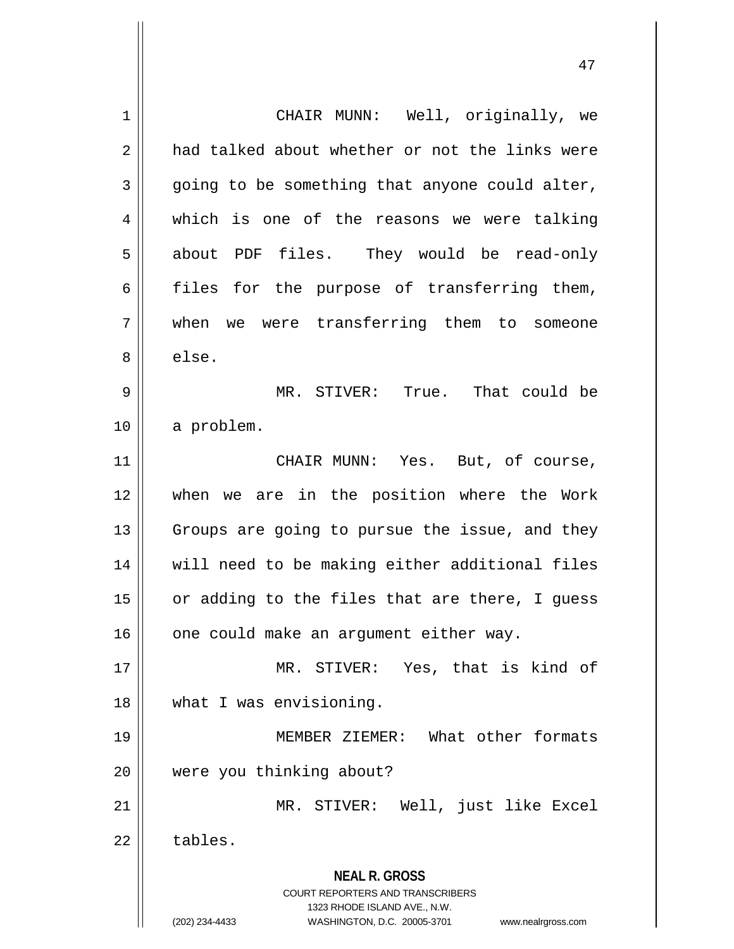**NEAL R. GROSS** COURT REPORTERS AND TRANSCRIBERS 1323 RHODE ISLAND AVE., N.W. (202) 234-4433 WASHINGTON, D.C. 20005-3701 www.nealrgross.com 1 | CHAIR MUNN: Well, originally, we 2 a had talked about whether or not the links were  $3 \parallel$  going to be something that anyone could alter, 4 which is one of the reasons we were talking 5 about PDF files. They would be read-only  $6 \parallel$  files for the purpose of transferring them, 7 when we were transferring them to someone 8 else. 9 MR. STIVER: True. That could be 10 a problem. 11 || CHAIR MUNN: Yes. But, of course, 12 when we are in the position where the Work  $13$  Groups are going to pursue the issue, and they 14 will need to be making either additional files  $15$  or adding to the files that are there, I guess  $16$  | one could make an argument either way. 17 MR. STIVER: Yes, that is kind of 18 what I was envisioning. 19 MEMBER ZIEMER: What other formats 20 were you thinking about? 21 MR. STIVER: Well, just like Excel  $22 \parallel$  tables.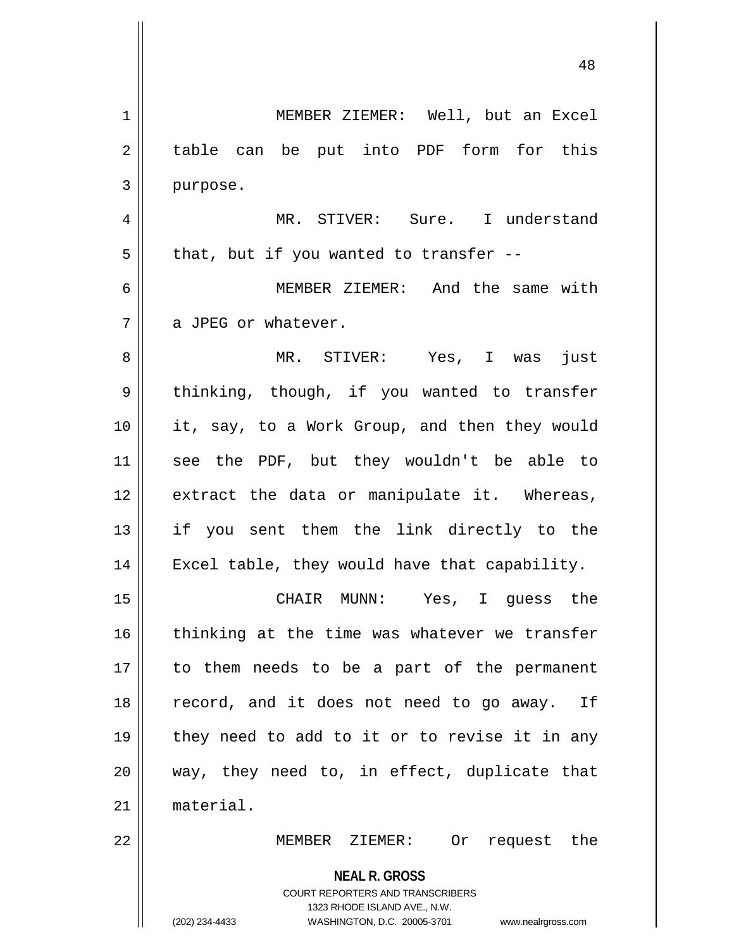**NEAL R. GROSS** COURT REPORTERS AND TRANSCRIBERS 1323 RHODE ISLAND AVE., N.W. (202) 234-4433 WASHINGTON, D.C. 20005-3701 www.nealrgross.com 1 MEMBER ZIEMER: Well, but an Excel 2 || table can be put into PDF form for this  $3$  | purpose. 4 MR. STIVER: Sure. I understand  $5 \parallel$  that, but if you wanted to transfer --6 MEMBER ZIEMER: And the same with  $7 \parallel$  a JPEG or whatever. 8 MR. STIVER: Yes, I was just 9 | thinking, though, if you wanted to transfer 10 || it, say, to a Work Group, and then they would 11 see the PDF, but they wouldn't be able to 12 extract the data or manipulate it. Whereas, 13 if you sent them the link directly to the 14 || Excel table, they would have that capability. 15 CHAIR MUNN: Yes, I guess the  $16$  thinking at the time was whatever we transfer 17 to them needs to be a part of the permanent 18 || record, and it does not need to go away. If 19 || they need to add to it or to revise it in any 20 way, they need to, in effect, duplicate that 21 material. 22 MEMBER ZIEMER: Or request the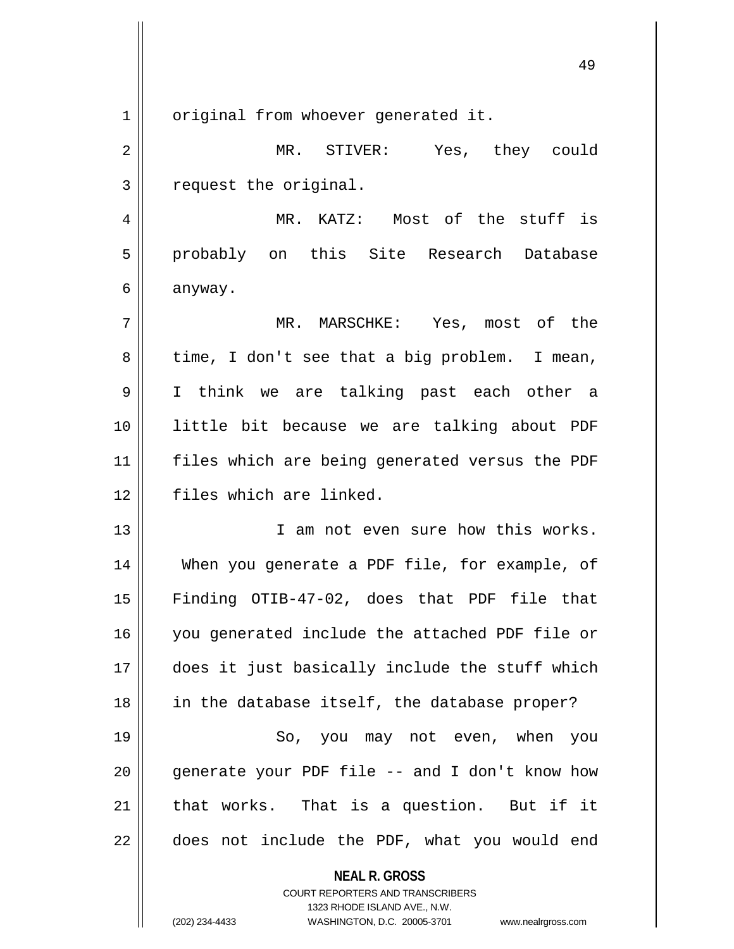1 | original from whoever generated it.

2 MR. STIVER: Yes, they could 3 | request the original.

4 MR. KATZ: Most of the stuff is 5 probably on this Site Research Database 6 anyway.

7 MR. MARSCHKE: Yes, most of the  $8 \parallel$  time, I don't see that a big problem. I mean, 9 I think we are talking past each other a 10 little bit because we are talking about PDF 11 files which are being generated versus the PDF 12 || files which are linked.

13 || I am not even sure how this works. 14 When you generate a PDF file, for example, of 15 Finding OTIB-47-02, does that PDF file that 16 you generated include the attached PDF file or 17 does it just basically include the stuff which 18 || in the database itself, the database proper?

19 || So, you may not even, when you  $\parallel$  qenerate your PDF file -- and I don't know how | that works. That is a question. But if it  $\parallel$  does not include the PDF, what you would end

**NEAL R. GROSS**

COURT REPORTERS AND TRANSCRIBERS 1323 RHODE ISLAND AVE., N.W. (202) 234-4433 WASHINGTON, D.C. 20005-3701 www.nealrgross.com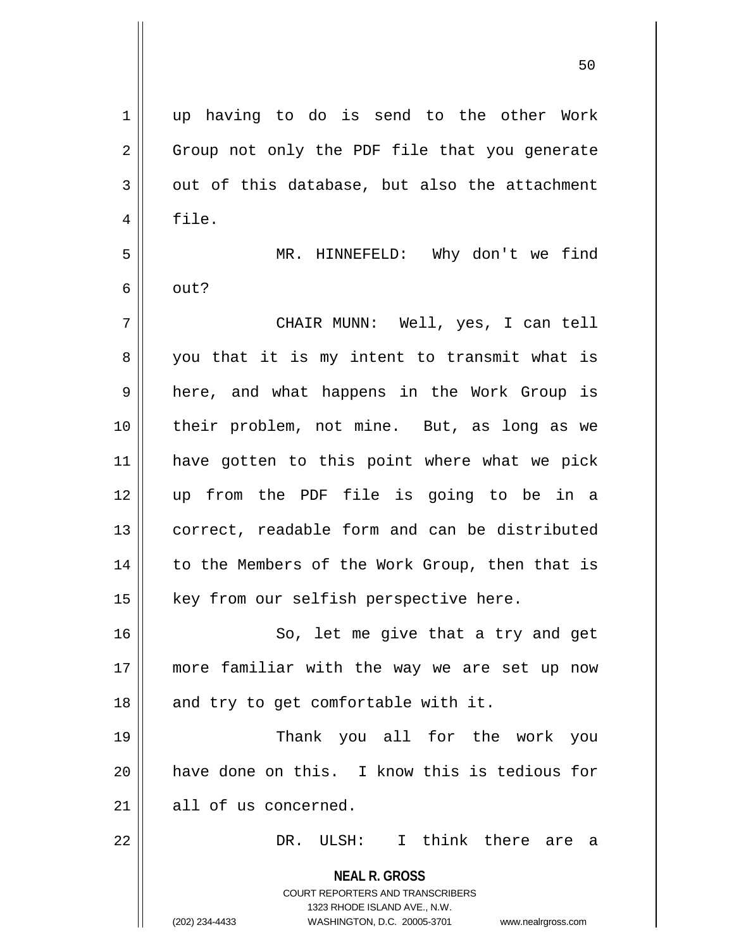**NEAL R. GROSS** COURT REPORTERS AND TRANSCRIBERS 1323 RHODE ISLAND AVE., N.W. (202) 234-4433 WASHINGTON, D.C. 20005-3701 www.nealrgross.com 1 up having to do is send to the other Work 2 || Group not only the PDF file that you generate  $3 \parallel$  out of this database, but also the attachment 4 | file. 5 MR. HINNEFELD: Why don't we find  $6 \parallel$  out? 7 CHAIR MUNN: Well, yes, I can tell  $8 \parallel$  you that it is my intent to transmit what is 9 || here, and what happens in the Work Group is 10 their problem, not mine. But, as long as we 11 have gotten to this point where what we pick 12 up from the PDF file is going to be in a 13 || correct, readable form and can be distributed 14 || to the Members of the Work Group, then that is  $15$  | key from our selfish perspective here. 16 || So, let me give that a try and get 17 more familiar with the way we are set up now  $18$  || and try to get comfortable with it. 19 Thank you all for the work you 20 have done on this. I know this is tedious for 21 all of us concerned. 22 DR. ULSH: I think there are a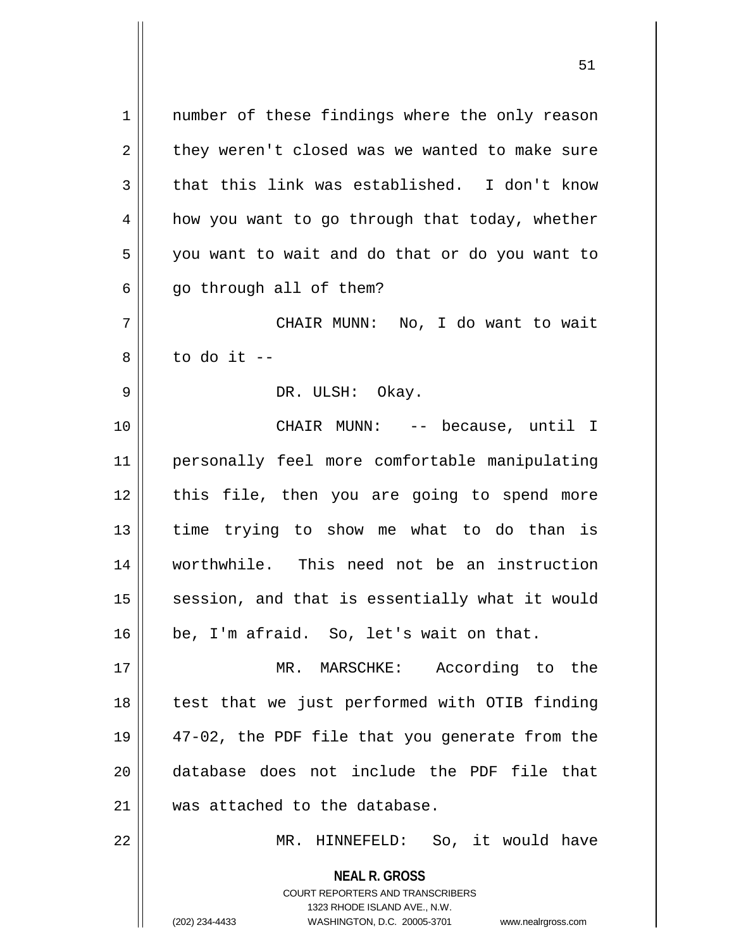**NEAL R. GROSS** 1 || number of these findings where the only reason  $2 \parallel$  they weren't closed was we wanted to make sure  $3 \parallel$  that this link was established. I don't know  $4 \parallel$  how you want to go through that today, whether 5 | you want to wait and do that or do you want to  $6 \parallel$  go through all of them? 7 CHAIR MUNN: No, I do want to wait  $8 \parallel$  to do it  $-$ 9 DR. ULSH: Okay. 10 CHAIR MUNN: -- because, until I 11 personally feel more comfortable manipulating 12 || this file, then you are going to spend more  $13$  time trying to show me what to do than is 14 worthwhile. This need not be an instruction 15 || session, and that is essentially what it would  $16$  | be, I'm afraid. So, let's wait on that. 17 MR. MARSCHKE: According to the 18 || test that we just performed with OTIB finding 19 47-02, the PDF file that you generate from the 20 database does not include the PDF file that 21 was attached to the database. 22 MR. HINNEFELD: So, it would have

> COURT REPORTERS AND TRANSCRIBERS 1323 RHODE ISLAND AVE., N.W.

(202) 234-4433 WASHINGTON, D.C. 20005-3701 www.nealrgross.com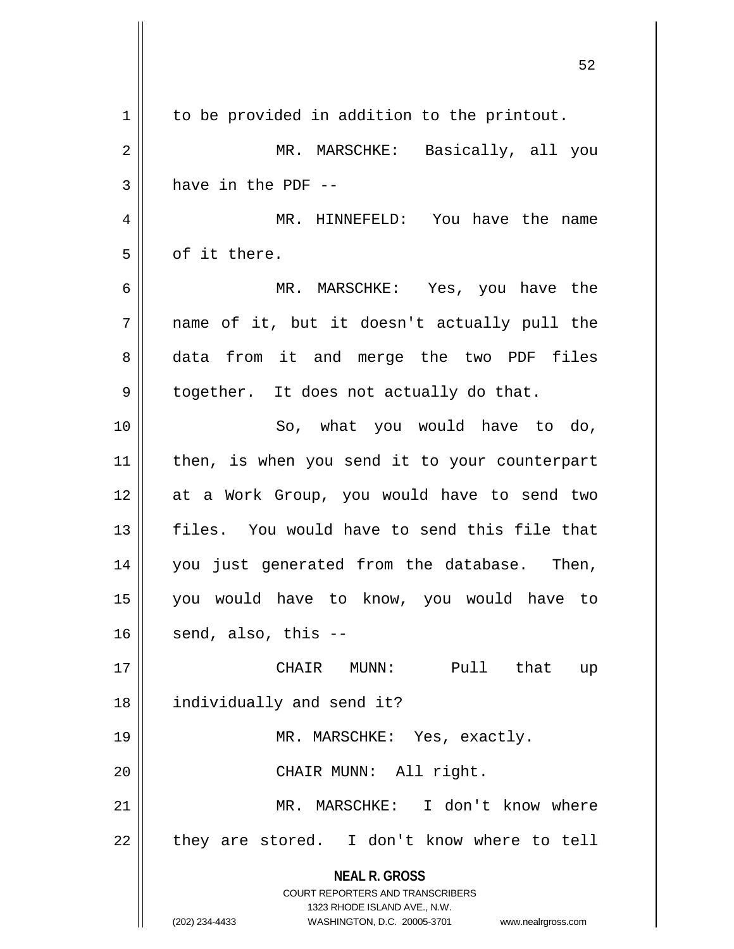|    | ے ت                                                                                                                                              |
|----|--------------------------------------------------------------------------------------------------------------------------------------------------|
| 1  | to be provided in addition to the printout.                                                                                                      |
| 2  | MR. MARSCHKE:<br>Basically, all you                                                                                                              |
| 3  | have in the PDF --                                                                                                                               |
| 4  | MR. HINNEFELD: You have the name                                                                                                                 |
| 5  | of it there.                                                                                                                                     |
| 6  | MR. MARSCHKE: Yes, you have the                                                                                                                  |
| 7  | name of it, but it doesn't actually pull the                                                                                                     |
| 8  | data from it and merge the two PDF files                                                                                                         |
| 9  | together. It does not actually do that.                                                                                                          |
| 10 | So, what you would have to do,                                                                                                                   |
| 11 | then, is when you send it to your counterpart                                                                                                    |
| 12 | at a Work Group, you would have to send two                                                                                                      |
| 13 | files. You would have to send this file that                                                                                                     |
| 14 | you just generated from the database. Then,                                                                                                      |
| 15 | you would have to know, you would have to                                                                                                        |
| 16 | send, also, this --                                                                                                                              |
| 17 | MUNN: Pull that<br>CHAIR<br>up                                                                                                                   |
| 18 | individually and send it?                                                                                                                        |
| 19 | MR. MARSCHKE: Yes, exactly.                                                                                                                      |
| 20 | CHAIR MUNN: All right.                                                                                                                           |
| 21 | MR. MARSCHKE: I don't know where                                                                                                                 |
| 22 | they are stored. I don't know where to tell                                                                                                      |
|    | <b>NEAL R. GROSS</b><br><b>COURT REPORTERS AND TRANSCRIBERS</b><br>1323 RHODE ISLAND AVE., N.W.<br>(202) 234-4433<br>WASHINGTON, D.C. 20005-3701 |
|    | www.nealrgross.com                                                                                                                               |

 $\mathsf{l}$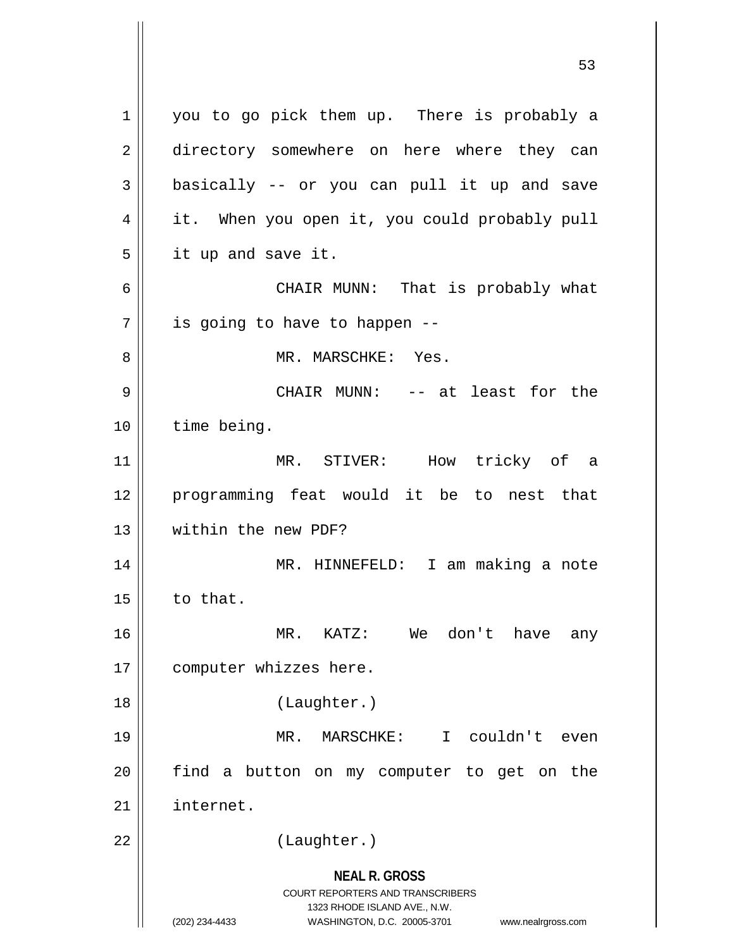**NEAL R. GROSS** COURT REPORTERS AND TRANSCRIBERS 1323 RHODE ISLAND AVE., N.W. (202) 234-4433 WASHINGTON, D.C. 20005-3701 www.nealrgross.com 1 you to go pick them up. There is probably a 2 directory somewhere on here where they can  $3 \parallel$  basically -- or you can pull it up and save 4 | it. When you open it, you could probably pull 5 | it up and save it. 6 CHAIR MUNN: That is probably what  $7 \parallel$  is going to have to happen --8 MR. MARSCHKE: Yes. 9 CHAIR MUNN: -- at least for the 10 time being. 11 MR. STIVER: How tricky of a 12 programming feat would it be to nest that 13 within the new PDF? 14 MR. HINNEFELD: I am making a note  $15$  | to that. 16 MR. KATZ: We don't have any 17 | computer whizzes here. 18 (Laughter.) 19 MR. MARSCHKE: I couldn't even  $20$  find a button on my computer to get on the 21 internet. 22 || (Laughter.)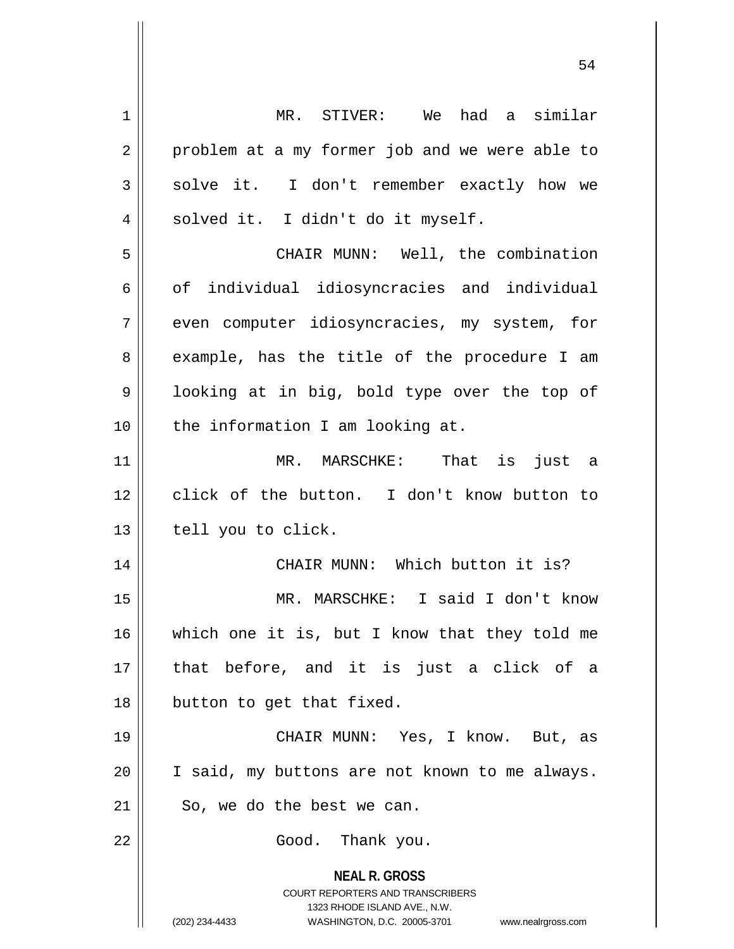**NEAL R. GROSS** COURT REPORTERS AND TRANSCRIBERS 1323 RHODE ISLAND AVE., N.W. (202) 234-4433 WASHINGTON, D.C. 20005-3701 www.nealrgross.com 1 MR. STIVER: We had a similar  $2 \parallel$  problem at a my former job and we were able to  $3 \parallel$  solve it. I don't remember exactly how we  $4 \parallel$  solved it. I didn't do it myself. 5 CHAIR MUNN: Well, the combination  $6 \parallel$  of individual idiosyncracies and individual 7 || even computer idiosyncracies, my system, for 8 || example, has the title of the procedure I am 9 || looking at in big, bold type over the top of 10 || the information I am looking at. 11 MR. MARSCHKE: That is just a 12 || click of the button. I don't know button to  $13$  | tell you to click. 14 CHAIR MUNN: Which button it is? 15 MR. MARSCHKE: I said I don't know 16 which one it is, but I know that they told me 17 that before, and it is just a click of a 18 || button to get that fixed. 19 CHAIR MUNN: Yes, I know. But, as 20 I said, my buttons are not known to me always.  $21$  || So, we do the best we can. 22 | Good. Thank you.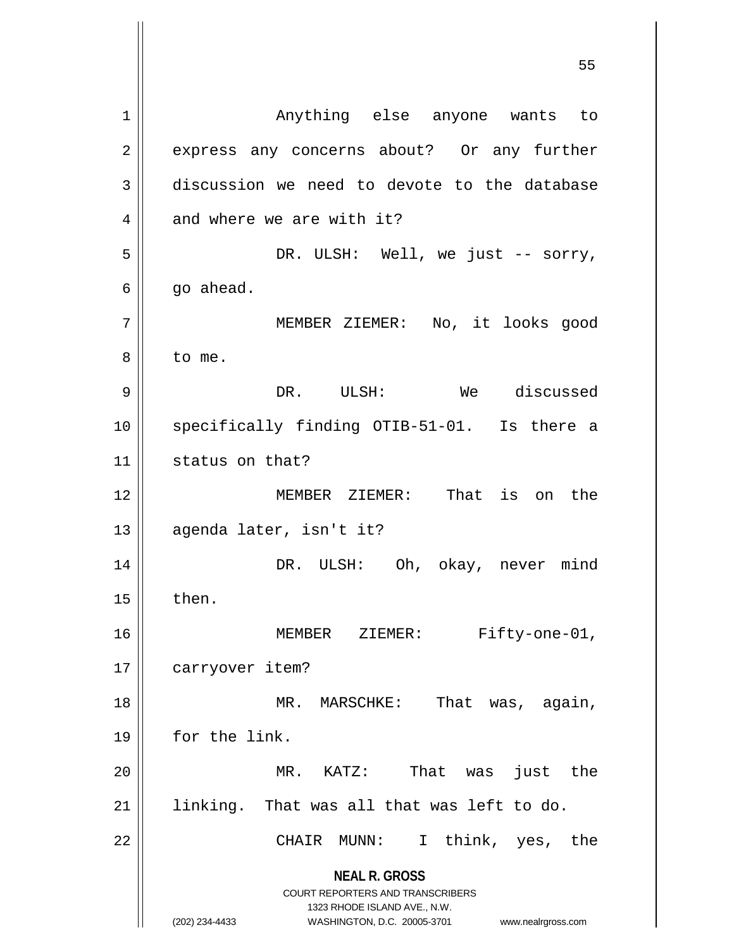**NEAL R. GROSS** COURT REPORTERS AND TRANSCRIBERS 1323 RHODE ISLAND AVE., N.W. (202) 234-4433 WASHINGTON, D.C. 20005-3701 www.nealrgross.com 1 Anything else anyone wants to 2 express any concerns about? Or any further 3 discussion we need to devote to the database  $4 \parallel$  and where we are with it? 5 DR. ULSH: Well, we just -- sorry,  $6 \parallel$  go ahead. 7 MEMBER ZIEMER: No, it looks good 8 l to me. 9 DR. ULSH: We discussed 10 || specifically finding OTIB-51-01. Is there a 11 | status on that? 12 MEMBER ZIEMER: That is on the 13 || agenda later, isn't it? 14 DR. ULSH: Oh, okay, never mind  $15$  | then. 16 MEMBER ZIEMER: Fifty-one-01, 17 | carryover item? 18 || MR. MARSCHKE: That was, again, 19 || for the link. 20 MR. KATZ: That was just the  $21$  linking. That was all that was left to do. 22 CHAIR MUNN: I think, yes, the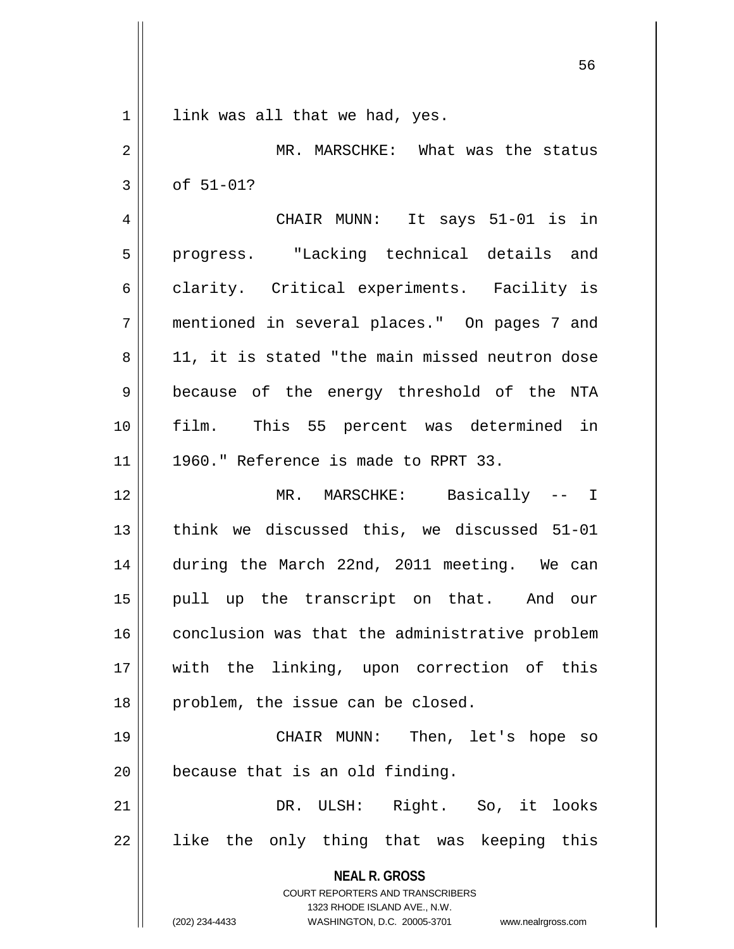| $\mathbf{1}$   | link was all that we had, yes.                                      |
|----------------|---------------------------------------------------------------------|
| $\overline{2}$ | MR. MARSCHKE: What was the status                                   |
| 3              | of 51-01?                                                           |
| 4              | CHAIR MUNN: It says 51-01 is in                                     |
| 5              | progress. "Lacking technical details and                            |
| 6              | clarity. Critical experiments. Facility is                          |
| 7              | mentioned in several places." On pages 7 and                        |
| 8              | 11, it is stated "the main missed neutron dose                      |
| 9              | because of the energy threshold of the NTA                          |
| 10             | film. This 55 percent was determined in                             |
| 11             | 1960." Reference is made to RPRT 33.                                |
| 12             | MR. MARSCHKE: Basically -- I                                        |
| 13             | think we discussed this, we discussed 51-01                         |
| 14             | during the March 22nd, 2011 meeting. We can                         |
| 15             | pull up the transcript on that. And our                             |
| 16             | conclusion was that the administrative problem                      |
| 17             | with the linking, upon correction of this                           |
| 18             | problem, the issue can be closed.                                   |
| 19             | CHAIR MUNN: Then, let's hope so                                     |
| 20             | because that is an old finding.                                     |
| 21             | DR. ULSH: Right. So, it looks                                       |
| 22             | like the only thing that was keeping this                           |
|                | <b>NEAL R. GROSS</b>                                                |
|                | COURT REPORTERS AND TRANSCRIBERS<br>1323 RHODE ISLAND AVE., N.W.    |
|                | (202) 234-4433<br>WASHINGTON, D.C. 20005-3701<br>www.nealrgross.com |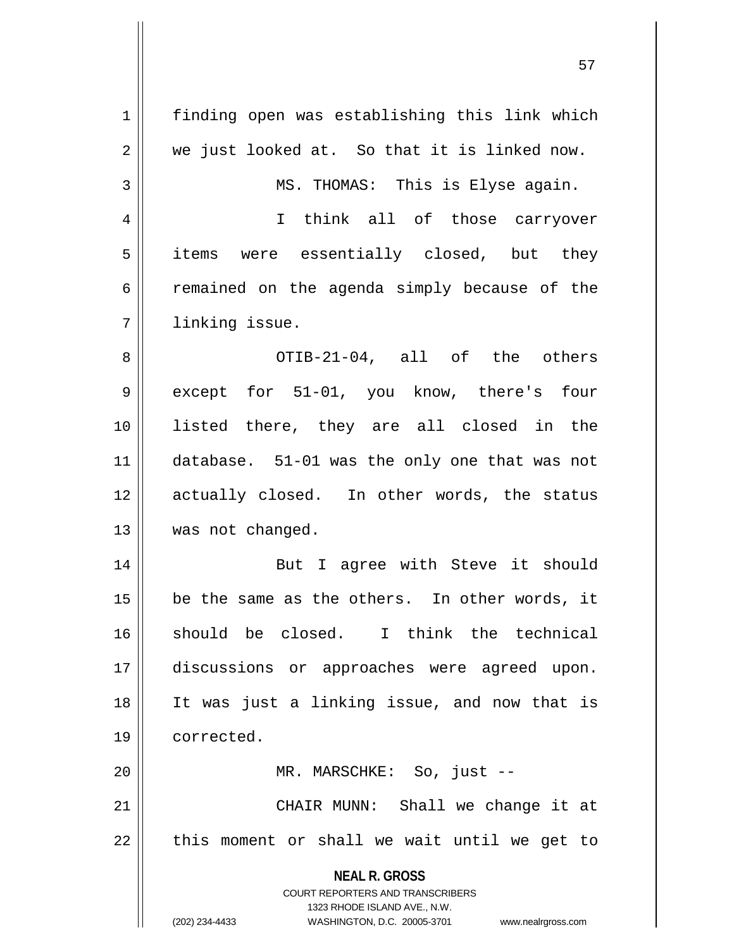| 1           | finding open was establishing this link which                                                       |
|-------------|-----------------------------------------------------------------------------------------------------|
| 2           | we just looked at. So that it is linked now.                                                        |
| 3           | MS. THOMAS: This is Elyse again.                                                                    |
| 4           | I think all of those carryover                                                                      |
| 5           | items were essentially closed, but they                                                             |
| 6           | remained on the agenda simply because of the                                                        |
| 7           | linking issue.                                                                                      |
| 8           | OTIB-21-04, all of the others                                                                       |
| $\mathsf 9$ | except for 51-01, you know, there's four                                                            |
| 10          | listed there, they are all closed in the                                                            |
| 11          | database. 51-01 was the only one that was not                                                       |
| 12          | actually closed. In other words, the status                                                         |
| 13          | was not changed.                                                                                    |
| 14          | But I agree with Steve it should                                                                    |
| 15          | be the same as the others. In other words, it                                                       |
| 16          | should be closed. I think the technical                                                             |
| 17          | discussions or approaches were agreed upon.                                                         |
| 18          | It was just a linking issue, and now that is                                                        |
|             | corrected.                                                                                          |
| 19          |                                                                                                     |
| 20          | MR. MARSCHKE: So, just --                                                                           |
| 21          | CHAIR MUNN: Shall we change it at                                                                   |
| 22          | this moment or shall we wait until we get to                                                        |
|             | <b>NEAL R. GROSS</b>                                                                                |
|             | COURT REPORTERS AND TRANSCRIBERS                                                                    |
|             | 1323 RHODE ISLAND AVE., N.W.<br>(202) 234-4433<br>WASHINGTON, D.C. 20005-3701<br>www.nealrgross.com |
|             |                                                                                                     |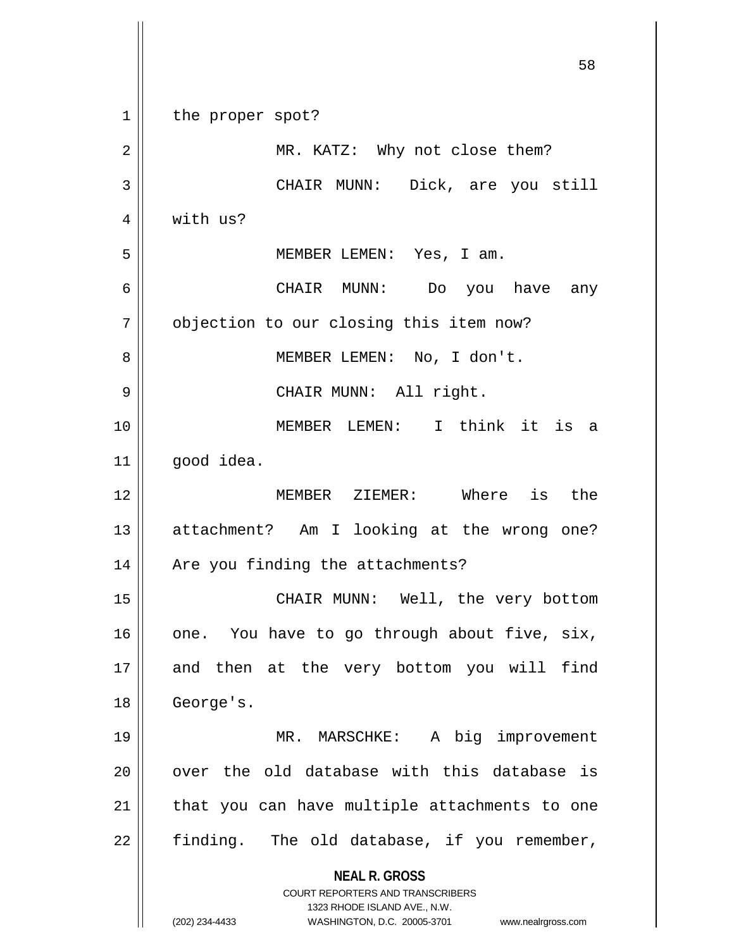**NEAL R. GROSS** COURT REPORTERS AND TRANSCRIBERS 1323 RHODE ISLAND AVE., N.W. (202) 234-4433 WASHINGTON, D.C. 20005-3701 www.nealrgross.com 1 || the proper spot? 2 || MR. KATZ: Why not close them? 3 || CHAIR MUNN: Dick, are you still 4 | with us? 5 MEMBER LEMEN: Yes, I am. 6 CHAIR MUNN: Do you have any 7 | objection to our closing this item now? 8 || MEMBER LEMEN: No, I don't. 9 || CHAIR MUNN: All right. 10 MEMBER LEMEN: I think it is a 11 || good idea. 12 MEMBER ZIEMER: Where is the 13 || attachment? Am I looking at the wrong one? 14 || Are you finding the attachments? 15 || CHAIR MUNN: Well, the very bottom  $16$  | one. You have to go through about five,  $six$ , 17 || and then at the very bottom you will find 18 | George's. 19 MR. MARSCHKE: A big improvement  $20$  || over the old database with this database is  $21$  | that you can have multiple attachments to one  $22$  finding. The old database, if you remember,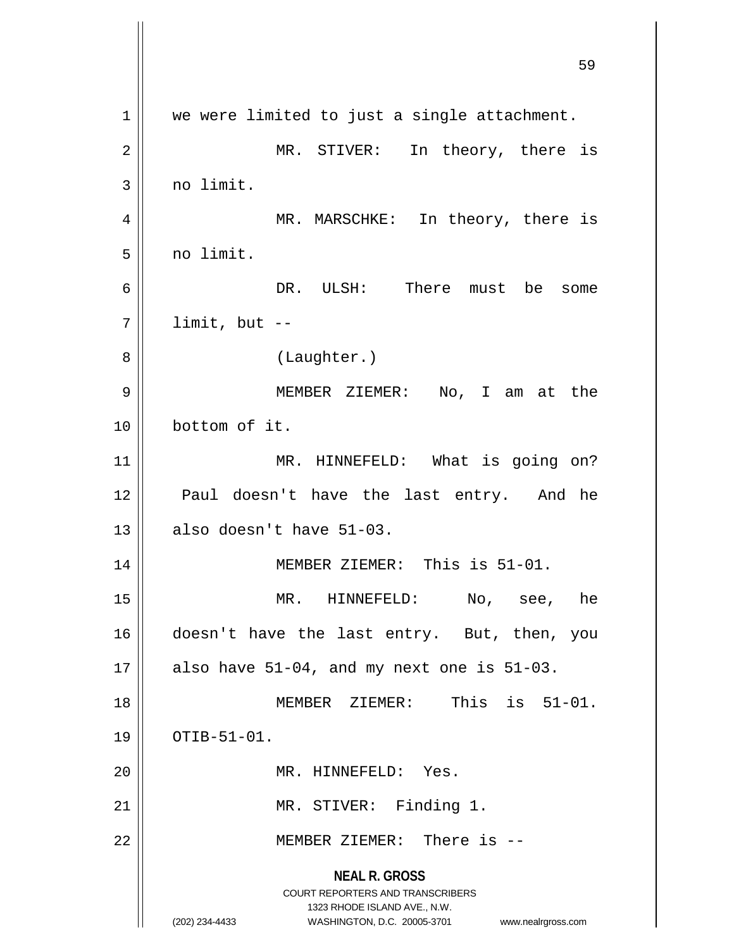**NEAL R. GROSS** COURT REPORTERS AND TRANSCRIBERS 1323 RHODE ISLAND AVE., N.W. (202) 234-4433 WASHINGTON, D.C. 20005-3701 www.nealrgross.com 59  $1 \parallel$  we were limited to just a single attachment. 2 || MR. STIVER: In theory, there is 3 | no limit. 4 MR. MARSCHKE: In theory, there is  $5 \parallel$  no limit. 6 DR. ULSH: There must be some  $7 \parallel$  limit, but --8 | (Laughter.) 9 || MEMBER ZIEMER: No, I am at the 10 bottom of it. 11 || MR. HINNEFELD: What is going on? 12 || Paul doesn't have the last entry. And he  $13$  || also doesn't have  $51-03$ . 14 MEMBER ZIEMER: This is 51-01. 15 MR. HINNEFELD: No, see, he 16 doesn't have the last entry. But, then, you 17  $\parallel$  also have 51-04, and my next one is 51-03. 18 MEMBER ZIEMER: This is 51-01.  $19$  |  $OTIB-51-01$ . 20 || MR. HINNEFELD: Yes. 21 || MR. STIVER: Finding 1. 22 MEMBER ZIEMER: There is --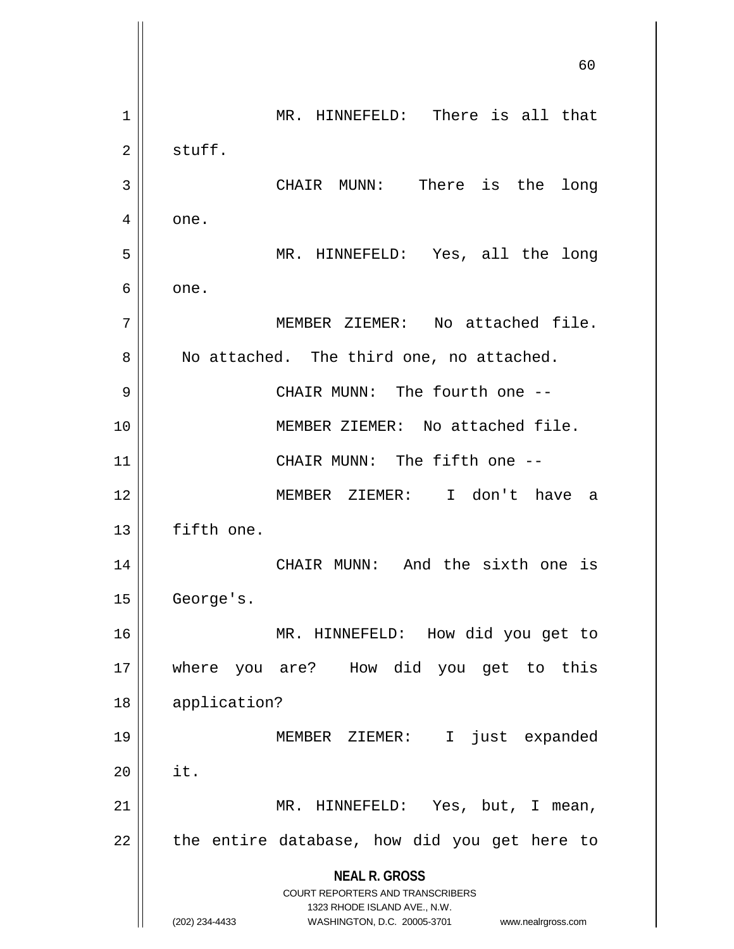**NEAL R. GROSS** COURT REPORTERS AND TRANSCRIBERS 1323 RHODE ISLAND AVE., N.W. (202) 234-4433 WASHINGTON, D.C. 20005-3701 www.nealrgross.com 60 1 || MR. HINNEFELD: There is all that  $2 \parallel$  stuff. 3 || CHAIR MUNN: There is the long  $4 \parallel$  one. 5 MR. HINNEFELD: Yes, all the long  $6 \parallel$  one. 7 || MEMBER ZIEMER: No attached file. 8 || No attached. The third one, no attached. 9 CHAIR MUNN: The fourth one -- 10 MEMBER ZIEMER: No attached file. 11 || CHAIR MUNN: The fifth one --12 MEMBER ZIEMER: I don't have a 13 | fifth one. 14 CHAIR MUNN: And the sixth one is 15 | George's. 16 MR. HINNEFELD: How did you get to 17 where you are? How did you get to this 18 application? 19 MEMBER ZIEMER: I just expanded  $20$   $\parallel$  it. 21 MR. HINNEFELD: Yes, but, I mean,  $22$  || the entire database, how did you get here to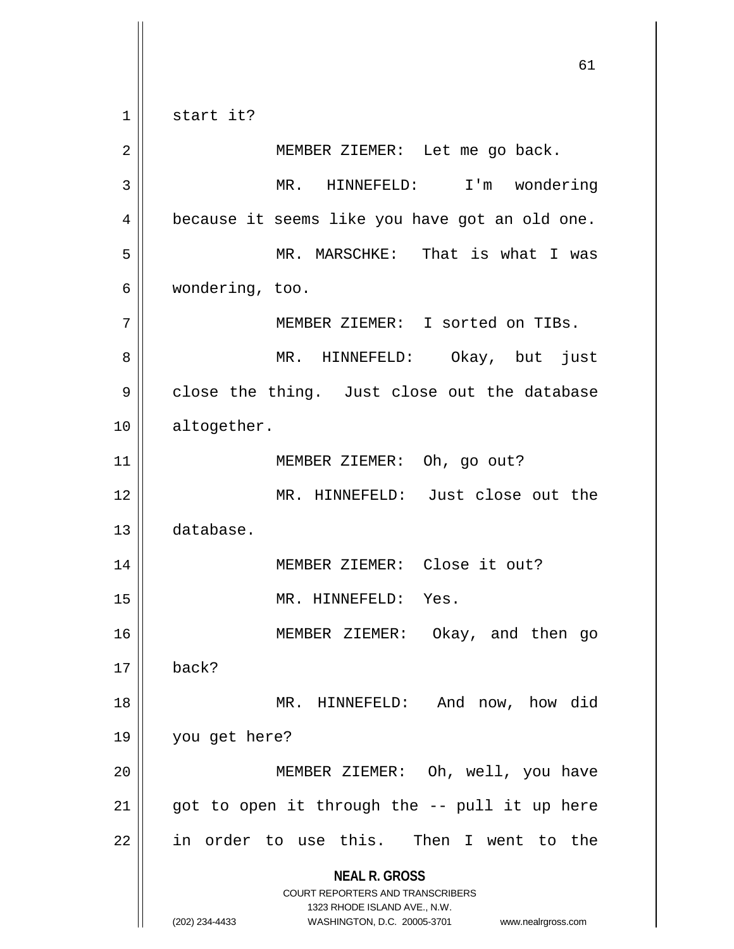$1 \parallel$  start it?

**NEAL R. GROSS** COURT REPORTERS AND TRANSCRIBERS 1323 RHODE ISLAND AVE., N.W. (202) 234-4433 WASHINGTON, D.C. 20005-3701 www.nealrgross.com 2 || MEMBER ZIEMER: Let me go back. 3 MR. HINNEFELD: I'm wondering 4 | because it seems like you have got an old one. 5 MR. MARSCHKE: That is what I was 6 wondering, too. 7 MEMBER ZIEMER: I sorted on TIBs. 8 MR. HINNEFELD: Okay, but just  $9 \parallel$  close the thing. Just close out the database 10 | altogether. 11 || MEMBER ZIEMER: Oh, go out? 12 MR. HINNEFELD: Just close out the 13 database. 14 || MEMBER ZIEMER: Close it out? 15 || MR. HINNEFELD: Yes. 16 MEMBER ZIEMER: Okay, and then go  $17 \parallel$  back? 18 MR. HINNEFELD: And now, how did 19 you get here? 20 MEMBER ZIEMER: Oh, well, you have 21  $\parallel$  got to open it through the  $-$ - pull it up here  $22$  in order to use this. Then I went to the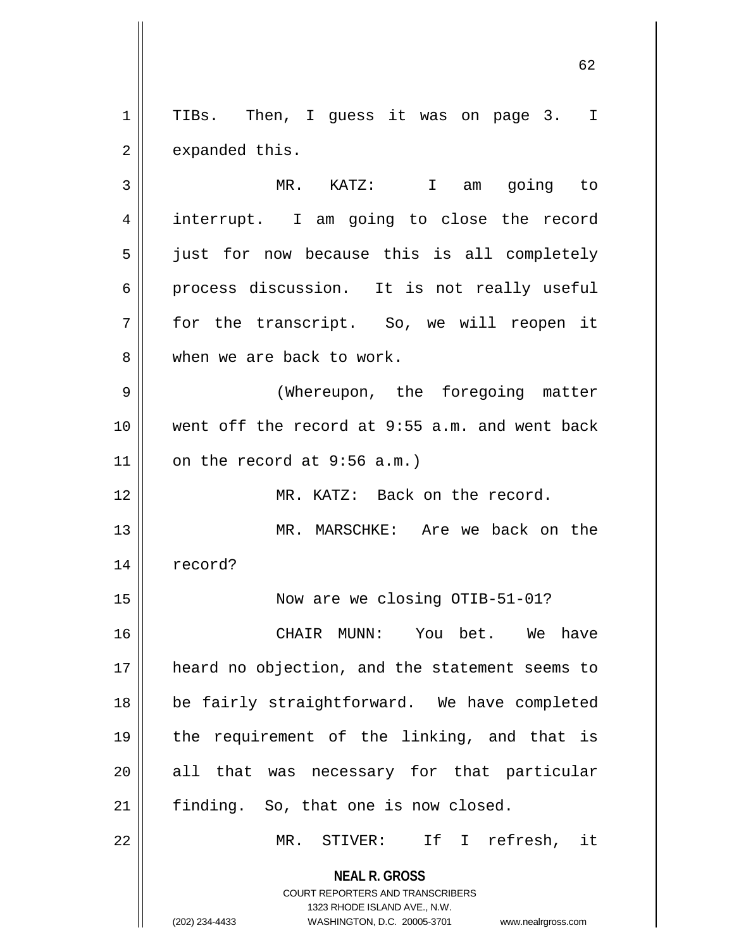1 || TIBs. Then, I guess it was on page 3. I  $2 \parallel$  expanded this.

3 MR. KATZ: I am going to 4 || interrupt. I am going to close the record 5 || just for now because this is all completely 6 process discussion. It is not really useful 7 for the transcript. So, we will reopen it 8 When we are back to work.

9 || (Whereupon, the foregoing matter 10 went off the record at 9:55 a.m. and went back  $11$  on the record at 9:56 a.m.)

12 MR. KATZ: Back on the record.

13 MR. MARSCHKE: Are we back on the 14 record?

15 Now are we closing OTIB-51-01?

16 CHAIR MUNN: You bet. We have 17 || heard no objection, and the statement seems to 18 || be fairly straightforward. We have completed 19 the requirement of the linking, and that is 20 || all that was necessary for that particular  $21$  | finding. So, that one is now closed.

22 MR. STIVER: If I refresh, it

**NEAL R. GROSS** COURT REPORTERS AND TRANSCRIBERS 1323 RHODE ISLAND AVE., N.W.

(202) 234-4433 WASHINGTON, D.C. 20005-3701 www.nealrgross.com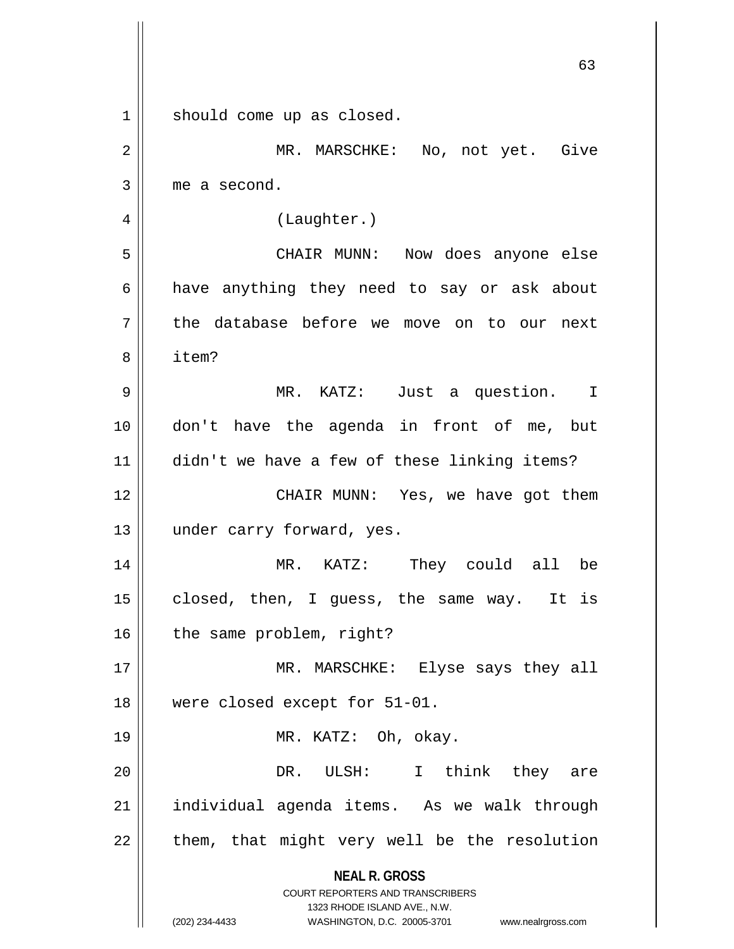|             | 63                                                                                                                                                                     |
|-------------|------------------------------------------------------------------------------------------------------------------------------------------------------------------------|
| $\mathbf 1$ | should come up as closed.                                                                                                                                              |
| 2           | MR. MARSCHKE: No, not yet. Give                                                                                                                                        |
| 3           | me a second.                                                                                                                                                           |
| 4           | (Laughter.)                                                                                                                                                            |
| 5           | CHAIR MUNN:<br>Now does anyone else                                                                                                                                    |
| 6           | have anything they need to say or ask about                                                                                                                            |
| 7           | the database before we move on to our next                                                                                                                             |
| 8           | item?                                                                                                                                                                  |
| 9           | MR. KATZ: Just a question. I                                                                                                                                           |
| 10          | don't have the agenda in front of me, but                                                                                                                              |
| 11          | didn't we have a few of these linking items?                                                                                                                           |
| 12          | CHAIR MUNN: Yes, we have got them                                                                                                                                      |
| 13          | under carry forward, yes.                                                                                                                                              |
| 14          | MR. KATZ: They could all<br>be                                                                                                                                         |
| 15          | closed, then, I guess, the same way. It is                                                                                                                             |
| 16          | the same problem, right?                                                                                                                                               |
| 17          | MR. MARSCHKE: Elyse says they all                                                                                                                                      |
| 18          | were closed except for 51-01.                                                                                                                                          |
| 19          | MR. KATZ: Oh, okay.                                                                                                                                                    |
| 20          | think they are<br>DR.<br>ULSH: I                                                                                                                                       |
| 21          | individual agenda items. As we walk through                                                                                                                            |
| 22          | them, that might very well be the resolution                                                                                                                           |
|             | <b>NEAL R. GROSS</b><br><b>COURT REPORTERS AND TRANSCRIBERS</b><br>1323 RHODE ISLAND AVE., N.W.<br>(202) 234-4433<br>WASHINGTON, D.C. 20005-3701<br>www.nealrgross.com |

Ħ

 $\mathsf{l}$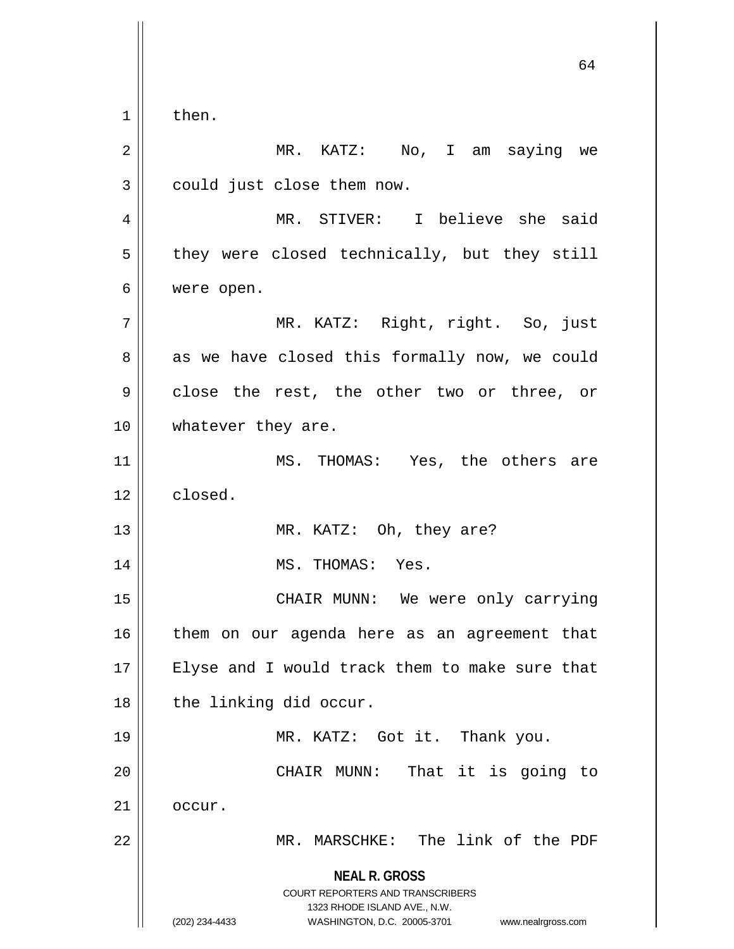$1 \parallel$  then.

**NEAL R. GROSS** COURT REPORTERS AND TRANSCRIBERS 1323 RHODE ISLAND AVE., N.W. (202) 234-4433 WASHINGTON, D.C. 20005-3701 www.nealrgross.com 2 || MR. KATZ: No, I am saying we  $3$  | could just close them now. 4 MR. STIVER: I believe she said  $5 \parallel$  they were closed technically, but they still 6 were open. 7 MR. KATZ: Right, right. So, just  $8 \parallel$  as we have closed this formally now, we could 9 || close the rest, the other two or three, or 10 || whatever they are. 11 || MS. THOMAS: Yes, the others are 12 closed. 13 || MR. KATZ: Oh, they are? 14 || MS. THOMAS: Yes. 15 CHAIR MUNN: We were only carrying 16 || them on our agenda here as an agreement that 17 || Elyse and I would track them to make sure that 18 | the linking did occur. 19 MR. KATZ: Got it. Thank you. 20 CHAIR MUNN: That it is going to  $21$  |  $occur$ . 22 || MR. MARSCHKE: The link of the PDF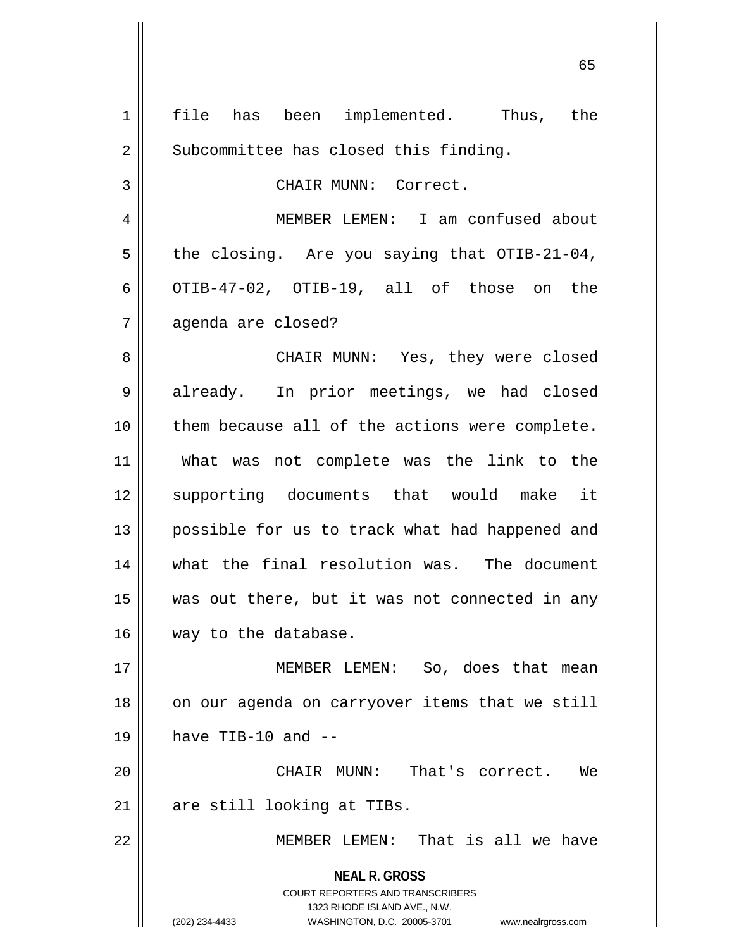**NEAL R. GROSS** COURT REPORTERS AND TRANSCRIBERS 1323 RHODE ISLAND AVE., N.W. (202) 234-4433 WASHINGTON, D.C. 20005-3701 www.nealrgross.com 1 || file has been implemented. Thus, the 2 | Subcommittee has closed this finding. 3 | CHAIR MUNN: Correct. 4 MEMBER LEMEN: I am confused about  $5 \parallel$  the closing. Are you saying that OTIB-21-04, 6  $\vert$  OTIB-47-02, OTIB-19, all of those on the 7 agenda are closed? 8 CHAIR MUNN: Yes, they were closed 9 || already. In prior meetings, we had closed 10 || them because all of the actions were complete. 11 What was not complete was the link to the 12 || supporting documents that would make it 13 || possible for us to track what had happened and 14 what the final resolution was. The document 15 was out there, but it was not connected in any 16 way to the database. 17 || MEMBER LEMEN: So, does that mean 18 || on our agenda on carryover items that we still  $19$  || have TIB-10 and  $-$ 20 CHAIR MUNN: That's correct. We 21 || are still looking at TIBs. 22 MEMBER LEMEN: That is all we have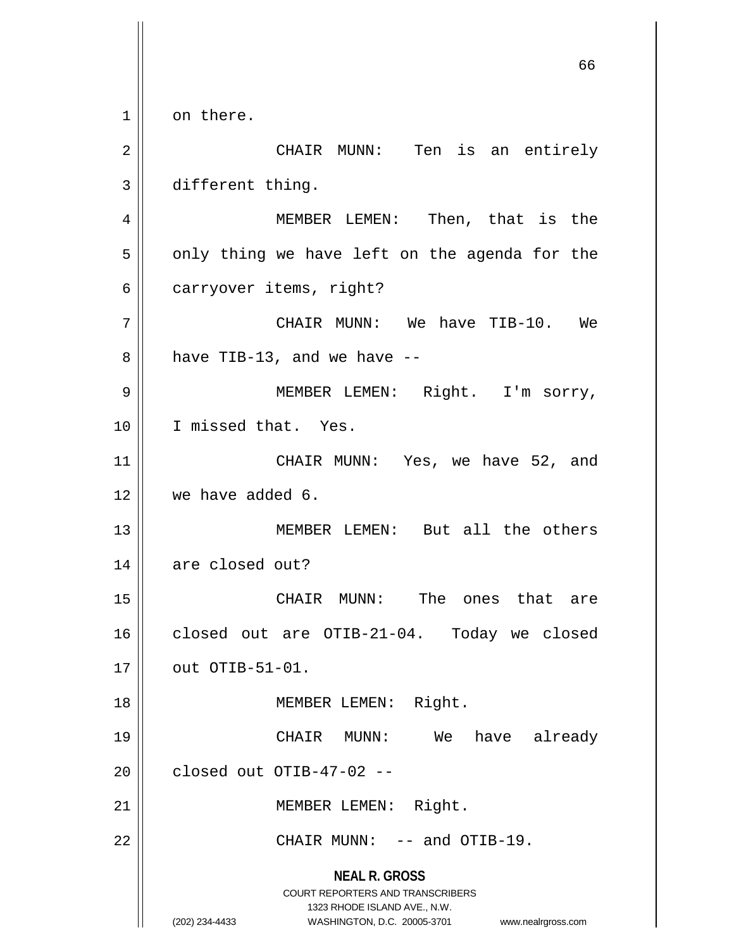**NEAL R. GROSS** COURT REPORTERS AND TRANSCRIBERS 1323 RHODE ISLAND AVE., N.W. (202) 234-4433 WASHINGTON, D.C. 20005-3701 www.nealrgross.com 1 on there. 2 CHAIR MUNN: Ten is an entirely 3 different thing. 4 MEMBER LEMEN: Then, that is the  $5 \parallel$  only thing we have left on the agenda for the  $6 \parallel$  carryover items, right? 7 CHAIR MUNN: We have TIB-10. We  $8 \parallel$  have TIB-13, and we have  $-$ 9 || MEMBER LEMEN: Right. I'm sorry, 10 I missed that. Yes. 11 || CHAIR MUNN: Yes, we have 52, and 12 we have added 6. 13 || MEMBER LEMEN: But all the others 14 | are closed out? 15 CHAIR MUNN: The ones that are 16 | closed out are OTIB-21-04. Today we closed  $17 \parallel$  out OTIB-51-01. 18 || **MEMBER LEMEN:** Right. 19 CHAIR MUNN: We have already  $20$  | closed out OTIB-47-02 --21 || MEMBER LEMEN: Right.  $22$  || CHAIR MUNN:  $--$  and OTIB-19.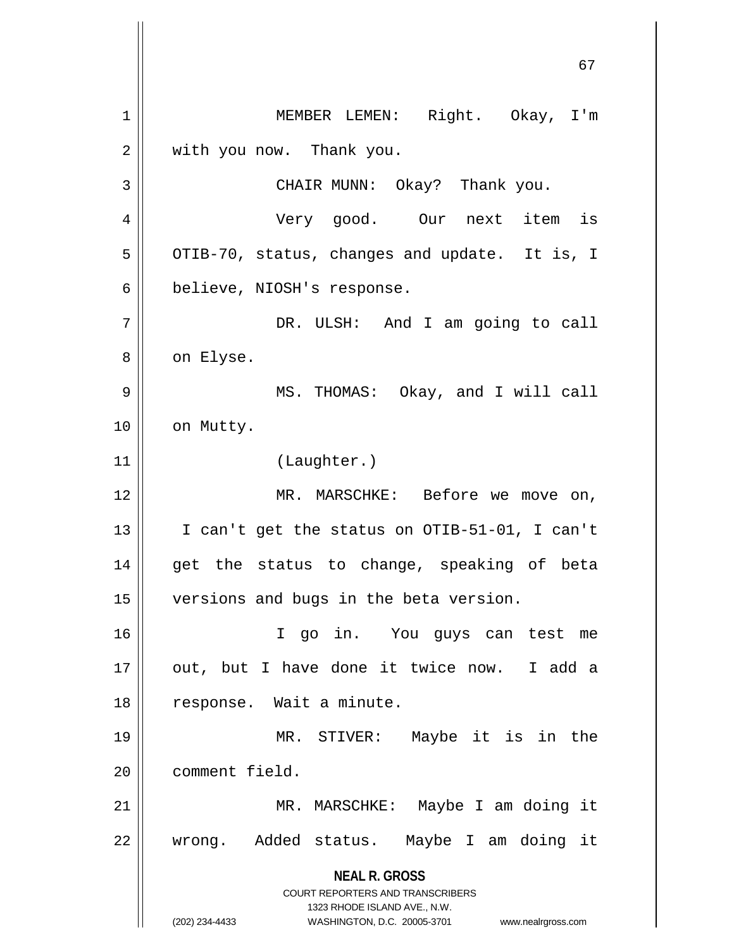**NEAL R. GROSS** COURT REPORTERS AND TRANSCRIBERS 1323 RHODE ISLAND AVE., N.W. (202) 234-4433 WASHINGTON, D.C. 20005-3701 www.nealrgross.com 1 | MEMBER LEMEN: Right. Okay, I'm 2 | with you now. Thank you. 3 CHAIR MUNN: Okay? Thank you. 4 Very good. Our next item is  $5 \parallel$  OTIB-70, status, changes and update. It is, I 6 | believe, NIOSH's response. 7 DR. ULSH: And I am going to call 8 | on Elyse. 9 MS. THOMAS: Okay, and I will call 10 | on Mutty. 11 (Laughter.) 12 || MR. MARSCHKE: Before we move on, 13 I can't get the status on OTIB-51-01, I can't 14 || get the status to change, speaking of beta 15 | versions and bugs in the beta version. 16 I go in. You guys can test me 17 || out, but I have done it twice now. I add a 18 || response. Wait a minute. 19 MR. STIVER: Maybe it is in the 20 || comment field. 21 MR. MARSCHKE: Maybe I am doing it 22 || wrong. Added status. Maybe I am doing it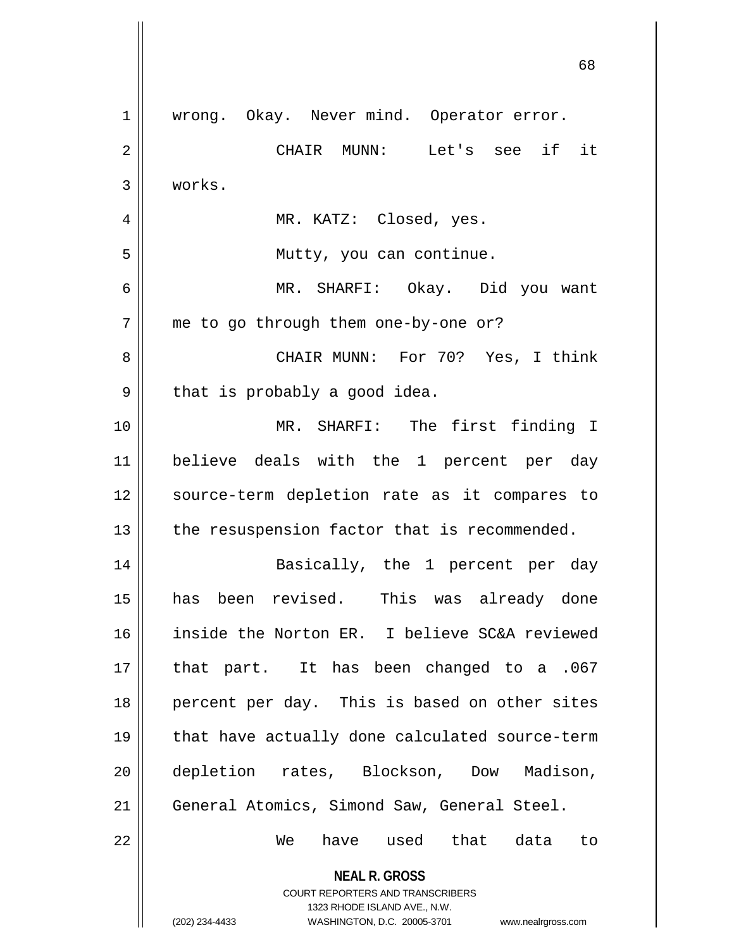| $\mathbf 1$    | wrong. Okay. Never mind. Operator error.                                                            |
|----------------|-----------------------------------------------------------------------------------------------------|
| $\overline{2}$ | CHAIR MUNN: Let's see if it                                                                         |
| 3              | works.                                                                                              |
| 4              | MR. KATZ: Closed, yes.                                                                              |
| 5              | Mutty, you can continue.                                                                            |
| 6              | MR. SHARFI: Okay. Did you want                                                                      |
| 7              | me to go through them one-by-one or?                                                                |
| 8              | CHAIR MUNN: For 70? Yes, I think                                                                    |
| 9              | that is probably a good idea.                                                                       |
| 10             | MR. SHARFI: The first finding I                                                                     |
| 11             | believe deals with the 1 percent per day                                                            |
| 12             | source-term depletion rate as it compares to                                                        |
| 13             | the resuspension factor that is recommended.                                                        |
| 14             | Basically, the 1 percent per day                                                                    |
| 15             | has been revised. This was already done                                                             |
| 16             | inside the Norton ER. I believe SC&A reviewed                                                       |
| 17             | that part. It has been changed to a .067                                                            |
| 18             | percent per day. This is based on other sites                                                       |
| 19             | that have actually done calculated source-term                                                      |
| 20             | depletion rates, Blockson, Dow Madison,                                                             |
| 21             | General Atomics, Simond Saw, General Steel.                                                         |
| 22             | have used that data<br>We<br>to                                                                     |
|                | <b>NEAL R. GROSS</b>                                                                                |
|                | COURT REPORTERS AND TRANSCRIBERS                                                                    |
|                | 1323 RHODE ISLAND AVE., N.W.<br>(202) 234-4433<br>WASHINGTON, D.C. 20005-3701<br>www.nealrgross.com |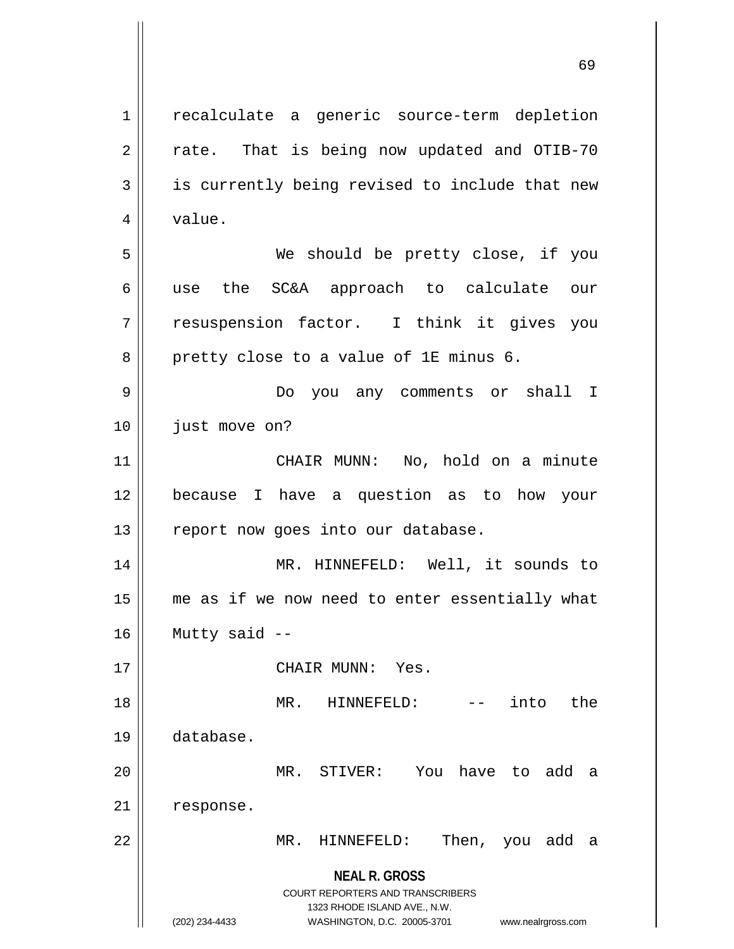**NEAL R. GROSS** COURT REPORTERS AND TRANSCRIBERS 1323 RHODE ISLAND AVE., N.W. (202) 234-4433 WASHINGTON, D.C. 20005-3701 www.nealrgross.com 1 || recalculate a generic source-term depletion  $2 \parallel$  rate. That is being now updated and OTIB-70  $3 \parallel$  is currently being revised to include that new  $4 \parallel$  value. 5 We should be pretty close, if you 6 use the SC&A approach to calculate our 7 resuspension factor. I think it gives you  $8 \parallel$  pretty close to a value of 1E minus 6. 9 Do you any comments or shall I 10 | just move on? 11 CHAIR MUNN: No, hold on a minute 12 because I have a question as to how your 13 || report now goes into our database. 14 MR. HINNEFELD: Well, it sounds to 15 || me as if we now need to enter essentially what  $16$  | Mutty said --17 CHAIR MUNN: Yes. 18 MR. HINNEFELD: -- into the 19 database. 20 MR. STIVER: You have to add a 21 response. 22 MR. HINNEFELD: Then, you add a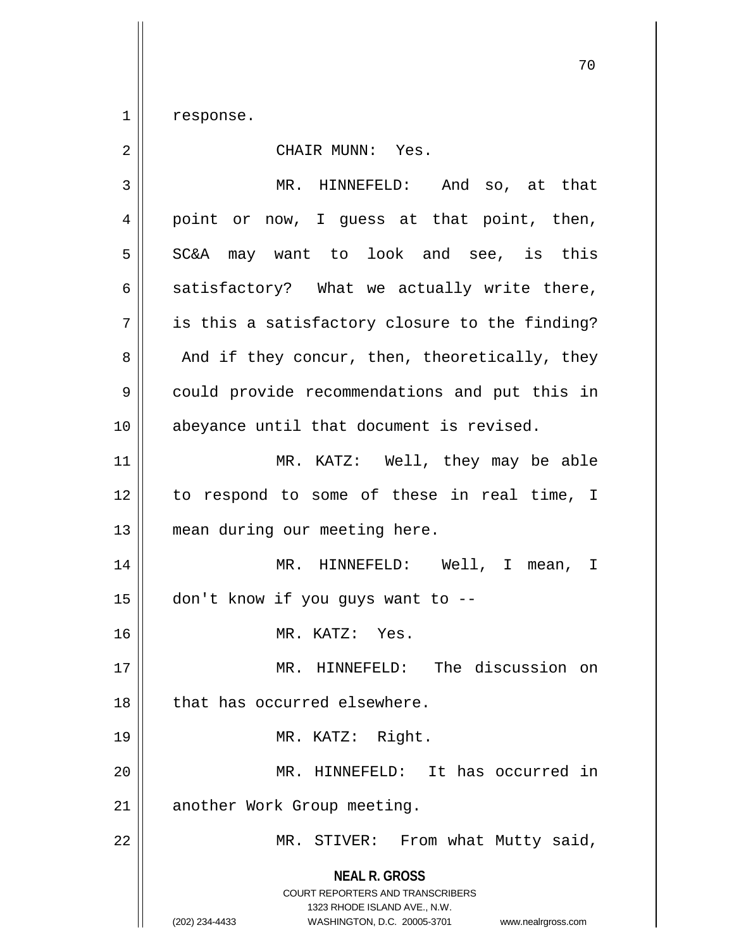$1 \parallel$  response.

| 2  | CHAIR MUNN: Yes.                                                                                                                                                       |
|----|------------------------------------------------------------------------------------------------------------------------------------------------------------------------|
| 3  | MR. HINNEFELD: And so, at that                                                                                                                                         |
| 4  | point or now, I guess at that point, then,                                                                                                                             |
| 5  | SC&A may want to look and see, is this                                                                                                                                 |
| 6  | satisfactory? What we actually write there,                                                                                                                            |
| 7  | is this a satisfactory closure to the finding?                                                                                                                         |
| 8  | And if they concur, then, theoretically, they                                                                                                                          |
| 9  | could provide recommendations and put this in                                                                                                                          |
| 10 | abeyance until that document is revised.                                                                                                                               |
| 11 | MR. KATZ: Well, they may be able                                                                                                                                       |
| 12 | to respond to some of these in real time, I                                                                                                                            |
| 13 | mean during our meeting here.                                                                                                                                          |
| 14 | MR. HINNEFELD: Well, I mean, I                                                                                                                                         |
| 15 | don't know if you guys want to --                                                                                                                                      |
| 16 | MR. KATZ: Yes.                                                                                                                                                         |
| 17 | MR. HINNEFELD: The discussion on                                                                                                                                       |
| 18 | that has occurred elsewhere.                                                                                                                                           |
| 19 | MR. KATZ: Right.                                                                                                                                                       |
| 20 | MR. HINNEFELD: It has occurred in                                                                                                                                      |
| 21 | another Work Group meeting.                                                                                                                                            |
| 22 | MR. STIVER: From what Mutty said,                                                                                                                                      |
|    | <b>NEAL R. GROSS</b><br><b>COURT REPORTERS AND TRANSCRIBERS</b><br>1323 RHODE ISLAND AVE., N.W.<br>(202) 234-4433<br>WASHINGTON, D.C. 20005-3701<br>www.nealrgross.com |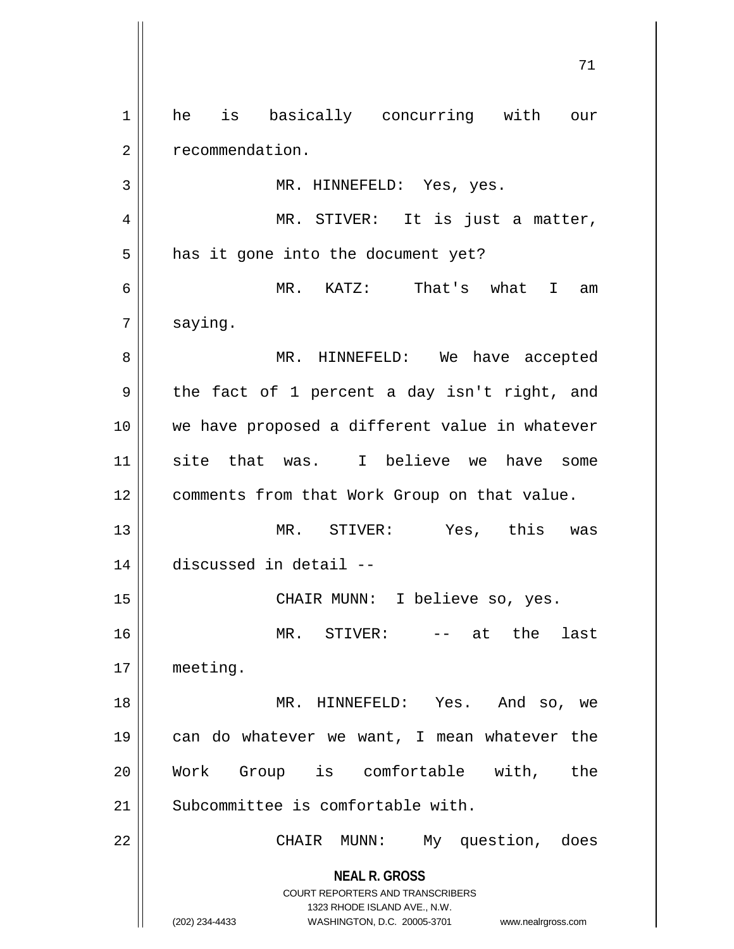**NEAL R. GROSS** COURT REPORTERS AND TRANSCRIBERS 1323 RHODE ISLAND AVE., N.W. (202) 234-4433 WASHINGTON, D.C. 20005-3701 www.nealrgross.com 1 | he is basically concurring with our 2 | recommendation. 3 || MR. HINNEFELD: Yes, yes. 4 MR. STIVER: It is just a matter,  $5 \parallel$  has it gone into the document yet? 6 MR. KATZ: That's what I am  $7 \parallel$  saying. 8 MR. HINNEFELD: We have accepted  $9 \parallel$  the fact of 1 percent a day isn't right, and 10 || we have proposed a different value in whatever 11 || site that was. I believe we have some 12 | comments from that Work Group on that value. 13 MR. STIVER: Yes, this was 14 discussed in detail -- 15 || CHAIR MUNN: I believe so, yes. 16 MR. STIVER: -- at the last 17 meeting. 18 MR. HINNEFELD: Yes. And so, we 19 || can do whatever we want, I mean whatever the 20 Work Group is comfortable with, the  $21$  Subcommittee is comfortable with. 22 || CHAIR MUNN: My question, does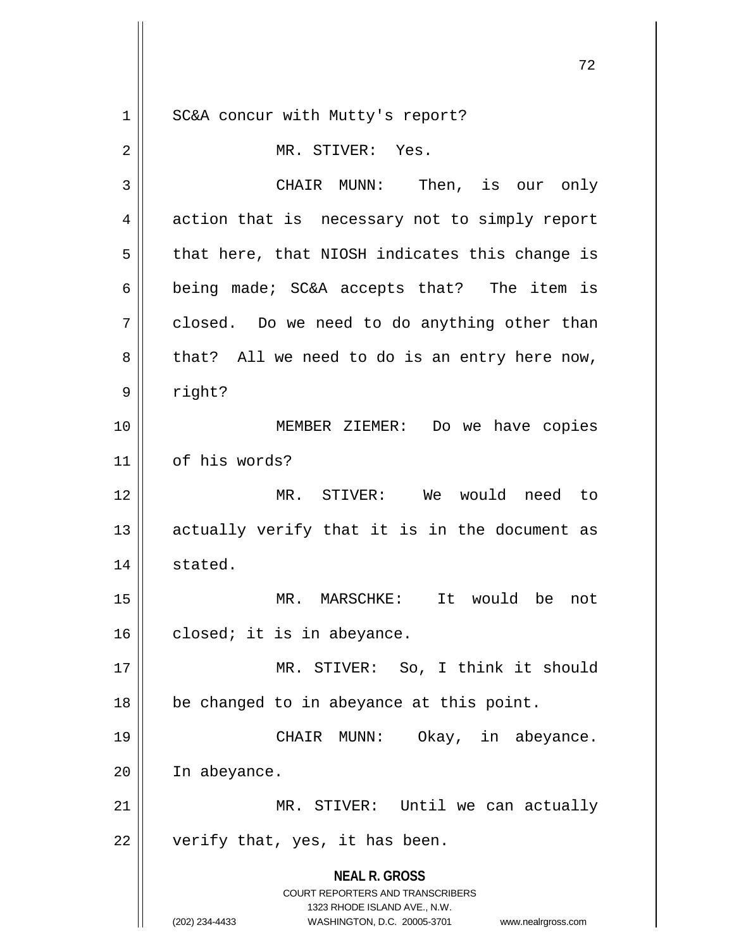**NEAL R. GROSS** COURT REPORTERS AND TRANSCRIBERS 1323 RHODE ISLAND AVE., N.W. (202) 234-4433 WASHINGTON, D.C. 20005-3701 www.nealrgross.com 1 || SC&A concur with Mutty's report? 2 MR. STIVER: Yes. 3 CHAIR MUNN: Then, is our only 4 action that is necessary not to simply report  $5 \parallel$  that here, that NIOSH indicates this change is 6 being made; SC&A accepts that? The item is  $7 \parallel$  closed. Do we need to do anything other than  $8 \parallel$  that? All we need to do is an entry here now, 9 right? 10 MEMBER ZIEMER: Do we have copies 11 | of his words? 12 MR. STIVER: We would need to  $13$  actually verify that it is in the document as 14 | stated. 15 MR. MARSCHKE: It would be not  $16$  closed; it is in abeyance. 17 || MR. STIVER: So, I think it should  $18$  | be changed to in abeyance at this point. 19 CHAIR MUNN: Okay, in abeyance. 20 In abeyance. 21 || MR. STIVER: Until we can actually  $22$  | verify that, yes, it has been.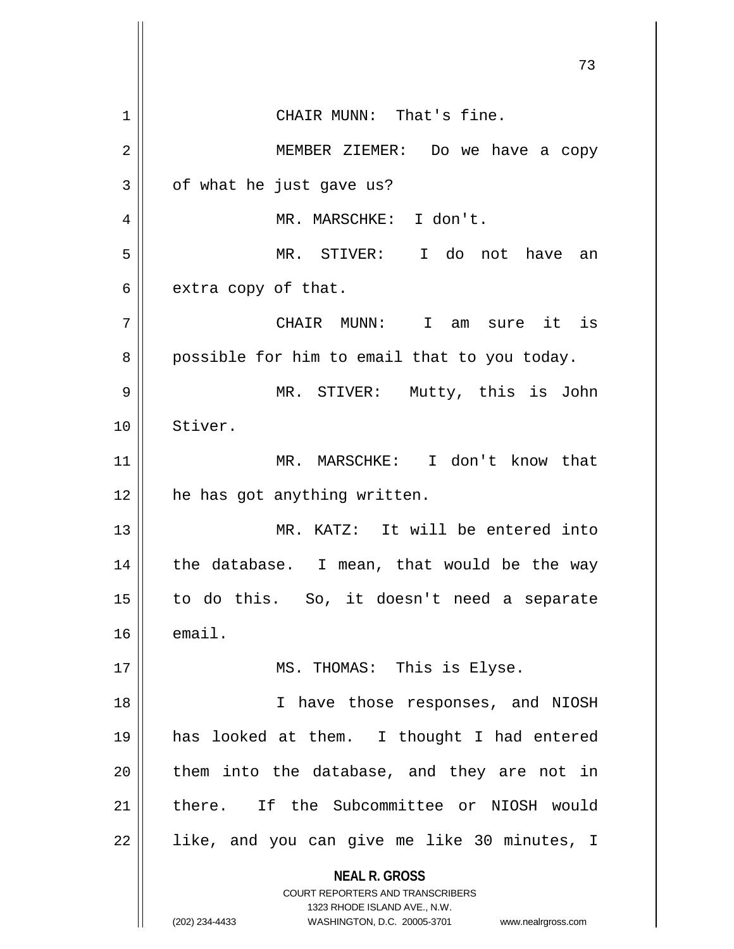**NEAL R. GROSS** COURT REPORTERS AND TRANSCRIBERS 1323 RHODE ISLAND AVE., N.W. (202) 234-4433 WASHINGTON, D.C. 20005-3701 www.nealrgross.com 73 1 | CHAIR MUNN: That's fine. 2 MEMBER ZIEMER: Do we have a copy  $3 \parallel$  of what he just gave us? 4 MR. MARSCHKE: I don't. 5 MR. STIVER: I do not have an  $6 \parallel$  extra copy of that. 7 CHAIR MUNN: I am sure it is  $8 \parallel$  possible for him to email that to you today. 9 MR. STIVER: Mutty, this is John 10 Stiver. 11 MR. MARSCHKE: I don't know that 12 | he has got anything written. 13 MR. KATZ: It will be entered into  $14$  || the database. I mean, that would be the way 15 to do this. So, it doesn't need a separate  $16$   $\parallel$  email. 17 || MS. THOMAS: This is Elyse. 18 || I have those responses, and NIOSH 19 has looked at them. I thought I had entered  $20$  || them into the database, and they are not in 21 there. If the Subcommittee or NIOSH would  $22$  || like, and you can give me like 30 minutes, I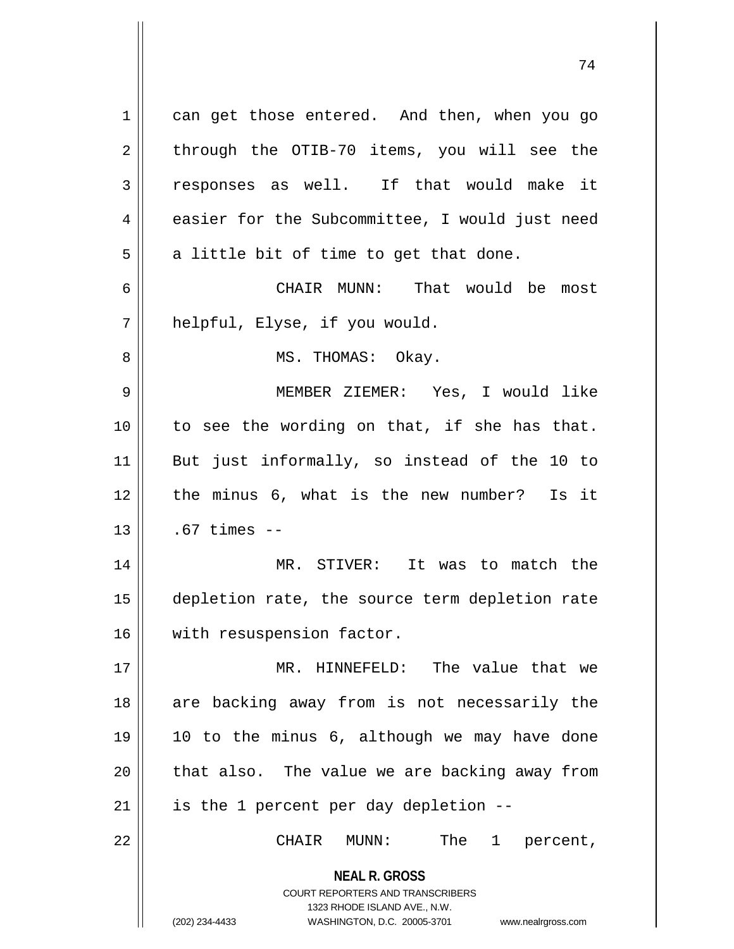**NEAL R. GROSS** COURT REPORTERS AND TRANSCRIBERS 1323 RHODE ISLAND AVE., N.W. (202) 234-4433 WASHINGTON, D.C. 20005-3701 www.nealrgross.com 1 | can get those entered. And then, when you go  $2 \parallel$  through the OTIB-70 items, you will see the  $3 \parallel$  responses as well. If that would make it 4 easier for the Subcommittee, I would just need  $5 \parallel$  a little bit of time to get that done. 6 CHAIR MUNN: That would be most 7 | helpful, Elyse, if you would. 8 || MS. THOMAS: Okay. 9 MEMBER ZIEMER: Yes, I would like  $10$  || to see the wording on that, if she has that. 11 But just informally, so instead of the 10 to  $12$  | the minus 6, what is the new number? Is it  $13$  | .67 times  $-$ 14 || MR. STIVER: It was to match the 15 depletion rate, the source term depletion rate 16 | with resuspension factor. 17 MR. HINNEFELD: The value that we 18 || are backing away from is not necessarily the 19 10 to the minus 6, although we may have done  $20$  | that also. The value we are backing away from  $21$  | is the 1 percent per day depletion --22 CHAIR MUNN: The 1 percent,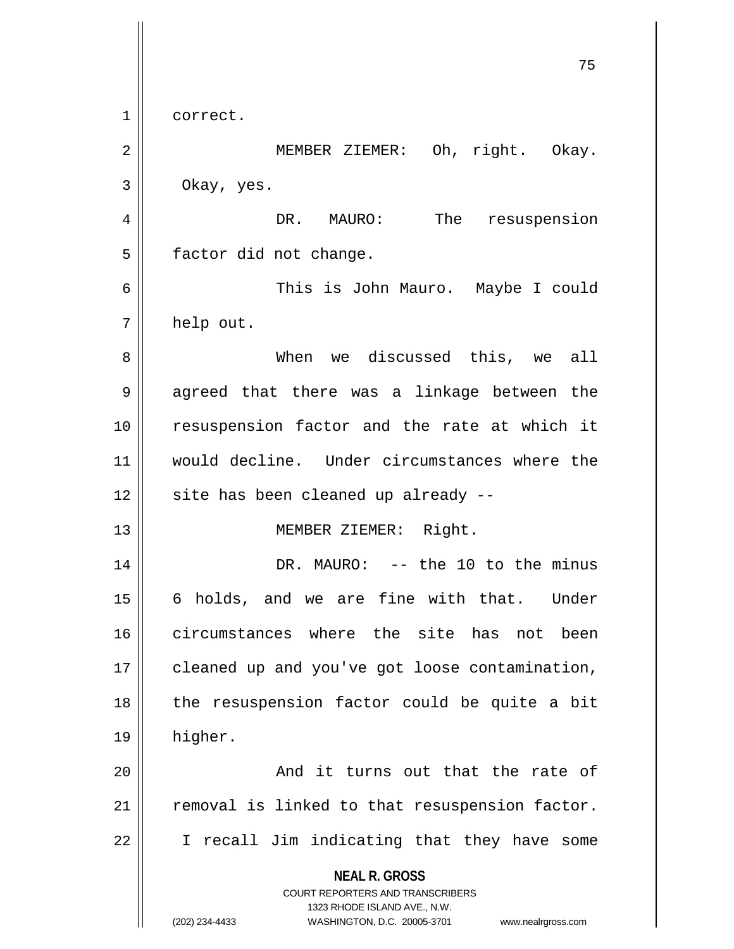**NEAL R. GROSS** COURT REPORTERS AND TRANSCRIBERS 1323 RHODE ISLAND AVE., N.W. (202) 234-4433 WASHINGTON, D.C. 20005-3701 www.nealrgross.com 75 1 || correct. 2 || MEMBER ZIEMER: Oh, right. Okay.  $3 \parallel$  Okay, yes. 4 | DR. MAURO: The resuspension  $5 \parallel$  factor did not change. 6 This is John Mauro. Maybe I could  $7 \parallel$  help out. 8 When we discussed this, we all 9 || agreed that there was a linkage between the 10 || resuspension factor and the rate at which it 11 would decline. Under circumstances where the  $12$  | site has been cleaned up already --13 || MEMBER ZIEMER: Right. 14 DR. MAURO: -- the 10 to the minus 15 || 6 holds, and we are fine with that. Under 16 circumstances where the site has not been 17 | cleaned up and you've got loose contamination,  $18$  || the resuspension factor could be quite a bit 19 higher. 20 And it turns out that the rate of  $21$  removal is linked to that resuspension factor. 22 || I recall Jim indicating that they have some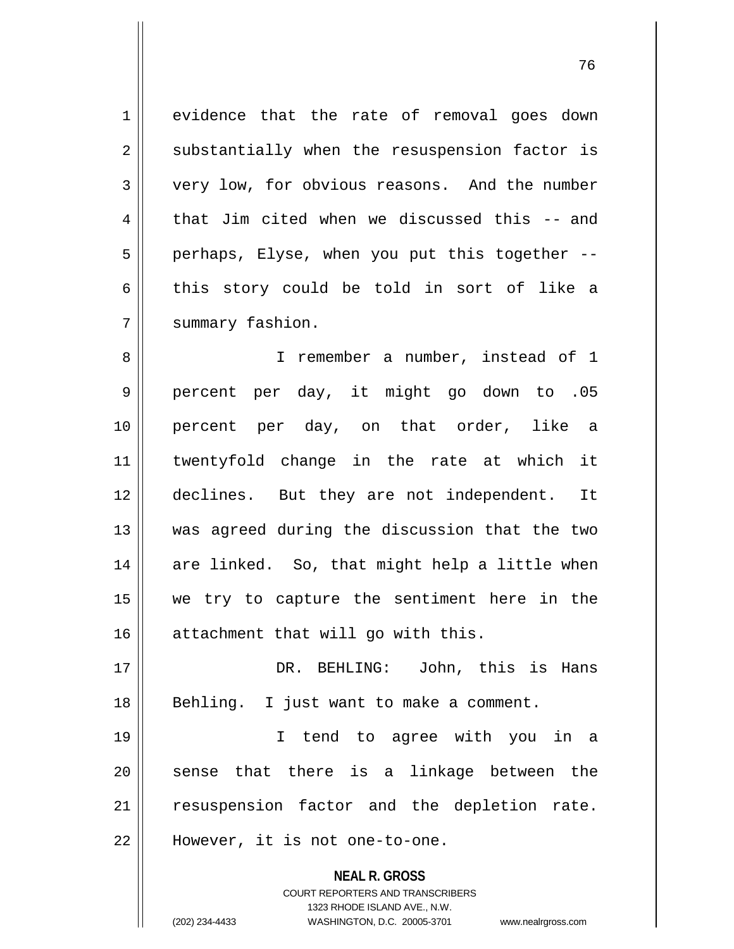1 evidence that the rate of removal goes down 2 || substantially when the resuspension factor is 3 very low, for obvious reasons. And the number  $4 \parallel$  that Jim cited when we discussed this -- and  $5$  | perhaps, Elyse, when you put this together --6 this story could be told in sort of like a 7 | summary fashion.

8 || I remember a number, instead of 1 9 percent per day, it might go down to .05 10 percent per day, on that order, like a 11 twentyfold change in the rate at which it 12 declines. But they are not independent. It 13 was agreed during the discussion that the two 14 || are linked. So, that might help a little when 15 we try to capture the sentiment here in the 16 attachment that will go with this.

17 DR. BEHLING: John, this is Hans 18 || Behling. I just want to make a comment.

19 I tend to agree with you in a  $20$  sense that there is a linkage between the 21 || resuspension factor and the depletion rate. 22 || However, it is not one-to-one.

> **NEAL R. GROSS** COURT REPORTERS AND TRANSCRIBERS 1323 RHODE ISLAND AVE., N.W. (202) 234-4433 WASHINGTON, D.C. 20005-3701 www.nealrgross.com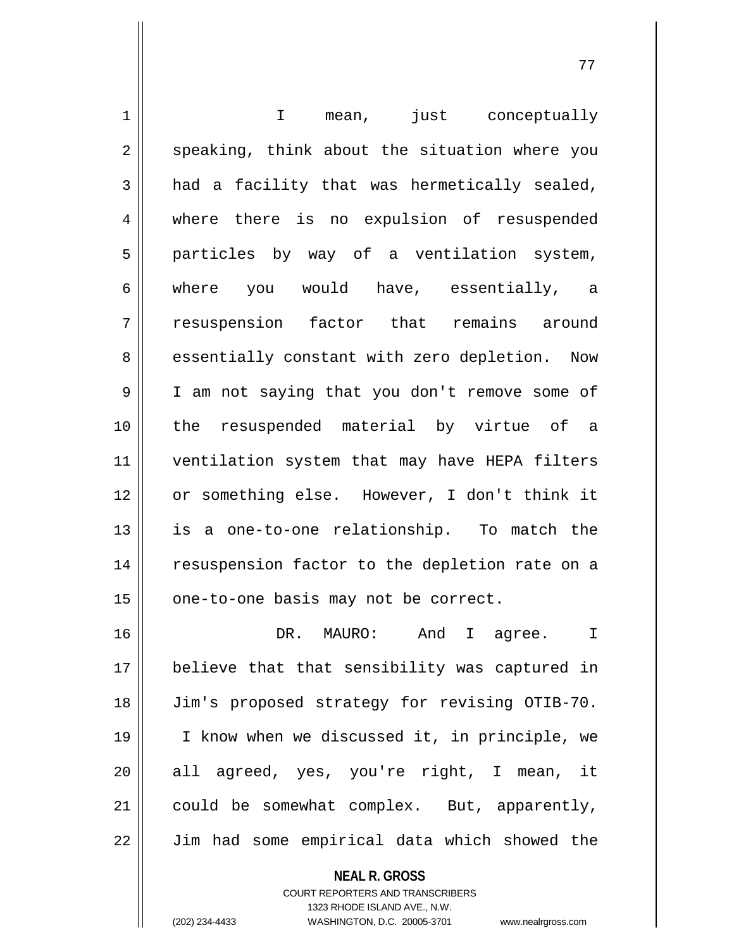1 || T mean, just conceptually 2 || speaking, think about the situation where you  $3 \parallel$  had a facility that was hermetically sealed, 4 || where there is no expulsion of resuspended  $5$  || particles by way of a ventilation system, 6 || where you would have, essentially, a 7 || resuspension factor that remains around 8 essentially constant with zero depletion. Now 9 || I am not saying that you don't remove some of 10 the resuspended material by virtue of a 11 ventilation system that may have HEPA filters 12 or something else. However, I don't think it 13 || is a one-to-one relationship. To match the 14 || resuspension factor to the depletion rate on a 15 | one-to-one basis may not be correct. 16 DR. MAURO: And I agree. I 17 believe that that sensibility was captured in 18 Jim's proposed strategy for revising OTIB-70. 19 I know when we discussed it, in principle, we  $20$  all agreed, yes, you're right, I mean, it 21  $\parallel$  could be somewhat complex. But, apparently, 22 || Jim had some empirical data which showed the

> **NEAL R. GROSS** COURT REPORTERS AND TRANSCRIBERS

> > 1323 RHODE ISLAND AVE., N.W.

(202) 234-4433 WASHINGTON, D.C. 20005-3701 www.nealrgross.com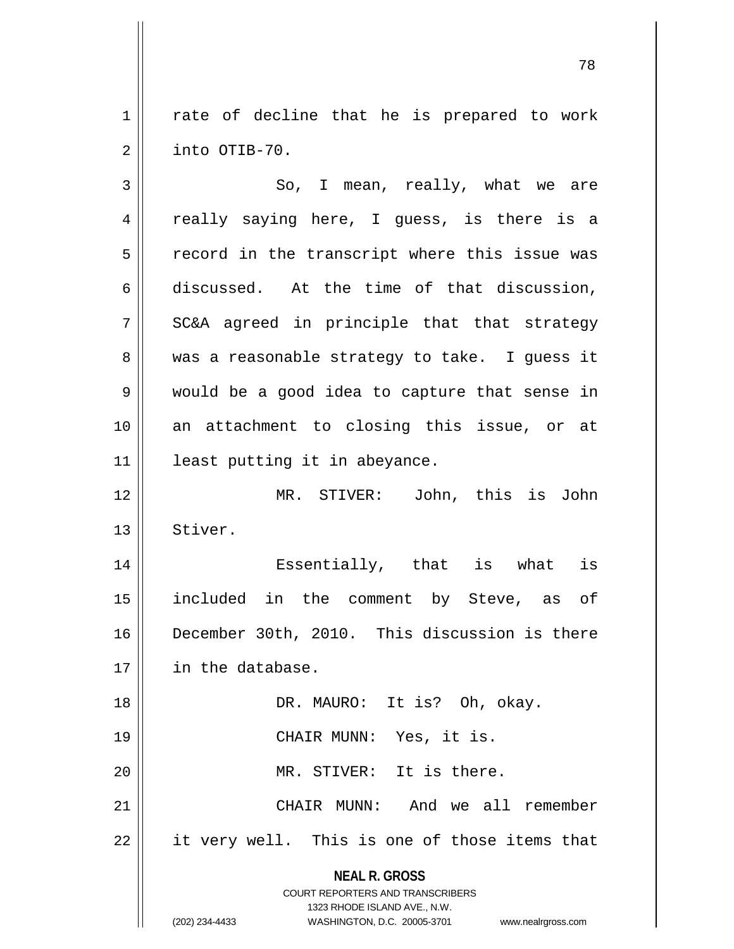$1 \parallel$  rate of decline that he is prepared to work 2 | into OTIB-70.

**NEAL R. GROSS** COURT REPORTERS AND TRANSCRIBERS 1323 RHODE ISLAND AVE., N.W. (202) 234-4433 WASHINGTON, D.C. 20005-3701 www.nealrgross.com  $3 \parallel$  So, I mean, really, what we are 4 || really saying here, I guess, is there is a  $5 \parallel$  record in the transcript where this issue was  $6 \parallel$  discussed. At the time of that discussion,  $7 \parallel$  SC&A agreed in principle that that strategy  $8 \parallel$  was a reasonable strategy to take. I guess it 9 would be a good idea to capture that sense in 10 an attachment to closing this issue, or at 11 | least putting it in abeyance. 12 MR. STIVER: John, this is John 13 Stiver. 14 Essentially, that is what is 15 included in the comment by Steve, as of 16 December 30th, 2010. This discussion is there 17 in the database. 18 || DR. MAURO: It is? Oh, okay. 19 || CHAIR MUNN: Yes, it is. 20 || MR. STIVER: It is there. 21 CHAIR MUNN: And we all remember 22 || it very well. This is one of those items that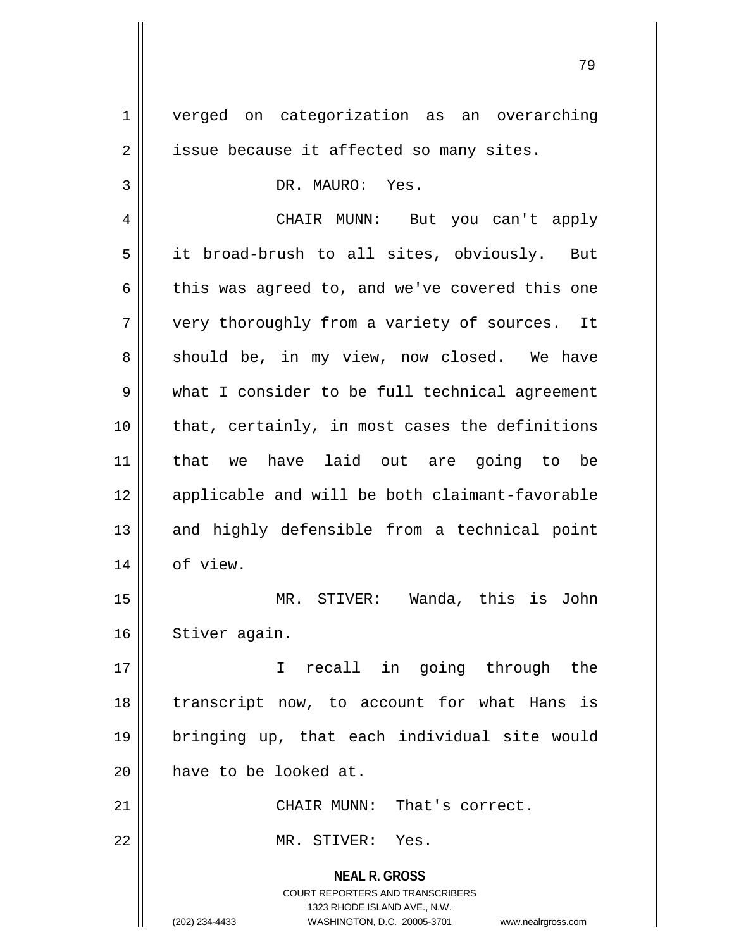**NEAL R. GROSS** COURT REPORTERS AND TRANSCRIBERS 1323 RHODE ISLAND AVE., N.W. (202) 234-4433 WASHINGTON, D.C. 20005-3701 www.nealrgross.com 1 | verged on categorization as an overarching  $2 \parallel$  issue because it affected so many sites. 3 DR. MAURO: Yes. 4 CHAIR MUNN: But you can't apply 5 it broad-brush to all sites, obviously. But 6  $\parallel$  this was agreed to, and we've covered this one  $7$  | very thoroughly from a variety of sources. It 8 || should be, in my view, now closed. We have 9 what I consider to be full technical agreement  $10$  || that, certainly, in most cases the definitions 11 that we have laid out are going to be 12 || applicable and will be both claimant-favorable 13 || and highly defensible from a technical point 14 | of view. 15 MR. STIVER: Wanda, this is John 16 | Stiver again. 17 || The in going through the 18 || transcript now, to account for what Hans is 19 bringing up, that each individual site would 20 **have to be looked at.** 21 CHAIR MUNN: That's correct. 22 MR. STIVER: Yes.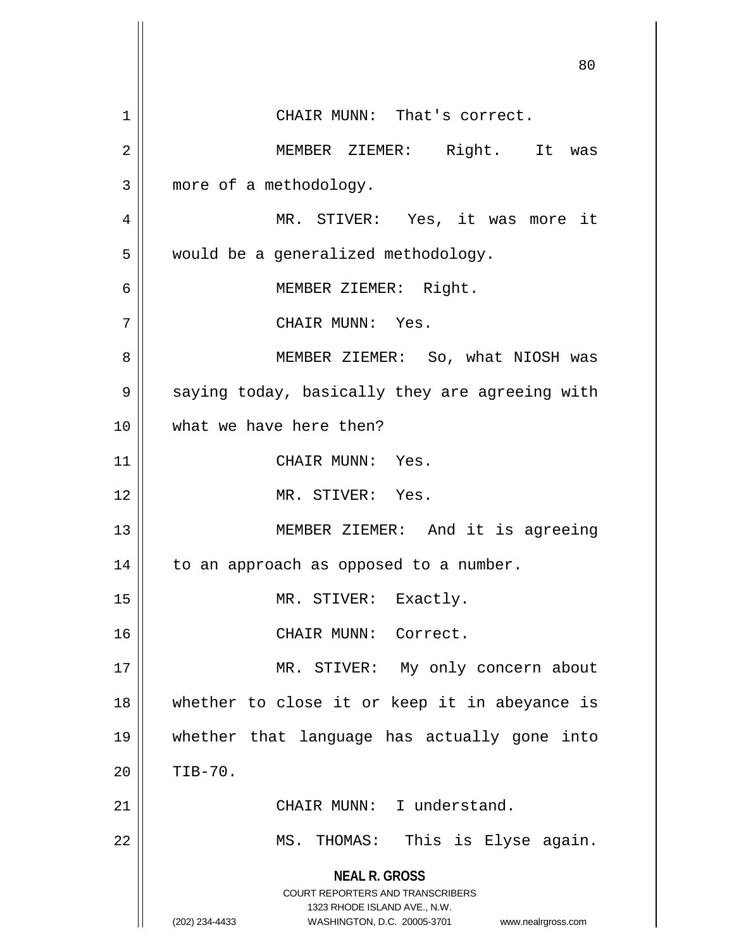**NEAL R. GROSS** COURT REPORTERS AND TRANSCRIBERS 1323 RHODE ISLAND AVE., N.W. (202) 234-4433 WASHINGTON, D.C. 20005-3701 www.nealrgross.com 80 1 || CHAIR MUNN: That's correct. 2 MEMBER ZIEMER: Right. It was 3 | more of a methodology. 4 || MR. STIVER: Yes, it was more it 5 | would be a generalized methodology. 6 || MEMBER ZIEMER: Right. 7 CHAIR MUNN: Yes. 8 MEMBER ZIEMER: So, what NIOSH was  $9 \parallel$  saying today, basically they are agreeing with 10 what we have here then? 11 | CHAIR MUNN: Yes. 12 MR. STIVER: Yes. 13 || MEMBER ZIEMER: And it is agreeing  $14$  | to an approach as opposed to a number. 15 || MR. STIVER: Exactly. 16 || CHAIR MUNN: Correct. 17 || MR. STIVER: My only concern about 18 whether to close it or keep it in abeyance is 19 whether that language has actually gone into  $20$  | TIB-70. 21 || CHAIR MUNN: I understand. 22 MS. THOMAS: This is Elyse again.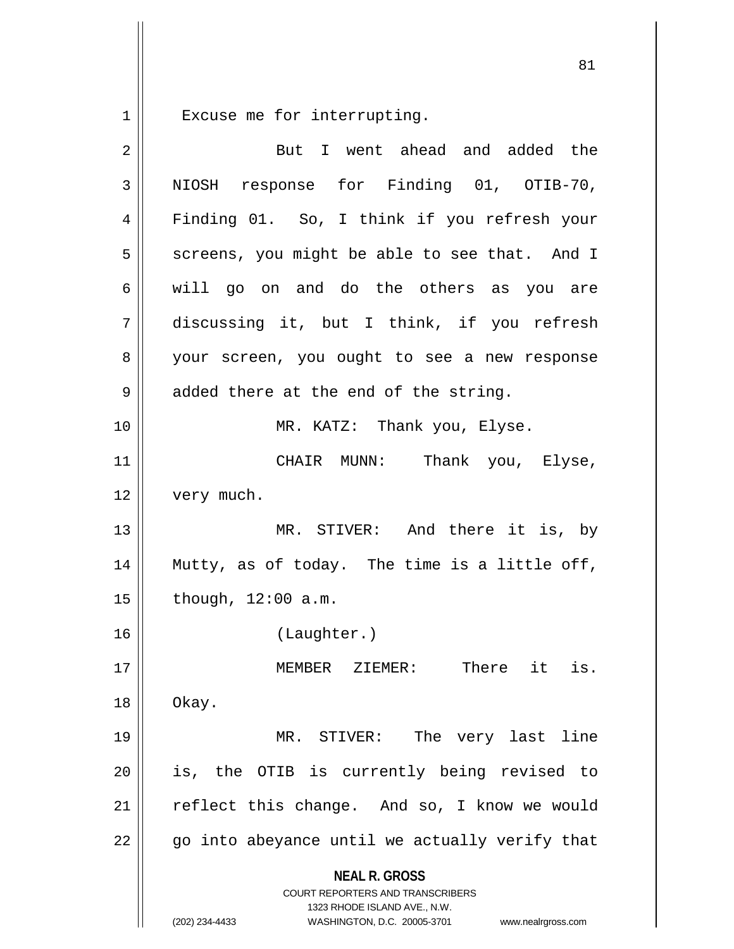1 Excuse me for interrupting.

| 2  | But I went ahead and added the                                                                                                                                  |
|----|-----------------------------------------------------------------------------------------------------------------------------------------------------------------|
| 3  | NIOSH response for Finding 01, OTIB-70,                                                                                                                         |
| 4  | Finding 01. So, I think if you refresh your                                                                                                                     |
| 5  | screens, you might be able to see that. And I                                                                                                                   |
| 6  | will go on and do the others as you are                                                                                                                         |
| 7  | discussing it, but I think, if you refresh                                                                                                                      |
| 8  | your screen, you ought to see a new response                                                                                                                    |
| 9  | added there at the end of the string.                                                                                                                           |
| 10 | MR. KATZ: Thank you, Elyse.                                                                                                                                     |
| 11 | CHAIR MUNN: Thank you, Elyse,                                                                                                                                   |
| 12 | very much.                                                                                                                                                      |
| 13 | MR. STIVER: And there it is, by                                                                                                                                 |
| 14 | Mutty, as of today. The time is a little off,                                                                                                                   |
| 15 | though, $12:00$ a.m.                                                                                                                                            |
| 16 | (Laughter.)                                                                                                                                                     |
| 17 | MEMBER ZIEMER:<br>There it is.                                                                                                                                  |
| 18 | Okay.                                                                                                                                                           |
| 19 | MR. STIVER: The very last line                                                                                                                                  |
| 20 | is, the OTIB is currently being revised to                                                                                                                      |
| 21 | reflect this change. And so, I know we would                                                                                                                    |
| 22 | go into abeyance until we actually verify that                                                                                                                  |
|    | <b>NEAL R. GROSS</b><br>COURT REPORTERS AND TRANSCRIBERS<br>1323 RHODE ISLAND AVE., N.W.<br>(202) 234-4433<br>WASHINGTON, D.C. 20005-3701<br>www.nealrgross.com |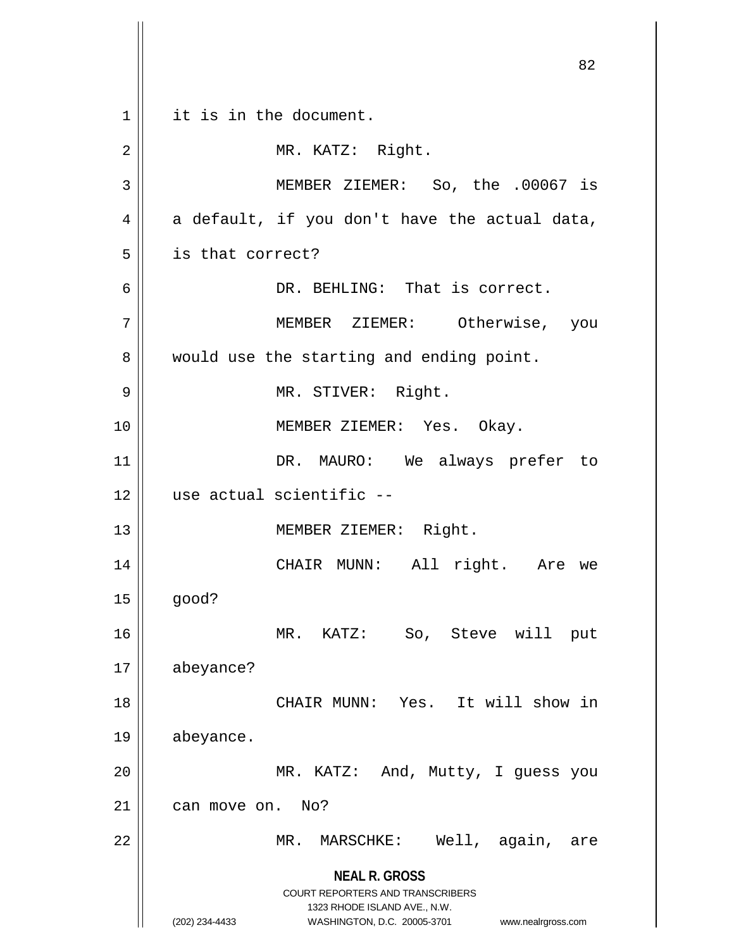**NEAL R. GROSS** COURT REPORTERS AND TRANSCRIBERS 1323 RHODE ISLAND AVE., N.W. (202) 234-4433 WASHINGTON, D.C. 20005-3701 www.nealrgross.com 1 || it is in the document. 2 || MR. KATZ: Right. 3 MEMBER ZIEMER: So, the .00067 is  $4 \parallel$  a default, if you don't have the actual data, 5 | is that correct? 6 DR. BEHLING: That is correct. 7 MEMBER ZIEMER: Otherwise, you 8 || would use the starting and ending point. 9 || MR. STIVER: Right. 10 MEMBER ZIEMER: Yes. Okay. 11 || DR. MAURO: We always prefer to 12 use actual scientific -- 13 || MEMBER ZIEMER: Right. 14 CHAIR MUNN: All right. Are we  $15 \parallel$  good? 16 MR. KATZ: So, Steve will put 17 abeyance? 18 || CHAIR MUNN: Yes. It will show in 19 abeyance. 20 || MR. KATZ: And, Mutty, I guess you 21 | can move on. No? 22 MR. MARSCHKE: Well, again, are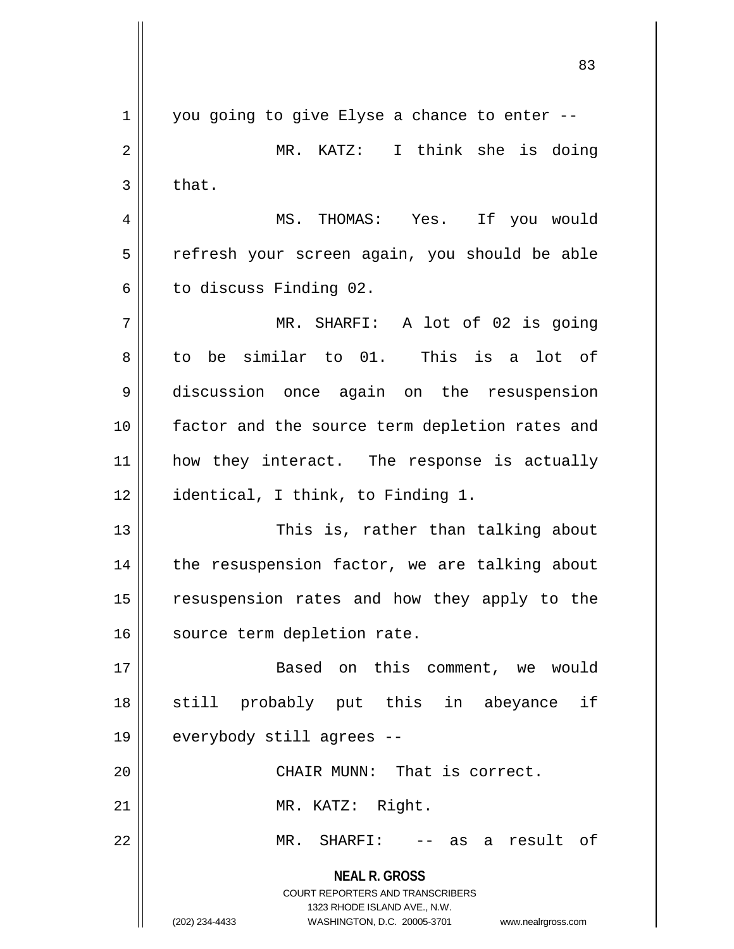**NEAL R. GROSS** COURT REPORTERS AND TRANSCRIBERS 1323 RHODE ISLAND AVE., N.W. (202) 234-4433 WASHINGTON, D.C. 20005-3701 www.nealrgross.com  $1 \parallel$  you going to give Elyse a chance to enter --2 MR. KATZ: I think she is doing  $3 \parallel$  that. 4 MS. THOMAS: Yes. If you would 5 || refresh your screen again, you should be able  $6$  to discuss Finding 02. 7 MR. SHARFI: A lot of 02 is going 8 to be similar to 01. This is a lot of 9 discussion once again on the resuspension 10 || factor and the source term depletion rates and 11 || how they interact. The response is actually 12 | identical, I think, to Finding 1. 13 || This is, rather than talking about  $14$  | the resuspension factor, we are talking about 15 || resuspension rates and how they apply to the 16 || source term depletion rate. 17 Based on this comment, we would 18 || still probably put this in abeyance if 19 || everybody still agrees --20 CHAIR MUNN: That is correct. 21 || MR. KATZ: Right. 22 MR. SHARFI: -- as a result of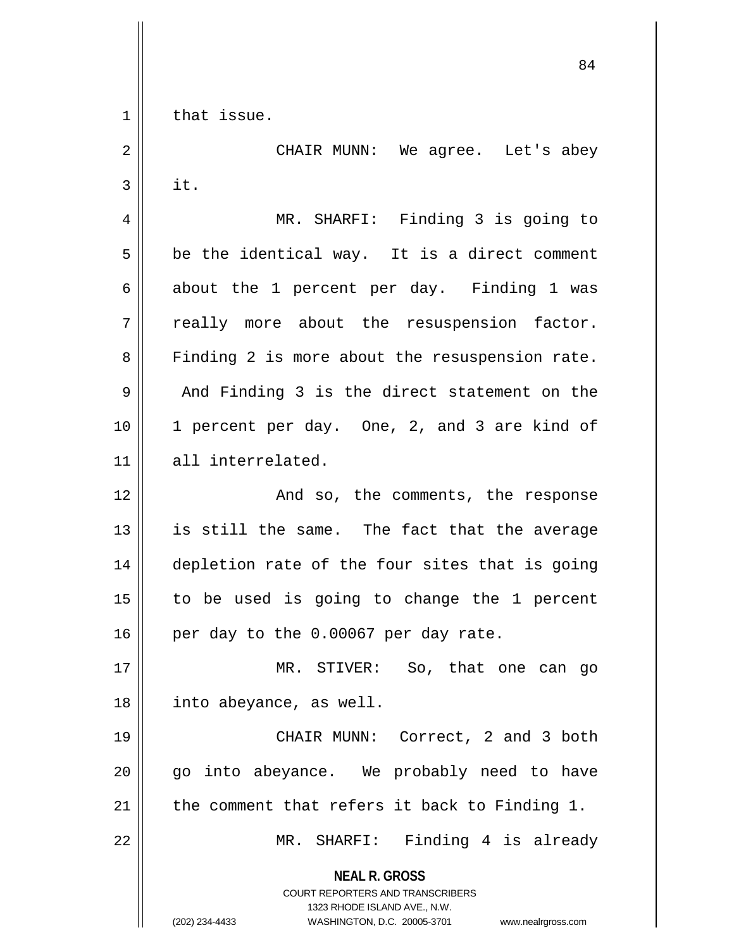$1$  that issue.

**NEAL R. GROSS** COURT REPORTERS AND TRANSCRIBERS 1323 RHODE ISLAND AVE., N.W. (202) 234-4433 WASHINGTON, D.C. 20005-3701 www.nealrgross.com 2 CHAIR MUNN: We agree. Let's abey  $3 \parallel$  it. 4 || MR. SHARFI: Finding 3 is going to  $5 \parallel$  be the identical way. It is a direct comment 6 about the 1 percent per day. Finding 1 was  $7 \parallel$  really more about the resuspension factor. 8 || Finding 2 is more about the resuspension rate.  $9 \parallel$  And Finding 3 is the direct statement on the 10 1 percent per day. One, 2, and 3 are kind of 11 all interrelated. 12 || The Solembo And so, the comments, the response  $13$  is still the same. The fact that the average 14 depletion rate of the four sites that is going 15 to be used is going to change the 1 percent  $16$  | per day to the 0.00067 per day rate. 17 MR. STIVER: So, that one can go 18 || into abeyance, as well. 19 || CHAIR MUNN: Correct, 2 and 3 both  $20$  || qo into abeyance. We probably need to have 21  $\parallel$  the comment that refers it back to Finding 1. 22 || MR. SHARFI: Finding 4 is already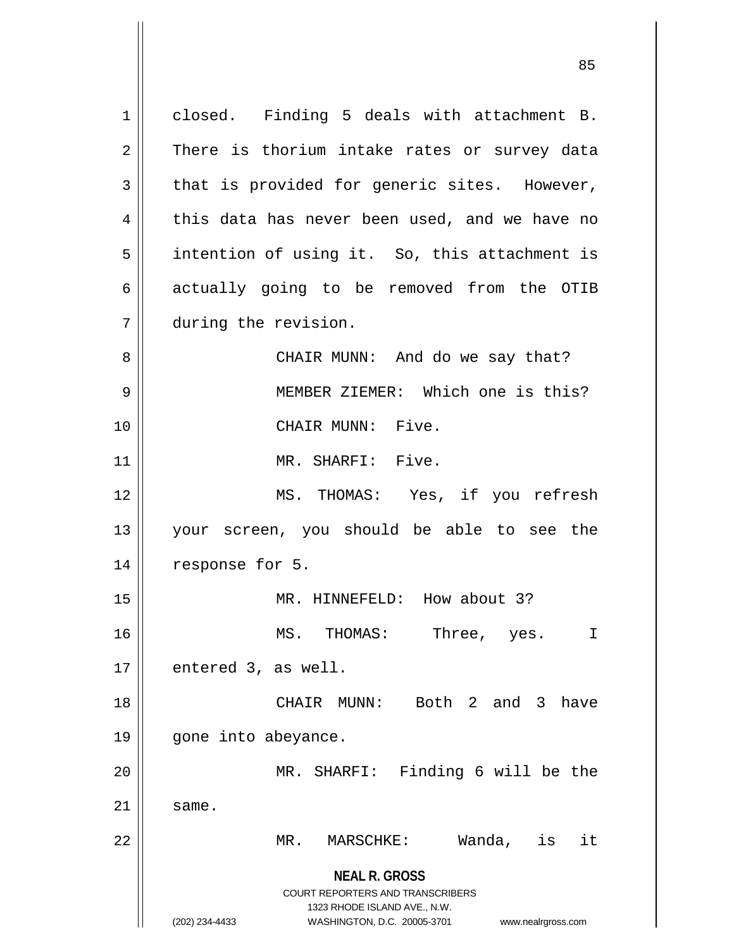**NEAL R. GROSS** COURT REPORTERS AND TRANSCRIBERS 1323 RHODE ISLAND AVE., N.W. (202) 234-4433 WASHINGTON, D.C. 20005-3701 www.nealrgross.com 1 || closed. Finding 5 deals with attachment B.  $2 \parallel$  There is thorium intake rates or survey data  $3 \parallel$  that is provided for generic sites. However,  $4 \parallel$  this data has never been used, and we have no 5 | intention of using it. So, this attachment is  $6 \parallel$  actually going to be removed from the OTIB 7 during the revision. 8 CHAIR MUNN: And do we say that? 9 MEMBER ZIEMER: Which one is this? 10 CHAIR MUNN: Five. 11 || MR. SHARFI: Five. 12 MS. THOMAS: Yes, if you refresh 13 your screen, you should be able to see the 14 || response for 5. 15 || MR. HINNEFELD: How about 3? 16 MS. THOMAS: Three, yes. I  $17 \parallel$  entered 3, as well. 18 CHAIR MUNN: Both 2 and 3 have 19 gone into abeyance. 20 MR. SHARFI: Finding 6 will be the  $21 \parallel$  same. 22 MR. MARSCHKE: Wanda, is it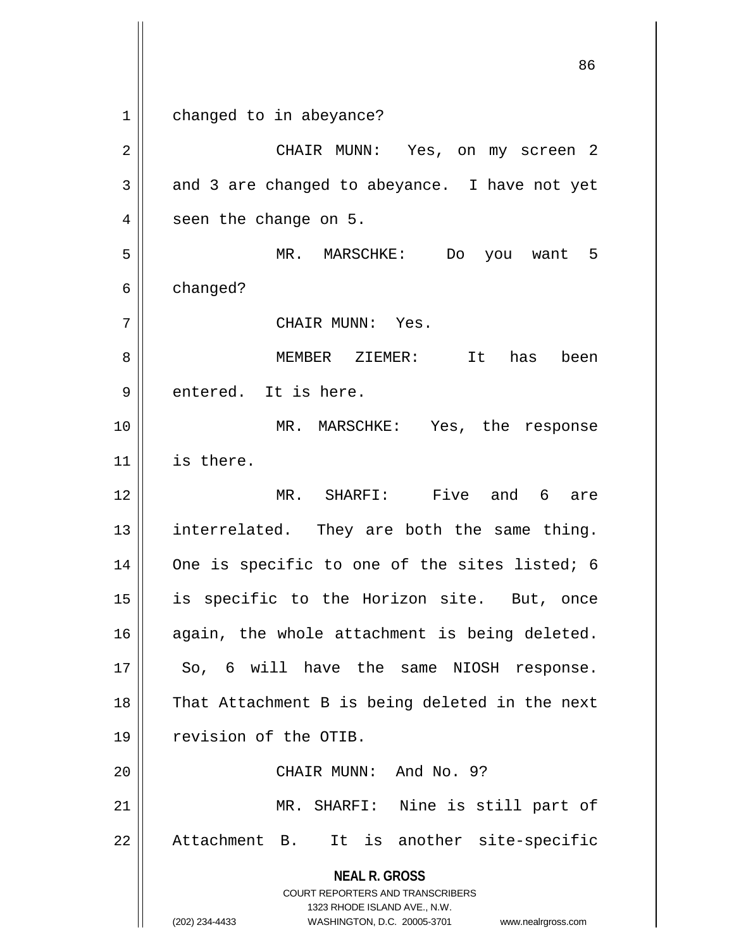**NEAL R. GROSS** COURT REPORTERS AND TRANSCRIBERS 1323 RHODE ISLAND AVE., N.W. (202) 234-4433 WASHINGTON, D.C. 20005-3701 www.nealrgross.com 1 | changed to in abeyance? 2 CHAIR MUNN: Yes, on my screen 2  $3 \parallel$  and 3 are changed to abeyance. I have not yet  $4 \parallel$  seen the change on 5. 5 MR. MARSCHKE: Do you want 5  $6 \parallel$  changed? 7 CHAIR MUNN: Yes. 8 MEMBER ZIEMER: It has been 9 || entered. It is here. 10 MR. MARSCHKE: Yes, the response 11 is there. 12 MR. SHARFI: Five and 6 are  $13$  || interrelated. They are both the same thing. 14 || One is specific to one of the sites listed; 6 15 is specific to the Horizon site. But, once 16 || again, the whole attachment is being deleted. 17 || So, 6 will have the same NIOSH response.  $18$  || That Attachment B is being deleted in the next 19 || revision of the OTIB. 20 || CHAIR MUNN: And No. 9? 21 || MR. SHARFI: Nine is still part of 22 || Attachment B. It is another site-specific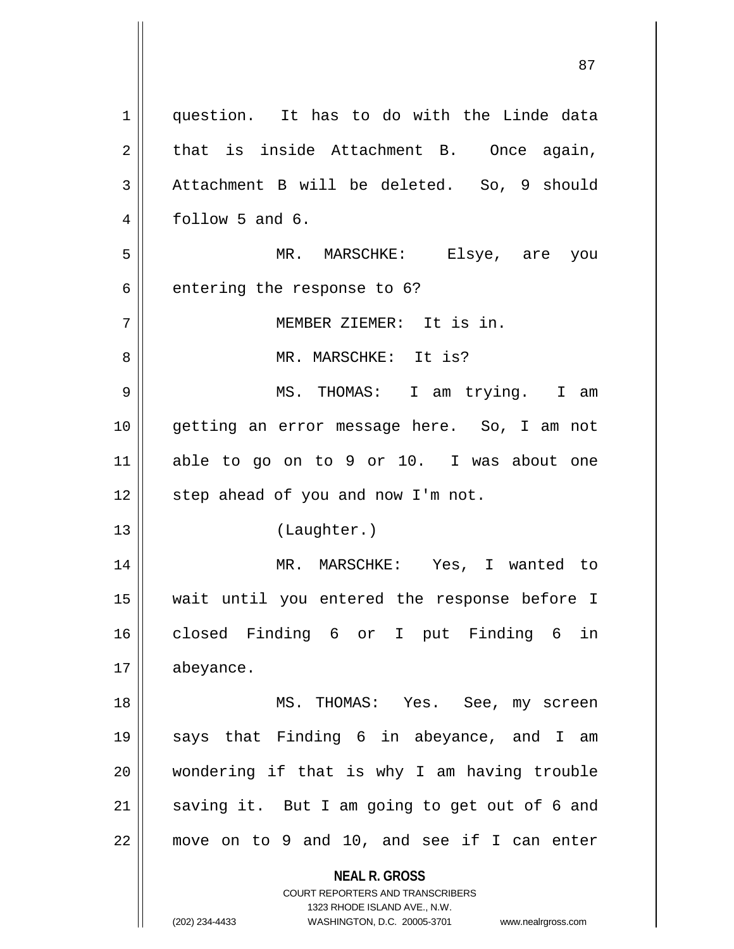| 1  | question. It has to do with the Linde data                                                                                                                             |
|----|------------------------------------------------------------------------------------------------------------------------------------------------------------------------|
| 2  | that is inside Attachment B. Once again,                                                                                                                               |
| 3  | Attachment B will be deleted. So, 9 should                                                                                                                             |
| 4  | follow 5 and 6.                                                                                                                                                        |
| 5  | MR. MARSCHKE: Elsye, are you                                                                                                                                           |
| 6  | entering the response to 6?                                                                                                                                            |
| 7  | MEMBER ZIEMER: It is in.                                                                                                                                               |
| 8  | MR. MARSCHKE: It is?                                                                                                                                                   |
| 9  | MS. THOMAS: I am trying. I am                                                                                                                                          |
| 10 | getting an error message here. So, I am not                                                                                                                            |
| 11 | able to go on to 9 or 10. I was about one                                                                                                                              |
| 12 | step ahead of you and now I'm not.                                                                                                                                     |
| 13 | (Laughter.)                                                                                                                                                            |
| 14 | MR. MARSCHKE: Yes, I wanted to                                                                                                                                         |
| 15 | wait until you entered the response before I                                                                                                                           |
| 16 | closed Finding 6 or I put Finding 6<br>in                                                                                                                              |
| 17 | abeyance.                                                                                                                                                              |
| 18 | MS. THOMAS: Yes. See, my screen                                                                                                                                        |
| 19 | says that Finding 6 in abeyance, and I am                                                                                                                              |
| 20 | wondering if that is why I am having trouble                                                                                                                           |
| 21 | saving it. But I am going to get out of 6 and                                                                                                                          |
| 22 | move on to 9 and 10, and see if I can enter                                                                                                                            |
|    | <b>NEAL R. GROSS</b><br><b>COURT REPORTERS AND TRANSCRIBERS</b><br>1323 RHODE ISLAND AVE., N.W.<br>(202) 234-4433<br>WASHINGTON, D.C. 20005-3701<br>www.nealrgross.com |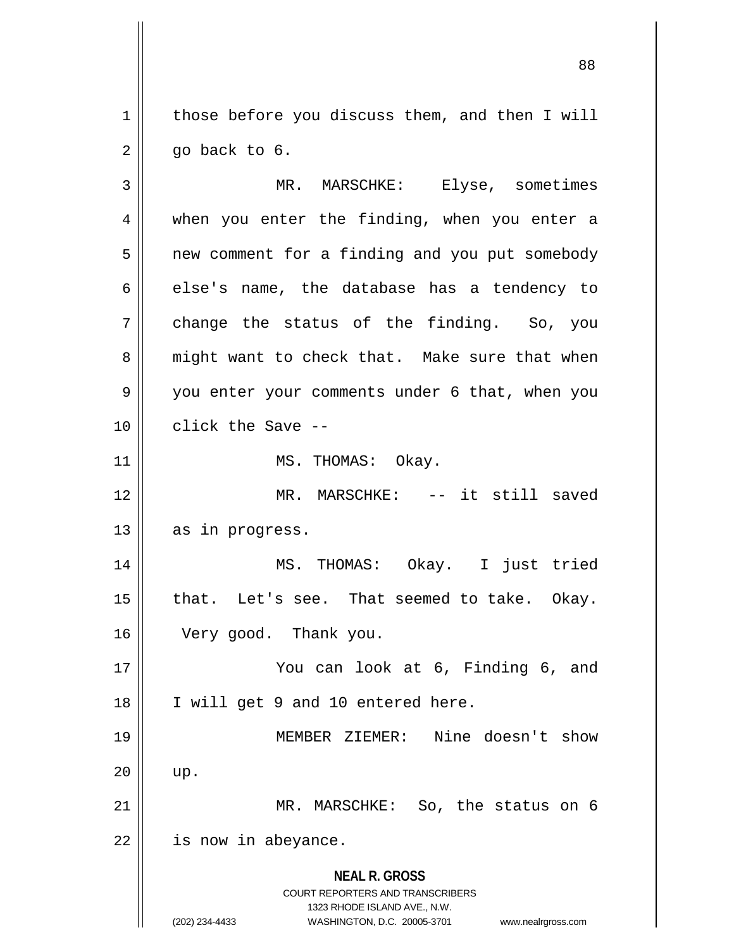$1 \parallel$  those before you discuss them, and then I will  $2 \parallel$  qo back to 6.

**NEAL R. GROSS** COURT REPORTERS AND TRANSCRIBERS 1323 RHODE ISLAND AVE., N.W. (202) 234-4433 WASHINGTON, D.C. 20005-3701 www.nealrgross.com 3 MR. MARSCHKE: Elyse, sometimes 4 || when you enter the finding, when you enter a 5 | new comment for a finding and you put somebody  $6 \parallel$  else's name, the database has a tendency to  $7 \parallel$  change the status of the finding. So, you 8 || might want to check that. Make sure that when 9 you enter your comments under 6 that, when you 10 **d** click the Save --11 || MS. THOMAS: Okay. 12 MR. MARSCHKE: -- it still saved 13 || as in progress. 14 MS. THOMAS: Okay. I just tried  $15$  | that. Let's see. That seemed to take. Okay. 16 Very good. Thank you. 17 || You can look at 6, Finding 6, and 18 || I will get 9 and 10 entered here. 19 MEMBER ZIEMER: Nine doesn't show  $20$  || up. 21 || MR. MARSCHKE: So, the status on 6  $22$  | is now in abeyance.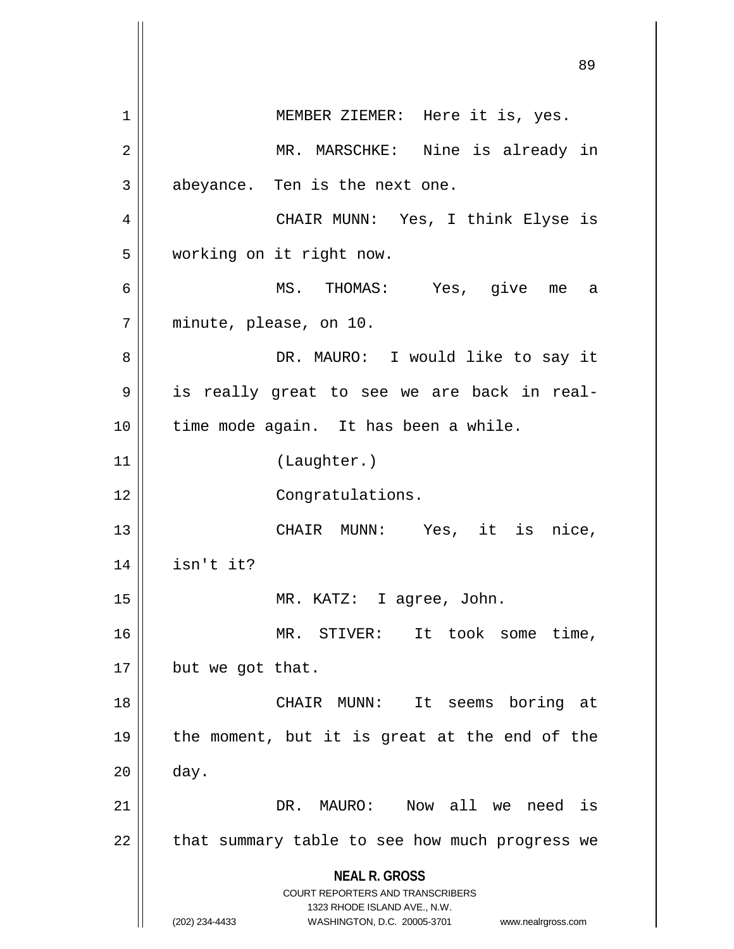**NEAL R. GROSS** COURT REPORTERS AND TRANSCRIBERS 1323 RHODE ISLAND AVE., N.W. (202) 234-4433 WASHINGTON, D.C. 20005-3701 www.nealrgross.com 1 || MEMBER ZIEMER: Here it is, yes. 2 MR. MARSCHKE: Nine is already in  $3 \parallel$  abeyance. Ten is the next one. 4 CHAIR MUNN: Yes, I think Elyse is 5 working on it right now. 6 MS. THOMAS: Yes, give me a 7 minute, please, on 10. 8 DR. MAURO: I would like to say it 9 || is really great to see we are back in real-10 || time mode again. It has been a while. 11 (Laughter.) 12 || Congratulations. 13 CHAIR MUNN: Yes, it is nice,  $14$  | isn't it? 15 MR. KATZ: I agree, John. 16 MR. STIVER: It took some time,  $17$  | but we got that. 18 CHAIR MUNN: It seems boring at 19  $\parallel$  the moment, but it is great at the end of the  $20$  | day. 21 DR. MAURO: Now all we need is  $22$  | that summary table to see how much progress we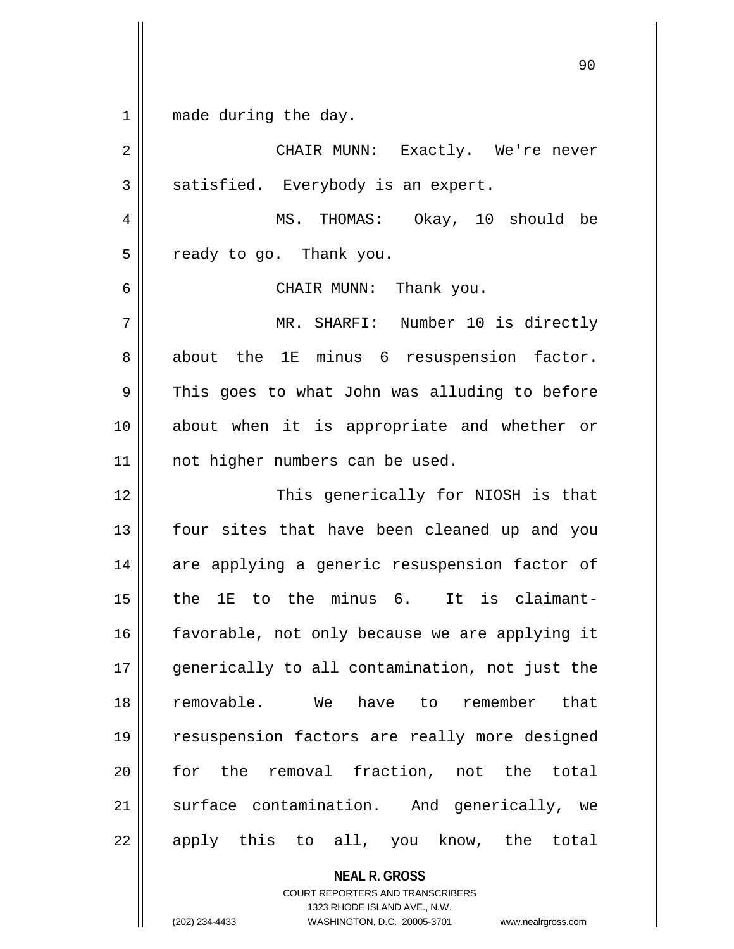1 || made during the day.

2 CHAIR MUNN: Exactly. We're never  $3 \parallel$  satisfied. Everybody is an expert. 4 MS. THOMAS: Okay, 10 should be  $5 \parallel$  ready to go. Thank you. 6 CHAIR MUNN: Thank you. 7 || MR. SHARFI: Number 10 is directly  $8 \parallel$  about the 1E minus 6 resuspension factor.  $9 \parallel$  This goes to what John was alluding to before 10 about when it is appropriate and whether or 11 || not higher numbers can be used. 12 || This generically for NIOSH is that 13 || four sites that have been cleaned up and you 14 || are applying a generic resuspension factor of  $15$  | the 1E to the minus 6. It is claimant-16 || favorable, not only because we are applying it 17 generically to all contamination, not just the 18 removable. We have to remember that 19 resuspension factors are really more designed 20 || for the removal fraction, not the total 21 Surface contamination. And generically, we  $22$  || apply this to all, you know, the total

> **NEAL R. GROSS** COURT REPORTERS AND TRANSCRIBERS 1323 RHODE ISLAND AVE., N.W.

(202) 234-4433 WASHINGTON, D.C. 20005-3701 www.nealrgross.com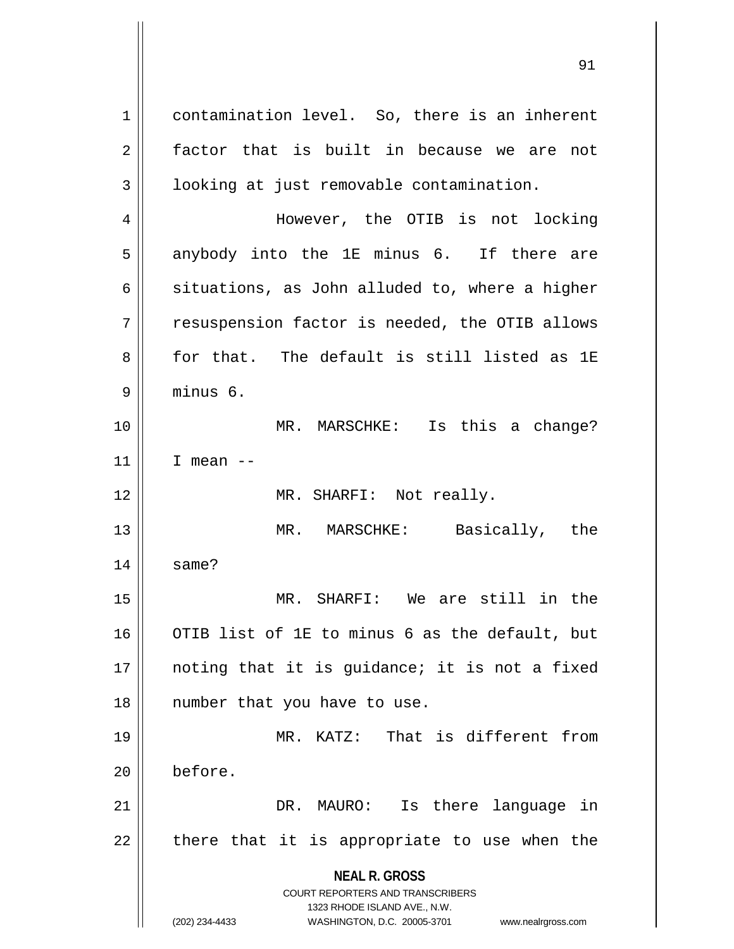**NEAL R. GROSS** COURT REPORTERS AND TRANSCRIBERS 1323 RHODE ISLAND AVE., N.W. (202) 234-4433 WASHINGTON, D.C. 20005-3701 www.nealrgross.com 1 contamination level. So, there is an inherent 2 factor that is built in because we are not 3 | looking at just removable contamination. 4 However, the OTIB is not locking  $5 \parallel$  anybody into the 1E minus 6. If there are 6  $\parallel$  situations, as John alluded to, where a higher 7 || resuspension factor is needed, the OTIB allows 8 for that. The default is still listed as 1E 9 minus 6. 10 MR. MARSCHKE: Is this a change?  $11$  | I mean --12 || MR. SHARFI: Not really. 13 MR. MARSCHKE: Basically, the  $14$   $\parallel$  same? 15 MR. SHARFI: We are still in the 16 || OTIB list of 1E to minus 6 as the default, but 17 || noting that it is guidance; it is not a fixed 18 || number that you have to use. 19 MR. KATZ: That is different from 20 before. 21 || DR. MAURO: Is there language in  $22$  || there that it is appropriate to use when the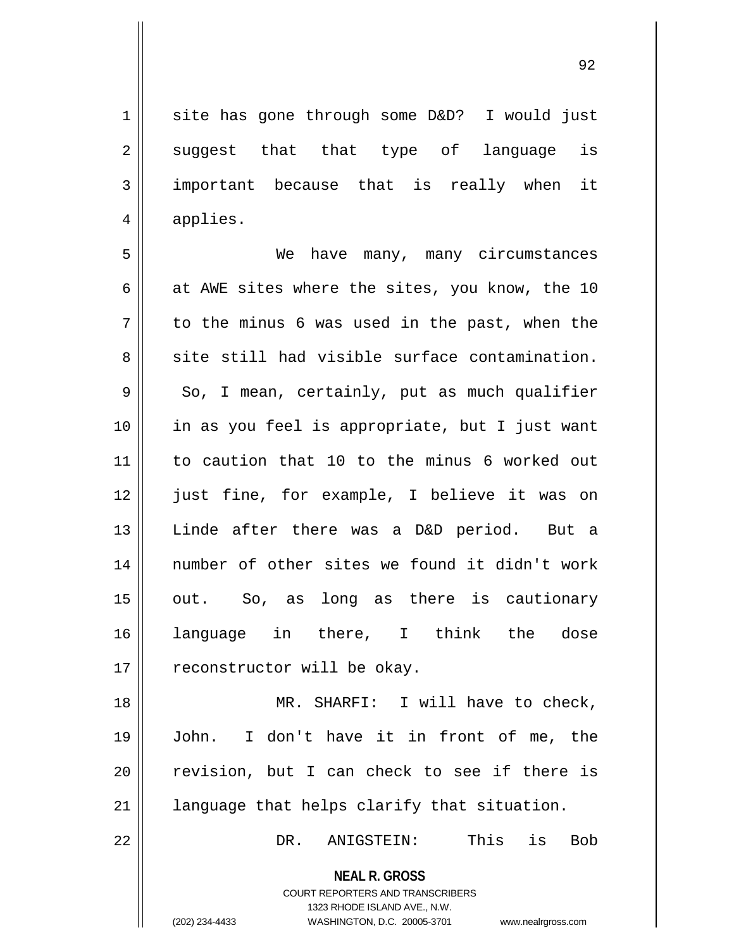|                | 1     site has gone through some D&D?  I would just |
|----------------|-----------------------------------------------------|
| $2 \mid$       | suggest that that type of language is               |
| 3 <sup>1</sup> | important because that is really when it            |
| $4 \parallel$  | applies.                                            |
|                |                                                     |

5 We have many, many circumstances 6  $\parallel$  at AWE sites where the sites, you know, the 10  $7 \parallel$  to the minus 6 was used in the past, when the  $8 \parallel$  site still had visible surface contamination.  $9 \parallel$  So, I mean, certainly, put as much qualifier 10 in as you feel is appropriate, but I just want 11 to caution that 10 to the minus 6 worked out 12 || just fine, for example, I believe it was on 13 Linde after there was a D&D period. But a 14 || number of other sites we found it didn't work  $15$  || out. So, as long as there is cautionary 16 language in there, I think the dose 17 | reconstructor will be okay.

18 || MR. SHARFI: I will have to check, 19 John. I don't have it in front of me, the  $20$  revision, but I can check to see if there is  $21$  | language that helps clarify that situation.

22 DR. ANIGSTEIN: This is Bob

**NEAL R. GROSS** COURT REPORTERS AND TRANSCRIBERS

1323 RHODE ISLAND AVE., N.W.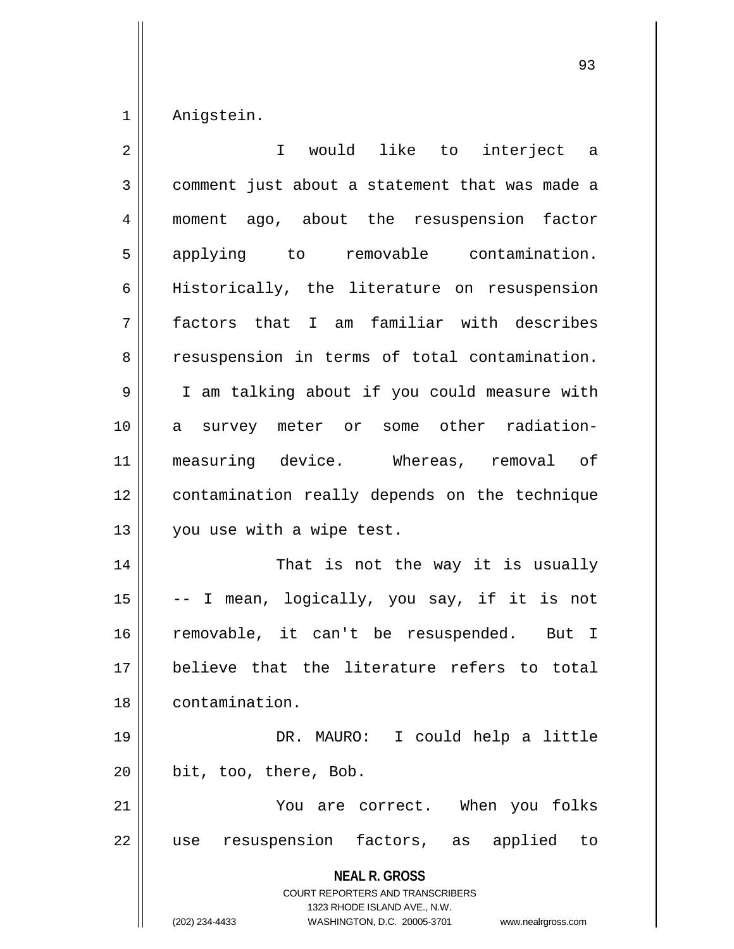1 Anigstein.

| $\overline{2}$ | I would like to interject a                                                                                                                                            |
|----------------|------------------------------------------------------------------------------------------------------------------------------------------------------------------------|
| 3              | comment just about a statement that was made a                                                                                                                         |
| 4              | moment ago, about the resuspension factor                                                                                                                              |
| 5              | applying to removable contamination.                                                                                                                                   |
| 6              | Historically, the literature on resuspension                                                                                                                           |
| 7              | factors that I am familiar with describes                                                                                                                              |
| 8              | resuspension in terms of total contamination.                                                                                                                          |
| $\mathsf 9$    | I am talking about if you could measure with                                                                                                                           |
| 10             | a survey meter or some other radiation-                                                                                                                                |
| 11             | measuring device. Whereas, removal of                                                                                                                                  |
| 12             | contamination really depends on the technique                                                                                                                          |
| 13             | you use with a wipe test.                                                                                                                                              |
| 14             | That is not the way it is usually                                                                                                                                      |
| 15             | -- I mean, logically, you say, if it is not                                                                                                                            |
| 16             | removable, it can't be resuspended. But I                                                                                                                              |
| $17$           | believe that the literature refers to total                                                                                                                            |
| 18             | contamination.                                                                                                                                                         |
| 19             | DR. MAURO: I could help a little                                                                                                                                       |
| 20             | bit, too, there, Bob.                                                                                                                                                  |
| 21             | You are correct. When you folks                                                                                                                                        |
| 22             | resuspension factors, as applied<br>to<br>use                                                                                                                          |
|                | <b>NEAL R. GROSS</b><br><b>COURT REPORTERS AND TRANSCRIBERS</b><br>1323 RHODE ISLAND AVE., N.W.<br>(202) 234-4433<br>WASHINGTON, D.C. 20005-3701<br>www.nealrgross.com |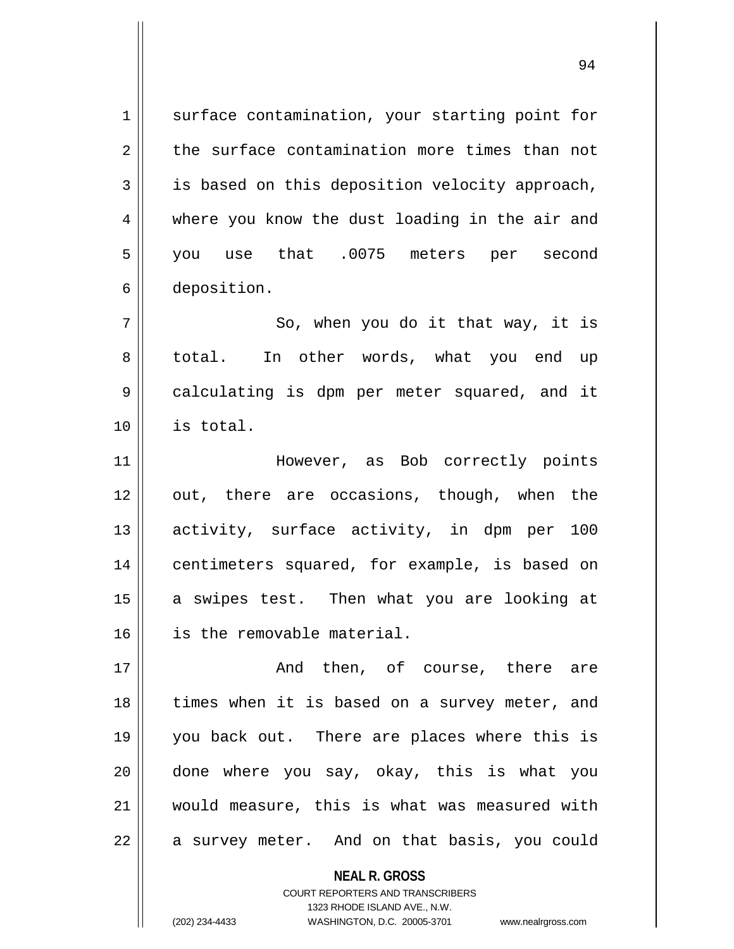1 surface contamination, your starting point for  $2 \parallel$  the surface contamination more times than not  $3 \parallel$  is based on this deposition velocity approach, 4 where you know the dust loading in the air and 5 you use that .0075 meters per second 6 deposition.  $7 \parallel$  So, when you do it that way, it is

8 || total. In other words, what you end up 9 calculating is dpm per meter squared, and it 10 is total.

11 However, as Bob correctly points 12 || out, there are occasions, though, when the 13 activity, surface activity, in dpm per 100 14 || centimeters squared, for example, is based on 15 || a swipes test. Then what you are looking at 16 is the removable material.

17 And then, of course, there are 18 || times when it is based on a survey meter, and 19 you back out. There are places where this is 20 done where you say, okay, this is what you 21 would measure, this is what was measured with 22 || a survey meter. And on that basis, you could

> **NEAL R. GROSS** COURT REPORTERS AND TRANSCRIBERS 1323 RHODE ISLAND AVE., N.W. (202) 234-4433 WASHINGTON, D.C. 20005-3701 www.nealrgross.com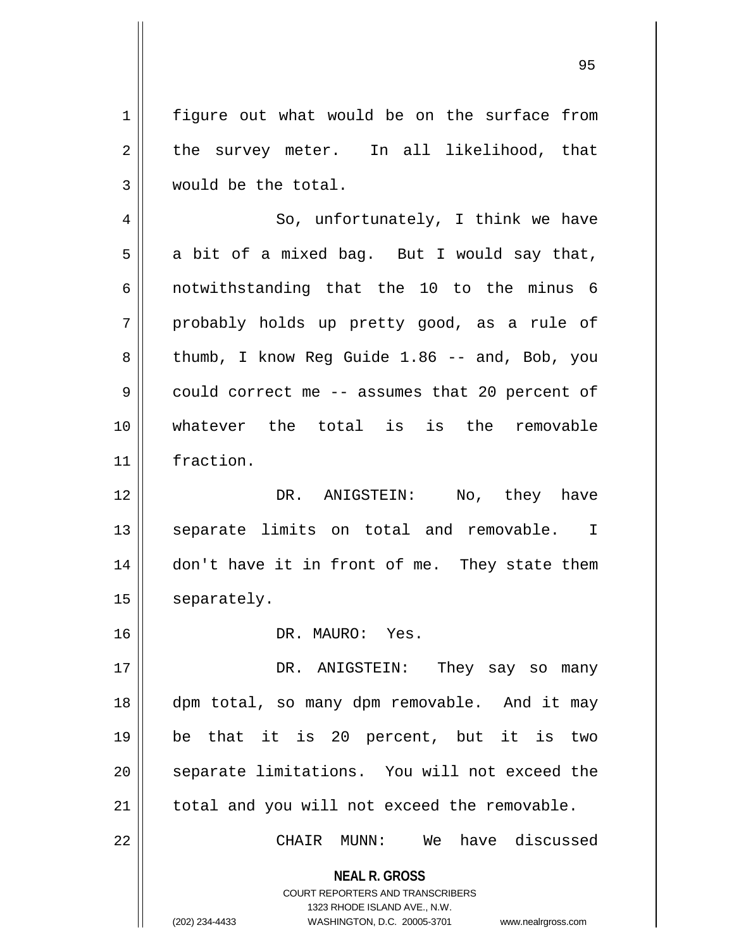1 | figure out what would be on the surface from  $2 \parallel$  the survey meter. In all likelihood, that 3 would be the total.

4 || So, unfortunately, I think we have  $5 \parallel$  a bit of a mixed bag. But I would say that, 6  $\parallel$  notwithstanding that the 10 to the minus 6 7 probably holds up pretty good, as a rule of 8 || thumb, I know Reg Guide 1.86 -- and, Bob, you 9 could correct me -- assumes that 20 percent of 10 whatever the total is is the removable 11 fraction.

12 DR. ANIGSTEIN: No, they have 13 || separate limits on total and removable. I 14 || don't have it in front of me. They state them 15 | separately.

16 DR. MAURO: Yes.

17 DR. ANIGSTEIN: They say so many 18 dpm total, so many dpm removable. And it may 19 be that it is 20 percent, but it is two 20 || separate limitations. You will not exceed the  $21$  | total and you will not exceed the removable.

22 CHAIR MUNN: We have discussed

**NEAL R. GROSS** COURT REPORTERS AND TRANSCRIBERS

1323 RHODE ISLAND AVE., N.W.

(202) 234-4433 WASHINGTON, D.C. 20005-3701 www.nealrgross.com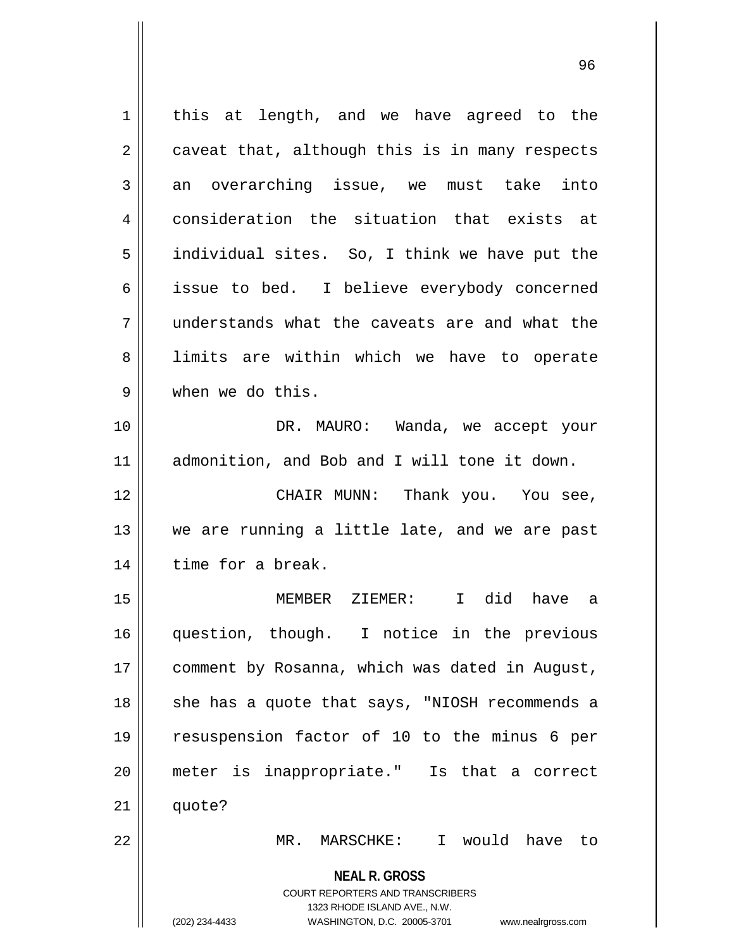**NEAL R. GROSS** COURT REPORTERS AND TRANSCRIBERS 1323 RHODE ISLAND AVE., N.W. (202) 234-4433 WASHINGTON, D.C. 20005-3701 www.nealrgross.com 1 || this at length, and we have agreed to the  $2 \parallel$  caveat that, although this is in many respects  $3 \parallel$  an overarching issue, we must take into 4 consideration the situation that exists at  $5 \parallel$  individual sites. So, I think we have put the 6 || issue to bed. I believe everybody concerned 7 understands what the caveats are and what the 8 I limits are within which we have to operate 9 when we do this. 10 || DR. MAURO: Wanda, we accept your 11 admonition, and Bob and I will tone it down. 12 CHAIR MUNN: Thank you. You see, 13 We are running a little late, and we are past 14 | time for a break. 15 MEMBER ZIEMER: I did have a 16 question, though. I notice in the previous 17 | comment by Rosanna, which was dated in August, 18 || she has a quote that says, "NIOSH recommends a 19 resuspension factor of 10 to the minus 6 per 20 meter is inappropriate." Is that a correct  $21$   $\parallel$  quote? 22 MR. MARSCHKE: I would have to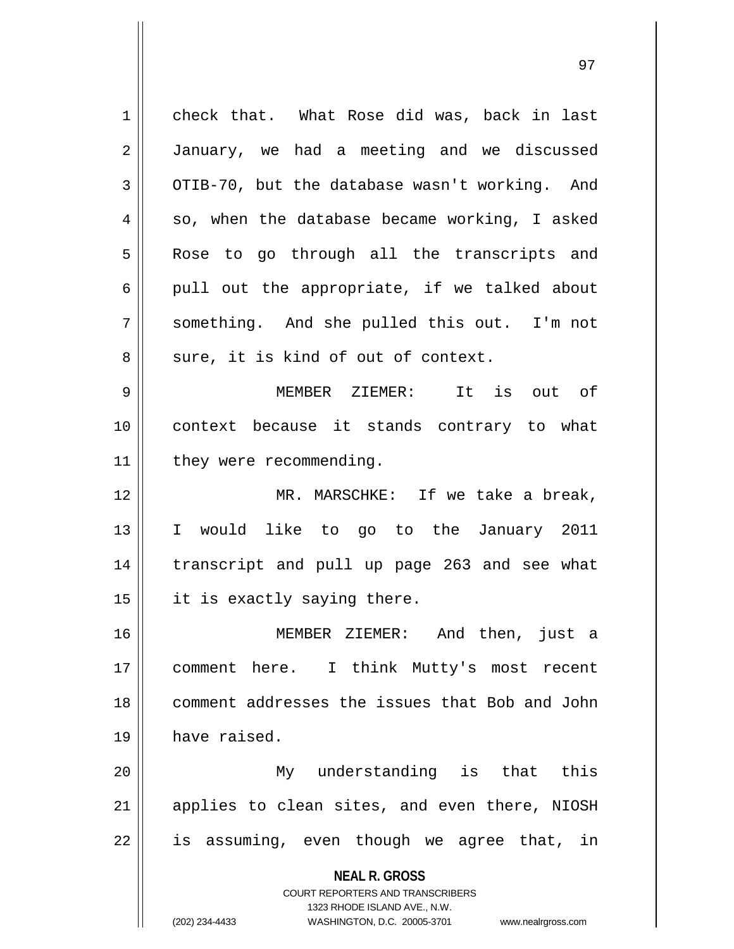**NEAL R. GROSS** COURT REPORTERS AND TRANSCRIBERS 1323 RHODE ISLAND AVE., N.W. (202) 234-4433 WASHINGTON, D.C. 20005-3701 www.nealrgross.com 1 check that. What Rose did was, back in last 2 | January, we had a meeting and we discussed  $3 \parallel$  OTIB-70, but the database wasn't working. And  $4 \parallel$  so, when the database became working, I asked 5 || Rose to go through all the transcripts and  $6 \parallel$  pull out the appropriate, if we talked about 7 Something. And she pulled this out. I'm not  $8 \parallel$  sure, it is kind of out of context. 9 MEMBER ZIEMER: It is out of 10 context because it stands contrary to what 11 | they were recommending. 12 MR. MARSCHKE: If we take a break, 13 I would like to go to the January 2011 14 transcript and pull up page 263 and see what  $15$  | it is exactly saying there. 16 MEMBER ZIEMER: And then, just a 17 comment here. I think Mutty's most recent 18 comment addresses the issues that Bob and John 19 have raised. 20 My understanding is that this  $21$  applies to clean sites, and even there, NIOSH  $22 \parallel$  is assuming, even though we agree that, in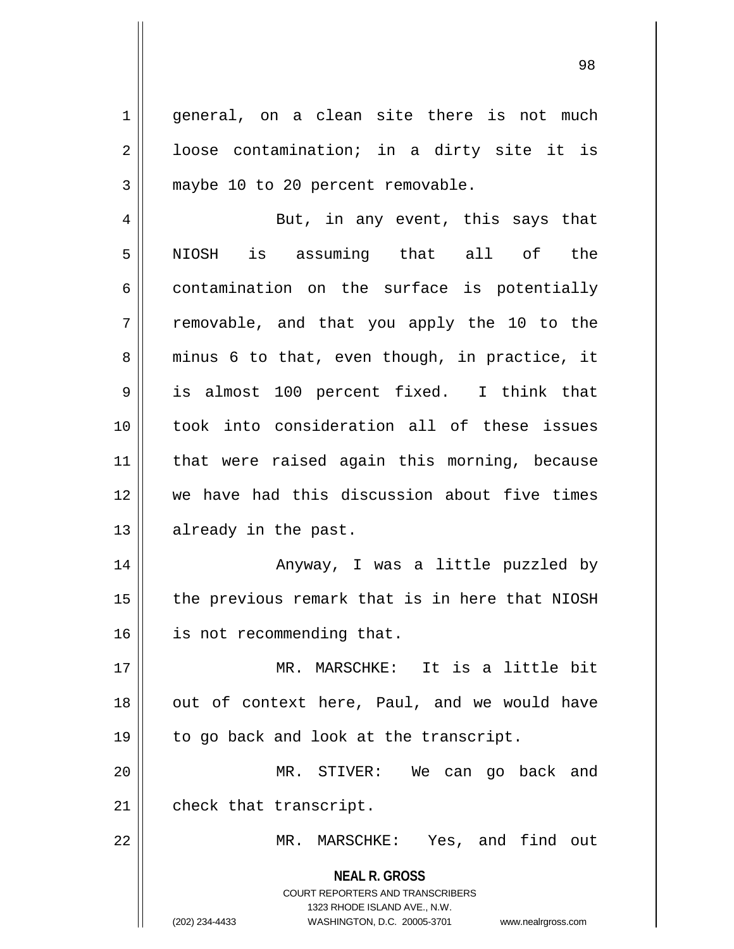$1 \parallel$  general, on a clean site there is not much  $2 \parallel$  loose contamination; in a dirty site it is 3 || maybe 10 to 20 percent removable.

4 But, in any event, this says that 5 || NIOSH is assuming that all of the  $6 \parallel$  contamination on the surface is potentially  $7 \parallel$  removable, and that you apply the 10 to the  $8 \parallel$  minus 6 to that, even though, in practice, it 9 is almost 100 percent fixed. I think that 10 took into consideration all of these issues 11 that were raised again this morning, because 12 we have had this discussion about five times 13 || already in the past.

14 || Anyway, I was a little puzzled by  $15$  | the previous remark that is in here that NIOSH 16 | is not recommending that.

17 MR. MARSCHKE: It is a little bit  $18$  || out of context here, Paul, and we would have 19 || to go back and look at the transcript. 20 MR. STIVER: We can go back and

 $21$  | check that transcript.

22 MR. MARSCHKE: Yes, and find out

**NEAL R. GROSS** COURT REPORTERS AND TRANSCRIBERS 1323 RHODE ISLAND AVE., N.W.

(202) 234-4433 WASHINGTON, D.C. 20005-3701 www.nealrgross.com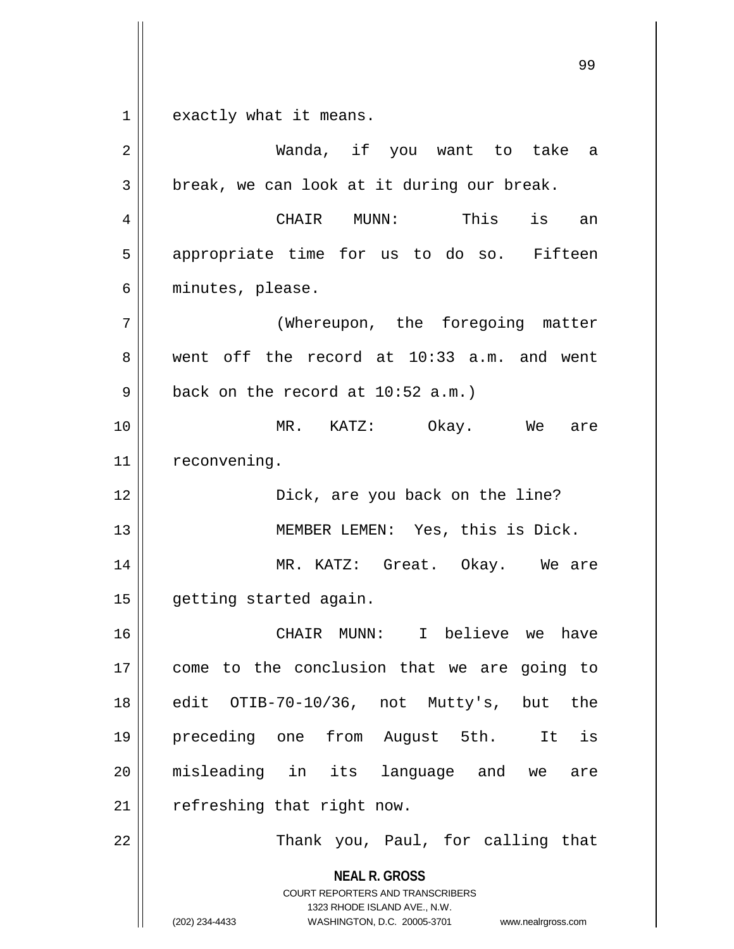$1 \parallel$  exactly what it means.

| $\overline{2}$ | Wanda, if you want to take a                                                                                                                                    |
|----------------|-----------------------------------------------------------------------------------------------------------------------------------------------------------------|
| 3              | break, we can look at it during our break.                                                                                                                      |
| 4              | CHAIR MUNN: This<br>is<br>an                                                                                                                                    |
| 5              | appropriate time for us to do so. Fifteen                                                                                                                       |
| 6              | minutes, please.                                                                                                                                                |
| 7              | (Whereupon, the foregoing matter                                                                                                                                |
| 8              | went off the record at 10:33 a.m. and went                                                                                                                      |
| 9              | back on the record at $10:52$ a.m.)                                                                                                                             |
| 10             | MR. KATZ: Okay. We<br>are                                                                                                                                       |
| 11             | reconvening.                                                                                                                                                    |
| 12             | Dick, are you back on the line?                                                                                                                                 |
| 13             | MEMBER LEMEN: Yes, this is Dick.                                                                                                                                |
| 14             | MR. KATZ: Great. Okay. We are                                                                                                                                   |
| 15             | getting started again.                                                                                                                                          |
| 16             | CHAIR MUNN: I believe we<br>have                                                                                                                                |
| 17             | come to the conclusion that we are going to                                                                                                                     |
| 18             | OTIB-70-10/36, not Mutty's, but<br>edit<br>the                                                                                                                  |
| 19             | preceding one from August 5th. It is                                                                                                                            |
| 20             | misleading in its language and we<br>are                                                                                                                        |
| 21             | refreshing that right now.                                                                                                                                      |
| 22             | Thank you, Paul, for calling that                                                                                                                               |
|                | <b>NEAL R. GROSS</b><br>COURT REPORTERS AND TRANSCRIBERS<br>1323 RHODE ISLAND AVE., N.W.<br>(202) 234-4433<br>WASHINGTON, D.C. 20005-3701<br>www.nealrgross.com |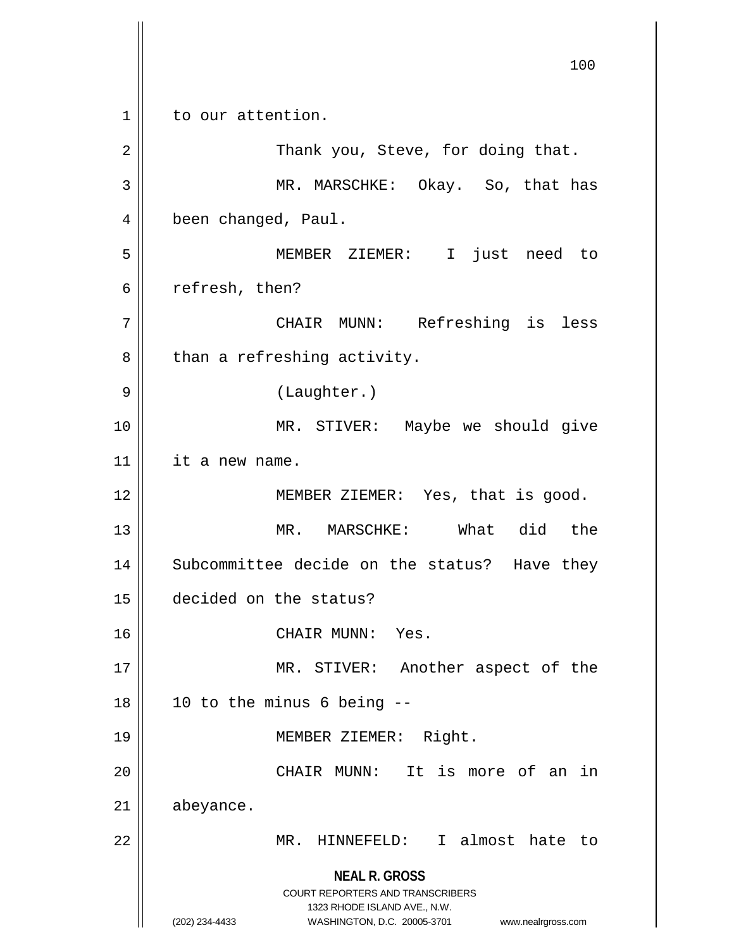**NEAL R. GROSS** COURT REPORTERS AND TRANSCRIBERS 1323 RHODE ISLAND AVE., N.W. (202) 234-4433 WASHINGTON, D.C. 20005-3701 www.nealrgross.com 100 1 || to our attention. 2 Thank you, Steve, for doing that. 3 MR. MARSCHKE: Okay. So, that has 4 | been changed, Paul. 5 MEMBER ZIEMER: I just need to  $6 \parallel$  refresh, then? 7 CHAIR MUNN: Refreshing is less  $8$  | than a refreshing activity. 9 || (Laughter.) 10 || MR. STIVER: Maybe we should give 11 | it a new name. 12 || MEMBER ZIEMER: Yes, that is good. 13 MR. MARSCHKE: What did the 14 || Subcommittee decide on the status? Have they 15 decided on the status? 16 || CHAIR MUNN: Yes. 17 || MR. STIVER: Another aspect of the  $18 \parallel 10$  to the minus 6 being  $-$ 19 MEMBER ZIEMER: Right. 20 || CHAIR MUNN: It is more of an in 21 abeyance. 22 MR. HINNEFELD: I almost hate to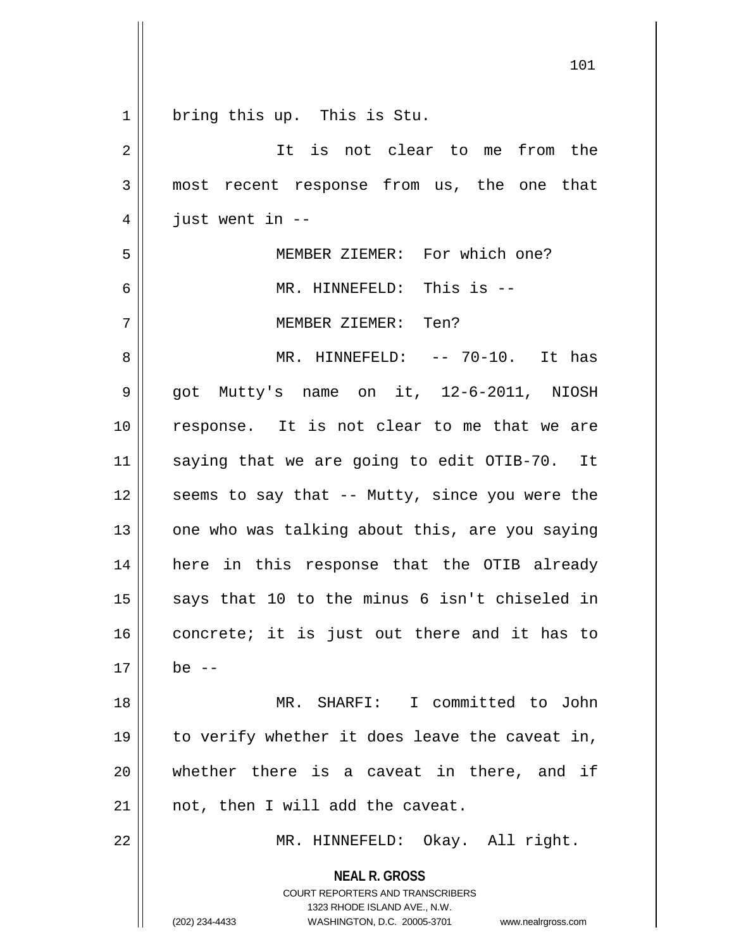| $\mathbf{1}$   | bring this up. This is Stu.                                                                                                                                            |
|----------------|------------------------------------------------------------------------------------------------------------------------------------------------------------------------|
| $\overline{2}$ | It is not clear to me from the                                                                                                                                         |
| 3              | most recent response from us, the one that                                                                                                                             |
| 4              | just went in $-$ -                                                                                                                                                     |
| 5              | MEMBER ZIEMER: For which one?                                                                                                                                          |
| 6              | MR. HINNEFELD: This is --                                                                                                                                              |
| 7              | MEMBER ZIEMER: Ten?                                                                                                                                                    |
| 8              | MR. HINNEFELD: -- 70-10. It has                                                                                                                                        |
| $\mathsf 9$    | got Mutty's name on it, 12-6-2011, NIOSH                                                                                                                               |
| 10             | response. It is not clear to me that we are                                                                                                                            |
| 11             | saying that we are going to edit OTIB-70. It                                                                                                                           |
| 12             | seems to say that -- Mutty, since you were the                                                                                                                         |
| 13             | one who was talking about this, are you saying                                                                                                                         |
| 14             | here in this response that the OTIB already                                                                                                                            |
| 15             | says that 10 to the minus 6 isn't chiseled in                                                                                                                          |
| 16             | concrete; it is just out there and it has to                                                                                                                           |
| 17             | be $--$                                                                                                                                                                |
| 18             | MR. SHARFI: I committed to John                                                                                                                                        |
| 19             | to verify whether it does leave the caveat in,                                                                                                                         |
| 20             | whether there is a caveat in there, and if                                                                                                                             |
| 21             | not, then I will add the caveat.                                                                                                                                       |
| 22             | MR. HINNEFELD: Okay. All right.                                                                                                                                        |
|                | <b>NEAL R. GROSS</b><br><b>COURT REPORTERS AND TRANSCRIBERS</b><br>1323 RHODE ISLAND AVE., N.W.<br>WASHINGTON, D.C. 20005-3701<br>(202) 234-4433<br>www.nealrgross.com |

 $\overline{\phantom{a}}$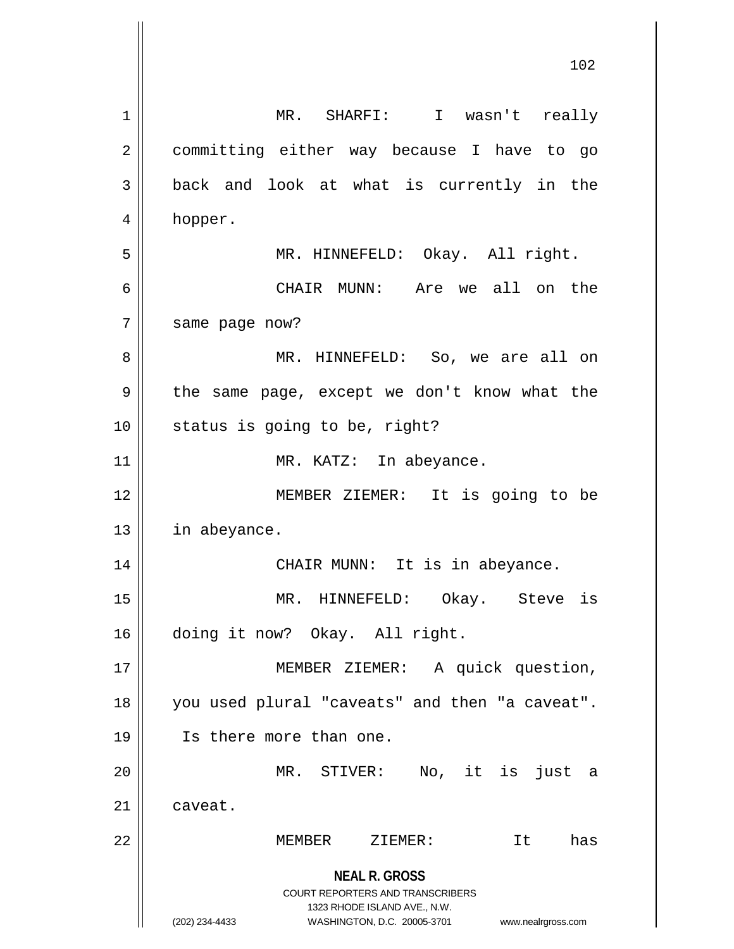**NEAL R. GROSS** COURT REPORTERS AND TRANSCRIBERS 1323 RHODE ISLAND AVE., N.W. (202) 234-4433 WASHINGTON, D.C. 20005-3701 www.nealrgross.com 1 MR. SHARFI: I wasn't really 2 || committing either way because I have to go  $3 \parallel$  back and look at what is currently in the 4 | hopper. 5 || MR. HINNEFELD: Okay. All right. 6 CHAIR MUNN: Are we all on the 7 | same page now? 8 MR. HINNEFELD: So, we are all on 9 || the same page, except we don't know what the  $10$  | status is going to be, right? 11 || MR. KATZ: In abeyance. 12 || MEMBER ZIEMER: It is going to be 13 | in abeyance. 14 || CHAIR MUNN: It is in abeyance. 15 MR. HINNEFELD: Okay. Steve is 16 doing it now? Okay. All right. 17 || MEMBER ZIEMER: A quick question, 18 || you used plural "caveats" and then "a caveat". 19 Is there more than one. 20 MR. STIVER: No, it is just a 21 | caveat. 22 MEMBER ZIEMER: It has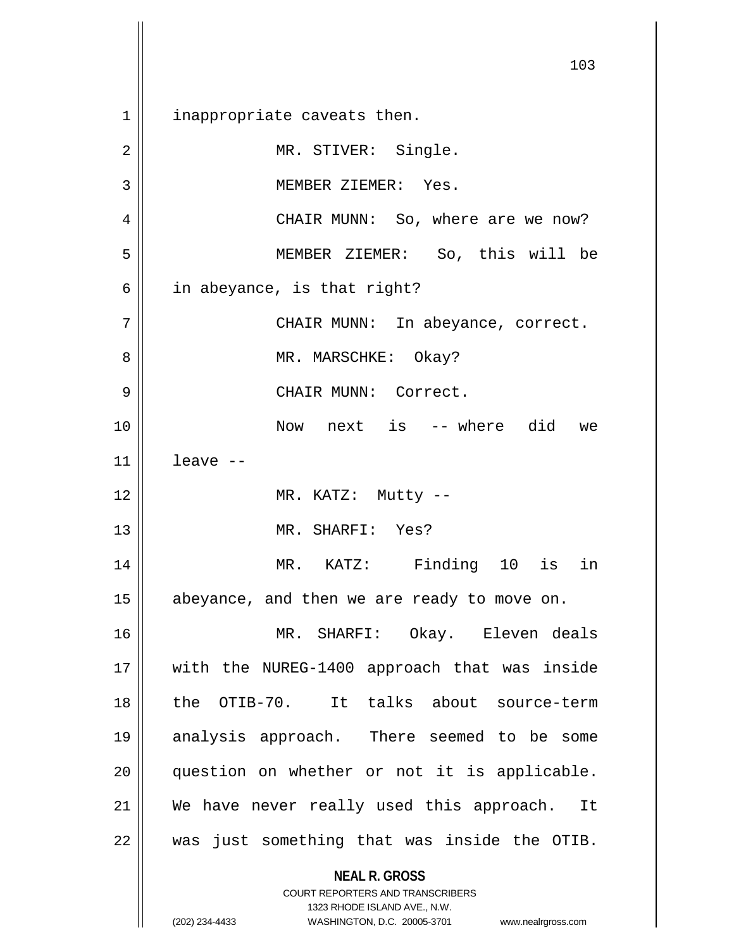**NEAL R. GROSS** COURT REPORTERS AND TRANSCRIBERS 1 || inappropriate caveats then. 2 | MR. STIVER: Single. 3 || MEMBER ZIEMER: Yes. 4 | CHAIR MUNN: So, where are we now? 5 MEMBER ZIEMER: So, this will be  $6 \parallel$  in abeyance, is that right? 7 CHAIR MUNN: In abeyance, correct. 8 MR. MARSCHKE: Okay? 9 CHAIR MUNN: Correct. 10 Now next is -- where did we  $11$  leave  $-$ 12 || MR. KATZ: Mutty --13 MR. SHARFI: Yes? 14 MR. KATZ: Finding 10 is in  $15$  | abeyance, and then we are ready to move on. 16 MR. SHARFI: Okay. Eleven deals 17 || with the NUREG-1400 approach that was inside 18 the OTIB-70. It talks about source-term 19 analysis approach. There seemed to be some 20 || question on whether or not it is applicable. 21 We have never really used this approach. It  $22$  || was just something that was inside the OTIB.

1323 RHODE ISLAND AVE., N.W. (202) 234-4433 WASHINGTON, D.C. 20005-3701 www.nealrgross.com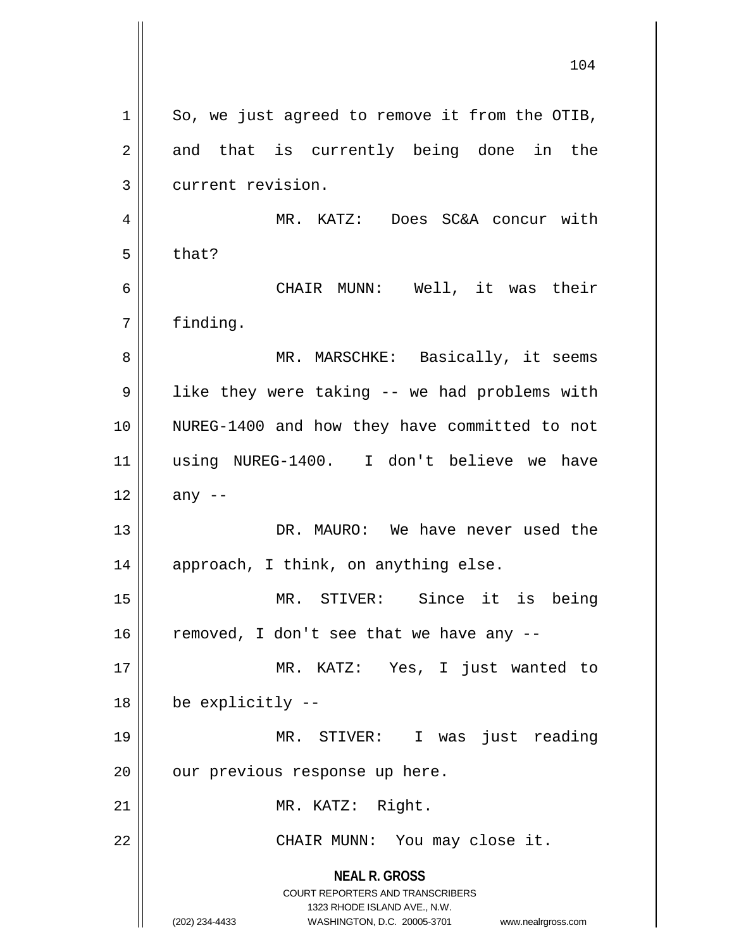**NEAL R. GROSS** COURT REPORTERS AND TRANSCRIBERS 1323 RHODE ISLAND AVE., N.W. (202) 234-4433 WASHINGTON, D.C. 20005-3701 www.nealrgross.com  $1 \parallel$  So, we just agreed to remove it from the OTIB,  $2 \parallel$  and that is currently being done in the 3 current revision. 4 MR. KATZ: Does SC&A concur with  $5 \parallel$  that? 6 CHAIR MUNN: Well, it was their 7 | finding. 8 MR. MARSCHKE: Basically, it seems 9 | like they were taking -- we had problems with 10 NUREG-1400 and how they have committed to not 11 using NUREG-1400. I don't believe we have  $12 \parallel \quad$  any --13 DR. MAURO: We have never used the 14 || approach, I think, on anything else. 15 MR. STIVER: Since it is being  $16$  removed, I don't see that we have any  $-$ 17 MR. KATZ: Yes, I just wanted to 18 be explicitly -- 19 MR. STIVER: I was just reading  $20$  | our previous response up here. 21 || MR. KATZ: Right. 22 || CHAIR MUNN: You may close it.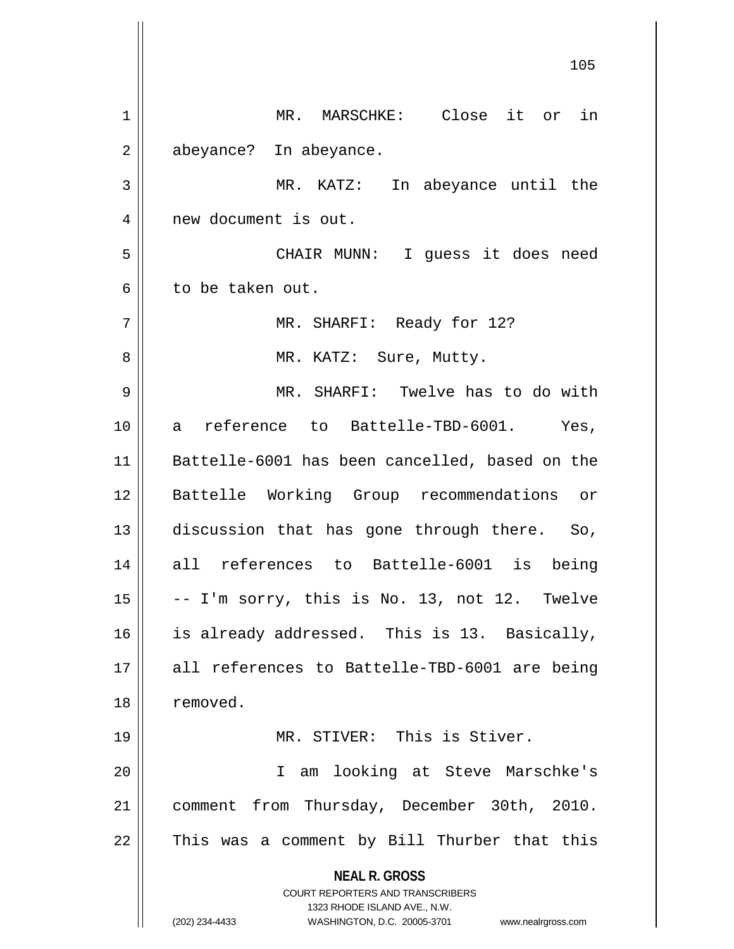**NEAL R. GROSS** COURT REPORTERS AND TRANSCRIBERS 1323 RHODE ISLAND AVE., N.W. (202) 234-4433 WASHINGTON, D.C. 20005-3701 www.nealrgross.com 1 || MR. MARSCHKE: Close it or in 2 | abeyance? In abeyance. 3 MR. KATZ: In abeyance until the 4 | new document is out. 5 CHAIR MUNN: I guess it does need 6 l to be taken out. 7 MR. SHARFI: Ready for 12? 8 || MR. KATZ: Sure, Mutty. 9 MR. SHARFI: Twelve has to do with 10 a reference to Battelle-TBD-6001. Yes, 11 Battelle-6001 has been cancelled, based on the 12 Battelle Working Group recommendations or 13 discussion that has gone through there. So, 14 all references to Battelle-6001 is being  $15 \parallel$  -- I'm sorry, this is No. 13, not 12. Twelve 16 || is already addressed. This is 13. Basically, 17 all references to Battelle-TBD-6001 are being 18 | removed. 19 MR. STIVER: This is Stiver. 20 I am looking at Steve Marschke's 21 | comment from Thursday, December 30th, 2010.  $22$  This was a comment by Bill Thurber that this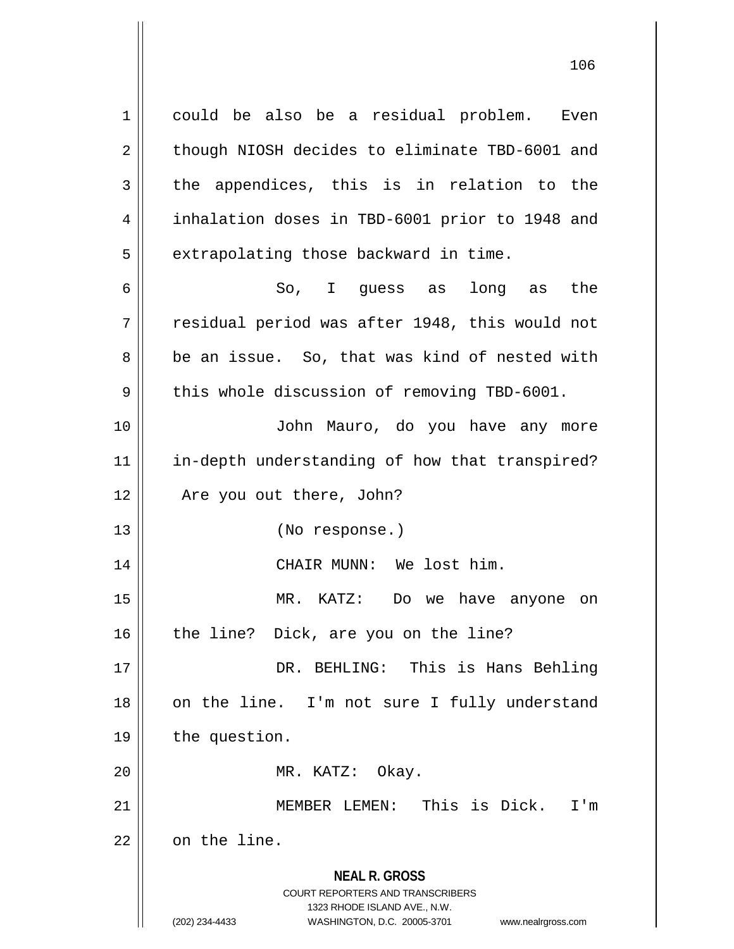**NEAL R. GROSS** COURT REPORTERS AND TRANSCRIBERS 1 could be also be a residual problem. Even  $2 \parallel$  though NIOSH decides to eliminate TBD-6001 and  $3 \parallel$  the appendices, this is in relation to the 4 inhalation doses in TBD-6001 prior to 1948 and  $5 \parallel$  extrapolating those backward in time. 6 So, I guess as long as the  $7$   $\parallel$  residual period was after 1948, this would not 8 be an issue. So, that was kind of nested with  $9 \parallel$  this whole discussion of removing TBD-6001. 10 John Mauro, do you have any more 11 || in-depth understanding of how that transpired? 12 || Are you out there, John? 13 (No response.) 14 || CHAIR MUNN: We lost him. 15 MR. KATZ: Do we have anyone on  $16$  | the line? Dick, are you on the line? 17 || DR. BEHLING: This is Hans Behling 18 || on the line. I'm not sure I fully understand 19 | the question. 20 || MR. KATZ: Okay. 21 || **MEMBER LEMEN:** This is Dick. I'm  $22$  |  $\circ$  on the line.

1323 RHODE ISLAND AVE., N.W.

(202) 234-4433 WASHINGTON, D.C. 20005-3701 www.nealrgross.com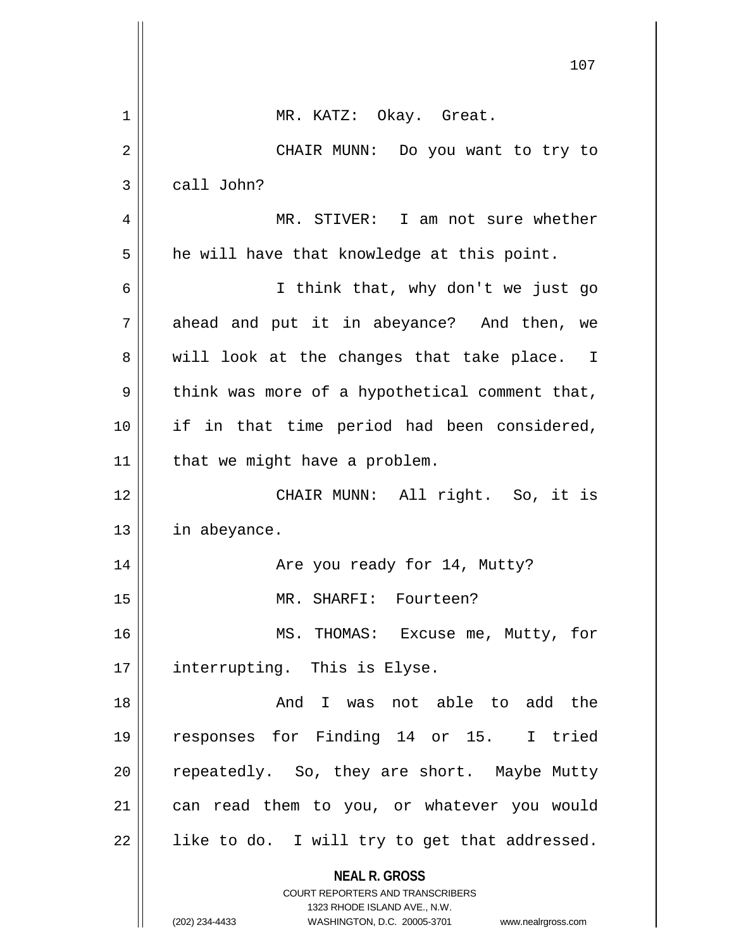|    | 107                                                                                                                                                             |
|----|-----------------------------------------------------------------------------------------------------------------------------------------------------------------|
|    |                                                                                                                                                                 |
| 1  | MR. KATZ: Okay. Great.                                                                                                                                          |
| 2  | CHAIR MUNN: Do you want to try to                                                                                                                               |
| 3  | call John?                                                                                                                                                      |
| 4  | MR. STIVER: I am not sure whether                                                                                                                               |
| 5  | he will have that knowledge at this point.                                                                                                                      |
| 6  | I think that, why don't we just go                                                                                                                              |
| 7  | ahead and put it in abeyance? And then, we                                                                                                                      |
| 8  | will look at the changes that take place. I                                                                                                                     |
| 9  | think was more of a hypothetical comment that,                                                                                                                  |
| 10 | if in that time period had been considered,                                                                                                                     |
| 11 | that we might have a problem.                                                                                                                                   |
| 12 | CHAIR MUNN: All right. So, it is                                                                                                                                |
| 13 | in abeyance.                                                                                                                                                    |
| 14 | Are you ready for 14, Mutty?                                                                                                                                    |
| 15 | MR. SHARFI: Fourteen?                                                                                                                                           |
| 16 | MS. THOMAS: Excuse me, Mutty, for                                                                                                                               |
| 17 | interrupting. This is Elyse.                                                                                                                                    |
| 18 | And I was not able to add the                                                                                                                                   |
| 19 | responses for Finding 14 or 15. I tried                                                                                                                         |
| 20 | repeatedly. So, they are short. Maybe Mutty                                                                                                                     |
| 21 | can read them to you, or whatever you would                                                                                                                     |
| 22 | like to do. I will try to get that addressed.                                                                                                                   |
|    | <b>NEAL R. GROSS</b><br>COURT REPORTERS AND TRANSCRIBERS<br>1323 RHODE ISLAND AVE., N.W.<br>(202) 234-4433<br>WASHINGTON, D.C. 20005-3701<br>www.nealrgross.com |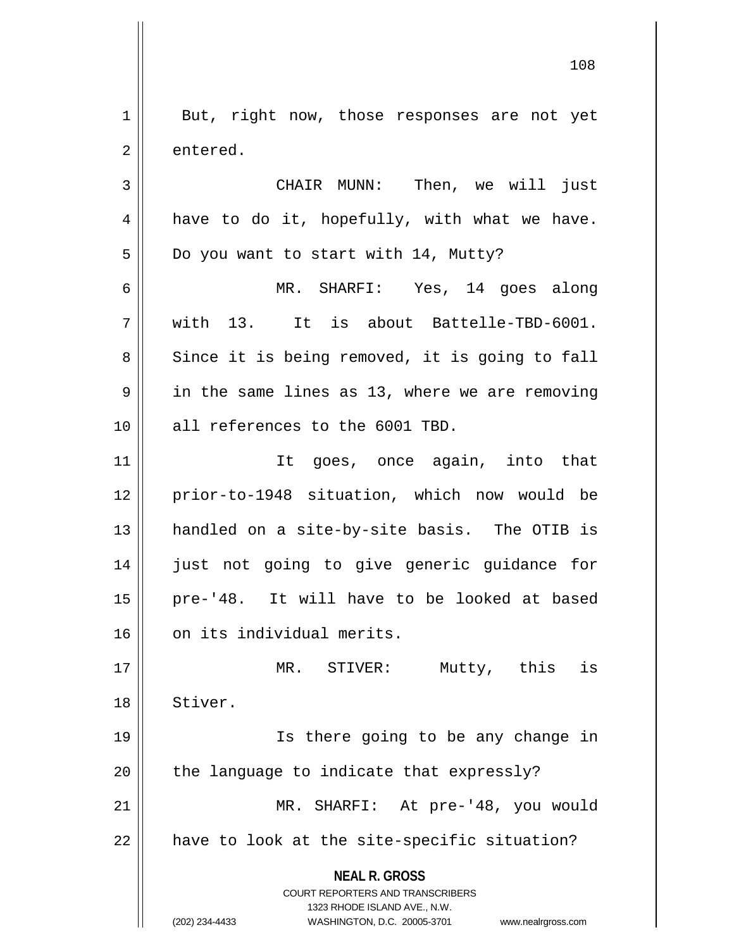1 || But, right now, those responses are not yet 2 | entered.

3 CHAIR MUNN: Then, we will just  $4 \parallel$  have to do it, hopefully, with what we have.  $5 \parallel$  Do you want to start with 14, Mutty? 6 MR. SHARFI: Yes, 14 goes along

7 with 13. It is about Battelle-TBD-6001. 8 || Since it is being removed, it is going to fall  $9 \parallel$  in the same lines as 13, where we are removing 10 || all references to the 6001 TBD.

11 It goes, once again, into that 12 prior-to-1948 situation, which now would be 13 handled on a site-by-site basis. The OTIB is 14 || just not going to give generic guidance for 15 pre-'48. It will have to be looked at based 16 | on its individual merits.

17 MR. STIVER: Mutty, this is 18 Stiver. 19 Is there going to be any change in

 $20$  || the language to indicate that expressly? 21 MR. SHARFI: At pre-'48, you would

 $22$  | have to look at the site-specific situation?

**NEAL R. GROSS** COURT REPORTERS AND TRANSCRIBERS

1323 RHODE ISLAND AVE., N.W.

(202) 234-4433 WASHINGTON, D.C. 20005-3701 www.nealrgross.com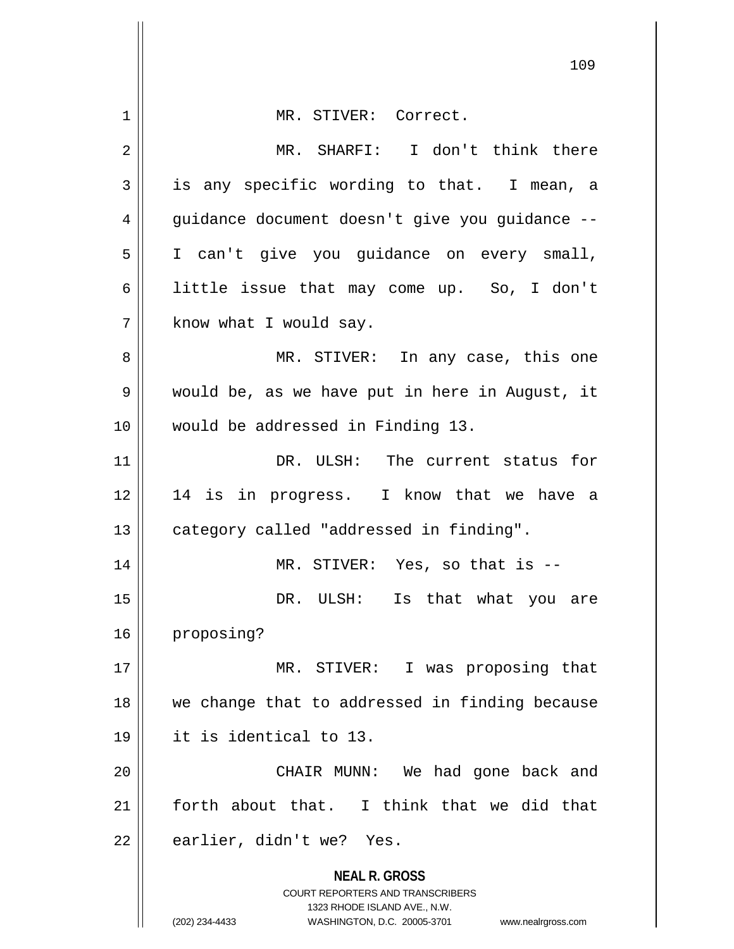| 1  | MR. STIVER: Correct.                                                                                                                                                   |
|----|------------------------------------------------------------------------------------------------------------------------------------------------------------------------|
| 2  | MR. SHARFI: I don't think there                                                                                                                                        |
| 3  | is any specific wording to that. I mean, a                                                                                                                             |
| 4  | guidance document doesn't give you guidance --                                                                                                                         |
| 5  | I can't give you guidance on every small,                                                                                                                              |
|    |                                                                                                                                                                        |
| 6  | little issue that may come up. So, I don't                                                                                                                             |
| 7  | know what I would say.                                                                                                                                                 |
| 8  | MR. STIVER: In any case, this one                                                                                                                                      |
| 9  | would be, as we have put in here in August, it                                                                                                                         |
| 10 | would be addressed in Finding 13.                                                                                                                                      |
| 11 | DR. ULSH: The current status for                                                                                                                                       |
| 12 | 14 is in progress. I know that we have a                                                                                                                               |
| 13 | category called "addressed in finding".                                                                                                                                |
| 14 | MR. STIVER: Yes, so that is --                                                                                                                                         |
| 15 | DR. ULSH:<br>Is that what you are                                                                                                                                      |
| 16 | proposing?                                                                                                                                                             |
| 17 | MR. STIVER: I was proposing that                                                                                                                                       |
| 18 | we change that to addressed in finding because                                                                                                                         |
| 19 | it is identical to 13.                                                                                                                                                 |
| 20 | CHAIR MUNN: We had gone back and                                                                                                                                       |
| 21 | forth about that. I think that we did that                                                                                                                             |
| 22 | earlier, didn't we? Yes.                                                                                                                                               |
|    | <b>NEAL R. GROSS</b><br><b>COURT REPORTERS AND TRANSCRIBERS</b><br>1323 RHODE ISLAND AVE., N.W.<br>(202) 234-4433<br>WASHINGTON, D.C. 20005-3701<br>www.nealrgross.com |

 $\mathbf{\mathcal{H}}$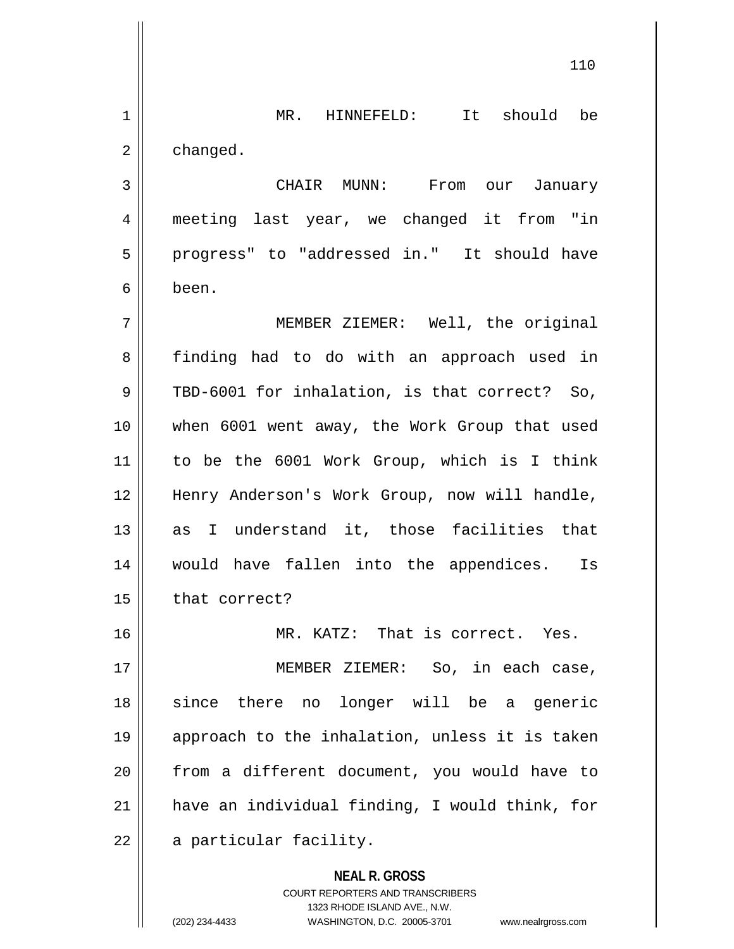**NEAL R. GROSS** COURT REPORTERS AND TRANSCRIBERS 1 || MR. HINNEFELD: It should be  $2 \parallel$  changed. 3 CHAIR MUNN: From our January 4 meeting last year, we changed it from "in 5 || progress" to "addressed in." It should have 6 been. 7 MEMBER ZIEMER: Well, the original 8 | finding had to do with an approach used in 9 TBD-6001 for inhalation, is that correct? So, 10 when 6001 went away, the Work Group that used 11 to be the 6001 Work Group, which is I think 12 || Henry Anderson's Work Group, now will handle, 13 as I understand it, those facilities that 14 would have fallen into the appendices. Is  $15$  | that correct? 16 MR. KATZ: That is correct. Yes. 17 || MEMBER ZIEMER: So, in each case, 18 || since there no longer will be a generic 19 approach to the inhalation, unless it is taken 20 from a different document, you would have to  $21$  have an individual finding, I would think, for 22 | a particular facility.

1323 RHODE ISLAND AVE., N.W.

(202) 234-4433 WASHINGTON, D.C. 20005-3701 www.nealrgross.com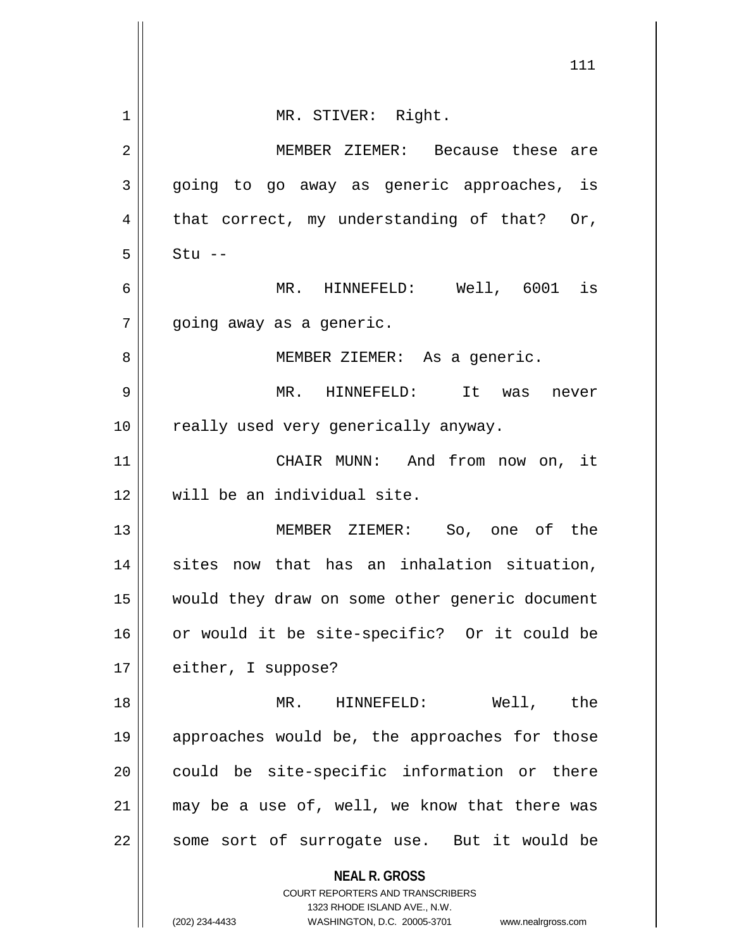|                | 111                                                                                                 |
|----------------|-----------------------------------------------------------------------------------------------------|
| 1              | MR. STIVER: Right.                                                                                  |
| $\overline{2}$ | MEMBER ZIEMER: Because these are                                                                    |
| 3              | going to go away as generic approaches, is                                                          |
| 4              | that correct, my understanding of that? Or,                                                         |
| 5              | $Stu$ --                                                                                            |
| 6              | MR. HINNEFELD: Well, 6001 is                                                                        |
| 7              | going away as a generic.                                                                            |
| 8              | MEMBER ZIEMER: As a generic.                                                                        |
| 9              | MR. HINNEFELD: It was<br>never                                                                      |
| 10             | really used very generically anyway.                                                                |
| 11             | CHAIR MUNN: And from now on, it                                                                     |
| 12             | will be an individual site.                                                                         |
| 13             | MEMBER ZIEMER: So, one of the                                                                       |
| 14             | sites now that has an inhalation situation,                                                         |
| 15             | would they draw on some other generic document                                                      |
| 16             | or would it be site-specific? Or it could be                                                        |
| 17             | either, I suppose?                                                                                  |
| 18             | MR. HINNEFELD:<br>Well, the                                                                         |
| 19             | approaches would be, the approaches for those                                                       |
| 20             | could be site-specific information or there                                                         |
| 21             | may be a use of, well, we know that there was                                                       |
| 22             | some sort of surrogate use. But it would be                                                         |
|                | <b>NEAL R. GROSS</b><br>COURT REPORTERS AND TRANSCRIBERS                                            |
|                | 1323 RHODE ISLAND AVE., N.W.<br>(202) 234-4433<br>WASHINGTON, D.C. 20005-3701<br>www.nealrgross.com |
|                |                                                                                                     |

 $\mathbf{\mathcal{L}}$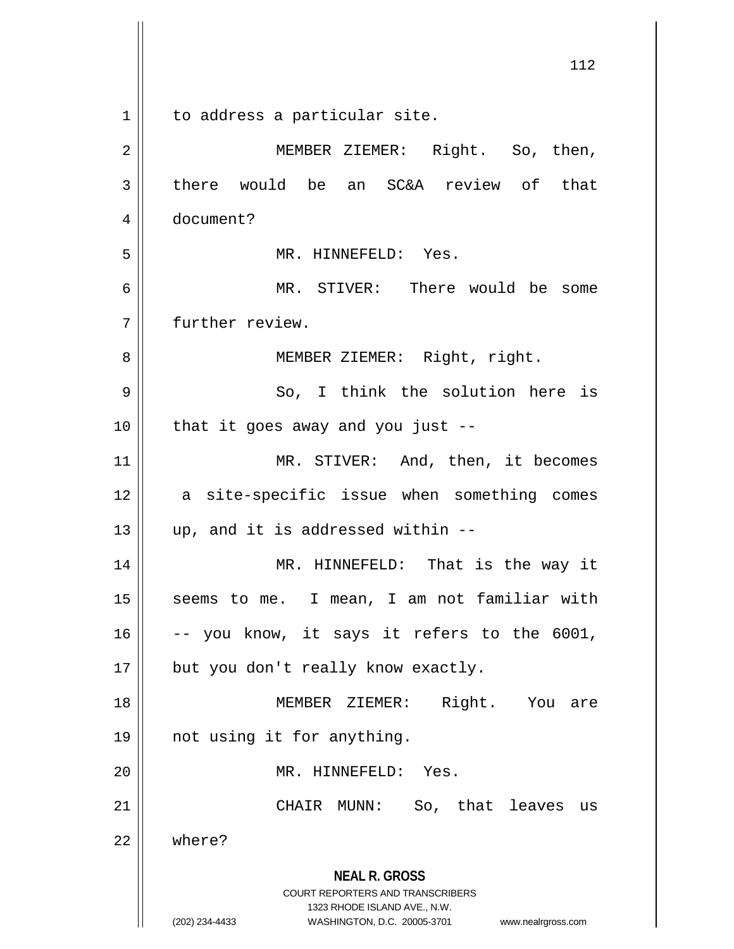**NEAL R. GROSS** COURT REPORTERS AND TRANSCRIBERS 1323 RHODE ISLAND AVE., N.W. (202) 234-4433 WASHINGTON, D.C. 20005-3701 www.nealrgross.com 112 1 || to address a particular site. 2 || MEMBER ZIEMER: Right. So, then,  $3 \parallel$  there would be an SC&A review of that 4 document? 5 MR. HINNEFELD: Yes. 6 MR. STIVER: There would be some 7 further review. 8 || MEMBER ZIEMER: Right, right. 9 So, I think the solution here is  $10$  | that it goes away and you just --11 || MR. STIVER: And, then, it becomes 12 || a site-specific issue when something comes  $13 \parallel$  up, and it is addressed within --14 MR. HINNEFELD: That is the way it 15 || seems to me. I mean, I am not familiar with  $16$  -- you know, it says it refers to the 6001, 17 || but you don't really know exactly. 18 || MEMBER ZIEMER: Right. You are 19 not using it for anything. 20 MR. HINNEFELD: Yes. 21 CHAIR MUNN: So, that leaves us 22 where?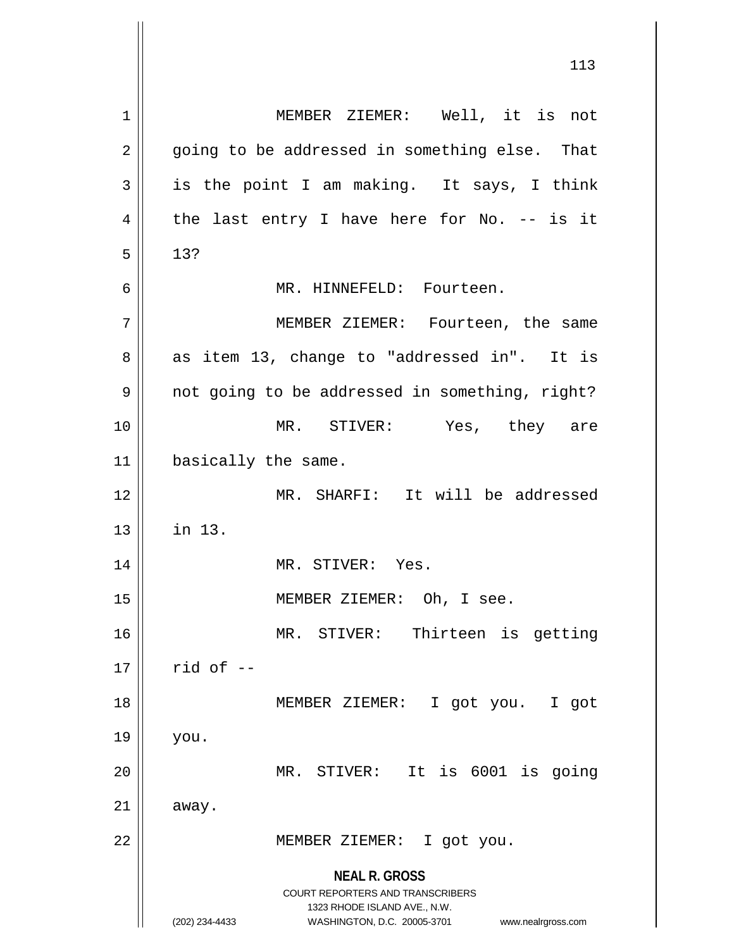**NEAL R. GROSS** COURT REPORTERS AND TRANSCRIBERS 1323 RHODE ISLAND AVE., N.W. (202) 234-4433 WASHINGTON, D.C. 20005-3701 www.nealrgross.com 1 MEMBER ZIEMER: Well, it is not  $2 \parallel$  going to be addressed in something else. That  $3 \parallel$  is the point I am making. It says, I think  $4 \parallel$  the last entry I have here for No. -- is it  $5 \parallel 13?$ 6 MR. HINNEFELD: Fourteen. 7 MEMBER ZIEMER: Fourteen, the same  $8 \parallel$  as item 13, change to "addressed in". It is 9 || not going to be addressed in something, right? 10 MR. STIVER: Yes, they are 11 | basically the same. 12 MR. SHARFI: It will be addressed  $13$   $\parallel$  in 13. 14 || MR. STIVER: Yes. 15 || MEMBER ZIEMER: Oh, I see. 16 MR. STIVER: Thirteen is getting  $17 \parallel$  rid of  $-$ 18 MEMBER ZIEMER: I got you. I got 19 you. 20 MR. STIVER: It is 6001 is going  $21$  away. 22 || MEMBER ZIEMER: I got you.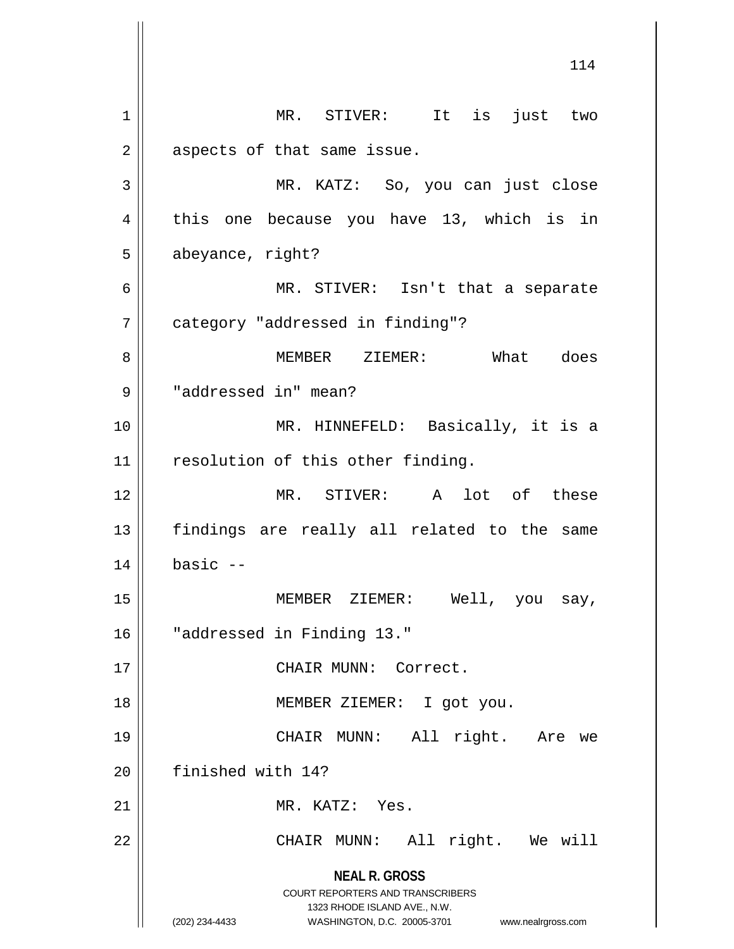**NEAL R. GROSS** COURT REPORTERS AND TRANSCRIBERS 1323 RHODE ISLAND AVE., N.W. (202) 234-4433 WASHINGTON, D.C. 20005-3701 www.nealrgross.com 114 1 || MR. STIVER: It is just two  $2 \parallel$  aspects of that same issue. 3 MR. KATZ: So, you can just close 4 || this one because you have 13, which is in 5 abeyance, right? 6 MR. STIVER: Isn't that a separate 7 | category "addressed in finding"? 8 MEMBER ZIEMER: What does 9 | "addressed in" mean? 10 MR. HINNEFELD: Basically, it is a 11 || resolution of this other finding. 12 MR. STIVER: A lot of these 13 || findings are really all related to the same  $14$   $\parallel$  basic  $-$ 15 || MEMBER ZIEMER: Well, you say, 16 "addressed in Finding 13." 17 || CHAIR MUNN: Correct. 18 MEMBER ZIEMER: I got you. 19 CHAIR MUNN: All right. Are we 20 finished with 14? 21 MR. KATZ: Yes. 22 || CHAIR MUNN: All right. We will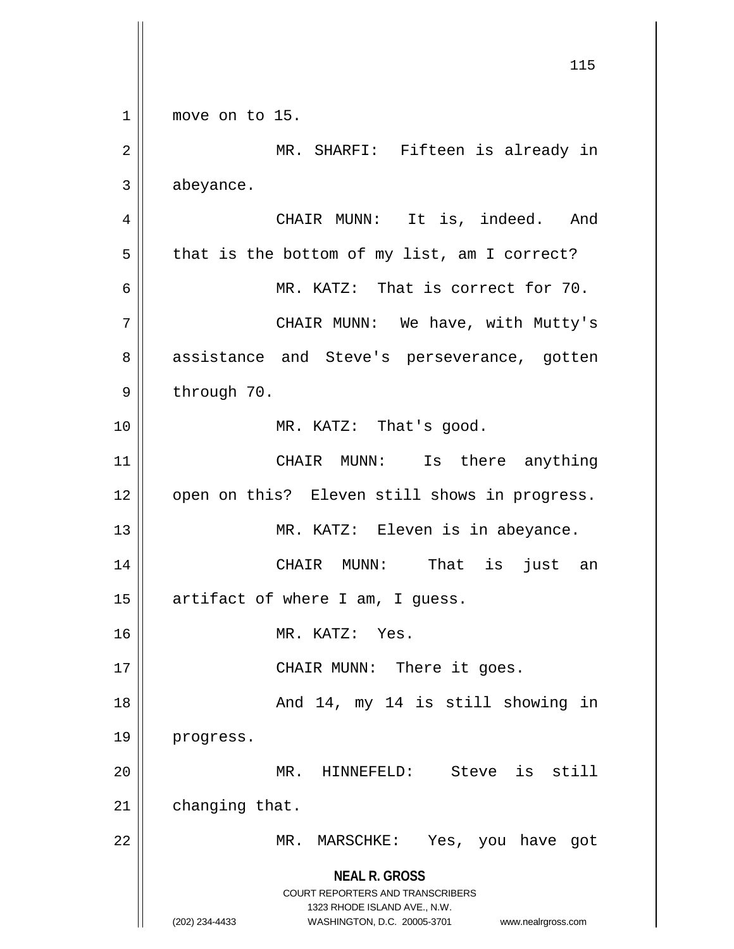**NEAL R. GROSS** COURT REPORTERS AND TRANSCRIBERS 1323 RHODE ISLAND AVE., N.W. (202) 234-4433 WASHINGTON, D.C. 20005-3701 www.nealrgross.com 115 1 || move on to 15. 2 MR. SHARFI: Fifteen is already in 3 | abeyance. 4 CHAIR MUNN: It is, indeed. And  $5 \parallel$  that is the bottom of my list, am I correct? 6 MR. KATZ: That is correct for 70. 7 CHAIR MUNN: We have, with Mutty's 8 assistance and Steve's perseverance, gotten  $9 \parallel$  through 70. 10 || MR. KATZ: That's good. 11 || CHAIR MUNN: Is there anything 12 || open on this? Eleven still shows in progress. 13 || MR. KATZ: Eleven is in abeyance. 14 CHAIR MUNN: That is just an  $15$  | artifact of where I am, I guess. 16 MR. KATZ: Yes. 17 || CHAIR MUNN: There it goes. 18 And 14, my 14 is still showing in 19 | progress. 20 MR. HINNEFELD: Steve is still  $21$  | changing that. 22 || MR. MARSCHKE: Yes, you have got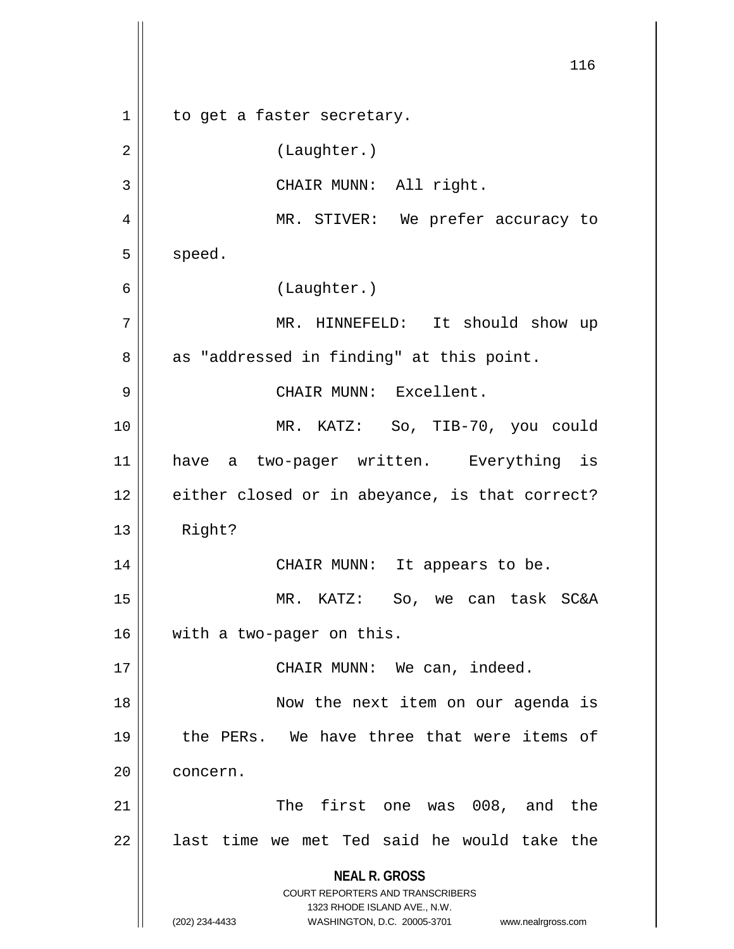**NEAL R. GROSS** COURT REPORTERS AND TRANSCRIBERS 1323 RHODE ISLAND AVE., N.W. (202) 234-4433 WASHINGTON, D.C. 20005-3701 www.nealrgross.com 116 1 || to get a faster secretary. 2 | (Laughter.) 3 || CHAIR MUNN: All right. 4 MR. STIVER: We prefer accuracy to  $5$  speed. 6 (Laughter.) 7 MR. HINNEFELD: It should show up  $8 \parallel$  as "addressed in finding" at this point. 9 CHAIR MUNN: Excellent. 10 MR. KATZ: So, TIB-70, you could 11 have a two-pager written. Everything is 12 || either closed or in abeyance, is that correct? 13 Right? 14 CHAIR MUNN: It appears to be. 15 MR. KATZ: So, we can task SC&A 16 | with a two-pager on this. 17 || CHAIR MUNN: We can, indeed. 18 Now the next item on our agenda is 19 || the PERs. We have three that were items of 20 | concern. 21 || The first one was 008, and the  $22$  || last time we met Ted said he would take the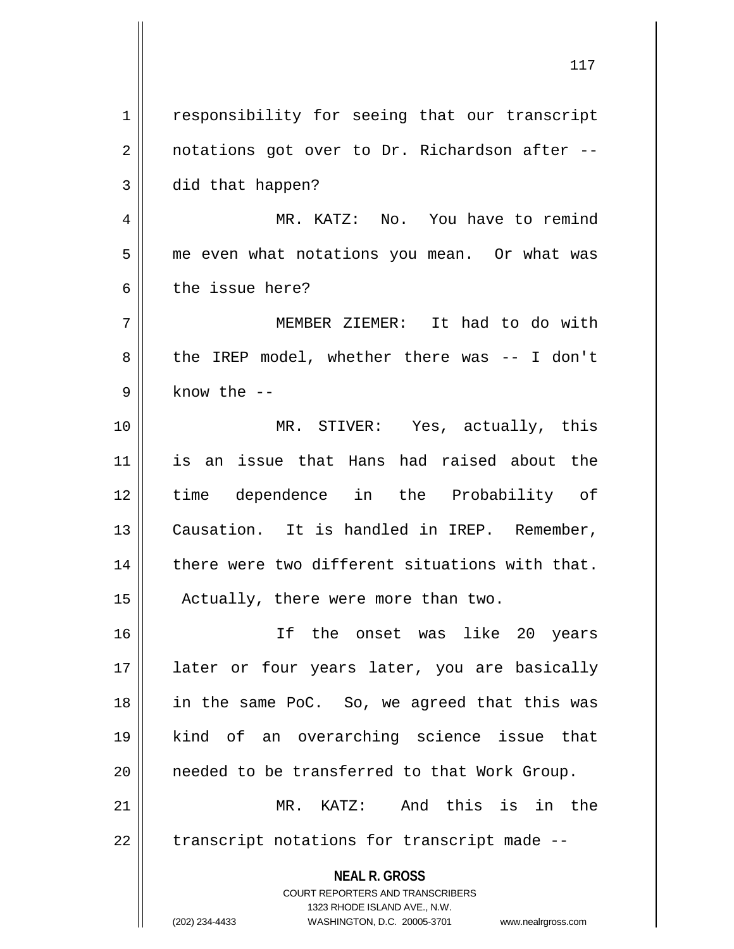**NEAL R. GROSS** COURT REPORTERS AND TRANSCRIBERS 1323 RHODE ISLAND AVE., N.W. (202) 234-4433 WASHINGTON, D.C. 20005-3701 www.nealrgross.com 1 | responsibility for seeing that our transcript  $2 \parallel$  notations got over to Dr. Richardson after -- $3 \parallel$  did that happen? 4 MR. KATZ: No. You have to remind 5 | me even what notations you mean. Or what was 6 b the issue here? 7 MEMBER ZIEMER: It had to do with 8 the IREP model, whether there was -- I don't  $9 \parallel$  know the  $-$ 10 MR. STIVER: Yes, actually, this 11 is an issue that Hans had raised about the 12 time dependence in the Probability of 13 || Causation. It is handled in IREP. Remember,  $14$   $\parallel$  there were two different situations with that. 15 | Actually, there were more than two. 16 If the onset was like 20 years 17 || later or four years later, you are basically 18 in the same PoC. So, we agreed that this was 19 kind of an overarching science issue that 20 || needed to be transferred to that Work Group. 21 MR. KATZ: And this is in the  $22$  | transcript notations for transcript made  $-$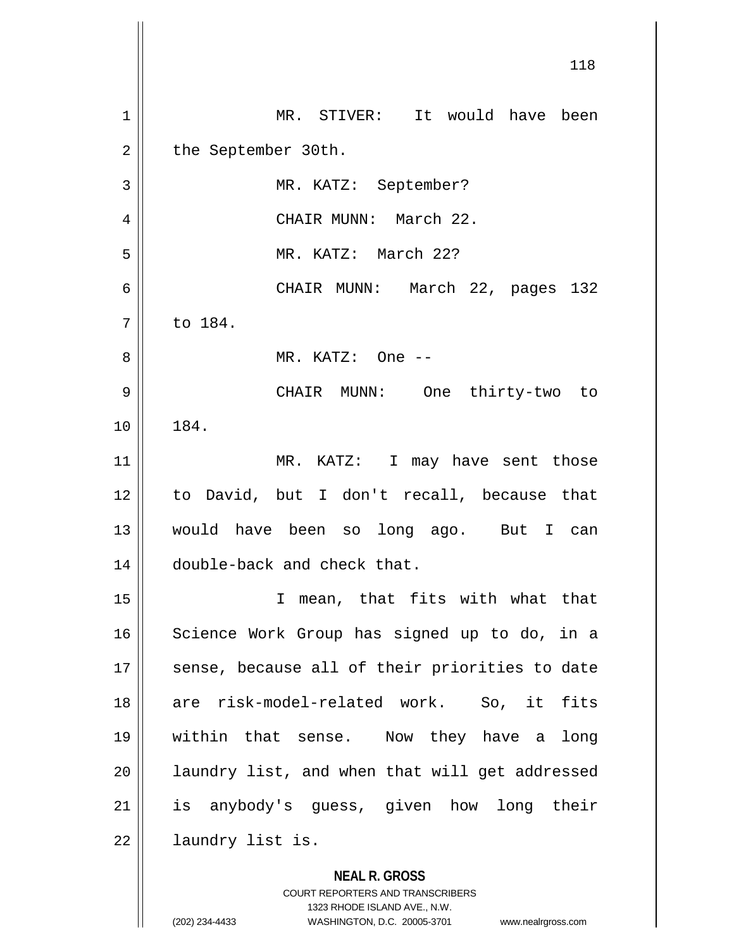|    | 118                                            |
|----|------------------------------------------------|
| 1  | MR. STIVER: It would have been                 |
| 2  | the September 30th.                            |
| 3  | MR. KATZ: September?                           |
| 4  | CHAIR MUNN: March 22.                          |
| 5  | MR. KATZ: March 22?                            |
| 6  | CHAIR MUNN: March 22, pages 132                |
| 7  | to 184.                                        |
| 8  | MR. KATZ: One --                               |
| 9  | CHAIR MUNN: One thirty-two to                  |
| 10 | 184.                                           |
| 11 | MR. KATZ: I may have sent those                |
| 12 | to David, but I don't recall, because that     |
| 13 | would have been so long ago. But I can         |
| 14 | double-back and check that.                    |
| 15 | I mean, that fits with what that               |
| 16 | Science Work Group has signed up to do, in a   |
| 17 | sense, because all of their priorities to date |
| 18 | are risk-model-related work. So, it fits       |
| 19 | within that sense.  Now they have a<br>long    |
| 20 | laundry list, and when that will get addressed |
| 21 | is anybody's guess, given how long their       |
| 22 | laundry list is.                               |
|    | <b>NEAL R. GROSS</b>                           |

COURT REPORTERS AND TRANSCRIBERS 1323 RHODE ISLAND AVE., N.W. (202) 234-4433 WASHINGTON, D.C. 20005-3701 www.nealrgross.com

 $\mathsf{II}$ 

 $\mathsf{I}$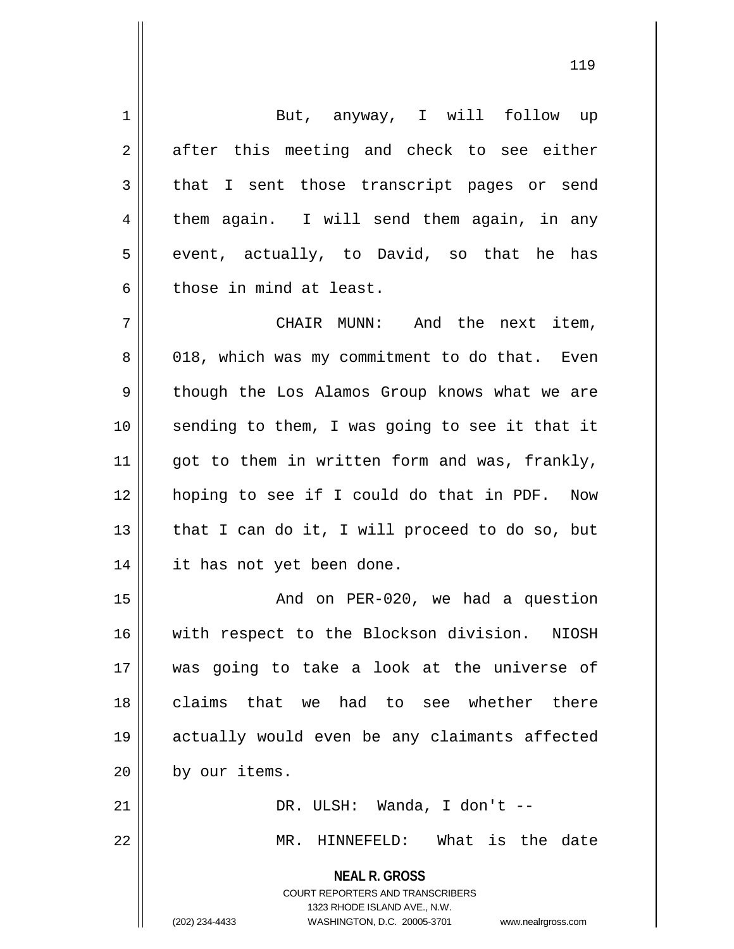**NEAL R. GROSS** COURT REPORTERS AND TRANSCRIBERS 1323 RHODE ISLAND AVE., N.W. (202) 234-4433 WASHINGTON, D.C. 20005-3701 www.nealrgross.com 1 || But, anyway, I will follow up  $2 \parallel$  after this meeting and check to see either 3 that I sent those transcript pages or send 4 them again. I will send them again, in any  $5 \parallel$  event, actually, to David, so that he has 6 those in mind at least. 7 CHAIR MUNN: And the next item, 8 018, which was my commitment to do that. Even 9 || though the Los Alamos Group knows what we are 10 || sending to them, I was going to see it that it  $11$  | got to them in written form and was, frankly, 12 hoping to see if I could do that in PDF. Now 13  $\parallel$  that I can do it, I will proceed to do so, but 14 it has not yet been done. 15 || And on PER-020, we had a question 16 || with respect to the Blockson division. NIOSH 17 was going to take a look at the universe of 18 claims that we had to see whether there 19 actually would even be any claimants affected 20 | by our items. 21 || DR. ULSH: Wanda, I don't --22 MR. HINNEFELD: What is the date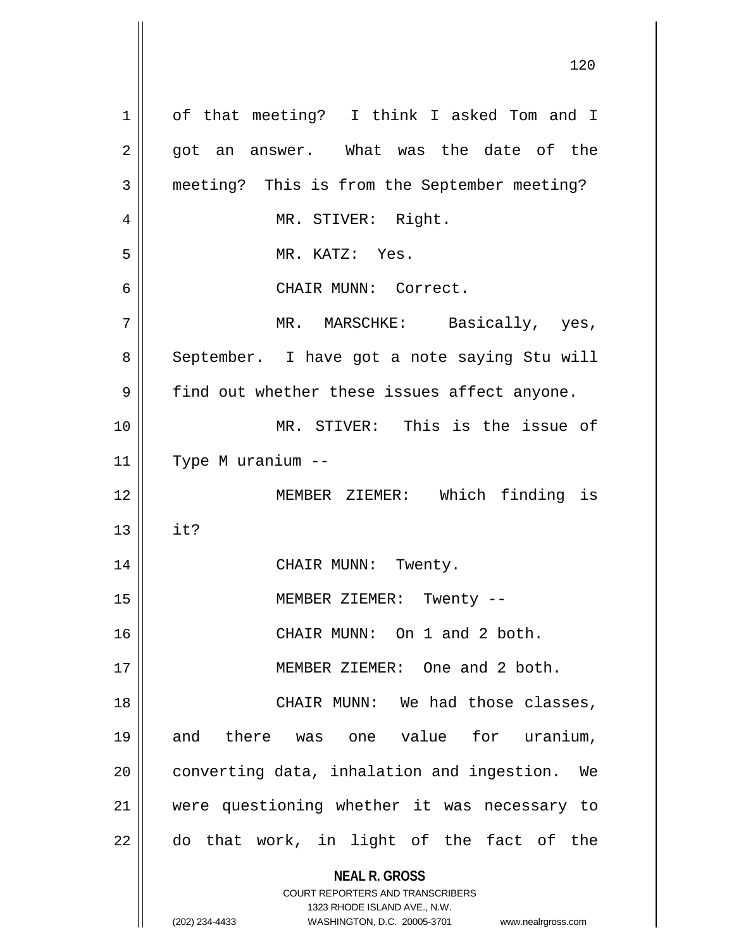**NEAL R. GROSS** COURT REPORTERS AND TRANSCRIBERS 1323 RHODE ISLAND AVE., N.W. (202) 234-4433 WASHINGTON, D.C. 20005-3701 www.nealrgross.com 1 | of that meeting? I think I asked Tom and I  $2 \parallel$  got an answer. What was the date of the 3 | meeting? This is from the September meeting? 4 | MR. STIVER: Right. 5 || MR. KATZ: Yes. 6 CHAIR MUNN: Correct. 7 MR. MARSCHKE: Basically, yes, 8 | September. I have got a note saying Stu will  $9 \parallel$  find out whether these issues affect anyone. 10 MR. STIVER: This is the issue of 11 Type M uranium -- 12 MEMBER ZIEMER: Which finding is  $13 \parallel$  it? 14 || CHAIR MUNN: Twenty. 15 || MEMBER ZIEMER: Twenty --16 CHAIR MUNN: On 1 and 2 both. 17 || MEMBER ZIEMER: One and 2 both. 18 CHAIR MUNN: We had those classes, 19 and there was one value for uranium,  $20$  | converting data, inhalation and ingestion. We 21 were questioning whether it was necessary to  $22$   $\parallel$  do that work, in light of the fact of the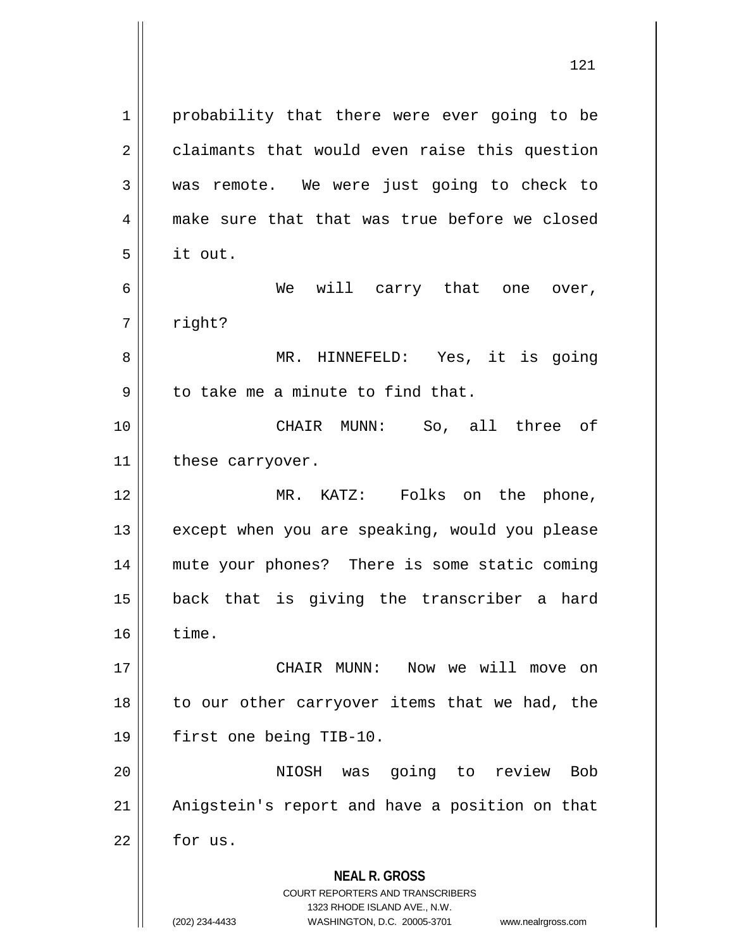**NEAL R. GROSS** COURT REPORTERS AND TRANSCRIBERS 1323 RHODE ISLAND AVE., N.W. (202) 234-4433 WASHINGTON, D.C. 20005-3701 www.nealrgross.com 1 | probability that there were ever going to be 2 | claimants that would even raise this question 3 was remote. We were just going to check to 4 make sure that that was true before we closed  $5 \parallel$  it out. 6 We will carry that one over, 7 | right? 8 MR. HINNEFELD: Yes, it is going  $9 \parallel$  to take me a minute to find that. 10 CHAIR MUNN: So, all three of 11 || these carryover. 12 MR. KATZ: Folks on the phone, 13 || except when you are speaking, would you please 14 mute your phones? There is some static coming 15 back that is giving the transcriber a hard  $16 \parallel$  time. 17 CHAIR MUNN: Now we will move on  $18$  to our other carryover items that we had, the 19 first one being TIB-10. 20 || **NIOSH** was going to review Bob 21 || Anigstein's report and have a position on that  $22 \parallel$  for us.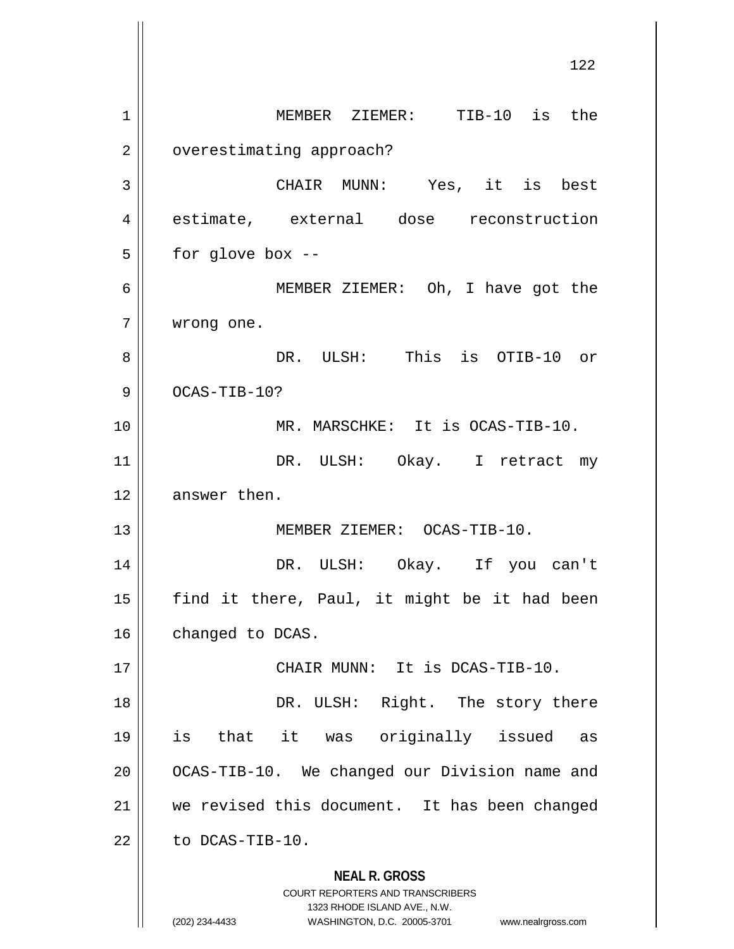**NEAL R. GROSS** COURT REPORTERS AND TRANSCRIBERS 1323 RHODE ISLAND AVE., N.W. (202) 234-4433 WASHINGTON, D.C. 20005-3701 www.nealrgross.com 122 1 MEMBER ZIEMER: TIB-10 is the 2 | overestimating approach? 3 CHAIR MUNN: Yes, it is best 4 estimate, external dose reconstruction  $5 \parallel$  for glove box --6 MEMBER ZIEMER: Oh, I have got the 7 wrong one. 8 DR. ULSH: This is OTIB-10 or  $9$   $\vert$   $OCAS-TIB-10$ ? 10 MR. MARSCHKE: It is OCAS-TIB-10. 11 || DR. ULSH: Okay. I retract my 12 || answer then. 13 || MEMBER ZIEMER: OCAS-TIB-10. 14 DR. ULSH: Okay. If you can't 15 || find it there, Paul, it might be it had been 16 | changed to DCAS. 17 CHAIR MUNN: It is DCAS-TIB-10. 18 || DR. ULSH: Right. The story there 19 is that it was originally issued as 20 || OCAS-TIB-10. We changed our Division name and 21 || we revised this document. It has been changed  $22$  | to DCAS-TIB-10.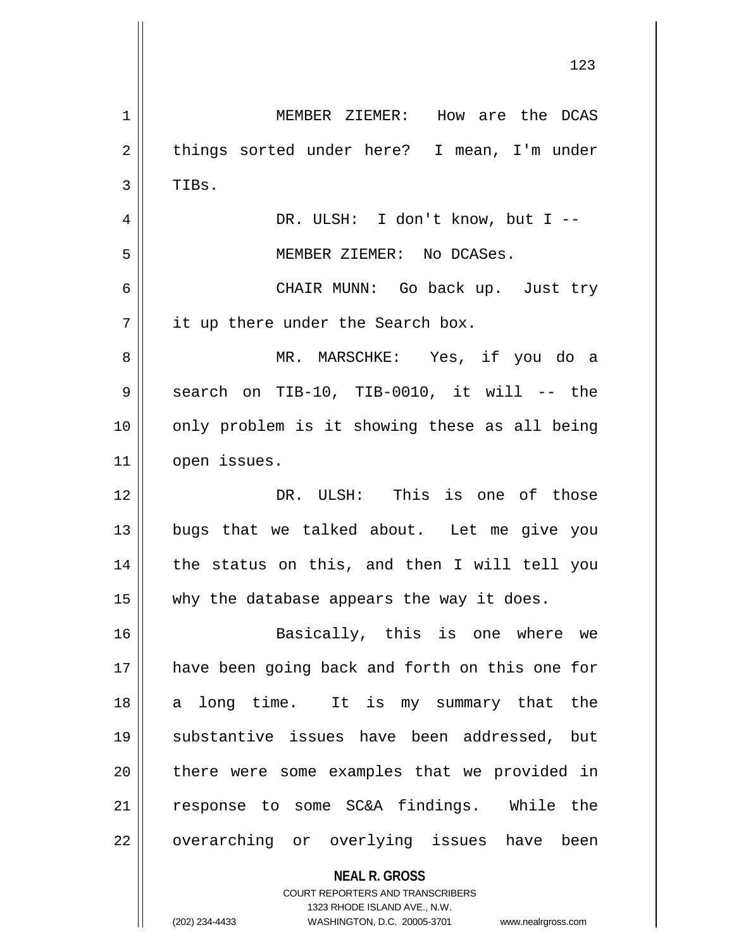**NEAL R. GROSS** 1 MEMBER ZIEMER: How are the DCAS 2 || things sorted under here? I mean, I'm under  $3$  | TIBs. 4 DR. ULSH: I don't know, but I -- 5 || MEMBER ZIEMER: No DCASes. 6 CHAIR MUNN: Go back up. Just try  $7 \parallel$  it up there under the Search box. 8 MR. MARSCHKE: Yes, if you do a  $9 \parallel$  search on TIB-10, TIB-0010, it will -- the 10 || only problem is it showing these as all being 11 || open issues. 12 DR. ULSH: This is one of those 13 bugs that we talked about. Let me give you 14 || the status on this, and then I will tell you 15  $\parallel$  why the database appears the way it does. 16 Basically, this is one where we 17 have been going back and forth on this one for 18 a long time. It is my summary that the 19 substantive issues have been addressed, but 20 || there were some examples that we provided in 21 || response to some SC&A findings. While the 22 || overarching or overlying issues have been

> 1323 RHODE ISLAND AVE., N.W. (202) 234-4433 WASHINGTON, D.C. 20005-3701 www.nealrgross.com

COURT REPORTERS AND TRANSCRIBERS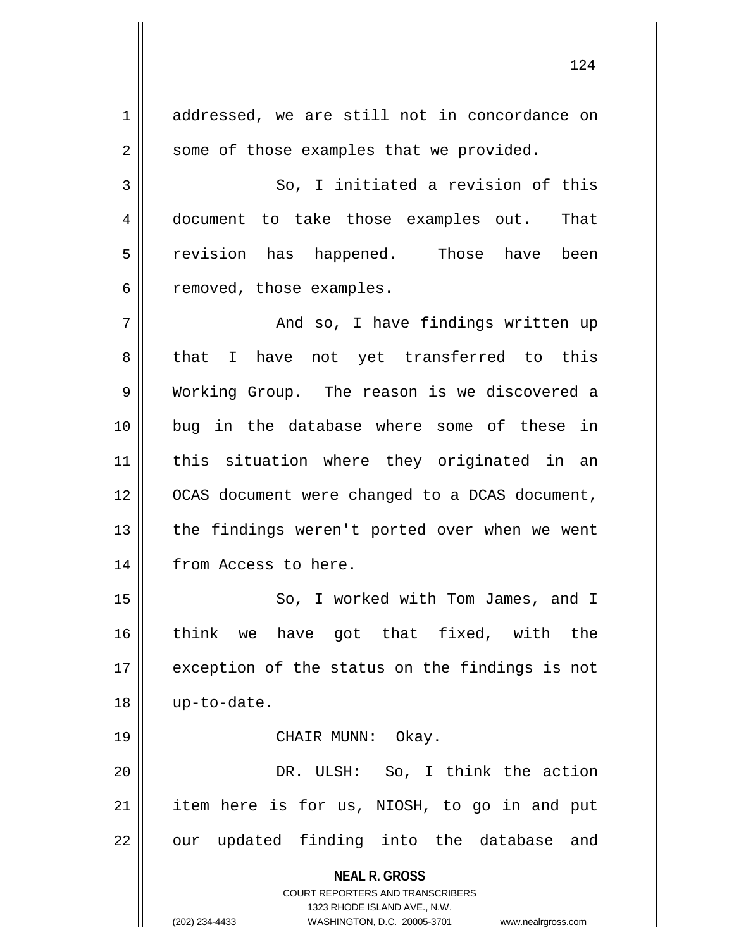**NEAL R. GROSS** COURT REPORTERS AND TRANSCRIBERS 1323 RHODE ISLAND AVE., N.W. (202) 234-4433 WASHINGTON, D.C. 20005-3701 www.nealrgross.com 1 addressed, we are still not in concordance on  $2 \parallel$  some of those examples that we provided.  $3 \parallel$  So, I initiated a revision of this 4 document to take those examples out. That 5 || revision has happened. Those have been  $6 \parallel$  removed, those examples. 7 And so, I have findings written up  $8 \parallel$  that I have not yet transferred to this 9 Working Group. The reason is we discovered a 10 bug in the database where some of these in 11 || this situation where they originated in an 12 || OCAS document were changed to a DCAS document, 13 || the findings weren't ported over when we went 14 | from Access to here. 15 || So, I worked with Tom James, and I 16 think we have got that fixed, with the 17 || exception of the status on the findings is not 18 up-to-date. 19 || CHAIR MUNN: Okay. 20 DR. ULSH: So, I think the action 21 || item here is for us, NIOSH, to go in and put  $22$  || our updated finding into the database and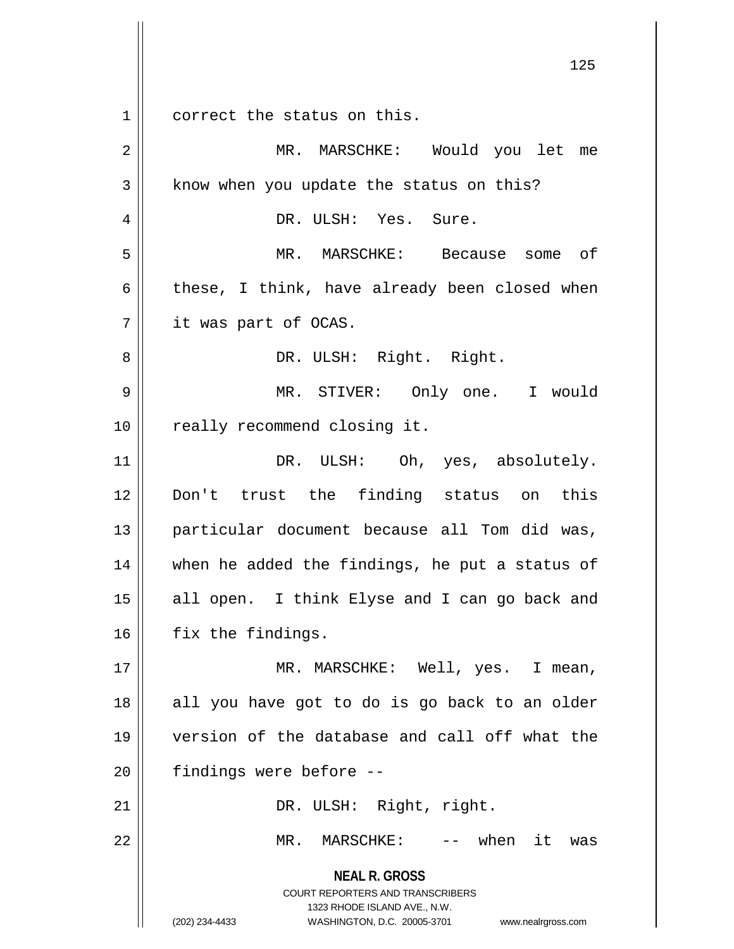1 correct the status on this.

**NEAL R. GROSS** COURT REPORTERS AND TRANSCRIBERS 1323 RHODE ISLAND AVE., N.W. (202) 234-4433 WASHINGTON, D.C. 20005-3701 www.nealrgross.com 2 MR. MARSCHKE: Would you let me  $3 \parallel$  know when you update the status on this? 4 DR. ULSH: Yes. Sure. 5 MR. MARSCHKE: Because some of  $6 \parallel$  these, I think, have already been closed when 7 it was part of OCAS. 8 || DR. ULSH: Right. Right. 9 MR. STIVER: Only one. I would 10 || really recommend closing it. 11 || DR. ULSH: Oh, yes, absolutely. 12 Don't trust the finding status on this 13 particular document because all Tom did was, 14 || when he added the findings, he put a status of 15 || all open. I think Elyse and I can go back and 16 | fix the findings. 17 MR. MARSCHKE: Well, yes. I mean,  $18$  || all you have got to do is go back to an older 19 version of the database and call off what the  $20$  || findings were before  $-$ 21 || DR. ULSH: Right, right. 22 MR. MARSCHKE: -- when it was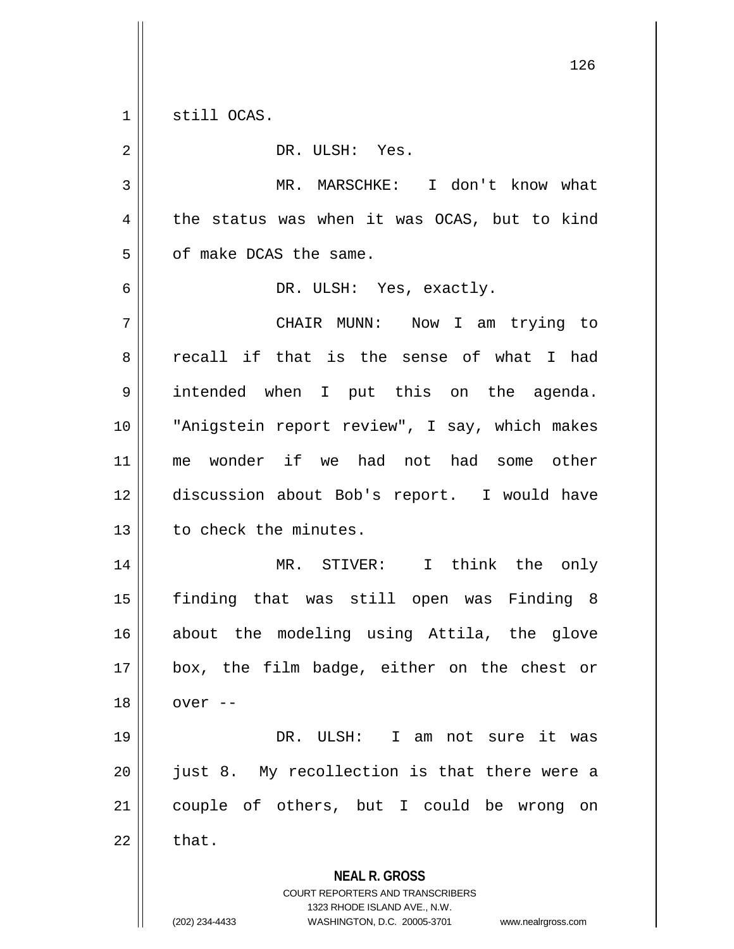$1 \parallel$  still OCAS.

| $\overline{2}$ | DR. ULSH: Yes.                                                                                                                                                         |
|----------------|------------------------------------------------------------------------------------------------------------------------------------------------------------------------|
| 3              | MR. MARSCHKE: I don't know what                                                                                                                                        |
| 4              | the status was when it was OCAS, but to kind                                                                                                                           |
| 5              | of make DCAS the same.                                                                                                                                                 |
| 6              | DR. ULSH: Yes, exactly.                                                                                                                                                |
| 7              | CHAIR MUNN: Now I am trying to                                                                                                                                         |
| 8              | recall if that is the sense of what I had                                                                                                                              |
| 9              | intended when I put this on the agenda.                                                                                                                                |
| 10             | "Anigstein report review", I say, which makes                                                                                                                          |
| 11             | me wonder if we had not had some other                                                                                                                                 |
| 12             | discussion about Bob's report. I would have                                                                                                                            |
| 13             | to check the minutes.                                                                                                                                                  |
| 14             | MR. STIVER: I think the only                                                                                                                                           |
| 15             | finding that was still open was Finding 8                                                                                                                              |
| 16             | about the modeling using Attila, the glove                                                                                                                             |
| 17             | box, the film badge, either on the chest or                                                                                                                            |
| 18             | over --                                                                                                                                                                |
| 19             | DR.<br>ULSH: I am not sure it was                                                                                                                                      |
| 20             | just 8. My recollection is that there were a                                                                                                                           |
| 21             | couple of others, but I could be wrong<br>on                                                                                                                           |
| 22             | that.                                                                                                                                                                  |
|                | <b>NEAL R. GROSS</b><br><b>COURT REPORTERS AND TRANSCRIBERS</b><br>1323 RHODE ISLAND AVE., N.W.<br>WASHINGTON, D.C. 20005-3701<br>(202) 234-4433<br>www.nealrgross.com |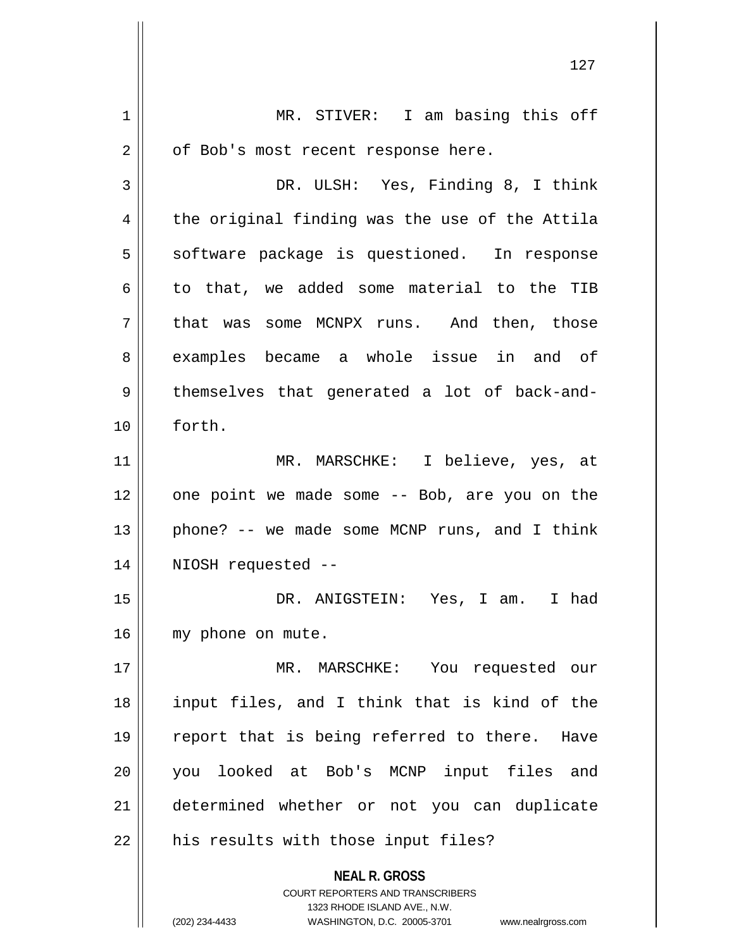**NEAL R. GROSS** COURT REPORTERS AND TRANSCRIBERS 1323 RHODE ISLAND AVE., N.W. (202) 234-4433 WASHINGTON, D.C. 20005-3701 www.nealrgross.com 1 || MR. STIVER: I am basing this off  $2 \parallel$  of Bob's most recent response here. 3 DR. ULSH: Yes, Finding 8, I think  $4 \parallel$  the original finding was the use of the Attila 5 | software package is questioned. In response 6 to that, we added some material to the TIB 7 || that was some MCNPX runs. And then, those 8 || examples became a whole issue in and of 9 || themselves that generated a lot of back-and-10 forth. 11 MR. MARSCHKE: I believe, yes, at  $12$  || one point we made some -- Bob, are you on the 13  $\parallel$  phone? -- we made some MCNP runs, and I think 14 NIOSH requested -- 15 DR. ANIGSTEIN: Yes, I am. I had 16 | my phone on mute. 17 MR. MARSCHKE: You requested our 18 input files, and I think that is kind of the 19 || report that is being referred to there. Have 20 you looked at Bob's MCNP input files and 21 determined whether or not you can duplicate  $22$  | his results with those input files?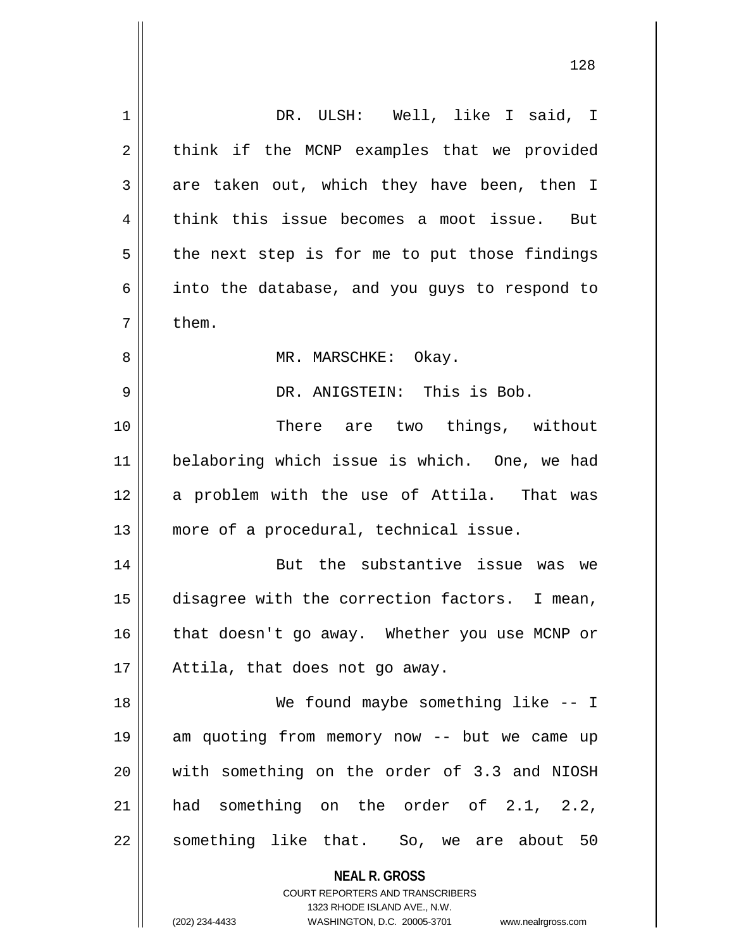| 1  | DR. ULSH: Well, like I said, I                                                                                                                                  |
|----|-----------------------------------------------------------------------------------------------------------------------------------------------------------------|
| 2  | think if the MCNP examples that we provided                                                                                                                     |
| 3  | are taken out, which they have been, then I                                                                                                                     |
| 4  | think this issue becomes a moot issue. But                                                                                                                      |
| 5  | the next step is for me to put those findings                                                                                                                   |
| 6  | into the database, and you guys to respond to                                                                                                                   |
| 7  | them.                                                                                                                                                           |
| 8  | MR. MARSCHKE: Okay.                                                                                                                                             |
| 9  | DR. ANIGSTEIN: This is Bob.                                                                                                                                     |
| 10 | There are two things, without                                                                                                                                   |
| 11 | belaboring which issue is which. One, we had                                                                                                                    |
| 12 | a problem with the use of Attila. That was                                                                                                                      |
| 13 | more of a procedural, technical issue.                                                                                                                          |
| 14 | But the substantive issue was we                                                                                                                                |
| 15 | disagree with the correction factors. I mean,                                                                                                                   |
| 16 | that doesn't go away. Whether you use MCNP or                                                                                                                   |
| 17 | Attila, that does not go away.                                                                                                                                  |
| 18 | We found maybe something like -- I                                                                                                                              |
| 19 | am quoting from memory now -- but we came up                                                                                                                    |
| 20 | with something on the order of 3.3 and NIOSH                                                                                                                    |
| 21 | had something on the order of 2.1, 2.2,                                                                                                                         |
| 22 | something like that. So, we are about 50                                                                                                                        |
|    | <b>NEAL R. GROSS</b><br>COURT REPORTERS AND TRANSCRIBERS<br>1323 RHODE ISLAND AVE., N.W.<br>(202) 234-4433<br>WASHINGTON, D.C. 20005-3701<br>www.nealrgross.com |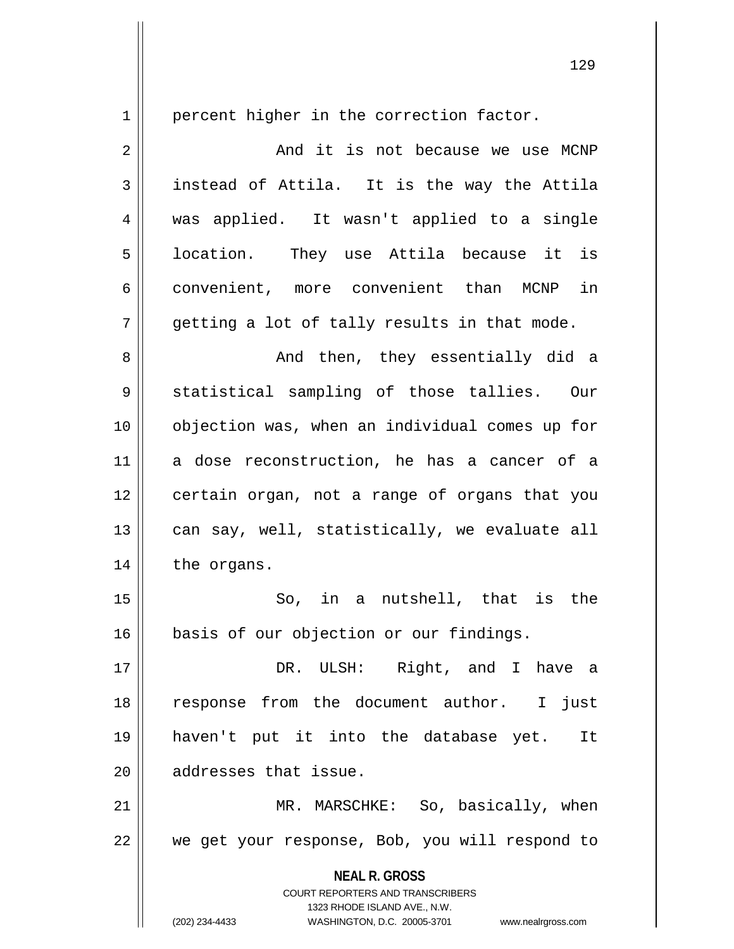1 | percent higher in the correction factor.

2 And it is not because we use MCNP  $3 \parallel$  instead of Attila. It is the way the Attila 4 was applied. It wasn't applied to a single 5 || location. They use Attila because it is 6 convenient, more convenient than MCNP in  $7 \parallel$  qetting a lot of tally results in that mode.

8 And then, they essentially did a 9 || statistical sampling of those tallies. Our 10 objection was, when an individual comes up for 11 a dose reconstruction, he has a cancer of a 12 certain organ, not a range of organs that you  $13$  can say, well, statistically, we evaluate all 14 | the organs.

15 || So, in a nutshell, that is the 16 | basis of our objection or our findings.

17 DR. ULSH: Right, and I have a 18 response from the document author. I just 19 haven't put it into the database yet. It 20 **d** addresses that issue.

21 || MR. MARSCHKE: So, basically, when 22 || we get your response, Bob, you will respond to

> **NEAL R. GROSS** COURT REPORTERS AND TRANSCRIBERS

> > 1323 RHODE ISLAND AVE., N.W.

(202) 234-4433 WASHINGTON, D.C. 20005-3701 www.nealrgross.com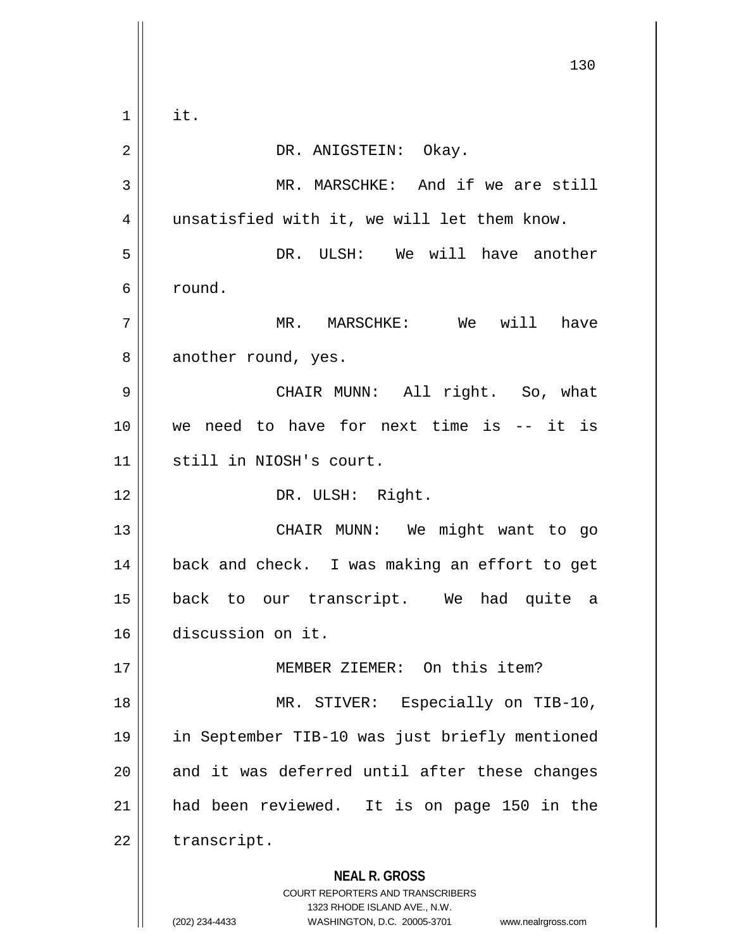**NEAL R. GROSS** COURT REPORTERS AND TRANSCRIBERS 1323 RHODE ISLAND AVE., N.W. (202) 234-4433 WASHINGTON, D.C. 20005-3701 www.nealrgross.com 130  $1 \parallel$  it. 2 DR. ANIGSTEIN: Okay. 3 || MR. MARSCHKE: And if we are still 4 || unsatisfied with it, we will let them know. 5 DR. ULSH: We will have another 6 round. 7 MR. MARSCHKE: We will have 8 another round, yes. 9 CHAIR MUNN: All right. So, what 10 we need to have for next time is -- it is 11 still in NIOSH's court. 12 || DR. ULSH: Right. 13 || CHAIR MUNN: We might want to go 14 || back and check. I was making an effort to get 15 back to our transcript. We had quite a 16 discussion on it. 17 MEMBER ZIEMER: On this item? 18 || MR. STIVER: Especially on TIB-10, 19 in September TIB-10 was just briefly mentioned  $20$  and it was deferred until after these changes 21 had been reviewed. It is on page 150 in the  $22$  | transcript.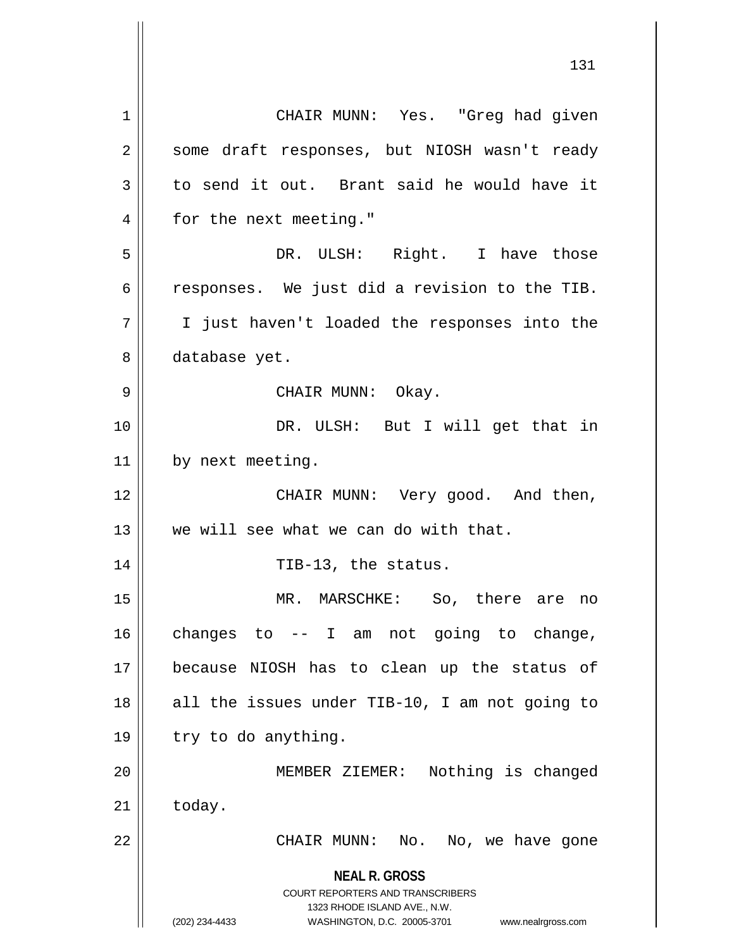**NEAL R. GROSS** COURT REPORTERS AND TRANSCRIBERS 1323 RHODE ISLAND AVE., N.W. (202) 234-4433 WASHINGTON, D.C. 20005-3701 www.nealrgross.com 1 || CHAIR MUNN: Yes. "Greq had qiven 2 || some draft responses, but NIOSH wasn't ready  $3 \parallel$  to send it out. Brant said he would have it 4 | for the next meeting." 5 DR. ULSH: Right. I have those 6  $\parallel$  responses. We just did a revision to the TIB. 7 || I just haven't loaded the responses into the 8 | database yet. 9 CHAIR MUNN: Okay. 10 || DR. ULSH: But I will get that in 11 | by next meeting. 12 CHAIR MUNN: Very good. And then, 13 We will see what we can do with that. 14 || TIB-13, the status. 15 MR. MARSCHKE: So, there are no  $16$  changes to  $-$  I am not going to change, 17 because NIOSH has to clean up the status of 18 || all the issues under TIB-10, I am not going to  $19 \parallel$  try to do anything. 20 MEMBER ZIEMER: Nothing is changed  $21$   $\parallel$  today. 22 || CHAIR MUNN: No. No, we have gone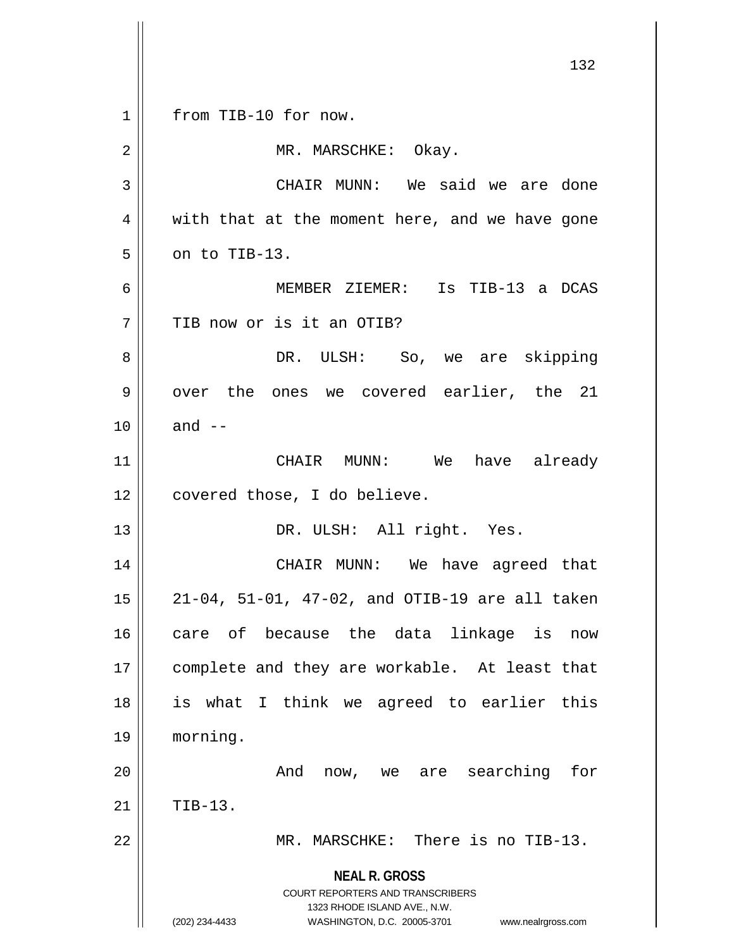**NEAL R. GROSS** COURT REPORTERS AND TRANSCRIBERS 1323 RHODE ISLAND AVE., N.W. (202) 234-4433 WASHINGTON, D.C. 20005-3701 www.nealrgross.com 132 1 || from TIB-10 for now. 2 | MR. MARSCHKE: Okay. 3 CHAIR MUNN: We said we are done  $4 \parallel$  with that at the moment here, and we have gone  $5 \parallel$  on to TIB-13. 6 MEMBER ZIEMER: Is TIB-13 a DCAS 7 TIB now or is it an OTIB? 8 DR. ULSH: So, we are skipping  $9 \parallel$  over the ones we covered earlier, the 21  $10 \parallel$  and  $-$ 11 CHAIR MUNN: We have already 12 || covered those, I do believe. 13 || DR. ULSH: All right. Yes. 14 CHAIR MUNN: We have agreed that 15 21-04, 51-01, 47-02, and OTIB-19 are all taken 16 || care of because the data linkage is now 17 || complete and they are workable. At least that 18 is what I think we agreed to earlier this 19 morning. 20 And now, we are searching for  $21$  TIB-13. 22 MR. MARSCHKE: There is no TIB-13.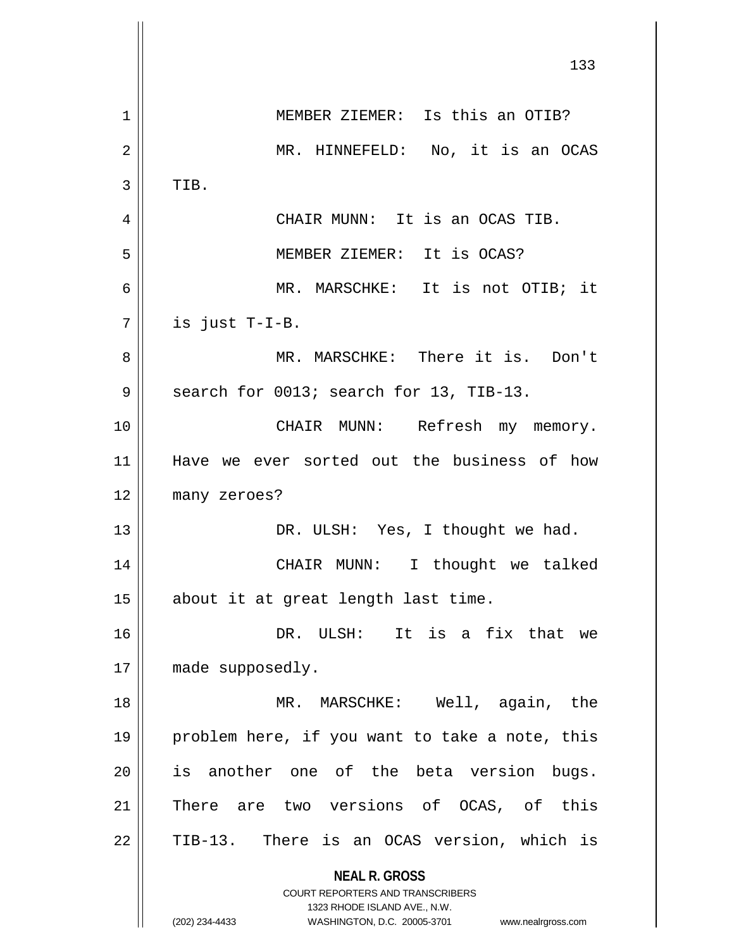**NEAL R. GROSS** COURT REPORTERS AND TRANSCRIBERS 1323 RHODE ISLAND AVE., N.W. (202) 234-4433 WASHINGTON, D.C. 20005-3701 www.nealrgross.com 133 1 || MEMBER ZIEMER: Is this an OTIB? 2 || MR. HINNEFELD: No, it is an OCAS  $3$  | TIB. 4 CHAIR MUNN: It is an OCAS TIB. 5 MEMBER ZIEMER: It is OCAS? 6 MR. MARSCHKE: It is not OTIB; it  $7 \parallel$  is just T-I-B. 8 MR. MARSCHKE: There it is. Don't  $9 \parallel$  search for 0013; search for 13, TIB-13. 10 CHAIR MUNN: Refresh my memory. 11 Have we ever sorted out the business of how 12 many zeroes? 13 || DR. ULSH: Yes, I thought we had. 14 CHAIR MUNN: I thought we talked 15 || about it at great length last time. 16 DR. ULSH: It is a fix that we 17 || made supposedly. 18 MR. MARSCHKE: Well, again, the 19 || problem here, if you want to take a note, this  $20$  is another one of the beta version bugs. 21 There are two versions of OCAS, of this 22 || TIB-13. There is an OCAS version, which is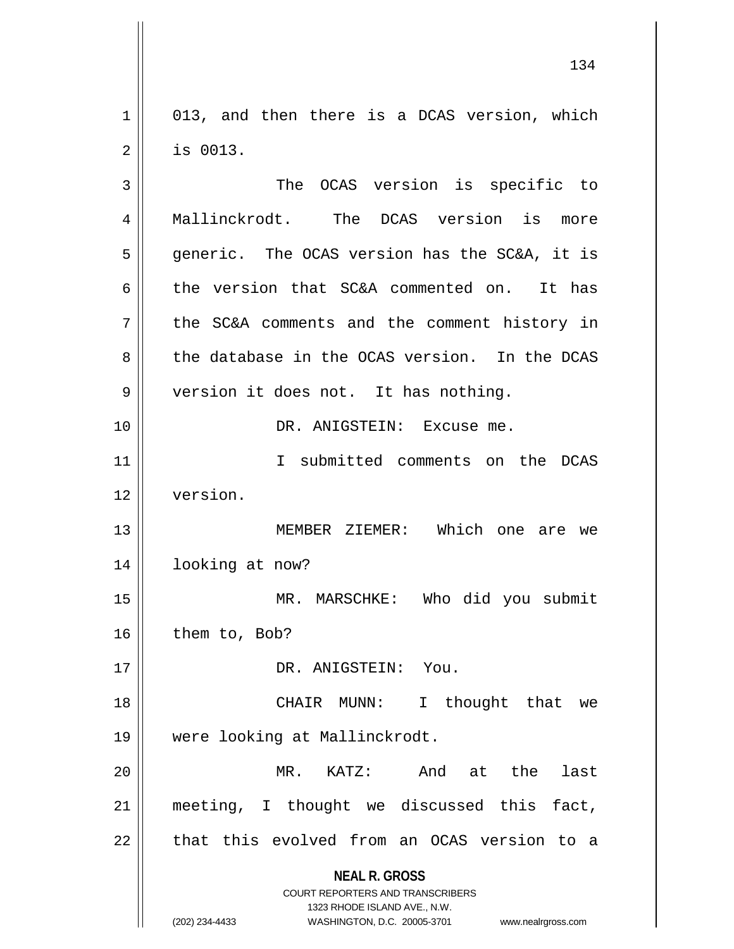1 013, and then there is a DCAS version, which 2 is 0013.

**NEAL R. GROSS** COURT REPORTERS AND TRANSCRIBERS 1323 RHODE ISLAND AVE., N.W. (202) 234-4433 WASHINGTON, D.C. 20005-3701 www.nealrgross.com 3 || The OCAS version is specific to 4 || Mallinckrodt. The DCAS version is more  $5 \parallel$  generic. The OCAS version has the SC&A, it is 6 the version that  $SC&A$  commented on. It has 7 || the SC&A comments and the comment history in 8 the database in the OCAS version. In the DCAS 9 | version it does not. It has nothing. 10 DR. ANIGSTEIN: Excuse me. 11 I submitted comments on the DCAS 12 version. 13 || MEMBER ZIEMER: Which one are we 14 | looking at now? 15 MR. MARSCHKE: Who did you submit  $16$  | them to, Bob? 17 || DR. ANIGSTEIN: You. 18 CHAIR MUNN: I thought that we 19 were looking at Mallinckrodt. 20 MR. KATZ: And at the last 21 meeting, I thought we discussed this fact,  $22$  || that this evolved from an OCAS version to a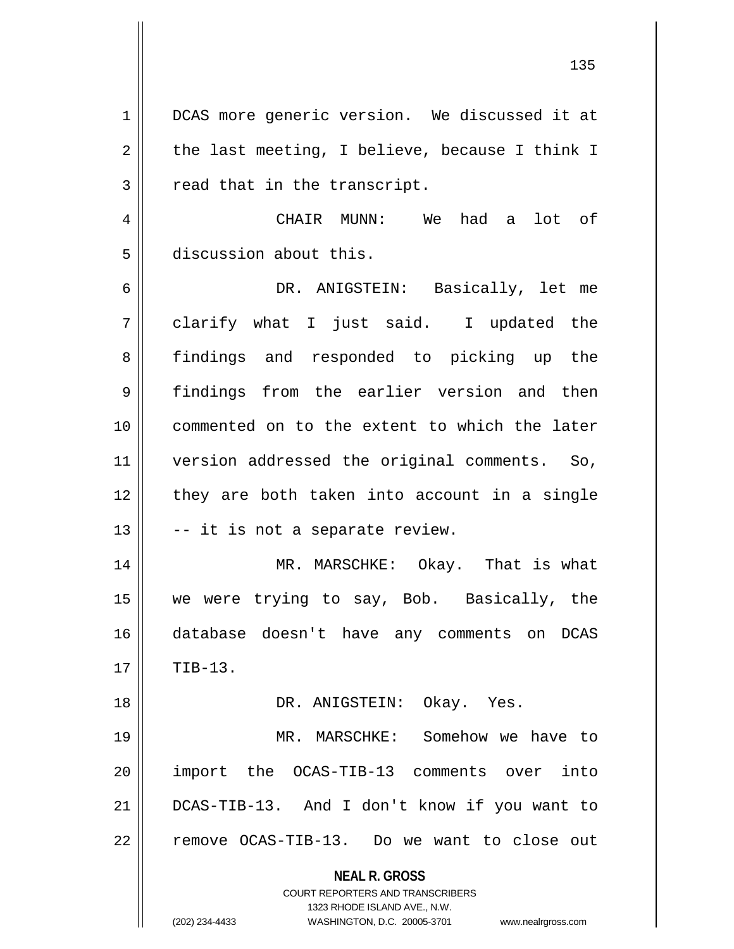1 | DCAS more generic version. We discussed it at  $2 \parallel$  the last meeting, I believe, because I think I  $3 \parallel$  read that in the transcript. 4 CHAIR MUNN: We had a lot of 5 discussion about this. 6 DR. ANIGSTEIN: Basically, let me  $7 \parallel$  clarify what I just said. I updated the 8 findings and responded to picking up the 9 findings from the earlier version and then 10 commented on to the extent to which the later 11 version addressed the original comments. So,  $12$  | they are both taken into account in a single  $13 \parallel$  -- it is not a separate review. 14 || MR. MARSCHKE: Okay. That is what 15 we were trying to say, Bob. Basically, the 16 database doesn't have any comments on DCAS  $17 \parallel$  TIB-13. 18 DR. ANIGSTEIN: Okay. Yes. 19 MR. MARSCHKE: Somehow we have to 20 import the OCAS-TIB-13 comments over into 21 DCAS-TIB-13. And I don't know if you want to 22 || remove OCAS-TIB-13. Do we want to close out

> **NEAL R. GROSS** COURT REPORTERS AND TRANSCRIBERS 1323 RHODE ISLAND AVE., N.W.

(202) 234-4433 WASHINGTON, D.C. 20005-3701 www.nealrgross.com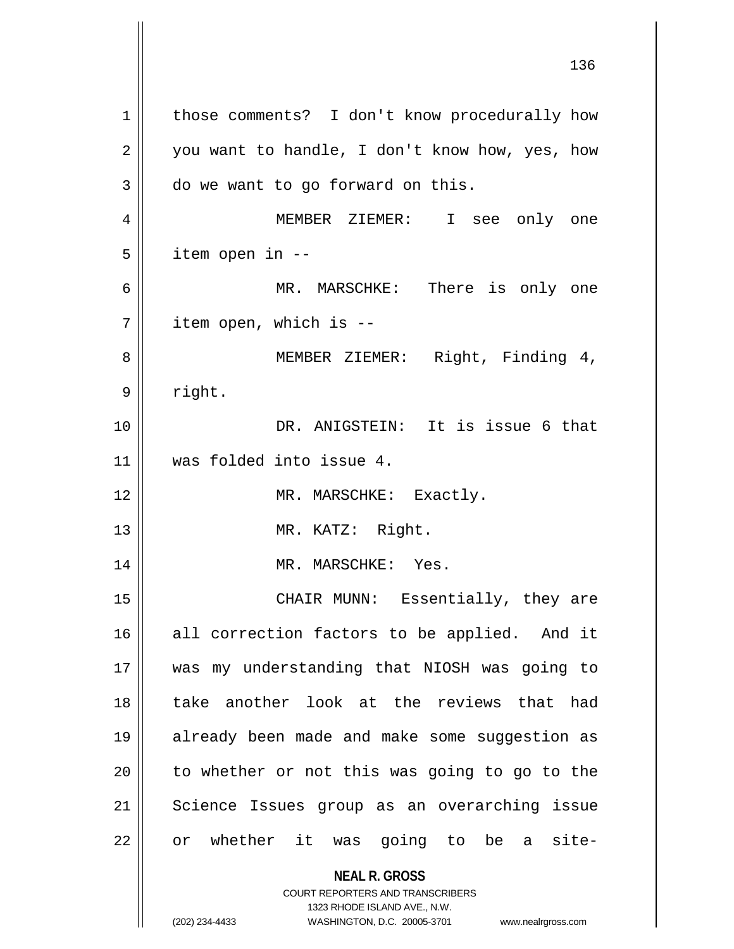**NEAL R. GROSS** COURT REPORTERS AND TRANSCRIBERS 1323 RHODE ISLAND AVE., N.W. 1 | those comments? I don't know procedurally how  $2 \parallel$  you want to handle, I don't know how, yes, how  $3 \parallel$  do we want to go forward on this. 4 MEMBER ZIEMER: I see only one  $5$  || item open in  $-$ 6 MR. MARSCHKE: There is only one  $7$  | item open, which is  $-$ 8 || MEMBER ZIEMER: Right, Finding 4, 9 | right. 10 DR. ANIGSTEIN: It is issue 6 that 11 was folded into issue 4. 12 || MR. MARSCHKE: Exactly. 13 || MR. KATZ: Right. 14 || MR. MARSCHKE: Yes. 15 CHAIR MUNN: Essentially, they are 16 || all correction factors to be applied. And it 17 was my understanding that NIOSH was going to 18 take another look at the reviews that had 19 already been made and make some suggestion as  $20$  | to whether or not this was going to go to the 21 || Science Issues group as an overarching issue 22 || or whether it was going to be a site-

<sup>(202) 234-4433</sup> WASHINGTON, D.C. 20005-3701 www.nealrgross.com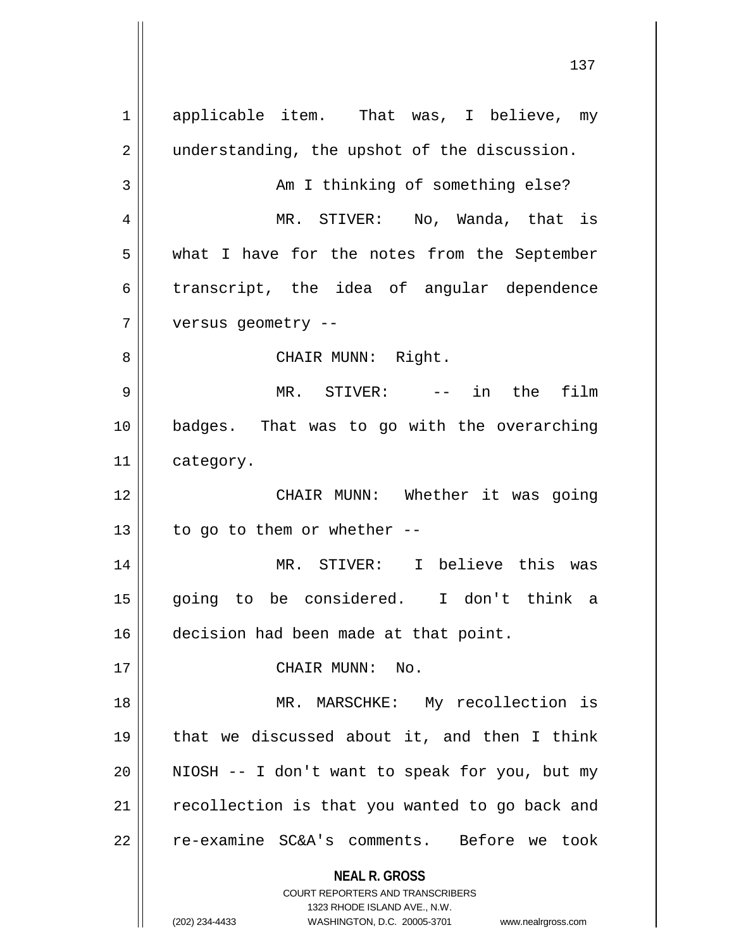**NEAL R. GROSS** COURT REPORTERS AND TRANSCRIBERS 1323 RHODE ISLAND AVE., N.W. (202) 234-4433 WASHINGTON, D.C. 20005-3701 www.nealrgross.com 1 || applicable item. That was, I believe, my 2 || understanding, the upshot of the discussion. 3 || Am I thinking of something else? 4 MR. STIVER: No, Wanda, that is 5 what I have for the notes from the September  $6 \parallel$  transcript, the idea of angular dependence 7 versus geometry -- 8 CHAIR MUNN: Right. 9 MR. STIVER: -- in the film 10 badges. That was to go with the overarching 11 category. 12 CHAIR MUNN: Whether it was going 13  $\parallel$  to go to them or whether --14 MR. STIVER: I believe this was 15 going to be considered. I don't think a 16 decision had been made at that point. 17 || CHAIR MUNN: No. 18 || MR. MARSCHKE: My recollection is 19 that we discussed about it, and then I think  $20$  || NIOSH  $-$  I don't want to speak for you, but my 21 | recollection is that you wanted to go back and 22 || re-examine SC&A's comments. Before we took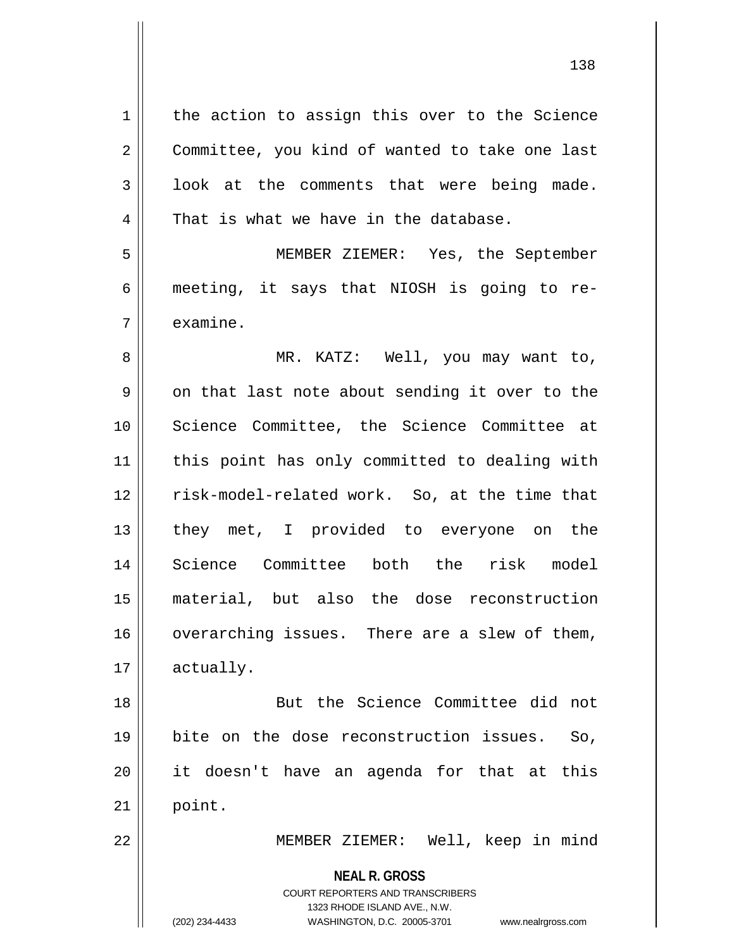**NEAL R. GROSS** COURT REPORTERS AND TRANSCRIBERS 1323 RHODE ISLAND AVE., N.W. 1 | the action to assign this over to the Science 2 Committee, you kind of wanted to take one last  $3 \parallel$  look at the comments that were being made.  $4$  | That is what we have in the database. 5 MEMBER ZIEMER: Yes, the September 6 || meeting, it says that NIOSH is going to re-7 ll examine. 8 MR. KATZ: Well, you may want to,  $9 \parallel$  on that last note about sending it over to the 10 || Science Committee, the Science Committee at 11 || this point has only committed to dealing with 12 || risk-model-related work. So, at the time that 13 || they met, I provided to everyone on the 14 Science Committee both the risk model 15 material, but also the dose reconstruction 16 overarching issues. There are a slew of them, 17 actually. 18 But the Science Committee did not 19 bite on the dose reconstruction issues. So, 20 it doesn't have an agenda for that at this  $21$  point. 22 MEMBER ZIEMER: Well, keep in mind

(202) 234-4433 WASHINGTON, D.C. 20005-3701 www.nealrgross.com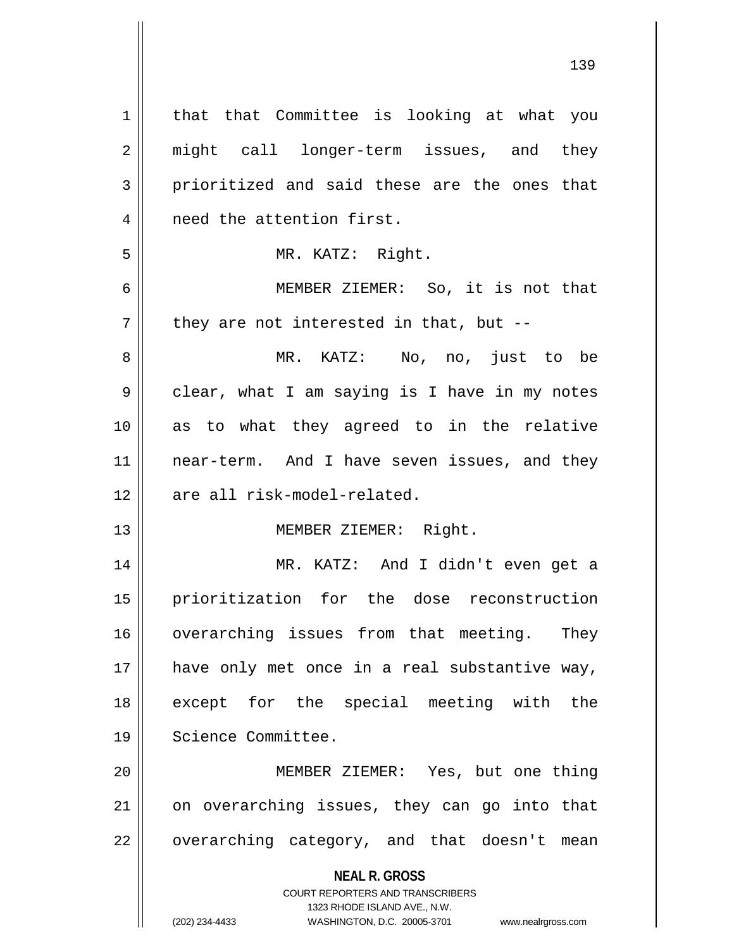| $\mathbf 1$    | that that Committee is looking at what you                                                          |
|----------------|-----------------------------------------------------------------------------------------------------|
| $\overline{2}$ | might call longer-term issues, and they                                                             |
| 3              | prioritized and said these are the ones that                                                        |
| 4              | need the attention first.                                                                           |
| 5              | MR. KATZ: Right.                                                                                    |
| 6              | MEMBER ZIEMER: So, it is not that                                                                   |
| 7              | they are not interested in that, but --                                                             |
| 8              | MR. KATZ: No, no, just to be                                                                        |
| 9              | clear, what I am saying is I have in my notes                                                       |
| 10             | as to what they agreed to in the relative                                                           |
| 11             | near-term. And I have seven issues, and they                                                        |
| 12             | are all risk-model-related.                                                                         |
| 13             | MEMBER ZIEMER: Right.                                                                               |
| 14             | MR. KATZ: And I didn't even get a                                                                   |
| 15             | prioritization for the dose reconstruction                                                          |
| 16             | overarching issues from that meeting. They                                                          |
| 17             | have only met once in a real substantive way,                                                       |
| 18             | except for the special meeting with the                                                             |
| 19             | Science Committee.                                                                                  |
| 20             | MEMBER ZIEMER: Yes, but one thing                                                                   |
| 21             | on overarching issues, they can go into that                                                        |
| 22             | overarching category, and that doesn't mean                                                         |
|                | <b>NEAL R. GROSS</b>                                                                                |
|                | <b>COURT REPORTERS AND TRANSCRIBERS</b>                                                             |
|                | 1323 RHODE ISLAND AVE., N.W.<br>(202) 234-4433<br>WASHINGTON, D.C. 20005-3701<br>www.nealrgross.com |
|                |                                                                                                     |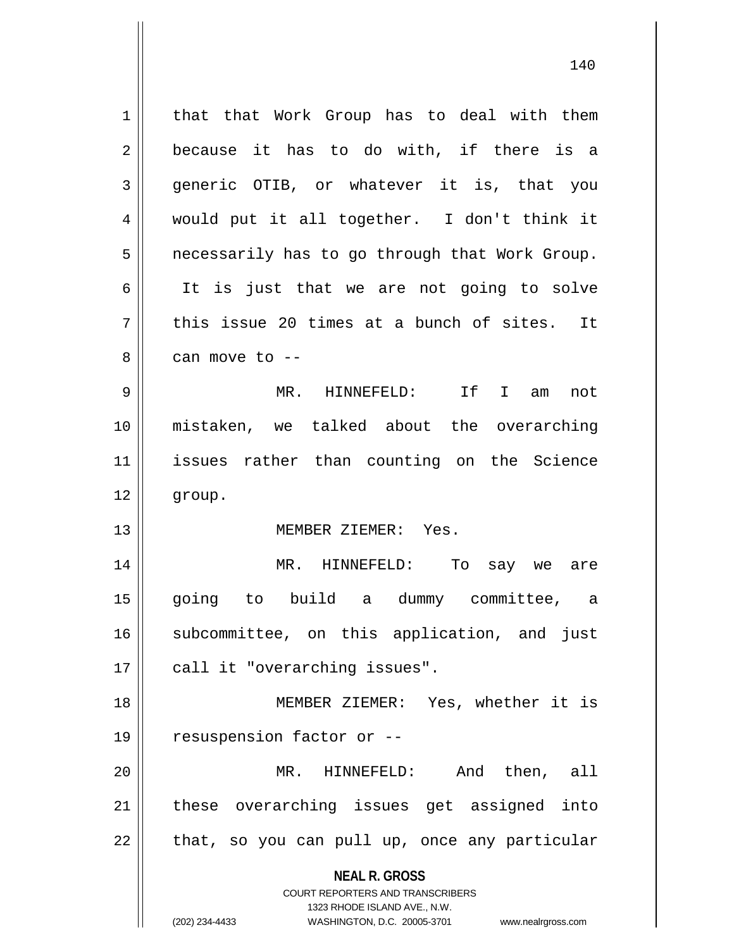**NEAL R. GROSS** COURT REPORTERS AND TRANSCRIBERS 1323 RHODE ISLAND AVE., N.W. 1 | that that Work Group has to deal with them  $2 \parallel$  because it has to do with, if there is a 3 generic OTIB, or whatever it is, that you 4 would put it all together. I don't think it  $5$  | necessarily has to go through that Work Group. 6 || It is just that we are not going to solve  $7 \parallel$  this issue 20 times at a bunch of sites. It  $8 \parallel$  can move to  $-$ 9 MR. HINNEFELD: If I am not 10 mistaken, we talked about the overarching 11 issues rather than counting on the Science 12 group. 13 MEMBER ZIEMER: Yes. 14 MR. HINNEFELD: To say we are 15 going to build a dummy committee, a 16 || subcommittee, on this application, and just 17 || call it "overarching issues". 18 MEMBER ZIEMER: Yes, whether it is 19  $\parallel$  resuspension factor or --20 MR. HINNEFELD: And then, all 21 || these overarching issues get assigned into  $22$  || that, so you can pull up, once any particular

(202) 234-4433 WASHINGTON, D.C. 20005-3701 www.nealrgross.com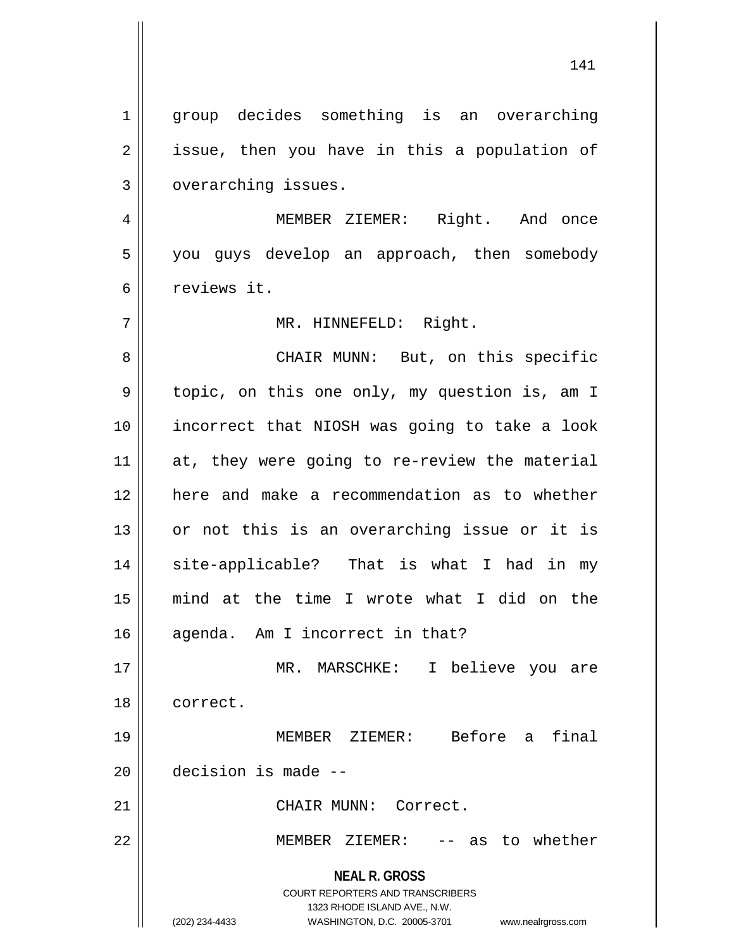1 || group decides something is an overarching  $2 \parallel$  issue, then you have in this a population of 3 | overarching issues.

4 MEMBER ZIEMER: Right. And once 5 || you guys develop an approach, then somebody 6 reviews it.

7 || MR. HINNEFELD: Right.

8 CHAIR MUNN: But, on this specific 9 depic, on this one only, my question is, am I 10 incorrect that NIOSH was going to take a look 11 || at, they were going to re-review the material 12 here and make a recommendation as to whether  $13$  or not this is an overarching issue or it is 14 || site-applicable? That is what I had in my 15 mind at the time I wrote what I did on the 16 || agenda. Am I incorrect in that? 17 MR. MARSCHKE: I believe you are

18 correct.

19 MEMBER ZIEMER: Before a final  $20$  | decision is made --

21 | CHAIR MUNN: Correct.

22 MEMBER ZIEMER: -- as to whether

**NEAL R. GROSS** COURT REPORTERS AND TRANSCRIBERS

1323 RHODE ISLAND AVE., N.W.

(202) 234-4433 WASHINGTON, D.C. 20005-3701 www.nealrgross.com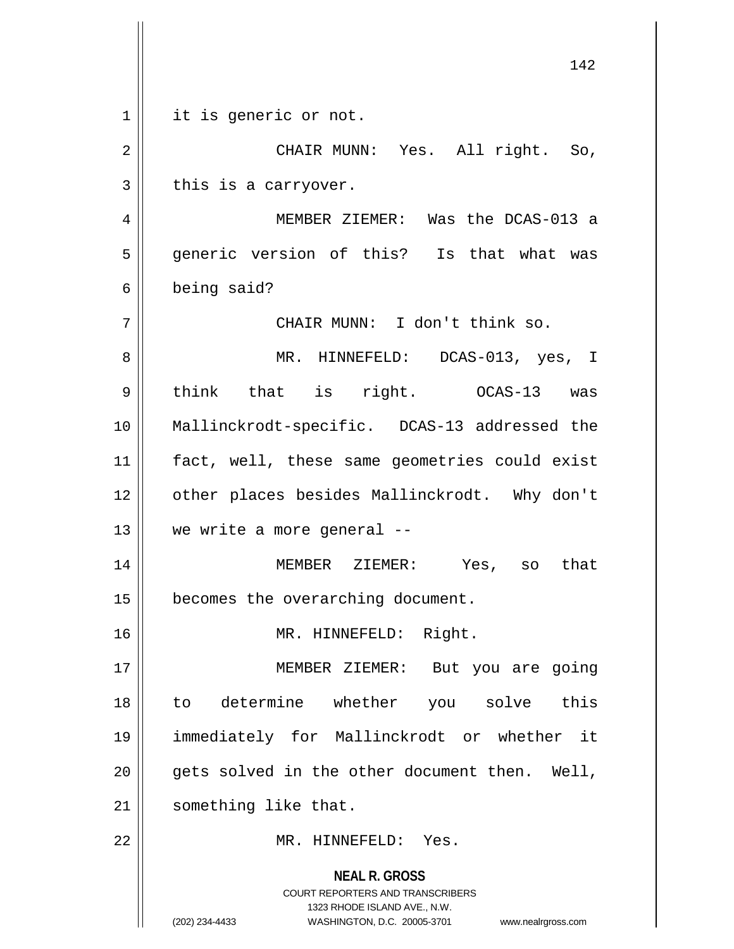|                | 142                                                                                                                                                                    |
|----------------|------------------------------------------------------------------------------------------------------------------------------------------------------------------------|
| $\mathbf{1}$   | it is generic or not.                                                                                                                                                  |
| $\overline{2}$ | CHAIR MUNN: Yes. All right. So,                                                                                                                                        |
| 3              | this is a carryover.                                                                                                                                                   |
| 4              | MEMBER ZIEMER: Was the DCAS-013 a                                                                                                                                      |
| 5              | generic version of this? Is that what was                                                                                                                              |
| 6              | being said?                                                                                                                                                            |
| 7              | CHAIR MUNN: I don't think so.                                                                                                                                          |
| 8              | MR. HINNEFELD: DCAS-013, yes, I                                                                                                                                        |
| 9              | think that is right. 0CAS-13 was                                                                                                                                       |
| 10             | Mallinckrodt-specific. DCAS-13 addressed the                                                                                                                           |
| 11             | fact, well, these same geometries could exist                                                                                                                          |
| 12             | other places besides Mallinckrodt. Why don't                                                                                                                           |
| 13             | we write a more general --                                                                                                                                             |
| 14             | MEMBER ZIEMER: Yes, so that                                                                                                                                            |
| 15             | becomes the overarching document.                                                                                                                                      |
| 16             | MR. HINNEFELD: Right.                                                                                                                                                  |
| 17             | MEMBER ZIEMER: But you are going                                                                                                                                       |
| 18             | to determine whether you solve this                                                                                                                                    |
| 19             | immediately for Mallinckrodt or whether it                                                                                                                             |
| 20             | gets solved in the other document then. Well,                                                                                                                          |
| 21             | something like that.                                                                                                                                                   |
| 22             | MR. HINNEFELD: Yes.                                                                                                                                                    |
|                | <b>NEAL R. GROSS</b><br><b>COURT REPORTERS AND TRANSCRIBERS</b><br>1323 RHODE ISLAND AVE., N.W.<br>(202) 234-4433<br>WASHINGTON, D.C. 20005-3701<br>www.nealrgross.com |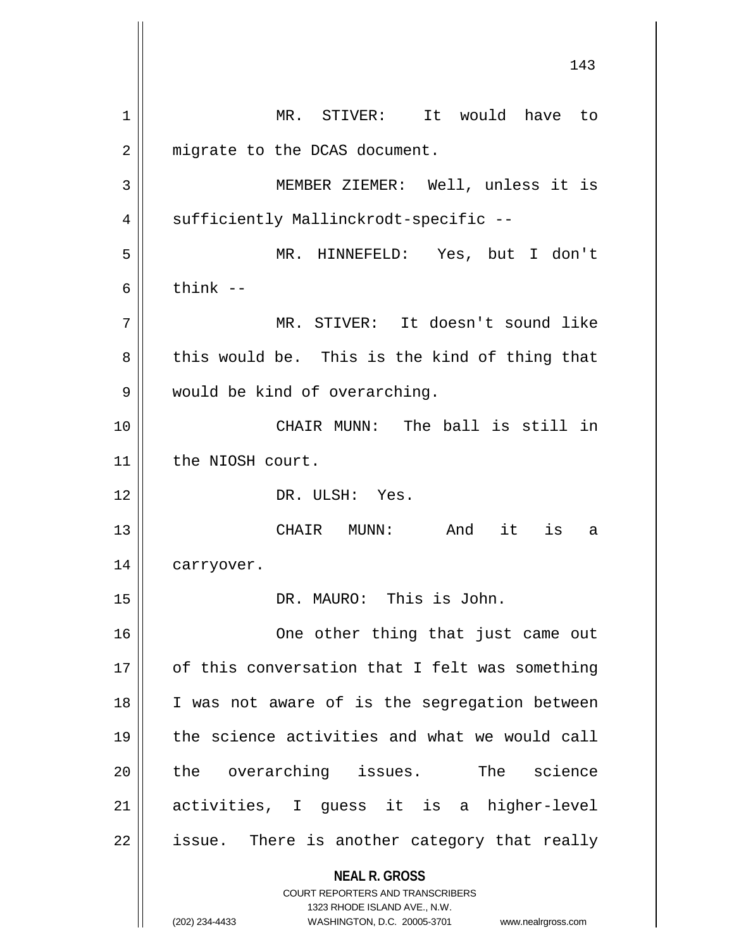**NEAL R. GROSS** COURT REPORTERS AND TRANSCRIBERS 1323 RHODE ISLAND AVE., N.W. (202) 234-4433 WASHINGTON, D.C. 20005-3701 www.nealrgross.com 1 MR. STIVER: It would have to 2 | migrate to the DCAS document. 3 MEMBER ZIEMER: Well, unless it is 4 || sufficiently Mallinckrodt-specific --5 MR. HINNEFELD: Yes, but I don't  $6 \parallel$  think  $-$ 7 MR. STIVER: It doesn't sound like  $8 \parallel$  this would be. This is the kind of thing that 9 || would be kind of overarching. 10 CHAIR MUNN: The ball is still in 11 | the NIOSH court. 12 DR. ULSH: Yes. 13 CHAIR MUNN: And it is a 14 | carryover. 15 DR. MAURO: This is John. 16 One other thing that just came out 17 || of this conversation that I felt was something 18 || I was not aware of is the segregation between 19 the science activities and what we would call 20 || the overarching issues. The science 21 activities, I guess it is a higher-level  $22$  || issue. There is another category that really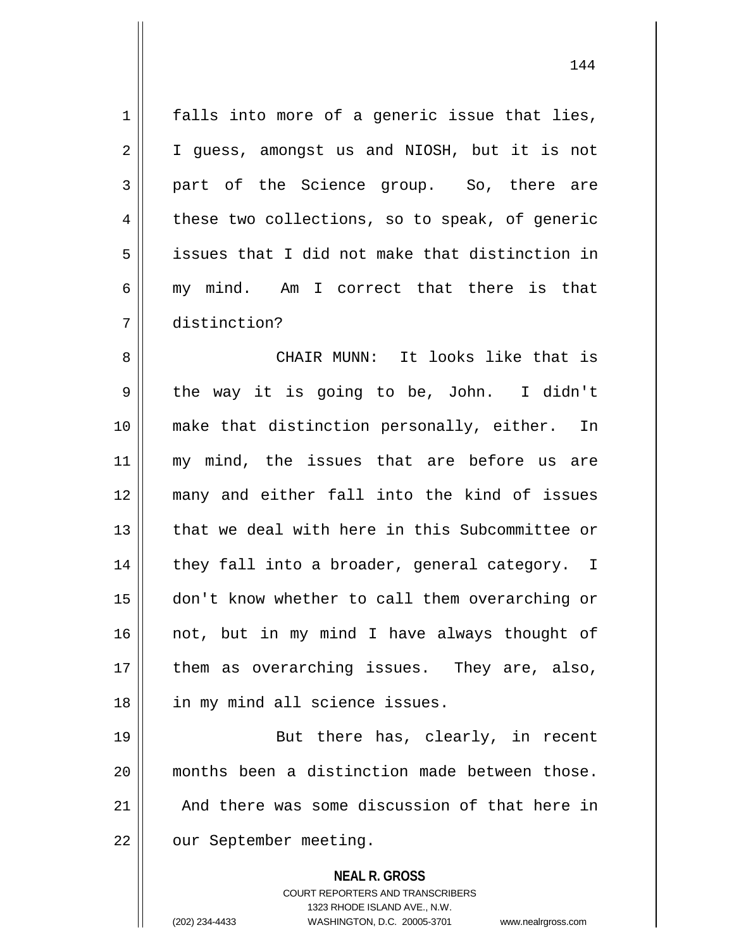1 || falls into more of a generic issue that lies, 2 | I guess, amongst us and NIOSH, but it is not 3 part of the Science group. So, there are  $4 \parallel$  these two collections, so to speak, of generic 5 issues that I did not make that distinction in 6 || my mind. Am I correct that there is that 7 distinction?

8 CHAIR MUNN: It looks like that is  $9 \parallel$  the way it is going to be, John. I didn't 10 make that distinction personally, either. In 11 || my mind, the issues that are before us are 12 many and either fall into the kind of issues 13 that we deal with here in this Subcommittee or  $14$  || they fall into a broader, general category. I 15 don't know whether to call them overarching or  $16$  not, but in my mind I have always thought of 17 || them as overarching issues. They are, also, 18 || in my mind all science issues.

19 || But there has, clearly, in recent 20 months been a distinction made between those.  $21$   $\parallel$  And there was some discussion of that here in 22 | our September meeting.

**NEAL R. GROSS**

COURT REPORTERS AND TRANSCRIBERS 1323 RHODE ISLAND AVE., N.W. (202) 234-4433 WASHINGTON, D.C. 20005-3701 www.nealrgross.com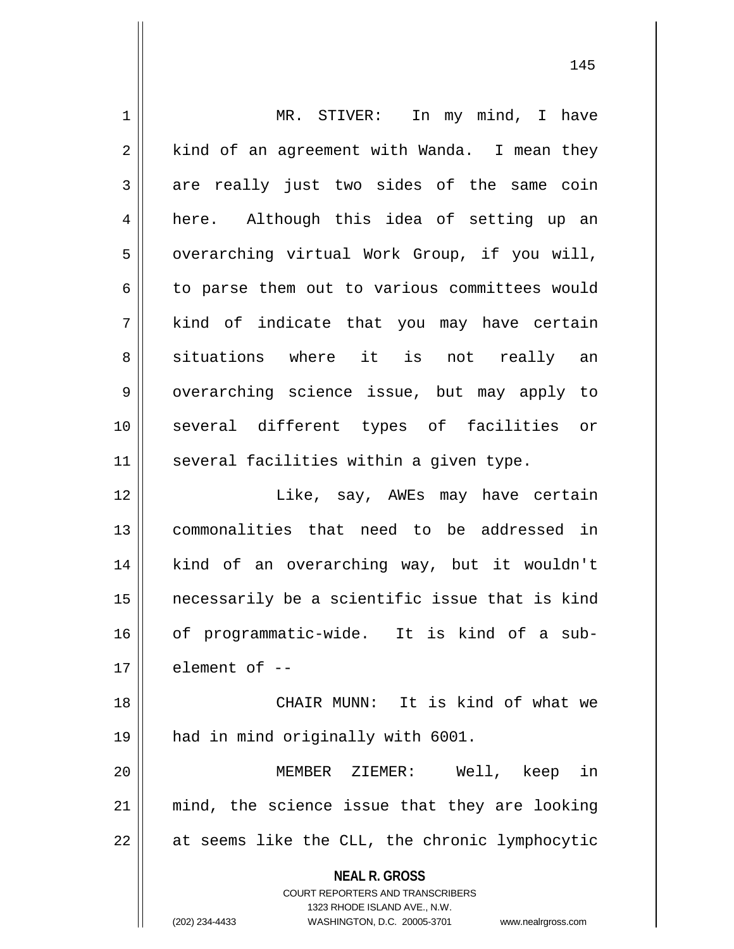| $\mathbf 1$  | MR. STIVER: In my mind, I have                                                                      |
|--------------|-----------------------------------------------------------------------------------------------------|
| 2            | kind of an agreement with Wanda. I mean they                                                        |
| $\mathbf{3}$ | are really just two sides of the same coin                                                          |
| 4            | here. Although this idea of setting up an                                                           |
| 5            | overarching virtual Work Group, if you will,                                                        |
| 6            | to parse them out to various committees would                                                       |
| 7            | kind of indicate that you may have certain                                                          |
| 8            | situations where it is not really an                                                                |
| 9            | overarching science issue, but may apply to                                                         |
| 10           | several different types of facilities or                                                            |
| 11           | several facilities within a given type.                                                             |
| 12           | Like, say, AWEs may have certain                                                                    |
| 13           | commonalities that need to be addressed in                                                          |
| 14           | kind of an overarching way, but it wouldn't                                                         |
| 15           | necessarily be a scientific issue that is kind                                                      |
| 16           | of programmatic-wide. It is kind of a sub-                                                          |
| 17           | element of --                                                                                       |
| 18           | CHAIR MUNN: It is kind of what we                                                                   |
| 19           | had in mind originally with 6001.                                                                   |
| 20           | MEMBER ZIEMER: Well, keep in                                                                        |
| 21           | mind, the science issue that they are looking                                                       |
| 22           | at seems like the CLL, the chronic lymphocytic                                                      |
|              | <b>NEAL R. GROSS</b>                                                                                |
|              | <b>COURT REPORTERS AND TRANSCRIBERS</b>                                                             |
|              | 1323 RHODE ISLAND AVE., N.W.<br>(202) 234-4433<br>WASHINGTON, D.C. 20005-3701<br>www.nealrgross.com |
|              |                                                                                                     |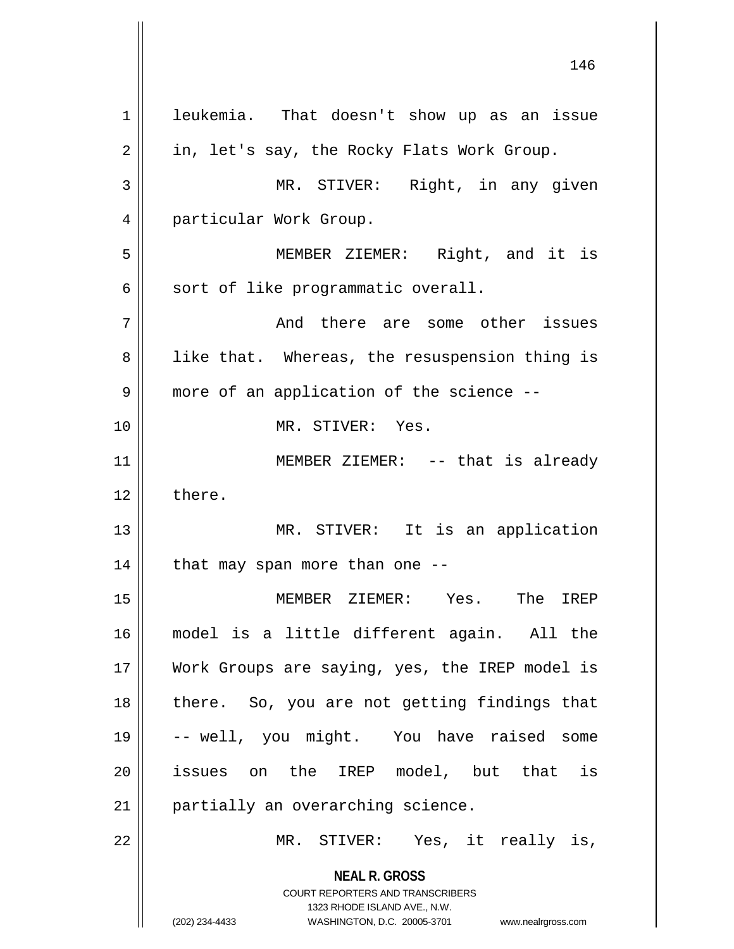**NEAL R. GROSS** COURT REPORTERS AND TRANSCRIBERS 1323 RHODE ISLAND AVE., N.W. (202) 234-4433 WASHINGTON, D.C. 20005-3701 www.nealrgross.com 1 | leukemia. That doesn't show up as an issue  $2 \parallel$  in, let's say, the Rocky Flats Work Group. 3 MR. STIVER: Right, in any given 4 | particular Work Group. 5 MEMBER ZIEMER: Right, and it is  $6 \parallel$  sort of like programmatic overall. 7 || The Some other issues 8 || like that. Whereas, the resuspension thing is 9 || more of an application of the science --10 MR. STIVER: Yes. 11 || MEMBER ZIEMER: -- that is already  $12 \parallel$  there. 13 || MR. STIVER: It is an application  $14$  | that may span more than one --15 MEMBER ZIEMER: Yes. The IREP 16 model is a little different again. All the 17 Work Groups are saying, yes, the IREP model is 18 || there. So, you are not getting findings that 19 -- well, you might. You have raised some 20 || issues on the IREP model, but that is 21 | partially an overarching science. 22 || MR. STIVER: Yes, it really is,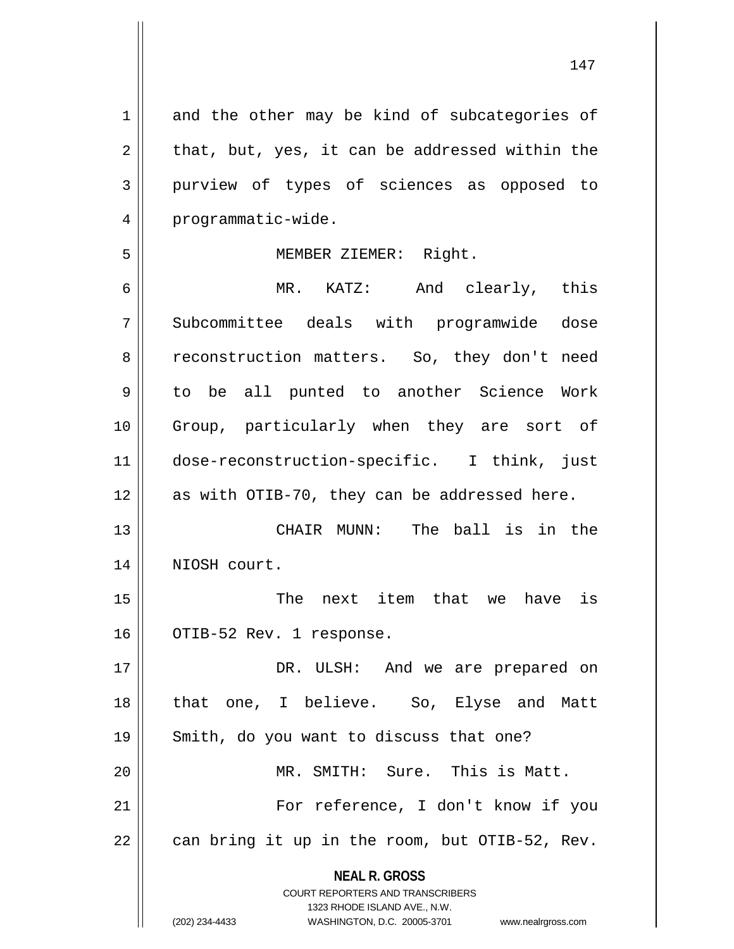**NEAL R. GROSS** COURT REPORTERS AND TRANSCRIBERS 1323 RHODE ISLAND AVE., N.W.  $1 \parallel$  and the other may be kind of subcategories of  $2 \parallel$  that, but, yes, it can be addressed within the 3 purview of types of sciences as opposed to 4 | programmatic-wide. 5 || MEMBER ZIEMER: Right. 6 MR. KATZ: And clearly, this 7 Subcommittee deals with programwide dose 8 || reconstruction matters. So, they don't need 9 || to be all punted to another Science Work 10 Group, particularly when they are sort of 11 dose-reconstruction-specific. I think, just  $12$  as with OTIB-70, they can be addressed here. 13 CHAIR MUNN: The ball is in the 14 NIOSH court. 15 The next item that we have is 16 | OTIB-52 Rev. 1 response. 17 DR. ULSH: And we are prepared on 18 that one, I believe. So, Elyse and Matt 19 Smith, do you want to discuss that one? 20 MR. SMITH: Sure. This is Matt. 21 || For reference, I don't know if you  $22 \parallel$  can bring it up in the room, but OTIB-52, Rev.

<sup>(202) 234-4433</sup> WASHINGTON, D.C. 20005-3701 www.nealrgross.com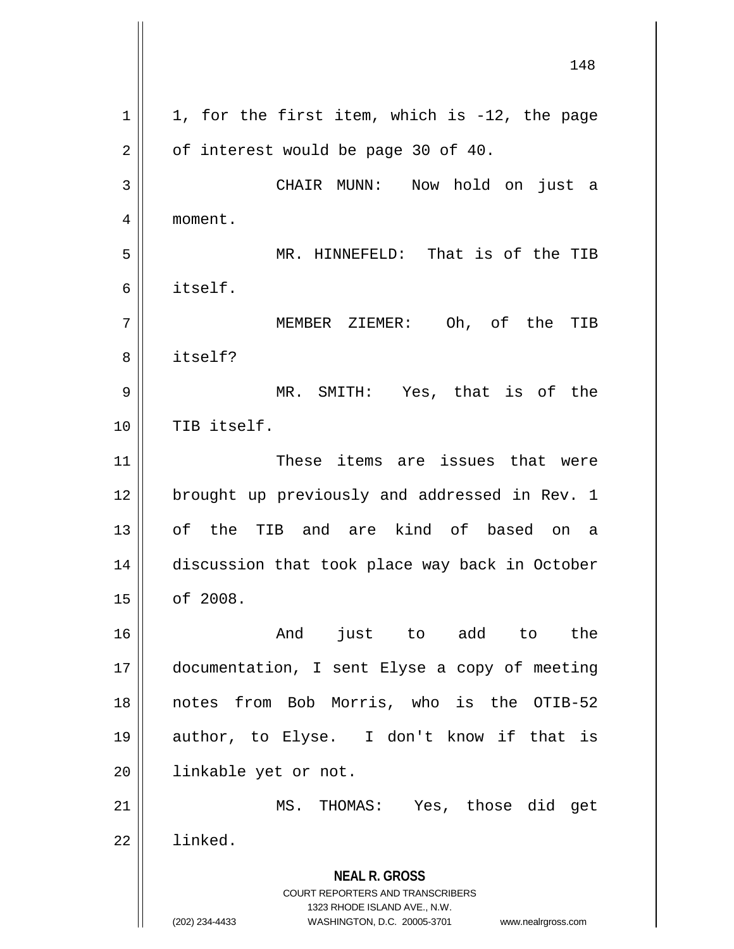**NEAL R. GROSS** COURT REPORTERS AND TRANSCRIBERS 1323 RHODE ISLAND AVE., N.W. (202) 234-4433 WASHINGTON, D.C. 20005-3701 www.nealrgross.com 148  $1 \parallel 1$ , for the first item, which is -12, the page  $2 \parallel$  of interest would be page 30 of 40. 3 CHAIR MUNN: Now hold on just a 4 moment. 5 MR. HINNEFELD: That is of the TIB 6 itself. 7 MEMBER ZIEMER: Oh, of the TIB 8 l itself? 9 MR. SMITH: Yes, that is of the 10 || TIB itself. 11 These items are issues that were 12 || brought up previously and addressed in Rev. 1 13 of the TIB and are kind of based on a 14 discussion that took place way back in October 15 of 2008. 16 and just to add to the 17 documentation, I sent Elyse a copy of meeting 18 notes from Bob Morris, who is the OTIB-52 19 author, to Elyse. I don't know if that is 20 | linkable yet or not. 21 MS. THOMAS: Yes, those did get 22 | linked.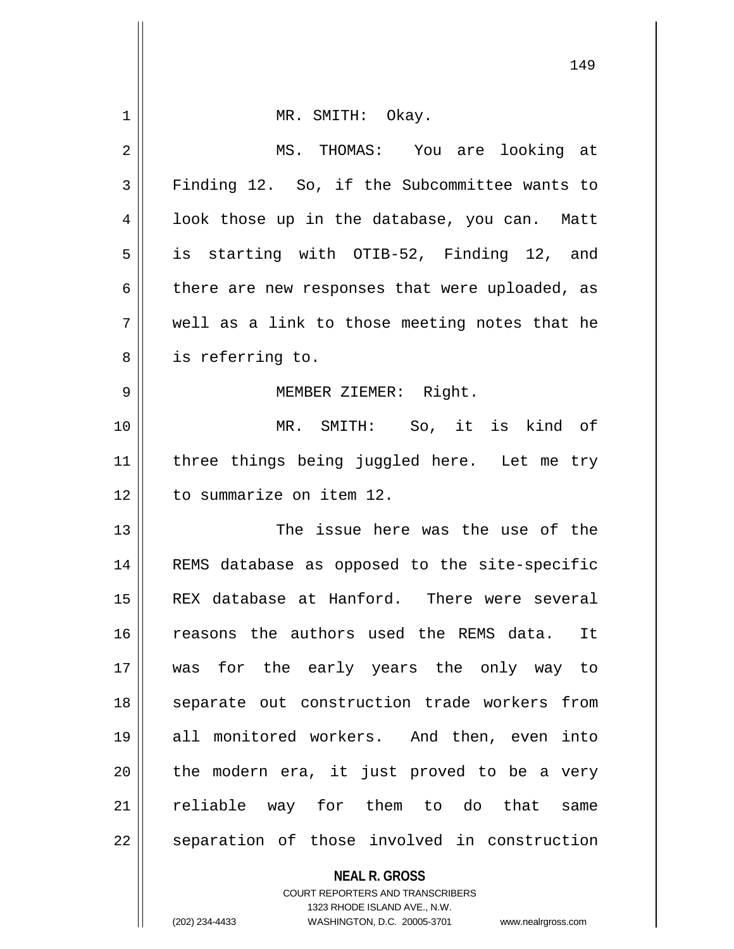|             | 149                                            |
|-------------|------------------------------------------------|
| $\mathbf 1$ | MR. SMITH: Okay.                               |
| 2           | MS. THOMAS: You are looking at                 |
| 3           | Finding 12. So, if the Subcommittee wants to   |
| 4           | look those up in the database, you can. Matt   |
| 5           | is starting with OTIB-52, Finding 12, and      |
| 6           | there are new responses that were uploaded, as |
| 7           | well as a link to those meeting notes that he  |
| 8           | is referring to.                               |
| 9           | MEMBER ZIEMER: Right.                          |
| 10          | MR. SMITH: So, it is kind of                   |
| 11          | three things being juggled here. Let me try    |
| 12          | to summarize on item 12.                       |
| 13          | The issue here was the use of the              |
| 14          | REMS database as opposed to the site-specific  |
| 15          | REX database at Hanford. There were several    |
| 16          | reasons the authors used the REMS data.<br>It  |
| 17          | was for the early years the only way to        |
| 18          | separate out construction trade workers from   |
| 19          | all monitored workers. And then, even into     |
| 20          | the modern era, it just proved to be a very    |
| 21          | reliable way for them to do that<br>same       |
| 22          | separation of those involved in construction   |
|             | <b>NEAL R. GROSS</b>                           |

COURT REPORTERS AND TRANSCRIBERS 1323 RHODE ISLAND AVE., N.W.

(202) 234-4433 WASHINGTON, D.C. 20005-3701 www.nealrgross.com

 $\mathsf{II}$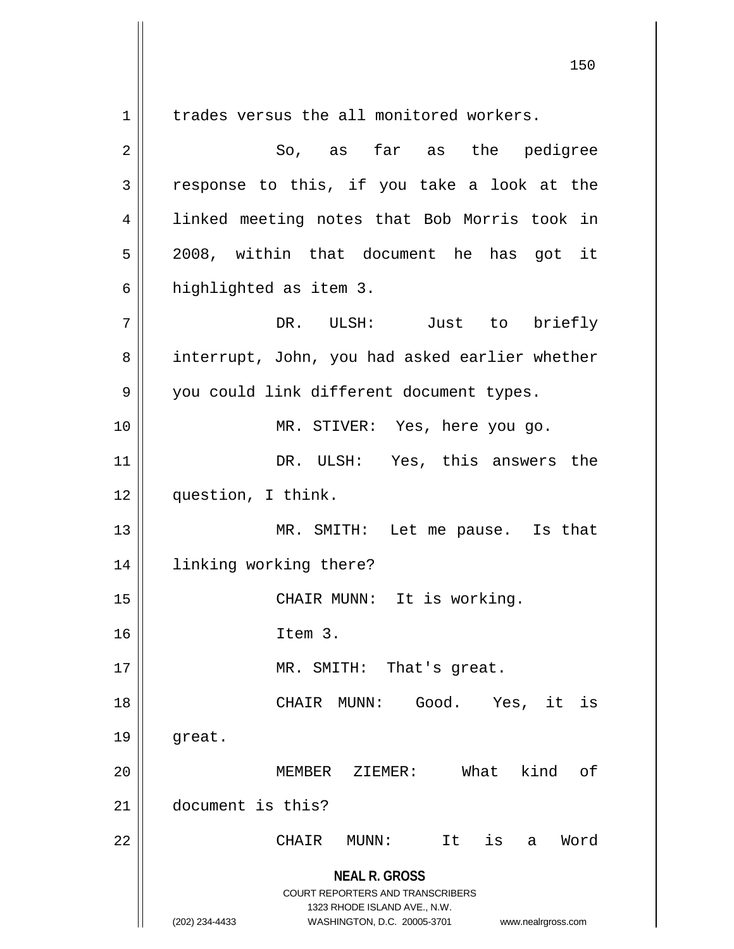**NEAL R. GROSS** 1 | trades versus the all monitored workers. 2 So, as far as the pedigree  $3 \parallel$  response to this, if you take a look at the 4 || linked meeting notes that Bob Morris took in 5 2008, within that document he has got it 6 | highlighted as item 3. 7 DR. ULSH: Just to briefly 8 || interrupt, John, you had asked earlier whether 9 | you could link different document types. 10 MR. STIVER: Yes, here you go. 11 || DR. ULSH: Yes, this answers the 12 question, I think. 13 || MR. SMITH: Let me pause. Is that 14 linking working there? 15 || CHAIR MUNN: It is working. 16 Item 3. 17 || MR. SMITH: That's great. 18 CHAIR MUNN: Good. Yes, it is  $19 \parallel$  great. 20 MEMBER ZIEMER: What kind of 21 document is this? 22 CHAIR MUNN: It is a Word

> COURT REPORTERS AND TRANSCRIBERS 1323 RHODE ISLAND AVE., N.W. (202) 234-4433 WASHINGTON, D.C. 20005-3701 www.nealrgross.com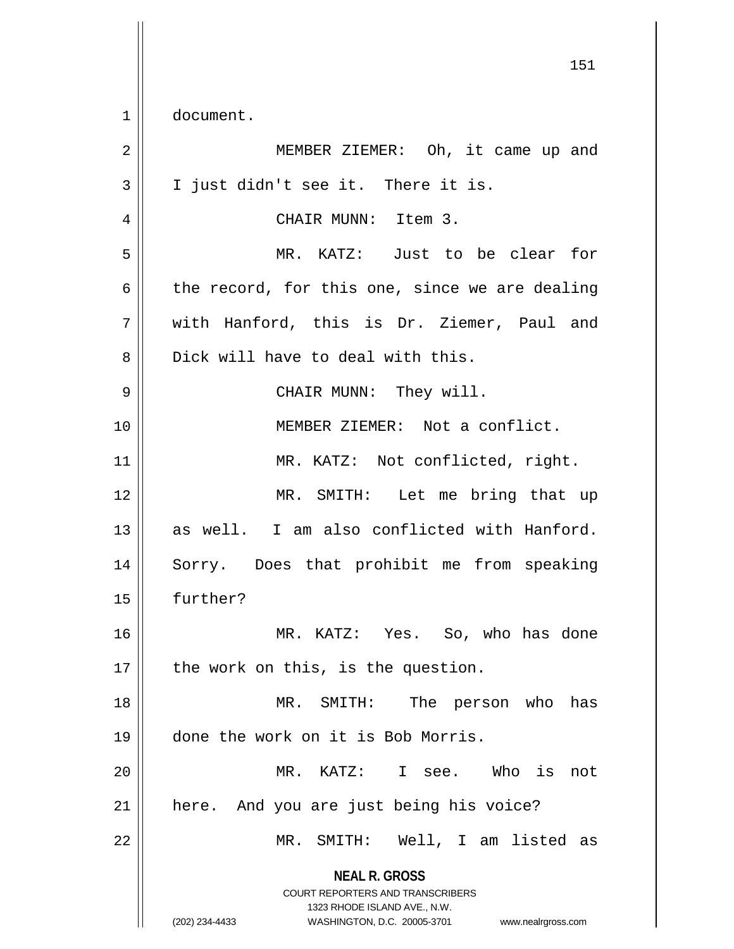1 | document.

**NEAL R. GROSS** COURT REPORTERS AND TRANSCRIBERS 1323 RHODE ISLAND AVE., N.W. (202) 234-4433 WASHINGTON, D.C. 20005-3701 www.nealrgross.com 2 || MEMBER ZIEMER: Oh, it came up and  $3 \parallel$  I just didn't see it. There it is. 4 CHAIR MUNN: Item 3. 5 MR. KATZ: Just to be clear for  $6 \parallel$  the record, for this one, since we are dealing 7 with Hanford, this is Dr. Ziemer, Paul and  $8 \parallel$  Dick will have to deal with this. 9 CHAIR MUNN: They will. 10 MEMBER ZIEMER: Not a conflict. 11 || MR. KATZ: Not conflicted, right. 12 MR. SMITH: Let me bring that up 13 as well. I am also conflicted with Hanford. 14 || Sorry. Does that prohibit me from speaking 15 further? 16 MR. KATZ: Yes. So, who has done  $17$  | the work on this, is the question. 18 MR. SMITH: The person who has 19 done the work on it is Bob Morris. 20 MR. KATZ: I see. Who is not 21 || here. And you are just being his voice? 22 MR. SMITH: Well, I am listed as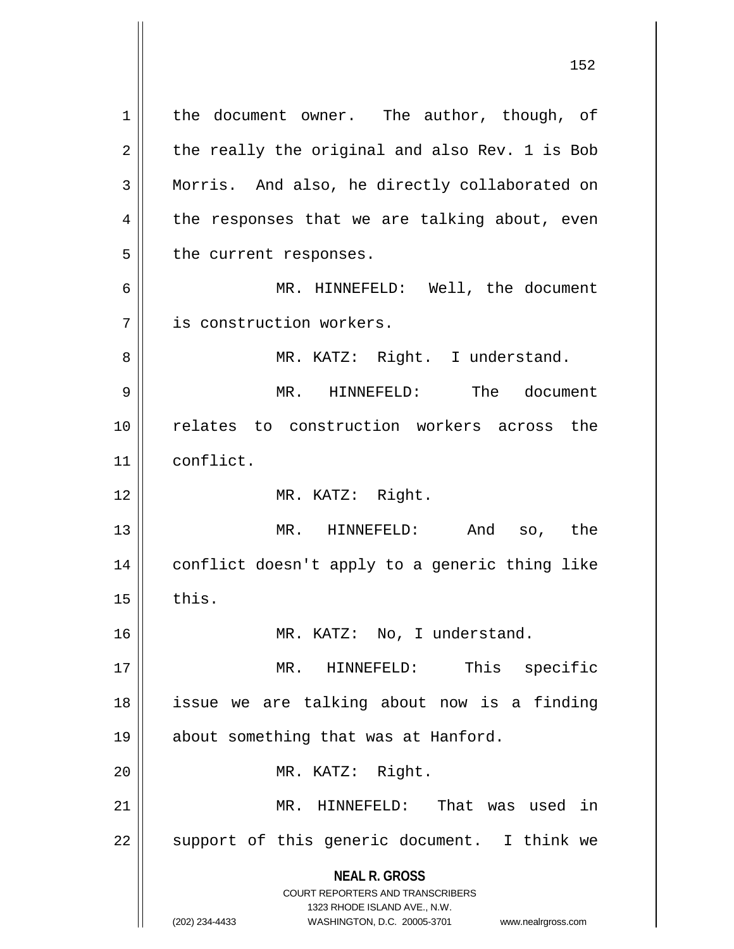**NEAL R. GROSS** COURT REPORTERS AND TRANSCRIBERS 1323 RHODE ISLAND AVE., N.W. 1 || the document owner. The author, though, of  $2 \parallel$  the really the original and also Rev. 1 is Bob 3 Morris. And also, he directly collaborated on  $4 \parallel$  the responses that we are talking about, even 5 | the current responses. 6 || MR. HINNEFELD: Well, the document 7 is construction workers. 8 || MR. KATZ: Right. I understand. 9 MR. HINNEFELD: The document 10 relates to construction workers across the 11 conflict. 12 || MR. KATZ: Right. 13 || MR. HINNEFELD: And so, the 14 conflict doesn't apply to a generic thing like  $15$   $\parallel$  this. 16 || MR. KATZ: No, I understand. 17 MR. HINNEFELD: This specific 18 issue we are talking about now is a finding 19 || about something that was at Hanford. 20 || MR. KATZ: Right. 21 MR. HINNEFELD: That was used in  $22$  || support of this generic document. I think we

<sup>(202) 234-4433</sup> WASHINGTON, D.C. 20005-3701 www.nealrgross.com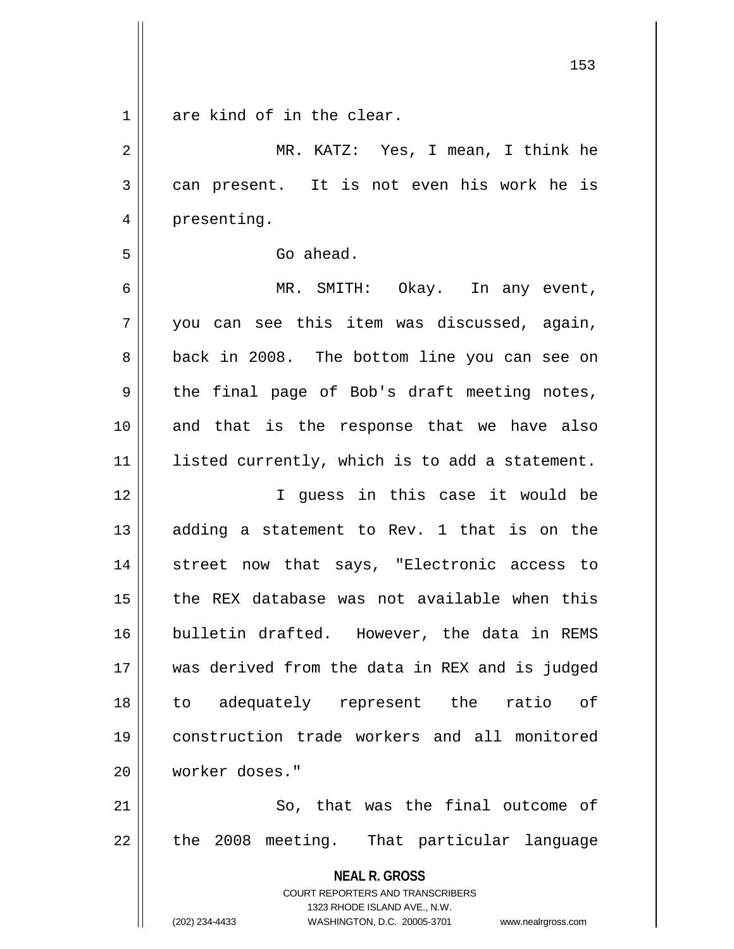| $\mathbf{1}$ | are kind of in the clear.                                                                           |
|--------------|-----------------------------------------------------------------------------------------------------|
| 2            | MR. KATZ: Yes, I mean, I think he                                                                   |
| 3            | can present. It is not even his work he is                                                          |
| 4            | presenting.                                                                                         |
| 5            | Go ahead.                                                                                           |
| 6            | MR. SMITH: Okay. In any event,                                                                      |
| 7            | you can see this item was discussed, again,                                                         |
| 8            | back in 2008. The bottom line you can see on                                                        |
| 9            | the final page of Bob's draft meeting notes,                                                        |
| 10           | and that is the response that we have also                                                          |
| 11           | listed currently, which is to add a statement.                                                      |
| 12           | I guess in this case it would be                                                                    |
| 13           | adding a statement to Rev. 1 that is on the                                                         |
| 14           | street now that says, "Electronic access to                                                         |
| 15           | the REX database was not available when this                                                        |
| 16           | bulletin drafted. However, the data in REMS                                                         |
| 17           | was derived from the data in REX and is judged                                                      |
| 18           | adequately represent the ratio of<br>to                                                             |
| 19           | construction trade workers and all monitored                                                        |
| 20           | worker doses."                                                                                      |
| 21           | So, that was the final outcome of                                                                   |
| 22           | the 2008 meeting. That particular language                                                          |
|              | <b>NEAL R. GROSS</b>                                                                                |
|              | <b>COURT REPORTERS AND TRANSCRIBERS</b>                                                             |
|              | 1323 RHODE ISLAND AVE., N.W.<br>(202) 234-4433<br>WASHINGTON, D.C. 20005-3701<br>www.nealrgross.com |
|              |                                                                                                     |

 $\mathbf{I}$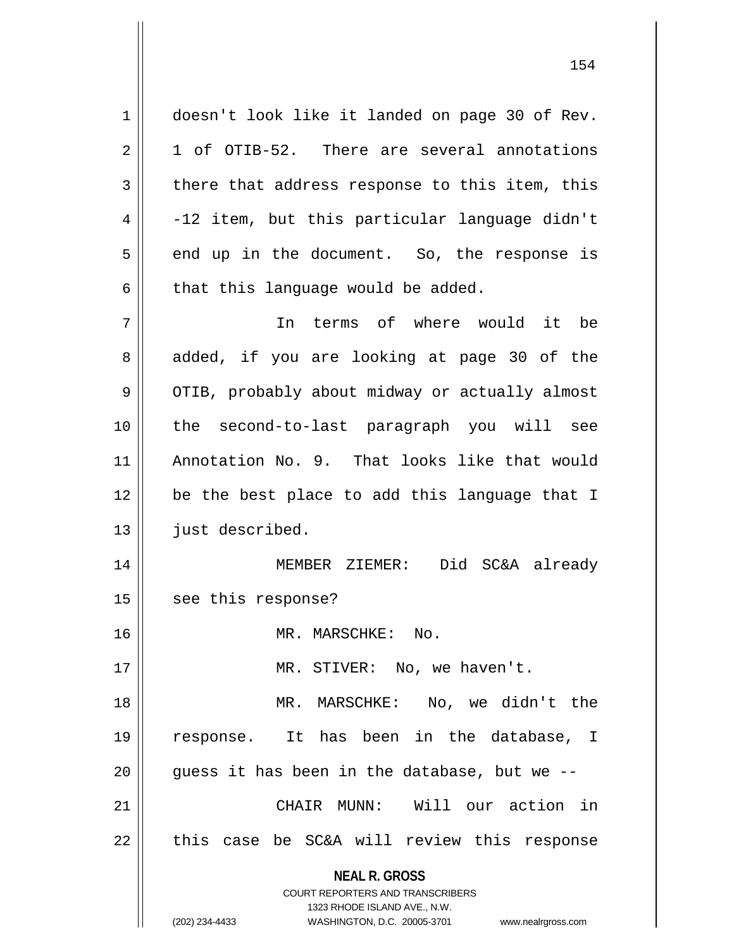1 doesn't look like it landed on page 30 of Rev.  $2 \parallel 1$  of OTIB-52. There are several annotations  $3 \parallel$  there that address response to this item, this  $4 \parallel$  -12 item, but this particular language didn't  $5 \parallel$  end up in the document. So, the response is  $6$  | that this language would be added. 7 In terms of where would it be 8 added, if you are looking at page 30 of the

9 | OTIB, probably about midway or actually almost 10 the second-to-last paragraph you will see 11 Annotation No. 9. That looks like that would 12 || be the best place to add this language that I 13 | just described.

14 MEMBER ZIEMER: Did SC&A already 15 | see this response?

16 | MR. MARSCHKE: No.

17 || MR. STIVER: No, we haven't.

18 MR. MARSCHKE: No, we didn't the 19 response. It has been in the database, I  $20$  || quess it has been in the database, but we  $-$ 21 CHAIR MUNN: Will our action in  $22$   $\parallel$  this case be SC&A will review this response

> **NEAL R. GROSS** COURT REPORTERS AND TRANSCRIBERS

> > 1323 RHODE ISLAND AVE., N.W.

(202) 234-4433 WASHINGTON, D.C. 20005-3701 www.nealrgross.com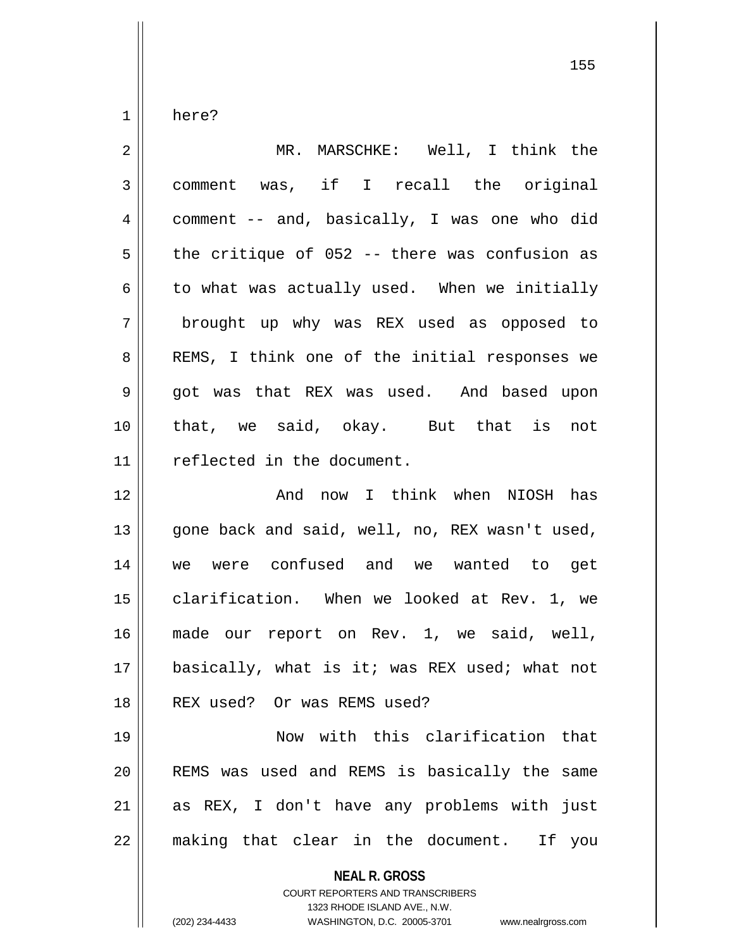$1 \parallel$  here?

| $\overline{2}$ | MR. MARSCHKE: Well, I think the                                                                                                                                        |
|----------------|------------------------------------------------------------------------------------------------------------------------------------------------------------------------|
| $\mathfrak{Z}$ | comment was, if I recall the original                                                                                                                                  |
| $\overline{4}$ | comment -- and, basically, I was one who did                                                                                                                           |
| 5              | the critique of 052 -- there was confusion as                                                                                                                          |
| 6              | to what was actually used. When we initially                                                                                                                           |
| 7              | brought up why was REX used as opposed to                                                                                                                              |
| 8              | REMS, I think one of the initial responses we                                                                                                                          |
| $\mathsf 9$    | got was that REX was used. And based upon                                                                                                                              |
| 10             | that, we said, okay. But that is not                                                                                                                                   |
| 11             | reflected in the document.                                                                                                                                             |
| 12             | And now I think when NIOSH has                                                                                                                                         |
| 13             | gone back and said, well, no, REX wasn't used,                                                                                                                         |
| 14             | we were confused and we wanted to get                                                                                                                                  |
| 15             | clarification. When we looked at Rev. 1, we                                                                                                                            |
| 16             | made our report on Rev. 1, we said, well,                                                                                                                              |
| 17             | basically, what is it; was REX used; what not                                                                                                                          |
| 18             | REX used? Or was REMS used?                                                                                                                                            |
| 19             | Now with this clarification that                                                                                                                                       |
| 20             | REMS was used and REMS is basically the same                                                                                                                           |
| 21             | as REX, I don't have any problems with just                                                                                                                            |
| 22             | making that clear in the document. If<br>you                                                                                                                           |
|                | <b>NEAL R. GROSS</b><br><b>COURT REPORTERS AND TRANSCRIBERS</b><br>1323 RHODE ISLAND AVE., N.W.<br>WASHINGTON, D.C. 20005-3701<br>(202) 234-4433<br>www.nealrgross.com |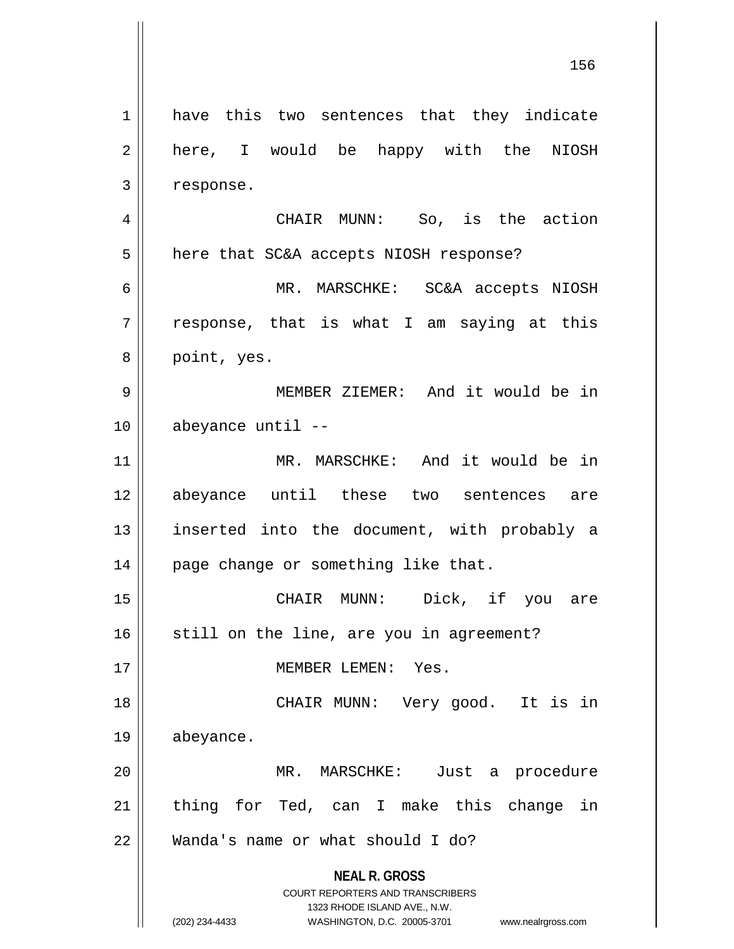**NEAL R. GROSS** COURT REPORTERS AND TRANSCRIBERS 1323 RHODE ISLAND AVE., N.W. (202) 234-4433 WASHINGTON, D.C. 20005-3701 www.nealrgross.com 1 || have this two sentences that they indicate 2 || here, I would be happy with the NIOSH  $3$  | response. 4 CHAIR MUNN: So, is the action 5 | here that SC&A accepts NIOSH response? 6 MR. MARSCHKE: SC&A accepts NIOSH  $7 \parallel$  response, that is what I am saying at this 8 | point, yes. 9 MEMBER ZIEMER: And it would be in 10 abeyance until -- 11 MR. MARSCHKE: And it would be in 12 abeyance until these two sentences are 13 || inserted into the document, with probably a 14 || page change or something like that. 15 CHAIR MUNN: Dick, if you are  $16$  still on the line, are you in agreement? 17 MEMBER LEMEN: Yes. 18 CHAIR MUNN: Very good. It is in 19 abeyance. 20 MR. MARSCHKE: Just a procedure  $21$  thing for Ted, can I make this change in 22 Wanda's name or what should I do?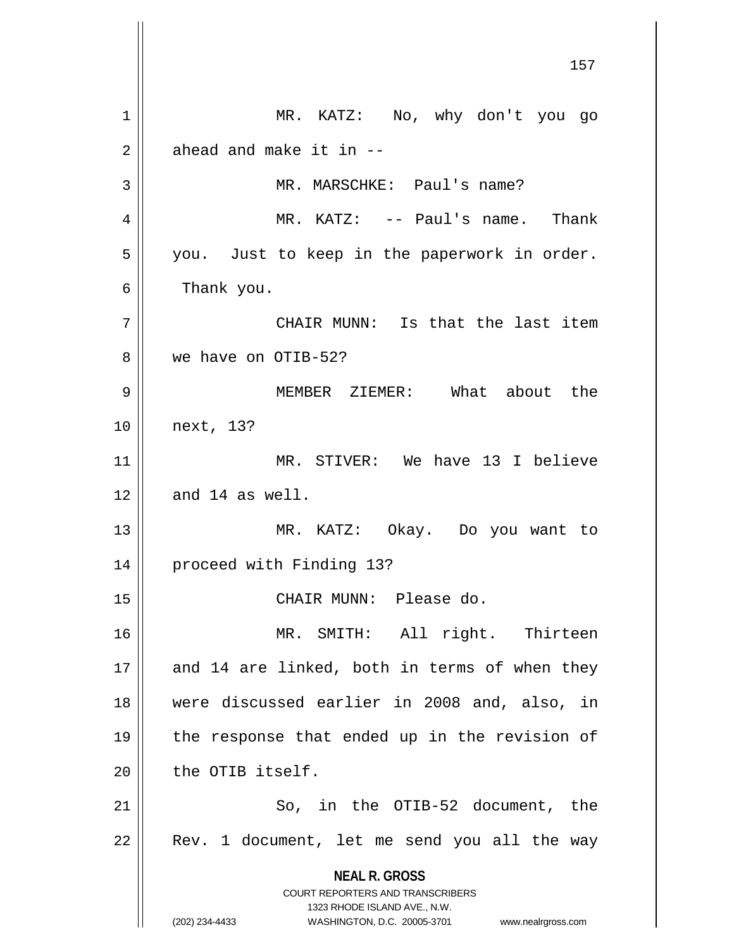**NEAL R. GROSS** COURT REPORTERS AND TRANSCRIBERS 1323 RHODE ISLAND AVE., N.W. (202) 234-4433 WASHINGTON, D.C. 20005-3701 www.nealrgross.com 1 MR. KATZ: No, why don't you go  $2 \parallel$  ahead and make it in  $-$ 3 || MR. MARSCHKE: Paul's name? 4 MR. KATZ: -- Paul's name. Thank  $5 \parallel$  you. Just to keep in the paperwork in order. 6 | Thank you. 7 || CHAIR MUNN: Is that the last item 8 we have on OTIB-52? 9 MEMBER ZIEMER: What about the 10 next, 13? 11 MR. STIVER: We have 13 I believe  $12 \parallel$  and 14 as well. 13 MR. KATZ: Okay. Do you want to 14 proceed with Finding 13? 15 || CHAIR MUNN: Please do. 16 || MR. SMITH: All right. Thirteen  $17$  || and 14 are linked, both in terms of when they 18 were discussed earlier in 2008 and, also, in 19 the response that ended up in the revision of  $20$   $\parallel$  the OTIB itself. 21 || So, in the OTIB-52 document, the  $22$  | Rev. 1 document, let me send you all the way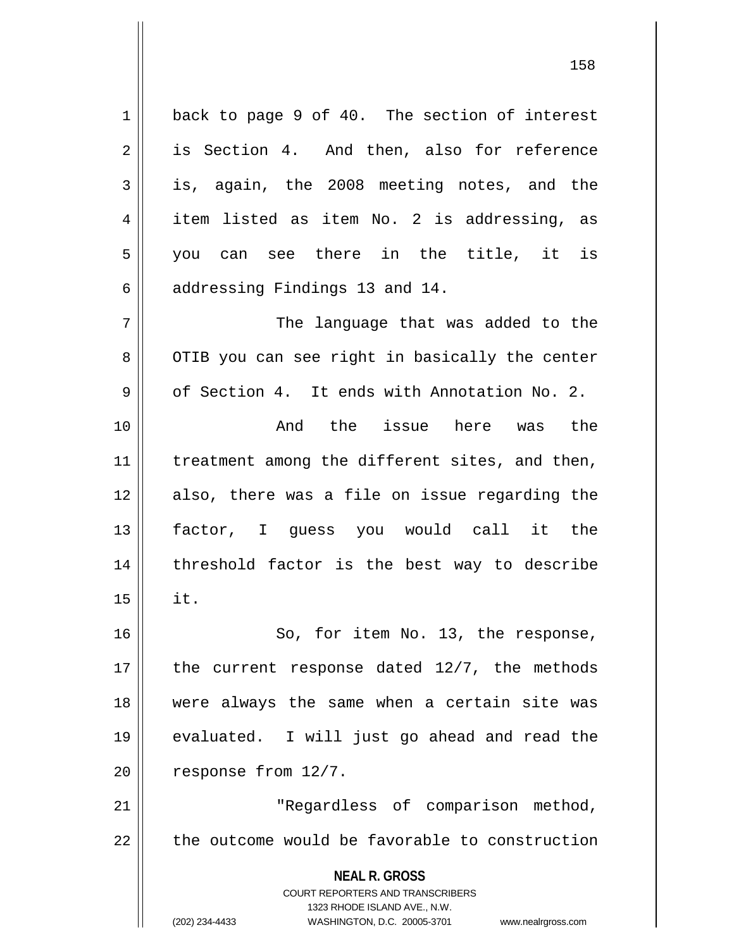1 || back to page 9 of 40. The section of interest 2 is Section 4. And then, also for reference 3 is, again, the 2008 meeting notes, and the  $4 \parallel$  item listed as item No. 2 is addressing, as  $5 \parallel$  you can see there in the title, it is  $6$  || addressing Findings 13 and 14. 7 The language that was added to the 8 || OTIB you can see right in basically the center  $9 \parallel$  of Section 4. It ends with Annotation No. 2. 10 And the issue here was the  $11$  | treatment among the different sites, and then, 12 also, there was a file on issue regarding the 13 factor, I guess you would call it the  $14$  | threshold factor is the best way to describe  $15 \parallel$  it. 16 || So, for item No. 13, the response, 17  $\parallel$  the current response dated 12/7, the methods 18 were always the same when a certain site was 19 evaluated. I will just go ahead and read the  $20$  | response from  $12/7$ . 21 | Regardless of comparison method,  $22$   $\parallel$  the outcome would be favorable to construction

> COURT REPORTERS AND TRANSCRIBERS 1323 RHODE ISLAND AVE., N.W.

**NEAL R. GROSS**

(202) 234-4433 WASHINGTON, D.C. 20005-3701 www.nealrgross.com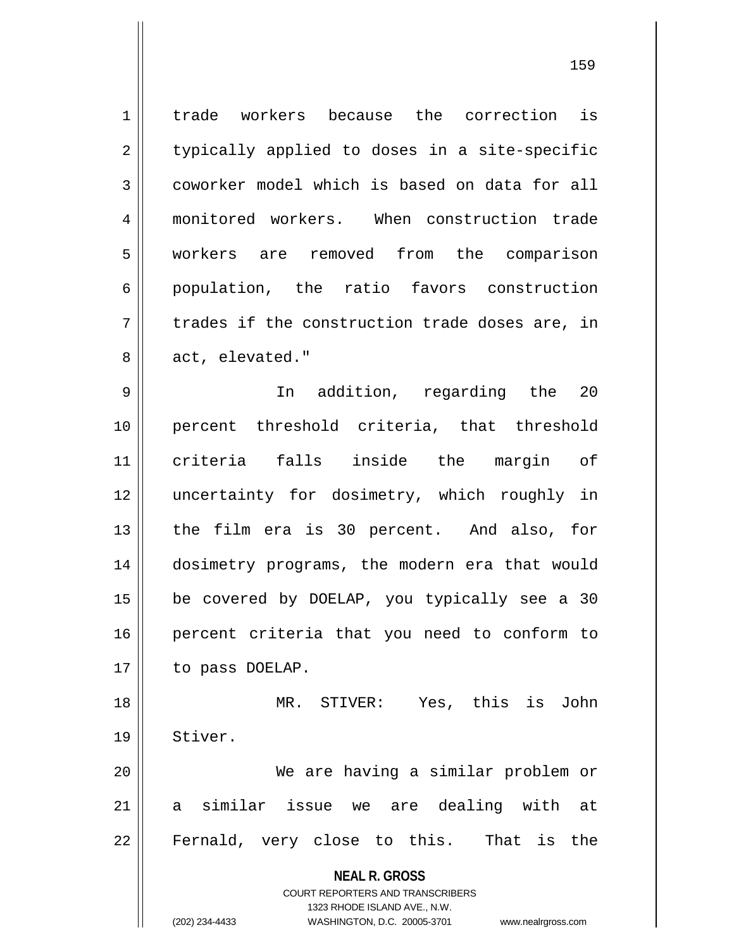1 trade workers because the correction is  $2 \parallel$  typically applied to doses in a site-specific 3 coworker model which is based on data for all 4 monitored workers. When construction trade 5 workers are removed from the comparison 6 || population, the ratio favors construction  $7 \parallel$  trades if the construction trade doses are, in 8 || act, elevated."

9 In addition, regarding the 20 10 percent threshold criteria, that threshold 11 criteria falls inside the margin of 12 uncertainty for dosimetry, which roughly in 13 the film era is 30 percent. And also, for 14 dosimetry programs, the modern era that would 15 be covered by DOELAP, you typically see a 30 16 || percent criteria that you need to conform to 17 | to pass DOELAP.

18 MR. STIVER: Yes, this is John 19 || Stiver. 20 We are having a similar problem or

21 a similar issue we are dealing with at 22 || Fernald, very close to this. That is the

> **NEAL R. GROSS** COURT REPORTERS AND TRANSCRIBERS

1323 RHODE ISLAND AVE., N.W. (202) 234-4433 WASHINGTON, D.C. 20005-3701 www.nealrgross.com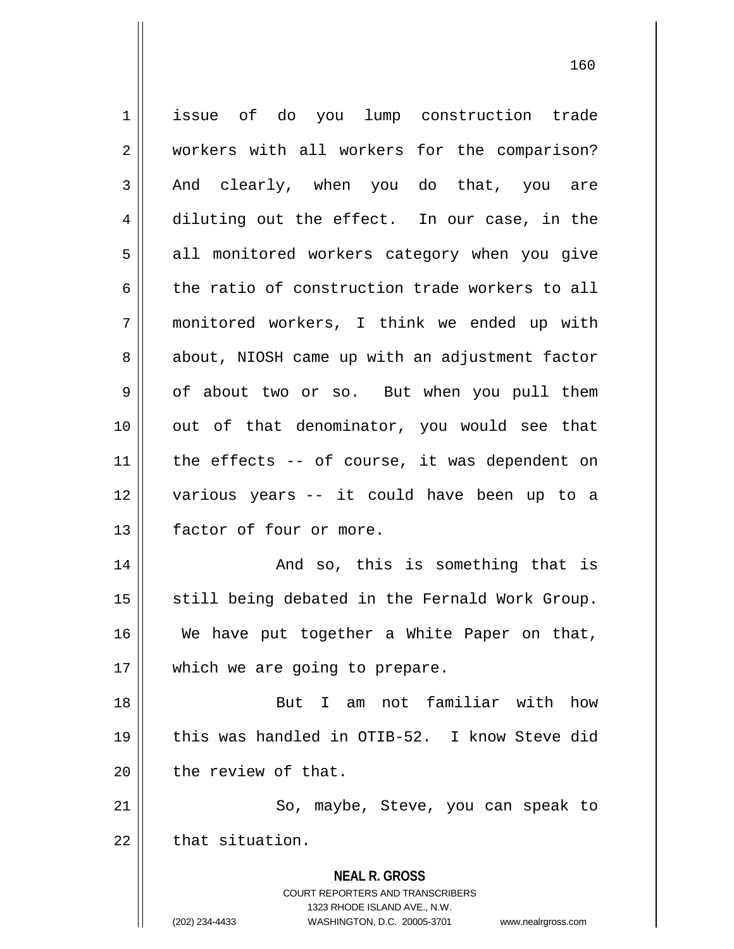**NEAL R. GROSS** COURT REPORTERS AND TRANSCRIBERS 1323 RHODE ISLAND AVE., N.W. (202) 234-4433 WASHINGTON, D.C. 20005-3701 www.nealrgross.com 1 issue of do you lump construction trade 2 || workers with all workers for the comparison?  $3 \parallel$  And clearly, when you do that, you are 4 diluting out the effect. In our case, in the 5 || all monitored workers category when you give 6 the ratio of construction trade workers to all 7 monitored workers, I think we ended up with 8 about, NIOSH came up with an adjustment factor 9 of about two or so. But when you pull them 10 || out of that denominator, you would see that  $11$  | the effects -- of course, it was dependent on 12 various years -- it could have been up to a 13 **factor** of four or more. 14 And so, this is something that is 15 || still being debated in the Fernald Work Group. 16 We have put together a White Paper on that, 17 || which we are going to prepare. 18 But I am not familiar with how 19 this was handled in OTIB-52. I know Steve did  $20$  | the review of that. 21 || So, maybe, Steve, you can speak to  $22$   $\parallel$  that situation.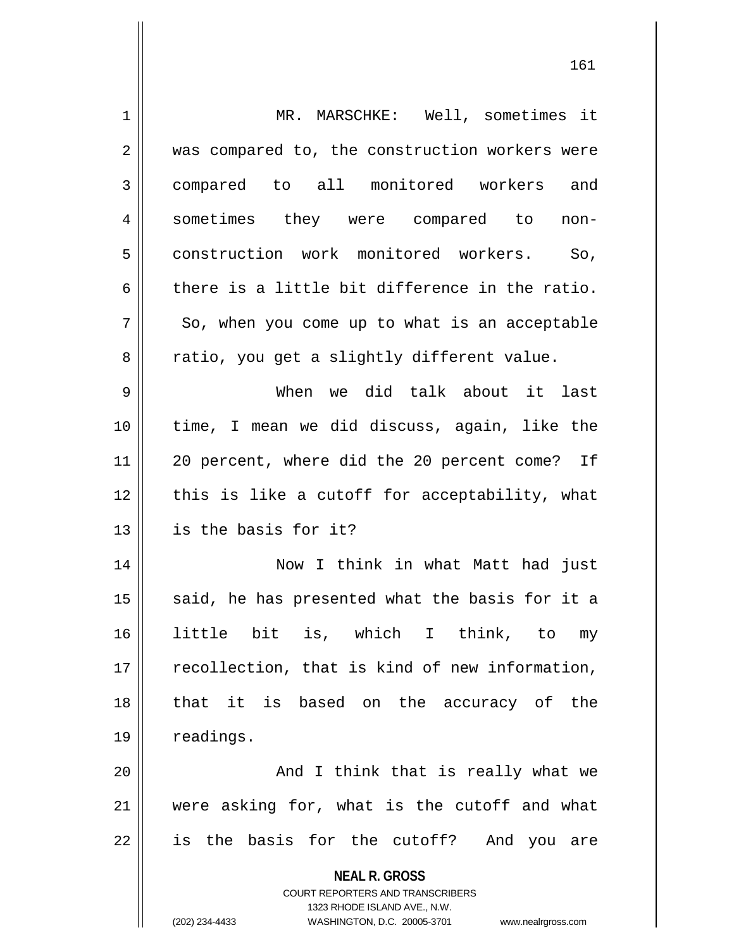| 1  | MR. MARSCHKE: Well, sometimes it                                                                    |
|----|-----------------------------------------------------------------------------------------------------|
| 2  | was compared to, the construction workers were                                                      |
| 3  | compared to all monitored workers and                                                               |
| 4  | sometimes they were compared to<br>non-                                                             |
| 5  | construction work monitored workers. So,                                                            |
| 6  | there is a little bit difference in the ratio.                                                      |
| 7  | So, when you come up to what is an acceptable                                                       |
| 8  | ratio, you get a slightly different value.                                                          |
| 9  | When we did talk about it last                                                                      |
| 10 | time, I mean we did discuss, again, like the                                                        |
| 11 | 20 percent, where did the 20 percent come? If                                                       |
| 12 | this is like a cutoff for acceptability, what                                                       |
| 13 | is the basis for it?                                                                                |
| 14 | Now I think in what Matt had just                                                                   |
| 15 | said, he has presented what the basis for it a                                                      |
| 16 | is, which I<br>little bit<br>think, to<br>my                                                        |
| 17 | recollection, that is kind of new information,                                                      |
|    |                                                                                                     |
| 18 | it is based on the accuracy of the<br>that                                                          |
| 19 | readings.                                                                                           |
| 20 | And I think that is really what we                                                                  |
| 21 | were asking for, what is the cutoff and what                                                        |
| 22 | is the basis for the cutoff? And you are                                                            |
|    | <b>NEAL R. GROSS</b>                                                                                |
|    | <b>COURT REPORTERS AND TRANSCRIBERS</b>                                                             |
|    | 1323 RHODE ISLAND AVE., N.W.<br>(202) 234-4433<br>WASHINGTON, D.C. 20005-3701<br>www.nealrgross.com |
|    |                                                                                                     |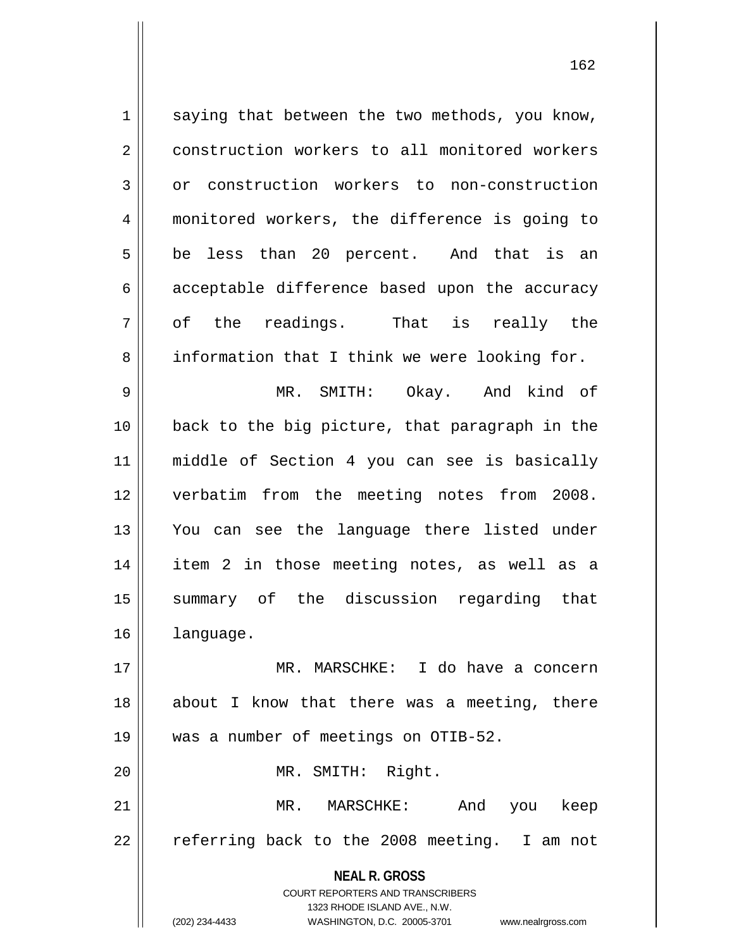**NEAL R. GROSS** COURT REPORTERS AND TRANSCRIBERS 1323 RHODE ISLAND AVE., N.W.  $1 \parallel$  saying that between the two methods, you know, 2 construction workers to all monitored workers 3 or construction workers to non-construction 4 monitored workers, the difference is going to  $5 \parallel$  be less than 20 percent. And that is an  $6 \parallel$  acceptable difference based upon the accuracy  $7 \parallel$  of the readings. That is really the 8 information that I think we were looking for. 9 || MR. SMITH: Okay. And kind of 10 back to the big picture, that paragraph in the 11 middle of Section 4 you can see is basically 12 verbatim from the meeting notes from 2008. 13 You can see the language there listed under 14 item 2 in those meeting notes, as well as a 15 summary of the discussion regarding that 16 language. 17 MR. MARSCHKE: I do have a concern 18 || about I know that there was a meeting, there 19 was a number of meetings on OTIB-52. 20 MR. SMITH: Right. 21 MR. MARSCHKE: And you keep 22 || referring back to the 2008 meeting. I am not

(202) 234-4433 WASHINGTON, D.C. 20005-3701 www.nealrgross.com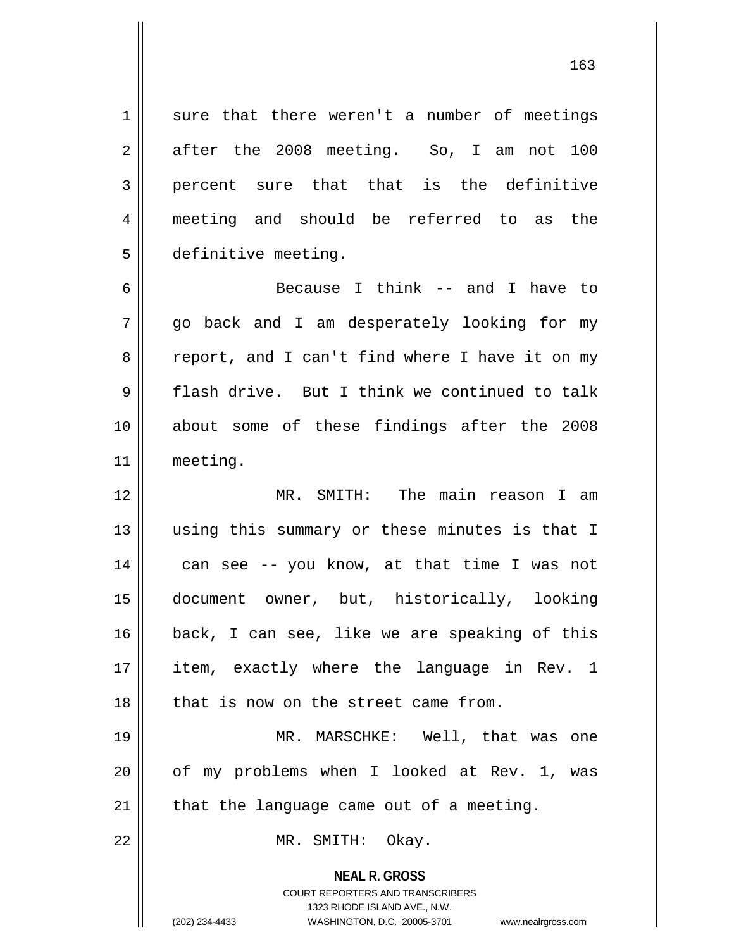$1 \parallel$  sure that there weren't a number of meetings  $2 \parallel$  after the 2008 meeting. So, I am not 100 3 || percent sure that that is the definitive 4 meeting and should be referred to as the 5 definitive meeting.

6 Because I think -- and I have to  $7 \parallel$  go back and I am desperately looking for my 8 || report, and I can't find where I have it on my 9 flash drive. But I think we continued to talk 10 about some of these findings after the 2008 11 meeting.

12 MR. SMITH: The main reason I am 13 using this summary or these minutes is that I  $14$  | can see -- you know, at that time I was not 15 document owner, but, historically, looking 16 back, I can see, like we are speaking of this 17 item, exactly where the language in Rev. 1  $18$   $\parallel$  that is now on the street came from.

19 MR. MARSCHKE: Well, that was one 20 || of my problems when I looked at Rev. 1, was  $21$  || that the language came out of a meeting.

22 || MR. SMITH: Okay.

**NEAL R. GROSS** COURT REPORTERS AND TRANSCRIBERS 1323 RHODE ISLAND AVE., N.W. (202) 234-4433 WASHINGTON, D.C. 20005-3701 www.nealrgross.com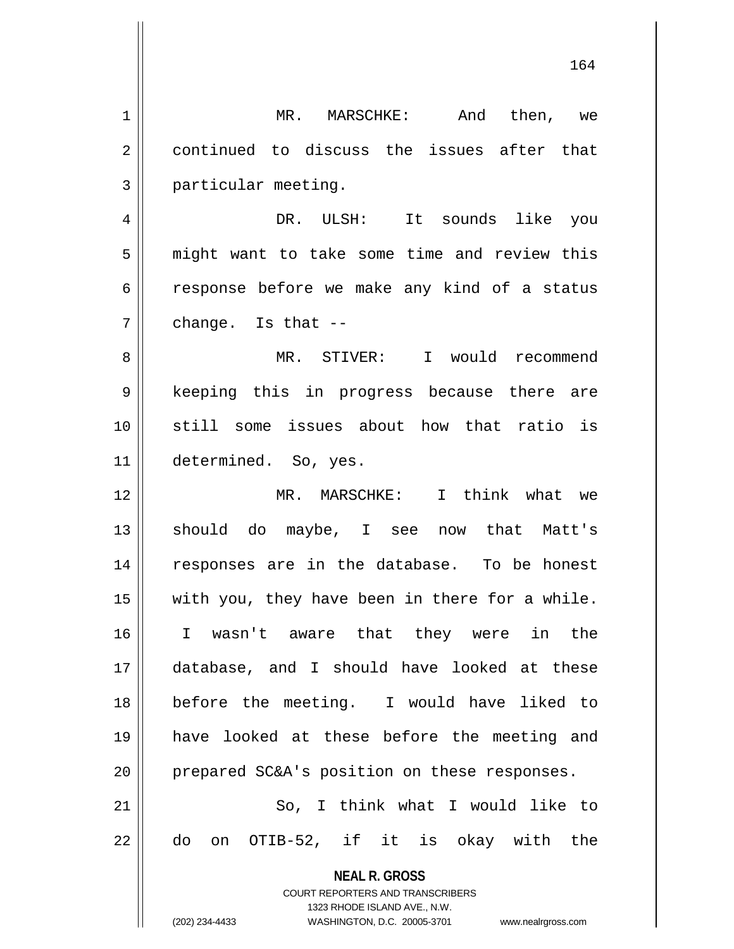**NEAL R. GROSS** COURT REPORTERS AND TRANSCRIBERS 1323 RHODE ISLAND AVE., N.W. (202) 234-4433 WASHINGTON, D.C. 20005-3701 www.nealrgross.com 1 MR. MARSCHKE: And then, we 2 continued to discuss the issues after that 3 particular meeting. 4 DR. ULSH: It sounds like you 5 || might want to take some time and review this 6 conservence before we make any kind of a status  $7 \parallel$  change. Is that  $-$ 8 MR. STIVER: I would recommend 9 || keeping this in progress because there are 10 still some issues about how that ratio is 11 | determined. So, yes. 12 MR. MARSCHKE: I think what we 13 || should do maybe, I see now that Matt's 14 || responses are in the database. To be honest  $15$  | with you, they have been in there for a while. 16 I wasn't aware that they were in the 17 database, and I should have looked at these 18 before the meeting. I would have liked to 19 have looked at these before the meeting and 20 || prepared SC&A's position on these responses. 21 || So, I think what I would like to  $22 \parallel$  do on OTIB-52, if it is okay with the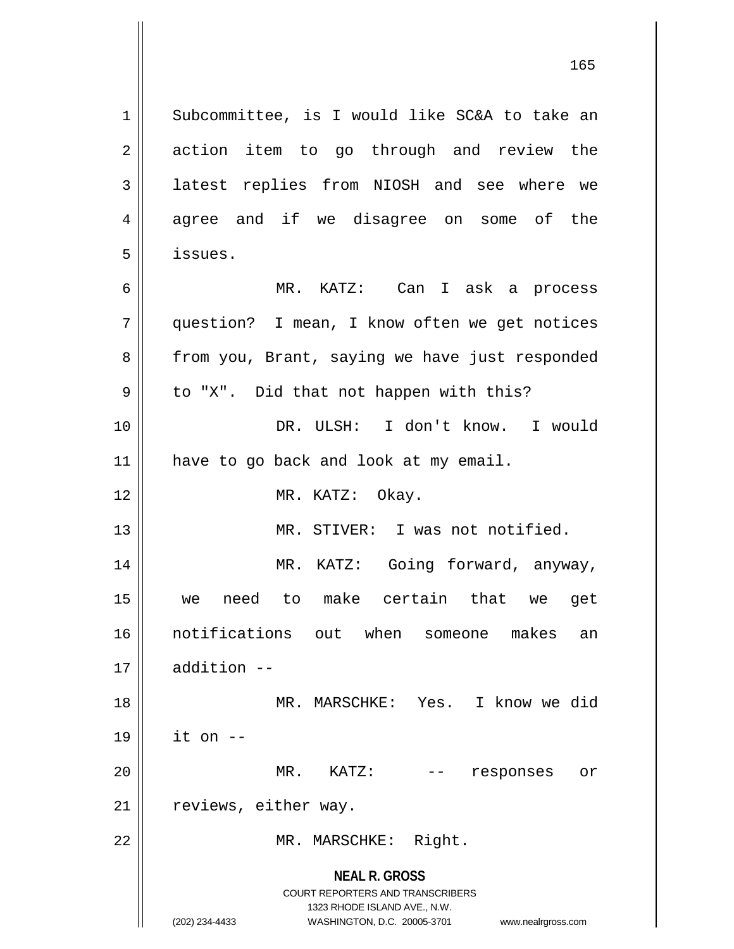**NEAL R. GROSS** COURT REPORTERS AND TRANSCRIBERS 1323 RHODE ISLAND AVE., N.W. (202) 234-4433 WASHINGTON, D.C. 20005-3701 www.nealrgross.com 1 || Subcommittee, is I would like SC&A to take an 2 || action item to go through and review the 3 || latest replies from NIOSH and see where we 4 agree and if we disagree on some of the 5 issues. 6 MR. KATZ: Can I ask a process 7 question? I mean, I know often we get notices 8 | from you, Brant, saying we have just responded  $9 \parallel$  to "X". Did that not happen with this? 10 DR. ULSH: I don't know. I would 11 || have to go back and look at my email. 12 || MR. KATZ: Okay. 13 MR. STIVER: I was not notified. 14 MR. KATZ: Going forward, anyway, 15 we need to make certain that we get 16 notifications out when someone makes an 17 addition -- 18 MR. MARSCHKE: Yes. I know we did 19 it on -- 20 MR. KATZ: -- responses or 21 | reviews, either way. 22 || MR. MARSCHKE: Right.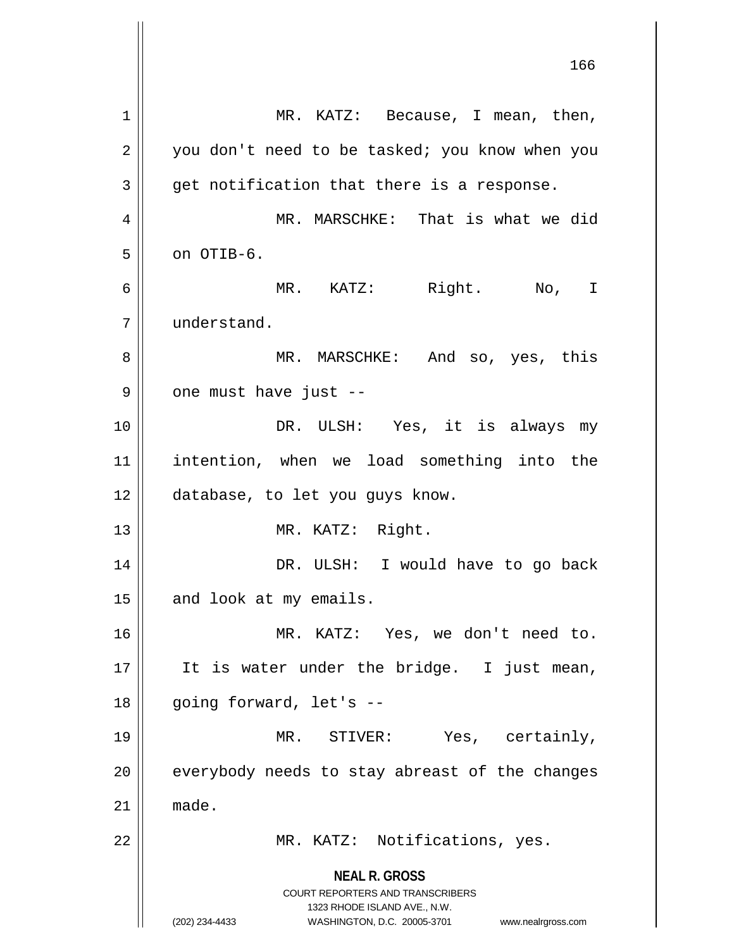**NEAL R. GROSS** COURT REPORTERS AND TRANSCRIBERS 1323 RHODE ISLAND AVE., N.W. (202) 234-4433 WASHINGTON, D.C. 20005-3701 www.nealrgross.com 1 || MR. KATZ: Because, I mean, then,  $2 \parallel$  you don't need to be tasked; you know when you  $3 \parallel$  get notification that there is a response. 4 MR. MARSCHKE: That is what we did  $5 \parallel$  on OTIB-6. 6 MR. KATZ: Right. No, I 7 understand. 8 MR. MARSCHKE: And so, yes, this  $9 \parallel$  one must have just --10 DR. ULSH: Yes, it is always my 11 intention, when we load something into the 12 | database, to let you guys know. 13 || MR. KATZ: Right. 14 DR. ULSH: I would have to go back 15 || and look at my emails. 16 MR. KATZ: Yes, we don't need to. 17 || It is water under the bridge. I just mean, 18 || going forward, let's --19 MR. STIVER: Yes, certainly, 20 || everybody needs to stay abreast of the changes  $21 \parallel$  made. 22 || MR. KATZ: Notifications, yes.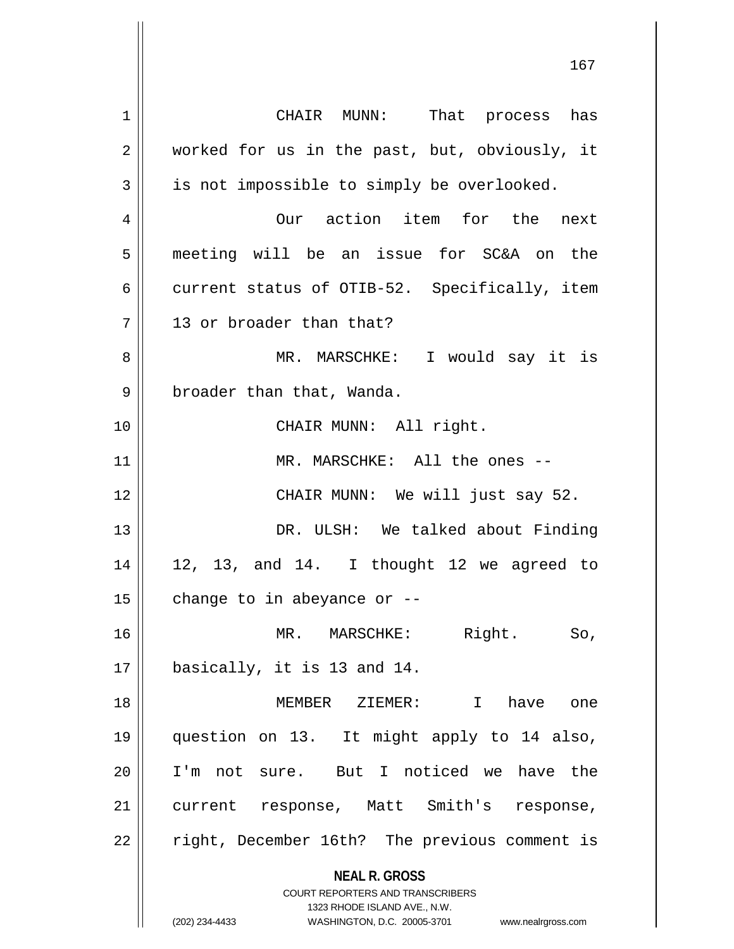**NEAL R. GROSS** COURT REPORTERS AND TRANSCRIBERS 1323 RHODE ISLAND AVE., N.W. (202) 234-4433 WASHINGTON, D.C. 20005-3701 www.nealrgross.com 1 CHAIR MUNN: That process has 2 worked for us in the past, but, obviously, it  $3 \parallel$  is not impossible to simply be overlooked. 4 Our action item for the next 5 meeting will be an issue for SC&A on the 6 current status of OTIB-52. Specifically, item 7 || 13 or broader than that? 8 || MR. MARSCHKE: I would say it is 9 | broader than that, Wanda. 10 || CHAIR MUNN: All right. 11 || MR. MARSCHKE: All the ones --12 || CHAIR MUNN: We will just say 52. 13 DR. ULSH: We talked about Finding  $14 \parallel 12$ , 13, and 14. I thought 12 we agreed to 15  $\parallel$  change to in abeyance or --16 MR. MARSCHKE: Right. So, 17 basically, it is 13 and 14. 18 MEMBER ZIEMER: I have one 19 question on 13. It might apply to 14 also, 20 I'm not sure. But I noticed we have the 21 || current response, Matt Smith's response, 22 || right, December 16th? The previous comment is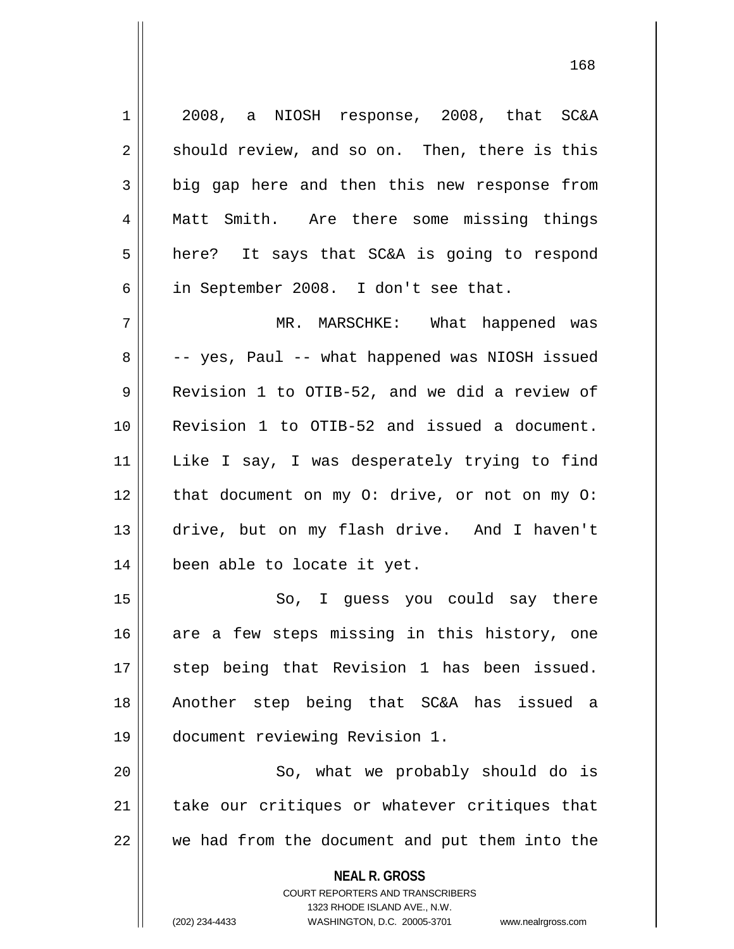**NEAL R. GROSS** COURT REPORTERS AND TRANSCRIBERS 1 2008, a NIOSH response, 2008, that SC&A  $2 \parallel$  should review, and so on. Then, there is this 3 big gap here and then this new response from 4 || Matt Smith. Are there some missing things  $5 \parallel$  here? It says that SC&A is going to respond 6 | in September 2008. I don't see that. 7 MR. MARSCHKE: What happened was  $8 \parallel$  -- yes, Paul -- what happened was NIOSH issued 9 Revision 1 to OTIB-52, and we did a review of 10 Revision 1 to OTIB-52 and issued a document. 11 Like I say, I was desperately trying to find 12 || that document on my O: drive, or not on my O: 13 drive, but on my flash drive. And I haven't 14 | been able to locate it yet. 15 || So, I guess you could say there 16  $\parallel$  are a few steps missing in this history, one 17 || step being that Revision 1 has been issued. 18 Another step being that SC&A has issued a 19 document reviewing Revision 1. 20 || So, what we probably should do is 21 || take our critiques or whatever critiques that  $22$   $\parallel$  we had from the document and put them into the

1323 RHODE ISLAND AVE., N.W.

(202) 234-4433 WASHINGTON, D.C. 20005-3701 www.nealrgross.com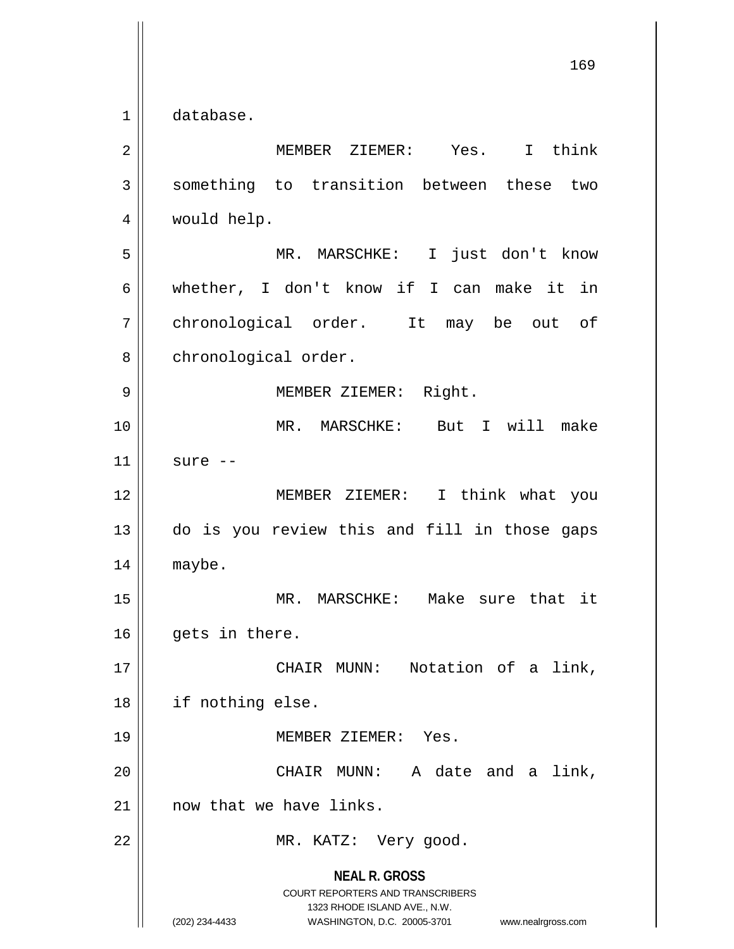$1 \parallel$  database.

| $\overline{2}$ | I think<br>MEMBER ZIEMER: Yes.                                                                                                                                         |
|----------------|------------------------------------------------------------------------------------------------------------------------------------------------------------------------|
| 3              | something to transition between these two                                                                                                                              |
| 4              | would help.                                                                                                                                                            |
| 5              | I just don't know<br>MR. MARSCHKE:                                                                                                                                     |
| 6              | whether, I don't know if I can make it in                                                                                                                              |
| 7              | chronological order. It may be out of                                                                                                                                  |
| 8              | chronological order.                                                                                                                                                   |
| 9              | MEMBER ZIEMER: Right.                                                                                                                                                  |
| 10             | MR. MARSCHKE: But I will make                                                                                                                                          |
| 11             | sure --                                                                                                                                                                |
| 12             | MEMBER ZIEMER: I think what you                                                                                                                                        |
| 13             | do is you review this and fill in those gaps                                                                                                                           |
| 14             | maybe.                                                                                                                                                                 |
| 15             | MR. MARSCHKE: Make sure that it                                                                                                                                        |
| 16             | gets in there.                                                                                                                                                         |
| 17             | CHAIR MUNN: Notation of a link,                                                                                                                                        |
| 18             | if nothing else.                                                                                                                                                       |
| 19             | MEMBER ZIEMER: Yes.                                                                                                                                                    |
| 20             | A date and a link,<br>CHAIR MUNN:                                                                                                                                      |
| 21             | now that we have links.                                                                                                                                                |
| 22             | MR. KATZ: Very good.                                                                                                                                                   |
|                | <b>NEAL R. GROSS</b><br><b>COURT REPORTERS AND TRANSCRIBERS</b><br>1323 RHODE ISLAND AVE., N.W.<br>(202) 234-4433<br>WASHINGTON, D.C. 20005-3701<br>www.nealrgross.com |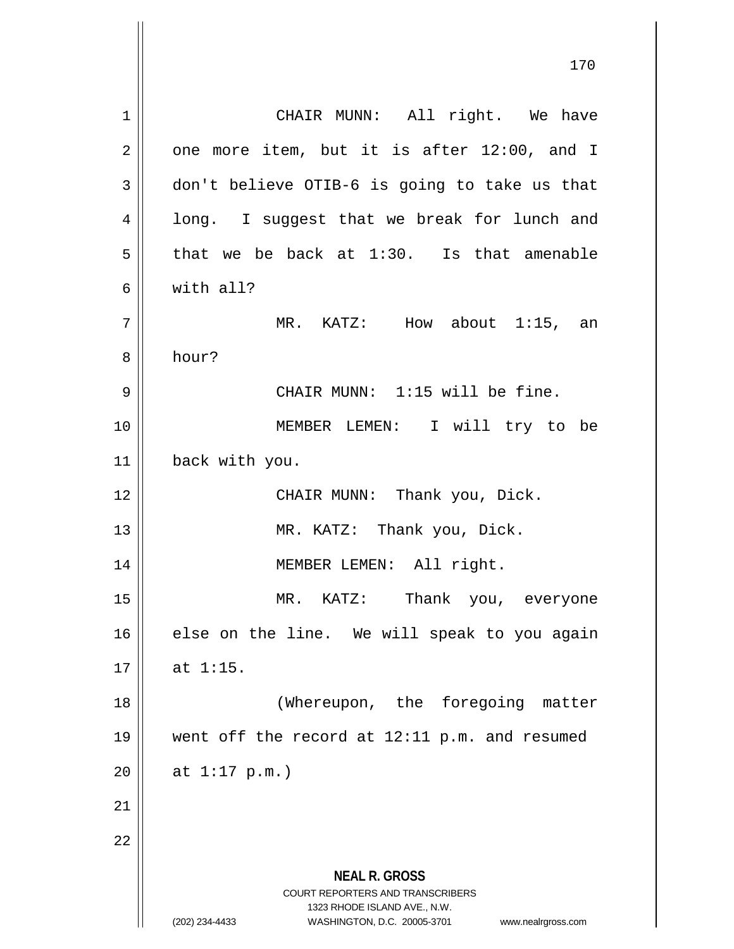**NEAL R. GROSS** COURT REPORTERS AND TRANSCRIBERS 1323 RHODE ISLAND AVE., N.W. (202) 234-4433 WASHINGTON, D.C. 20005-3701 www.nealrgross.com 1 || CHAIR MUNN: All right. We have  $2 \parallel$  one more item, but it is after 12:00, and I  $3 \parallel$  don't believe OTIB-6 is going to take us that 4 || long. I suggest that we break for lunch and  $5 \parallel$  that we be back at 1:30. Is that amenable 6 with all? 7 | MR. KATZ: How about 1:15, an 8 hour? 9 || CHAIR MUNN: 1:15 will be fine. 10 || **MEMBER LEMEN:** I will try to be 11 back with you. 12 || CHAIR MUNN: Thank you, Dick. 13 || MR. KATZ: Thank you, Dick. 14 MEMBER LEMEN: All right. 15 MR. KATZ: Thank you, everyone  $16$  else on the line. We will speak to you again  $17 \parallel$  at 1:15. 18 (Whereupon, the foregoing matter 19 went off the record at 12:11 p.m. and resumed  $20$  || at 1:17 p.m.) 21 22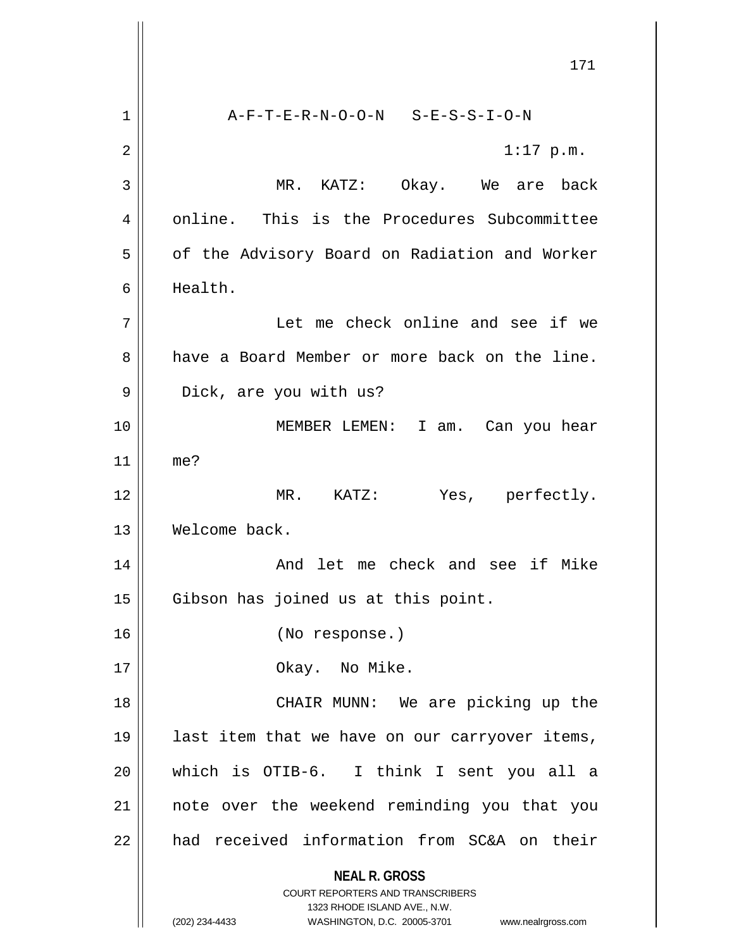**NEAL R. GROSS** COURT REPORTERS AND TRANSCRIBERS 1323 RHODE ISLAND AVE., N.W. (202) 234-4433 WASHINGTON, D.C. 20005-3701 www.nealrgross.com 171 1 A-F-T-E-R-N-O-O-N S-E-S-S-I-O-N  $2 \parallel$  1:17 p.m. 3 MR. KATZ: Okay. We are back 4 || online. This is the Procedures Subcommittee 5 | of the Advisory Board on Radiation and Worker 6 Health. 7 Let me check online and see if we 8 and a Board Member or more back on the line. 9 || Dick, are you with us? 10 MEMBER LEMEN: I am. Can you hear 11 me? 12 MR. KATZ: Yes, perfectly. 13 Welcome back. 14 And let me check and see if Mike 15 || Gibson has joined us at this point. 16 (No response.) 17 || Okay. No Mike. 18 || CHAIR MUNN: We are picking up the 19 || last item that we have on our carryover items, 20 which is OTIB-6. I think I sent you all a 21 note over the weekend reminding you that you 22 || had received information from SC&A on their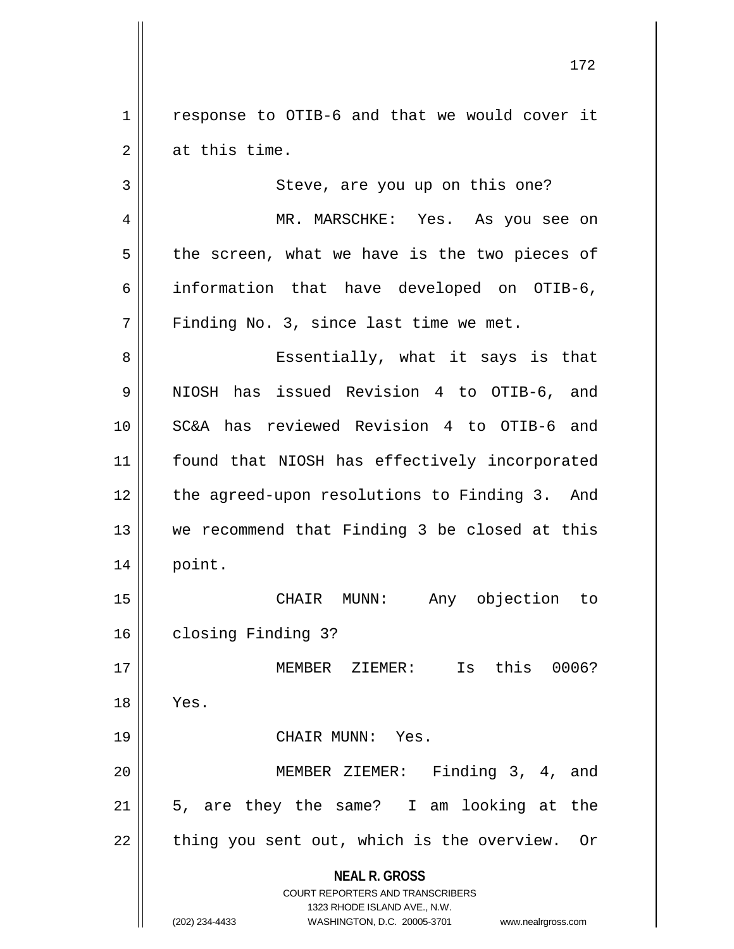1 | response to OTIB-6 and that we would cover it 2 || at this time.

3 || Steve, are you up on this one? 4 MR. MARSCHKE: Yes. As you see on  $5 \parallel$  the screen, what we have is the two pieces of 6 information that have developed on OTIB-6,  $7$  | Finding No. 3, since last time we met. 8 Essentially, what it says is that

9 NIOSH has issued Revision 4 to OTIB-6, and 10 SC&A has reviewed Revision 4 to OTIB-6 and 11 || found that NIOSH has effectively incorporated 12 the agreed-upon resolutions to Finding 3. And 13 we recommend that Finding 3 be closed at this 14 point.

15 CHAIR MUNN: Any objection to 16 closing Finding 3?

17 MEMBER ZIEMER: Is this 0006? 18 Yes. 19 CHAIR MUNN: Yes. 20 MEMBER ZIEMER: Finding 3, 4, and  $21$  | 5, are they the same? I am looking at the  $22$  | thing you sent out, which is the overview. Or

**NEAL R. GROSS**

COURT REPORTERS AND TRANSCRIBERS 1323 RHODE ISLAND AVE., N.W. (202) 234-4433 WASHINGTON, D.C. 20005-3701 www.nealrgross.com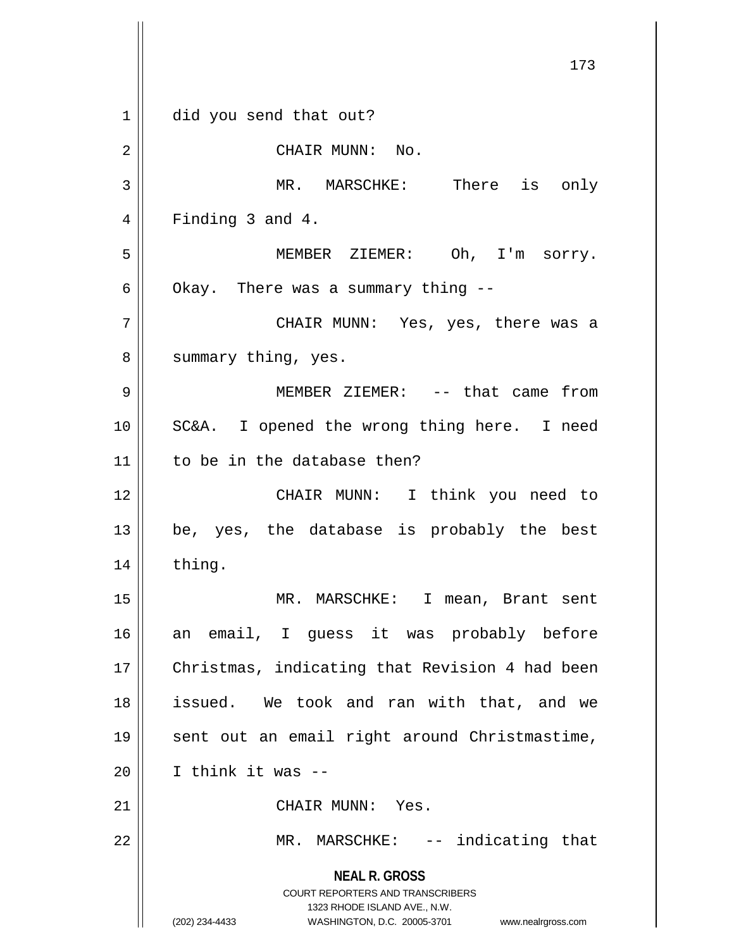**NEAL R. GROSS** COURT REPORTERS AND TRANSCRIBERS 1323 RHODE ISLAND AVE., N.W. (202) 234-4433 WASHINGTON, D.C. 20005-3701 www.nealrgross.com 173 1 did you send that out? 2 || CHAIR MUNN: No. 3 || MR. MARSCHKE: There is only 4 || Finding 3 and 4. 5 MEMBER ZIEMER: Oh, I'm sorry. 6 | Okay. There was a summary thing  $-$ 7 CHAIR MUNN: Yes, yes, there was a 8 || summary thing, yes. 9 MEMBER ZIEMER: -- that came from 10 SC&A. I opened the wrong thing here. I need  $11$  to be in the database then? 12 CHAIR MUNN: I think you need to  $13 \parallel$  be, yes, the database is probably the best 14 || thing. 15 || MR. MARSCHKE: I mean, Brant sent 16 an email, I guess it was probably before 17 || Christmas, indicating that Revision 4 had been 18 issued. We took and ran with that, and we 19 sent out an email right around Christmastime,  $20$  | I think it was  $-$ 21 || CHAIR MUNN: Yes. 22 || MR. MARSCHKE: -- indicating that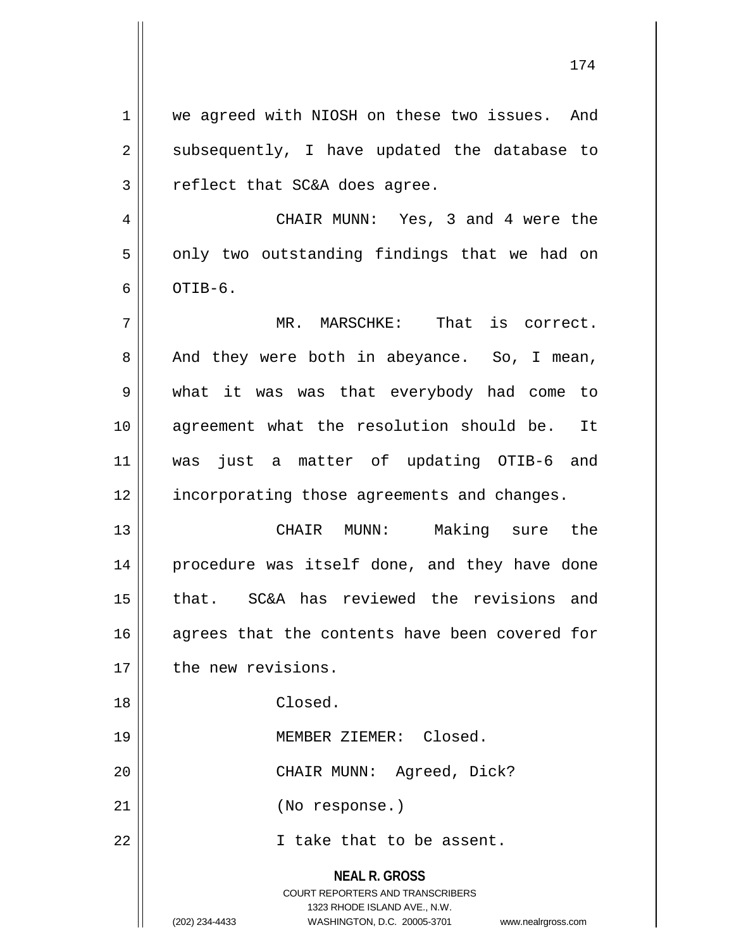**NEAL R. GROSS** COURT REPORTERS AND TRANSCRIBERS 1323 RHODE ISLAND AVE., N.W. 1 || we agreed with NIOSH on these two issues. And  $2 \parallel$  subsequently, I have updated the database to  $3$  || reflect that SC&A does agree. 4 CHAIR MUNN: Yes, 3 and 4 were the  $5 \parallel$  only two outstanding findings that we had on  $6 \parallel$  OTIB- $6$ . 7 MR. MARSCHKE: That is correct.  $8 \parallel$  And they were both in abeyance. So, I mean, 9 what it was was that everybody had come to 10 agreement what the resolution should be. It 11 was just a matter of updating OTIB-6 and 12 || incorporating those agreements and changes. 13 CHAIR MUNN: Making sure the 14 || procedure was itself done, and they have done 15 || that. SC&A has reviewed the revisions and 16 || agrees that the contents have been covered for 17 | the new revisions. 18 Closed. 19 || MEMBER ZIEMER: Closed. 20 CHAIR MUNN: Agreed, Dick? 21 (No response.) 22 || Thake that to be assent.

<sup>(202) 234-4433</sup> WASHINGTON, D.C. 20005-3701 www.nealrgross.com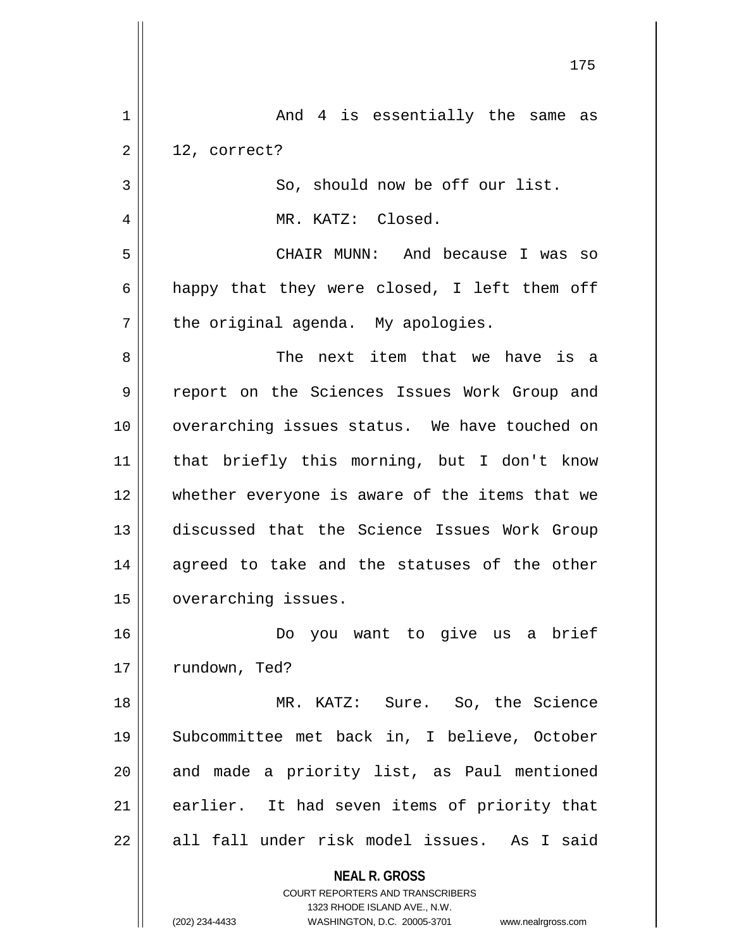|                | 175                                                                                                 |
|----------------|-----------------------------------------------------------------------------------------------------|
| 1              | And 4 is essentially the same as                                                                    |
| 2              | 12, correct?                                                                                        |
| 3              | So, should now be off our list.                                                                     |
| $\overline{4}$ | MR. KATZ: Closed.                                                                                   |
| 5              | CHAIR MUNN: And because I was so                                                                    |
| 6              | happy that they were closed, I left them off                                                        |
| 7              | the original agenda. My apologies.                                                                  |
| 8              | The next item that we have is a                                                                     |
| 9              | report on the Sciences Issues Work Group and                                                        |
| 10             | overarching issues status. We have touched on                                                       |
| 11             | that briefly this morning, but I don't know                                                         |
| 12             | whether everyone is aware of the items that we                                                      |
| 13             | discussed that the Science Issues Work Group                                                        |
| 14             | agreed to take and the statuses of the other                                                        |
| $15$           | overarching issues.                                                                                 |
| 16             | Do you want to give us a brief                                                                      |
| 17             | rundown, Ted?                                                                                       |
| 18             | MR. KATZ: Sure. So, the Science                                                                     |
| 19             | Subcommittee met back in, I believe, October                                                        |
| 20             | and made a priority list, as Paul mentioned                                                         |
| 21             | earlier. It had seven items of priority that                                                        |
| 22             | all fall under risk model issues. As I said                                                         |
|                | <b>NEAL R. GROSS</b>                                                                                |
|                | <b>COURT REPORTERS AND TRANSCRIBERS</b>                                                             |
|                | 1323 RHODE ISLAND AVE., N.W.<br>(202) 234-4433<br>WASHINGTON, D.C. 20005-3701<br>www.nealrgross.com |
|                |                                                                                                     |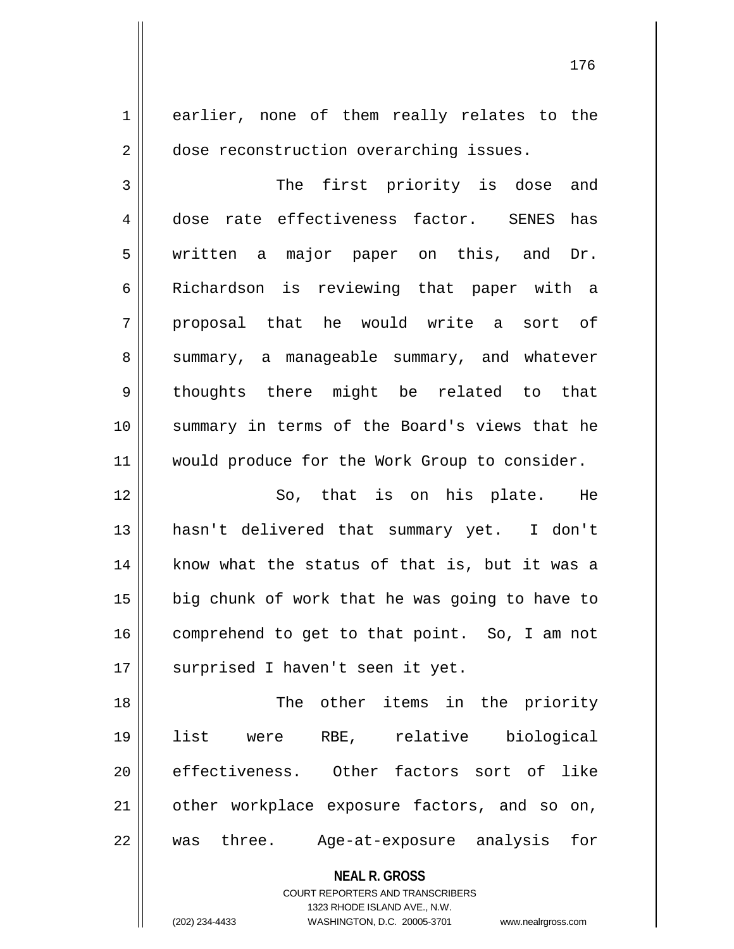1 earlier, none of them really relates to the 2 dose reconstruction overarching issues.

3 || The first priority is dose and 4 dose rate effectiveness factor. SENES has 5 written a major paper on this, and Dr. 6 | Richardson is reviewing that paper with a  $7$  proposal that he would write a sort of 8 Summary, a manageable summary, and whatever 9 thoughts there might be related to that 10 summary in terms of the Board's views that he 11 || would produce for the Work Group to consider.

12 So, that is on his plate. He 13 hasn't delivered that summary yet. I don't 14 || know what the status of that is, but it was a  $15$  | big chunk of work that he was going to have to 16 | comprehend to get to that point. So, I am not 17 || surprised I haven't seen it yet.

18 || The other items in the priority 19 list were RBE, relative biological 20 || effectiveness. Other factors sort of like 21 other workplace exposure factors, and so on, 22 was three. Age-at-exposure analysis for

> **NEAL R. GROSS** COURT REPORTERS AND TRANSCRIBERS

1323 RHODE ISLAND AVE., N.W. (202) 234-4433 WASHINGTON, D.C. 20005-3701 www.nealrgross.com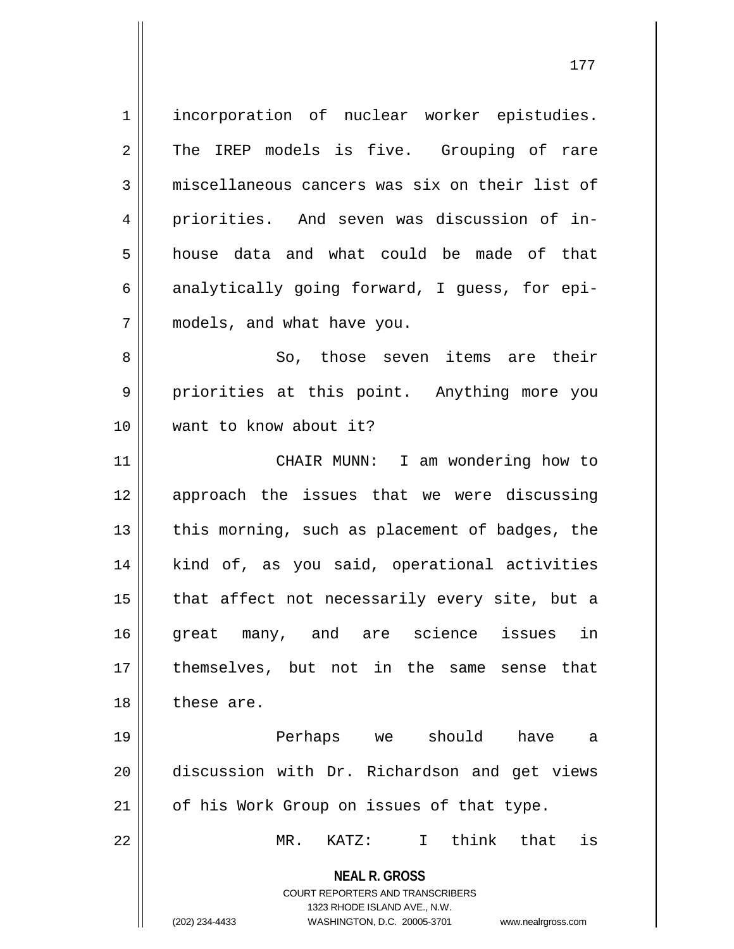1 incorporation of nuclear worker epistudies. 2 The IREP models is five. Grouping of rare 3 || miscellaneous cancers was six on their list of 4 priorities. And seven was discussion of in-5 house data and what could be made of that 6 analytically going forward, I guess, for epi-7 models, and what have you. 8 || So, those seven items are their 9 || priorities at this point. Anything more you

11 || CHAIR MUNN: I am wondering how to 12 approach the issues that we were discussing 13  $\parallel$  this morning, such as placement of badges, the 14 || kind of, as you said, operational activities  $15$  || that affect not necessarily every site, but a 16 great many, and are science issues in 17 themselves, but not in the same sense that 18 these are.

19 Perhaps we should have a 20 discussion with Dr. Richardson and get views 21 | of his Work Group on issues of that type.

22 MR. KATZ: I think that is

**NEAL R. GROSS** COURT REPORTERS AND TRANSCRIBERS

1323 RHODE ISLAND AVE., N.W.

(202) 234-4433 WASHINGTON, D.C. 20005-3701 www.nealrgross.com

10 want to know about it?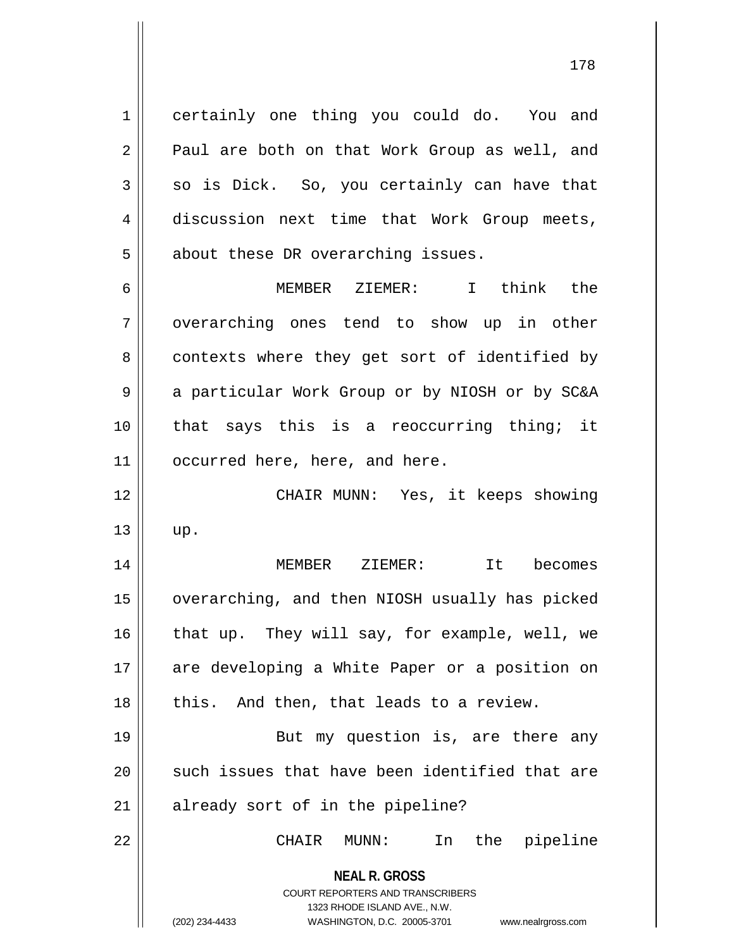1 certainly one thing you could do. You and 2 || Paul are both on that Work Group as well, and  $3 \parallel$  so is Dick. So, you certainly can have that 4 discussion next time that Work Group meets,  $5 \parallel$  about these DR overarching issues.

6 MEMBER ZIEMER: I think the 7 || overarching ones tend to show up in other 8 contexts where they get sort of identified by 9 || a particular Work Group or by NIOSH or by SC&A 10 || that says this is a reoccurring thing; it 11 | occurred here, here, and here.

12 CHAIR MUNN: Yes, it keeps showing  $13 \parallel \text{up.}$ 

14 MEMBER ZIEMER: It becomes 15 | overarching, and then NIOSH usually has picked 16  $\parallel$  that up. They will say, for example, well, we 17 || are developing a White Paper or a position on  $18$  || this. And then, that leads to a review.

19 || But my question is, are there any  $20$  such issues that have been identified that are 21 || already sort of in the pipeline?

22 CHAIR MUNN: In the pipeline

**NEAL R. GROSS** COURT REPORTERS AND TRANSCRIBERS

1323 RHODE ISLAND AVE., N.W.

(202) 234-4433 WASHINGTON, D.C. 20005-3701 www.nealrgross.com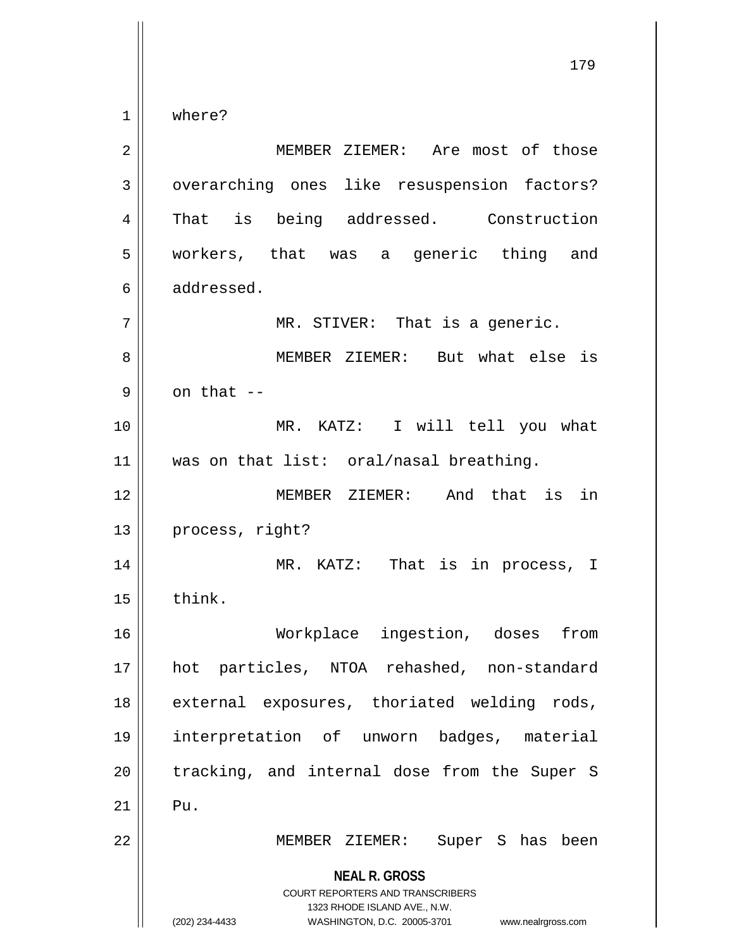1 where?

**NEAL R. GROSS** COURT REPORTERS AND TRANSCRIBERS 1323 RHODE ISLAND AVE., N.W. (202) 234-4433 WASHINGTON, D.C. 20005-3701 www.nealrgross.com 2 || MEMBER ZIEMER: Are most of those 3 | overarching ones like resuspension factors? 4 That is being addressed. Construction 5 || workers, that was a generic thing and 6 addressed. 7 || MR. STIVER: That is a generic. 8 MEMBER ZIEMER: But what else is  $9 \parallel$  on that  $-$ 10 MR. KATZ: I will tell you what 11 was on that list: oral/nasal breathing. 12 MEMBER ZIEMER: And that is in 13 || process, right? 14 MR. KATZ: That is in process, I  $15$  | think. 16 Workplace ingestion, doses from 17 hot particles, NTOA rehashed, non-standard 18 || external exposures, thoriated welding rods, 19 interpretation of unworn badges, material 20 || tracking, and internal dose from the Super S  $21$  Pu. 22 MEMBER ZIEMER: Super S has been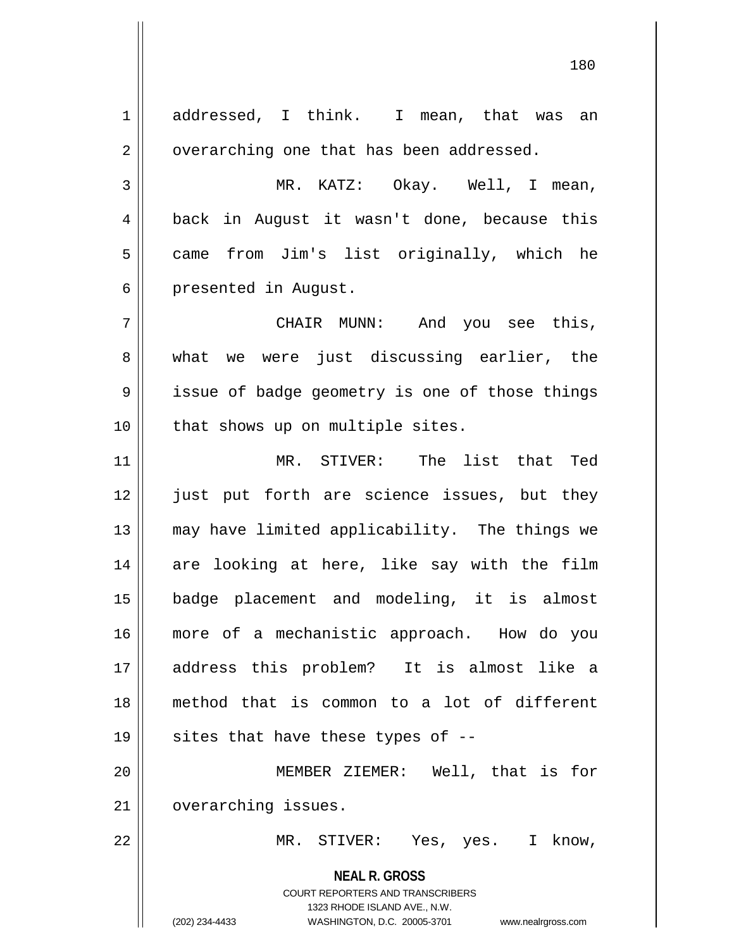**NEAL R. GROSS** COURT REPORTERS AND TRANSCRIBERS 1323 RHODE ISLAND AVE., N.W. (202) 234-4433 WASHINGTON, D.C. 20005-3701 www.nealrgross.com 1 addressed, I think. I mean, that was an  $2 \parallel$  overarching one that has been addressed. 3 MR. KATZ: Okay. Well, I mean, 4 || back in August it wasn't done, because this 5 || came from Jim's list originally, which he 6 | presented in August. 7 CHAIR MUNN: And you see this, 8 What we were just discussing earlier, the 9 || issue of badge geometry is one of those things 10 || that shows up on multiple sites. 11 MR. STIVER: The list that Ted 12 || just put forth are science issues, but they 13 || may have limited applicability. The things we 14 || are looking at here, like say with the film 15 badge placement and modeling, it is almost 16 more of a mechanistic approach. How do you 17 address this problem? It is almost like a 18 method that is common to a lot of different 19  $\parallel$  sites that have these types of --20 MEMBER ZIEMER: Well, that is for 21 | overarching issues. 22 MR. STIVER: Yes, yes. I know,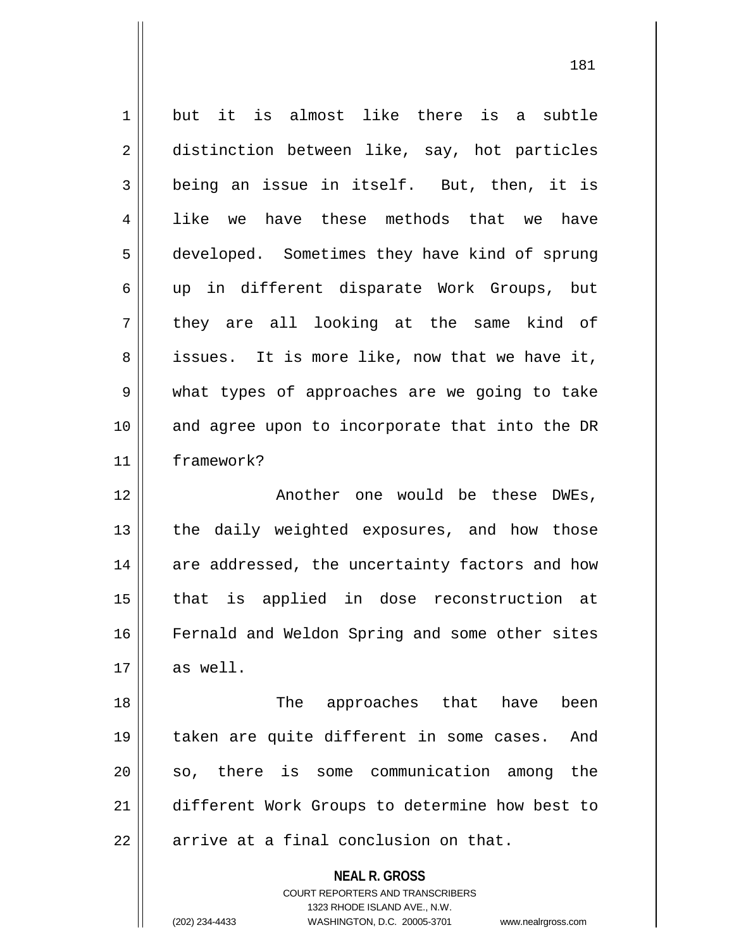| 1  | but it is almost like there is a subtle                                                             |
|----|-----------------------------------------------------------------------------------------------------|
| 2  | distinction between like, say, hot particles                                                        |
| 3  | being an issue in itself. But, then, it is                                                          |
| 4  | like we have these methods that we have                                                             |
| 5  | developed. Sometimes they have kind of sprung                                                       |
| 6  | up in different disparate Work Groups, but                                                          |
| 7  | they are all looking at the same kind of                                                            |
| 8  | issues. It is more like, now that we have it,                                                       |
| 9  | what types of approaches are we going to take                                                       |
| 10 | and agree upon to incorporate that into the DR                                                      |
| 11 | framework?                                                                                          |
| 12 | Another one would be these DWEs,                                                                    |
| 13 | the daily weighted exposures, and how those                                                         |
| 14 | are addressed, the uncertainty factors and how                                                      |
| 15 | that is applied in dose reconstruction at                                                           |
| 16 | Fernald and Weldon Spring and some other sites                                                      |
| 17 | as well.                                                                                            |
| 18 | The approaches that have<br>been                                                                    |
| 19 | taken are quite different in some cases.<br>And                                                     |
| 20 | so, there is some communication among<br>the                                                        |
| 21 | different Work Groups to determine how best to                                                      |
| 22 | arrive at a final conclusion on that.                                                               |
|    | <b>NEAL R. GROSS</b>                                                                                |
|    | <b>COURT REPORTERS AND TRANSCRIBERS</b>                                                             |
|    | 1323 RHODE ISLAND AVE., N.W.<br>(202) 234-4433<br>WASHINGTON, D.C. 20005-3701<br>www.nealrgross.com |
|    |                                                                                                     |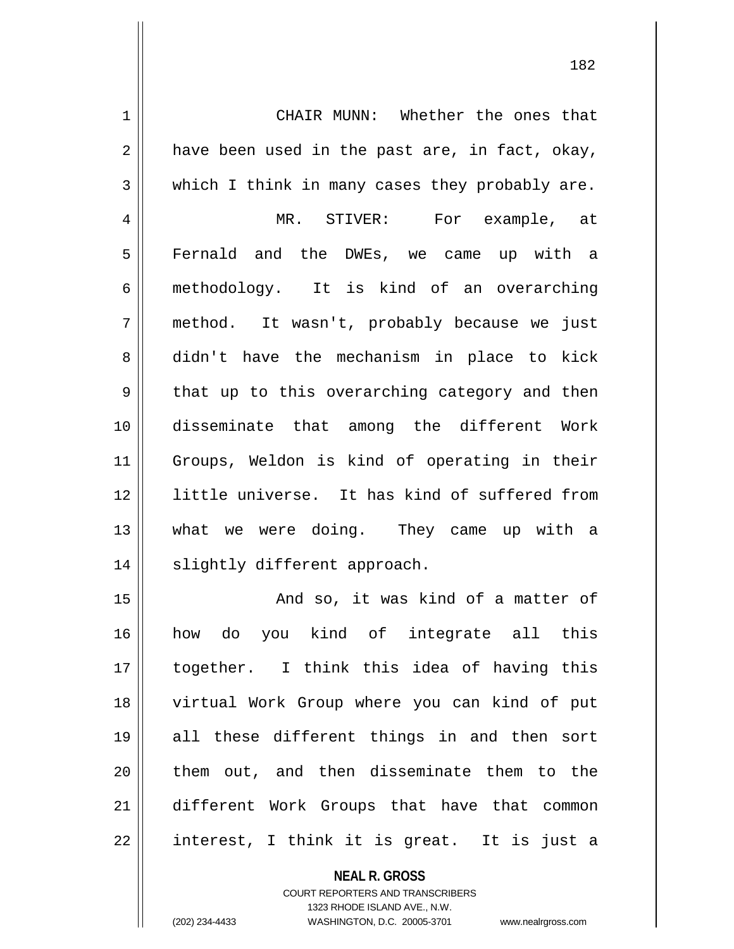1 || CHAIR MUNN: Whether the ones that  $2 \parallel$  have been used in the past are, in fact, okay,  $3 \parallel$  which I think in many cases they probably are. 4 MR. STIVER: For example, at 5 Fernald and the DWEs, we came up with a 6 methodology. It is kind of an overarching 7 method. It wasn't, probably because we just 8 didn't have the mechanism in place to kick  $9 \parallel$  that up to this overarching category and then 10 disseminate that among the different Work 11 Groups, Weldon is kind of operating in their 12 little universe. It has kind of suffered from 13 what we were doing. They came up with a 14 || slightly different approach. 15 || And so, it was kind of a matter of 16 how do you kind of integrate all this 17 together. I think this idea of having this 18 virtual Work Group where you can kind of put 19 all these different things in and then sort 20 || them out, and then disseminate them to the 21 different Work Groups that have that common

22 || interest, I think it is great. It is just a

**NEAL R. GROSS**

COURT REPORTERS AND TRANSCRIBERS 1323 RHODE ISLAND AVE., N.W. (202) 234-4433 WASHINGTON, D.C. 20005-3701 www.nealrgross.com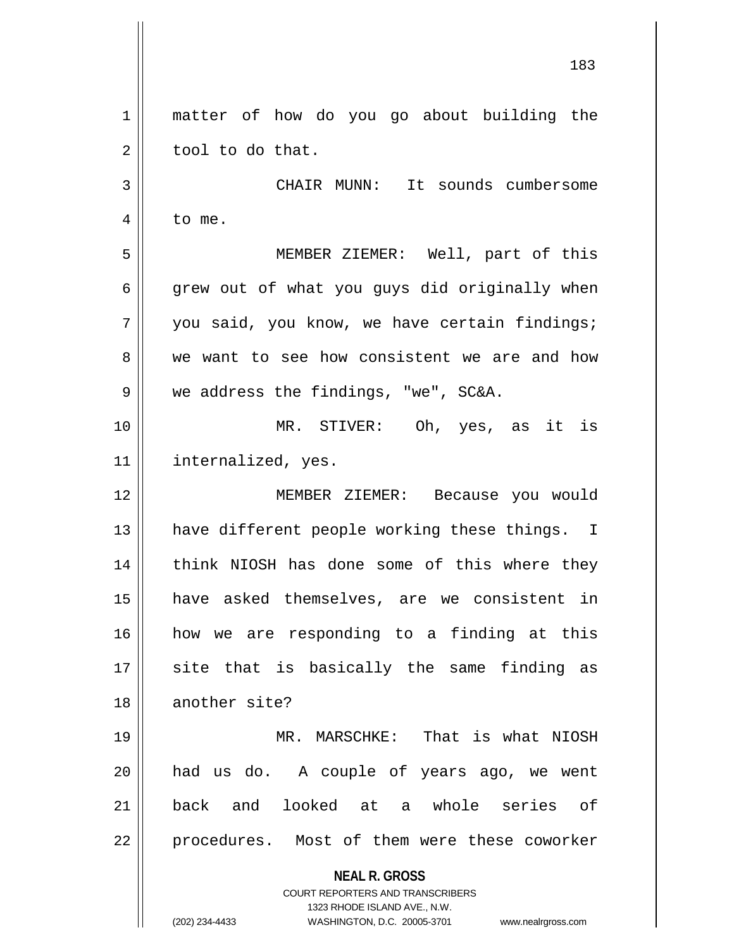**NEAL R. GROSS** COURT REPORTERS AND TRANSCRIBERS 1323 RHODE ISLAND AVE., N.W. (202) 234-4433 WASHINGTON, D.C. 20005-3701 www.nealrgross.com 1 || matter of how do you go about building the  $2 \parallel$  tool to do that. 3 CHAIR MUNN: It sounds cumbersome 4 | to me. 5 MEMBER ZIEMER: Well, part of this  $6 \parallel$  grew out of what you guys did originally when  $7 \parallel$  you said, you know, we have certain findings; 8 we want to see how consistent we are and how  $9 \parallel$  we address the findings, "we", SC&A. 10 MR. STIVER: Oh, yes, as it is 11 internalized, yes. 12 MEMBER ZIEMER: Because you would 13 || have different people working these things. I 14 || think NIOSH has done some of this where they 15 have asked themselves, are we consistent in 16 how we are responding to a finding at this  $17$  site that is basically the same finding as 18 another site? 19 MR. MARSCHKE: That is what NIOSH 20 had us do. A couple of years ago, we went 21 back and looked at a whole series of 22 || procedures. Most of them were these coworker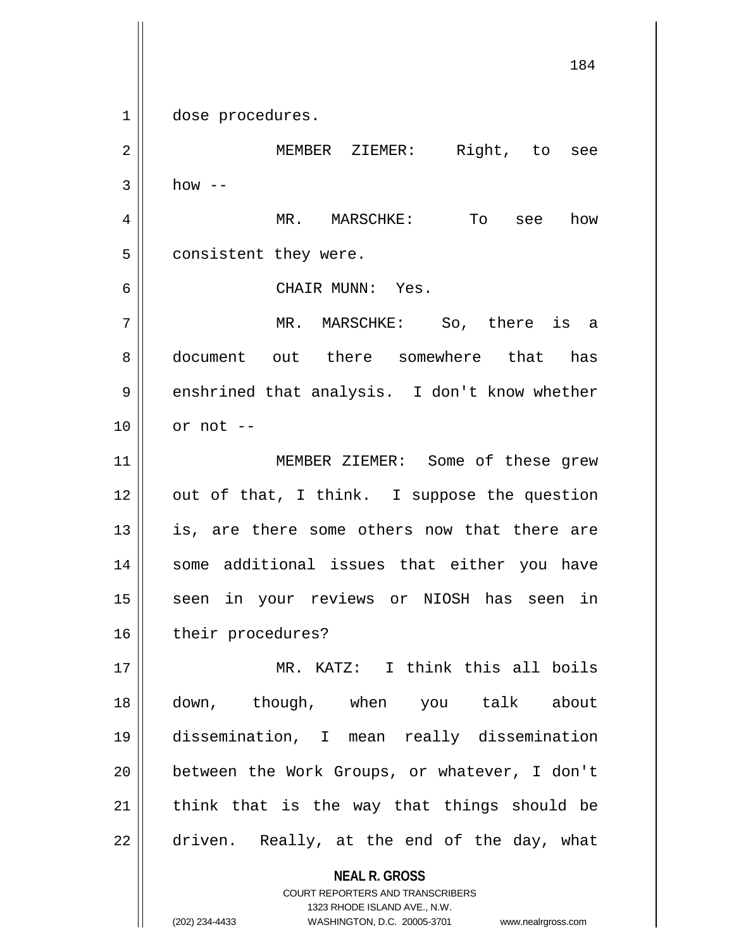1 || dose procedures.

2 MEMBER ZIEMER: Right, to see  $3 \parallel$  how --4 MR. MARSCHKE: To see how 5 | consistent they were. 6 CHAIR MUNN: Yes. 7 MR. MARSCHKE: So, there is a 8 document out there somewhere that has 9 | enshrined that analysis. I don't know whether  $10$  | or not  $-$ 11 || MEMBER ZIEMER: Some of these grew  $12$  | out of that, I think. I suppose the question  $13$  is, are there some others now that there are 14 || some additional issues that either you have 15 || seen in your reviews or NIOSH has seen in 16 | their procedures? 17 MR. KATZ: I think this all boils 18 down, though, when you talk about 19 dissemination, I mean really dissemination 20 || between the Work Groups, or whatever, I don't  $21$  think that is the way that things should be  $22 \parallel$  driven. Really, at the end of the day, what

> **NEAL R. GROSS** COURT REPORTERS AND TRANSCRIBERS 1323 RHODE ISLAND AVE., N.W.

(202) 234-4433 WASHINGTON, D.C. 20005-3701 www.nealrgross.com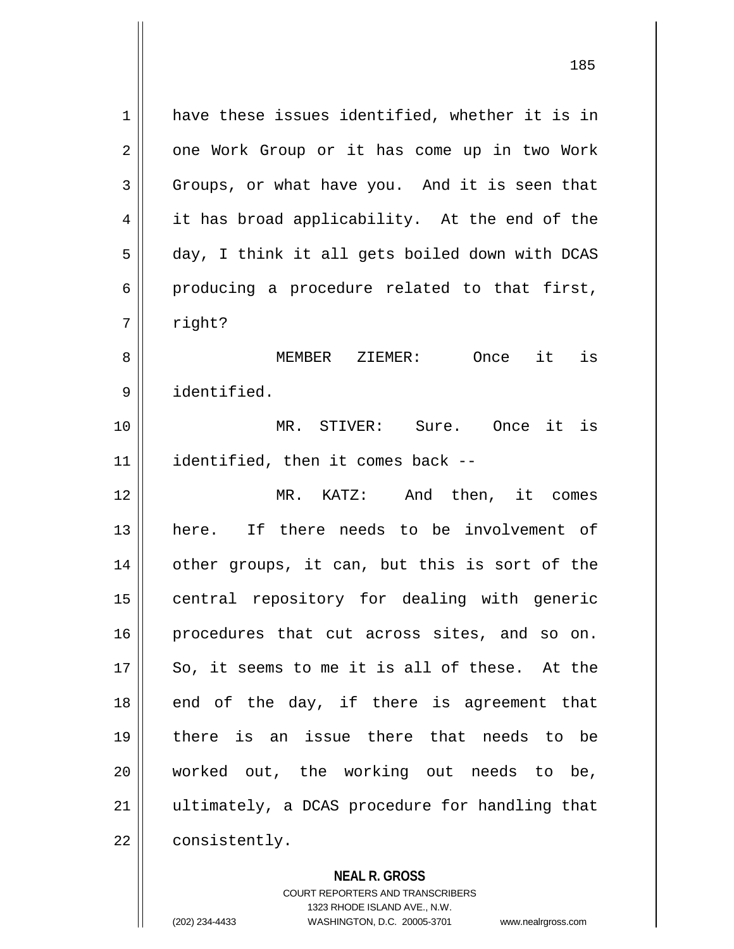1 have these issues identified, whether it is in 2 | one Work Group or it has come up in two Work  $3 \parallel$  Groups, or what have you. And it is seen that 4 | it has broad applicability. At the end of the 5 day, I think it all gets boiled down with DCAS  $6 \parallel$  producing a procedure related to that first, 7 | right? 8 MEMBER ZIEMER: Once it is 9 identified. 10 MR. STIVER: Sure. Once it is 11 identified, then it comes back -- 12 MR. KATZ: And then, it comes 13 here. If there needs to be involvement of 14 || other groups, it can, but this is sort of the 15 || central repository for dealing with generic 16 || procedures that cut across sites, and so on. 17 || So, it seems to me it is all of these. At the  $18$  end of the day, if there is agreement that 19 there is an issue there that needs to be 20 worked out, the working out needs to be, 21 || ultimately, a DCAS procedure for handling that 22 | consistently.

## **NEAL R. GROSS**

COURT REPORTERS AND TRANSCRIBERS 1323 RHODE ISLAND AVE., N.W. (202) 234-4433 WASHINGTON, D.C. 20005-3701 www.nealrgross.com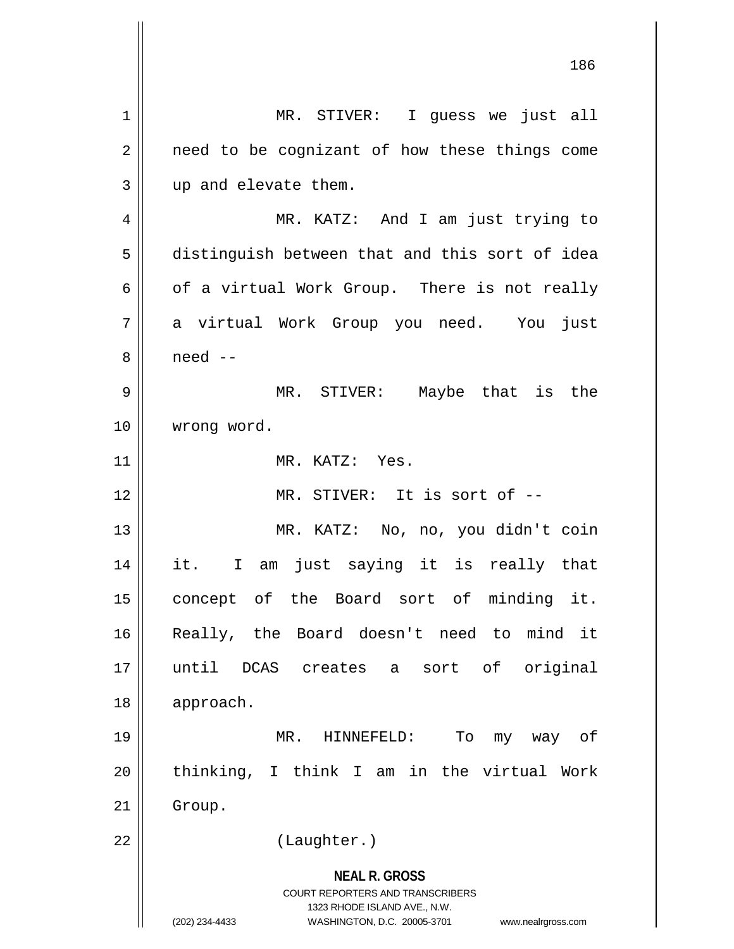**NEAL R. GROSS** COURT REPORTERS AND TRANSCRIBERS 1323 RHODE ISLAND AVE., N.W. (202) 234-4433 WASHINGTON, D.C. 20005-3701 www.nealrgross.com 186 1 || MR. STIVER: I guess we just all  $2 \parallel$  need to be cognizant of how these things come 3 || up and elevate them. 4 MR. KATZ: And I am just trying to 5 distinguish between that and this sort of idea 6 |  $\sigma$  of a virtual Work Group. There is not really 7 a virtual Work Group you need. You just 8 need -- 9 MR. STIVER: Maybe that is the 10 | wrong word. 11 MR. KATZ: Yes. 12 MR. STIVER: It is sort of -- 13 MR. KATZ: No, no, you didn't coin 14 it. I am just saying it is really that 15 || concept of the Board sort of minding it. 16 Really, the Board doesn't need to mind it 17 until DCAS creates a sort of original 18 approach. 19 MR. HINNEFELD: To my way of 20 thinking, I think I am in the virtual Work 21 | Group. 22 || (Laughter.)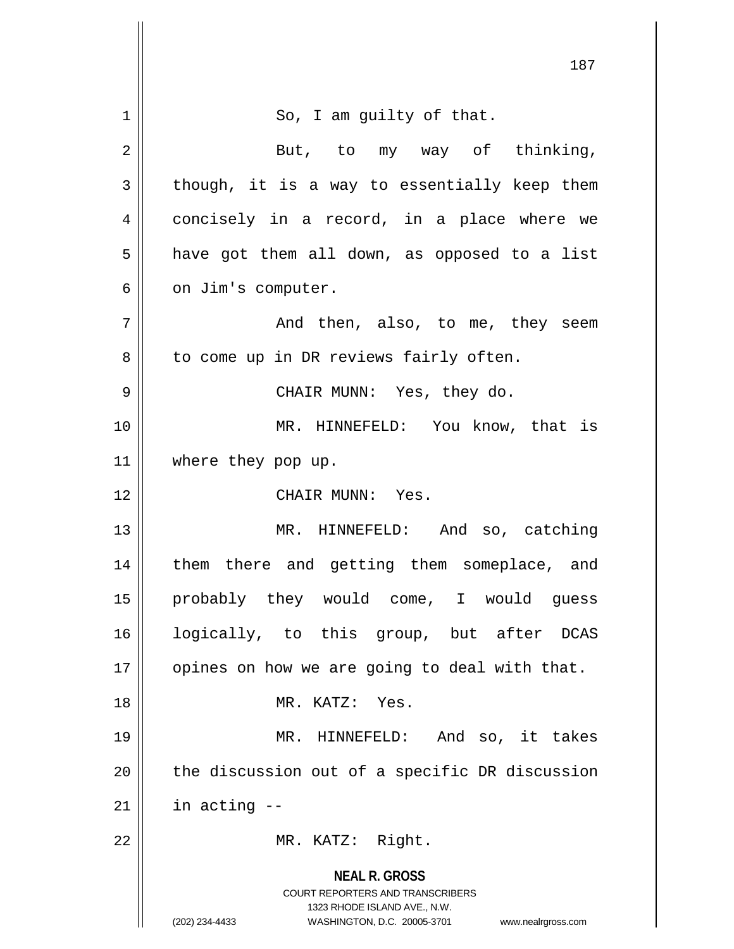|                | 187                                                                                             |
|----------------|-------------------------------------------------------------------------------------------------|
|                |                                                                                                 |
| 1              | So, I am guilty of that.                                                                        |
| $\overline{2}$ | But, to my way of thinking,                                                                     |
| 3              | though, it is a way to essentially keep them                                                    |
| 4              | concisely in a record, in a place where we                                                      |
| 5              | have got them all down, as opposed to a list                                                    |
| 6              | on Jim's computer.                                                                              |
| 7              | And then, also, to me, they seem                                                                |
| 8              | to come up in DR reviews fairly often.                                                          |
| 9              | CHAIR MUNN: Yes, they do.                                                                       |
| 10             | MR. HINNEFELD: You know, that is                                                                |
| 11             | where they pop up.                                                                              |
| 12             | CHAIR MUNN: Yes.                                                                                |
| 13             | MR. HINNEFELD: And so, catching                                                                 |
| 14             | them there and getting them someplace, and                                                      |
| 15             | probably they would come, I would guess                                                         |
| 16             | logically, to this group, but after DCAS                                                        |
| 17             | opines on how we are going to deal with that.                                                   |
| 18             | MR. KATZ: Yes.                                                                                  |
| 19             | MR. HINNEFELD: And so, it takes                                                                 |
| 20             | the discussion out of a specific DR discussion                                                  |
| 21             | in acting --                                                                                    |
| 22             | MR. KATZ: Right.                                                                                |
|                | <b>NEAL R. GROSS</b><br><b>COURT REPORTERS AND TRANSCRIBERS</b><br>1323 RHODE ISLAND AVE., N.W. |
|                | (202) 234-4433<br>WASHINGTON, D.C. 20005-3701<br>www.nealrgross.com                             |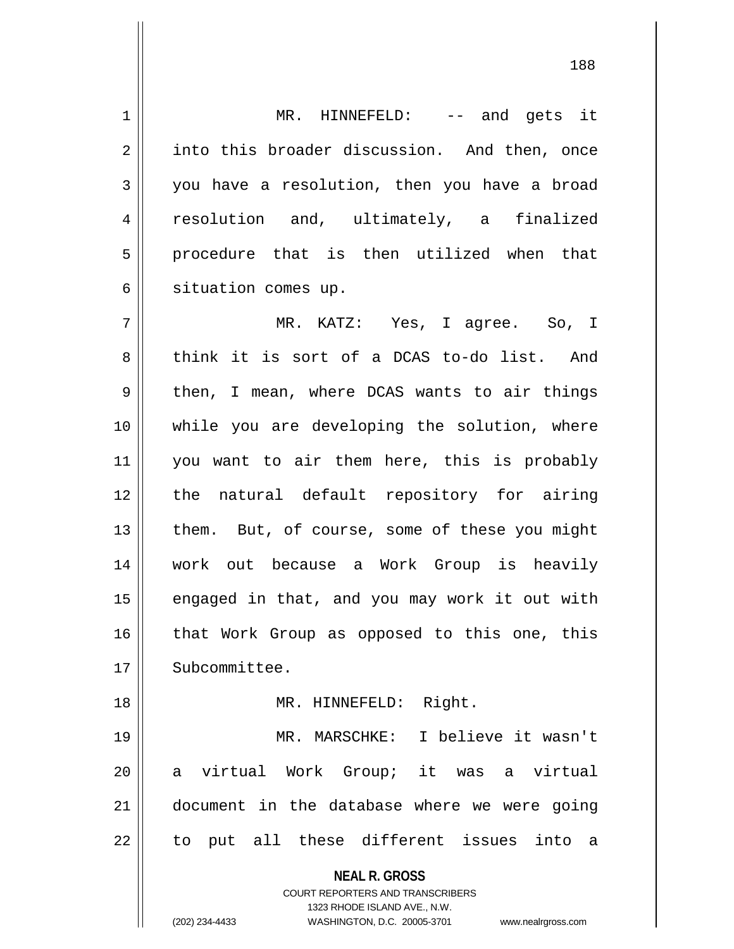1 || MR. HINNEFELD: -- and gets it 2 || into this broader discussion. And then, once 3 you have a resolution, then you have a broad 4 || resolution and, ultimately, a finalized 5 procedure that is then utilized when that 6 | situation comes up.

7 MR. KATZ: Yes, I agree. So, I 8 think it is sort of a DCAS to-do list. And 9 then, I mean, where DCAS wants to air things 10 while you are developing the solution, where 11 || you want to air them here, this is probably 12 the natural default repository for airing 13  $\parallel$  them. But, of course, some of these you might 14 work out because a Work Group is heavily  $15$  engaged in that, and you may work it out with 16 || that Work Group as opposed to this one, this 17 | Subcommittee. 18 || MR. HINNEFELD: Right.

19 MR. MARSCHKE: I believe it wasn't 20 a virtual Work Group; it was a virtual 21 document in the database where we were going  $22$   $\parallel$  to put all these different issues into a

**NEAL R. GROSS**

COURT REPORTERS AND TRANSCRIBERS 1323 RHODE ISLAND AVE., N.W. (202) 234-4433 WASHINGTON, D.C. 20005-3701 www.nealrgross.com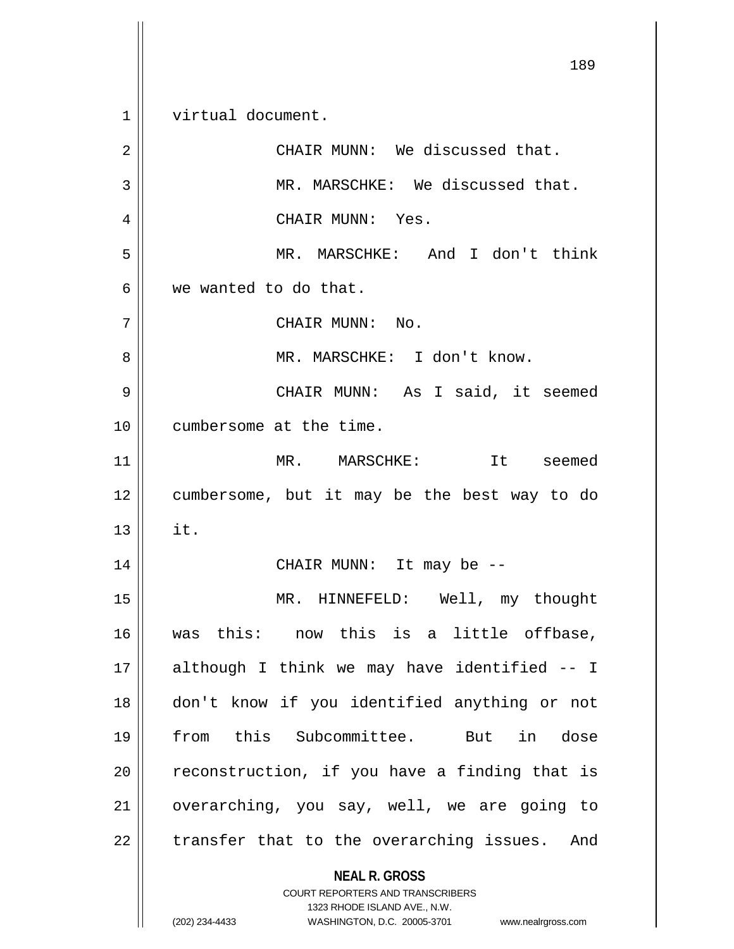**NEAL R. GROSS** COURT REPORTERS AND TRANSCRIBERS 189 1 virtual document. 2 || CHAIR MUNN: We discussed that. 3 || MR. MARSCHKE: We discussed that. 4 CHAIR MUNN: Yes. 5 MR. MARSCHKE: And I don't think 6 we wanted to do that. 7 CHAIR MUNN: No. 8 MR. MARSCHKE: I don't know. 9 CHAIR MUNN: As I said, it seemed 10 cumbersome at the time. 11 MR. MARSCHKE: It seemed 12 cumbersome, but it may be the best way to do  $13 \parallel$  it. 14 CHAIR MUNN: It may be -- 15 MR. HINNEFELD: Well, my thought 16 was this: now this is a little offbase, 17 although I think we may have identified -- I 18 don't know if you identified anything or not 19 from this Subcommittee. But in dose  $20$  | reconstruction, if you have a finding that is 21 || overarching, you say, well, we are going to  $22$  || transfer that to the overarching issues. And

1323 RHODE ISLAND AVE., N.W.

(202) 234-4433 WASHINGTON, D.C. 20005-3701 www.nealrgross.com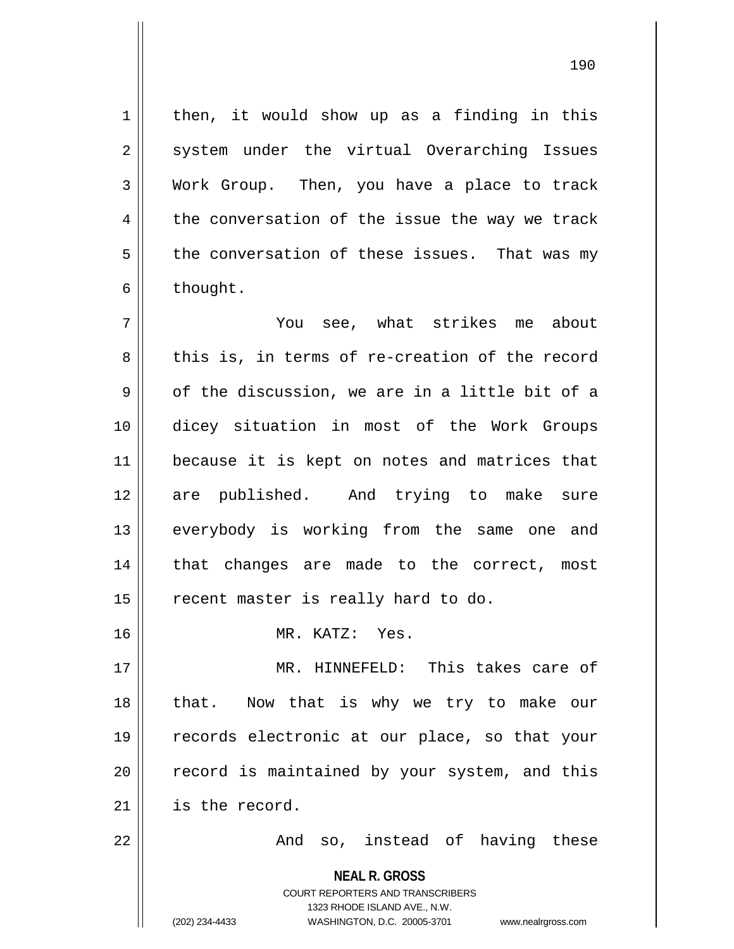$1 \parallel$  then, it would show up as a finding in this 2 || system under the virtual Overarching Issues 3 Work Group. Then, you have a place to track  $4 \parallel$  the conversation of the issue the way we track  $5 \parallel$  the conversation of these issues. That was my  $6 \parallel$  thought.

7 You see, what strikes me about 8 this is, in terms of re-creation of the record  $9 \parallel$  of the discussion, we are in a little bit of a 10 dicey situation in most of the Work Groups 11 || because it is kept on notes and matrices that 12 are published. And trying to make sure 13 || everybody is working from the same one and 14 || that changes are made to the correct, most  $15$  | recent master is really hard to do. 16 MR. KATZ: Yes. 17 MR. HINNEFELD: This takes care of

18 || that. Now that is why we try to make our 19 records electronic at our place, so that your  $20$  | record is maintained by your system, and this 21 is the record.

22 And so, instead of having these

**NEAL R. GROSS**

COURT REPORTERS AND TRANSCRIBERS 1323 RHODE ISLAND AVE., N.W. (202) 234-4433 WASHINGTON, D.C. 20005-3701 www.nealrgross.com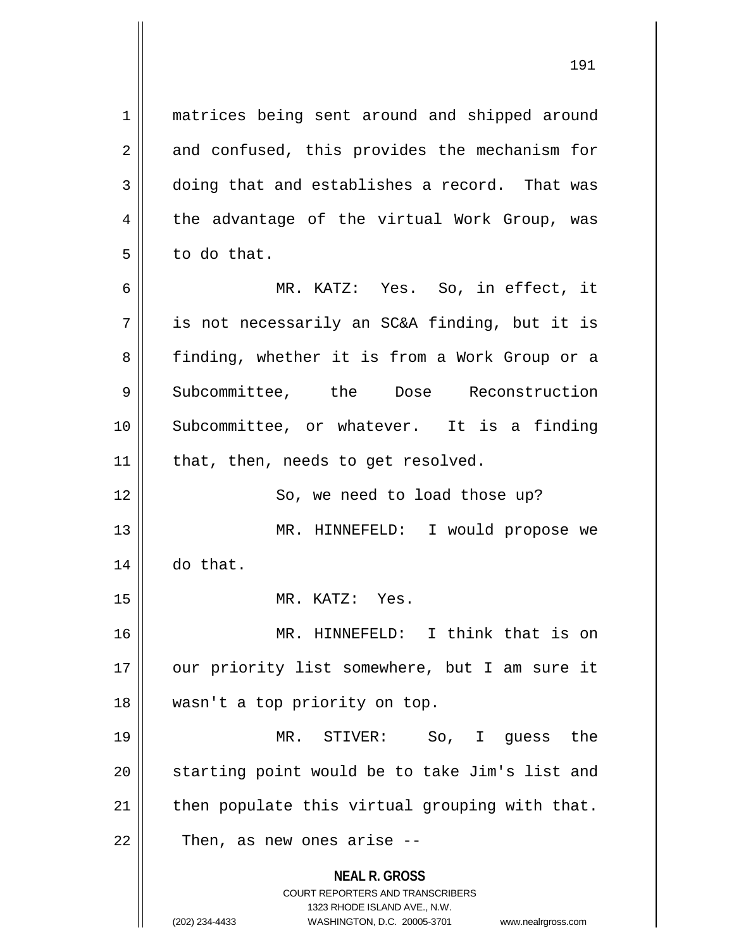1 || matrices being sent around and shipped around 2 || and confused, this provides the mechanism for 3 doing that and establishes a record. That was  $4 \parallel$  the advantage of the virtual Work Group, was  $5 \parallel$  to do that.

6 MR. KATZ: Yes. So, in effect, it  $7 \parallel$  is not necessarily an SC&A finding, but it is 8 || finding, whether it is from a Work Group or a 9 Subcommittee, the Dose Reconstruction 10 Subcommittee, or whatever. It is a finding  $11$  | that, then, needs to get resolved.

12 || So, we need to load those up? 13 || MR. HINNEFELD: I would propose we 14 do that.

15 || MR. KATZ: Yes.

16 MR. HINNEFELD: I think that is on 17 || our priority list somewhere, but I am sure it 18 wasn't a top priority on top.

19 MR. STIVER: So, I guess the 20 || starting point would be to take Jim's list and  $21$  | then populate this virtual grouping with that.  $22 \parallel$  Then, as new ones arise --

> **NEAL R. GROSS** COURT REPORTERS AND TRANSCRIBERS

> > 1323 RHODE ISLAND AVE., N.W.

(202) 234-4433 WASHINGTON, D.C. 20005-3701 www.nealrgross.com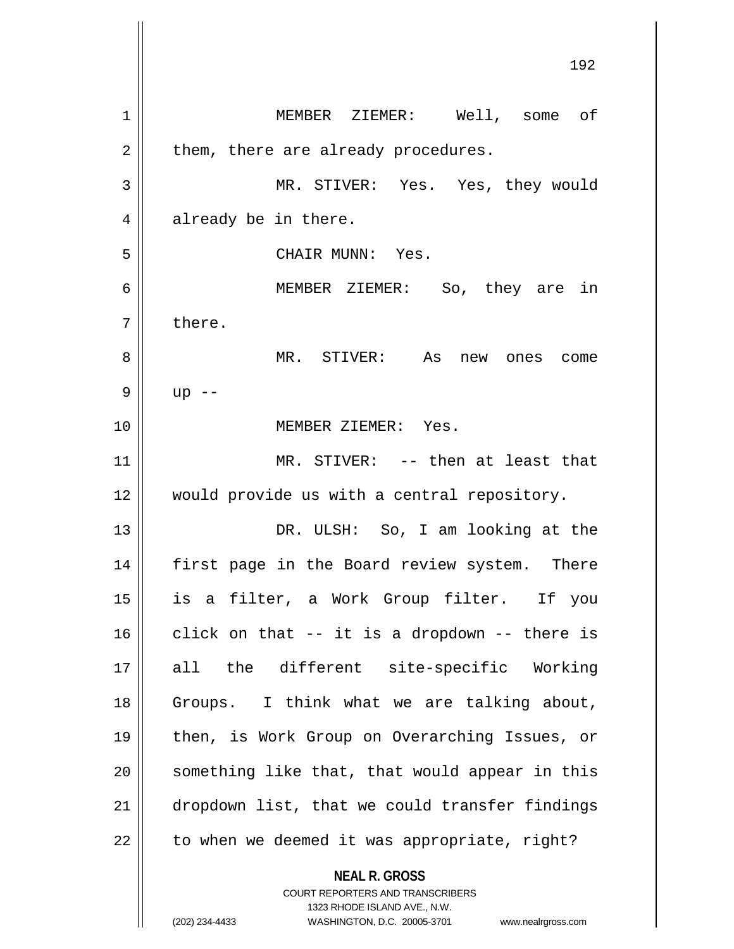**NEAL R. GROSS** COURT REPORTERS AND TRANSCRIBERS 1 MEMBER ZIEMER: Well, some of  $2 \parallel$  them, there are already procedures. 3 MR. STIVER: Yes. Yes, they would  $4 \parallel$  already be in there. 5 CHAIR MUNN: Yes. 6 MEMBER ZIEMER: So, they are in  $7 \parallel$  there. 8 MR. STIVER: As new ones come 9 || up  $-$ 10 MEMBER ZIEMER: Yes. 11 || MR. STIVER: -- then at least that 12 would provide us with a central repository. 13 || DR. ULSH: So, I am looking at the 14 first page in the Board review system. There 15 is a filter, a Work Group filter. If you  $16$  click on that -- it is a dropdown -- there is 17 all the different site-specific Working 18 Groups. I think what we are talking about, 19 then, is Work Group on Overarching Issues, or 20 || something like that, that would appear in this 21 dropdown list, that we could transfer findings  $22$  | to when we deemed it was appropriate, right?

1323 RHODE ISLAND AVE., N.W.

(202) 234-4433 WASHINGTON, D.C. 20005-3701 www.nealrgross.com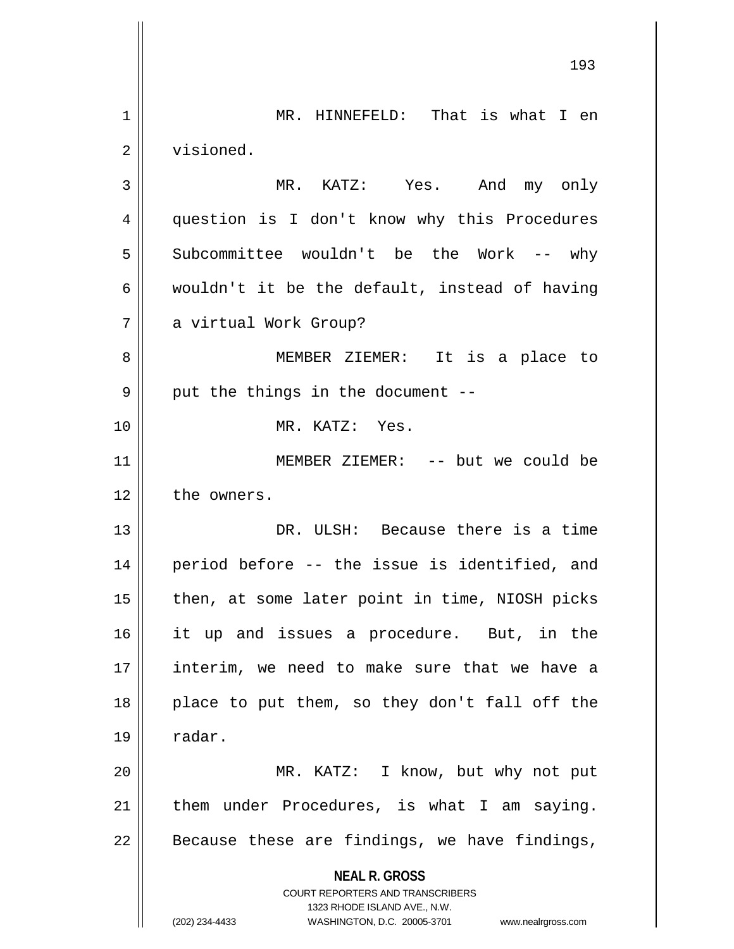**NEAL R. GROSS** COURT REPORTERS AND TRANSCRIBERS 1323 RHODE ISLAND AVE., N.W. (202) 234-4433 WASHINGTON, D.C. 20005-3701 www.nealrgross.com 1 || MR. HINNEFELD: That is what I en 2 visioned. 3 MR. KATZ: Yes. And my only 4 question is I don't know why this Procedures 5 Subcommittee wouldn't be the Work -- why 6 wouldn't it be the default, instead of having 7 a virtual Work Group? 8 || MEMBER ZIEMER: It is a place to  $9$  || put the things in the document --10 MR. KATZ: Yes. 11 MEMBER ZIEMER: -- but we could be 12 the owners. 13 DR. ULSH: Because there is a time 14 period before -- the issue is identified, and  $15$  || then, at some later point in time, NIOSH picks 16 it up and issues a procedure. But, in the 17 interim, we need to make sure that we have a  $18$  || place to put them, so they don't fall off the  $19 \parallel$  radar. 20 MR. KATZ: I know, but why not put  $21$  | them under Procedures, is what I am saying.  $22$  | Because these are findings, we have findings,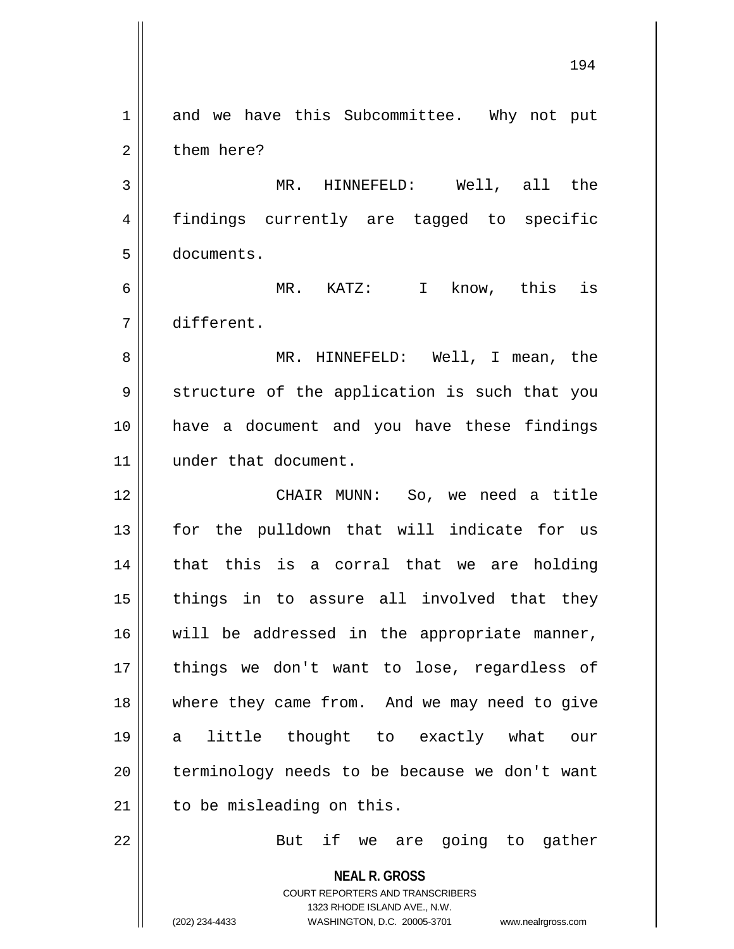**NEAL R. GROSS** COURT REPORTERS AND TRANSCRIBERS 1323 RHODE ISLAND AVE., N.W. (202) 234-4433 WASHINGTON, D.C. 20005-3701 www.nealrgross.com 1 and we have this Subcommittee. Why not put 2 l them here? 3 MR. HINNEFELD: Well, all the 4 || findings currently are tagged to specific 5 documents. 6 MR. KATZ: I know, this is 7 different. 8 MR. HINNEFELD: Well, I mean, the 9 || structure of the application is such that you 10 have a document and you have these findings 11 || under that document. 12 CHAIR MUNN: So, we need a title 13 || for the pulldown that will indicate for us 14 || that this is a corral that we are holding  $15$  || things in to assure all involved that they 16 || will be addressed in the appropriate manner, 17 || things we don't want to lose, regardless of 18 where they came from. And we may need to give 19 a little thought to exactly what our 20 || terminology needs to be because we don't want  $21$  | to be misleading on this. 22 || But if we are going to gather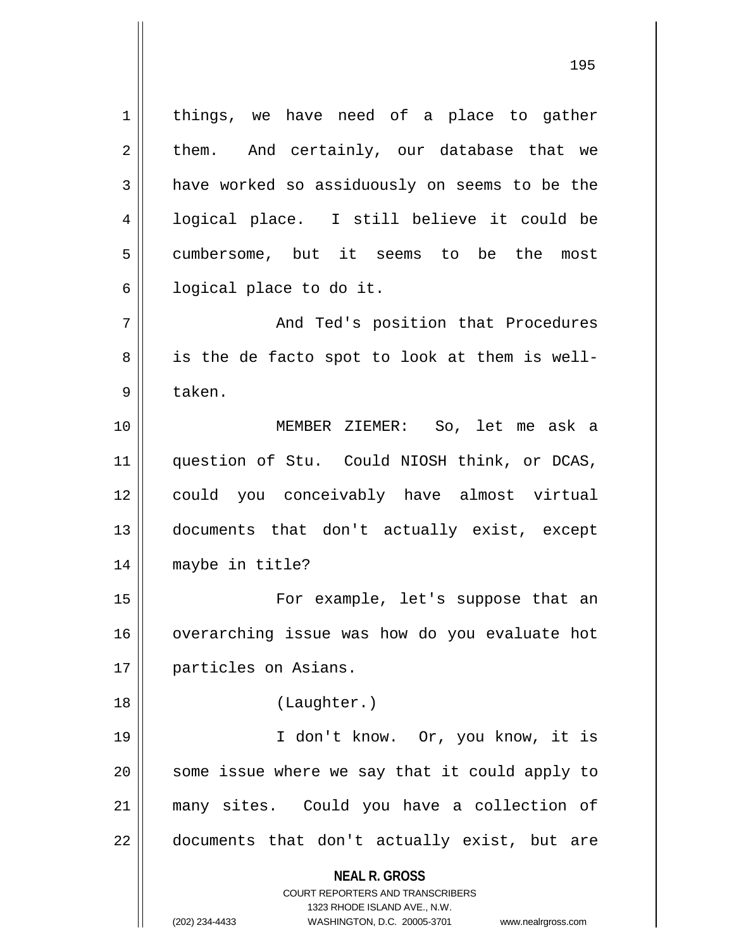**NEAL R. GROSS** COURT REPORTERS AND TRANSCRIBERS 1323 RHODE ISLAND AVE., N.W. (202) 234-4433 WASHINGTON, D.C. 20005-3701 www.nealrgross.com  $1 \parallel$  things, we have need of a place to gather  $2 \parallel$  them. And certainly, our database that we 3 a have worked so assiduously on seems to be the 4 || logical place. I still believe it could be 5 cumbersome, but it seems to be the most  $6 \parallel$  logical place to do it. 7 And Ted's position that Procedures  $8 \parallel$  is the de facto spot to look at them is well-9 ll taken. 10 MEMBER ZIEMER: So, let me ask a 11 question of Stu. Could NIOSH think, or DCAS, 12 could you conceivably have almost virtual 13 documents that don't actually exist, except 14 maybe in title? 15 For example, let's suppose that an 16 | overarching issue was how do you evaluate hot 17 | particles on Asians. 18 (Laughter.) 19 I don't know. Or, you know, it is  $20$  || some issue where we say that it could apply to 21 many sites. Could you have a collection of  $22$  || documents that don't actually exist, but are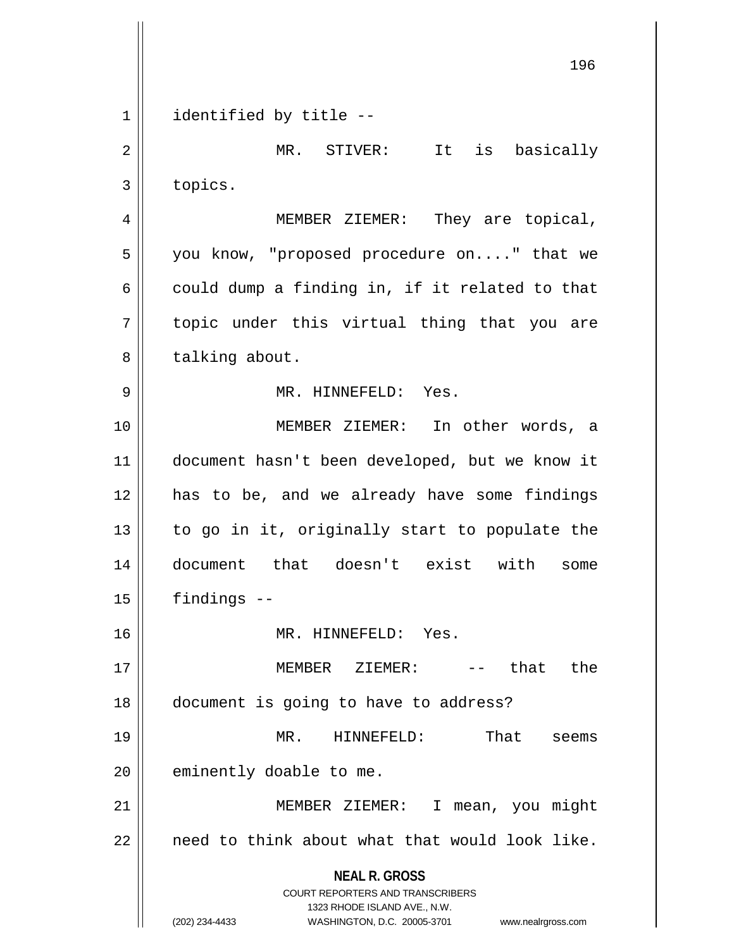**NEAL R. GROSS** COURT REPORTERS AND TRANSCRIBERS 1323 RHODE ISLAND AVE., N.W. (202) 234-4433 WASHINGTON, D.C. 20005-3701 www.nealrgross.com 196 1 || identified by title --2 MR. STIVER: It is basically 3 | topics. 4 MEMBER ZIEMER: They are topical,  $5 \parallel$  you know, "proposed procedure on...." that we 6 could dump a finding in, if it related to that 7 || topic under this virtual thing that you are 8 | talking about. 9 MR. HINNEFELD: Yes. 10 MEMBER ZIEMER: In other words, a 11 document hasn't been developed, but we know it 12 has to be, and we already have some findings  $13$  to go in it, originally start to populate the 14 document that doesn't exist with some  $15$  | findings  $-$ 16 MR. HINNEFELD: Yes. 17 MEMBER ZIEMER: -- that the 18 document is going to have to address? 19 MR. HINNEFELD: That seems  $20$  | eminently doable to me. 21 MEMBER ZIEMER: I mean, you might  $22$  | need to think about what that would look like.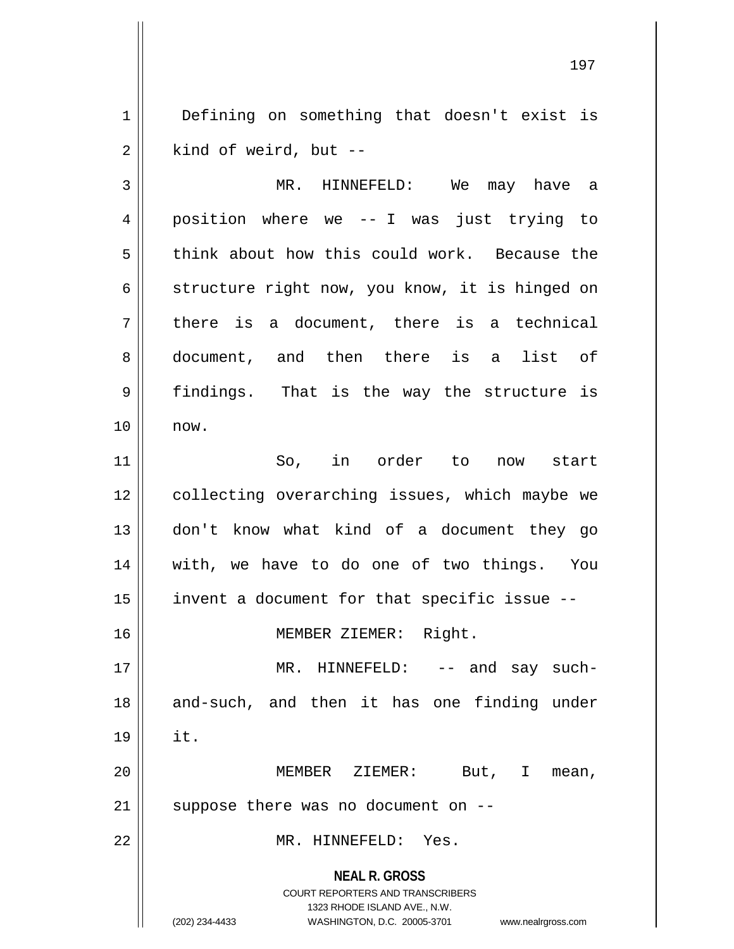1 | Defining on something that doesn't exist is  $2 \parallel$  kind of weird, but --

**NEAL R. GROSS** COURT REPORTERS AND TRANSCRIBERS 1323 RHODE ISLAND AVE., N.W. (202) 234-4433 WASHINGTON, D.C. 20005-3701 www.nealrgross.com 3 MR. HINNEFELD: We may have a 4 position where we -- I was just trying to 5 think about how this could work. Because the 6 | structure right now, you know, it is hinged on  $7 \parallel$  there is a document, there is a technical 8 document, and then there is a list of 9 findings. That is the way the structure is 10 now. 11 So, in order to now start 12 || collecting overarching issues, which maybe we 13 don't know what kind of a document they go 14 with, we have to do one of two things. You 15  $\parallel$  invent a document for that specific issue --16 MEMBER ZIEMER: Right. 17 || MR. HINNEFELD: -- and say such-18 || and-such, and then it has one finding under  $19 \parallel \text{it.}$ 20 MEMBER ZIEMER: But, I mean,  $21$  | suppose there was no document on  $-$ 22 MR. HINNEFELD: Yes.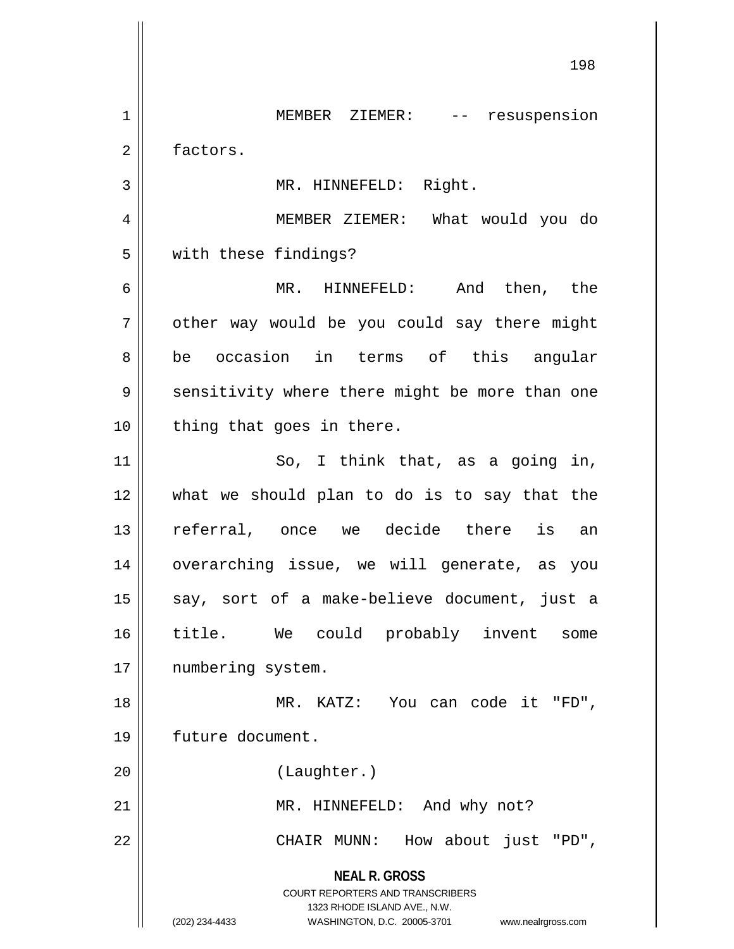**NEAL R. GROSS** COURT REPORTERS AND TRANSCRIBERS 1323 RHODE ISLAND AVE., N.W. (202) 234-4433 WASHINGTON, D.C. 20005-3701 www.nealrgross.com 198 1 MEMBER ZIEMER: -- resuspension 2 | factors. 3 || MR. HINNEFELD: Right. 4 MEMBER ZIEMER: What would you do 5 with these findings? 6 MR. HINNEFELD: And then, the  $7 \parallel$  other way would be you could say there might 8 || be occasion in terms of this angular 9 || sensitivity where there might be more than one  $10$  | thing that goes in there. 11 || So, I think that, as a going in, 12 what we should plan to do is to say that the 13 referral, once we decide there is an 14 overarching issue, we will generate, as you 15 || say, sort of a make-believe document, just a 16 title. We could probably invent some 17 || numbering system. 18 MR. KATZ: You can code it "FD", 19 future document. 20 (Laughter.) 21 || MR. HINNEFELD: And why not? 22 || CHAIR MUNN: How about just "PD",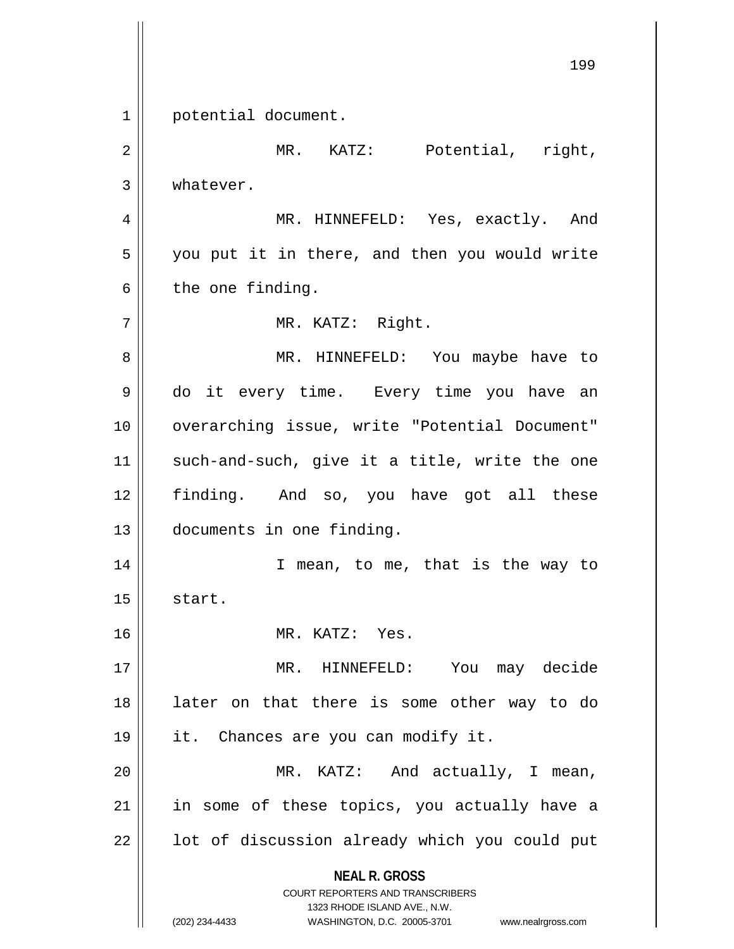**NEAL R. GROSS** COURT REPORTERS AND TRANSCRIBERS 1323 RHODE ISLAND AVE., N.W. (202) 234-4433 WASHINGTON, D.C. 20005-3701 www.nealrgross.com 199 1 | potential document. 2 | MR. KATZ: Potential, right, 3 | whatever. 4 MR. HINNEFELD: Yes, exactly. And 5 || you put it in there, and then you would write  $6 \parallel$  the one finding. 7 || MR. KATZ: Right. 8 MR. HINNEFELD: You maybe have to 9 || do it every time. Every time you have an 10 || overarching issue, write "Potential Document"  $11$  such-and-such, give it a title, write the one 12 finding. And so, you have got all these 13 documents in one finding. 14 || T mean, to me, that is the way to  $15$  start. 16 MR. KATZ: Yes. 17 MR. HINNEFELD: You may decide 18 later on that there is some other way to do 19 || it. Chances are you can modify it. 20 || MR. KATZ: And actually, I mean, 21 || in some of these topics, you actually have a  $22$  |  $\vert$  lot of discussion already which you could put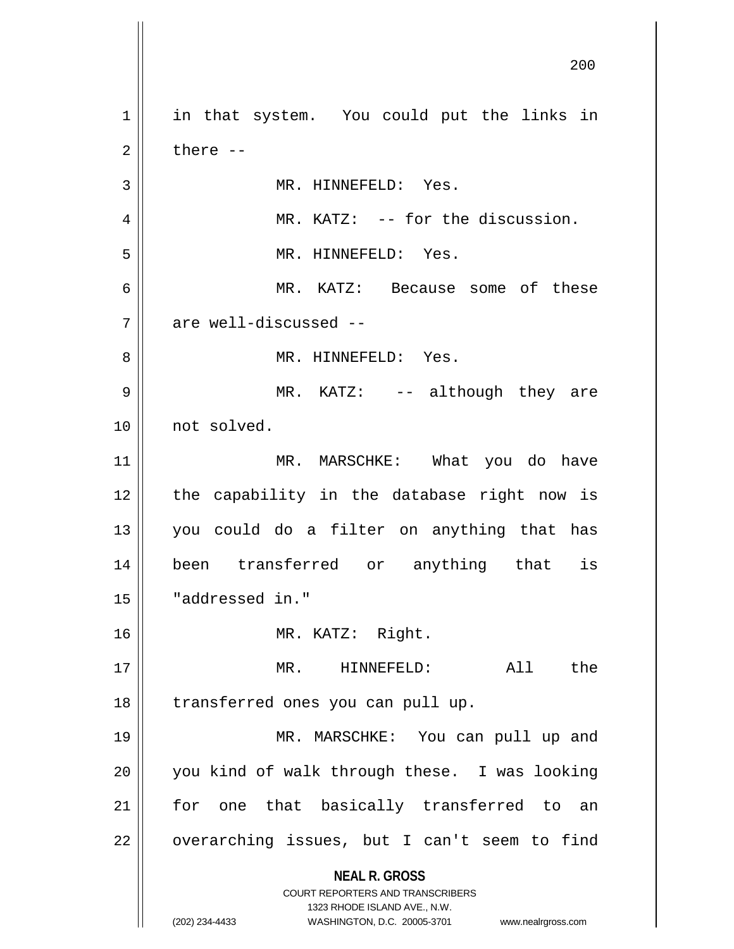**NEAL R. GROSS** COURT REPORTERS AND TRANSCRIBERS 1323 RHODE ISLAND AVE., N.W. (202) 234-4433 WASHINGTON, D.C. 20005-3701 www.nealrgross.com 200 1 || in that system. You could put the links in  $2 \parallel$  there  $-$ 3 || MR. HINNEFELD: Yes. 4 MR. KATZ: -- for the discussion. 5 || MR. HINNEFELD: Yes. 6 MR. KATZ: Because some of these  $7$   $\parallel$  are well-discussed --8 MR. HINNEFELD: Yes. 9 MR. KATZ: -- although they are 10 not solved. 11 || MR. MARSCHKE: What you do have 12 || the capability in the database right now is 13 you could do a filter on anything that has 14 been transferred or anything that is 15 "addressed in." 16 MR. KATZ: Right. 17 MR. HINNEFELD: All the 18 || transferred ones you can pull up. 19 MR. MARSCHKE: You can pull up and 20 || you kind of walk through these. I was looking 21 || for one that basically transferred to an  $22 \parallel$  overarching issues, but I can't seem to find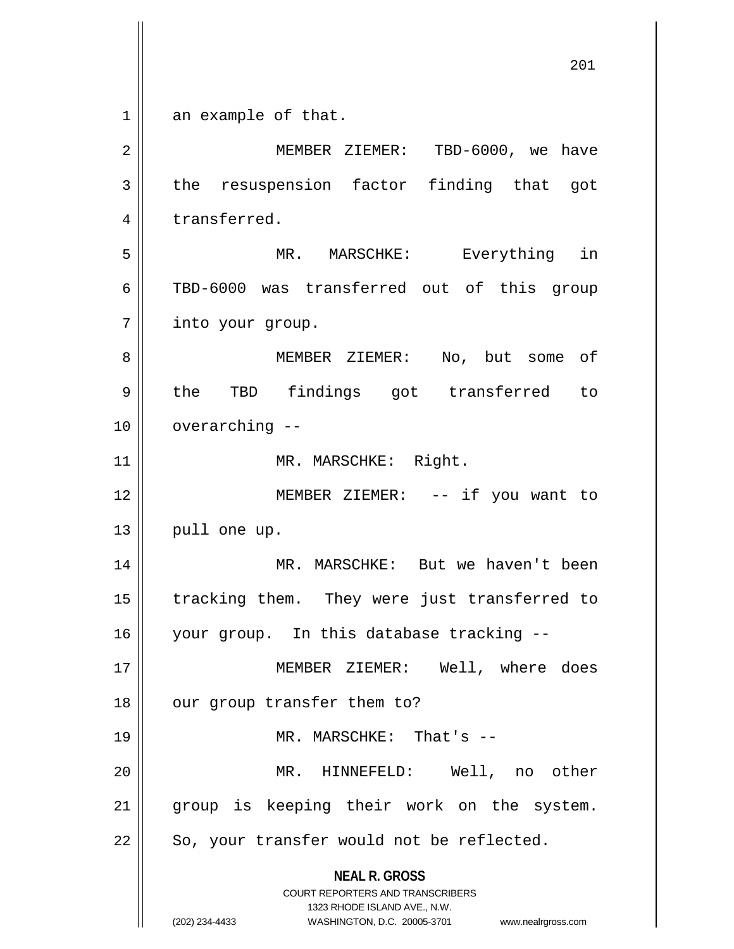**NEAL R. GROSS** COURT REPORTERS AND TRANSCRIBERS 1323 RHODE ISLAND AVE., N.W. (202) 234-4433 WASHINGTON, D.C. 20005-3701 www.nealrgross.com 1 an example of that. 2 MEMBER ZIEMER: TBD-6000, we have  $3$  the resuspension factor finding that got 4 | transferred. 5 MR. MARSCHKE: Everything in 6 TBD-6000 was transferred out of this group 7 | into your group. 8 MEMBER ZIEMER: No, but some of 9 || the TBD findings got transferred to  $10$   $\vert \vert$  overarching  $-$ 11 || MR. MARSCHKE: Right. 12 MEMBER ZIEMER: -- if you want to  $13$  | pull one up. 14 MR. MARSCHKE: But we haven't been 15 || tracking them. They were just transferred to 16 your group. In this database tracking -- 17 MEMBER ZIEMER: Well, where does 18 || our group transfer them to? 19 MR. MARSCHKE: That's -- 20 MR. HINNEFELD: Well, no other 21 || group is keeping their work on the system.  $22$  | So, your transfer would not be reflected.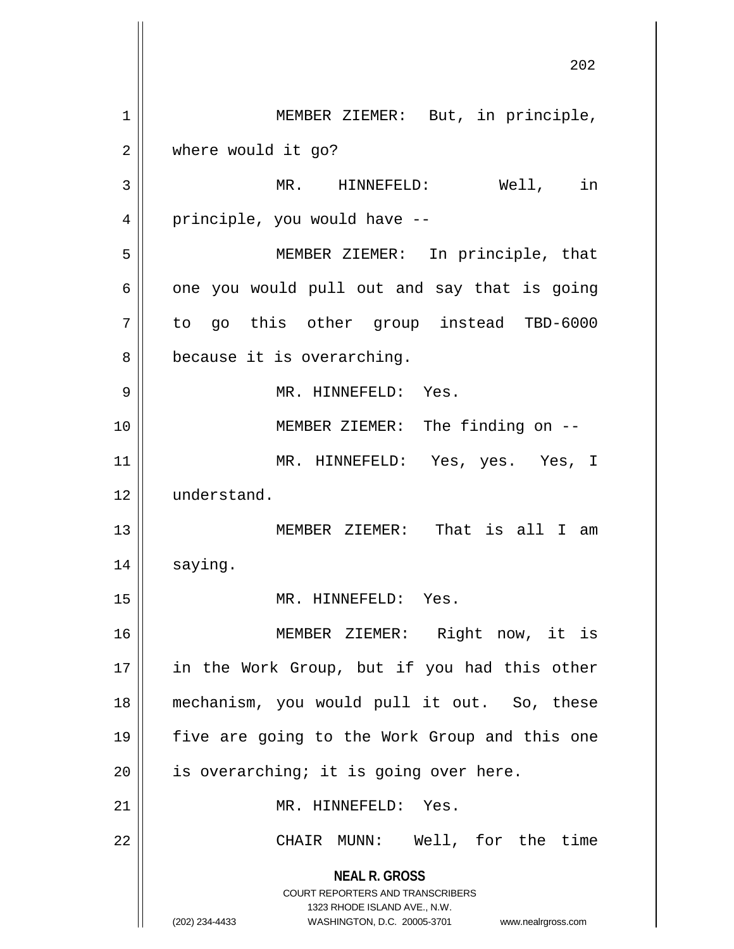**NEAL R. GROSS** COURT REPORTERS AND TRANSCRIBERS 1323 RHODE ISLAND AVE., N.W. (202) 234-4433 WASHINGTON, D.C. 20005-3701 www.nealrgross.com 202 1 || MEMBER ZIEMER: But, in principle, 2 where would it go? 3 || MR. HINNEFELD: Well, in 4 || principle, you would have --5 MEMBER ZIEMER: In principle, that  $6 \parallel$  one you would pull out and say that is going 7 to go this other group instead TBD-6000 8 || because it is overarching. 9 MR. HINNEFELD: Yes. 10 || MEMBER ZIEMER: The finding on --11 MR. HINNEFELD: Yes, yes. Yes, I 12 understand. 13 || MEMBER ZIEMER: That is all I am 14 | saying. 15 || MR. HINNEFELD: Yes. 16 MEMBER ZIEMER: Right now, it is 17 || in the Work Group, but if you had this other 18 mechanism, you would pull it out. So, these 19 five are going to the Work Group and this one  $20$  || is overarching; it is going over here. 21 MR. HINNEFELD: Yes. 22 || CHAIR MUNN: Well, for the time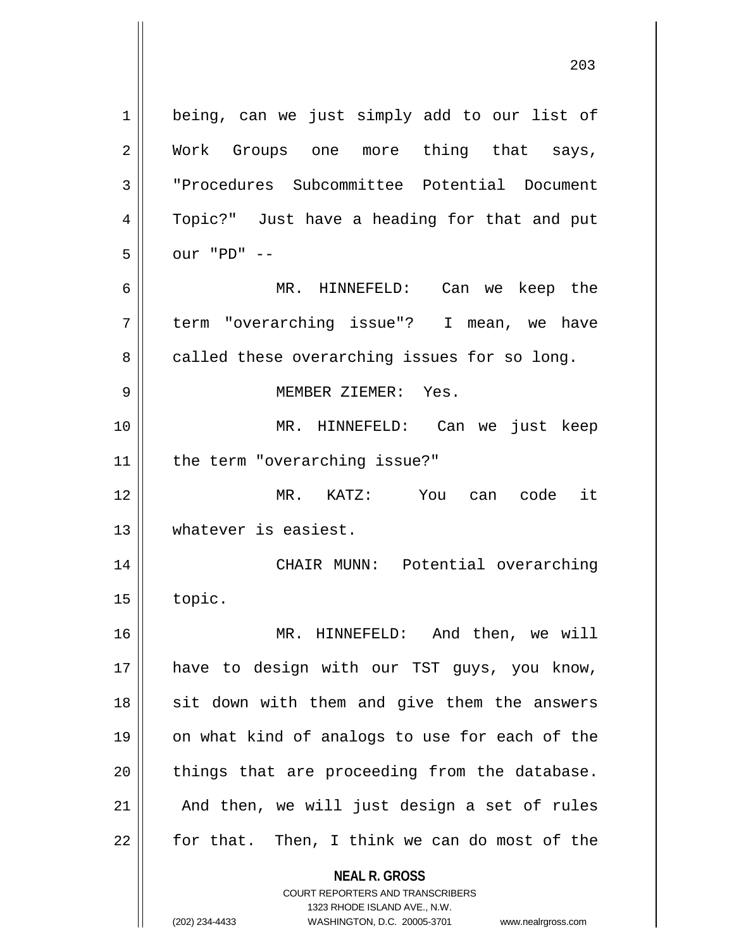**NEAL R. GROSS** COURT REPORTERS AND TRANSCRIBERS 1 || being, can we just simply add to our list of 2 Work Groups one more thing that says, 3 "Procedures Subcommittee Potential Document 4 || Topic?" Just have a heading for that and put 5 our "PD" -- 6 MR. HINNEFELD: Can we keep the 7 term "overarching issue"? I mean, we have  $8 \parallel$  called these overarching issues for so long. 9 MEMBER ZIEMER: Yes. 10 MR. HINNEFELD: Can we just keep 11 || the term "overarching issue?" 12 MR. KATZ: You can code it 13 whatever is easiest. 14 || CHAIR MUNN: Potential overarching  $15$  | topic. 16 MR. HINNEFELD: And then, we will 17 have to design with our TST guys, you know,  $18$  sit down with them and give them the answers 19 || on what kind of analogs to use for each of the  $20$  || things that are proceeding from the database.  $21$  | And then, we will just design a set of rules  $22$  || for that. Then, I think we can do most of the

1323 RHODE ISLAND AVE., N.W.

(202) 234-4433 WASHINGTON, D.C. 20005-3701 www.nealrgross.com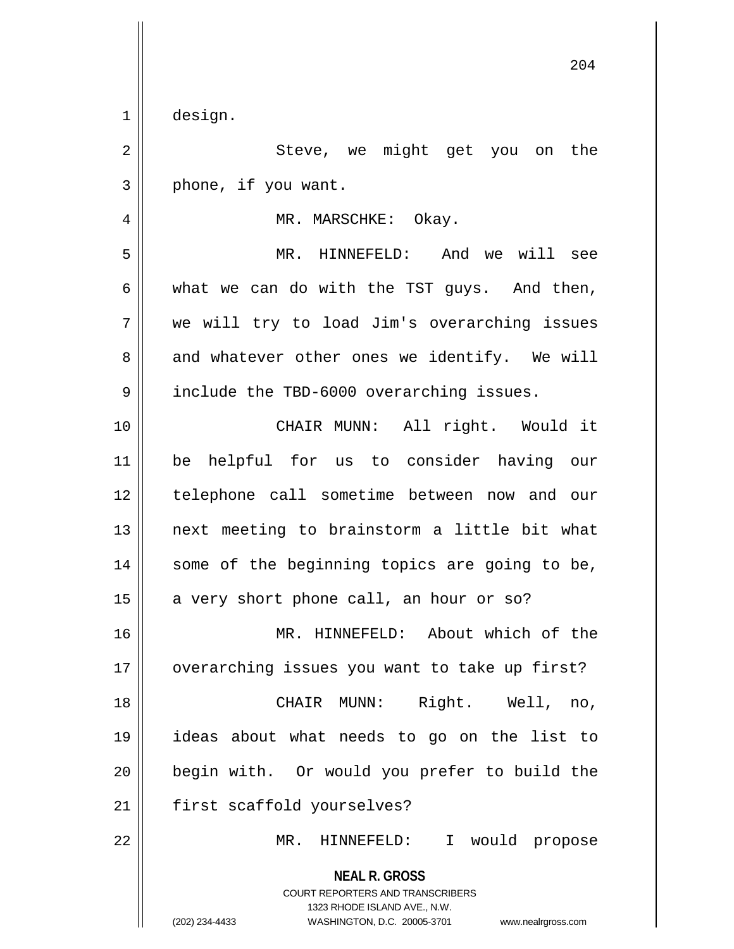1 design.

2 || Steve, we might get you on the  $3 \parallel$  phone, if you want. 4 | MR. MARSCHKE: Okay. 5 MR. HINNEFELD: And we will see  $6 \parallel$  what we can do with the TST guys. And then, 7 we will try to load Jim's overarching issues  $8 \parallel$  and whatever other ones we identify. We will 9 || include the TBD-6000 overarching issues. 10 CHAIR MUNN: All right. Would it 11 be helpful for us to consider having our 12 telephone call sometime between now and our 13 next meeting to brainstorm a little bit what 14 || some of the beginning topics are going to be,  $15$  a very short phone call, an hour or so? 16 || MR. HINNEFELD: About which of the 17 || overarching issues you want to take up first? 18 CHAIR MUNN: Right. Well, no, 19 ideas about what needs to go on the list to 20 begin with. Or would you prefer to build the 21 | first scaffold yourselves? 22 MR. HINNEFELD: I would propose

> **NEAL R. GROSS** COURT REPORTERS AND TRANSCRIBERS 1323 RHODE ISLAND AVE., N.W. (202) 234-4433 WASHINGTON, D.C. 20005-3701 www.nealrgross.com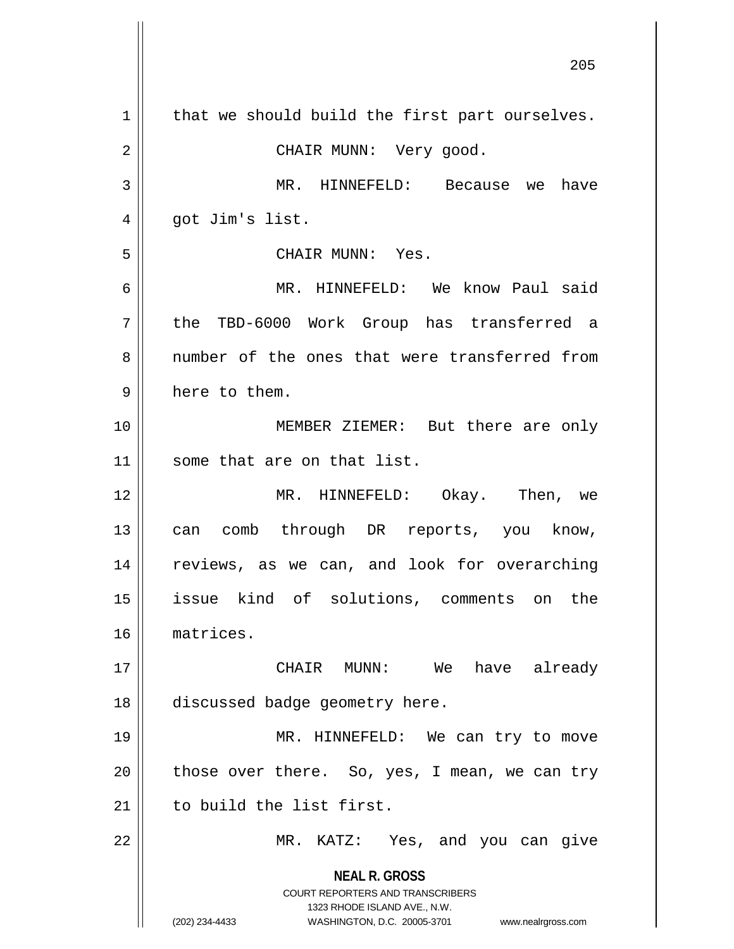**NEAL R. GROSS** COURT REPORTERS AND TRANSCRIBERS 1323 RHODE ISLAND AVE., N.W. (202) 234-4433 WASHINGTON, D.C. 20005-3701 www.nealrgross.com  $1 \parallel$  that we should build the first part ourselves. 2 CHAIR MUNN: Very good. 3 MR. HINNEFELD: Because we have  $4 \parallel$  got Jim's list. 5 CHAIR MUNN: Yes. 6 MR. HINNEFELD: We know Paul said 7 the TBD-6000 Work Group has transferred a 8 mumber of the ones that were transferred from  $9 \parallel$  here to them. 10 MEMBER ZIEMER: But there are only 11 some that are on that list. 12 MR. HINNEFELD: Okay. Then, we 13 || can comb through DR reports, you know, 14 || reviews, as we can, and look for overarching 15 issue kind of solutions, comments on the 16 matrices. 17 CHAIR MUNN: We have already 18 discussed badge geometry here. 19 || MR. HINNEFELD: We can try to move  $20$  || those over there. So, yes, I mean, we can try 21 | to build the list first. 22 || MR. KATZ: Yes, and you can give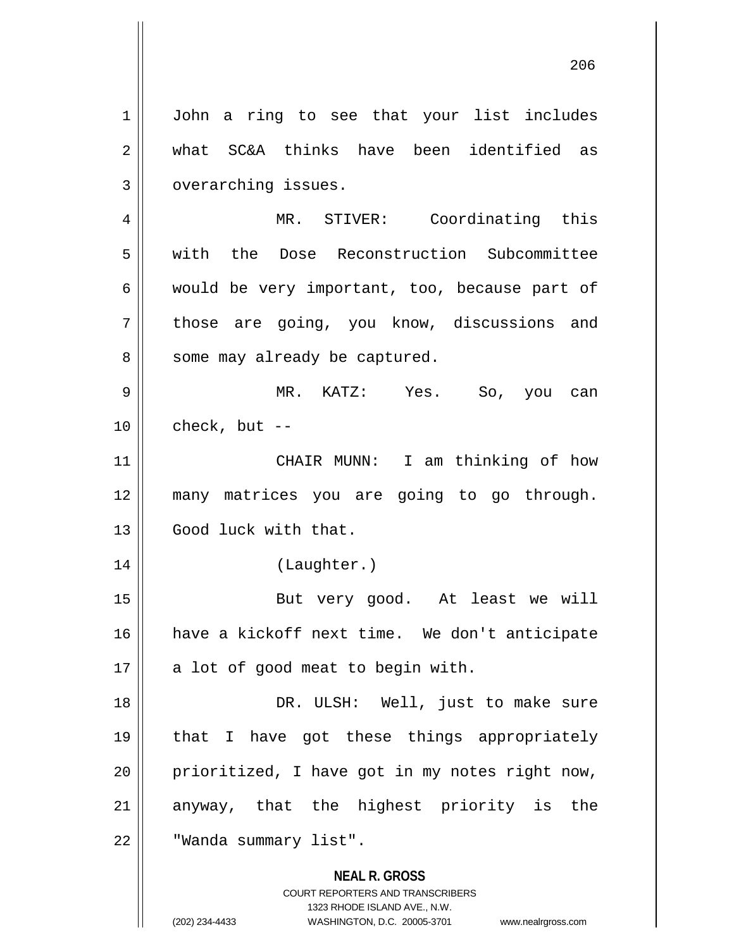1 | John a ring to see that your list includes 2 what SC&A thinks have been identified as 3 | overarching issues.

4 MR. STIVER: Coordinating this 5 with the Dose Reconstruction Subcommittee  $6 \parallel$  would be very important, too, because part of 7 || those are going, you know, discussions and 8 || some may already be captured.

9 MR. KATZ: Yes. So, you can  $10$  | check, but --

11 || CHAIR MUNN: I am thinking of how 12 many matrices you are going to go through. 13 Good luck with that.

14 (Laughter.)

15 || But very good. At least we will 16 have a kickoff next time. We don't anticipate  $17 \parallel$  a lot of good meat to begin with.

18 DR. ULSH: Well, just to make sure 19 that I have got these things appropriately  $20$  | prioritized, I have got in my notes right now, 21 || anyway, that the highest priority is the 22 | "Wanda summary list".

> **NEAL R. GROSS** COURT REPORTERS AND TRANSCRIBERS

> > 1323 RHODE ISLAND AVE., N.W.

(202) 234-4433 WASHINGTON, D.C. 20005-3701 www.nealrgross.com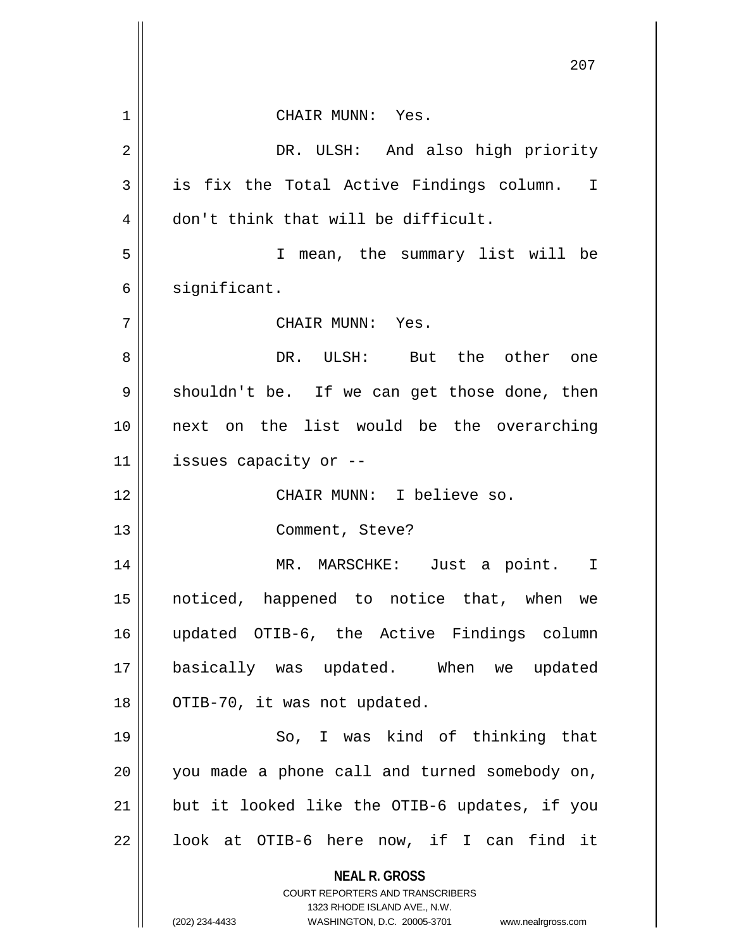|    | 207                                                                     |
|----|-------------------------------------------------------------------------|
|    |                                                                         |
| 1  | CHAIR MUNN: Yes.                                                        |
| 2  | DR. ULSH: And also high priority                                        |
| 3  | is fix the Total Active Findings column.<br>$\mathbf I$                 |
| 4  | don't think that will be difficult.                                     |
| 5  | mean, the summary list will be<br>I.                                    |
| 6  | significant.                                                            |
| 7  | CHAIR MUNN: Yes.                                                        |
| 8  | DR. ULSH: But the other one                                             |
| 9  | shouldn't be. If we can get those done, then                            |
| 10 | next on the list would be the overarching                               |
| 11 | issues capacity or --                                                   |
| 12 | CHAIR MUNN: I believe so.                                               |
| 13 | Comment, Steve?                                                         |
| 14 | MR. MARSCHKE:<br>Just a point.<br>I                                     |
| 15 | noticed, happened to notice that, when we                               |
| 16 | updated OTIB-6, the Active Findings column                              |
| 17 | basically was updated. When we updated                                  |
| 18 | OTIB-70, it was not updated.                                            |
| 19 | So, I was kind of thinking that                                         |
| 20 | you made a phone call and turned somebody on,                           |
| 21 | but it looked like the OTIB-6 updates, if you                           |
| 22 | look at OTIB-6 here now, if I can find it                               |
|    | <b>NEAL R. GROSS</b>                                                    |
|    | <b>COURT REPORTERS AND TRANSCRIBERS</b><br>1323 RHODE ISLAND AVE., N.W. |
|    | (202) 234-4433<br>WASHINGTON, D.C. 20005-3701 www.nealrgross.com        |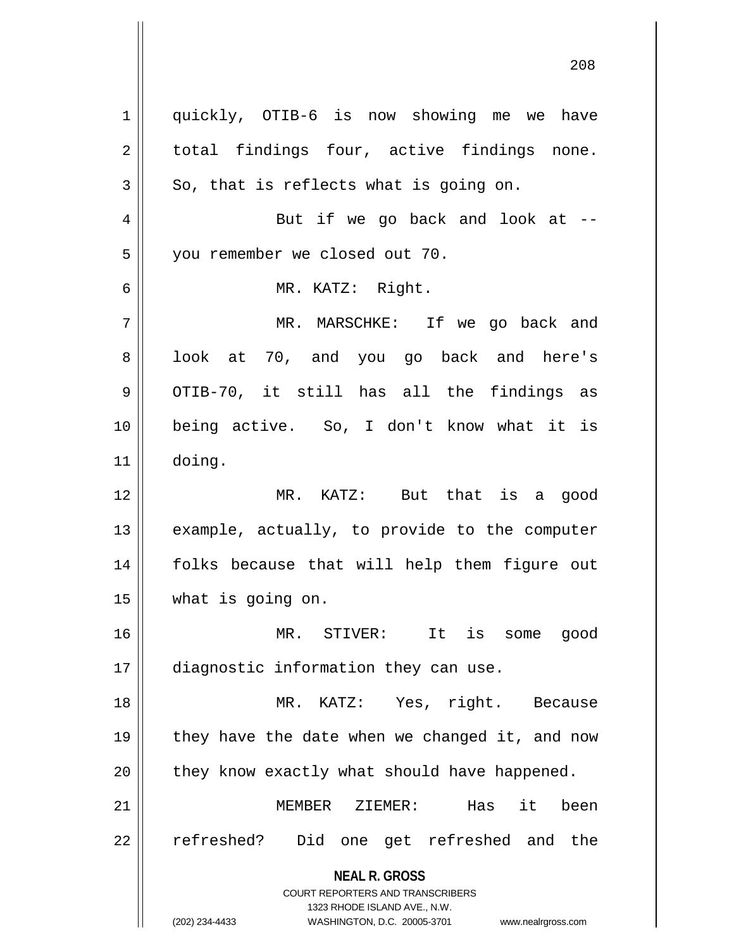**NEAL R. GROSS** COURT REPORTERS AND TRANSCRIBERS 1323 RHODE ISLAND AVE., N.W. (202) 234-4433 WASHINGTON, D.C. 20005-3701 www.nealrgross.com 1 || quickly, OTIB-6 is now showing me we have  $2 \parallel$  total findings four, active findings none.  $3 \parallel$  So, that is reflects what is going on.  $4 \parallel$  But if we go back and look at  $-$ 5 | you remember we closed out 70. 6 MR. KATZ: Right. 7 MR. MARSCHKE: If we go back and 8 || look at 70, and you go back and here's  $9 \parallel$  OTIB-70, it still has all the findings as 10 being active. So, I don't know what it is 11 doing. 12 MR. KATZ: But that is a good  $13$  || example, actually, to provide to the computer 14 folks because that will help them figure out 15 what is going on. 16 MR. STIVER: It is some good 17 diagnostic information they can use. 18 MR. KATZ: Yes, right. Because 19  $\parallel$  they have the date when we changed it, and now  $20$  | they know exactly what should have happened. 21 MEMBER ZIEMER: Has it been 22 || refreshed? Did one get refreshed and the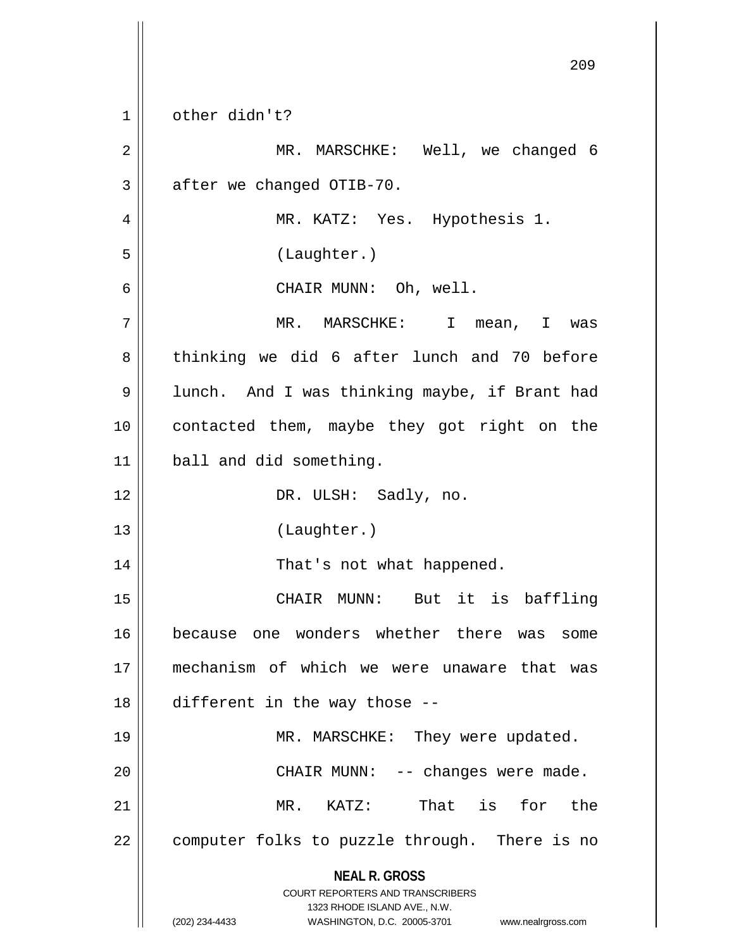**NEAL R. GROSS** COURT REPORTERS AND TRANSCRIBERS 1323 RHODE ISLAND AVE., N.W. (202) 234-4433 WASHINGTON, D.C. 20005-3701 www.nealrgross.com 209 1 || other didn't? 2 MR. MARSCHKE: Well, we changed 6  $3 \parallel$  after we changed OTIB-70. 4 || MR. KATZ: Yes. Hypothesis 1. 5 (Laughter.) 6 || CHAIR MUNN: Oh, well. 7 MR. MARSCHKE: I mean, I was 8 || thinking we did 6 after lunch and 70 before 9 | lunch. And I was thinking maybe, if Brant had 10 || contacted them, maybe they got right on the 11 | ball and did something. 12 || DR. ULSH: Sadly, no. 13 (Laughter.) 14 || That's not what happened. 15 CHAIR MUNN: But it is baffling 16 because one wonders whether there was some 17 mechanism of which we were unaware that was 18 different in the way those -- 19 || MR. MARSCHKE: They were updated. 20 CHAIR MUNN: -- changes were made. 21 MR. KATZ: That is for the  $22$  | computer folks to puzzle through. There is no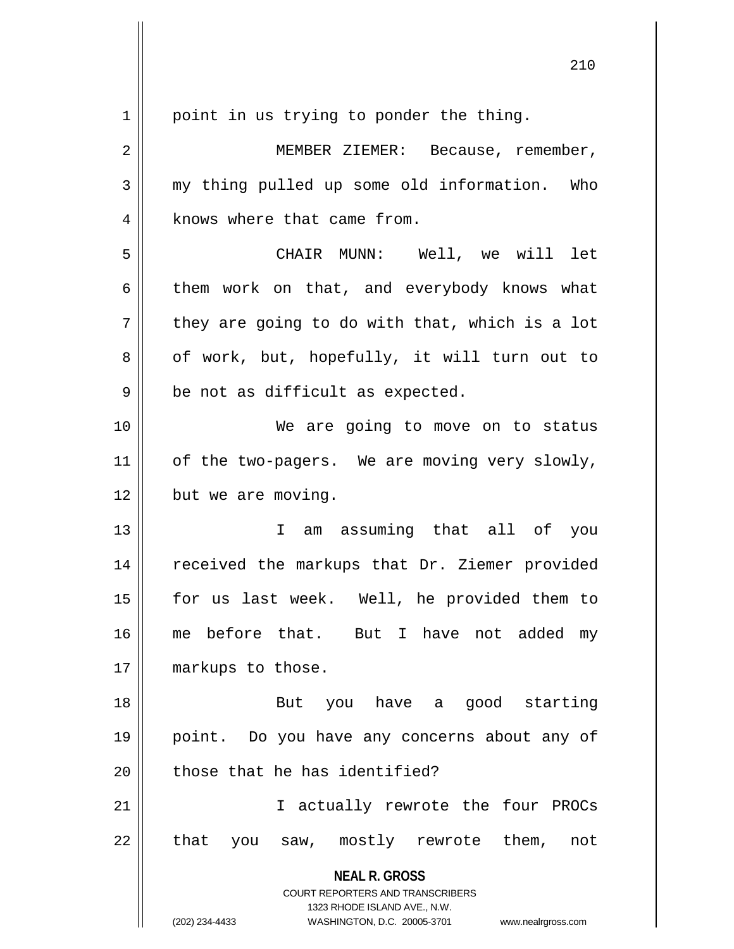$1 \parallel$  point in us trying to ponder the thing.

**NEAL R. GROSS** COURT REPORTERS AND TRANSCRIBERS 1323 RHODE ISLAND AVE., N.W. 2 | MEMBER ZIEMER: Because, remember, 3 my thing pulled up some old information. Who 4 | knows where that came from. 5 CHAIR MUNN: Well, we will let  $6 \parallel$  them work on that, and everybody knows what  $7 \parallel$  they are going to do with that, which is a lot  $8 \parallel$  of work, but, hopefully, it will turn out to  $9 \parallel$  be not as difficult as expected. 10 We are going to move on to status  $11$  of the two-pagers. We are moving very slowly,  $12$  | but we are moving. 13 I am assuming that all of you 14 || received the markups that Dr. Ziemer provided 15 for us last week. Well, he provided them to 16 || me before that. But I have not added my 17 || markups to those. 18 But you have a good starting 19 point. Do you have any concerns about any of  $20$   $\parallel$  those that he has identified? 21 I actually rewrote the four PROCs  $22$  || that you saw, mostly rewrote them, not

(202) 234-4433 WASHINGTON, D.C. 20005-3701 www.nealrgross.com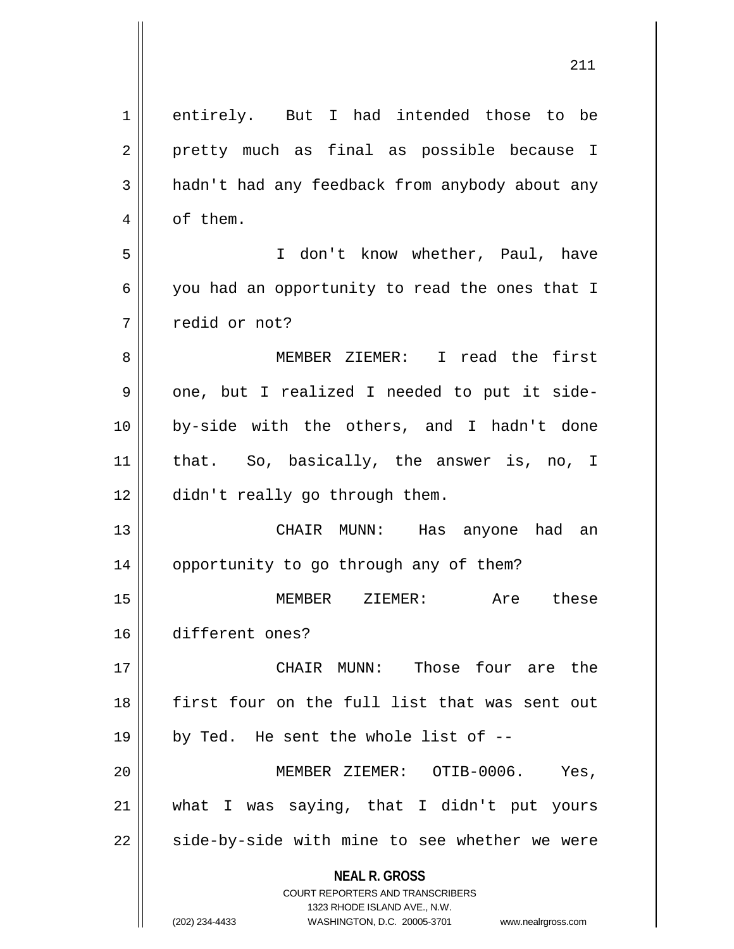| $\mathbf 1$ | entirely. But I had intended those to be                                                            |
|-------------|-----------------------------------------------------------------------------------------------------|
| 2           | pretty much as final as possible because I                                                          |
| 3           | hadn't had any feedback from anybody about any                                                      |
| 4           | of them.                                                                                            |
| 5           | I don't know whether, Paul, have                                                                    |
| 6           | you had an opportunity to read the ones that I                                                      |
| 7           | redid or not?                                                                                       |
| 8           | MEMBER ZIEMER: I read the first                                                                     |
| 9           | one, but I realized I needed to put it side-                                                        |
| 10          | by-side with the others, and I hadn't done                                                          |
| 11          | that. So, basically, the answer is, no, I                                                           |
| 12          | didn't really go through them.                                                                      |
| 13          | CHAIR MUNN: Has anyone had an                                                                       |
| 14          | opportunity to go through any of them?                                                              |
| 15          | ZIEMER:<br>Are these<br>MEMBER                                                                      |
| 16          | different ones?                                                                                     |
| 17          | Those four are the<br>CHAIR MUNN:                                                                   |
| 18          | first four on the full list that was sent out                                                       |
| 19          | by Ted. He sent the whole list of --                                                                |
| 20          | MEMBER ZIEMER: OTIB-0006.<br>Yes,                                                                   |
| 21          | what I was saying, that I didn't put yours                                                          |
| 22          | side-by-side with mine to see whether we were                                                       |
|             | <b>NEAL R. GROSS</b>                                                                                |
|             | <b>COURT REPORTERS AND TRANSCRIBERS</b>                                                             |
|             | 1323 RHODE ISLAND AVE., N.W.<br>(202) 234-4433<br>WASHINGTON, D.C. 20005-3701<br>www.nealrgross.com |
|             |                                                                                                     |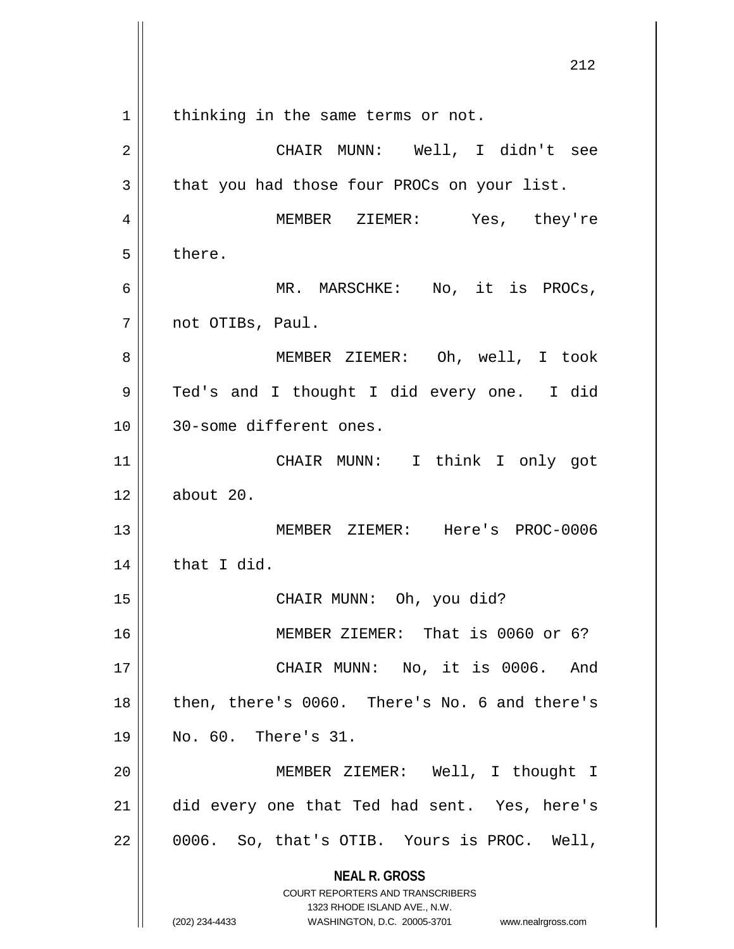**NEAL R. GROSS** COURT REPORTERS AND TRANSCRIBERS 1323 RHODE ISLAND AVE., N.W. (202) 234-4433 WASHINGTON, D.C. 20005-3701 www.nealrgross.com 1 | thinking in the same terms or not. 2 CHAIR MUNN: Well, I didn't see  $3 \parallel$  that you had those four PROCs on your list. 4 MEMBER ZIEMER: Yes, they're  $5 \parallel$  there. 6 MR. MARSCHKE: No, it is PROCs, 7 not OTIBs, Paul. 8 MEMBER ZIEMER: Oh, well, I took 9 Ted's and I thought I did every one. I did 10 30-some different ones. 11 CHAIR MUNN: I think I only got 12 about 20. 13 MEMBER ZIEMER: Here's PROC-0006  $14$  | that I did. 15 || CHAIR MUNN: Oh, you did? 16 || MEMBER ZIEMER: That is 0060 or 6? 17 CHAIR MUNN: No, it is 0006. And 18 || then, there's 0060. There's No. 6 and there's 19 No. 60. There's 31. 20 MEMBER ZIEMER: Well, I thought I 21 did every one that Ted had sent. Yes, here's  $22 \parallel 0006$ . So, that's OTIB. Yours is PROC. Well,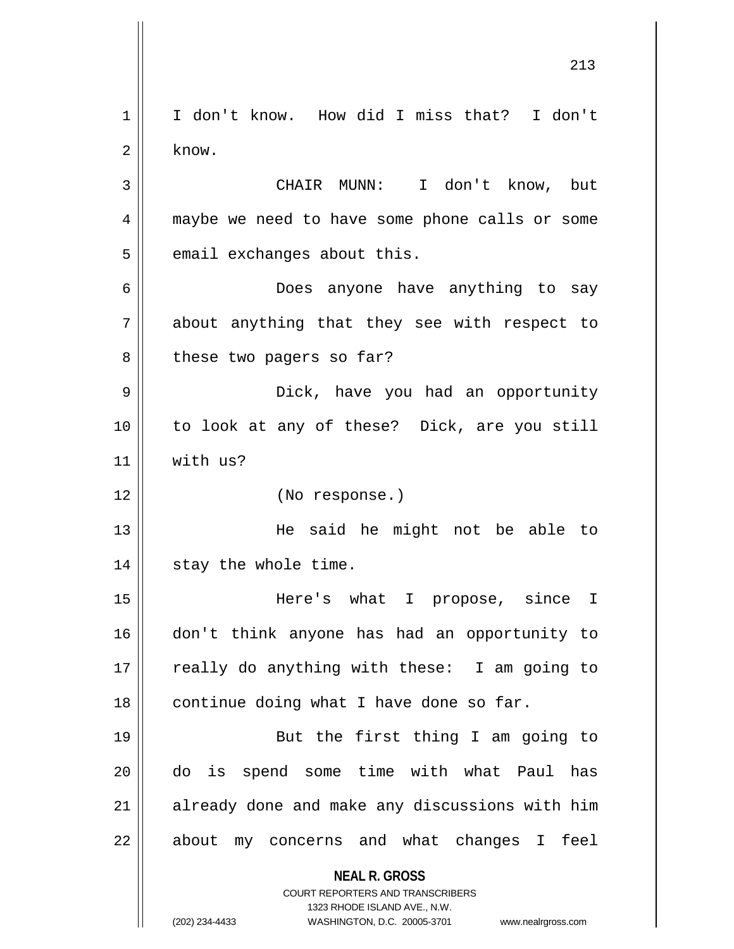**NEAL R. GROSS** COURT REPORTERS AND TRANSCRIBERS 1323 RHODE ISLAND AVE., N.W. (202) 234-4433 WASHINGTON, D.C. 20005-3701 www.nealrgross.com 1 || I don't know. How did I miss that? I don't  $2 \parallel$  know. 3 CHAIR MUNN: I don't know, but 4 || maybe we need to have some phone calls or some  $5$  || email exchanges about this. 6 Does anyone have anything to say  $7 \parallel$  about anything that they see with respect to 8 | these two pagers so far? 9 Dick, have you had an opportunity 10 to look at any of these? Dick, are you still 11 | with us? 12 (No response.) 13 He said he might not be able to 14 || stay the whole time. 15 Here's what I propose, since I 16 don't think anyone has had an opportunity to 17 || really do anything with these: I am going to  $18$  | continue doing what I have done so far. 19 || But the first thing I am going to 20 do is spend some time with what Paul has 21 || already done and make any discussions with him  $22$  || about my concerns and what changes I feel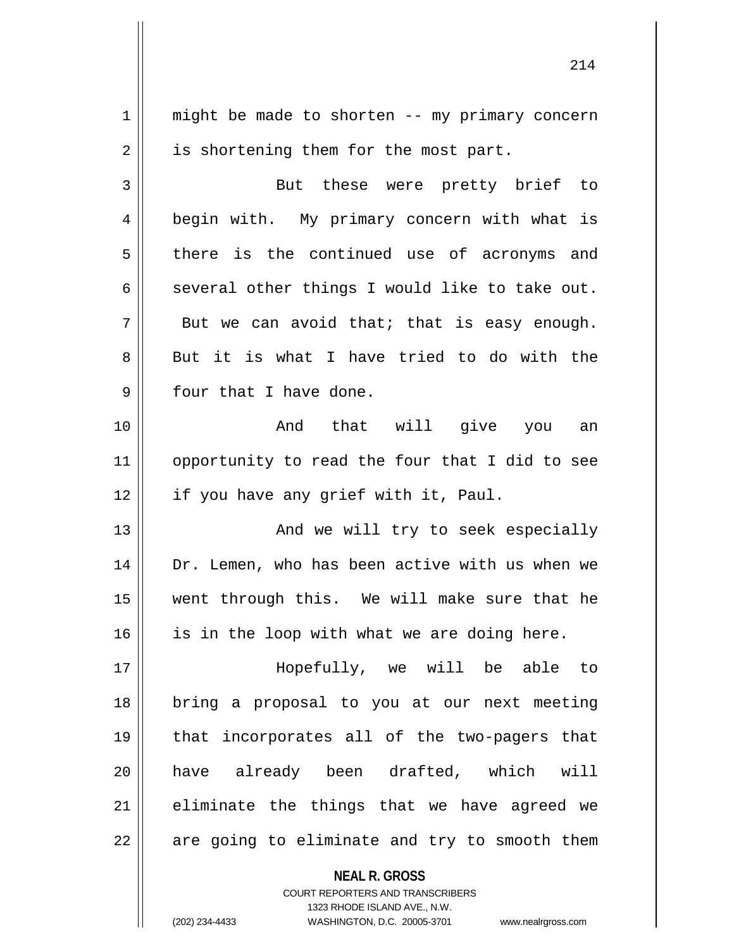**NEAL R. GROSS**  $1 \parallel$  might be made to shorten -- my primary concern  $2 \parallel$  is shortening them for the most part. 3 || But these were pretty brief to 4 | begin with. My primary concern with what is 5 there is the continued use of acronyms and 6 several other things I would like to take out.  $7 \parallel$  But we can avoid that; that is easy enough. 8 But it is what I have tried to do with the  $9$  | four that I have done. 10 And that will give you an 11 || opportunity to read the four that I did to see 12 || if you have any grief with it, Paul. 13 || And we will try to seek especially 14 || Dr. Lemen, who has been active with us when we 15 went through this. We will make sure that he  $16$  is in the loop with what we are doing here. 17 Hopefully, we will be able to 18 bring a proposal to you at our next meeting 19 that incorporates all of the two-pagers that 20 have already been drafted, which will  $21$  eliminate the things that we have agreed we  $22$  || are going to eliminate and try to smooth them

> COURT REPORTERS AND TRANSCRIBERS 1323 RHODE ISLAND AVE., N.W.

(202) 234-4433 WASHINGTON, D.C. 20005-3701 www.nealrgross.com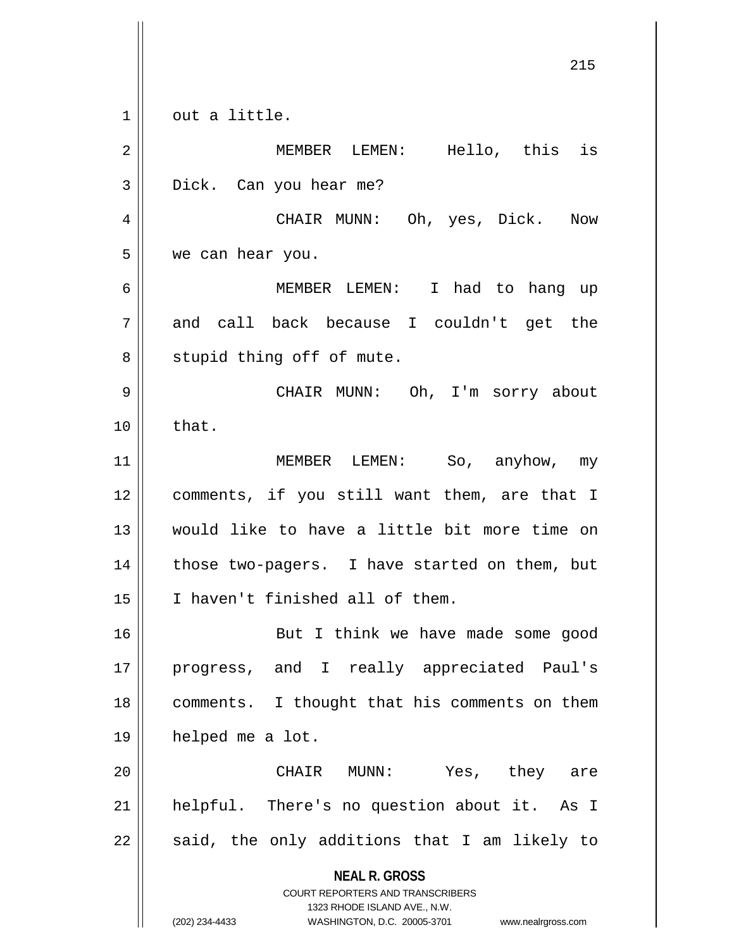**NEAL R. GROSS** COURT REPORTERS AND TRANSCRIBERS 1323 RHODE ISLAND AVE., N.W. (202) 234-4433 WASHINGTON, D.C. 20005-3701 www.nealrgross.com  $1 \parallel$  out a little. 2 MEMBER LEMEN: Hello, this is 3 Dick. Can you hear me? 4 CHAIR MUNN: Oh, yes, Dick. Now 5 we can hear you. 6 MEMBER LEMEN: I had to hang up  $7 \parallel$  and call back because I couldn't get the 8 || stupid thing off of mute. 9 CHAIR MUNN: Oh, I'm sorry about  $10 \parallel$  that. 11 MEMBER LEMEN: So, anyhow, my 12 comments, if you still want them, are that I 13 would like to have a little bit more time on  $14$  | those two-pagers. I have started on them, but 15 | I haven't finished all of them. 16 || But I think we have made some good 17 progress, and I really appreciated Paul's 18 || comments. I thought that his comments on them 19 helped me a lot. 20 CHAIR MUNN: Yes, they are 21 || helpful. There's no question about it. As I  $22$  || said, the only additions that I am likely to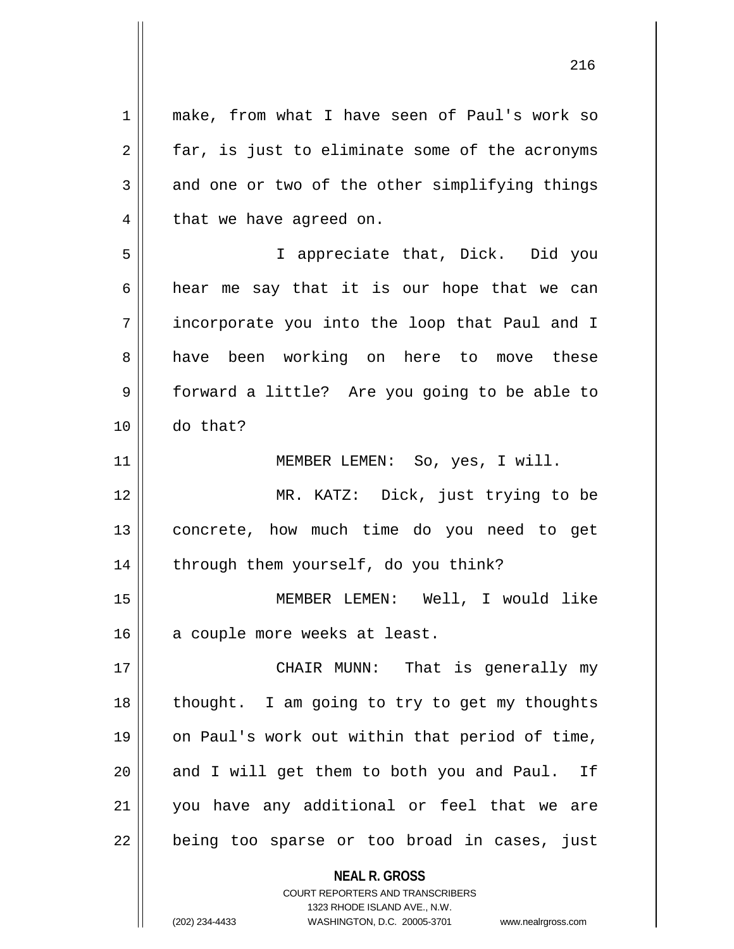**NEAL R. GROSS** 1 make, from what I have seen of Paul's work so  $2 \parallel$  far, is just to eliminate some of the acronyms  $3 \parallel$  and one or two of the other simplifying things  $4 \parallel$  that we have agreed on. 5 I appreciate that, Dick. Did you  $6 \parallel$  hear me say that it is our hope that we can 7 incorporate you into the loop that Paul and I 8 have been working on here to move these 9 || forward a little? Are you going to be able to 10 do that? 11 || **MEMBER LEMEN:** So, yes, I will. 12 MR. KATZ: Dick, just trying to be 13 concrete, how much time do you need to get 14 | through them yourself, do you think? 15 MEMBER LEMEN: Well, I would like 16 a couple more weeks at least. 17 CHAIR MUNN: That is generally my 18 thought. I am going to try to get my thoughts 19 || on Paul's work out within that period of time,  $20$  || and I will get them to both you and Paul. If 21 you have any additional or feel that we are 22 || being too sparse or too broad in cases, just

> COURT REPORTERS AND TRANSCRIBERS 1323 RHODE ISLAND AVE., N.W.

(202) 234-4433 WASHINGTON, D.C. 20005-3701 www.nealrgross.com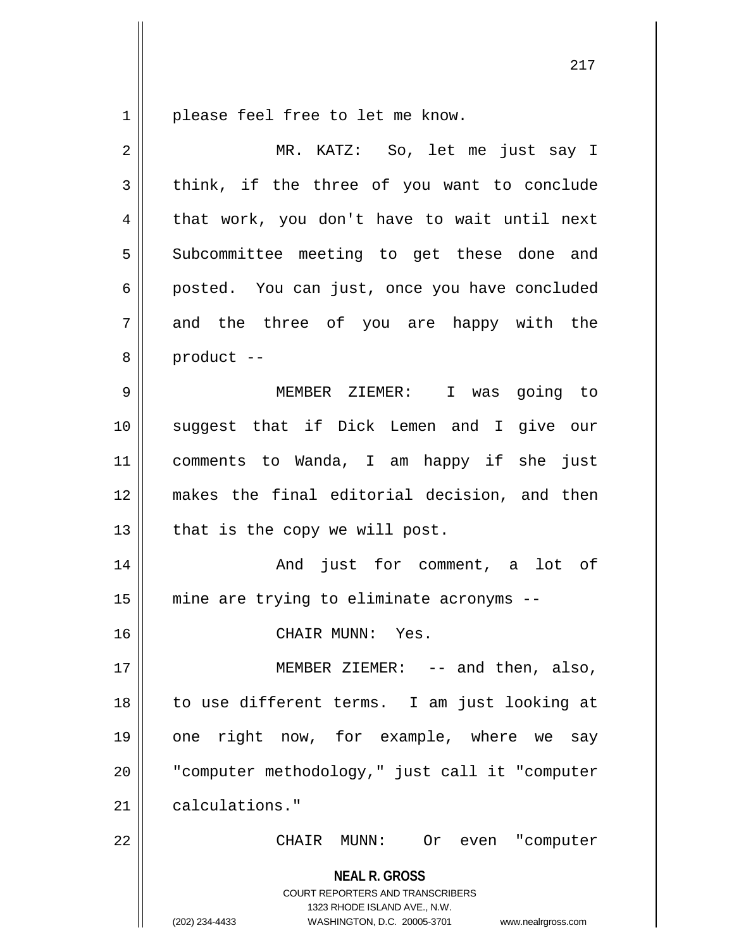1 || please feel free to let me know.

| $\overline{2}$ | MR. KATZ: So, let me just say I                                                                                                                                        |
|----------------|------------------------------------------------------------------------------------------------------------------------------------------------------------------------|
| 3              | think, if the three of you want to conclude                                                                                                                            |
| 4              | that work, you don't have to wait until next                                                                                                                           |
| 5              | Subcommittee meeting to get these done and                                                                                                                             |
| 6              | posted. You can just, once you have concluded                                                                                                                          |
| 7              | and the three of you are happy with the                                                                                                                                |
| 8              | product --                                                                                                                                                             |
| 9              | MEMBER ZIEMER: I was going to                                                                                                                                          |
| 10             | suggest that if Dick Lemen and I give our                                                                                                                              |
| 11             | comments to Wanda, I am happy if she just                                                                                                                              |
| 12             | makes the final editorial decision, and then                                                                                                                           |
| 13             | that is the copy we will post.                                                                                                                                         |
| 14             | And just for comment, a lot of                                                                                                                                         |
| 15             | mine are trying to eliminate acronyms --                                                                                                                               |
| 16             | CHAIR MUNN: Yes.                                                                                                                                                       |
| 17             | MEMBER ZIEMER: $--$ and then, also,                                                                                                                                    |
| 18             | to use different terms. I am just looking at                                                                                                                           |
| 19             | one right now, for example, where we say                                                                                                                               |
| 20             | "computer methodology," just call it "computer                                                                                                                         |
| 21             | calculations."                                                                                                                                                         |
| 22             | CHAIR MUNN:<br>Or even "computer                                                                                                                                       |
|                | <b>NEAL R. GROSS</b><br><b>COURT REPORTERS AND TRANSCRIBERS</b><br>1323 RHODE ISLAND AVE., N.W.<br>(202) 234-4433<br>WASHINGTON, D.C. 20005-3701<br>www.nealrgross.com |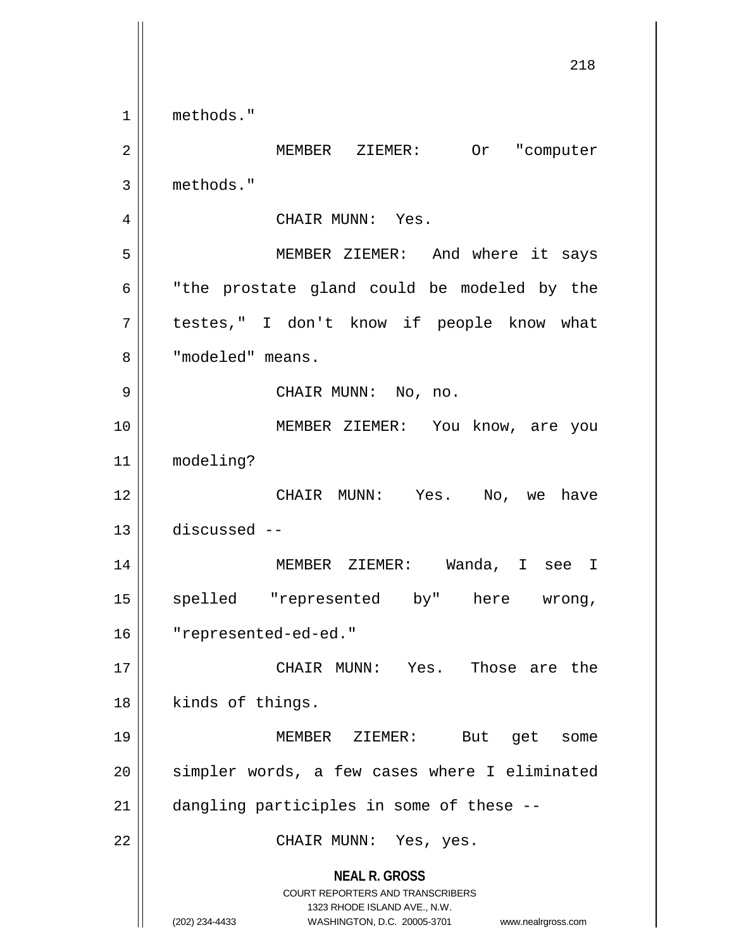**NEAL R. GROSS** COURT REPORTERS AND TRANSCRIBERS 1323 RHODE ISLAND AVE., N.W. (202) 234-4433 WASHINGTON, D.C. 20005-3701 www.nealrgross.com 218 1 methods." 2 MEMBER ZIEMER: Or "computer 3 methods." 4 || CHAIR MUNN: Yes. 5 MEMBER ZIEMER: And where it says  $6$   $\parallel$  "the prostate gland could be modeled by the 7 || testes," I don't know if people know what 8 | "modeled" means. 9 CHAIR MUNN: No, no. 10 MEMBER ZIEMER: You know, are you 11 modeling? 12 CHAIR MUNN: Yes. No, we have 13 discussed -- 14 MEMBER ZIEMER: Wanda, I see I 15 spelled "represented by" here wrong, 16 "represented-ed-ed." 17 CHAIR MUNN: Yes. Those are the 18 || kinds of things. 19 MEMBER ZIEMER: But get some 20 || simpler words, a few cases where I eliminated 21 | dangling participles in some of these --22 CHAIR MUNN: Yes, yes.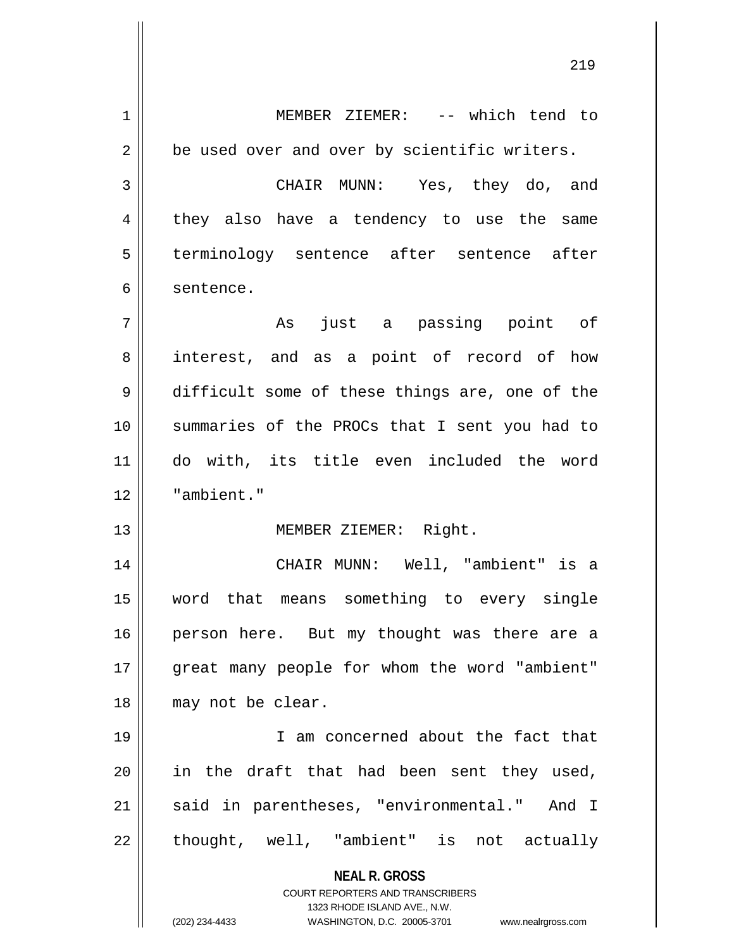**NEAL R. GROSS** COURT REPORTERS AND TRANSCRIBERS 1323 RHODE ISLAND AVE., N.W. 1 MEMBER ZIEMER: -- which tend to  $2 \parallel$  be used over and over by scientific writers. 3 CHAIR MUNN: Yes, they do, and 4 || they also have a tendency to use the same 5 || terminology sentence after sentence after 6 sentence. 7 As just a passing point of 8 || interest, and as a point of record of how 9 difficult some of these things are, one of the 10 summaries of the PROCs that I sent you had to 11 do with, its title even included the word 12 "ambient." 13 || MEMBER ZIEMER: Right. 14 CHAIR MUNN: Well, "ambient" is a 15 word that means something to every single 16 || person here. But my thought was there are a 17 || great many people for whom the word "ambient" 18 || may not be clear. 19 || I am concerned about the fact that  $20$  in the draft that had been sent they used, 21 || said in parentheses, "environmental." And I  $22$  || thought, well, "ambient" is not actually

(202) 234-4433 WASHINGTON, D.C. 20005-3701 www.nealrgross.com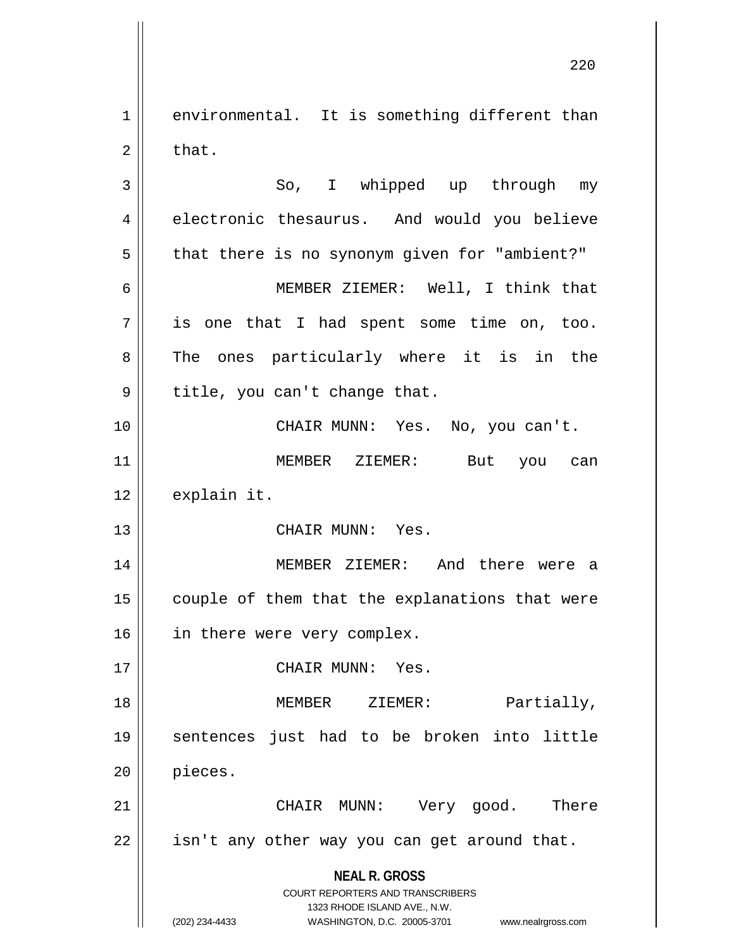**NEAL R. GROSS** COURT REPORTERS AND TRANSCRIBERS 1323 RHODE ISLAND AVE., N.W. 1 environmental. It is something different than  $2 \parallel$  that. 3 || So, I whipped up through my 4 electronic thesaurus. And would you believe  $5 \parallel$  that there is no synonym given for "ambient?" 6 MEMBER ZIEMER: Well, I think that  $7 \parallel$  is one that I had spent some time on, too. 8 The ones particularly where it is in the  $9 \parallel$  title, you can't change that. 10 CHAIR MUNN: Yes. No, you can't. 11 MEMBER ZIEMER: But you can  $12$  | explain it. 13 || CHAIR MUNN: Yes. 14 MEMBER ZIEMER: And there were a  $15$  | couple of them that the explanations that were 16 || in there were very complex. 17 || CHAIR MUNN: Yes. 18 || **MEMBER** ZIEMER: Partially, 19 sentences just had to be broken into little 20 pieces. 21 CHAIR MUNN: Very good. There  $22$  | isn't any other way you can get around that.

<sup>(202) 234-4433</sup> WASHINGTON, D.C. 20005-3701 www.nealrgross.com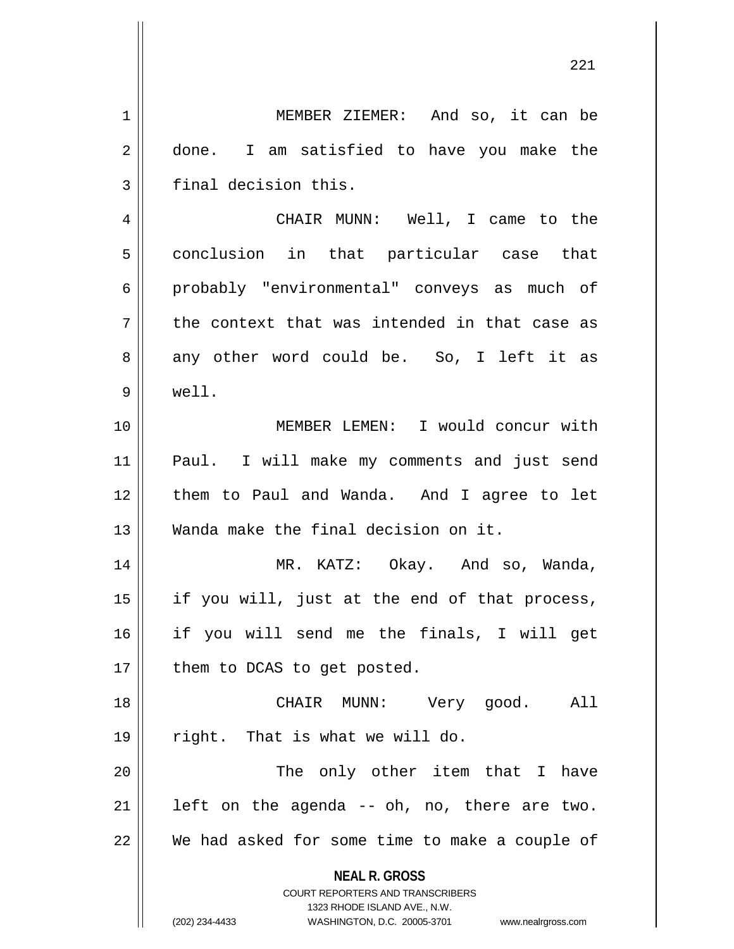**NEAL R. GROSS** COURT REPORTERS AND TRANSCRIBERS 1323 RHODE ISLAND AVE., N.W. (202) 234-4433 WASHINGTON, D.C. 20005-3701 www.nealrgross.com 1 | MEMBER ZIEMER: And so, it can be 2 done. I am satisfied to have you make the  $3$  | final decision this. 4 CHAIR MUNN: Well, I came to the 5 || conclusion in that particular case that 6 probably "environmental" conveys as much of  $7 \parallel$  the context that was intended in that case as  $8 \parallel$  any other word could be. So, I left it as 9 well. 10 MEMBER LEMEN: I would concur with 11 Paul. I will make my comments and just send 12 them to Paul and Wanda. And I agree to let 13 Wanda make the final decision on it. 14 MR. KATZ: Okay. And so, Wanda,  $15$  || if you will, just at the end of that process, 16 if you will send me the finals, I will get 17 || them to DCAS to get posted. 18 CHAIR MUNN: Very good. All  $19 \parallel$  right. That is what we will do. 20 The only other item that I have  $21$  | left on the agenda -- oh, no, there are two.  $22$  We had asked for some time to make a couple of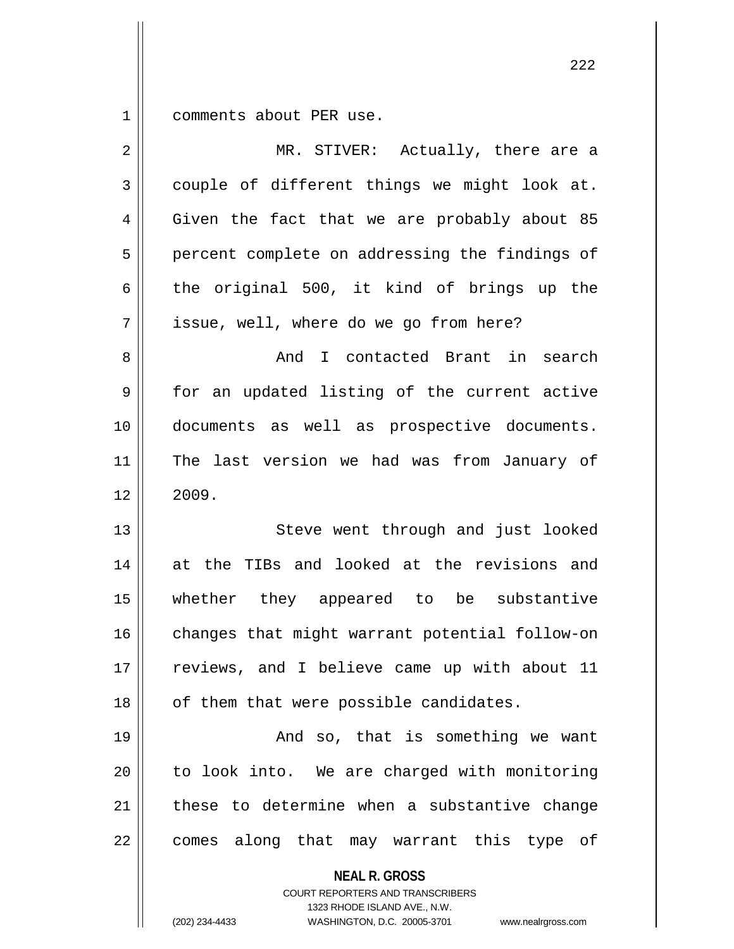1 comments about PER use.

| 2  | MR. STIVER: Actually, there are a                                                                                                                                      |
|----|------------------------------------------------------------------------------------------------------------------------------------------------------------------------|
| 3  | couple of different things we might look at.                                                                                                                           |
| 4  | Given the fact that we are probably about 85                                                                                                                           |
| 5  | percent complete on addressing the findings of                                                                                                                         |
| 6  | the original 500, it kind of brings up the                                                                                                                             |
| 7  | issue, well, where do we go from here?                                                                                                                                 |
| 8  | And I contacted Brant in search                                                                                                                                        |
| 9  | for an updated listing of the current active                                                                                                                           |
| 10 | documents as well as prospective documents.                                                                                                                            |
| 11 | The last version we had was from January of                                                                                                                            |
| 12 | 2009.                                                                                                                                                                  |
| 13 | Steve went through and just looked                                                                                                                                     |
| 14 | at the TIBs and looked at the revisions and                                                                                                                            |
| 15 | whether they appeared to be substantive                                                                                                                                |
| 16 | changes that might warrant potential follow-on                                                                                                                         |
| 17 | reviews, and I believe came up with about 11                                                                                                                           |
| 18 | of them that were possible candidates.                                                                                                                                 |
| 19 | And so, that is something we want                                                                                                                                      |
| 20 | to look into. We are charged with monitoring                                                                                                                           |
| 21 | these to determine when a substantive change                                                                                                                           |
| 22 | comes along that may warrant this type of                                                                                                                              |
|    | <b>NEAL R. GROSS</b><br><b>COURT REPORTERS AND TRANSCRIBERS</b><br>1323 RHODE ISLAND AVE., N.W.<br>(202) 234-4433<br>WASHINGTON, D.C. 20005-3701<br>www.nealrgross.com |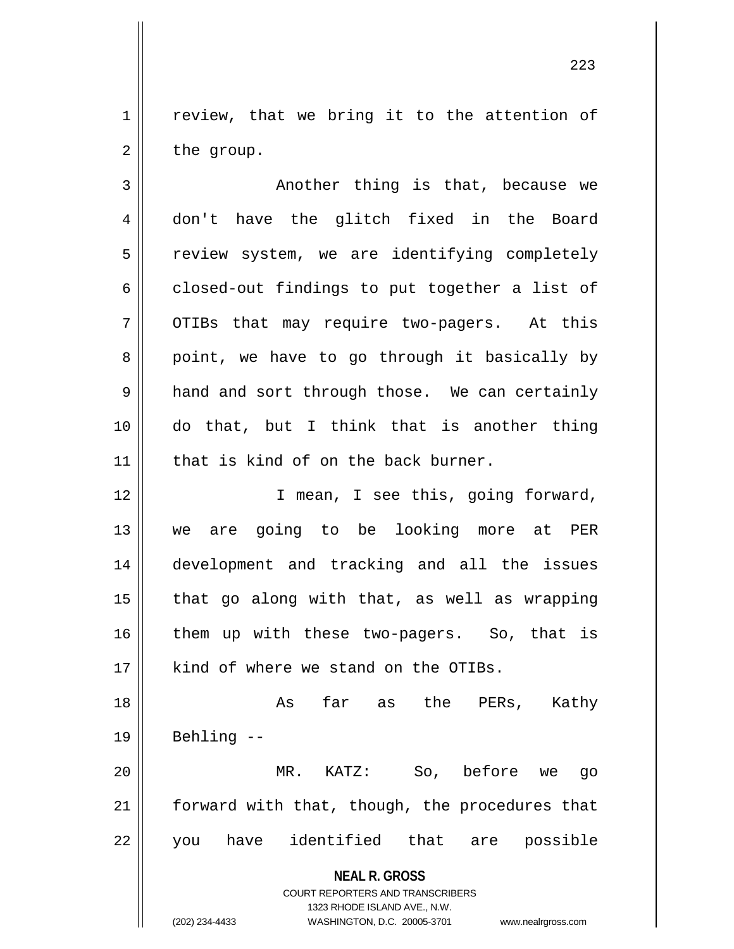$1 \parallel$  review, that we bring it to the attention of  $2 \parallel$  the group.

 $3$  ||  $3$  ||  $3$  ||  $3$  ||  $3$  ||  $3$  ||  $3$  ||  $3$  ||  $3$  ||  $3$  ||  $3$  ||  $3$  ||  $3$  ||  $3$  ||  $3$  ||  $3$  ||  $3$  ||  $3$  ||  $3$  ||  $3$  ||  $3$  ||  $3$  ||  $3$  ||  $3$  ||  $3$  ||  $3$  ||  $3$  ||  $3$  ||  $3$  ||  $3$  ||  $3$  ||  $3$  4 don't have the glitch fixed in the Board  $5$   $\parallel$  review system, we are identifying completely  $6 \parallel$  closed-out findings to put together a list of  $7 \parallel$  OTIBs that may require two-pagers. At this  $8 \parallel$  point, we have to go through it basically by 9 and and sort through those. We can certainly 10 do that, but I think that is another thing  $11$  | that is kind of on the back burner. 12 || T mean, I see this, going forward,

13 we are going to be looking more at PER 14 development and tracking and all the issues  $15$  | that go along with that, as well as wrapping 16 || them up with these two-pagers. So, that is  $17$  | kind of where we stand on the OTIBs.

18 As far as the PERs, Kathy  $19 \parallel$  Behling --20 MR. KATZ: So, before we go

21 | forward with that, though, the procedures that 22 || you have identified that are possible

**NEAL R. GROSS**

COURT REPORTERS AND TRANSCRIBERS 1323 RHODE ISLAND AVE., N.W. (202) 234-4433 WASHINGTON, D.C. 20005-3701 www.nealrgross.com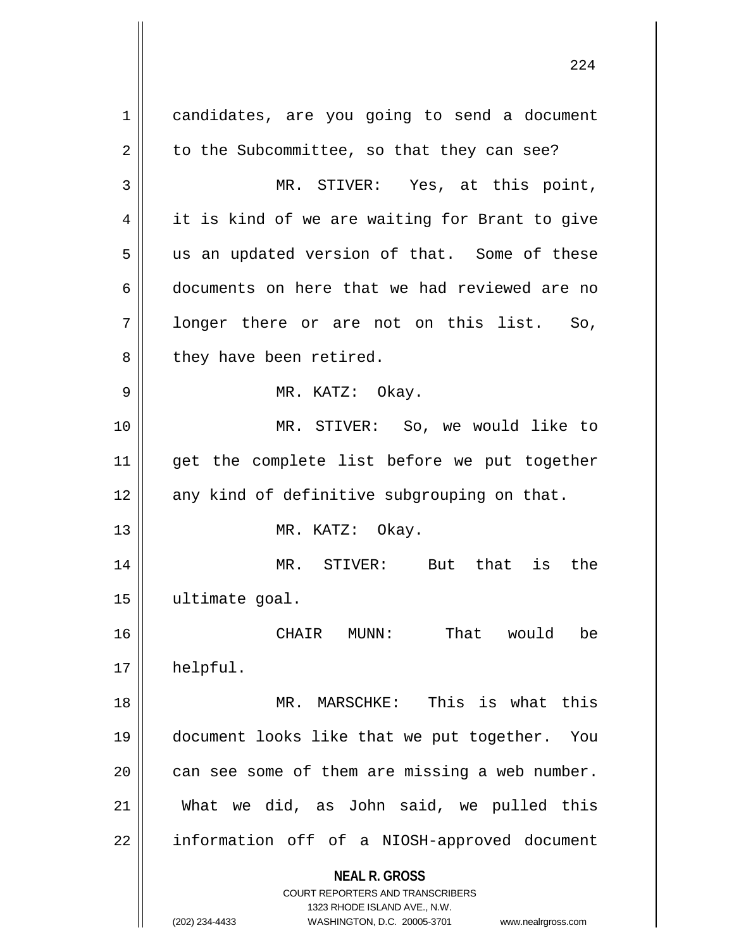**NEAL R. GROSS** COURT REPORTERS AND TRANSCRIBERS 1323 RHODE ISLAND AVE., N.W. (202) 234-4433 WASHINGTON, D.C. 20005-3701 www.nealrgross.com 1 | candidates, are you going to send a document  $2 \parallel$  to the Subcommittee, so that they can see? 3 MR. STIVER: Yes, at this point, 4 || it is kind of we are waiting for Brant to give  $5 \parallel$  us an updated version of that. Some of these 6 documents on here that we had reviewed are no  $7 \parallel$  longer there or are not on this list. So,  $8$  || they have been retired. 9 MR. KATZ: Okay. 10 MR. STIVER: So, we would like to 11 || get the complete list before we put together  $12$  any kind of definitive subgrouping on that. 13 || MR. KATZ: Okay. 14 MR. STIVER: But that is the 15 ultimate goal. 16 CHAIR MUNN: That would be 17 helpful. 18 MR. MARSCHKE: This is what this 19 document looks like that we put together. You  $20$  can see some of them are missing a web number. 21 What we did, as John said, we pulled this 22 || information off of a NIOSH-approved document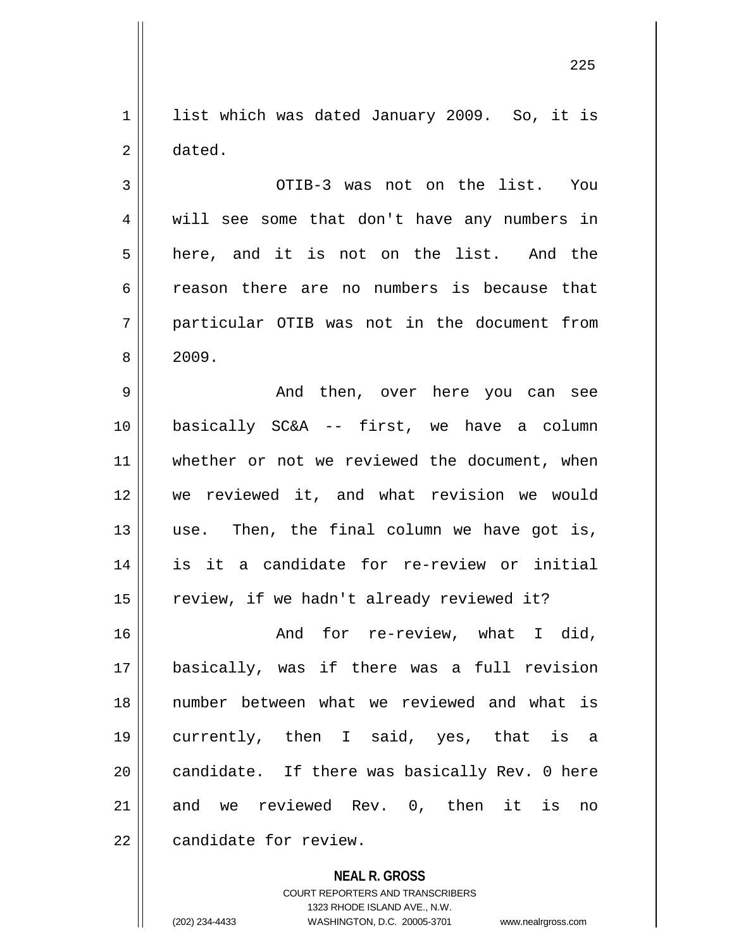1 || list which was dated January 2009. So, it is 2 dated.

3 OTIB-3 was not on the list. You 4 || will see some that don't have any numbers in  $5 \parallel$  here, and it is not on the list. And the 6 reason there are no numbers is because that 7 particular OTIB was not in the document from  $8 \parallel 2009.$ 

9 And then, over here you can see 10 basically SC&A -- first, we have a column 11 whether or not we reviewed the document, when 12 we reviewed it, and what revision we would  $13$  use. Then, the final column we have got is, 14 is it a candidate for re-review or initial 15 || review, if we hadn't already reviewed it?

16 And for re-review, what I did, 17 basically, was if there was a full revision 18 number between what we reviewed and what is 19 currently, then I said, yes, that is a 20 || candidate. If there was basically Rev. 0 here  $21$  and we reviewed Rev. 0, then it is no 22 | candidate for review.

> **NEAL R. GROSS** COURT REPORTERS AND TRANSCRIBERS 1323 RHODE ISLAND AVE., N.W. (202) 234-4433 WASHINGTON, D.C. 20005-3701 www.nealrgross.com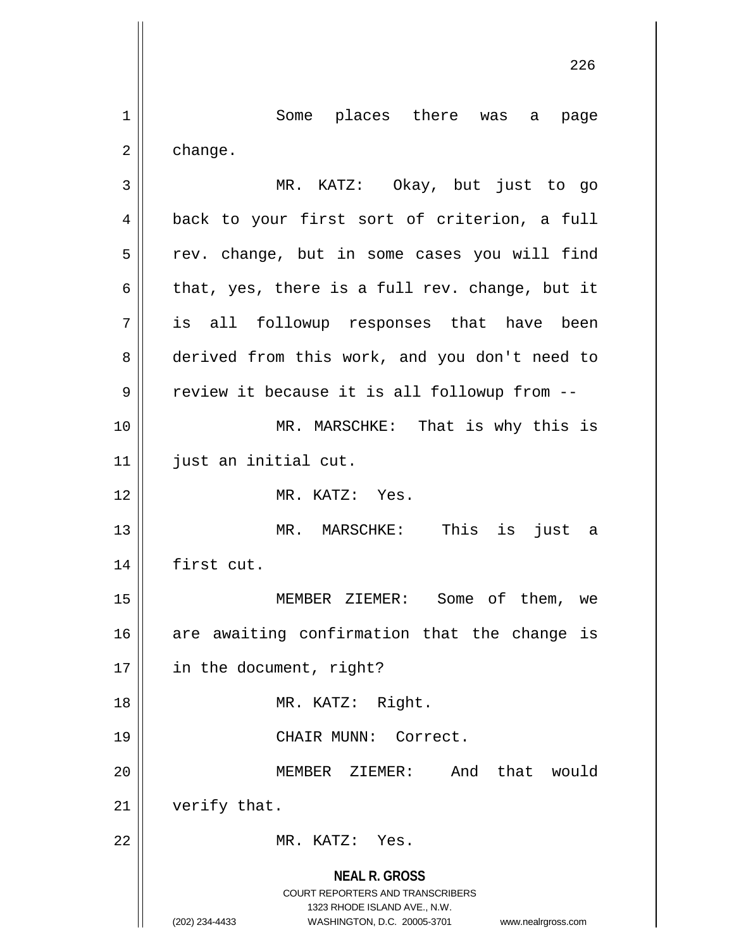**NEAL R. GROSS** COURT REPORTERS AND TRANSCRIBERS 1323 RHODE ISLAND AVE., N.W. (202) 234-4433 WASHINGTON, D.C. 20005-3701 www.nealrgross.com 1 Some places there was a page  $2 \parallel$  change. 3 MR. KATZ: Okay, but just to go 4 || back to your first sort of criterion, a full  $5 \parallel$  rev. change, but in some cases you will find 6 | that, yes, there is a full rev. change, but it 7 is all followup responses that have been 8 derived from this work, and you don't need to  $9 \parallel$  review it because it is all followup from  $-$ 10 || MR. MARSCHKE: That is why this is 11 | just an initial cut. 12 MR. KATZ: Yes. 13 MR. MARSCHKE: This is just a 14 first cut. 15 MEMBER ZIEMER: Some of them, we  $16$  are awaiting confirmation that the change is 17 || in the document, right? 18 || MR. KATZ: Right. 19 CHAIR MUNN: Correct. 20 MEMBER ZIEMER: And that would 21 | verify that. 22 MR. KATZ: Yes.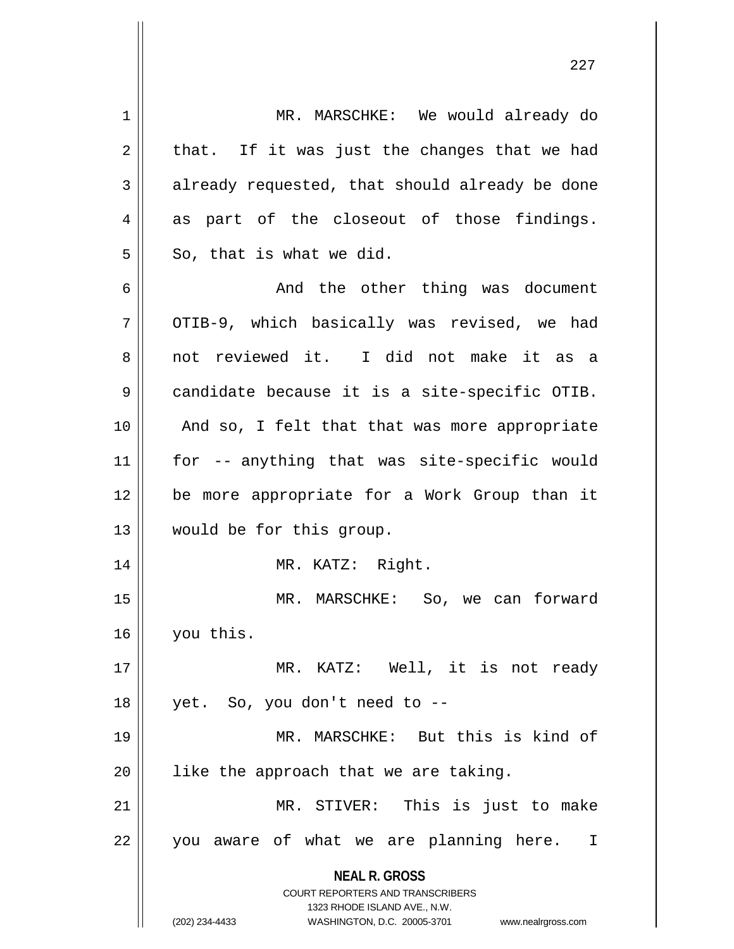| $\mathbf 1$ | MR. MARSCHKE: We would already do                                   |
|-------------|---------------------------------------------------------------------|
| 2           | that. If it was just the changes that we had                        |
| 3           | already requested, that should already be done                      |
| 4           | as part of the closeout of those findings.                          |
| 5           | So, that is what we did.                                            |
| 6           | And the other thing was document                                    |
| 7           | OTIB-9, which basically was revised, we had                         |
| 8           | not reviewed it. I did not make it as a                             |
| $\mathsf 9$ | candidate because it is a site-specific OTIB.                       |
| 10          | And so, I felt that that was more appropriate                       |
| 11          | for -- anything that was site-specific would                        |
| 12          | be more appropriate for a Work Group than it                        |
| 13          | would be for this group.                                            |
| 14          | MR. KATZ: Right.                                                    |
| 15          | MR. MARSCHKE: So, we can forward                                    |
| 16          | you this.                                                           |
| 17          | MR. KATZ: Well, it is not ready                                     |
| 18          | yet. So, you don't need to --                                       |
| 19          | MR. MARSCHKE: But this is kind of                                   |
| 20          | like the approach that we are taking.                               |
| 21          | MR. STIVER: This is just to make                                    |
| 22          | you aware of what we are planning here.<br>I                        |
|             | <b>NEAL R. GROSS</b>                                                |
|             | <b>COURT REPORTERS AND TRANSCRIBERS</b>                             |
|             | 1323 RHODE ISLAND AVE., N.W.                                        |
|             | (202) 234-4433<br>WASHINGTON, D.C. 20005-3701<br>www.nealrgross.com |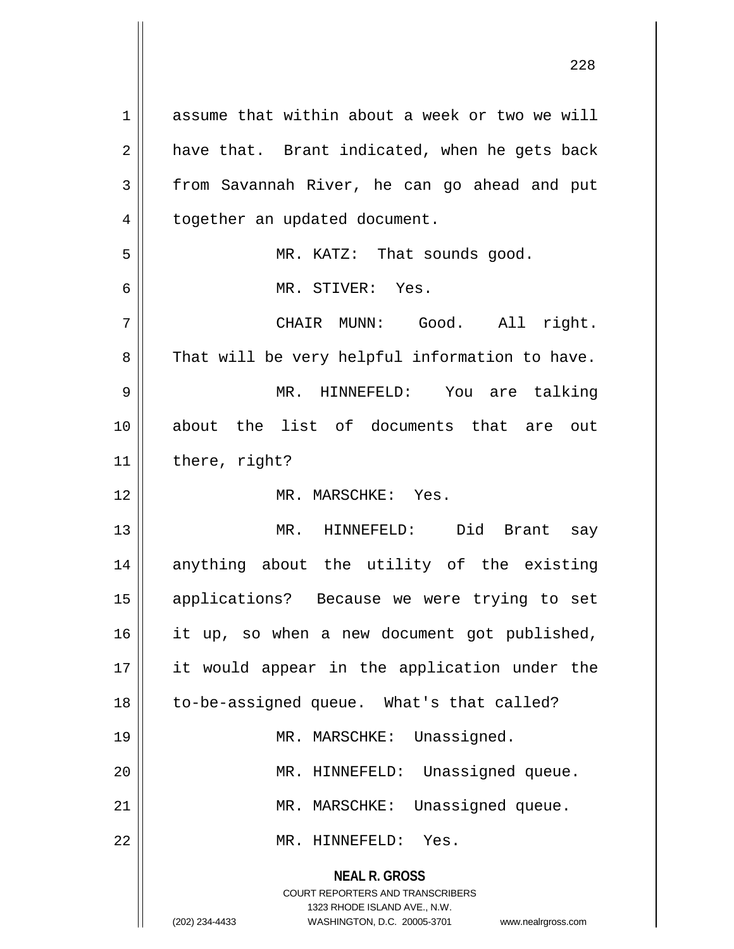**NEAL R. GROSS** COURT REPORTERS AND TRANSCRIBERS 1323 RHODE ISLAND AVE., N.W. 1 assume that within about a week or two we will  $2 \parallel$  have that. Brant indicated, when he gets back  $3 \parallel$  from Savannah River, he can go ahead and put 4 | together an updated document. 5 || MR. KATZ: That sounds good. 6 MR. STIVER: Yes. 7 CHAIR MUNN: Good. All right.  $8 \parallel$  That will be very helpful information to have. 9 MR. HINNEFELD: You are talking 10 about the list of documents that are out  $11$  | there, right? 12 MR. MARSCHKE: Yes. 13 MR. HINNEFELD: Did Brant say 14 anything about the utility of the existing 15 applications? Because we were trying to set 16 || it up, so when a new document got published, 17 it would appear in the application under the 18 || to-be-assigned queue. What's that called? 19 || MR. MARSCHKE: Unassigned. 20 | MR. HINNEFELD: Unassigned queue. 21 | MR. MARSCHKE: Unassigned queue. 22 MR. HINNEFELD: Yes.

(202) 234-4433 WASHINGTON, D.C. 20005-3701 www.nealrgross.com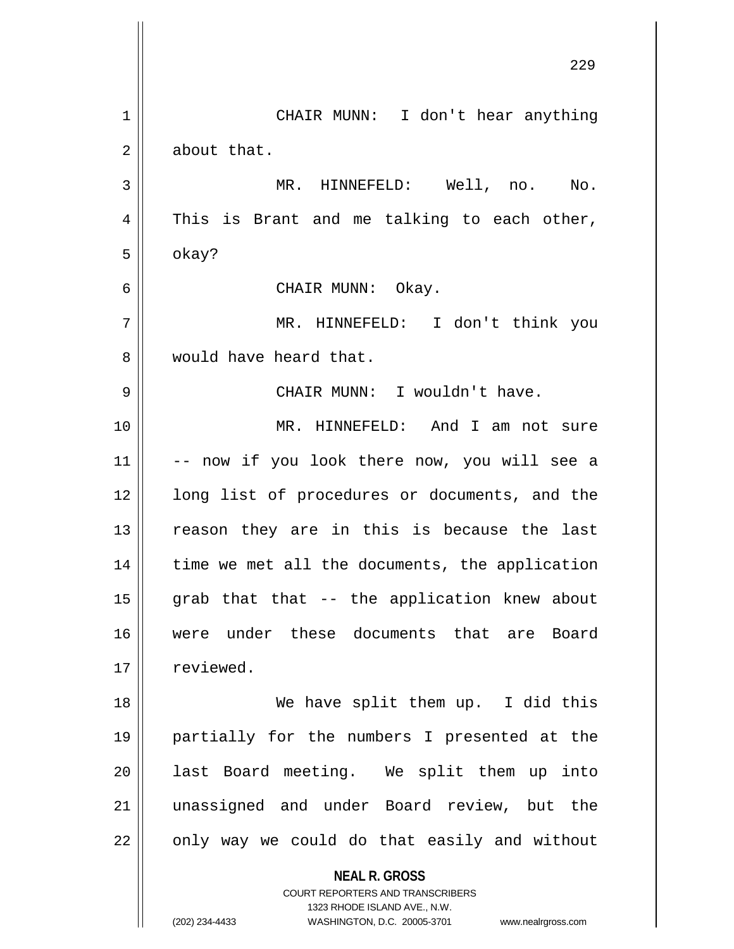|    | 229                                                                                      |
|----|------------------------------------------------------------------------------------------|
| 1  | CHAIR MUNN: I don't hear anything                                                        |
| 2  | about that.                                                                              |
| 3  | MR. HINNEFELD: Well, no. No.                                                             |
| 4  | This is Brant and me talking to each other,                                              |
| 5  | okay?                                                                                    |
| 6  | CHAIR MUNN: Okay.                                                                        |
| 7  | MR. HINNEFELD: I don't think you                                                         |
| 8  | would have heard that.                                                                   |
| 9  | CHAIR MUNN: I wouldn't have.                                                             |
| 10 | MR. HINNEFELD: And I am not sure                                                         |
| 11 | -- now if you look there now, you will see a                                             |
| 12 | long list of procedures or documents, and the                                            |
| 13 | reason they are in this is because the last                                              |
| 14 | time we met all the documents, the application                                           |
| 15 | grab that that -- the application knew about                                             |
| 16 | were under these documents that are Board                                                |
| 17 | reviewed.                                                                                |
| 18 | We have split them up. I did this                                                        |
| 19 | partially for the numbers I presented at the                                             |
| 20 | last Board meeting. We split them up into                                                |
| 21 | unassigned and under Board review, but the                                               |
| 22 | only way we could do that easily and without                                             |
|    | <b>NEAL R. GROSS</b><br>COURT REPORTERS AND TRANSCRIBERS<br>1323 RHODE ISLAND AVE., N.W. |

1323 RHODE ISLAND AVE., N.W.

 $\prod_{i=1}^{n}$ 

 $\mathsf{I}$ 

(202) 234-4433 WASHINGTON, D.C. 20005-3701 www.nealrgross.com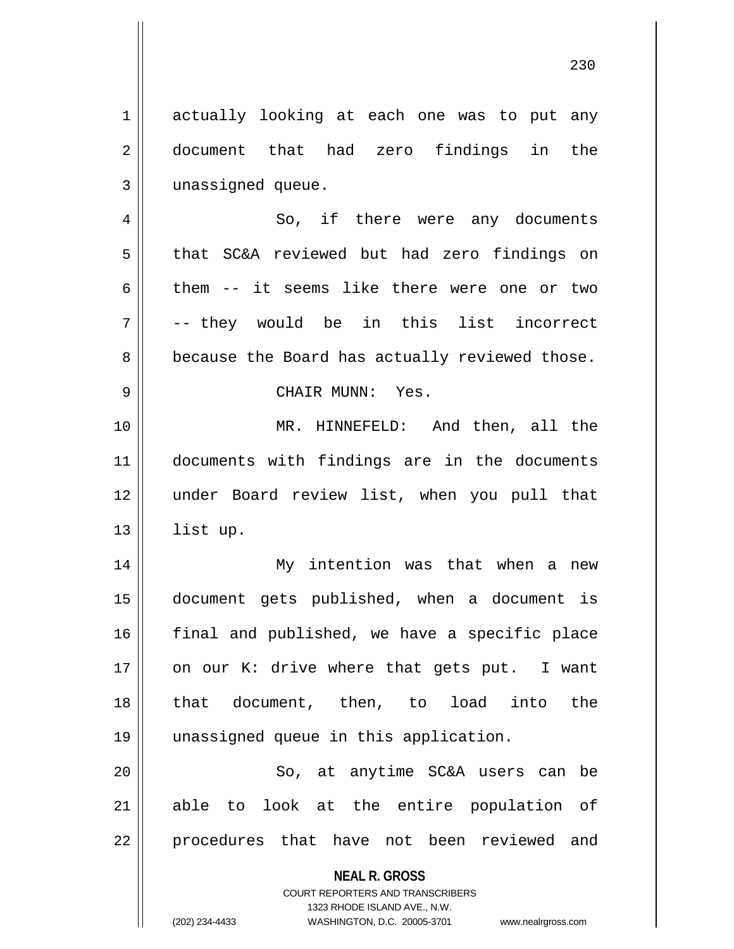**NEAL R. GROSS** COURT REPORTERS AND TRANSCRIBERS 1 || actually looking at each one was to put any 2 document that had zero findings in the 3 | unassigned queue. 4 || So, if there were any documents 5 that SC&A reviewed but had zero findings on 6 them  $-$  it seems like there were one or two 7 -- they would be in this list incorrect  $8 \parallel$  because the Board has actually reviewed those. 9 CHAIR MUNN: Yes. 10 MR. HINNEFELD: And then, all the 11 documents with findings are in the documents 12 under Board review list, when you pull that 13 | list up. 14 My intention was that when a new 15 document gets published, when a document is 16 || final and published, we have a specific place 17  $\parallel$  on our K: drive where that gets put. I want 18 that document, then, to load into the 19 unassigned queue in this application. 20 || So, at anytime SC&A users can be 21 able to look at the entire population of 22 || procedures that have not been reviewed and

1323 RHODE ISLAND AVE., N.W.

230

(202) 234-4433 WASHINGTON, D.C. 20005-3701 www.nealrgross.com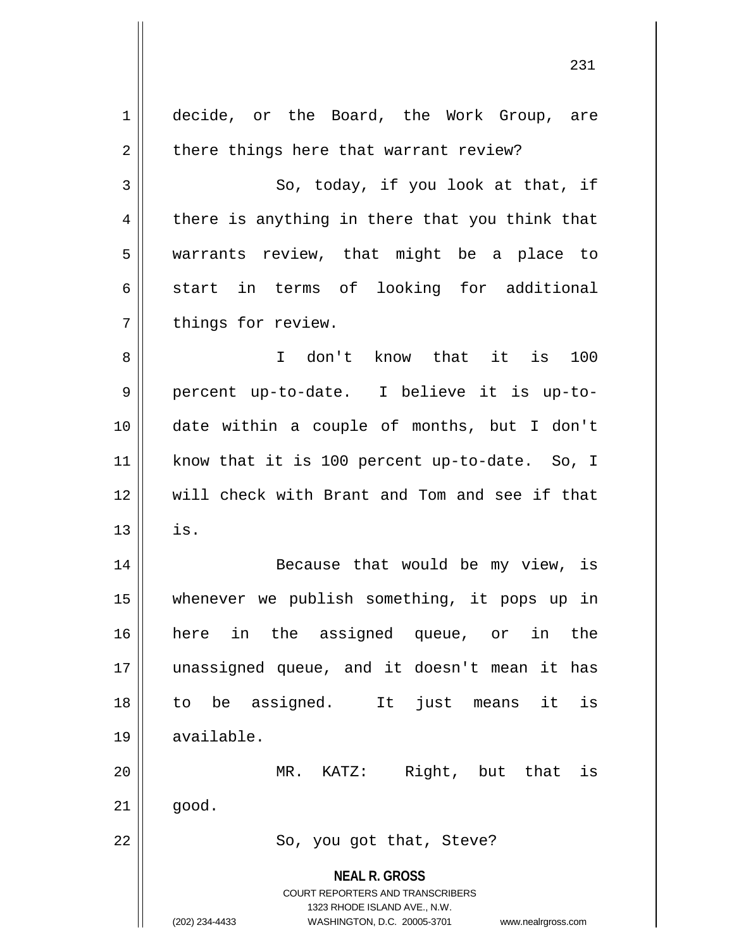| $\mathbf 1$    | decide, or the Board, the Work Group, are                               |
|----------------|-------------------------------------------------------------------------|
| $\overline{2}$ | there things here that warrant review?                                  |
| 3              | So, today, if you look at that, if                                      |
| 4              | there is anything in there that you think that                          |
| 5              | warrants review, that might be a place to                               |
| 6              | start in terms of looking for additional                                |
| 7              | things for review.                                                      |
| 8              | I don't know that it is 100                                             |
| 9              | percent up-to-date. I believe it is up-to-                              |
| 10             | date within a couple of months, but I don't                             |
| 11             | know that it is 100 percent up-to-date. So, I                           |
| 12             | will check with Brant and Tom and see if that                           |
| 13             | is.                                                                     |
| 14             | Because that would be my view, is                                       |
| 15             | whenever we publish something, it pops up in                            |
| 16             | in the assigned queue, or<br>here<br>in<br>the                          |
| 17             | unassigned queue, and it doesn't mean it has                            |
| 18             | be assigned.<br>just means<br>It<br>it<br>is<br>to                      |
| 19             | available.                                                              |
| 20             | Right, but that<br>MR. KATZ:<br>is                                      |
| 21             | good.                                                                   |
| 22             | So, you got that, Steve?                                                |
|                |                                                                         |
|                | <b>NEAL R. GROSS</b>                                                    |
|                | <b>COURT REPORTERS AND TRANSCRIBERS</b><br>1323 RHODE ISLAND AVE., N.W. |
|                | (202) 234-4433<br>WASHINGTON, D.C. 20005-3701<br>www.nealrgross.com     |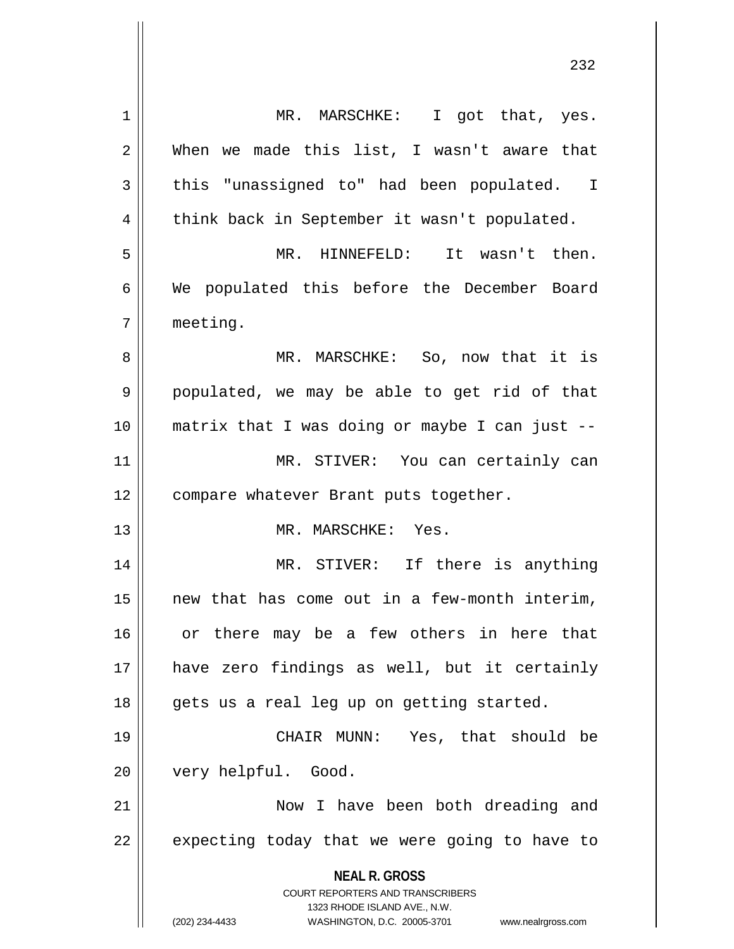**NEAL R. GROSS** COURT REPORTERS AND TRANSCRIBERS 1323 RHODE ISLAND AVE., N.W. (202) 234-4433 WASHINGTON, D.C. 20005-3701 www.nealrgross.com 1 || MR. MARSCHKE: I got that, yes.  $2 \parallel$  When we made this list, I wasn't aware that 3 || this "unassigned to" had been populated. I 4 | think back in September it wasn't populated. 5 MR. HINNEFELD: It wasn't then. 6 We populated this before the December Board 7 meeting. 8 MR. MARSCHKE: So, now that it is 9 populated, we may be able to get rid of that 10 matrix that I was doing or maybe I can just -- 11 || MR. STIVER: You can certainly can 12 | compare whatever Brant puts together. 13 MR. MARSCHKE: Yes. 14 MR. STIVER: If there is anything 15 new that has come out in a few-month interim, 16 || or there may be a few others in here that 17 have zero findings as well, but it certainly 18 || gets us a real leg up on getting started. 19 CHAIR MUNN: Yes, that should be 20 | very helpful. Good. 21 || Now I have been both dreading and  $22$  | expecting today that we were going to have to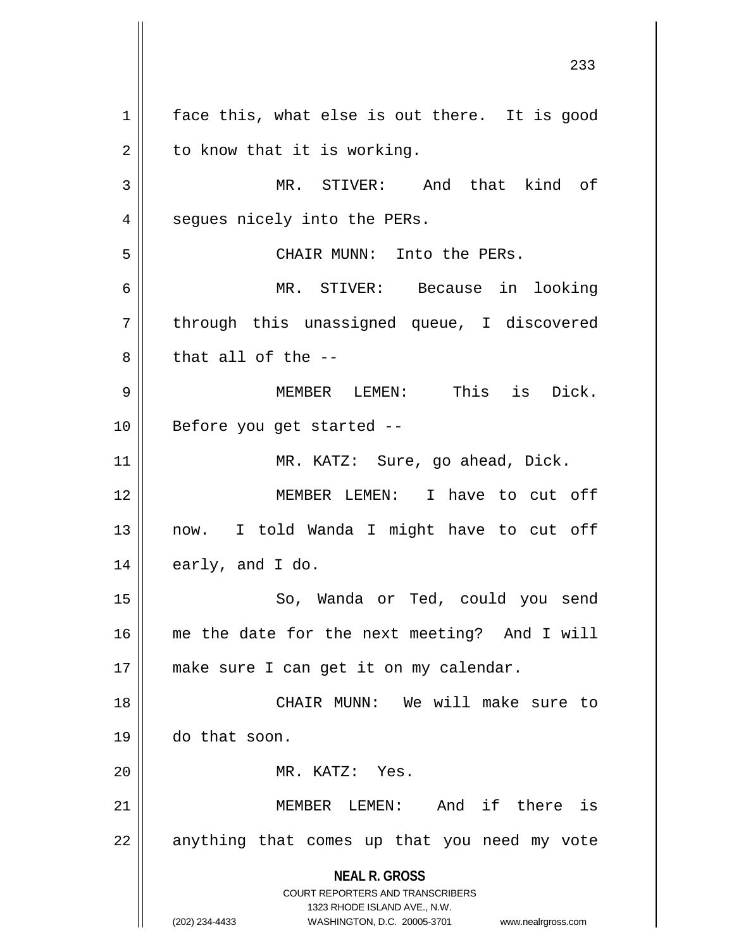**NEAL R. GROSS** COURT REPORTERS AND TRANSCRIBERS 1323 RHODE ISLAND AVE., N.W. (202) 234-4433 WASHINGTON, D.C. 20005-3701 www.nealrgross.com  $1 \parallel$  face this, what else is out there. It is good  $2 \parallel$  to know that it is working. 3 MR. STIVER: And that kind of 4 | segues nicely into the PERs. 5 CHAIR MUNN: Into the PERs. 6 MR. STIVER: Because in looking 7 || through this unassigned queue, I discovered  $8 \parallel$  that all of the  $-$ -9 MEMBER LEMEN: This is Dick. 10 || Before you get started --11 | MR. KATZ: Sure, go ahead, Dick. 12 MEMBER LEMEN: I have to cut off 13 || now. I told Wanda I might have to cut off  $14 \parallel$  early, and I do. 15 || So, Wanda or Ted, could you send 16 me the date for the next meeting? And I will 17 || make sure I can get it on my calendar. 18 CHAIR MUNN: We will make sure to 19 do that soon. 20 MR. KATZ: Yes. 21 MEMBER LEMEN: And if there is  $22$  || anything that comes up that you need my vote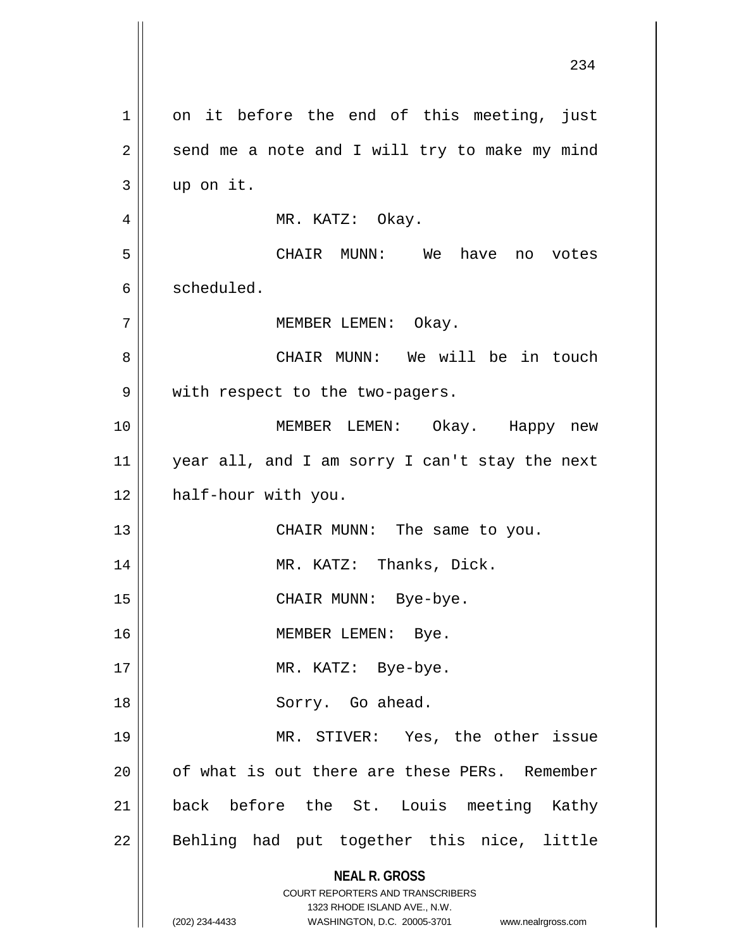| 1  | on it before the end of this meeting, just                                                                                                                          |
|----|---------------------------------------------------------------------------------------------------------------------------------------------------------------------|
| 2  | send me a note and I will try to make my mind                                                                                                                       |
| 3  | up on it.                                                                                                                                                           |
| 4  | MR. KATZ: Okay.                                                                                                                                                     |
| 5  | CHAIR MUNN: We have no votes                                                                                                                                        |
| 6  | scheduled.                                                                                                                                                          |
| 7  | MEMBER LEMEN: Okay.                                                                                                                                                 |
| 8  | CHAIR MUNN: We will be in touch                                                                                                                                     |
| 9  | with respect to the two-pagers.                                                                                                                                     |
| 10 | MEMBER LEMEN: Okay. Happy new                                                                                                                                       |
| 11 | year all, and I am sorry I can't stay the next                                                                                                                      |
| 12 | half-hour with you.                                                                                                                                                 |
| 13 | CHAIR MUNN: The same to you.                                                                                                                                        |
| 14 | MR. KATZ: Thanks, Dick.                                                                                                                                             |
| 15 | CHAIR MUNN: Bye-bye.                                                                                                                                                |
| 16 | MEMBER LEMEN: Bye.                                                                                                                                                  |
| 17 | MR. KATZ: Bye-bye.                                                                                                                                                  |
| 18 | Sorry. Go ahead.                                                                                                                                                    |
| 19 | MR. STIVER: Yes, the other issue                                                                                                                                    |
| 20 | of what is out there are these PERs. Remember                                                                                                                       |
| 21 | back before the St. Louis meeting Kathy                                                                                                                             |
| 22 | Behling had put together this nice, little                                                                                                                          |
|    | <b>NEAL R. GROSS</b><br><b>COURT REPORTERS AND TRANSCRIBERS</b><br>1323 RHODE ISLAND AVE., N.W.<br>(202) 234-4433<br>WASHINGTON, D.C. 20005-3701 www.nealrgross.com |

 $\mathsf{I}$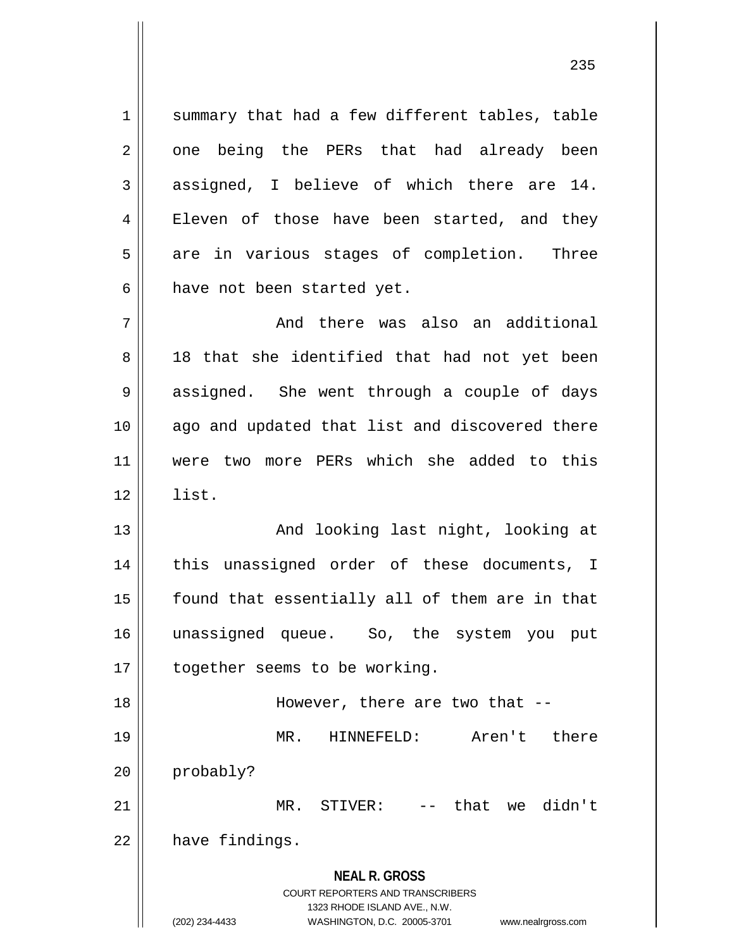1 || summary that had a few different tables, table 2 one being the PERs that had already been 3 || assigned, I believe of which there are 14. 4 Eleven of those have been started, and they  $5 \parallel$  are in various stages of completion. Three  $6$  || have not been started yet.

7 And there was also an additional 8 || 18 that she identified that had not yet been 9 || assigned. She went through a couple of days 10 || ago and updated that list and discovered there 11 were two more PERs which she added to this  $12 \parallel$  list.

13 || And looking last night, looking at 14 || this unassigned order of these documents, I 15 || found that essentially all of them are in that 16 unassigned queue. So, the system you put 17 | together seems to be working.

18 || However, there are two that --19 MR. HINNEFELD: Aren't there 20 probably? 21 || MR. STIVER: -- that we didn't

 $22$  | have findings.

## **NEAL R. GROSS**

COURT REPORTERS AND TRANSCRIBERS 1323 RHODE ISLAND AVE., N.W. (202) 234-4433 WASHINGTON, D.C. 20005-3701 www.nealrgross.com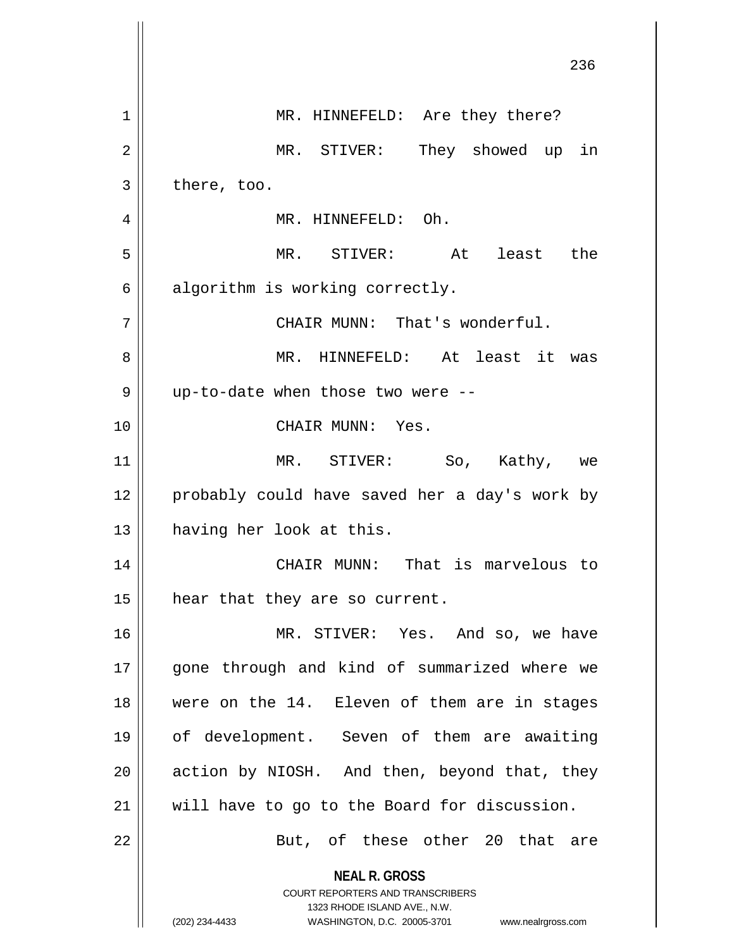|                | 236                                                                     |
|----------------|-------------------------------------------------------------------------|
| $\mathbf 1$    | MR. HINNEFELD: Are they there?                                          |
| $\overline{2}$ | MR. STIVER: They showed up in                                           |
| 3              | there, too.                                                             |
| 4              | MR. HINNEFELD: Oh.                                                      |
| 5              | MR. STIVER: At least the                                                |
| 6              | algorithm is working correctly.                                         |
| 7              | CHAIR MUNN: That's wonderful.                                           |
| 8              | MR. HINNEFELD: At least it was                                          |
| 9              | up-to-date when those two were --                                       |
| 10             | CHAIR MUNN: Yes.                                                        |
| 11             | MR. STIVER: So, Kathy, we                                               |
| 12             | probably could have saved her a day's work by                           |
| 13             | having her look at this.                                                |
| 14             | CHAIR MUNN: That is marvelous to                                        |
| 15             | hear that they are so current.                                          |
| 16             | MR. STIVER: Yes. And so, we have                                        |
| 17             | gone through and kind of summarized where we                            |
| 18             | were on the 14. Eleven of them are in stages                            |
| 19             | of development. Seven of them are awaiting                              |
| 20             | action by NIOSH. And then, beyond that, they                            |
| 21             | will have to go to the Board for discussion.                            |
| 22             | But, of these other 20 that are                                         |
|                | <b>NEAL R. GROSS</b>                                                    |
|                | <b>COURT REPORTERS AND TRANSCRIBERS</b><br>1323 RHODE ISLAND AVE., N.W. |
|                | (202) 234-4433<br>WASHINGTON, D.C. 20005-3701<br>www.nealrgross.com     |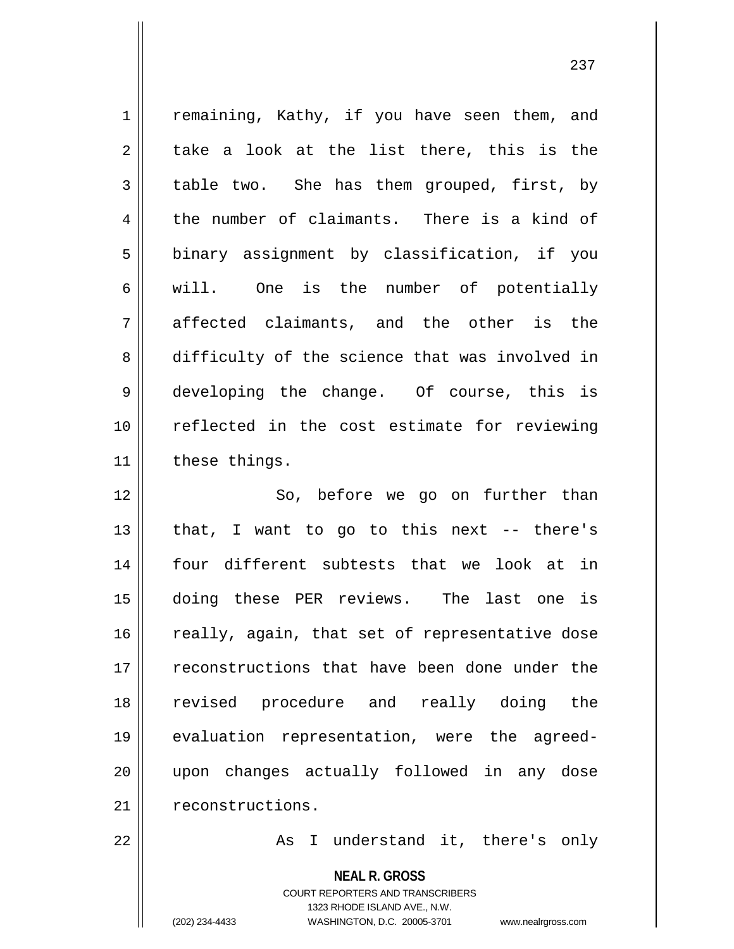1 | remaining, Kathy, if you have seen them, and  $2 \parallel$  take a look at the list there, this is the 3 table two. She has them grouped, first, by  $4 \parallel$  the number of claimants. There is a kind of 5 | binary assignment by classification, if you 6 || will. One is the number of potentially  $7 \parallel$  affected claimants, and the other is the 8 difficulty of the science that was involved in 9 || developing the change. Of course, this is 10 reflected in the cost estimate for reviewing  $11$  | these things. 12 || So, before we go on further than 13  $\parallel$  that, I want to go to this next -- there's 14 four different subtests that we look at in 15 doing these PER reviews. The last one is  $16$  really, again, that set of representative dose 17 || reconstructions that have been done under the 18 revised procedure and really doing the 19 evaluation representation, were the agreed-20 upon changes actually followed in any dose 21 | reconstructions. 22 || As I understand it, there's only

> **NEAL R. GROSS** COURT REPORTERS AND TRANSCRIBERS

> > 1323 RHODE ISLAND AVE., N.W.

(202) 234-4433 WASHINGTON, D.C. 20005-3701 www.nealrgross.com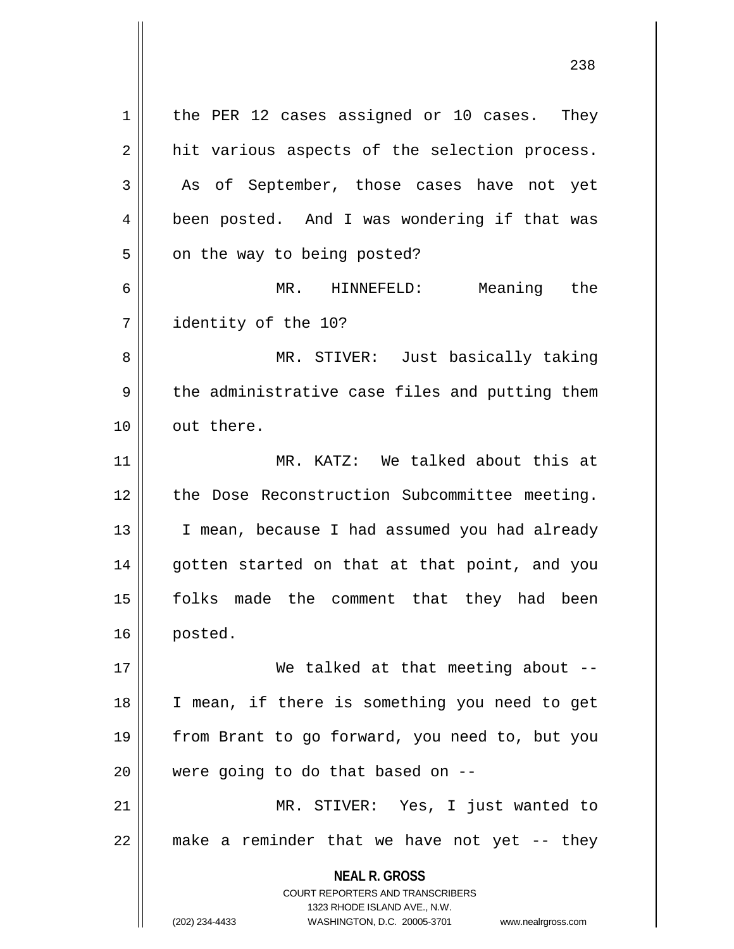**NEAL R. GROSS** COURT REPORTERS AND TRANSCRIBERS 1323 RHODE ISLAND AVE., N.W. (202) 234-4433 WASHINGTON, D.C. 20005-3701 www.nealrgross.com  $1 \parallel$  the PER 12 cases assigned or 10 cases. They  $2 \parallel$  hit various aspects of the selection process. 3 As of September, those cases have not yet 4 | been posted. And I was wondering if that was  $5 \parallel$  on the way to being posted? 6 MR. HINNEFELD: Meaning the 7 identity of the 10? 8 MR. STIVER: Just basically taking  $9 \parallel$  the administrative case files and putting them 10 || out there. 11 MR. KATZ: We talked about this at 12 || the Dose Reconstruction Subcommittee meeting. 13 || I mean, because I had assumed you had already 14 || gotten started on that at that point, and you 15 folks made the comment that they had been 16 posted. 17 || We talked at that meeting about --18 I mean, if there is something you need to get 19 from Brant to go forward, you need to, but you 20  $\parallel$  were going to do that based on  $-$ 21 || MR. STIVER: Yes, I just wanted to  $22$  || make a reminder that we have not yet  $-$  they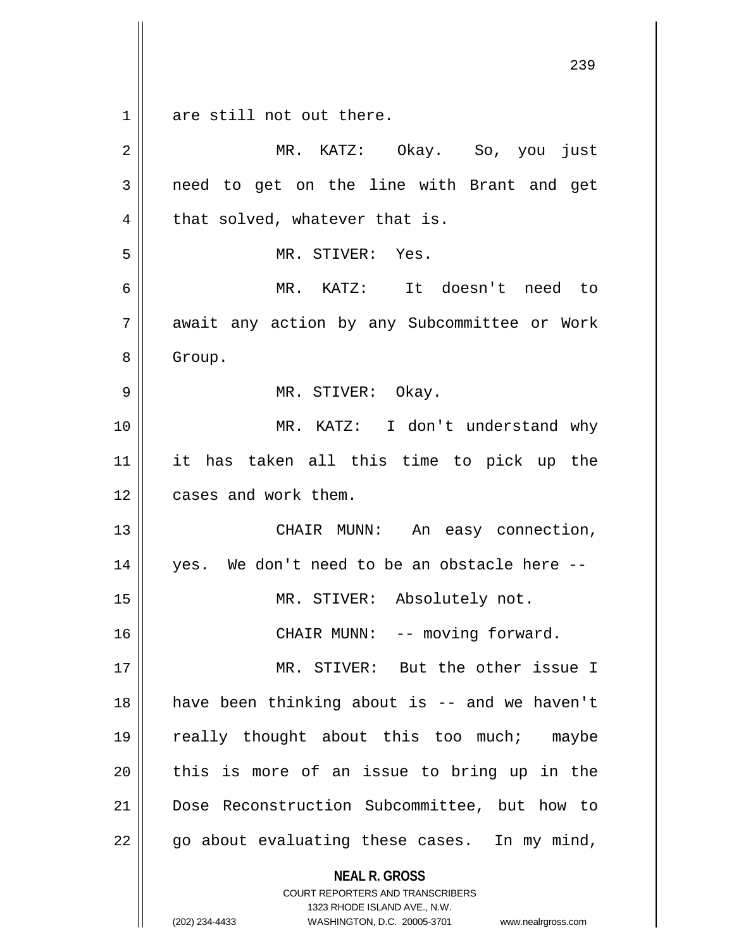$1 \parallel$  are still not out there.

| 2  | MR. KATZ: Okay. So, you just                                                                                                                                           |
|----|------------------------------------------------------------------------------------------------------------------------------------------------------------------------|
| 3  | need to get on the line with Brant and get                                                                                                                             |
| 4  | that solved, whatever that is.                                                                                                                                         |
| 5  | MR. STIVER: Yes.                                                                                                                                                       |
| 6  | MR. KATZ: It doesn't need to                                                                                                                                           |
| 7  | await any action by any Subcommittee or Work                                                                                                                           |
| 8  | Group.                                                                                                                                                                 |
| 9  | MR. STIVER: Okay.                                                                                                                                                      |
| 10 | MR. KATZ: I don't understand why                                                                                                                                       |
| 11 | it has taken all this time to pick up the                                                                                                                              |
| 12 | cases and work them.                                                                                                                                                   |
| 13 | CHAIR MUNN: An easy connection,                                                                                                                                        |
| 14 | yes. We don't need to be an obstacle here --                                                                                                                           |
| 15 | MR. STIVER: Absolutely not.                                                                                                                                            |
| 16 | CHAIR MUNN: -- moving forward.                                                                                                                                         |
| 17 | MR. STIVER: But the other issue I                                                                                                                                      |
| 18 | have been thinking about is -- and we haven't                                                                                                                          |
| 19 | really thought about this too much; maybe                                                                                                                              |
| 20 | this is more of an issue to bring up in the                                                                                                                            |
| 21 | Dose Reconstruction Subcommittee, but how to                                                                                                                           |
| 22 | go about evaluating these cases. In my mind,                                                                                                                           |
|    | <b>NEAL R. GROSS</b><br><b>COURT REPORTERS AND TRANSCRIBERS</b><br>1323 RHODE ISLAND AVE., N.W.<br>(202) 234-4433<br>WASHINGTON, D.C. 20005-3701<br>www.nealrgross.com |

<sup>(202) 234-4433</sup> WASHINGTON, D.C. 20005-3701 www.nealrgross.com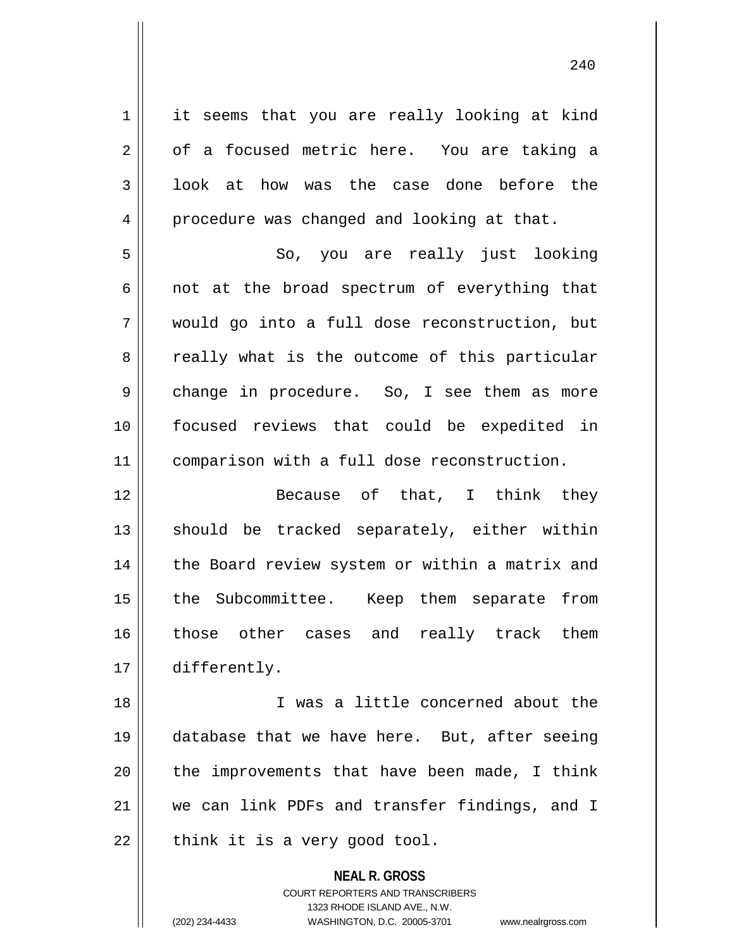1 | it seems that you are really looking at kind  $2 \parallel$  of a focused metric here. You are taking a 3 || look at how was the case done before the 4 | procedure was changed and looking at that. 5 || So, you are really just looking  $6 \parallel$  not at the broad spectrum of everything that 7 would go into a full dose reconstruction, but 8 cally what is the outcome of this particular 9 change in procedure. So, I see them as more 10 focused reviews that could be expedited in 11 comparison with a full dose reconstruction. 12 Because of that, I think they  $13$  should be tracked separately, either within 14 | the Board review system or within a matrix and 15 || the Subcommittee. Keep them separate from 16 those other cases and really track them 17 differently. 18 I was a little concerned about the 19 database that we have here. But, after seeing 20  $\parallel$  the improvements that have been made, I think 21 we can link PDFs and transfer findings, and I  $22$  | think it is a very good tool.

> **NEAL R. GROSS** COURT REPORTERS AND TRANSCRIBERS 1323 RHODE ISLAND AVE., N.W. (202) 234-4433 WASHINGTON, D.C. 20005-3701 www.nealrgross.com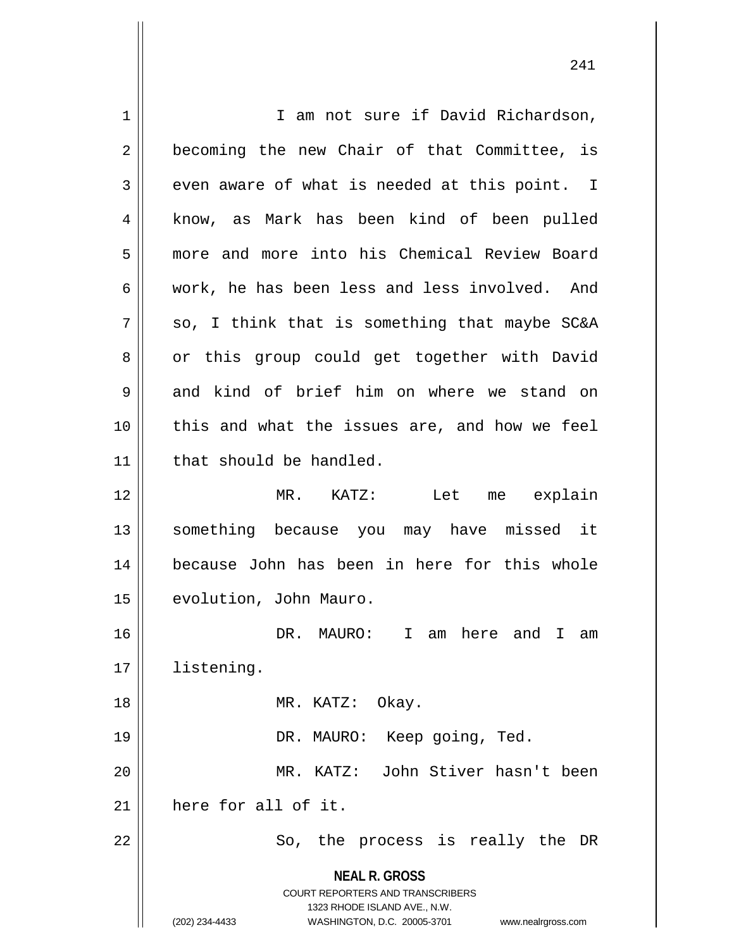**NEAL R. GROSS** COURT REPORTERS AND TRANSCRIBERS 1323 RHODE ISLAND AVE., N.W. (202) 234-4433 WASHINGTON, D.C. 20005-3701 www.nealrgross.com 1 || T am not sure if David Richardson, 2 || becoming the new Chair of that Committee, is  $3 \parallel$  even aware of what is needed at this point. I 4 || know, as Mark has been kind of been pulled 5 more and more into his Chemical Review Board 6 work, he has been less and less involved. And  $7 \parallel$  so, I think that is something that maybe SC&A 8 | or this group could get together with David  $9 \parallel$  and kind of brief him on where we stand on  $10$  | this and what the issues are, and how we feel 11 | that should be handled. 12 MR. KATZ: Let me explain 13 || something because you may have missed it 14 because John has been in here for this whole 15 | evolution, John Mauro. 16 DR. MAURO: I am here and I am 17 listening. 18 || MR. KATZ: Okay. 19 || DR. MAURO: Keep going, Ted. 20 MR. KATZ: John Stiver hasn't been 21 here for all of it. 22 || So, the process is really the DR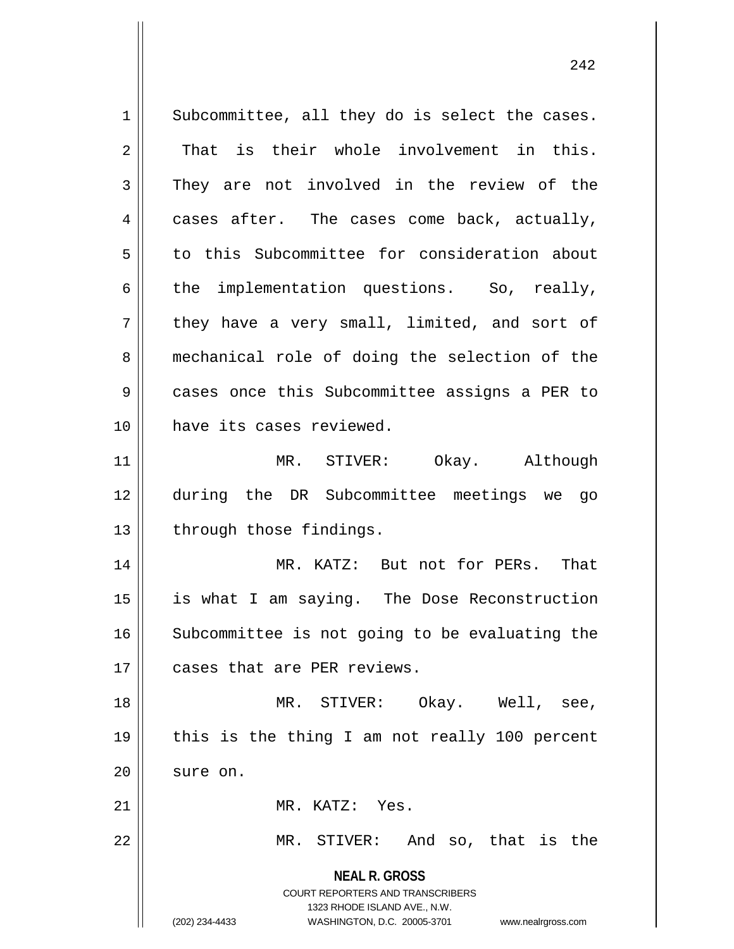**NEAL R. GROSS** COURT REPORTERS AND TRANSCRIBERS 1323 RHODE ISLAND AVE., N.W. (202) 234-4433 WASHINGTON, D.C. 20005-3701 www.nealrgross.com  $1 \parallel$  Subcommittee, all they do is select the cases. 2 || That is their whole involvement in this.  $3 \parallel$  They are not involved in the review of the  $4 \parallel$  cases after. The cases come back, actually, 5 to this Subcommittee for consideration about  $6 \parallel$  the implementation questions. So, really,  $7$  | they have a very small, limited, and sort of 8 mechanical role of doing the selection of the 9 cases once this Subcommittee assigns a PER to 10 have its cases reviewed. 11 || MR. STIVER: Okay. Although 12 during the DR Subcommittee meetings we go  $13$  | through those findings. 14 MR. KATZ: But not for PERs. That 15 is what I am saying. The Dose Reconstruction 16 || Subcommittee is not going to be evaluating the 17 || cases that are PER reviews. 18 MR. STIVER: Okay. Well, see, 19 || this is the thing I am not really 100 percent  $20$  || sure on. 21 MR. KATZ: Yes. 22 || MR. STIVER: And so, that is the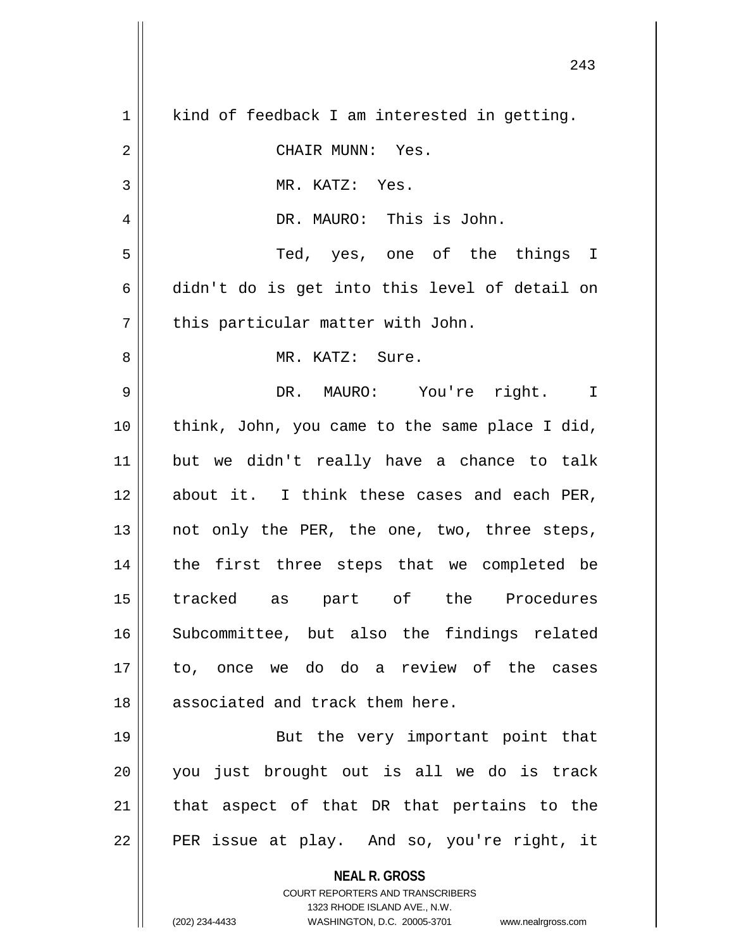| $\mathbf 1$    | kind of feedback I am interested in getting.                                                        |
|----------------|-----------------------------------------------------------------------------------------------------|
| $\overline{2}$ | CHAIR MUNN: Yes.                                                                                    |
| 3              | MR. KATZ: Yes.                                                                                      |
| 4              | DR. MAURO: This is John.                                                                            |
| 5              | Ted, yes, one of the things I                                                                       |
| 6              | didn't do is get into this level of detail on                                                       |
| 7              | this particular matter with John.                                                                   |
| 8              | MR. KATZ: Sure.                                                                                     |
| 9              | DR. MAURO: You're right. I                                                                          |
| 10             | think, John, you came to the same place I did,                                                      |
| 11             | but we didn't really have a chance to talk                                                          |
| 12             | about it. I think these cases and each PER,                                                         |
| 13             | not only the PER, the one, two, three steps,                                                        |
| 14             | the first three steps that we completed be                                                          |
| 15             | tracked as part of the Procedures                                                                   |
| 16             | Subcommittee, but also the findings related                                                         |
| 17             | to, once we do do a review of the cases                                                             |
| 18             | associated and track them here.                                                                     |
| 19             | But the very important point that                                                                   |
| 20             | you just brought out is all we do is track                                                          |
| 21             | that aspect of that DR that pertains to the                                                         |
| 22             | PER issue at play. And so, you're right, it                                                         |
|                | <b>NEAL R. GROSS</b>                                                                                |
|                | COURT REPORTERS AND TRANSCRIBERS                                                                    |
|                | 1323 RHODE ISLAND AVE., N.W.<br>(202) 234-4433<br>WASHINGTON, D.C. 20005-3701<br>www.nealrgross.com |
|                |                                                                                                     |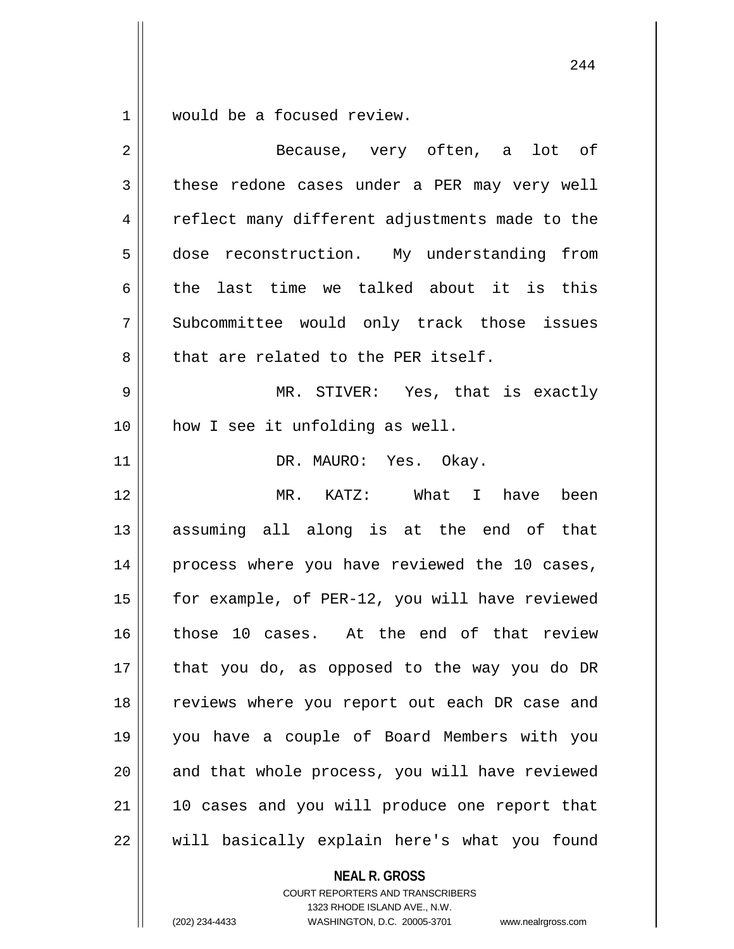$1 \parallel$  would be a focused review.

| $\overline{2}$ | Because, very often, a lot of                  |
|----------------|------------------------------------------------|
| 3              | these redone cases under a PER may very well   |
| 4              | reflect many different adjustments made to the |
| 5              | dose reconstruction. My understanding from     |
| 6              | the last time we talked about it is this       |
| 7              | Subcommittee would only track those issues     |
| 8              | that are related to the PER itself.            |
| 9              | MR. STIVER: Yes, that is exactly               |
| 10             | how I see it unfolding as well.                |
| 11             | DR. MAURO: Yes. Okay.                          |
| 12             | MR. KATZ: What I have been                     |
| 13             | assuming all along is at the end of that       |
| 14             | process where you have reviewed the 10 cases,  |
| 15             | for example, of PER-12, you will have reviewed |
| 16             | those 10 cases. At the end of that review      |
| 17             | that you do, as opposed to the way you do DR   |
| 18             | reviews where you report out each DR case and  |
| 19             | you have a couple of Board Members with you    |
| 20             | and that whole process, you will have reviewed |
| 21             | 10 cases and you will produce one report that  |
| 22             | will basically explain here's what you found   |

**NEAL R. GROSS**

COURT REPORTERS AND TRANSCRIBERS 1323 RHODE ISLAND AVE., N.W. (202) 234-4433 WASHINGTON, D.C. 20005-3701 www.nealrgross.com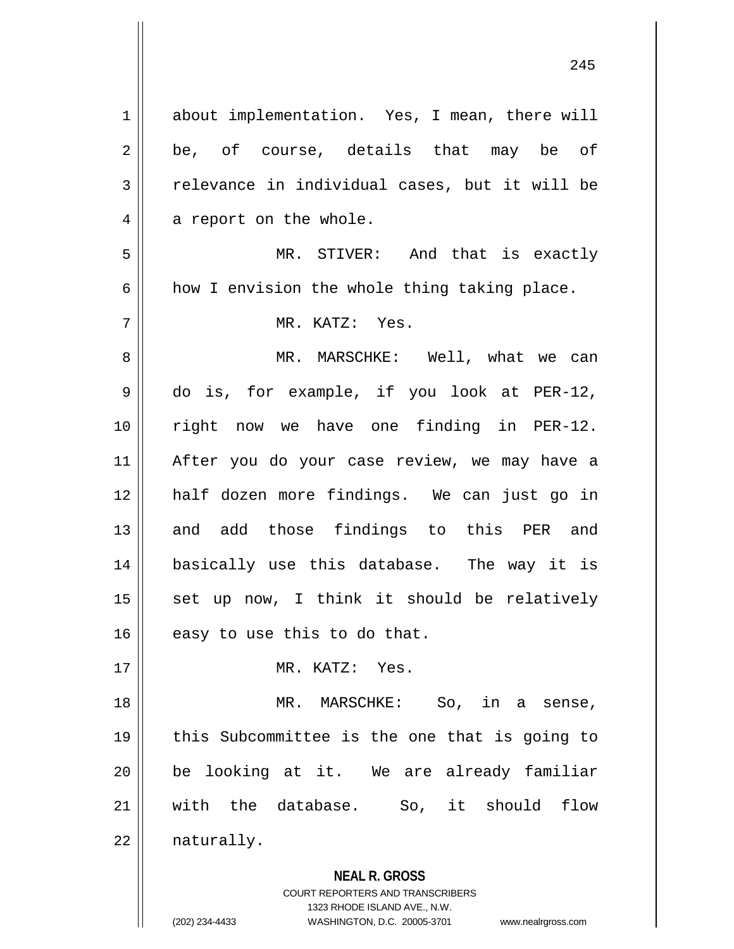**NEAL R. GROSS** 1 about implementation. Yes, I mean, there will  $2 \parallel$  be, of course, details that may be of  $3 \parallel$  relevance in individual cases, but it will be  $4 \parallel$  a report on the whole. 5 MR. STIVER: And that is exactly  $6 \parallel$  how I envision the whole thing taking place. 7 MR. KATZ: Yes. 8 MR. MARSCHKE: Well, what we can 9 do is, for example, if you look at PER-12, 10 || right now we have one finding in PER-12. 11 After you do your case review, we may have a 12 half dozen more findings. We can just go in 13 and add those findings to this PER and 14 basically use this database. The way it is  $15$  set up now, I think it should be relatively  $16$  easy to use this to do that. 17 MR. KATZ: Yes. 18 MR. MARSCHKE: So, in a sense, 19 this Subcommittee is the one that is going to 20 be looking at it. We are already familiar 21 with the database. So, it should flow  $22$  | naturally.

> COURT REPORTERS AND TRANSCRIBERS 1323 RHODE ISLAND AVE., N.W.

(202) 234-4433 WASHINGTON, D.C. 20005-3701 www.nealrgross.com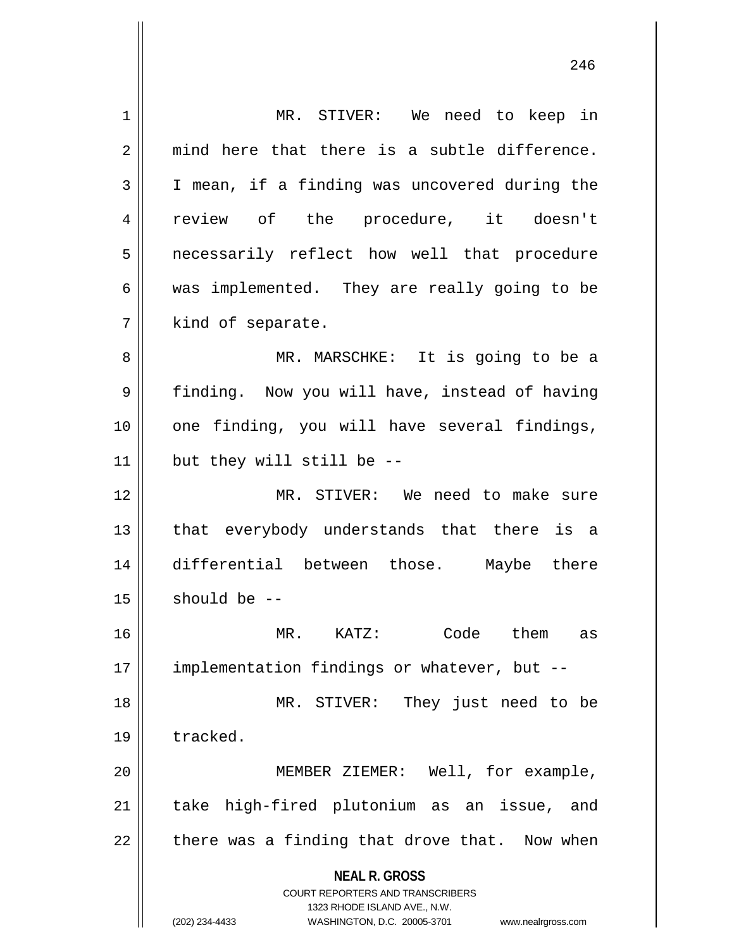**NEAL R. GROSS** COURT REPORTERS AND TRANSCRIBERS 1323 RHODE ISLAND AVE., N.W. (202) 234-4433 WASHINGTON, D.C. 20005-3701 www.nealrgross.com 1 | MR. STIVER: We need to keep in  $2 \parallel$  mind here that there is a subtle difference. 3 I mean, if a finding was uncovered during the 4 || review of the procedure, it doesn't 5 || necessarily reflect how well that procedure 6 || was implemented. They are really going to be 7 || kind of separate. 8 || MR. MARSCHKE: It is going to be a 9 || finding. Now you will have, instead of having 10 || one finding, you will have several findings,  $11$  | but they will still be --12 MR. STIVER: We need to make sure 13 || that everybody understands that there is a 14 differential between those. Maybe there  $15$  should be  $-$ 16 MR. KATZ: Code them as 17 | implementation findings or whatever, but --18 MR. STIVER: They just need to be 19 tracked. 20 || MEMBER ZIEMER: Well, for example, 21 || take high-fired plutonium as an issue, and  $22$  | there was a finding that drove that. Now when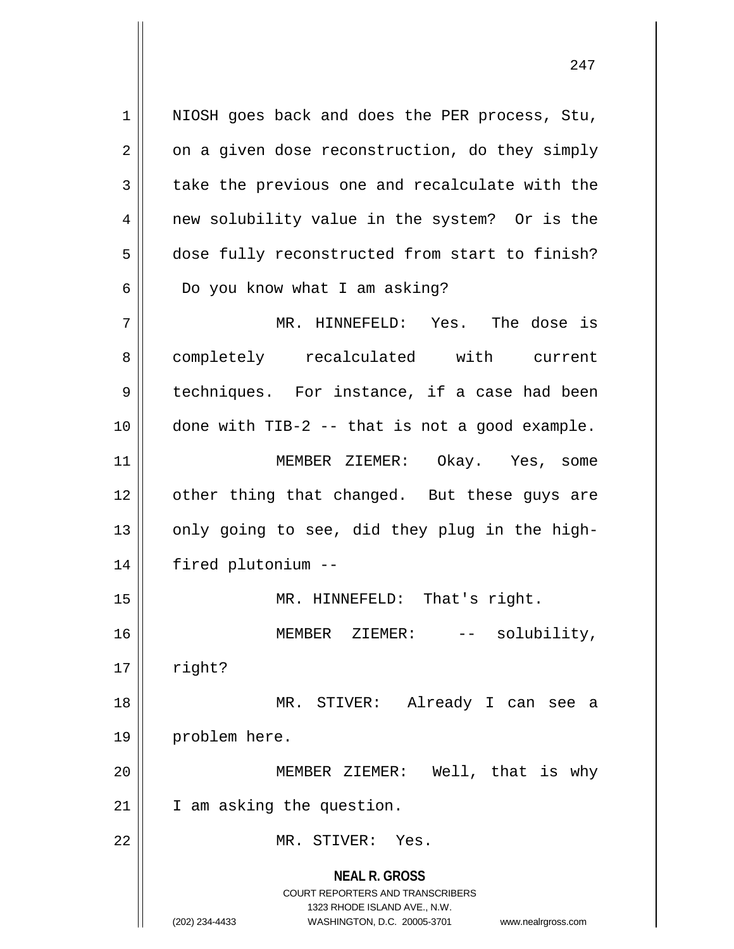1 || NIOSH goes back and does the PER process, Stu,  $2 \parallel$  on a given dose reconstruction, do they simply  $3 \parallel$  take the previous one and recalculate with the 4 || new solubility value in the system? Or is the 5 dose fully reconstructed from start to finish?  $6 \parallel$  Do you know what I am asking? 7 MR. HINNEFELD: Yes. The dose is 8 completely recalculated with current

11 || MEMBER ZIEMER: Okay. Yes, some 12 || other thing that changed. But these guys are  $13$  || only going to see, did they plug in the high-14 fired plutonium --

9 || techniques. For instance, if a case had been

 $10$  | done with TIB-2 -- that is not a good example.

15 || MR. HINNEFELD: That's right. 16 || **MEMBER ZIEMER:** -- solubility,  $17 \parallel$  right? 18 MR. STIVER: Already I can see a 19 || problem here. 20 MEMBER ZIEMER: Well, that is why 21 | I am asking the question.

22 MR. STIVER: Yes.

**NEAL R. GROSS** COURT REPORTERS AND TRANSCRIBERS 1323 RHODE ISLAND AVE., N.W. (202) 234-4433 WASHINGTON, D.C. 20005-3701 www.nealrgross.com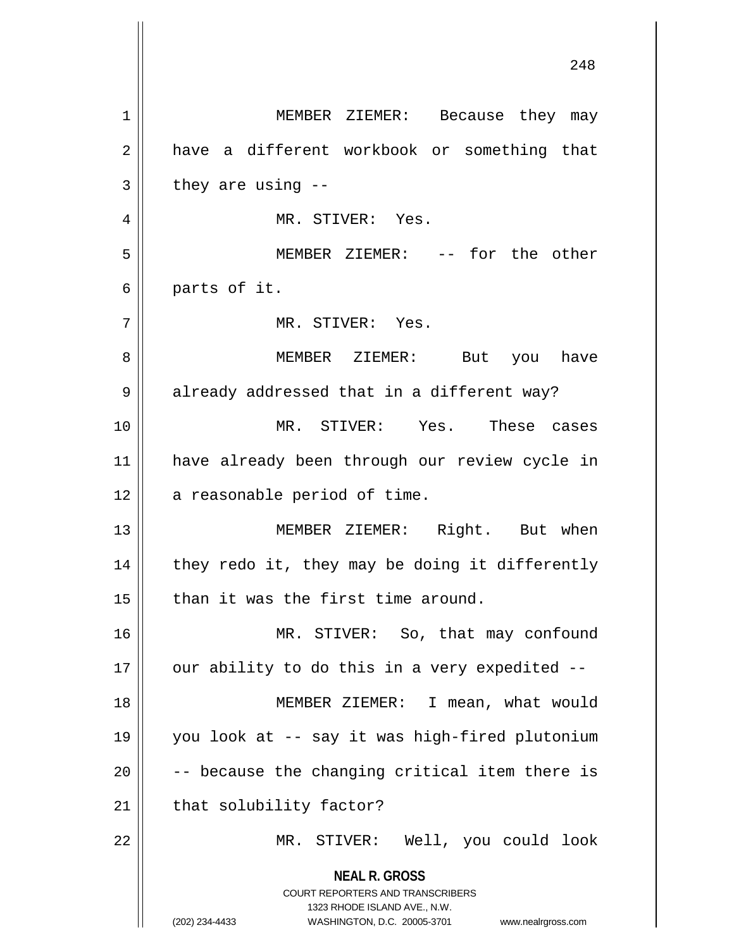**NEAL R. GROSS** COURT REPORTERS AND TRANSCRIBERS 1323 RHODE ISLAND AVE., N.W. (202) 234-4433 WASHINGTON, D.C. 20005-3701 www.nealrgross.com 1 MEMBER ZIEMER: Because they may 2 have a different workbook or something that  $3 \parallel$  they are using  $-$ 4 MR. STIVER: Yes. 5 MEMBER ZIEMER: -- for the other  $6 \parallel$  parts of it. 7 MR. STIVER: Yes. 8 MEMBER ZIEMER: But you have  $9 \parallel$  already addressed that in a different way? 10 MR. STIVER: Yes. These cases 11 have already been through our review cycle in  $12$  | a reasonable period of time. 13 MEMBER ZIEMER: Right. But when  $14$  | they redo it, they may be doing it differently  $15$  | than it was the first time around. 16 || MR. STIVER: So, that may confound  $17$  || our ability to do this in a very expedited  $-$ 18 MEMBER ZIEMER: I mean, what would 19 you look at -- say it was high-fired plutonium  $20$   $\vert$  -- because the changing critical item there is  $21$  | that solubility factor? 22 MR. STIVER: Well, you could look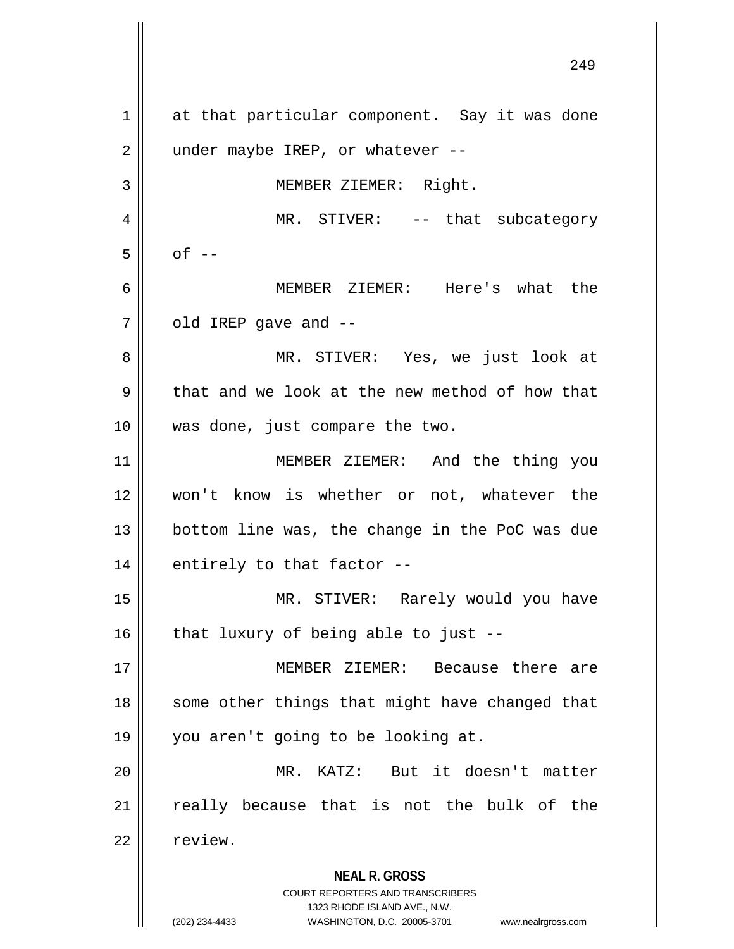**NEAL R. GROSS** COURT REPORTERS AND TRANSCRIBERS 1323 RHODE ISLAND AVE., N.W. 1 || at that particular component. Say it was done  $2 \parallel$  under maybe IREP, or whatever --3 || MEMBER ZIEMER: Right. 4 || MR. STIVER: -- that subcategory  $5 \parallel$  of  $-$ 6 MEMBER ZIEMER: Here's what the  $7 \parallel$  old IREP gave and  $-$ 8 MR. STIVER: Yes, we just look at  $9 \parallel$  that and we look at the new method of how that 10 was done, just compare the two. 11 MEMBER ZIEMER: And the thing you 12 won't know is whether or not, whatever the 13 || bottom line was, the change in the PoC was due 14 $\parallel$  entirely to that factor --15 MR. STIVER: Rarely would you have  $16$  | that luxury of being able to just --17 MEMBER ZIEMER: Because there are 18 || some other things that might have changed that 19 you aren't going to be looking at. 20 MR. KATZ: But it doesn't matter  $21$  really because that is not the bulk of the 22 | review.

(202) 234-4433 WASHINGTON, D.C. 20005-3701 www.nealrgross.com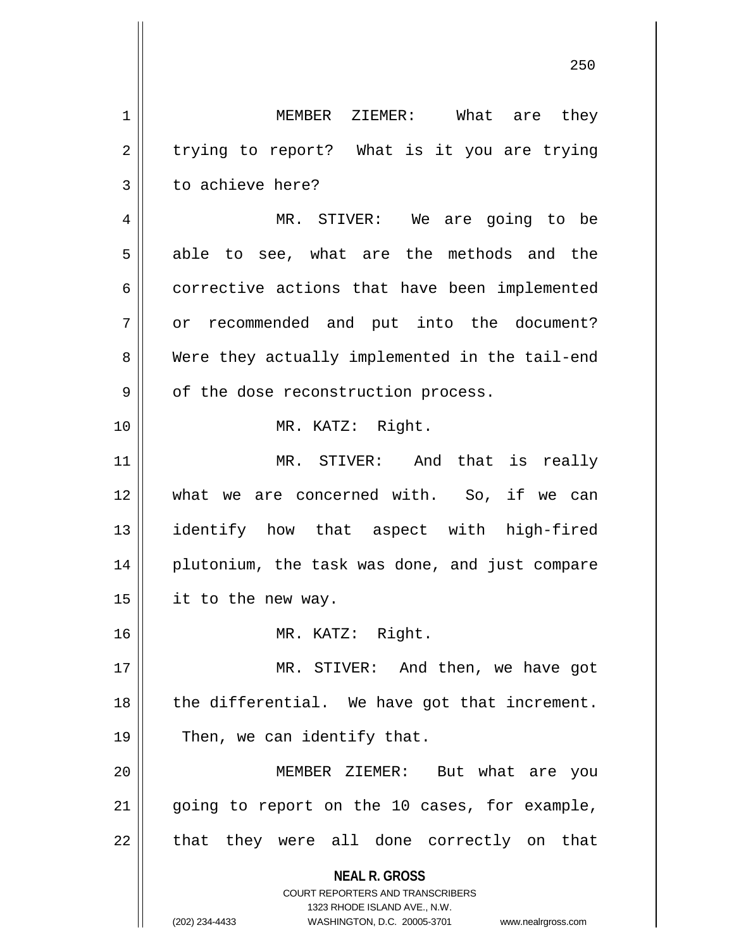**NEAL R. GROSS** COURT REPORTERS AND TRANSCRIBERS 1323 RHODE ISLAND AVE., N.W. (202) 234-4433 WASHINGTON, D.C. 20005-3701 www.nealrgross.com 1 MEMBER ZIEMER: What are they  $2 \parallel$  trying to report? What is it you are trying  $3 \parallel$  to achieve here? 4 MR. STIVER: We are going to be 5 able to see, what are the methods and the 6 corrective actions that have been implemented 7 || or recommended and put into the document? 8 Were they actually implemented in the tail-end  $9 \parallel$  of the dose reconstruction process. 10 MR. KATZ: Right. 11 || MR. STIVER: And that is really 12 || what we are concerned with. So, if we can 13 identify how that aspect with high-fired 14 || plutonium, the task was done, and just compare  $15$  | it to the new way. 16 MR. KATZ: Right. 17 || MR. STIVER: And then, we have got  $18$  || the differential. We have got that increment.  $19 \parallel$  Then, we can identify that. 20 MEMBER ZIEMER: But what are you 21 || going to report on the 10 cases, for example,  $22$  || that they were all done correctly on that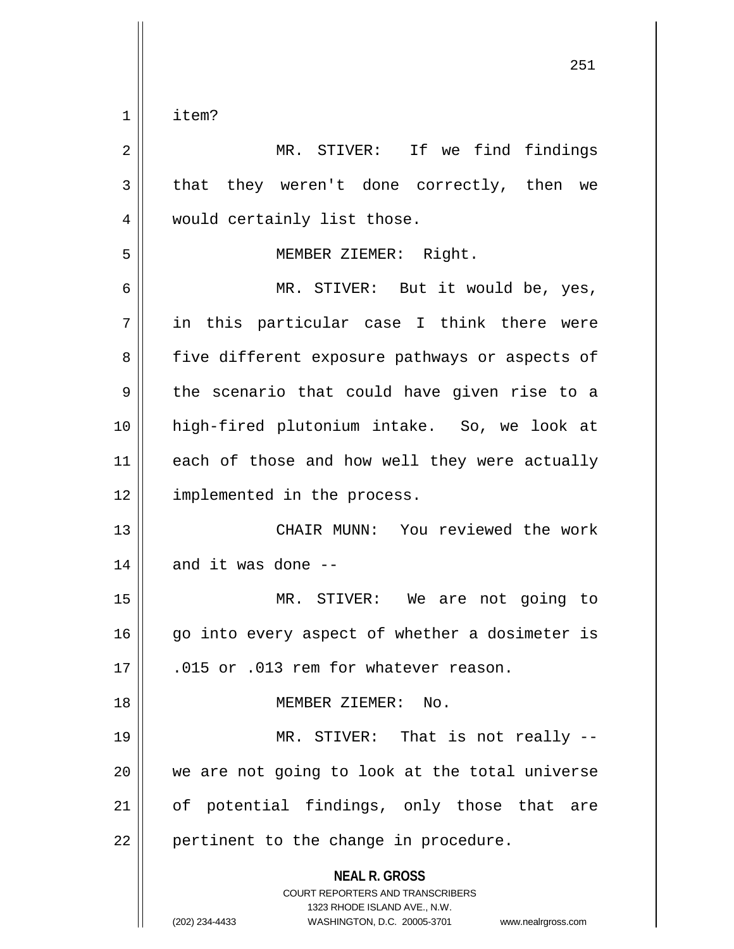$1$  | item?

| $\overline{2}$ | MR. STIVER: If we find findings                                                                                                                                     |
|----------------|---------------------------------------------------------------------------------------------------------------------------------------------------------------------|
| $\mathbf{3}$   | that they weren't done correctly, then we                                                                                                                           |
| 4              | would certainly list those.                                                                                                                                         |
| 5              | MEMBER ZIEMER: Right.                                                                                                                                               |
| 6              | MR. STIVER: But it would be, yes,                                                                                                                                   |
| 7              | in this particular case I think there were                                                                                                                          |
| 8              | five different exposure pathways or aspects of                                                                                                                      |
| 9              | the scenario that could have given rise to a                                                                                                                        |
| 10             | high-fired plutonium intake. So, we look at                                                                                                                         |
| 11             | each of those and how well they were actually                                                                                                                       |
| 12             | implemented in the process.                                                                                                                                         |
| 13             | CHAIR MUNN: You reviewed the work                                                                                                                                   |
| 14             | and it was done --                                                                                                                                                  |
| 15             | MR. STIVER: We are not going to                                                                                                                                     |
| 16             | go into every aspect of whether a dosimeter is                                                                                                                      |
| 17             | .015 or .013 rem for whatever reason.                                                                                                                               |
| 18             | MEMBER ZIEMER: No.                                                                                                                                                  |
| 19             | MR. STIVER: That is not really --                                                                                                                                   |
| 20             | we are not going to look at the total universe                                                                                                                      |
| 21             | of potential findings, only those that are                                                                                                                          |
| 22             | pertinent to the change in procedure.                                                                                                                               |
|                | <b>NEAL R. GROSS</b><br><b>COURT REPORTERS AND TRANSCRIBERS</b><br>1323 RHODE ISLAND AVE., N.W.<br>(202) 234-4433<br>WASHINGTON, D.C. 20005-3701 www.nealrgross.com |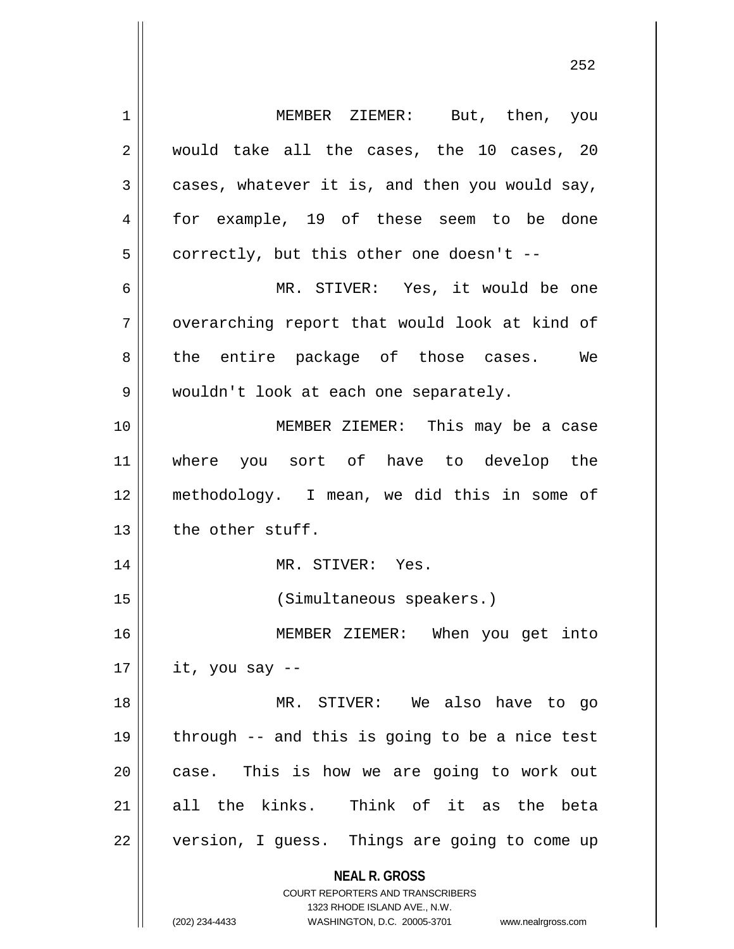**NEAL R. GROSS** COURT REPORTERS AND TRANSCRIBERS 1323 RHODE ISLAND AVE., N.W. 1 MEMBER ZIEMER: But, then, you  $2 \parallel$  would take all the cases, the 10 cases, 20  $3 \parallel$  cases, whatever it is, and then you would say, 4 for example, 19 of these seem to be done  $5 \parallel$  correctly, but this other one doesn't --6 MR. STIVER: Yes, it would be one 7 || overarching report that would look at kind of 8 the entire package of those cases. We 9 || wouldn't look at each one separately. 10 MEMBER ZIEMER: This may be a case 11 where you sort of have to develop the 12 methodology. I mean, we did this in some of  $13$  | the other stuff. 14 || MR. STIVER: Yes. 15 (Simultaneous speakers.) 16 MEMBER ZIEMER: When you get into  $17 \parallel$  it, you say --18 MR. STIVER: We also have to go 19  $\parallel$  through -- and this is going to be a nice test  $20$  || case. This is how we are going to work out 21 all the kinks. Think of it as the beta 22 || version, I guess. Things are going to come up

(202) 234-4433 WASHINGTON, D.C. 20005-3701 www.nealrgross.com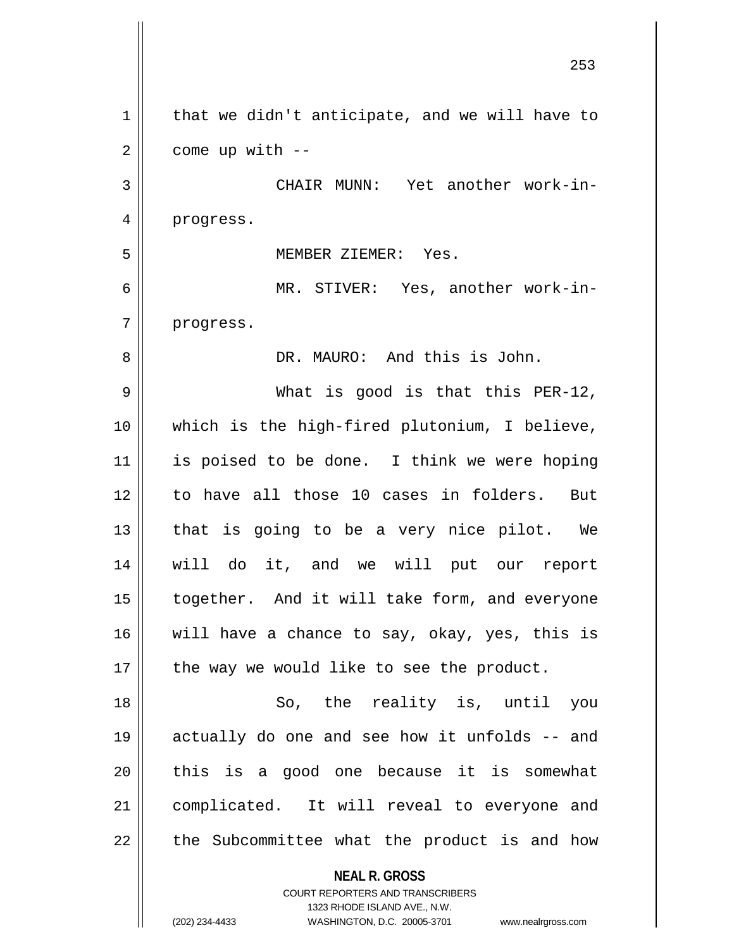|             | 253                                                                 |
|-------------|---------------------------------------------------------------------|
| $\mathbf 1$ | that we didn't anticipate, and we will have to                      |
| 2           | come up with --                                                     |
| 3           | CHAIR MUNN: Yet another work-in-                                    |
| 4           | progress.                                                           |
| 5           | MEMBER ZIEMER: Yes.                                                 |
| 6           | MR. STIVER: Yes, another work-in-                                   |
| 7           | progress.                                                           |
| 8           | DR. MAURO: And this is John.                                        |
| 9           | What is good is that this PER-12,                                   |
| 10          | which is the high-fired plutonium, I believe,                       |
| 11          | is poised to be done. I think we were hoping                        |
| 12          | to have all those 10 cases in folders. But                          |
| 13          | that is going to be a very nice pilot. We                           |
| 14          | will do it, and we will put our report                              |
| 15          | together. And it will take form, and everyone                       |
| 16          | will have a chance to say, okay, yes, this is                       |
| 17          | the way we would like to see the product.                           |
| 18          | So, the reality is, until you                                       |
| 19          | actually do one and see how it unfolds -- and                       |
| 20          | this is a good one because it is somewhat                           |
| 21          | complicated. It will reveal to everyone and                         |
| 22          | the Subcommittee what the product is and how                        |
|             | <b>NEAL R. GROSS</b><br><b>COURT REPORTERS AND TRANSCRIBERS</b>     |
|             | 1323 RHODE ISLAND AVE., N.W.                                        |
|             | (202) 234-4433<br>WASHINGTON, D.C. 20005-3701<br>www.nealrgross.com |

 $\overline{\phantom{a}}$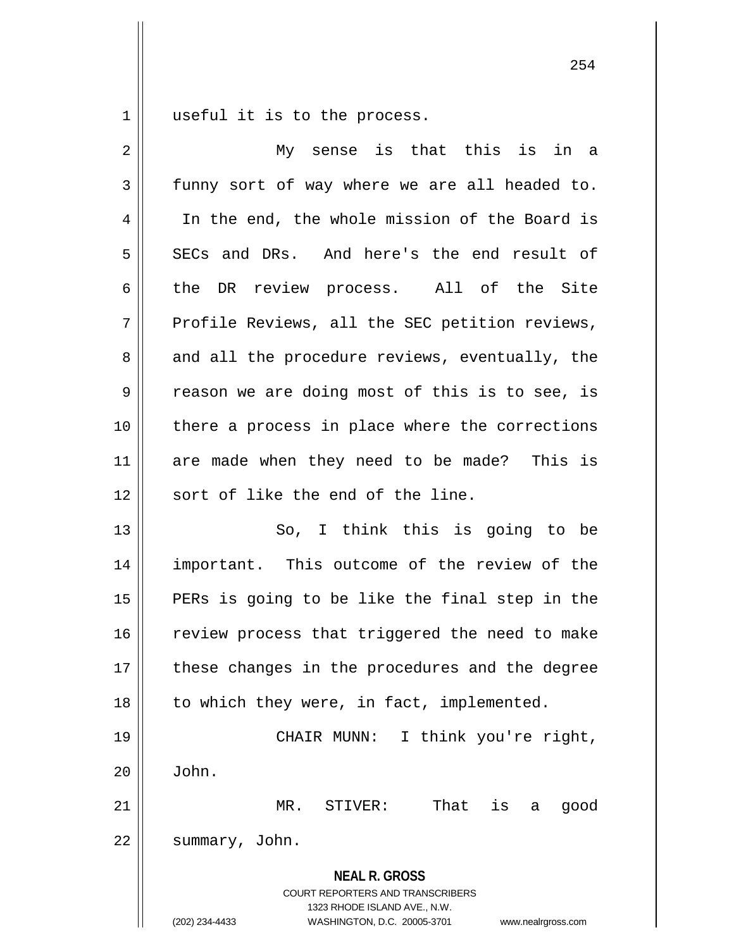$1 \parallel$  useful it is to the process.

| $\overline{2}$ | My sense is that this is in a                                                                                                                                          |
|----------------|------------------------------------------------------------------------------------------------------------------------------------------------------------------------|
| $\mathfrak{Z}$ | funny sort of way where we are all headed to.                                                                                                                          |
| 4              | In the end, the whole mission of the Board is                                                                                                                          |
| 5              | SECs and DRs. And here's the end result of                                                                                                                             |
| 6              | the DR review process. All of the Site                                                                                                                                 |
| 7              | Profile Reviews, all the SEC petition reviews,                                                                                                                         |
| 8              | and all the procedure reviews, eventually, the                                                                                                                         |
| 9              | reason we are doing most of this is to see, is                                                                                                                         |
| 10             | there a process in place where the corrections                                                                                                                         |
| 11             | are made when they need to be made? This is                                                                                                                            |
| 12             | sort of like the end of the line.                                                                                                                                      |
| 13             | So, I think this is going to be                                                                                                                                        |
| 14             | important. This outcome of the review of the                                                                                                                           |
| 15             | PERs is going to be like the final step in the                                                                                                                         |
| 16             | review process that triggered the need to make                                                                                                                         |
| 17             | these changes in the procedures and the degree                                                                                                                         |
| 18             | to which they were, in fact, implemented.                                                                                                                              |
| 19             | I think you're right,<br>CHAIR MUNN:                                                                                                                                   |
| 20             | John.                                                                                                                                                                  |
| 21             | That<br>$MR$ .<br>STIVER:<br>is<br>good<br>а                                                                                                                           |
| 22             | summary, John.                                                                                                                                                         |
|                | <b>NEAL R. GROSS</b><br><b>COURT REPORTERS AND TRANSCRIBERS</b><br>1323 RHODE ISLAND AVE., N.W.<br>(202) 234-4433<br>WASHINGTON, D.C. 20005-3701<br>www.nealrgross.com |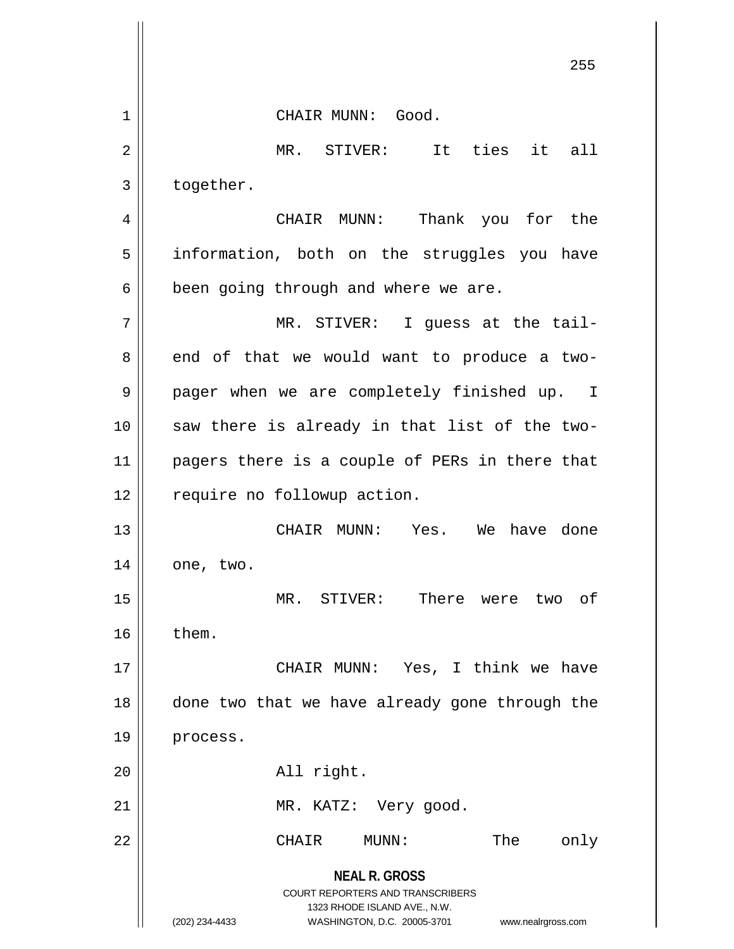**NEAL R. GROSS** COURT REPORTERS AND TRANSCRIBERS 1323 RHODE ISLAND AVE., N.W. (202) 234-4433 WASHINGTON, D.C. 20005-3701 www.nealrgross.com 1 || CHAIR MUNN: Good. 2 MR. STIVER: It ties it all  $3 \parallel$  together. 4 CHAIR MUNN: Thank you for the 5 || information, both on the struggles you have  $6 \parallel$  been going through and where we are. 7 MR. STIVER: I guess at the tail- $8 \parallel$  end of that we would want to produce a two-9 || pager when we are completely finished up. I  $10$  saw there is already in that list of the two-11 || pagers there is a couple of PERs in there that 12 | require no followup action. 13 CHAIR MUNN: Yes. We have done  $14 \parallel$  one, two. 15 MR. STIVER: There were two of  $16$  | them. 17 CHAIR MUNN: Yes, I think we have 18 || done two that we have already gone through the 19 | process. 20 || all right. 21 || MR. KATZ: Very good. 22 CHAIR MUNN: The only

255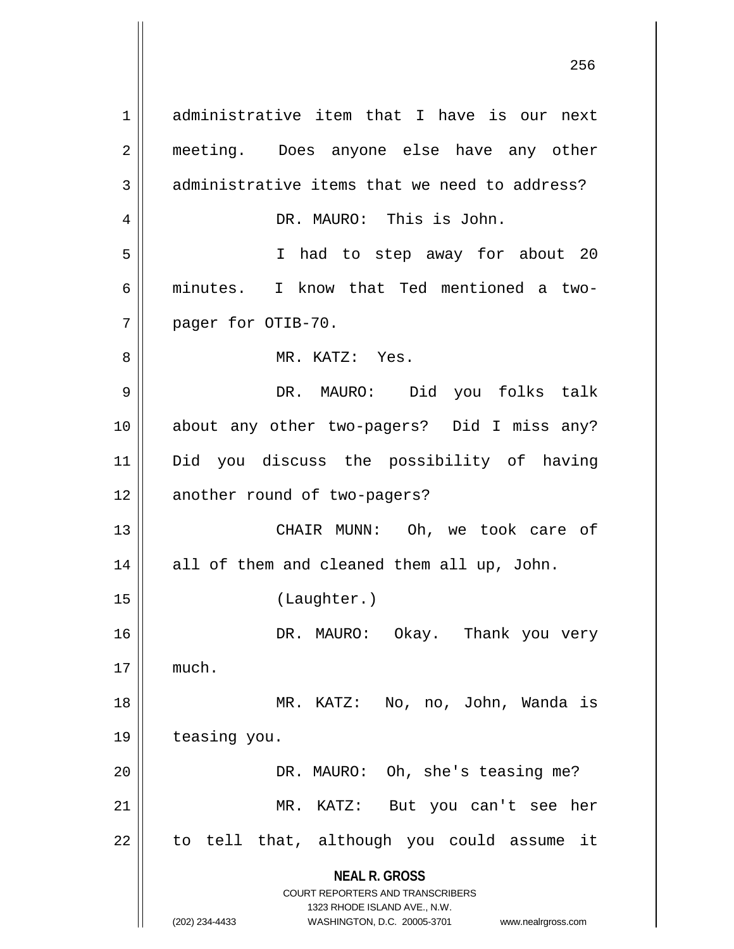**NEAL R. GROSS** COURT REPORTERS AND TRANSCRIBERS 1323 RHODE ISLAND AVE., N.W. (202) 234-4433 WASHINGTON, D.C. 20005-3701 www.nealrgross.com 1 administrative item that I have is our next 2 || meeting. Does anyone else have any other  $3 \parallel$  administrative items that we need to address? 4 DR. MAURO: This is John. 5 I had to step away for about 20 6 minutes. I know that Ted mentioned a two-7 | pager for OTIB-70. 8 MR. KATZ: Yes. 9 DR. MAURO: Did you folks talk 10 about any other two-pagers? Did I miss any? 11 Did you discuss the possibility of having 12 || another round of two-pagers? 13 || CHAIR MUNN: Oh, we took care of 14 || all of them and cleaned them all up, John. 15 (Laughter.) 16 DR. MAURO: Okay. Thank you very  $17 \parallel$  much. 18 MR. KATZ: No, no, John, Wanda is 19 | teasing you. 20 | DR. MAURO: Oh, she's teasing me? 21 MR. KATZ: But you can't see her  $22$  || to tell that, although you could assume it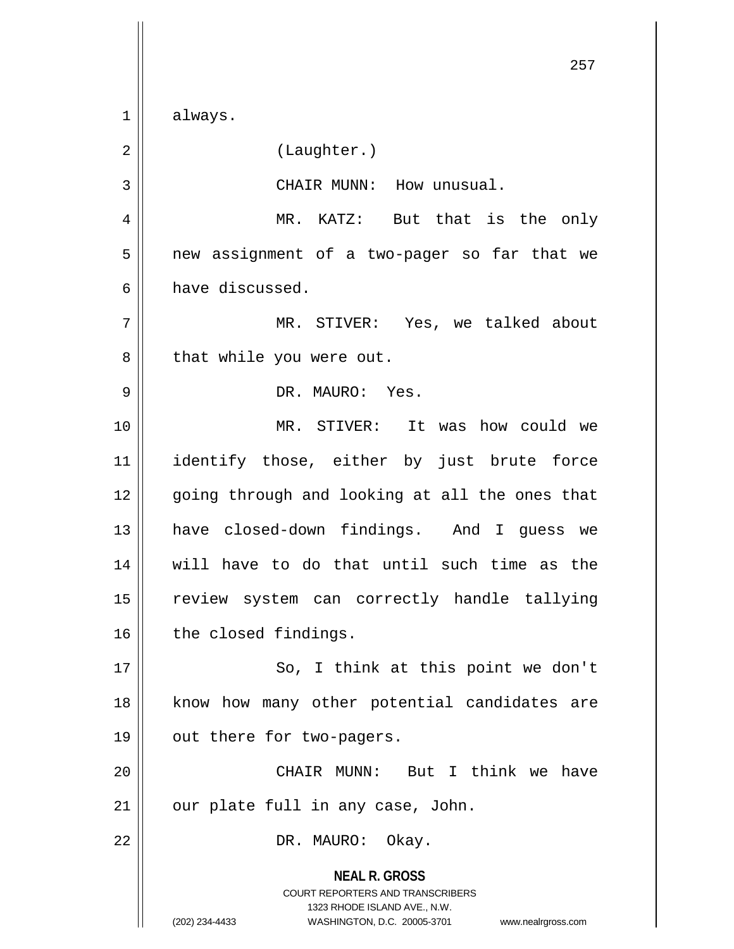**NEAL R. GROSS** COURT REPORTERS AND TRANSCRIBERS 1323 RHODE ISLAND AVE., N.W. 257 1 always. 2 | (Laughter.) 3 || CHAIR MUNN: How unusual. 4 MR. KATZ: But that is the only 5 | new assignment of a two-pager so far that we 6 have discussed. 7 MR. STIVER: Yes, we talked about  $8 \parallel$  that while you were out. 9 DR. MAURO: Yes. 10 MR. STIVER: It was how could we 11 || identify those, either by just brute force 12 || going through and looking at all the ones that 13 || have closed-down findings. And I guess we 14 will have to do that until such time as the 15 || review system can correctly handle tallying 16 | the closed findings. 17 || So, I think at this point we don't 18 || know how many other potential candidates are 19 | out there for two-pagers. 20 CHAIR MUNN: But I think we have  $21$  | our plate full in any case, John. 22 | DR. MAURO: Okay.

(202) 234-4433 WASHINGTON, D.C. 20005-3701 www.nealrgross.com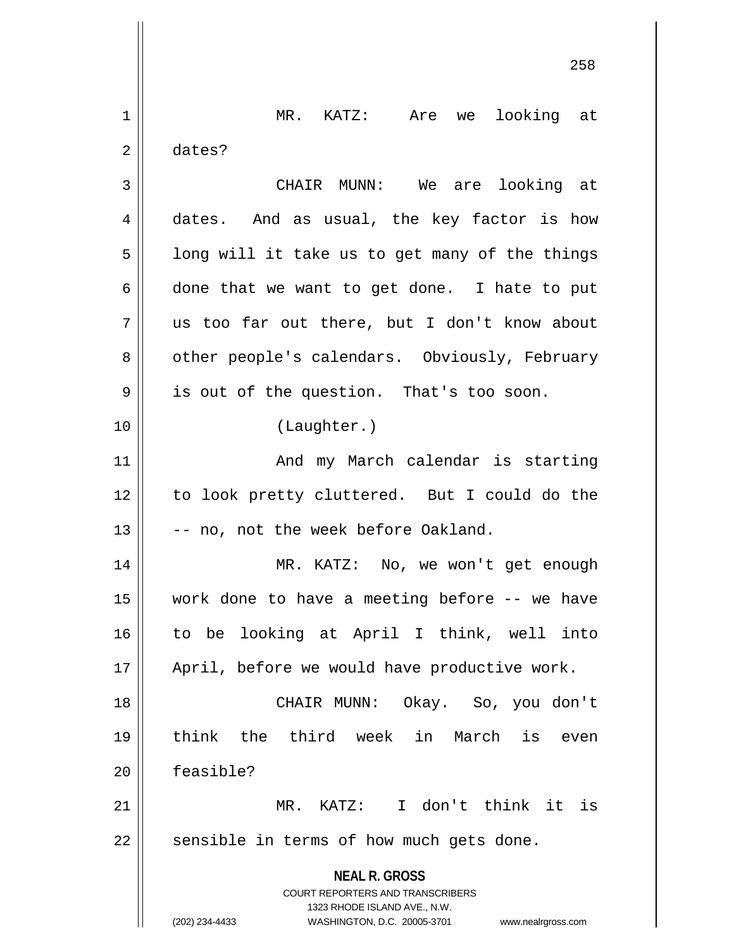|    | 258                                                                                                                                                                    |
|----|------------------------------------------------------------------------------------------------------------------------------------------------------------------------|
| 1  | MR. KATZ: Are we<br>looking at                                                                                                                                         |
| 2  | dates?                                                                                                                                                                 |
| 3  | CHAIR MUNN: We are looking at                                                                                                                                          |
| 4  | dates. And as usual, the key factor is how                                                                                                                             |
| 5  | long will it take us to get many of the things                                                                                                                         |
| 6  | done that we want to get done. I hate to put                                                                                                                           |
| 7  | us too far out there, but I don't know about                                                                                                                           |
| 8  | other people's calendars. Obviously, February                                                                                                                          |
| 9  | is out of the question. That's too soon.                                                                                                                               |
| 10 | (Laughter.)                                                                                                                                                            |
| 11 | And my March calendar is starting                                                                                                                                      |
| 12 | to look pretty cluttered. But I could do the                                                                                                                           |
| 13 | -- no, not the week before Oakland.                                                                                                                                    |
| 14 | MR. KATZ: No, we won't get enough                                                                                                                                      |
| 15 | work done to have a meeting before -- we have                                                                                                                          |
| 16 | to be looking at April I think, well into                                                                                                                              |
| 17 | April, before we would have productive work.                                                                                                                           |
| 18 | CHAIR MUNN: Okay. So, you don't                                                                                                                                        |
| 19 | think the third week in March<br>is<br>even                                                                                                                            |
| 20 | feasible?                                                                                                                                                              |
| 21 | MR. KATZ: I don't think it is                                                                                                                                          |
| 22 | sensible in terms of how much gets done.                                                                                                                               |
|    | <b>NEAL R. GROSS</b><br><b>COURT REPORTERS AND TRANSCRIBERS</b><br>1323 RHODE ISLAND AVE., N.W.<br>(202) 234-4433<br>WASHINGTON, D.C. 20005-3701<br>www.nealrgross.com |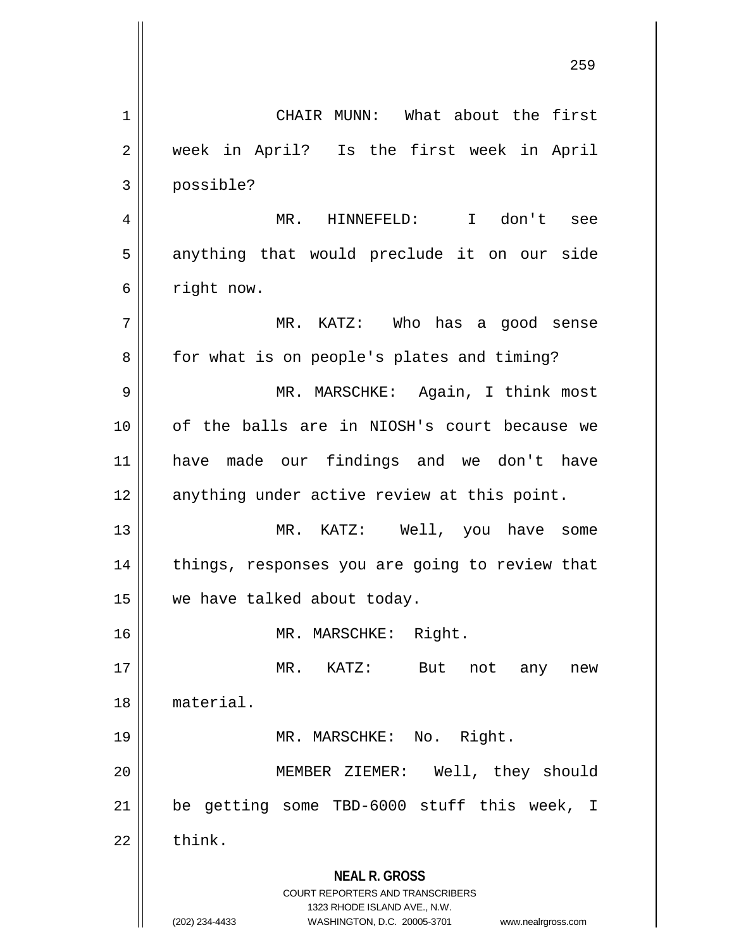**NEAL R. GROSS** COURT REPORTERS AND TRANSCRIBERS 1323 RHODE ISLAND AVE., N.W. (202) 234-4433 WASHINGTON, D.C. 20005-3701 www.nealrgross.com 1 || CHAIR MUNN: What about the first 2 || week in April? Is the first week in April 3 possible? 4 MR. HINNEFELD: I don't see 5 || anything that would preclude it on our side 6 | right now. 7 MR. KATZ: Who has a good sense 8 || for what is on people's plates and timing? 9 MR. MARSCHKE: Again, I think most 10 of the balls are in NIOSH's court because we 11 have made our findings and we don't have 12 || anything under active review at this point. 13 || MR. KATZ: Well, you have some 14 || things, responses you are going to review that 15 we have talked about today. 16 || MR. MARSCHKE: Right. 17 MR. KATZ: But not any new 18 material. 19 || MR. MARSCHKE: No. Right. 20 MEMBER ZIEMER: Well, they should 21 be getting some TBD-6000 stuff this week, I  $22$   $\parallel$  think.

259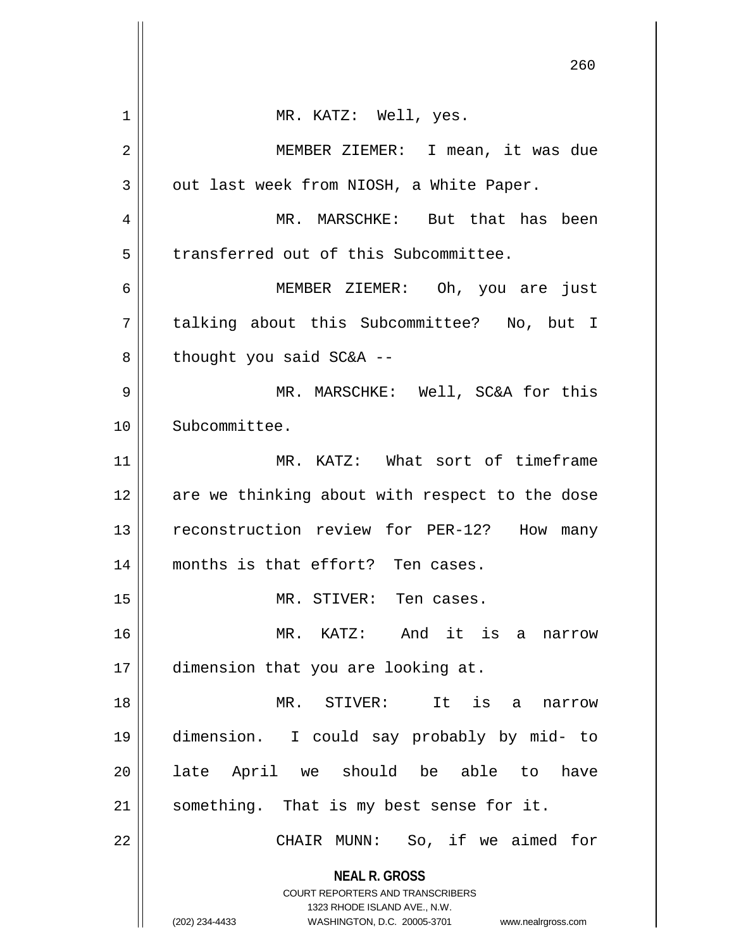|    | 260                                                                                                                                                                    |
|----|------------------------------------------------------------------------------------------------------------------------------------------------------------------------|
| 1  | MR. KATZ: Well, yes.                                                                                                                                                   |
| 2  | MEMBER ZIEMER: I mean, it was due                                                                                                                                      |
| 3  | out last week from NIOSH, a White Paper.                                                                                                                               |
| 4  | MR. MARSCHKE: But that has been                                                                                                                                        |
| 5  | transferred out of this Subcommittee.                                                                                                                                  |
| 6  | MEMBER ZIEMER: Oh, you are just                                                                                                                                        |
| 7  | talking about this Subcommittee? No, but I                                                                                                                             |
| 8  | thought you said SC&A --                                                                                                                                               |
| 9  | MR. MARSCHKE: Well, SC&A for this                                                                                                                                      |
| 10 | Subcommittee.                                                                                                                                                          |
| 11 | MR. KATZ: What sort of timeframe                                                                                                                                       |
| 12 | are we thinking about with respect to the dose                                                                                                                         |
| 13 | reconstruction review for PER-12? How<br>many                                                                                                                          |
| 14 | months is that effort? Ten cases.                                                                                                                                      |
| 15 | MR. STIVER: Ten cases.                                                                                                                                                 |
| 16 | MR. KATZ: And it is a<br>narrow                                                                                                                                        |
| 17 | dimension that you are looking at.                                                                                                                                     |
| 18 | MR. STIVER:<br>It<br>is<br>a<br>narrow                                                                                                                                 |
| 19 | dimension. I could say probably by mid- to                                                                                                                             |
| 20 | late April we should be able to<br>have                                                                                                                                |
| 21 | something. That is my best sense for it.                                                                                                                               |
| 22 | CHAIR MUNN: So, if we aimed for                                                                                                                                        |
|    | <b>NEAL R. GROSS</b><br><b>COURT REPORTERS AND TRANSCRIBERS</b><br>1323 RHODE ISLAND AVE., N.W.<br>(202) 234-4433<br>WASHINGTON, D.C. 20005-3701<br>www.nealrgross.com |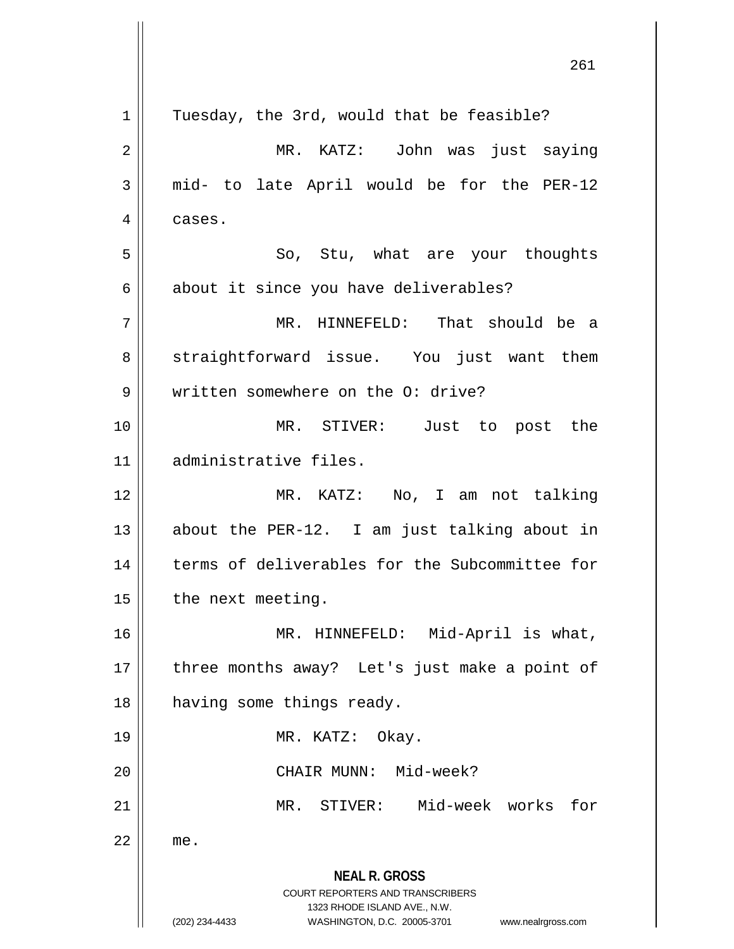|             | 261                                                                                                 |
|-------------|-----------------------------------------------------------------------------------------------------|
| $\mathbf 1$ | Tuesday, the 3rd, would that be feasible?                                                           |
| 2           | MR. KATZ: John was just saying                                                                      |
| 3           | mid- to late April would be for the PER-12                                                          |
| 4           | cases.                                                                                              |
| 5           | So, Stu, what are your thoughts                                                                     |
| 6           | about it since you have deliverables?                                                               |
| 7           | MR. HINNEFELD: That should be a                                                                     |
| 8           | straightforward issue. You just want them                                                           |
| 9           | written somewhere on the O: drive?                                                                  |
| 10          | MR. STIVER: Just to post the                                                                        |
| 11          | administrative files.                                                                               |
| 12          | MR. KATZ: No, I am not talking                                                                      |
| 13          | about the PER-12. I am just talking about in                                                        |
| 14          | terms of deliverables for the Subcommittee for                                                      |
| 15          | the next meeting.                                                                                   |
| 16          | MR. HINNEFELD: Mid-April is what,                                                                   |
| 17          | three months away? Let's just make a point of                                                       |
| 18          | having some things ready.                                                                           |
| 19          | MR. KATZ: Okay.                                                                                     |
| 20          | CHAIR MUNN: Mid-week?                                                                               |
| 21          | MR. STIVER: Mid-week works<br>for                                                                   |
| 22          | me.                                                                                                 |
|             | <b>NEAL R. GROSS</b><br>COURT REPORTERS AND TRANSCRIBERS                                            |
|             | 1323 RHODE ISLAND AVE., N.W.<br>(202) 234-4433<br>WASHINGTON, D.C. 20005-3701<br>www.nealrgross.com |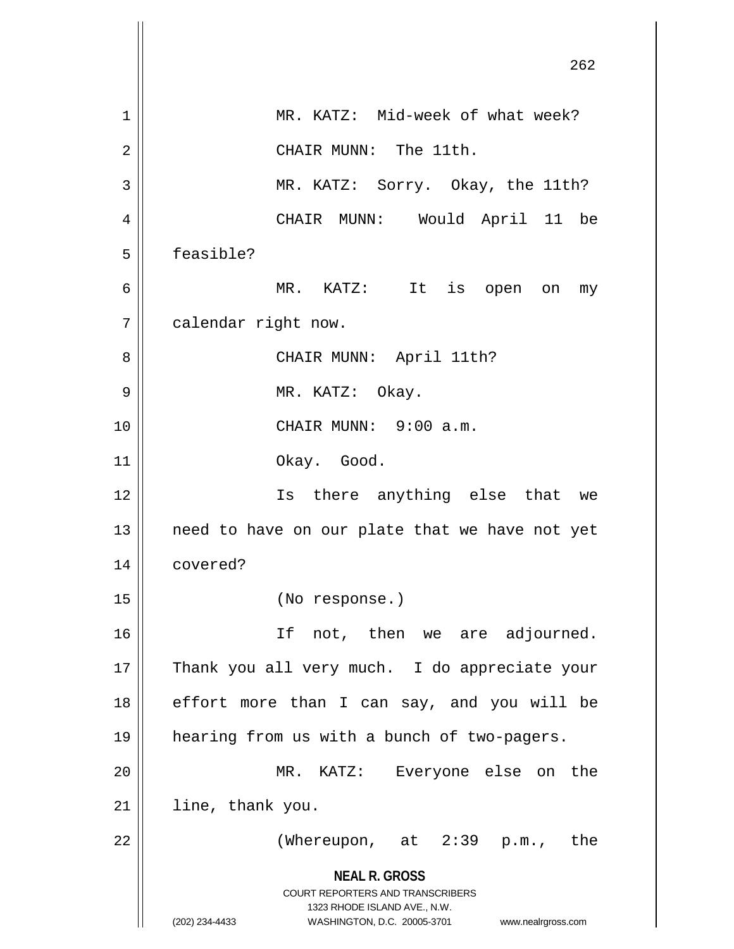|    | 262                                                                                                                                                             |
|----|-----------------------------------------------------------------------------------------------------------------------------------------------------------------|
| 1  | MR. KATZ: Mid-week of what week?                                                                                                                                |
| 2  | CHAIR MUNN: The 11th.                                                                                                                                           |
| 3  | MR. KATZ: Sorry. Okay, the 11th?                                                                                                                                |
| 4  | CHAIR MUNN: Would April 11 be                                                                                                                                   |
| 5  | feasible?                                                                                                                                                       |
| 6  | MR. KATZ: It is open on<br>my                                                                                                                                   |
| 7  | calendar right now.                                                                                                                                             |
| 8  | CHAIR MUNN: April 11th?                                                                                                                                         |
| 9  | MR. KATZ: Okay.                                                                                                                                                 |
| 10 | CHAIR MUNN: 9:00 a.m.                                                                                                                                           |
| 11 | Okay. Good.                                                                                                                                                     |
| 12 | Is there anything else that we                                                                                                                                  |
| 13 | need to have on our plate that we have not yet                                                                                                                  |
| 14 | covered?                                                                                                                                                        |
| 15 | (No response.)                                                                                                                                                  |
| 16 | If<br>not, then we are adjourned.                                                                                                                               |
| 17 | Thank you all very much. I do appreciate your                                                                                                                   |
| 18 | effort more than I can say, and you will be                                                                                                                     |
| 19 | hearing from us with a bunch of two-pagers.                                                                                                                     |
| 20 | MR. KATZ: Everyone else on the                                                                                                                                  |
| 21 | line, thank you.                                                                                                                                                |
| 22 | (Whereupon, at 2:39 p.m., the                                                                                                                                   |
|    | <b>NEAL R. GROSS</b><br>COURT REPORTERS AND TRANSCRIBERS<br>1323 RHODE ISLAND AVE., N.W.<br>(202) 234-4433<br>WASHINGTON, D.C. 20005-3701<br>www.nealrgross.com |